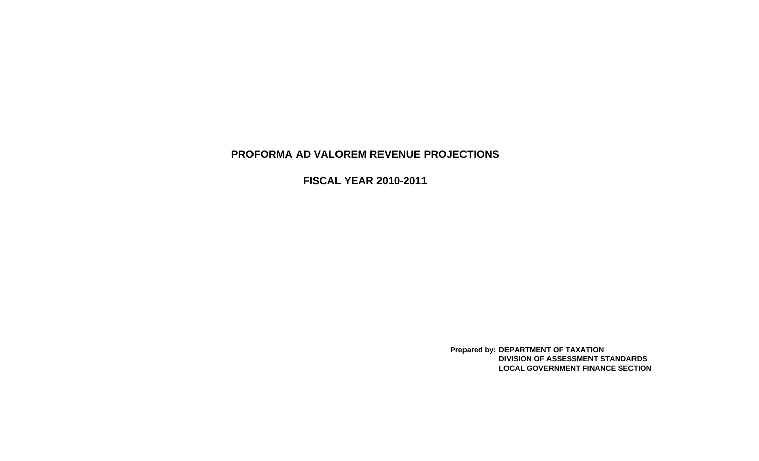# **PROFORMA AD VALOREM REVENUE PROJECTIONS**

**FISCAL YEAR 2010-2011**

**Prepared by: DEPARTMENT OF TAXATION DIVISION OF ASSESSMENT STANDARDSLOCAL GOVERNMENT FINANCE SECTION**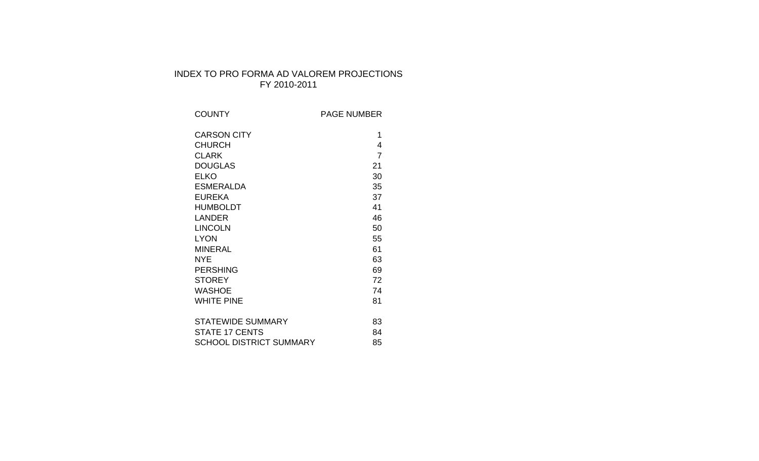## INDEX TO PRO FORMA AD VALOREM PROJECTIONS FY 2010-2011

| <b>COUNTY</b>                  | <b>PAGE NUMBER</b> |
|--------------------------------|--------------------|
| <b>CARSON CITY</b>             | 1                  |
| <b>CHURCH</b>                  | 4                  |
| <b>CLARK</b>                   | $\overline{7}$     |
| <b>DOUGLAS</b>                 | 21                 |
| <b>ELKO</b>                    | 30                 |
| <b>ESMERALDA</b>               | 35                 |
| <b>EUREKA</b>                  | 37                 |
| <b>HUMBOLDT</b>                | 41                 |
| <b>LANDER</b>                  | 46                 |
| <b>LINCOLN</b>                 | 50                 |
| <b>LYON</b>                    | 55                 |
| <b>MINERAL</b>                 | 61                 |
| <b>NYE</b>                     | 63                 |
| <b>PERSHING</b>                | 69                 |
| <b>STOREY</b>                  | 72                 |
| <b>WASHOE</b>                  | 74                 |
| <b>WHITE PINE</b>              | 81                 |
|                                |                    |
| <b>STATEWIDE SUMMARY</b>       | 83                 |
| <b>STATE 17 CENTS</b>          | 84                 |
| <b>SCHOOL DISTRICT SUMMARY</b> | 85                 |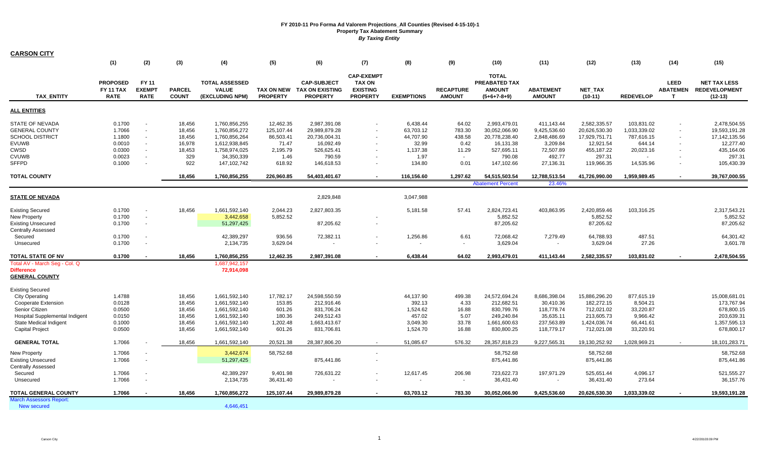| <b>CARSON CITY</b>                         |                                                    |                                              |                               |                                                          |                                      |                                                                 |                                                                          |                   |                                   |                                                                        |                                   |                      |                  |                                                  |                                                          |
|--------------------------------------------|----------------------------------------------------|----------------------------------------------|-------------------------------|----------------------------------------------------------|--------------------------------------|-----------------------------------------------------------------|--------------------------------------------------------------------------|-------------------|-----------------------------------|------------------------------------------------------------------------|-----------------------------------|----------------------|------------------|--------------------------------------------------|----------------------------------------------------------|
|                                            | (1)                                                | (2)                                          | (3)                           | (4)                                                      | (5)                                  | (6)                                                             | (7)                                                                      | (8)               | (9)                               | (10)                                                                   | (11)                              | (12)                 | (13)             | (14)                                             | (15)                                                     |
| <b>TAX ENTITY</b>                          | <b>PROPOSED</b><br><b>FY 11 TAX</b><br><b>RATE</b> | <b>FY 11</b><br><b>EXEMPT</b><br><b>RATE</b> | <b>PARCEL</b><br><b>COUNT</b> | <b>TOTAL ASSESSED</b><br><b>VALUE</b><br>(EXCLUDING NPM) | <b>TAX ON NEW</b><br><b>PROPERTY</b> | <b>CAP-SUBJECT</b><br><b>TAX ON EXISTING</b><br><b>PROPERTY</b> | <b>CAP-EXEMPT</b><br><b>TAX ON</b><br><b>EXISTING</b><br><b>PROPERTY</b> | <b>EXEMPTIONS</b> | <b>RECAPTURE</b><br><b>AMOUNT</b> | <b>TOTAL</b><br><b>PREABATED TAX</b><br><b>AMOUNT</b><br>$(5+6+7-8+9)$ | <b>ABATEMENT</b><br><b>AMOUNT</b> | NET_TAX<br>$(10-11)$ | <b>REDEVELOP</b> | <b>LEED</b><br><b>ABATEMEN</b><br>$\mathbf \tau$ | <b>NET TAX LESS</b><br><b>REDEVELOPMENT</b><br>$(12-13)$ |
| <b>ALL ENTITIES</b>                        |                                                    |                                              |                               |                                                          |                                      |                                                                 |                                                                          |                   |                                   |                                                                        |                                   |                      |                  |                                                  |                                                          |
| <b>STATE OF NEVADA</b>                     | 0.1700                                             |                                              | 18,456                        | 1,760,856,255                                            | 12,462.35                            | 2,987,391.08                                                    |                                                                          | 6,438.44          | 64.02                             | 2,993,479.01                                                           | 411,143.44                        | 2,582,335.57         | 103,831.02       |                                                  | 2,478,504.55                                             |
| <b>GENERAL COUNTY</b>                      | 1.7066                                             | $\overline{\phantom{a}}$                     | 18,456                        | 1,760,856,272                                            | 125,107.44                           | 29,989,879.28                                                   |                                                                          | 63,703.12         | 783.30                            | 30,052,066.90                                                          | 9,425,536.60                      | 20,626,530.30        | 1,033,339.02     | $\sim$                                           | 19,593,191.28                                            |
| <b>SCHOOL DISTRICT</b>                     | 1.1800                                             | $\sim$                                       | 18,456                        | 1,760,856,264                                            | 86,503.41                            | 20,736,004.31                                                   |                                                                          | 44,707.90         | 438.58                            | 20,778,238.40                                                          | 2,848,486.69                      | 17,929,751.71        | 787,616.15       | $\sim$                                           | 17, 142, 135.56                                          |
| EVUWB                                      | 0.0010                                             | $\sim$                                       | 16,978                        | 1,612,938,845                                            | 71.47                                | 16,092.49                                                       | $\sim$                                                                   | 32.99             | 0.42                              | 16,131.38                                                              | 3,209.84                          | 12,921.54            | 644.14           | $\sim$                                           | 12,277.40                                                |
| CWSD                                       | 0.0300                                             |                                              | 18,453                        | 1,758,974,025                                            | 2,195.79                             | 526,625.41                                                      |                                                                          | 1,137.38          | 11.29                             | 527,695.11                                                             | 72,507.89                         | 455,187.22           | 20,023.16        |                                                  | 435,164.06                                               |
| <b>CVUWB</b>                               | 0.0023                                             |                                              | 329                           | 34,350,339                                               | 1.46                                 | 790.59                                                          |                                                                          | 1.97              | $\sim$                            | 790.08                                                                 | 492.77                            | 297.31               |                  |                                                  | 297.31                                                   |
| <b>SFFPD</b>                               | 0.1000                                             | $\sim$                                       | 922                           | 147,102,742                                              | 618.92                               | 146,618.53                                                      | $\sim$                                                                   | 134.80            | 0.01                              | 147,102.66                                                             | 27,136.31                         | 119,966.35           | 14,535.96        | $\sim$                                           | 105,430.39                                               |
| <b>TOTAL COUNTY</b>                        |                                                    |                                              | 18.456                        | 1,760,856,255                                            | 226,960.85                           | 54,403,401.67                                                   | $\overline{\phantom{a}}$                                                 | 116,156.60        | 1,297.62                          | 54,515,503.54                                                          | 12,788,513.54                     | 41,726,990.00        | 1,959,989.45     |                                                  | 39,767,000.55                                            |
|                                            |                                                    |                                              |                               |                                                          |                                      |                                                                 |                                                                          |                   |                                   | <b>Abatement Percent</b>                                               | 23.46%                            |                      |                  |                                                  |                                                          |
| <b>STATE OF NEVADA</b>                     |                                                    |                                              |                               |                                                          |                                      | 2,829,848                                                       |                                                                          | 3,047,988         |                                   |                                                                        |                                   |                      |                  |                                                  |                                                          |
| <b>Existing Secured</b>                    | 0.1700                                             |                                              | 18,456                        | 1,661,592,140                                            | 2,044.23                             | 2,827,803.35                                                    |                                                                          | 5,181.58          | 57.41                             | 2,824,723.41                                                           | 403,863.95                        | 2,420,859.46         | 103,316.25       |                                                  | 2,317,543.21                                             |
| <b>New Property</b>                        | 0.1700                                             | $\sim$                                       |                               | 3,442,658                                                | 5,852.52                             |                                                                 |                                                                          |                   |                                   | 5,852.52                                                               |                                   | 5,852.52             |                  |                                                  | 5,852.52                                                 |
| <b>Existing Unsecured</b>                  | 0.1700                                             | $\sim$                                       |                               | 51,297,425                                               |                                      | 87,205.62                                                       | $\sim$                                                                   |                   |                                   | 87,205.62                                                              |                                   | 87,205.62            |                  |                                                  | 87,205.62                                                |
| <b>Centrally Assessed</b>                  |                                                    |                                              |                               |                                                          |                                      |                                                                 |                                                                          |                   |                                   |                                                                        |                                   |                      |                  |                                                  |                                                          |
| Secured                                    | 0.1700                                             |                                              |                               | 42,389,297                                               | 936.56                               | 72,382.11                                                       |                                                                          | 1,256.86          | 6.61                              | 72,068.42                                                              | 7,279.49                          | 64,788.93            | 487.51           |                                                  | 64,301.42                                                |
| Unsecured                                  | 0.1700                                             |                                              |                               | 2,134,735                                                | 3,629.04                             |                                                                 |                                                                          |                   | $\sim$                            | 3,629.04                                                               |                                   | 3,629.04             | 27.26            |                                                  | 3,601.78                                                 |
| <b>TOTAL STATE OF NV</b>                   | 0.1700                                             |                                              | 18,456                        | 1,760,856,255                                            | 12,462.35                            | 2,987,391.08                                                    |                                                                          | 6,438.44          | 64.02                             | 2,993,479.01                                                           | 411,143.44                        | 2,582,335.57         | 103,831.02       |                                                  | 2,478,504.55                                             |
| Total AV - March Seg - Col. Q              |                                                    |                                              |                               | 1,687,942,157                                            |                                      |                                                                 |                                                                          |                   |                                   |                                                                        |                                   |                      |                  |                                                  |                                                          |
| <b>Difference</b><br><b>GENERAL COUNTY</b> |                                                    |                                              |                               | 72,914,098                                               |                                      |                                                                 |                                                                          |                   |                                   |                                                                        |                                   |                      |                  |                                                  |                                                          |
| <b>Existing Secured</b>                    |                                                    |                                              |                               |                                                          |                                      |                                                                 |                                                                          |                   |                                   |                                                                        |                                   |                      |                  |                                                  |                                                          |
| <b>City Operating</b>                      | 1.4788                                             |                                              | 18,456                        | 1,661,592,140                                            | 17,782.17                            | 24,598,550.59                                                   |                                                                          | 44,137.90         | 499.38                            | 24,572,694.24                                                          | 8,686,398.04                      | 15,886,296.20        | 877,615.19       |                                                  | 15,008,681.01                                            |
| Cooperate Extension                        | 0.0128                                             |                                              | 18,456                        | 1,661,592,140                                            | 153.85                               | 212,916.46                                                      |                                                                          | 392.13            | 4.33                              | 212,682.51                                                             | 30,410.36                         | 182,272.15           | 8,504.21         |                                                  | 173,767.94                                               |
| Senior Citizen                             | 0.0500                                             |                                              | 18,456                        | 1,661,592,140                                            | 601.26                               | 831,706.24                                                      |                                                                          | 1,524.62          | 16.88                             | 830,799.76                                                             | 118,778.74                        | 712,021.02           | 33,220.87        |                                                  | 678,800.15                                               |
| <b>Hospital Supplemental Indigent</b>      | 0.0150                                             |                                              | 18,456                        | 1,661,592,140                                            | 180.36                               | 249,512.43                                                      |                                                                          | 457.02            | 5.07                              | 249,240.84                                                             | 35,635.11                         | 213,605.73           | 9,966.42         |                                                  | 203,639.31                                               |
| State Medical Indigent                     | 0.1000                                             |                                              | 18,456                        | 1,661,592,140                                            | 1,202.48                             | 1,663,413.67                                                    |                                                                          | 3,049.30          | 33.78                             | 1,661,600.63                                                           | 237,563.89                        | 1,424,036.74         | 66,441.61        |                                                  | 1,357,595.13                                             |
| <b>Capital Project</b>                     | 0.0500                                             |                                              | 18,456                        | 1,661,592,140                                            | 601.26                               | 831,706.81                                                      |                                                                          | 1,524.70          | 16.88                             | 830,800.25                                                             | 118,779.17                        | 712,021.08           | 33,220.91        |                                                  | 678,800.17                                               |
| <b>GENERAL TOTAL</b>                       | 1.7066                                             |                                              | 18.456                        | 1,661,592,140                                            | 20,521.38                            | 28.387.806.20                                                   |                                                                          | 51.085.67         | 576.32                            | 28,357,818.23                                                          | 9,227,565.31                      | 19,130,252.92        | 1,028,969.21     |                                                  | 18, 101, 283. 71                                         |
| <b>New Property</b>                        | 1.7066                                             |                                              |                               | 3,442,674                                                | 58,752.68                            |                                                                 |                                                                          |                   |                                   | 58,752.68                                                              |                                   | 58,752.68            |                  |                                                  | 58,752.68                                                |
| <b>Existing Unsecured</b>                  | 1.7066                                             |                                              |                               | 51,297,425                                               |                                      | 875,441.86                                                      |                                                                          |                   |                                   | 875,441.86                                                             |                                   | 875,441.86           |                  |                                                  | 875,441.86                                               |
| <b>Centrally Assessed</b>                  |                                                    |                                              |                               |                                                          |                                      |                                                                 |                                                                          |                   |                                   |                                                                        |                                   |                      |                  |                                                  |                                                          |
| Secured                                    | 1.7066                                             |                                              |                               | 42,389,297                                               | 9,401.98                             | 726,631.22                                                      |                                                                          | 12,617.45         | 206.98                            | 723,622.73                                                             | 197,971.29                        | 525,651.44           | 4,096.17         |                                                  | 521,555.27                                               |
| Unsecured                                  | 1.7066                                             |                                              |                               | 2,134,735                                                | 36,431.40                            |                                                                 |                                                                          | $\sim$            | $\sim$                            | 36,431.40                                                              | $\sim$                            | 36,431.40            | 273.64           |                                                  | 36,157.76                                                |
| TOTAL GENERAL COUNTY                       | 1.7066                                             |                                              | 18,456                        | 1,760,856,272                                            | 125,107.44                           | 29,989,879.28                                                   |                                                                          | 63,703.12         | 783.30                            | 30,052,066.90                                                          | 9,425,536.60                      | 20,626,530.30        | 1,033,339.02     |                                                  | 19,593,191.28                                            |
| <b>March Assessors Report:</b>             |                                                    |                                              |                               |                                                          |                                      |                                                                 |                                                                          |                   |                                   |                                                                        |                                   |                      |                  |                                                  |                                                          |
| New secured                                |                                                    |                                              |                               | 4.646.451                                                |                                      |                                                                 |                                                                          |                   |                                   |                                                                        |                                   |                      |                  |                                                  |                                                          |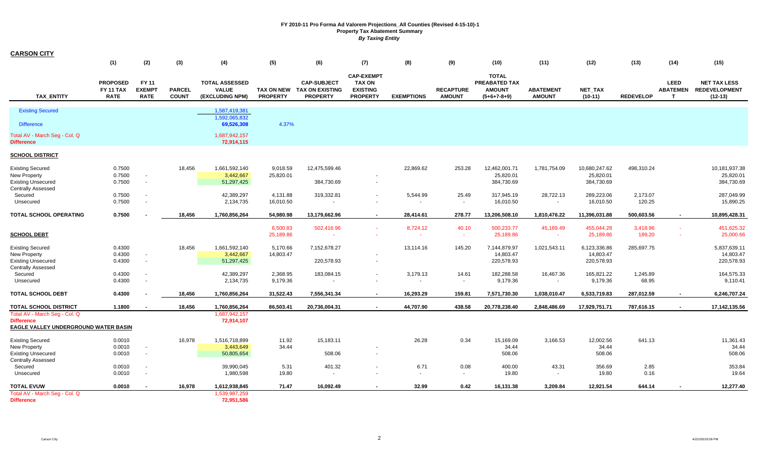| <b>CARSON CITY</b>                                                                                       |                                                    |                                              |                               |                                                          |                       |                                                                     |                                                                          |                            |                                   |                                                                 |                                   |                                          |                    |                                                |                                                          |
|----------------------------------------------------------------------------------------------------------|----------------------------------------------------|----------------------------------------------|-------------------------------|----------------------------------------------------------|-----------------------|---------------------------------------------------------------------|--------------------------------------------------------------------------|----------------------------|-----------------------------------|-----------------------------------------------------------------|-----------------------------------|------------------------------------------|--------------------|------------------------------------------------|----------------------------------------------------------|
|                                                                                                          | (1)                                                | (2)                                          | (3)                           | (4)                                                      | (5)                   | (6)                                                                 | (7)                                                                      | (8)                        | (9)                               | (10)                                                            | (11)                              | (12)                                     | (13)               | (14)                                           | (15)                                                     |
| <b>TAX ENTITY</b>                                                                                        | <b>PROPOSED</b><br><b>FY 11 TAX</b><br><b>RATE</b> | <b>FY 11</b><br><b>EXEMPT</b><br><b>RATE</b> | <b>PARCEL</b><br><b>COUNT</b> | <b>TOTAL ASSESSED</b><br><b>VALUE</b><br>(EXCLUDING NPM) | <b>PROPERTY</b>       | <b>CAP-SUBJECT</b><br>TAX ON NEW TAX ON EXISTING<br><b>PROPERTY</b> | <b>CAP-EXEMPT</b><br><b>TAX ON</b><br><b>EXISTING</b><br><b>PROPERTY</b> | <b>EXEMPTIONS</b>          | <b>RECAPTURE</b><br><b>AMOUNT</b> | <b>TOTAL</b><br>PREABATED TAX<br><b>AMOUNT</b><br>$(5+6+7-8+9)$ | <b>ABATEMENT</b><br><b>AMOUNT</b> | NET_TAX<br>$(10-11)$                     | <b>REDEVELOP</b>   | <b>LEED</b><br><b>ABATEMEN</b><br>$\mathbf{T}$ | <b>NET TAX LESS</b><br><b>REDEVELOPMENT</b><br>$(12-13)$ |
|                                                                                                          |                                                    |                                              |                               |                                                          |                       |                                                                     |                                                                          |                            |                                   |                                                                 |                                   |                                          |                    |                                                |                                                          |
| <b>Existing Secured</b><br><b>Difference</b>                                                             |                                                    |                                              |                               | 1,587,419,381<br>1.592.065.832<br>69,526,308             | 4.37%                 |                                                                     |                                                                          |                            |                                   |                                                                 |                                   |                                          |                    |                                                |                                                          |
| Total AV - March Seg - Col. Q<br><b>Difference</b>                                                       |                                                    |                                              |                               | 1,687,942,157<br>72,914,115                              |                       |                                                                     |                                                                          |                            |                                   |                                                                 |                                   |                                          |                    |                                                |                                                          |
| <b>SCHOOL DISTRICT</b>                                                                                   |                                                    |                                              |                               |                                                          |                       |                                                                     |                                                                          |                            |                                   |                                                                 |                                   |                                          |                    |                                                |                                                          |
| <b>Existing Secured</b><br>New Property<br><b>Existing Unsecured</b><br><b>Centrally Assessed</b>        | 0.7500<br>0.7500<br>0.7500                         | $\overline{\phantom{a}}$<br>$\sim$           | 18,456                        | 1,661,592,140<br>3,442,667<br>51,297,425                 | 9,018.59<br>25,820.01 | 12,475,599.46<br>384,730.69                                         | $\sim$                                                                   | 22,869.62                  | 253.28                            | 12,462,001.71<br>25,820.01<br>384,730.69                        | 1,781,754.09                      | 10,680,247.62<br>25,820.01<br>384,730.69 | 498,310.24         |                                                | 10,181,937.38<br>25,820.01<br>384,730.69                 |
| Secured<br>Unsecured                                                                                     | 0.7500<br>0.7500                                   |                                              |                               | 42,389,297<br>2,134,735                                  | 4,131.88<br>16,010.50 | 319,332.81                                                          |                                                                          | 5,544.99                   | 25.49<br>$\sim$                   | 317,945.19<br>16,010.50                                         | 28,722.13<br>$\sim$               | 289,223.06<br>16,010.50                  | 2,173.07<br>120.25 |                                                | 287,049.99<br>15,890.25                                  |
| <b>TOTAL SCHOOL OPERATING</b>                                                                            | 0.7500                                             |                                              | 18,456                        | 1,760,856,264                                            | 54,980.98             | 13,179,662.96                                                       | $\blacksquare$                                                           | 28,414.61                  | 278.77                            | 13,206,508.10                                                   | 1,810,476.22                      | 11,396,031.88                            | 500,603.56         | $\sim$                                         | 10,895,428.31                                            |
| <b>SCHOOL DEBT</b>                                                                                       |                                                    |                                              |                               |                                                          | 6,500.83<br>25,189.86 | 502,416.96                                                          | $\sim$                                                                   | 8,724.12                   | 40.10<br>$\sim$                   | 500,233.77<br>25,189.86                                         | 45,189.49<br>$\sim$               | 455,044.28<br>25,189.86                  | 3,418.96<br>189.20 | $\sim$                                         | 451,625.32<br>25,000.66                                  |
| <b>Existing Secured</b><br><b>New Property</b><br><b>Existing Unsecured</b><br><b>Centrally Assessed</b> | 0.4300<br>0.4300<br>0.4300                         | $\sim$                                       | 18,456                        | 1,661,592,140<br>3,442,667<br>51,297,425                 | 5,170.66<br>14,803.47 | 7,152,678.27<br>220,578.93                                          | $\sim$                                                                   | 13,114.16                  | 145.20                            | 7,144,879.97<br>14,803.47<br>220,578.93                         | 1,021,543.11                      | 6,123,336.86<br>14,803.47<br>220,578.93  | 285,697.75         |                                                | 5,837,639.11<br>14,803.47<br>220,578.93                  |
| Secured<br>Unsecured                                                                                     | 0.4300<br>0.4300                                   |                                              |                               | 42,389,297<br>2,134,735                                  | 2,368.95<br>9,179.36  | 183,084.15                                                          |                                                                          | 3,179.13<br>$\blacksquare$ | 14.61<br>$\sim$                   | 182,288.58<br>9,179.36                                          | 16,467.36                         | 165,821.22<br>9,179.36                   | 1,245.89<br>68.95  |                                                | 164,575.33<br>9,110.41                                   |
| <b>TOTAL SCHOOL DEBT</b>                                                                                 | 0.4300                                             |                                              | 18,456                        | 1,760,856,264                                            | 31,522.43             | 7,556,341.34                                                        |                                                                          | 16.293.29                  | 159.81                            | 7,571,730.30                                                    | 1,038,010.47                      | 6,533,719.83                             | 287,012.59         | $\blacksquare$                                 | 6,246,707.24                                             |
| <b>TOTAL SCHOOL DISTRICT</b>                                                                             | 1.1800                                             |                                              | 18,456                        | 1,760,856,264                                            | 86,503.41             | 20,736,004.31                                                       | $\blacksquare$                                                           | 44,707.90                  | 438.58                            | 20,778,238.40                                                   | 2,848,486.69                      | 17,929,751.71                            | 787,616.15         | $\sim$                                         | 17,142,135.56                                            |
| Total AV - March Seg - Col. Q<br><b>Difference</b><br><b>EAGLE VALLEY UNDERGROUND WATER BASIN</b>        |                                                    |                                              |                               | 1,687,942,157<br>72,914,107                              |                       |                                                                     |                                                                          |                            |                                   |                                                                 |                                   |                                          |                    |                                                |                                                          |
| <b>Existing Secured</b><br>New Property<br><b>Existing Unsecured</b><br><b>Centrally Assessed</b>        | 0.0010<br>0.0010<br>0.0010                         | $\sim$<br>$\sim$                             | 16,978                        | 1,516,718,899<br>3,443,649<br>50,805,654                 | 11.92<br>34.44        | 15,183.11<br>508.06                                                 | $\sim$                                                                   | 26.28                      | 0.34                              | 15,169.09<br>34.44<br>508.06                                    | 3,166.53                          | 12,002.56<br>34.44<br>508.06             | 641.13             |                                                | 11,361.43<br>34.44<br>508.06                             |
| Secured<br>Unsecured                                                                                     | 0.0010<br>0.0010                                   | $\overline{\phantom{a}}$                     |                               | 39,990,045<br>1,980,598                                  | 5.31<br>19.80         | 401.32                                                              |                                                                          | 6.71<br>$\sim$             | 0.08<br>$\sim$                    | 400.00<br>19.80                                                 | 43.31                             | 356.69<br>19.80                          | 2.85<br>0.16       |                                                | 353.84<br>19.64                                          |
| <b>TOTAL EVUW</b><br>Total AV - March Seg - Col. Q<br><b>Difference</b>                                  | 0.0010                                             |                                              | 16,978                        | 1,612,938,845<br>1,539,987,259<br>72,951,586             | 71.47                 | 16,092.49                                                           |                                                                          | 32.99                      | 0.42                              | 16,131.38                                                       | 3,209.84                          | 12,921.54                                | 644.14             |                                                | 12,277.40                                                |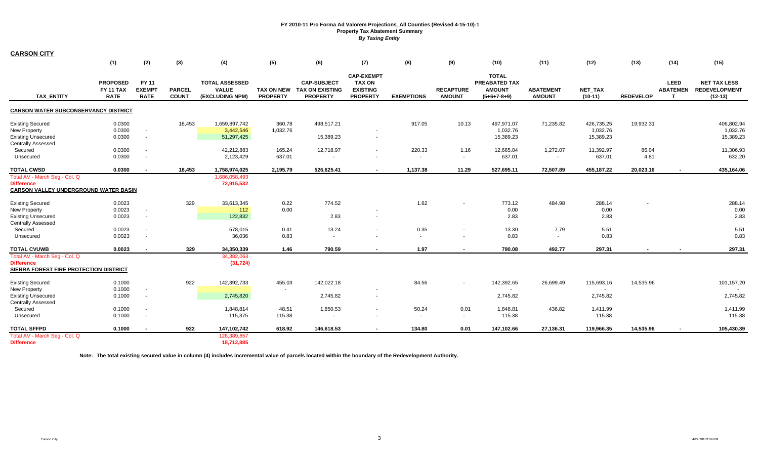| <b>CARSON CITY</b>                           |                                             |                                       |                               |                                                          |                 |                                                                     |                                                                          |                          |                                   |                                                                 |                                   |                      |                  |                                                  |                                                          |
|----------------------------------------------|---------------------------------------------|---------------------------------------|-------------------------------|----------------------------------------------------------|-----------------|---------------------------------------------------------------------|--------------------------------------------------------------------------|--------------------------|-----------------------------------|-----------------------------------------------------------------|-----------------------------------|----------------------|------------------|--------------------------------------------------|----------------------------------------------------------|
|                                              | (1)                                         | (2)                                   | (3)                           | (4)                                                      | (5)             | (6)                                                                 | (7)                                                                      | (8)                      | (9)                               | (10)                                                            | (11)                              | (12)                 | (13)             | (14)                                             | (15)                                                     |
| <b>TAX ENTITY</b>                            | <b>PROPOSED</b><br>FY 11 TAX<br><b>RATE</b> | FY 11<br><b>EXEMPT</b><br><b>RATE</b> | <b>PARCEL</b><br><b>COUNT</b> | <b>TOTAL ASSESSED</b><br><b>VALUE</b><br>(EXCLUDING NPM) | <b>PROPERTY</b> | <b>CAP-SUBJECT</b><br>TAX ON NEW TAX ON EXISTING<br><b>PROPERTY</b> | <b>CAP-EXEMPT</b><br><b>TAX ON</b><br><b>EXISTING</b><br><b>PROPERTY</b> | <b>EXEMPTIONS</b>        | <b>RECAPTURE</b><br><b>AMOUNT</b> | <b>TOTAL</b><br>PREABATED TAX<br><b>AMOUNT</b><br>$(5+6+7-8+9)$ | <b>ABATEMENT</b><br><b>AMOUNT</b> | NET_TAX<br>$(10-11)$ | <b>REDEVELOP</b> | <b>LEED</b><br><b>ABATEMEN</b><br>$\mathbf \tau$ | <b>NET TAX LESS</b><br><b>REDEVELOPMENT</b><br>$(12-13)$ |
| <b>CARSON WATER SUBCONSERVANCY DISTRICT</b>  |                                             |                                       |                               |                                                          |                 |                                                                     |                                                                          |                          |                                   |                                                                 |                                   |                      |                  |                                                  |                                                          |
| <b>Existing Secured</b>                      | 0.0300                                      |                                       | 18,453                        | 1,659,897,742                                            | 360.78          | 498,517.21                                                          |                                                                          | 917.05                   | 10.13                             | 497,971.07                                                      | 71,235.82                         | 426,735.25           | 19,932.31        |                                                  | 406,802.94                                               |
| <b>New Property</b>                          | 0.0300                                      |                                       |                               | 3,442,546                                                | 1,032.76        |                                                                     |                                                                          |                          |                                   | 1,032.76                                                        |                                   | 1,032.76             |                  |                                                  | 1,032.76                                                 |
| <b>Existing Unsecured</b>                    | 0.0300                                      | $\blacksquare$                        |                               | 51,297,425                                               |                 | 15,389.23                                                           | $\sim$                                                                   |                          |                                   | 15,389.23                                                       |                                   | 15,389.23            |                  |                                                  | 15,389.23                                                |
| <b>Centrally Assessed</b>                    |                                             |                                       |                               |                                                          |                 |                                                                     |                                                                          |                          |                                   |                                                                 |                                   |                      |                  |                                                  |                                                          |
| Secured                                      | 0.0300                                      |                                       |                               | 42,212,883                                               | 165.24          | 12,718.97                                                           | $\sim$                                                                   | 220.33                   | 1.16                              | 12,665.04                                                       | 1,272.07                          | 11,392.97            | 86.04            |                                                  | 11,306.93                                                |
| Unsecured                                    | 0.0300                                      | $\overline{\phantom{a}}$              |                               | 2,123,429                                                | 637.01          |                                                                     |                                                                          | $\overline{\phantom{a}}$ | $\sim$                            | 637.01                                                          | $\sim$                            | 637.01               | 4.81             |                                                  | 632.20                                                   |
| <b>TOTAL CWSD</b>                            | 0.0300                                      |                                       | 18,453                        | 1,758,974,025                                            | 2,195.79        | 526,625.41                                                          |                                                                          | 1,137.38                 | 11.29                             | 527,695.11                                                      | 72,507.89                         | 455,187.22           | 20,023.16        |                                                  | 435,164.06                                               |
| Total AV - March Seg - Col. Q                |                                             |                                       |                               | 1,686,058,493                                            |                 |                                                                     |                                                                          |                          |                                   |                                                                 |                                   |                      |                  |                                                  |                                                          |
| <b>Difference</b>                            |                                             |                                       |                               | 72,915,532                                               |                 |                                                                     |                                                                          |                          |                                   |                                                                 |                                   |                      |                  |                                                  |                                                          |
| <b>CARSON VALLEY UNDERGROUND WATER BASIN</b> |                                             |                                       |                               |                                                          |                 |                                                                     |                                                                          |                          |                                   |                                                                 |                                   |                      |                  |                                                  |                                                          |
| <b>Existing Secured</b>                      | 0.0023                                      |                                       | 329                           | 33,613,345                                               | 0.22            | 774.52                                                              |                                                                          | 1.62                     |                                   | 773.12                                                          | 484.98                            | 288.14               |                  |                                                  | 288.14                                                   |
| <b>New Property</b>                          | 0.0023                                      | $\overline{\phantom{a}}$              |                               | 112                                                      | 0.00            |                                                                     |                                                                          |                          |                                   | 0.00                                                            |                                   | 0.00                 |                  |                                                  | 0.00                                                     |
| <b>Existing Unsecured</b>                    | 0.0023                                      | $\blacksquare$                        |                               | 122,832                                                  |                 | 2.83                                                                | $\sim$                                                                   |                          |                                   | 2.83                                                            |                                   | 2.83                 |                  |                                                  | 2.83                                                     |
| <b>Centrally Assessed</b>                    |                                             |                                       |                               |                                                          |                 |                                                                     |                                                                          |                          |                                   |                                                                 |                                   |                      |                  |                                                  |                                                          |
| Secured                                      | 0.0023                                      |                                       |                               | 578,015                                                  | 0.41            | 13.24                                                               | $\sim$                                                                   | 0.35                     |                                   | 13.30                                                           | 7.79                              | 5.51                 |                  |                                                  | 5.51                                                     |
| Unsecured                                    | 0.0023                                      |                                       |                               | 36,036                                                   | 0.83            | $\sim$                                                              |                                                                          | $\sim$                   |                                   | 0.83                                                            | $\sim$                            | 0.83                 |                  |                                                  | 0.83                                                     |
| <b>TOTAL CVUWB</b>                           | 0.0023                                      | $\overline{\phantom{a}}$              | 329                           | 34,350,339                                               | 1.46            | 790.59                                                              | $\overline{\phantom{a}}$                                                 | 1.97                     |                                   | 790.08                                                          | 492.77                            | 297.31               |                  |                                                  | 297.31                                                   |
| Total AV - March Seq - Col. Q                |                                             |                                       |                               | 34,382,063                                               |                 |                                                                     |                                                                          |                          |                                   |                                                                 |                                   |                      |                  |                                                  |                                                          |
| <b>Difference</b>                            |                                             |                                       |                               | (31, 724)                                                |                 |                                                                     |                                                                          |                          |                                   |                                                                 |                                   |                      |                  |                                                  |                                                          |
| SIERRA FOREST FIRE PROTECTION DISTRICT       |                                             |                                       |                               |                                                          |                 |                                                                     |                                                                          |                          |                                   |                                                                 |                                   |                      |                  |                                                  |                                                          |
| <b>Existing Secured</b>                      | 0.1000                                      |                                       | 922                           | 142,392,733                                              | 455.03          | 142,022.18                                                          |                                                                          | 84.56                    |                                   | 142,392.65                                                      | 26,699.49                         | 115,693.16           | 14,535.96        |                                                  | 101,157.20                                               |
| <b>New Property</b>                          | 0.1000                                      |                                       |                               |                                                          |                 |                                                                     | $\sim$                                                                   |                          |                                   |                                                                 |                                   | $\sim$               |                  |                                                  |                                                          |
| <b>Existing Unsecured</b>                    | 0.1000                                      | $\blacksquare$                        |                               | 2,745,820                                                |                 | 2,745.82                                                            | $\sim$                                                                   |                          |                                   | 2,745.82                                                        |                                   | 2,745.82             |                  |                                                  | 2,745.82                                                 |
| <b>Centrally Assessed</b>                    |                                             |                                       |                               |                                                          |                 |                                                                     |                                                                          |                          |                                   |                                                                 |                                   |                      |                  |                                                  |                                                          |
| Secured                                      | 0.1000                                      |                                       |                               | 1,848,814                                                | 48.51           | 1,850.53                                                            | $\overline{a}$                                                           | 50.24                    | 0.01                              | 1,848.81                                                        | 436.82                            | 1,411.99             |                  |                                                  | 1,411.99                                                 |
| Unsecured                                    | 0.1000                                      | $\blacksquare$                        |                               | 115,375                                                  | 115.38          | $\sim$                                                              | $\sim$                                                                   | $\sim$                   | $\sim$                            | 115.38                                                          |                                   | 115.38               |                  |                                                  | 115.38                                                   |
| <b>TOTAL SFFPD</b>                           | 0.1000                                      | $\sim$                                | 922                           | 147,102,742                                              | 618.92          | 146,618.53                                                          | $\blacksquare$                                                           | 134.80                   | 0.01                              | 147,102.66                                                      | 27,136.31                         | 119,966.35           | 14,535.96        |                                                  | 105,430.39                                               |
| Total AV - March Seg - Col. Q                |                                             |                                       |                               | 128,389,857                                              |                 |                                                                     |                                                                          |                          |                                   |                                                                 |                                   |                      |                  |                                                  |                                                          |
| <b>Difference</b>                            |                                             |                                       |                               | 18,712,885                                               |                 |                                                                     |                                                                          |                          |                                   |                                                                 |                                   |                      |                  |                                                  |                                                          |

**Note: The total existing secured value in column (4) includes incremental value of parcels located within the boundary of the Redevelopment Authority.**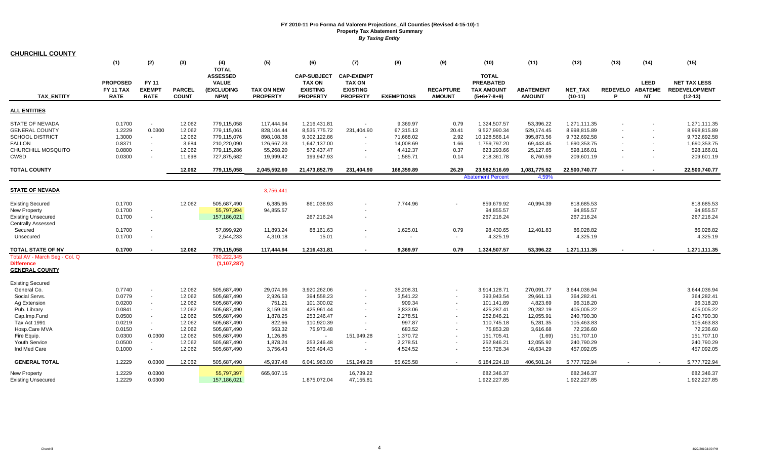| <b>CHURCHILL COUNTY</b>                                                                                           |                                                          |                                                                  |                                                         |                                                                                        |                                                                                |                                                                                          |                                                                                      |                                                                         |                                               |                                                                                           |                                                                             |                                                                                          |                                                      |                            |                                                                                          |
|-------------------------------------------------------------------------------------------------------------------|----------------------------------------------------------|------------------------------------------------------------------|---------------------------------------------------------|----------------------------------------------------------------------------------------|--------------------------------------------------------------------------------|------------------------------------------------------------------------------------------|--------------------------------------------------------------------------------------|-------------------------------------------------------------------------|-----------------------------------------------|-------------------------------------------------------------------------------------------|-----------------------------------------------------------------------------|------------------------------------------------------------------------------------------|------------------------------------------------------|----------------------------|------------------------------------------------------------------------------------------|
|                                                                                                                   | (1)                                                      | (2)                                                              | (3)                                                     | (4)<br><b>TOTAL</b>                                                                    | (5)                                                                            | (6)                                                                                      | (7)                                                                                  | (8)                                                                     | (9)                                           | (10)                                                                                      | (11)                                                                        | (12)                                                                                     | (13)                                                 | (14)                       | (15)                                                                                     |
| <b>TAX ENTITY</b>                                                                                                 | <b>PROPOSED</b><br><b>FY 11 TAX</b><br><b>RATE</b>       | <b>FY 11</b><br><b>EXEMPT</b><br><b>RATE</b>                     | <b>PARCEL</b><br><b>COUNT</b>                           | <b>ASSESSED</b><br><b>VALUE</b><br>(EXCLUDING<br>NPM)                                  | <b>TAX ON NEW</b><br><b>PROPERTY</b>                                           | <b>CAP-SUBJECT</b><br><b>TAX ON</b><br><b>EXISTING</b><br><b>PROPERTY</b>                | <b>CAP-EXEMPT</b><br><b>TAX ON</b><br><b>EXISTING</b><br><b>PROPERTY</b>             | <b>EXEMPTIONS</b>                                                       | <b>RECAPTURE</b><br><b>AMOUNT</b>             | <b>TOTAL</b><br><b>PREABATED</b><br><b>TAX AMOUNT</b><br>$(5+6+7-8+9)$                    | <b>ABATEMENT</b><br><b>AMOUNT</b>                                           | <b>NET TAX</b><br>$(10-11)$                                                              | REDEVELO ABATEME<br>P                                | <b>LEED</b><br><b>NT</b>   | <b>NET TAX LESS</b><br><b>REDEVELOPMENT</b><br>$(12-13)$                                 |
| <b>ALL ENTITIES</b>                                                                                               |                                                          |                                                                  |                                                         |                                                                                        |                                                                                |                                                                                          |                                                                                      |                                                                         |                                               |                                                                                           |                                                                             |                                                                                          |                                                      |                            |                                                                                          |
| STATE OF NEVADA<br><b>GENERAL COUNTY</b><br><b>SCHOOL DISTRICT</b><br><b>FALLON</b><br>CHURCHILL MOSQUITO<br>CWSD | 0.1700<br>1.2229<br>1.3000<br>0.8371<br>0.0800<br>0.0300 | $\sim$<br>0.0300<br>$\sim$<br>$\sim$<br>$\sim$<br>$\blacksquare$ | 12,062<br>12,062<br>12,062<br>3,684<br>12,062<br>11,698 | 779,115,058<br>779,115,061<br>779,115,076<br>210,220,090<br>779,115,286<br>727,875,682 | 117.444.94<br>828,104.44<br>898,108.38<br>126,667.23<br>55,268.20<br>19,999.42 | 1.216.431.81<br>8,535,775.72<br>9,302,122.86<br>1,647,137.00<br>572,437.47<br>199,947.93 | $\sim$<br>231,404.90<br>$\overline{\phantom{a}}$<br>$\blacksquare$<br>$\blacksquare$ | 9.369.97<br>67,315.13<br>71,668.02<br>14,008.69<br>4,412.37<br>1,585.71 | 0.79<br>20.41<br>2.92<br>1.66<br>0.37<br>0.14 | 1,324,507.57<br>9,527,990.34<br>10,128,566.14<br>1,759,797.20<br>623,293.66<br>218,361.78 | 53.396.22<br>529,174.45<br>395,873.56<br>69,443.45<br>25,127.65<br>8,760.59 | 1.271.111.35<br>8,998,815.89<br>9,732,692.58<br>1,690,353.75<br>598.166.01<br>209,601.19 | $\overline{\phantom{a}}$<br>$\overline{\phantom{a}}$ | $\sim$<br>$\sim$<br>$\sim$ | 1,271,111.35<br>8,998,815.89<br>9,732,692.58<br>1,690,353.75<br>598,166.01<br>209,601.19 |
| <b>TOTAL COUNTY</b>                                                                                               |                                                          |                                                                  | 12,062                                                  | 779,115,058                                                                            | 2,045,592.60                                                                   | 21,473,852.79                                                                            | 231,404.90                                                                           | 168,359.89                                                              | 26.29                                         | 23,582,516.69                                                                             | 1,081,775.92                                                                | 22,500,740.77                                                                            |                                                      |                            | 22,500,740.77                                                                            |
|                                                                                                                   |                                                          |                                                                  |                                                         |                                                                                        |                                                                                |                                                                                          |                                                                                      |                                                                         |                                               | <b>Abatement Percent</b>                                                                  | 4.59%                                                                       |                                                                                          |                                                      |                            |                                                                                          |
| <b>STATE OF NEVADA</b>                                                                                            |                                                          |                                                                  |                                                         |                                                                                        | 3,756,441                                                                      |                                                                                          |                                                                                      |                                                                         |                                               |                                                                                           |                                                                             |                                                                                          |                                                      |                            |                                                                                          |
| <b>Existing Secured</b><br><b>New Property</b><br><b>Existing Unsecured</b><br><b>Centrally Assessed</b>          | 0.1700<br>0.1700<br>0.1700                               | $\blacksquare$<br>$\blacksquare$                                 | 12,062                                                  | 505,687,490<br>55,797,394<br>157,186,021                                               | 6,385.95<br>94,855.57                                                          | 861,038.93<br>267,216.24                                                                 | $\sim$                                                                               | 7.744.96                                                                |                                               | 859,679.92<br>94,855.57<br>267,216.24                                                     | 40,994.39                                                                   | 818,685.53<br>94,855.57<br>267,216.24                                                    |                                                      |                            | 818,685.53<br>94,855.57<br>267,216.24                                                    |
| Secured<br>Unsecured                                                                                              | 0.1700<br>0.1700                                         | $\blacksquare$<br>$\overline{\phantom{a}}$                       |                                                         | 57,899,920<br>2,544,233                                                                | 11,893.24<br>4,310.18                                                          | 88,161.63<br>15.01                                                                       | $\blacksquare$<br>$\overline{\phantom{a}}$                                           | 1,625.01                                                                | 0.79<br>$\sim$                                | 98,430.65<br>4,325.19                                                                     | 12,401.83                                                                   | 86,028.82<br>4,325.19                                                                    |                                                      |                            | 86,028.82<br>4,325.19                                                                    |
| TOTAL STATE OF NV                                                                                                 | 0.1700                                                   |                                                                  | 12,062                                                  | 779,115,058                                                                            | 117,444.94                                                                     | 1,216,431.81                                                                             |                                                                                      | 9,369.97                                                                | 0.79                                          | 1,324,507.57                                                                              | 53,396.22                                                                   | 1,271,111.35                                                                             |                                                      |                            | 1,271,111.35                                                                             |
| Total AV - March Seg - Col. Q<br><b>Difference</b><br><b>GENERAL COUNTY</b>                                       |                                                          |                                                                  |                                                         | 780,222,345<br>(1, 107, 287)                                                           |                                                                                |                                                                                          |                                                                                      |                                                                         |                                               |                                                                                           |                                                                             |                                                                                          |                                                      |                            |                                                                                          |
| <b>Existing Secured</b><br>General Co.                                                                            | 0.7740                                                   |                                                                  | 12,062                                                  | 505,687,490                                                                            | 29,074.96                                                                      | 3,920,262.06                                                                             |                                                                                      | 35,208.31                                                               |                                               | 3,914,128.71                                                                              | 270,091.77                                                                  | 3,644,036.94                                                                             |                                                      |                            | 3,644,036.94                                                                             |
| Social Servs.<br>Ag Extension<br>Pub. Library                                                                     | 0.0779<br>0.0200<br>0.0841                               | $\blacksquare$<br>$\sim$<br>$\blacksquare$                       | 12,062<br>12,062<br>12,062                              | 505,687,490<br>505,687,490<br>505,687,490                                              | 2,926.53<br>751.21<br>3,159.03                                                 | 394,558.23<br>101,300.02<br>425,961.44                                                   | $\sim$<br>$\blacksquare$                                                             | 3,541.22<br>909.34<br>3,833.06                                          | $\sim$<br>$\blacksquare$<br>$\sim$            | 393,943.54<br>101,141.89<br>425,287.41                                                    | 29,661.13<br>4,823.69<br>20.282.19                                          | 364,282.41<br>96,318.20<br>405,005.22                                                    |                                                      |                            | 364,282.41<br>96,318.20<br>405,005.22                                                    |
| Cap.Imp.Fund<br>Tax Act 1991<br>Hosp.Care MVA                                                                     | 0.0500<br>0.0219<br>0.0150                               | $\blacksquare$<br>$\sim$<br>$\sim$                               | 12,062<br>12,062<br>12,062                              | 505,687,490<br>505,687,490<br>505,687,490                                              | 1,878.25<br>822.66<br>563.32                                                   | 253,246.47<br>110,920.39<br>75,973.48                                                    | $\blacksquare$                                                                       | 2,278.51<br>997.87<br>683.52                                            | $\sim$                                        | 252,846.21<br>110,745.18<br>75,853.28                                                     | 12,055.91<br>5,281.35<br>3,616.68                                           | 240,790.30<br>105,463.83<br>72,236.60                                                    |                                                      |                            | 240,790.30<br>105,463.83<br>72,236.60                                                    |
| Fire Equip.<br>Youth Service<br>Ind Med Care                                                                      | 0.0300<br>0.0500<br>0.1000                               | 0.0300<br>$\sim$<br>$\sim$                                       | 12,062<br>12,062<br>12,062                              | 505,687,490<br>505,687,490<br>505,687,490                                              | 1,126.85<br>1,878.24<br>3,756.43                                               | $\sim$<br>253,246.48<br>506,494.43                                                       | 151,949.28<br>$\blacksquare$                                                         | 1,370.72<br>2,278.51<br>4,524.52                                        | $\sim$<br>$\sim$<br>$\sim$                    | 151,705.41<br>252,846.21<br>505,726.34                                                    | (1.69)<br>12,055.92<br>48,634.29                                            | 151,707.10<br>240,790.29<br>457,092.05                                                   |                                                      |                            | 151,707.10<br>240,790.29<br>457,092.05                                                   |
| <b>GENERAL TOTAL</b>                                                                                              | 1.2229                                                   | 0.0300                                                           | 12,062                                                  | 505,687,490                                                                            | 45,937.48                                                                      | 6,041,963.00                                                                             | 151,949.28                                                                           | 55,625.58                                                               |                                               | 6,184,224.18                                                                              | 406,501.24                                                                  | 5,777,722.94                                                                             |                                                      |                            | 5,777,722.94                                                                             |
| <b>New Property</b><br><b>Existing Unsecured</b>                                                                  | 1.2229<br>1.2229                                         | 0.0300<br>0.0300                                                 |                                                         | 55,797,397<br>157,186,021                                                              | 665,607.15                                                                     | 1,875,072.04                                                                             | 16,739.22<br>47,155.81                                                               |                                                                         |                                               | 682,346.37<br>1,922,227.85                                                                |                                                                             | 682,346.37<br>1,922,227.85                                                               |                                                      |                            | 682,346.37<br>1,922,227.85                                                               |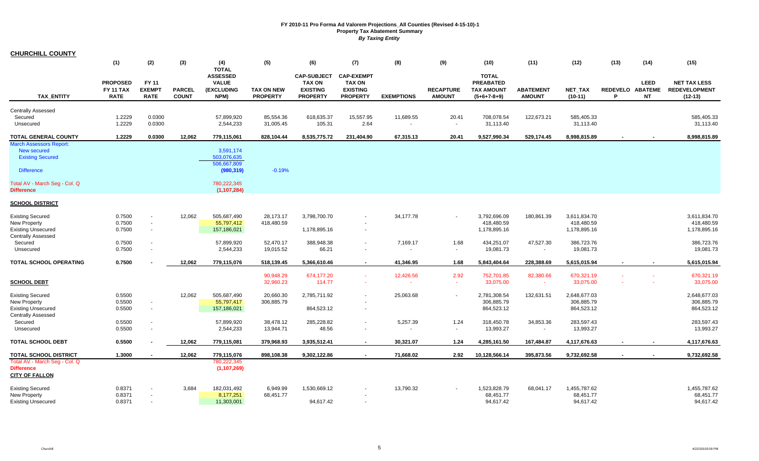| <b>CHURCHILL COUNTY</b>                                                                                  |                                                    |                                              |                               |                                                       |                                      |                                                                           |                                                                          |                     |                                   |                                                                        |                                   |                                            |      |                                              |                                                          |
|----------------------------------------------------------------------------------------------------------|----------------------------------------------------|----------------------------------------------|-------------------------------|-------------------------------------------------------|--------------------------------------|---------------------------------------------------------------------------|--------------------------------------------------------------------------|---------------------|-----------------------------------|------------------------------------------------------------------------|-----------------------------------|--------------------------------------------|------|----------------------------------------------|----------------------------------------------------------|
|                                                                                                          | (1)                                                | (2)                                          | (3)                           | (4)<br><b>TOTAL</b>                                   | (5)                                  | (6)                                                                       | (7)                                                                      | (8)                 | (9)                               | (10)                                                                   | (11)                              | (12)                                       | (13) | (14)                                         | (15)                                                     |
| <b>TAX ENTITY</b>                                                                                        | <b>PROPOSED</b><br><b>FY 11 TAX</b><br><b>RATE</b> | <b>FY 11</b><br><b>EXEMPT</b><br><b>RATE</b> | <b>PARCEL</b><br><b>COUNT</b> | <b>ASSESSED</b><br><b>VALUE</b><br>(EXCLUDING<br>NPM) | <b>TAX ON NEW</b><br><b>PROPERTY</b> | <b>CAP-SUBJECT</b><br><b>TAX ON</b><br><b>EXISTING</b><br><b>PROPERTY</b> | <b>CAP-EXEMPT</b><br><b>TAX ON</b><br><b>EXISTING</b><br><b>PROPERTY</b> | <b>EXEMPTIONS</b>   | <b>RECAPTURE</b><br><b>AMOUNT</b> | <b>TOTAL</b><br><b>PREABATED</b><br><b>TAX AMOUNT</b><br>$(5+6+7-8+9)$ | <b>ABATEMENT</b><br><b>AMOUNT</b> | <b>NET TAX</b><br>$(10-11)$                | P    | <b>LEED</b><br>REDEVELO ABATEME<br><b>NT</b> | <b>NET TAX LESS</b><br><b>REDEVELOPMENT</b><br>$(12-13)$ |
| <b>Centrally Assessed</b><br>Secured<br>Unsecured                                                        | 1.2229<br>1.2229                                   | 0.0300<br>0.0300                             |                               | 57,899,920<br>2,544,233                               | 85,554.36<br>31,005.45               | 618,635.37<br>105.31                                                      | 15,557.95<br>2.64                                                        | 11,689.55<br>$\sim$ | 20.41<br>$\sim$                   | 708,078.54<br>31,113.40                                                | 122,673.21                        | 585,405.33<br>31,113.40                    |      |                                              | 585,405.33<br>31,113.40                                  |
| <b>TOTAL GENERAL COUNTY</b>                                                                              | 1.2229                                             | 0.0300                                       | 12,062                        | 779,115,061                                           | 828,104.44                           | 8,535,775.72                                                              | 231,404.90                                                               | 67,315.13           | 20.41                             | 9,527,990.34                                                           | 529,174.45                        | 8,998,815.89                               |      |                                              | 8,998,815.89                                             |
| <b>March Assessors Report:</b><br><b>New secured</b><br><b>Existing Secured</b><br><b>Difference</b>     |                                                    |                                              |                               | 3,591,174<br>503,076,635<br>506,667,809<br>(980, 319) | $-0.19%$                             |                                                                           |                                                                          |                     |                                   |                                                                        |                                   |                                            |      |                                              |                                                          |
| Total AV - March Seg - Col. Q<br><b>Difference</b>                                                       |                                                    |                                              |                               | 780,222,345<br>(1, 107, 284)                          |                                      |                                                                           |                                                                          |                     |                                   |                                                                        |                                   |                                            |      |                                              |                                                          |
| <b>SCHOOL DISTRICT</b>                                                                                   |                                                    |                                              |                               |                                                       |                                      |                                                                           |                                                                          |                     |                                   |                                                                        |                                   |                                            |      |                                              |                                                          |
| <b>Existing Secured</b><br>New Property<br><b>Existing Unsecured</b><br><b>Centrally Assessed</b>        | 0.7500<br>0.7500<br>0.7500                         | $\blacksquare$<br>$\blacksquare$             | 12,062                        | 505,687,490<br>55,797,412<br>157,186,021              | 28,173.17<br>418,480.59              | 3,798,700.70<br>1,178,895.16                                              |                                                                          | 34,177.78           | $\blacksquare$                    | 3,792,696.09<br>418,480.59<br>1,178,895.16                             | 180,861.39                        | 3,611,834.70<br>418,480.59<br>1,178,895.16 |      |                                              | 3,611,834.70<br>418,480.59<br>1,178,895.16               |
| Secured<br>Unsecured                                                                                     | 0.7500<br>0.7500                                   | $\blacksquare$                               |                               | 57,899,920<br>2,544,233                               | 52,470.17<br>19,015.52               | 388,948.38<br>66.21                                                       |                                                                          | 7,169.17            | 1.68<br>$\overline{\phantom{a}}$  | 434,251.07<br>19,081.73                                                | 47,527.30<br>$\blacksquare$       | 386,723.76<br>19,081.73                    |      |                                              | 386,723.76<br>19,081.73                                  |
| TOTAL SCHOOL OPERATING                                                                                   | 0.7500                                             |                                              | 12,062                        | 779,115,076                                           | 518,139.45                           | 5,366,610.46                                                              | $\sim$                                                                   | 41,346.95           | 1.68                              | 5,843,404.64                                                           | 228,388.69                        | 5,615,015.94                               |      |                                              | 5,615,015.94                                             |
| <b>SCHOOL DEBT</b>                                                                                       |                                                    |                                              |                               |                                                       | 90,948.29<br>32,960.23               | 674,177.20<br>114.77                                                      |                                                                          | 12,426.56           | 2.92<br>$\sim$                    | 752,701.85<br>33,075.00                                                | 82,380.66<br>$\sim$               | 670,321.19<br>33,075.00                    |      |                                              | 670,321.19<br>33,075.00                                  |
| <b>Existing Secured</b><br><b>New Property</b><br><b>Existing Unsecured</b><br><b>Centrally Assessed</b> | 0.5500<br>0.5500<br>0.5500                         | $\overline{\phantom{a}}$<br>$\blacksquare$   | 12,062                        | 505,687,490<br>55,797,417<br>157,186,021              | 20,660.30<br>306,885.79              | 2,785,711.92<br>864,523.12                                                | $\sim$                                                                   | 25,063.68           | $\sim$                            | 2,781,308.54<br>306,885.79<br>864,523.12                               | 132,631.51                        | 2,648,677.03<br>306,885.79<br>864,523.12   |      |                                              | 2,648,677.03<br>306,885.79<br>864,523.12                 |
| Secured<br>Unsecured                                                                                     | 0.5500<br>0.5500                                   | $\mathbf{r}$                                 |                               | 57,899,920<br>2,544,233                               | 38,478.12<br>13,944.71               | 285,228.82<br>48.56                                                       |                                                                          | 5,257.39            | 1.24<br>$\blacksquare$            | 318,450.78<br>13,993.27                                                | 34,853.36<br>$\blacksquare$       | 283,597.43<br>13,993.27                    |      |                                              | 283,597.43<br>13,993.27                                  |
| <b>TOTAL SCHOOL DEBT</b>                                                                                 | 0.5500                                             |                                              | 12,062                        | 779,115,081                                           | 379,968.93                           | 3,935,512.41                                                              | $\sim$                                                                   | 30,321.07           | 1.24                              | 4,285,161.50                                                           | 167,484.87                        | 4,117,676.63                               |      |                                              | 4,117,676.63                                             |
| TOTAL SCHOOL DISTRICT<br>Total AV - March Seg - Col. Q<br><b>Difference</b><br><b>CITY OF FALLON</b>     | 1.3000                                             |                                              | 12,062                        | 779,115,076<br>780,222,345<br>(1, 107, 269)           | 898.108.38                           | 9,302,122.86                                                              |                                                                          | 71,668.02           | 2.92                              | 10,128,566.14                                                          | 395,873.56                        | 9,732,692.58                               |      | $\blacksquare$                               | 9,732,692.58                                             |
| <b>Existing Secured</b><br><b>New Property</b><br><b>Existing Unsecured</b>                              | 0.8371<br>0.8371<br>0.8371                         | $\blacksquare$<br>$\blacksquare$             | 3,684                         | 182,031,492<br>8,177,251<br>11,303,001                | 6,949.99<br>68,451.77                | 1,530,669.12<br>94.617.42                                                 |                                                                          | 13,790.32           |                                   | 1,523,828.79<br>68,451.77<br>94,617.42                                 | 68,041.17                         | 1,455,787.62<br>68,451.77<br>94,617.42     |      |                                              | 1,455,787.62<br>68,451.77<br>94,617.42                   |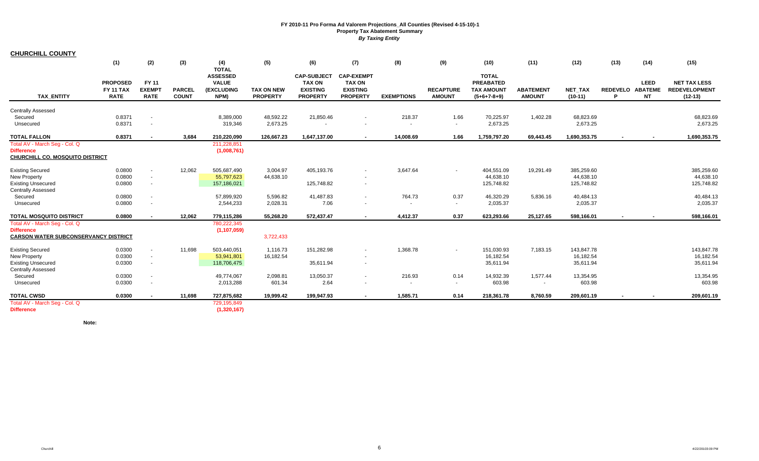|                                                                                                          | (1)                                                | (2)                                                  | (3)                           | (4)                                                                   | (5)                                  | (6)                                                                       | (7)                                                                              | (8)                                | (9)                               | (10)                                                                   | (11)                              | (12)                                  | (13) | (14)                                         | (15)                                                     |
|----------------------------------------------------------------------------------------------------------|----------------------------------------------------|------------------------------------------------------|-------------------------------|-----------------------------------------------------------------------|--------------------------------------|---------------------------------------------------------------------------|----------------------------------------------------------------------------------|------------------------------------|-----------------------------------|------------------------------------------------------------------------|-----------------------------------|---------------------------------------|------|----------------------------------------------|----------------------------------------------------------|
| <b>TAX ENTITY</b>                                                                                        | <b>PROPOSED</b><br><b>FY 11 TAX</b><br><b>RATE</b> | FY 11<br><b>EXEMPT</b><br><b>RATE</b>                | <b>PARCEL</b><br><b>COUNT</b> | <b>TOTAL</b><br><b>ASSESSED</b><br><b>VALUE</b><br>(EXCLUDING<br>NPM) | <b>TAX ON NEW</b><br><b>PROPERTY</b> | <b>CAP-SUBJECT</b><br><b>TAX ON</b><br><b>EXISTING</b><br><b>PROPERTY</b> | <b>CAP-EXEMPT</b><br><b>TAX ON</b><br><b>EXISTING</b><br><b>PROPERTY</b>         | <b>EXEMPTIONS</b>                  | <b>RECAPTURE</b><br><b>AMOUNT</b> | <b>TOTAL</b><br><b>PREABATED</b><br><b>TAX AMOUNT</b><br>$(5+6+7-8+9)$ | <b>ABATEMENT</b><br><b>AMOUNT</b> | <b>NET TAX</b><br>$(10-11)$           | P    | <b>LEED</b><br>REDEVELO ABATEME<br><b>NT</b> | <b>NET TAX LESS</b><br><b>REDEVELOPMENT</b><br>$(12-13)$ |
| <b>Centrally Assessed</b>                                                                                |                                                    |                                                      |                               |                                                                       |                                      |                                                                           |                                                                                  |                                    |                                   |                                                                        |                                   |                                       |      |                                              |                                                          |
| Secured                                                                                                  | 0.8371                                             | $\overline{\phantom{a}}$                             |                               | 8,389,000                                                             | 48,592.22                            | 21,850.46                                                                 | $\overline{a}$                                                                   | 218.37                             | 1.66                              | 70,225.97                                                              | 1,402.28                          | 68,823.69                             |      |                                              | 68,823.69                                                |
| Unsecured                                                                                                | 0.8371                                             | $\overline{\phantom{a}}$                             |                               | 319,346                                                               | 2,673.25                             |                                                                           |                                                                                  |                                    | $\sim$                            | 2,673.25                                                               |                                   | 2,673.25                              |      |                                              | 2,673.25                                                 |
| <b>TOTAL FALLON</b>                                                                                      | 0.8371                                             |                                                      | 3,684                         | 210,220,090                                                           | 126,667.23                           | 1,647,137.00                                                              |                                                                                  | 14,008.69                          | 1.66                              | 1,759,797.20                                                           | 69,443.45                         | 1,690,353.75                          |      |                                              | 1,690,353.75                                             |
| Total AV - March Seg - Col. Q<br><b>Difference</b><br>CHURCHILL CO. MOSQUITO DISTRICT                    |                                                    |                                                      |                               | 211,228,851<br>(1,008,761)                                            |                                      |                                                                           |                                                                                  |                                    |                                   |                                                                        |                                   |                                       |      |                                              |                                                          |
| <b>Existing Secured</b><br><b>New Property</b><br><b>Existing Unsecured</b><br><b>Centrally Assessed</b> | 0.0800<br>0.0800<br>0.0800                         | $\overline{\phantom{a}}$<br>$\overline{\phantom{a}}$ | 12,062                        | 505,687,490<br>55,797,623<br>157,186,021                              | 3,004.97<br>44,638.10                | 405,193.76<br>125,748.82                                                  | $\overline{\phantom{a}}$<br>$\overline{\phantom{a}}$<br>$\overline{\phantom{a}}$ | 3,647.64                           |                                   | 404,551.09<br>44,638.10<br>125,748.82                                  | 19,291.49                         | 385,259.60<br>44,638.10<br>125,748.82 |      |                                              | 385,259.60<br>44,638.10<br>125,748.82                    |
| Secured<br>Unsecured                                                                                     | 0.0800<br>0.0800                                   | $\overline{\phantom{a}}$<br>$\overline{\phantom{a}}$ |                               | 57,899,920<br>2,544,233                                               | 5,596.82<br>2,028.31                 | 41,487.83<br>7.06                                                         | $\overline{\phantom{a}}$<br>$\overline{\phantom{a}}$                             | 764.73<br>$\sim$                   | 0.37<br>$\sim$                    | 46,320.29<br>2,035.37                                                  | 5,836.16                          | 40,484.13<br>2,035.37                 |      |                                              | 40,484.13<br>2,035.37                                    |
| <b>TOTAL MOSQUITO DISTRICT</b>                                                                           | 0.0800                                             | $\sim$                                               | 12,062                        | 779,115,286                                                           | 55,268.20                            | 572,437.47                                                                | $\sim$                                                                           | 4,412.37                           | 0.37                              | 623,293.66                                                             | 25,127.65                         | 598,166.01                            |      |                                              | 598,166.01                                               |
| Total AV - March Seg - Col. Q<br><b>Difference</b><br><b>CARSON WATER SUBCONSERVANCY DISTRICT</b>        |                                                    |                                                      |                               | 780,222,345<br>(1, 107, 059)                                          | 3,722,433                            |                                                                           |                                                                                  |                                    |                                   |                                                                        |                                   |                                       |      |                                              |                                                          |
| <b>Existing Secured</b><br><b>New Property</b><br><b>Existing Unsecured</b><br><b>Centrally Assessed</b> | 0.0300<br>0.0300<br>0.0300                         | $\sim$<br>$\sim$<br>$\sim$                           | 11,698                        | 503,440,051<br>53,941,801<br>118,706,475                              | 1,116.73<br>16,182.54                | 151,282.98<br>35,611.94                                                   | $\sim$<br>$\overline{\phantom{a}}$                                               | 1,368.78                           | $\sim$                            | 151,030.93<br>16,182.54<br>35,611.94                                   | 7,183.15                          | 143,847.78<br>16,182.54<br>35,611.94  |      |                                              | 143,847.78<br>16,182.54<br>35,611.94                     |
| Secured<br>Unsecured                                                                                     | 0.0300<br>0.0300                                   | $\overline{\phantom{a}}$                             |                               | 49,774,067<br>2,013,288                                               | 2,098.81<br>601.34                   | 13,050.37<br>2.64                                                         | $\overline{\phantom{a}}$<br>$\overline{\phantom{a}}$                             | 216.93<br>$\overline{\phantom{a}}$ | 0.14<br>$\sim$                    | 14,932.39<br>603.98                                                    | 1,577.44<br>$\sim$                | 13,354.95<br>603.98                   |      |                                              | 13,354.95<br>603.98                                      |
| <b>TOTAL CWSD</b>                                                                                        | 0.0300                                             |                                                      | 11,698                        | 727,875,682                                                           | 19,999.42                            | 199,947.93                                                                | $\overline{\phantom{a}}$                                                         | 1,585.71                           | 0.14                              | 218,361.78                                                             | 8,760.59                          | 209,601.19                            |      |                                              | 209,601.19                                               |
| Total AV - March Seg - Col. Q<br><b>Difference</b>                                                       |                                                    |                                                      |                               | 729,195,849<br>(1,320,167)                                            |                                      |                                                                           |                                                                                  |                                    |                                   |                                                                        |                                   |                                       |      |                                              |                                                          |

**CHURCHILL COUNTY**

**Note:**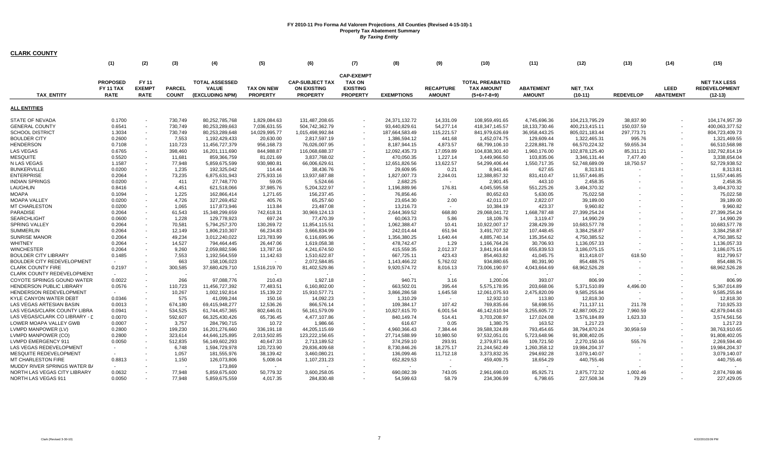|                                   | (1)                                         | (2)                                   | (3)                           | (4)                                                             | (5)                                  | (6)                                                             | (7)                                                                      | (8)               | (9)                               | (10)                                                         | (11)                              | (12)                        | (13)             | (14)                     | (15)                                                     |
|-----------------------------------|---------------------------------------------|---------------------------------------|-------------------------------|-----------------------------------------------------------------|--------------------------------------|-----------------------------------------------------------------|--------------------------------------------------------------------------|-------------------|-----------------------------------|--------------------------------------------------------------|-----------------------------------|-----------------------------|------------------|--------------------------|----------------------------------------------------------|
| <b>TAX ENTITY</b>                 | <b>PROPOSED</b><br>FY 11 TAX<br><b>RATE</b> | FY 11<br><b>EXEMPT</b><br><b>RATE</b> | <b>PARCEL</b><br><b>COUNT</b> | <b>TOTAL ASSESSED</b><br><b>VALUE</b><br><b>(EXCLUDING NPM)</b> | <b>TAX ON NEW</b><br><b>PROPERTY</b> | <b>CAP-SUBJECT TAX</b><br><b>ON EXISTING</b><br><b>PROPERTY</b> | <b>CAP-EXEMPT</b><br><b>TAX ON</b><br><b>EXISTING</b><br><b>PROPERTY</b> | <b>EXEMPTIONS</b> | <b>RECAPTURE</b><br><b>AMOUNT</b> | <b>TOTAL PREABATED</b><br><b>TAX AMOUNT</b><br>$(5+6+7-8+9)$ | <b>ABATEMENT</b><br><b>AMOUNT</b> | <b>NET TAX</b><br>$(10-11)$ | <b>REDEVELOP</b> | LEED<br><b>ABATEMENT</b> | <b>NET TAX LESS</b><br><b>REDEVELOPMENT</b><br>$(12-13)$ |
| <b>ALL ENTITIES</b>               |                                             |                                       |                               |                                                                 |                                      |                                                                 |                                                                          |                   |                                   |                                                              |                                   |                             |                  |                          |                                                          |
| <b>STATE OF NEVADA</b>            | 0.1700                                      |                                       | 730.749                       | 80.252.785.768                                                  | 1.829.084.63                         | 131.487.208.65                                                  |                                                                          | 24.371.132.72     | 14.331.09                         | 108.959.491.65                                               | 4.745.696.36                      | 104.213.795.29              | 38.837.90        |                          | 104.174.957.39                                           |
| <b>GENERAL COUNTY</b>             | 0.6541                                      | $\overline{\phantom{a}}$              | 730,749                       | 80,253,289,663                                                  | 7,036,631.55                         | 504,742,362.79                                                  |                                                                          | 93,440,829.61     | 54,277.14                         | 418,347,145.57                                               | 18, 133, 730. 46                  | 400,213,415.11              | 150,037.59       |                          | 400,063,377.52                                           |
| SCHOOL DISTRICT                   | 1.3034                                      | $\blacksquare$                        | 730,749                       | 80,253,289,648                                                  | 14,029,995.77                        | 1,015,498,992.84                                                |                                                                          | 187,664,583.49    | 115,221.57                        | 841,979,626.69                                               | 36,958,443.25                     | 805,021,183.44              | 297,773.71       |                          | 804,723,409.73                                           |
| <b>BOULDER CITY</b>               | 0.2600                                      | $\overline{\phantom{a}}$              | 7,553                         | 1,192,429,433                                                   | 20,630.00                            | 2,817,597.19                                                    |                                                                          | 1,386,594.12      | 441.68                            | 1,452,074.75                                                 | 129,609.44                        | 1,322,465.31                | 995.76           |                          | 1,321,469.55                                             |
| <b>HENDERSON</b>                  | 0.7108                                      | $\overline{\phantom{a}}$              | 110,723                       | 11,456,727,379                                                  | 956,168.73                           | 76,026,007.95                                                   |                                                                          | 8,187,944.15      | 4,873.57                          | 68,799,106.10                                                | 2,228,881.78                      | 66,570,224.32               | 59,655.34        |                          | 66,510,568.98                                            |
| <b>LAS VEGAS</b>                  | 0.6765                                      |                                       | 398,460                       | 16,201,111,690                                                  | 844,988.87                           | 116,068,688.37                                                  |                                                                          | 12,092,435.73     | 17,059.89                         | 104,838,301.40                                               | 1,960,176.00                      | 102,878,125.40              | 85,311.21        |                          | 102,792,814.19                                           |
| <b>MESQUITE</b>                   | 0.5520                                      |                                       | 11,681                        | 859,366,759                                                     | 81,021.69                            | 3,837,768.02                                                    |                                                                          | 470,050.35        | 1,227.14                          | 3,449,966.50                                                 | 103,835.06                        | 3,346,131.44                | 7,477.40         |                          | 3,338,654.04                                             |
| N LAS VEGAS                       | 1.1587                                      | $\overline{\phantom{a}}$              | 77,948                        | 5,859,675,599                                                   | 930,980.81                           | 66,006,629.61                                                   | $\overline{\phantom{a}}$                                                 | 12,651,826.56     | 13,622.57                         | 54,299,406.44                                                | 1,550,717.35                      | 52,748,689.09               | 18,750.57        |                          | 52,729,938.52                                            |
| <b>BUNKERVILLE</b>                | 0.0200                                      |                                       | 1,235                         | 192,325,042                                                     | 114.44                               | 38,436.76                                                       |                                                                          | 29,609.95         | 0.21                              | 8,941.46                                                     | 627.65                            | 8,313.81                    |                  |                          | 8,313.81                                                 |
| <b>ENTERPRISE</b>                 | 0.2064                                      | $\overline{\phantom{a}}$              | 73,235                        | 6,875,631,943                                                   | 275,933.16                           | 13,937,687.88                                                   |                                                                          | 1,827,007.73      | 2,244.01                          | 12,388,857.32                                                | 831,410.47                        | 11,557,446.85               |                  |                          | 11,557,446.85                                            |
| <b>INDIAN SPRINGS</b>             | 0.0200                                      |                                       | 411                           | 27,748,770                                                      | 59.05                                | 5,524.66                                                        |                                                                          | 2,682.25          | $\sim$                            | 2,901.45                                                     | 443.10                            | 2,458.35                    |                  |                          | 2,458.35                                                 |
| LAUGHLIN                          | 0.8416                                      |                                       | 4,451                         | 621,518,066                                                     | 37,985.76                            | 5,204,322.97                                                    |                                                                          | 1,196,889.96      | 176.81                            | 4,045,595.58                                                 | 551,225.26                        | 3,494,370.32                |                  |                          | 3,494,370.32                                             |
| <b>MOAPA</b>                      | 0.1094                                      | $\mathbf{r}$                          | 1,225                         | 162,866,414                                                     | 1,271.65                             | 156,237.45                                                      |                                                                          | 76,856.46         | $\sim$                            | 80,652.63                                                    | 5,630.05                          | 75,022.58                   |                  |                          | 75,022.58                                                |
| <b>MOAPA VALLEY</b>               | 0.0200                                      |                                       | 4,726                         | 327,269,452                                                     | 405.76                               | 65,257.60                                                       |                                                                          | 23,654.30         | 2.00                              | 42.011.07                                                    | 2,822.07                          | 39,189.00                   |                  |                          | 39,189.00                                                |
| <b>MT CHARLESTON</b>              | 0.0200                                      | $\overline{\phantom{a}}$              | 1,065                         | 117,873,946                                                     | 113.84                               | 23,487.08                                                       |                                                                          | 13,216.73         | $\sim$                            | 10,384.19                                                    | 423.37                            | 9,960.82                    |                  |                          | 9,960.82                                                 |
| PARADISE                          | 0.2064                                      | $\overline{\phantom{a}}$              | 61,543                        | 15,348,299,659                                                  | 742,618.31                           | 30,969,124.13                                                   |                                                                          | 2,644,369.52      | 668.80                            | 29,068,041.72                                                | 1,668,787.48                      | 27,399,254.24               |                  |                          | 27,399,254.24                                            |
| <b>SEARCHLIGHT</b>                | 0.0600                                      |                                       | 1,228                         | 129,778,923                                                     | 697.24                               | 77,470.39                                                       |                                                                          | 60,063.73         | 5.86                              | 18,109.76                                                    | 3,119.47                          | 14,990.29                   |                  |                          | 14,990.29                                                |
| <b>SPRING VALLEY</b>              | 0.2064                                      |                                       | 70,581                        | 5,794,257,370                                                   | 130,269.72                           | 11,854,115.51                                                   |                                                                          | 1,062,388.47      | 10.41                             | 10,922,007.17                                                | 238,429.39                        | 10,683,577.78               |                  |                          | 10,683,577.78                                            |
| <b>SUMMERLIN</b>                  | 0.2064                                      | $\overline{\phantom{a}}$              | 12,149                        | 1,806,210,307                                                   | 66,234.83                            | 3,666,834.99                                                    |                                                                          | 242,014.44        | 651.94                            | 3,491,707.32                                                 | 107,448.45                        | 3,384,258.87                |                  |                          | 3,384,258.87                                             |
| <b>SUNRISE MANOR</b>              | 0.2064                                      | $\overline{\phantom{a}}$              | 49,234                        | 3,012,240,022                                                   | 123,783.99                           | 6,116,695.96                                                    |                                                                          | 1,356,380.25      | 1,640.44                          | 4,885,740.14                                                 | 135,354.62                        | 4,750,385.52                |                  |                          | 4,750,385.52                                             |
| <b>WHITNEY</b>                    | 0.2064                                      |                                       | 14,527                        | 794,464,445                                                     | 26.447.06                            | 1,619,058.38                                                    |                                                                          | 478.742.47        | 1.29                              | 1,166,764.26                                                 | 30,706.93                         | 1,136,057.33                |                  |                          | 1,136,057.33                                             |
| <b>WINCHESTER</b>                 | 0.2064                                      |                                       | 9,260                         | 2,059,882,596                                                   | 13,787.16                            | 4,241,674.50                                                    |                                                                          | 415,559.35        | 2,012.37                          | 3,841,914.68                                                 | 655,839.53                        | 3,186,075.15                |                  |                          | 3,186,075.15                                             |
| <b>BOULDER CITY LIBRARY</b>       | 0.1485                                      |                                       | 7,553                         | 1,192,564,559                                                   | 11,142.63                            | 1,510,622.87                                                    |                                                                          | 667,725.11        | 423.43                            | 854,463.82                                                   | 41,045.75                         | 813,418.07                  | 618.50           |                          | 812,799.57                                               |
| BOULDER CITY REDEVELOPMENT        |                                             |                                       | 663                           | 158,106,023                                                     | $\overline{\phantom{a}}$             | 2,072,584.85                                                    |                                                                          | 1,143,466.22      | 5,762.02                          | 934,880.65                                                   | 80,391.90                         | 854,488.75                  |                  |                          | 854,488.75                                               |
| <b>CLARK COUNTY FIRE</b>          | 0.2197                                      |                                       | 300,585                       | 37,680,429,710                                                  | 1,516,219.70                         | 81,402,529.86                                                   |                                                                          | 9,920,574.72      | 8,016.13                          | 73,006,190.97                                                | 4,043,664.69                      | 68,962,526.28               |                  |                          | 68,962,526.28                                            |
| <b>CLARK COUNTY REDEVELOPMENT</b> |                                             |                                       |                               |                                                                 |                                      |                                                                 |                                                                          |                   |                                   |                                                              |                                   |                             |                  |                          |                                                          |
| COYOTE SPRINGS GOUND WATER        | 0.0022                                      |                                       | 266                           | 97,088,776                                                      | 210.43                               | 1,927.18                                                        |                                                                          | 940.71            | 3.16                              | 1,200.06                                                     | 393.07                            | 806.99                      |                  |                          | 806.99                                                   |
| HENDERSON PUBLIC LIBRARY          | 0.0576                                      |                                       | 110,723                       | 11,456,727,392                                                  | 77,483.51                            | 6,160,802.00                                                    |                                                                          | 663,502.01        | 395.44                            | 5,575,178.95                                                 | 203,668.06                        | 5,371,510.89                | 4,496.00         |                          | 5,367,014.89                                             |
| HENDERSON REDEVELOPMENT           |                                             |                                       | 10,267                        | 1,002,192,814                                                   | 15,139.22                            | 15,910,577.71                                                   |                                                                          | 3,866,286.58      | 1,645.58                          | 12,061,075.93                                                | 2,475,820.09                      | 9,585,255.84                |                  |                          | 9,585,255.84                                             |
| KYLE CANYON WATER DEBT            | 0.0346                                      |                                       | 575                           | 41,099,244                                                      | 150.16                               | 14,092.23                                                       |                                                                          | 1,310.29          | $\sim$                            | 12,932.10                                                    | 113.80                            | 12,818.30                   | $\sim$           |                          | 12,818.30                                                |
| LAS VEGAS ARTESIAN BASIN          | 0.0013                                      | $\sim$                                | 674,180                       | 69,415,948,277                                                  | 12,536.26                            | 866,576.14                                                      | $\overline{\phantom{a}}$                                                 | 109,384.17        | 107.42                            | 769,835.66                                                   | 58,698.55                         | 711,137.11                  | 211.78           |                          | 710,925.33                                               |
| LAS VEGAS/CLARK COUNTY LIBRA      | 0.0941                                      |                                       | 534,525                       | 61,744,457,365                                                  | 802,646.01                           | 56, 161, 579.09                                                 |                                                                          | 10,827,615.70     | 6,001.54                          | 46,142,610.94                                                | 3,255,605.72                      | 42,887,005.22               | 7,960.59         |                          | 42,879,044.63                                            |
| LAS VEGAS/CLARK CO LIBRARY - [    |                                             |                                       |                               |                                                                 |                                      |                                                                 |                                                                          |                   | 514.41                            |                                                              |                                   |                             |                  |                          | 3,574,561.56                                             |
|                                   | 0.0070                                      | $\overline{\phantom{a}}$              | 592,607                       | 66,325,430,426                                                  | 65,736.45                            | 4,477,107.86                                                    |                                                                          | 840,149.74        |                                   | 3,703,208.97                                                 | 127,024.08                        | 3,576,184.89                | 1,623.33         |                          |                                                          |
| LOWER MOAPA VALLEY GWB            | 0.0007                                      |                                       | 3,757                         | 284,790,715                                                     | 10.72                                | 1,986.66                                                        |                                                                          | 616.67            | 0.05                              | 1.380.75                                                     | 163.52                            | 1,217.23                    |                  |                          | 1,217.23                                                 |
| LVMPD MANPOWER (LV)               | 0.2800                                      |                                       | 199,230                       | 16,201,276,660                                                  | 336,191.18                           | 44,205,115.69                                                   |                                                                          | 4,960,366.43      | 7,384.44                          | 39,588,324.89                                                | 793,454.65                        | 38,794,870.24               | 30,959.59        |                          | 38,763,910.65                                            |
| LVMPD MANPOWER (CO)               | 0.2800                                      |                                       | 323,614                       | 44,646,125,895                                                  | 2,013,502.85                         | 123,222,156.65                                                  |                                                                          | 27,714,588.99     | 10,980.50                         | 97,532,051.01                                                | 5,723,648.96                      | 91,808,402.05               | $\sim$           |                          | 91,808,402.05                                            |
| LVMPD EMERGENCY 911               | 0.0050                                      |                                       | 512,835                       | 56,149,602,293                                                  | 40,647.33                            | 2,713,189.52                                                    |                                                                          | 374,259.10        | 293.91                            | 2,379,871.66                                                 | 109,721.50                        | 2,270,150.16                | 555.76           |                          | 2,269,594.40                                             |
| LAS VEGAS REDEVELOPMENT           |                                             |                                       | 6,748                         | 1,594,729,978                                                   | 120,723.90                           | 29,836,409.68                                                   |                                                                          | 8,730,846.26      | 18,275.17                         | 21,244,562.49                                                | 1,260,358.12                      | 19,984,204.37               |                  |                          | 19,984,204.37                                            |
| MESQUITE REDEVELOPMENT            |                                             |                                       | 1,057                         | 181,555,976                                                     | 38,139.42                            | 3,460,080.21                                                    |                                                                          | 136,099.46        | 11,712.18                         | 3,373,832.35                                                 | 294,692.28                        | 3,079,140.07                |                  |                          | 3,079,140.07                                             |
| <b>MT CHARLESTON FIRE</b>         | 0.8813                                      |                                       | 1,150                         | 126,073,806                                                     | 5,008.04                             | 1,107,231.23                                                    |                                                                          | 652,829.53        | $\sim$                            | 459,409.75                                                   | 18,654.29                         | 440,755.46                  |                  |                          | 440,755.46                                               |
| MUDDY RIVER SPRINGS WATER B/      |                                             |                                       |                               | 173,869                                                         |                                      |                                                                 |                                                                          |                   |                                   |                                                              | $\overline{\phantom{a}}$          |                             |                  |                          |                                                          |
| NORTH LAS VEGAS CITY LIBRARY      | 0.0632                                      |                                       | 77,948                        | 5,859,675,600                                                   | 50,779.32                            | 3,600,258.05                                                    |                                                                          | 690,082.39        | 743.05                            | 2,961,698.03                                                 | 85,925.71                         | 2,875,772.32                | 1,002.46         |                          | 2,874,769.86                                             |
| NORTH LAS VEGAS 911               | 0.0050                                      |                                       | 77,948                        | 5,859,675,559                                                   | 4,017.35                             | 284,830.48                                                      |                                                                          | 54,599.63         | 58.79                             | 234,306.99                                                   | 6,798.65                          | 227,508.34                  | 79.29            |                          | 227,429.05                                               |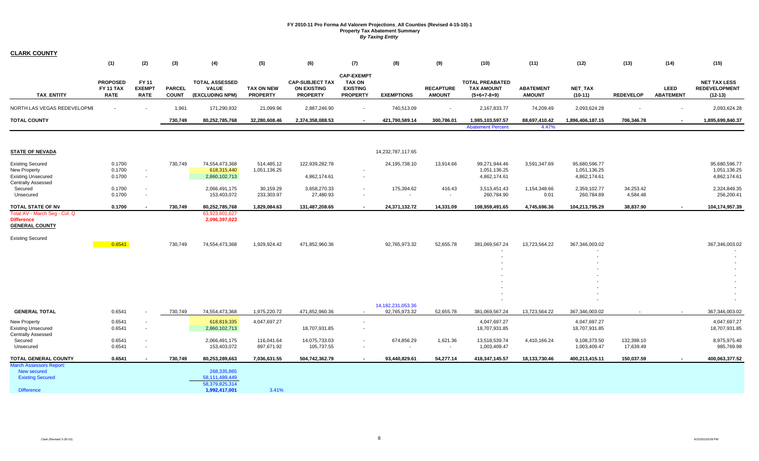| <b>CLARK COUNTY</b>                                                                           |                                                    |                                       |                               |                                                                  |                                      |                                                                 |                                                                          |                                        |                                   |                                                              |                                   |                                               |                         |                          |                                                          |
|-----------------------------------------------------------------------------------------------|----------------------------------------------------|---------------------------------------|-------------------------------|------------------------------------------------------------------|--------------------------------------|-----------------------------------------------------------------|--------------------------------------------------------------------------|----------------------------------------|-----------------------------------|--------------------------------------------------------------|-----------------------------------|-----------------------------------------------|-------------------------|--------------------------|----------------------------------------------------------|
|                                                                                               | (1)                                                | (2)                                   | (3)                           | (4)                                                              | (5)                                  | (6)                                                             | (7)                                                                      | (8)                                    | (9)                               | (10)                                                         | (11)                              | (12)                                          | (13)                    | (14)                     | (15)                                                     |
| <b>TAX ENTITY</b>                                                                             | <b>PROPOSED</b><br><b>FY 11 TAX</b><br><b>RATE</b> | FY 11<br><b>EXEMPT</b><br><b>RATE</b> | <b>PARCEL</b><br><b>COUNT</b> | <b>TOTAL ASSESSED</b><br><b>VALUE</b><br>(EXCLUDING NPM)         | <b>TAX ON NEW</b><br><b>PROPERTY</b> | <b>CAP-SUBJECT TAX</b><br><b>ON EXISTING</b><br><b>PROPERTY</b> | <b>CAP-EXEMPT</b><br><b>TAX ON</b><br><b>EXISTING</b><br><b>PROPERTY</b> | <b>EXEMPTIONS</b>                      | <b>RECAPTURE</b><br><b>AMOUNT</b> | <b>TOTAL PREABATED</b><br><b>TAX AMOUNT</b><br>$(5+6+7-8+9)$ | <b>ABATEMENT</b><br><b>AMOUNT</b> | <b>NET TAX</b><br>$(10-11)$                   | <b>REDEVELOP</b>        | LEED<br><b>ABATEMENT</b> | <b>NET TAX LESS</b><br><b>REDEVELOPMENT</b><br>$(12-13)$ |
| NORTH LAS VEGAS REDEVELOPMI                                                                   | $\sim$                                             |                                       | 1,961                         | 171,290,932                                                      | 21,099.96                            | 2,887,246.90                                                    | $\sim$                                                                   | 740,513.09                             | $\sim$                            | 2,167,833.77                                                 | 74,209.49                         | 2,093,624.28                                  |                         | $\sim$                   | 2,093,624.28                                             |
| <b>TOTAL COUNTY</b>                                                                           |                                                    |                                       | 730,749                       | 80,252,785,768                                                   | 32,280,608.46                        | 2,374,358,088.53                                                | $\overline{\phantom{a}}$                                                 | 421,790,589.14                         | 300,786.01                        | 1,985,103,597.57<br><b>Abatement Percent</b>                 | 88,697,410.42<br>4.47%            | 1,896,406,187.15                              | 706,346.78              | $\sim$                   | 1,895,699,840.37                                         |
| <b>STATE OF NEVADA</b>                                                                        |                                                    |                                       |                               |                                                                  |                                      |                                                                 |                                                                          | 14,232,787,117.65                      |                                   |                                                              |                                   |                                               |                         |                          |                                                          |
| <b>Existing Secured</b><br><b>New Property</b><br><b>Existing Unsecured</b>                   | 0.1700<br>0.1700<br>0.1700                         | $\sim$<br>$\sim$                      | 730,749                       | 74,554,473,368<br>618,315,440<br>2,860,102,713                   | 514,485.12<br>1,051,136.25           | 122,939,282.78<br>4,862,174.61                                  | $\sim$                                                                   | 24,195,738.10                          | 13,914.66                         | 99,271,944.46<br>1,051,136.25<br>4,862,174.61                | 3,591,347.69                      | 95,680,596.77<br>1,051,136.25<br>4,862,174.61 |                         |                          | 95,680,596.77<br>1,051,136.25<br>4,862,174.61            |
| <b>Centrally Assessed</b><br>Secured<br>Unsecured                                             | 0.1700<br>0.1700                                   | $\overline{\phantom{a}}$              |                               | 2,066,491,175<br>153,403,072                                     | 30,159.29<br>233,303.97              | 3,658,270.33<br>27,480.93                                       | $\sim$<br>$\sim$                                                         | 175,394.62<br>$\sim$                   | 416.43<br>$\sim$                  | 3,513,451.43<br>260,784.90                                   | 1,154,348.66<br>0.01              | 2,359,102.77<br>260,784.89                    | 34,253.42<br>4,584.48   |                          | 2,324,849.35<br>256,200.41                               |
| TOTAL STATE OF NV                                                                             | 0.1700                                             |                                       | 730,749                       | 80,252,785,768                                                   | 1,829,084.63                         | 131,487,208.65                                                  | $\sim$                                                                   | 24,371,132.72                          | 14,331.09                         | 108,959,491.65                                               | 4,745,696.36                      | 104,213,795.29                                | 38,837.90               | $\sim$                   | 104,174,957.39                                           |
| Total AV - March Seg - Col. Q<br><b>Difference</b><br><b>GENERAL COUNTY</b>                   |                                                    |                                       |                               | 63,923,601,627<br>2,096,397,023                                  |                                      |                                                                 |                                                                          |                                        |                                   |                                                              |                                   |                                               |                         |                          |                                                          |
| <b>Existing Secured</b>                                                                       | 0.6541                                             |                                       | 730,749                       | 74,554,473,368                                                   | 1,929,924.42                         | 471,852,960.36                                                  |                                                                          | 92,765,973.32                          | 52,655.78                         | 381,069,567.24                                               | 13,723,564.22                     | 367,346,003.02                                |                         |                          | 367,346,003.02                                           |
|                                                                                               |                                                    |                                       |                               |                                                                  |                                      |                                                                 |                                                                          |                                        |                                   |                                                              |                                   |                                               |                         |                          |                                                          |
|                                                                                               |                                                    |                                       |                               |                                                                  |                                      |                                                                 |                                                                          |                                        |                                   |                                                              |                                   |                                               |                         |                          |                                                          |
|                                                                                               |                                                    |                                       |                               |                                                                  |                                      |                                                                 |                                                                          |                                        |                                   |                                                              |                                   |                                               |                         |                          |                                                          |
|                                                                                               |                                                    |                                       |                               |                                                                  |                                      |                                                                 |                                                                          |                                        |                                   |                                                              |                                   |                                               |                         |                          |                                                          |
|                                                                                               |                                                    |                                       |                               |                                                                  |                                      |                                                                 |                                                                          |                                        |                                   |                                                              |                                   |                                               |                         |                          |                                                          |
| <b>GENERAL TOTAL</b>                                                                          | 0.6541                                             |                                       | 730,749                       | 74,554,473,368                                                   | 1,975,220.72                         | 471,852,960.36                                                  | $\sim$                                                                   | 14, 182, 231, 053. 36<br>92,765,973.32 | 52,655.78                         | 381,069,567.24                                               | 13,723,564.22                     | 367,346,003.02                                |                         |                          | 367,346,003.02                                           |
| <b>New Property</b><br><b>Existing Unsecured</b><br><b>Centrally Assessed</b>                 | 0.6541<br>0.6541                                   | $\sim$                                |                               | 618,819,335<br>2,860,102,713                                     | 4,047,697.27                         | 18,707,931.85                                                   | $\sim$                                                                   |                                        |                                   | 4,047,697.27<br>18,707,931.85                                |                                   | 4,047,697.27<br>18,707,931.85                 |                         |                          | 4,047,697.27<br>18,707,931.85                            |
| Secured<br>Unsecured                                                                          | 0.6541<br>0.6541                                   | $\sim$<br>$\sim$                      |                               | 2,066,491,175<br>153,403,072                                     | 116,041.64<br>897,671.92             | 14,075,733.03<br>105,737.55                                     | $\overline{\phantom{a}}$<br>$\sim$                                       | 674,856.29<br>$\sim$                   | 1,621.36<br>$\sim$                | 13,518,539.74<br>1,003,409.47                                | 4,410,166.24                      | 9,108,373.50<br>1,003,409.47                  | 132,398.10<br>17,639.49 |                          | 8,975,975.40<br>985,769.98                               |
| TOTAL GENERAL COUNTY                                                                          | 0.6541                                             |                                       | 730,749                       | 80,253,289,663                                                   | 7,036,631.55                         | 504,742,362.79                                                  |                                                                          | 93,440,829.61                          | 54,277.14                         | 418,347,145.57                                               | 18,133,730.46                     | 400,213,415.11                                | 150,037.59              | $\sim$                   | 400,063,377.52                                           |
| <b>March Assessors Report:</b><br>New secured<br><b>Existing Secured</b><br><b>Difference</b> |                                                    |                                       |                               | 268,335,865<br>58,111,489,449<br>58,379,825,314<br>1,992,417,001 | 3.41%                                |                                                                 |                                                                          |                                        |                                   |                                                              |                                   |                                               |                         |                          |                                                          |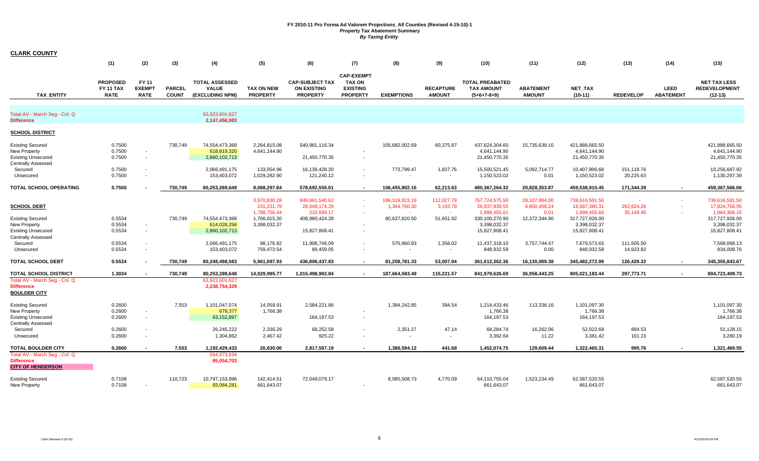| <b>CLARK COUNTY</b>                                                                                          |                                                    |                                            |                               |                                                                 |                                              |                                                                 |                                                                          |                                                  |                                     |                                                                  |                                                |                                                                  |                                    |                          |                                                                  |
|--------------------------------------------------------------------------------------------------------------|----------------------------------------------------|--------------------------------------------|-------------------------------|-----------------------------------------------------------------|----------------------------------------------|-----------------------------------------------------------------|--------------------------------------------------------------------------|--------------------------------------------------|-------------------------------------|------------------------------------------------------------------|------------------------------------------------|------------------------------------------------------------------|------------------------------------|--------------------------|------------------------------------------------------------------|
|                                                                                                              | (1)                                                | (2)                                        | (3)                           | (4)                                                             | (5)                                          | (6)                                                             | (7)                                                                      | (8)                                              | (9)                                 | (10)                                                             | (11)                                           | (12)                                                             | (13)                               | (14)                     | (15)                                                             |
| <b>TAX ENTITY</b>                                                                                            | <b>PROPOSED</b><br><b>FY 11 TAX</b><br><b>RATE</b> | FY 11<br><b>EXEMPT</b><br><b>RATE</b>      | <b>PARCEL</b><br><b>COUNT</b> | <b>TOTAL ASSESSED</b><br><b>VALUE</b><br>(EXCLUDING NPM)        | <b>TAX ON NEW</b><br><b>PROPERTY</b>         | <b>CAP-SUBJECT TAX</b><br><b>ON EXISTING</b><br><b>PROPERTY</b> | <b>CAP-EXEMPT</b><br><b>TAX ON</b><br><b>EXISTING</b><br><b>PROPERTY</b> | <b>EXEMPTIONS</b>                                | <b>RECAPTURE</b><br><b>AMOUNT</b>   | <b>TOTAL PREABATED</b><br><b>TAX AMOUNT</b><br>$(5+6+7-8+9)$     | <b>ABATEMENT</b><br><b>AMOUNT</b>              | <b>NET TAX</b><br>$(10-11)$                                      | <b>REDEVELOP</b>                   | LEED<br><b>ABATEMENT</b> | <b>NET TAX LESS</b><br><b>REDEVELOPMENT</b><br>$(12-13)$         |
| Total AV - March Seg - Col. Q<br><b>Difference</b>                                                           |                                                    |                                            |                               | 63,923,601,627<br>2,147,456,983                                 |                                              |                                                                 |                                                                          |                                                  |                                     |                                                                  |                                                |                                                                  |                                    |                          |                                                                  |
| <b>SCHOOL DISTRICT</b>                                                                                       |                                                    |                                            |                               |                                                                 |                                              |                                                                 |                                                                          |                                                  |                                     |                                                                  |                                                |                                                                  |                                    |                          |                                                                  |
| <b>Existing Secured</b><br>New Property<br><b>Existing Unsecured</b><br><b>Centrally Assessed</b><br>Secured | 0.7500<br>0.7500<br>0.7500<br>0.7500               | $\overline{\phantom{a}}$<br>$\sim$         | 730,749                       | 74,554,473,368<br>618,819,320<br>2,860,102,713<br>2,066,491,175 | 2,264,815.08<br>4,641,144.90<br>133,054.96   | 540,981,116.34<br>21,450,770.35<br>16,139,428.20                |                                                                          | 105,682,002.69<br>773,799.47                     | 60,375.87<br>1,837.76               | 437,624,304.60<br>4,641,144.90<br>21,450,770.35<br>15,500,521.45 | 15,735,639.10<br>5,092,714.77                  | 421,888,665.50<br>4,641,144.90<br>21,450,770.35<br>10,407,806.68 | 151,118.76                         |                          | 421,888,665.50<br>4,641,144.90<br>21,450,770.35<br>10,256,687.92 |
| Unsecured                                                                                                    | 0.7500                                             |                                            |                               | 153,403,072                                                     | 1,029,282.90                                 | 121,240.12                                                      |                                                                          |                                                  |                                     | 1,150,523.02                                                     | 0.01                                           | 1,150,523.02                                                     | 20,225.63                          |                          | 1,130,297.39                                                     |
| <b>TOTAL SCHOOL OPERATING</b><br><b>SCHOOL DEBT</b>                                                          | 0.7500                                             |                                            | 730,749                       | 80,253,289,648                                                  | 8,068,297.84<br>3,970,830.28<br>231,231.78   | 578,692,555.01<br>949,961,540.62<br>28,048,174.29               | $\sim$                                                                   | 106.455.802.16<br>186,319,823.19<br>1,344,760.30 | 62,213.63<br>112,027.79<br>3,193.78 | 480,367,264.32<br>767,724,575.50<br>26,937,839.55                | 20,828,353.87<br>28,107,984.00<br>8,850,459.24 | 459.538.910.45<br>739,616,591.50<br>18,087,380.31                | 171.344.39<br>$\sim$<br>262,624.26 | $\sim$<br>÷.             | 459,367,566.06<br>739,616,591.50<br>17,824,756.05                |
| <b>Existing Secured</b><br>New Property<br><b>Existing Unsecured</b>                                         | 0.5534<br>0.5534<br>0.5534                         | $\sim$<br>$\overline{\phantom{a}}$         | 730,749                       | 74,554,473,368<br>614,028,256<br>2,860,102,713                  | 1,788,756.44<br>1,706,015.20<br>3,398,032.37 | 210,699.17<br>408,980,424.28<br>15,827,808.41                   |                                                                          | 80,637,820.50                                    | 51,651.92                           | 1,999,455.61<br>330,100,270.90<br>3,398,032.37<br>15,827,808.41  | 0.01<br>12,372,344.90                          | 1,999,455.60<br>317,727,926.00<br>3,398,032.37<br>15,827,808.41  | 35,149.45                          |                          | 1,964,306.15<br>317,727,926.00<br>3,398,032.37<br>15,827,808.41  |
| <b>Centrally Assessed</b><br>Secured<br>Unsecured                                                            | 0.5534<br>0.5534                                   |                                            |                               | 2,066,491,175<br>153,403,072                                    | 98,176.82<br>759,473.54                      | 11,908,746.09<br>89,459.05                                      |                                                                          | 570,960.83                                       | 1,356.02<br>$\sim$                  | 11,437,318.10<br>848,932.59                                      | 3,757,744.47<br>0.00                           | 7,679,573.63<br>848,932.58                                       | 111,505.50<br>14,923.82            |                          | 7,568,068.13<br>834,008.76                                       |
| <b>TOTAL SCHOOL DEBT</b>                                                                                     | 0.5534                                             |                                            | 730,749                       | 80,248,498,583                                                  | 5,961,697.93                                 | 436,806,437.83                                                  |                                                                          | 81,208,781.33                                    | 53,007.94                           | 361,612,362.36                                                   | 16,130,089.38                                  | 345,482,272.99                                                   | 126,429.32                         | $\sim$                   | 345,355,843.67                                                   |
| <b>TOTAL SCHOOL DISTRICT</b><br>Total AV - March Seg - Col. Q<br><b>Difference</b><br><b>BOULDER CITY</b>    | 1.3034                                             |                                            | 730,749                       | 80,253,289,648<br>63,923,601,627<br>2,238,754,329               | 14,029,995.77                                | 1,015,498,992.84                                                | $\sim$                                                                   | 187,664,583.49                                   | 115,221.57                          | 841,979,626.69                                                   | 36,958,443.25                                  | 805,021,183.44                                                   | 297,773.71                         | $\sim$                   | 804,723,409.73                                                   |
| <b>Existing Secured</b><br><b>New Property</b><br><b>Existing Unsecured</b><br><b>Centrally Assessed</b>     | 0.2600<br>0.2600<br>0.2600                         | $\blacksquare$<br>$\overline{\phantom{a}}$ | 7,553                         | 1,101,047,074<br>679,377<br>63,152,897                          | 14,059.91<br>1,766.38                        | 2,584,221.86<br>164, 197.53                                     | $\overline{a}$                                                           | 1,384,242.85                                     | 394.54                              | 1,214,433.46<br>1,766.38<br>164,197.53                           | 113,336.16                                     | 1,101,097.30<br>1,766.38<br>164,197.53                           |                                    |                          | 1,101,097.30<br>1,766.38<br>164,197.53                           |
| Secured<br>Unsecured                                                                                         | 0.2600<br>0.2600                                   |                                            |                               | 26,245,222<br>1,304,862                                         | 2,336.29<br>2,467.42                         | 68,252.58<br>925.22                                             |                                                                          | 2,351.27                                         | 47.14<br>$\sim$                     | 68,284.74<br>3,392.64                                            | 16,262.06<br>11.22                             | 52,022.68<br>3,381.42                                            | 894.53<br>101.23                   |                          | 51,128.15<br>3,280.19                                            |
| <b>TOTAL BOULDER CITY</b><br>Total AV - March Seg - Col. Q<br><b>Difference</b><br><b>CITY OF HENDERSON</b>  | 0.2600                                             |                                            | 7,553                         | 1,192,429,433<br>564,973,634<br>95,054,703                      | 20,630.00                                    | 2,817,597.19                                                    |                                                                          | 1,386,594.12                                     | 441.68                              | 1,452,074.75                                                     | 129,609.44                                     | 1,322,465.31                                                     | 995.76                             |                          | 1,321,469.55                                                     |
| <b>Existing Secured</b><br><b>New Property</b>                                                               | 0.7108<br>0.7108                                   |                                            | 110,723                       | 10,797,153,996<br>93,084,281                                    | 142,414.51<br>661,643.07                     | 72,049,079.17                                                   | $\overline{a}$                                                           | 8,085,508.73                                     | 4,770.09                            | 64,110,755.04<br>661,643.07                                      | 1,523,234.49                                   | 62,587,520.55<br>661,643.07                                      |                                    |                          | 62,587,520.55<br>661,643.07                                      |

٠.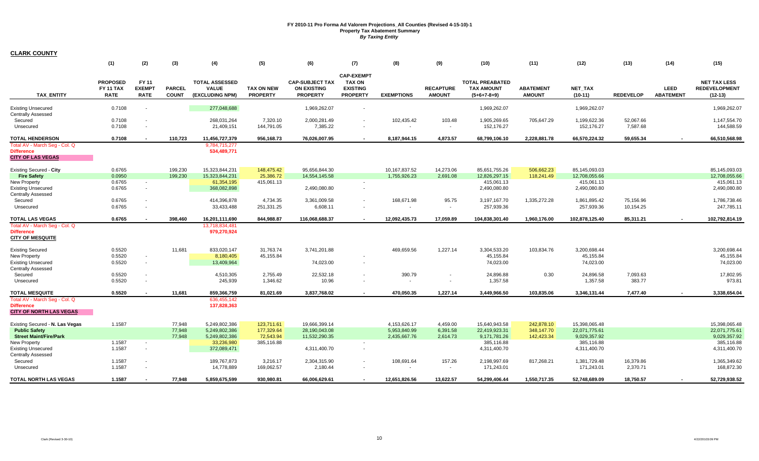|                                                                                      | (1)                                         | (2)                                   | (3)                           | (4)                                                      | (5)                                  | (6)                                                             | (7)                                                                      | (8)                  | (9)                               | (10)                                                         | (11)                              | (12)                                   | (13)                  | (14)                            | (15)                                                     |
|--------------------------------------------------------------------------------------|---------------------------------------------|---------------------------------------|-------------------------------|----------------------------------------------------------|--------------------------------------|-----------------------------------------------------------------|--------------------------------------------------------------------------|----------------------|-----------------------------------|--------------------------------------------------------------|-----------------------------------|----------------------------------------|-----------------------|---------------------------------|----------------------------------------------------------|
| <b>TAX ENTITY</b>                                                                    | <b>PROPOSED</b><br>FY 11 TAX<br><b>RATE</b> | FY 11<br><b>EXEMPT</b><br><b>RATE</b> | <b>PARCEL</b><br><b>COUNT</b> | <b>TOTAL ASSESSED</b><br><b>VALUE</b><br>(EXCLUDING NPM) | <b>TAX ON NEW</b><br><b>PROPERTY</b> | <b>CAP-SUBJECT TAX</b><br><b>ON EXISTING</b><br><b>PROPERTY</b> | <b>CAP-EXEMPT</b><br><b>TAX ON</b><br><b>EXISTING</b><br><b>PROPERTY</b> | <b>EXEMPTIONS</b>    | <b>RECAPTURE</b><br><b>AMOUNT</b> | <b>TOTAL PREABATED</b><br><b>TAX AMOUNT</b><br>$(5+6+7-8+9)$ | <b>ABATEMENT</b><br><b>AMOUNT</b> | <b>NET TAX</b><br>$(10-11)$            | <b>REDEVELOP</b>      | <b>LEED</b><br><b>ABATEMENT</b> | <b>NET TAX LESS</b><br><b>REDEVELOPMENT</b><br>$(12-13)$ |
| <b>Existing Unsecured</b><br><b>Centrally Assessed</b>                               | 0.7108                                      |                                       |                               | 277,048,688                                              |                                      | 1,969,262.07                                                    | $\sim$                                                                   |                      |                                   | 1,969,262.07                                                 |                                   | 1,969,262.07                           |                       |                                 | 1,969,262.07                                             |
| Secured<br>Unsecured                                                                 | 0.7108<br>0.7108                            |                                       |                               | 268.031.264<br>21,409,151                                | 7.320.10<br>144,791.05               | 2,000,281.49<br>7,385.22                                        | $\sim$                                                                   | 102,435.42<br>$\sim$ | 103.48<br>$\sim$                  | 1,905,269.65<br>152,176.27                                   | 705,647.29                        | 1,199,622.36<br>152,176.27             | 52,067.66<br>7,587.68 |                                 | 1,147,554.70<br>144,588.59                               |
| <b>TOTAL HENDERSON</b>                                                               | 0.7108                                      |                                       | 110,723                       | 11,456,727,379                                           | 956,168.73                           | 76,026,007.95                                                   | $\sim$                                                                   | 8,187,944.15         | 4,873.57                          | 68,799,106.10                                                | 2,228,881.78                      | 66,570,224.32                          | 59,655.34             | $\sim$                          | 66,510,568.98                                            |
| Total AV - March Seg - Col. Q<br><b>Difference</b><br><b>CITY OF LAS VEGAS</b>       |                                             |                                       |                               | 9,784,715,277<br>534,489,771                             |                                      |                                                                 |                                                                          |                      |                                   |                                                              |                                   |                                        |                       |                                 |                                                          |
| <b>Existing Secured - City</b>                                                       | 0.6765                                      |                                       | 199,230                       | 15,323,844,231                                           | 148,475.42                           | 95,656,844.30                                                   |                                                                          | 10,167,837.52        | 14,273.06                         | 85,651,755.26                                                | 506,662.23                        | 85,145,093.03                          |                       |                                 | 85,145,093.03                                            |
| <b>Fire Safety</b>                                                                   | 0.0950                                      |                                       | 199,230                       | 15,323,844,231                                           | 25,386.72                            | 14,554,145.58                                                   |                                                                          | 1,755,926.23         | 2,691.08                          | 12,826,297.15                                                | 118,241.49                        | 12,708,055.66                          |                       |                                 | 12,708,055.66                                            |
| <b>New Property</b><br><b>Existing Unsecured</b><br><b>Centrally Assessed</b>        | 0.6765<br>0.6765                            | $\sim$<br>$\sim$                      |                               | 61,354,195<br>368,082,898                                | 415,061.13                           | 2,490,080.80                                                    | $\sim$<br>$\sim$                                                         |                      |                                   | 415,061.13<br>2,490,080.80                                   |                                   | 415,061.13<br>2,490,080.80             |                       |                                 | 415,061.13<br>2,490,080.80                               |
| Secured                                                                              | 0.6765                                      |                                       |                               | 414,396,878                                              | 4,734.35                             | 3,361,009.58                                                    | $\sim$                                                                   | 168,671.98           | 95.75                             | 3,197,167.70                                                 | 1,335,272.28                      | 1,861,895.42                           | 75,156.96             |                                 | 1,786,738.46                                             |
| Unsecured                                                                            | 0.6765                                      | $\overline{\phantom{a}}$              |                               | 33,433,488                                               | 251,331.25                           | 6,608.11                                                        |                                                                          |                      |                                   | 257,939.36                                                   |                                   | 257,939.36                             | 10,154.25             |                                 | 247,785.11                                               |
| <b>TOTAL LAS VEGAS</b>                                                               | 0.6765                                      |                                       | 398,460                       | 16,201,111,690                                           | 844,988.87                           | 116,068,688.37                                                  | $\sim$                                                                   | 12,092,435.73        | 17,059.89                         | 104,838,301.40                                               | 1,960,176.00                      | 102,878,125.40                         | 85,311.21             | $\sim$                          | 102,792,814.19                                           |
| Total AV - March Seg - Col. Q<br><b>Difference</b><br><b>CITY OF MESQUITE</b>        |                                             |                                       |                               | 13,718,834,481<br>979,270,924                            |                                      |                                                                 |                                                                          |                      |                                   |                                                              |                                   |                                        |                       |                                 |                                                          |
| <b>Existing Secured</b><br><b>New Property</b><br><b>Existing Unsecured</b>          | 0.5520<br>0.5520<br>0.5520                  | $\sim$                                | 11,681                        | 833,020,147<br>8,180,405<br>13,409,964                   | 31,763.74<br>45,155.84               | 3,741,201.88<br>74,023.00                                       | $\sim$                                                                   | 469,659.56           | 1,227.14                          | 3,304,533.20<br>45,155.84<br>74,023.00                       | 103,834.76                        | 3,200,698.44<br>45,155.84<br>74,023.00 |                       |                                 | 3,200,698.44<br>45,155.84<br>74,023.00                   |
| <b>Centrally Assessed</b>                                                            |                                             |                                       |                               |                                                          |                                      |                                                                 |                                                                          |                      |                                   |                                                              |                                   |                                        |                       |                                 |                                                          |
| Secured<br>Unsecured                                                                 | 0.5520<br>0.5520                            |                                       |                               | 4,510,305<br>245,939                                     | 2,755.49<br>1,346.62                 | 22,532.18<br>10.96                                              | $\sim$                                                                   | 390.79<br>$\sim$     |                                   | 24,896.88<br>1,357.58                                        | 0.30                              | 24,896.58<br>1,357.58                  | 7,093.63<br>383.77    |                                 | 17,802.95<br>973.81                                      |
| <b>TOTAL MESQUITE</b>                                                                | 0.5520                                      |                                       | 11,681                        | 859,366,759                                              | 81,021.69                            | 3,837,768.02                                                    |                                                                          | 470,050.35           | 1,227.14                          | 3,449,966.50                                                 | 103,835.06                        | 3,346,131.44                           | 7,477.40              |                                 | 3,338,654.04                                             |
| Total AV - March Seg - Col. Q<br><b>Difference</b><br><b>CITY OF NORTH LAS VEGAS</b> |                                             |                                       |                               | 636,455,142<br>137,828,363                               |                                      |                                                                 |                                                                          |                      |                                   |                                                              |                                   |                                        |                       |                                 |                                                          |
| Existing Secured - N. Las Vegas                                                      | 1.1587                                      |                                       | 77,948                        | 5,249,802,386                                            | 123,711.61                           | 19,666,399.14                                                   |                                                                          | 4,153,626.17         | 4.459.00                          | 15,640,943.58                                                | 242,878.10                        | 15,398,065.48                          |                       |                                 | 15,398,065.48                                            |
| <b>Public Safety</b>                                                                 |                                             |                                       | 77,948                        | 5,249,802,386                                            | 177,329.64                           | 28,190,043.08                                                   |                                                                          | 5,953,840.99         | 6,391.58                          | 22,419,923.31                                                | 348,147.70                        | 22,071,775.61                          |                       |                                 | 22,071,775.61                                            |
| <b>Street Maint/Fire/Park</b>                                                        |                                             |                                       | 77,948                        | 5,249,802,386                                            | 72,543.94                            | 11,532,290.35                                                   |                                                                          | 2,435,667.76         | 2,614.73                          | 9,171,781.26                                                 | 142,423.34                        | 9,029,357.92                           |                       |                                 | 9,029,357.92                                             |
| New Property<br><b>Existing Unsecured</b><br><b>Centrally Assessed</b>               | 1.1587<br>1.1587                            | $\sim$<br>$\sim$                      |                               | 33,236,980<br>372,089,471                                | 385,116.88                           | 4,311,400.70                                                    | $\sim$<br>$\sim$                                                         |                      |                                   | 385,116.88<br>4,311,400.70                                   |                                   | 385,116.88<br>4,311,400.70             |                       |                                 | 385,116.88<br>4,311,400.70                               |
| Secured<br>Unsecured                                                                 | 1.1587<br>1.1587                            |                                       |                               | 189,767,873<br>14,778,889                                | 3,216.17<br>169,062.57               | 2,304,315.90<br>2,180.44                                        | $\sim$                                                                   | 108,691.64           | 157.26<br>$\sim$                  | 2,198,997.69<br>171,243.01                                   | 817,268.21                        | 1,381,729.48<br>171,243.01             | 16,379.86<br>2,370.71 |                                 | 1,365,349.62<br>168,872.30                               |
| TOTAL NORTH LAS VEGAS                                                                | 1.1587                                      | $\sim$                                | 77,948                        | 5,859,675,599                                            | 930,980.81                           | 66,006,629.61                                                   |                                                                          | 12,651,826.56        | 13,622.57                         | 54,299,406.44                                                | 1,550,717.35                      | 52,748,689.09                          | 18,750.57             |                                 | 52,729,938.52                                            |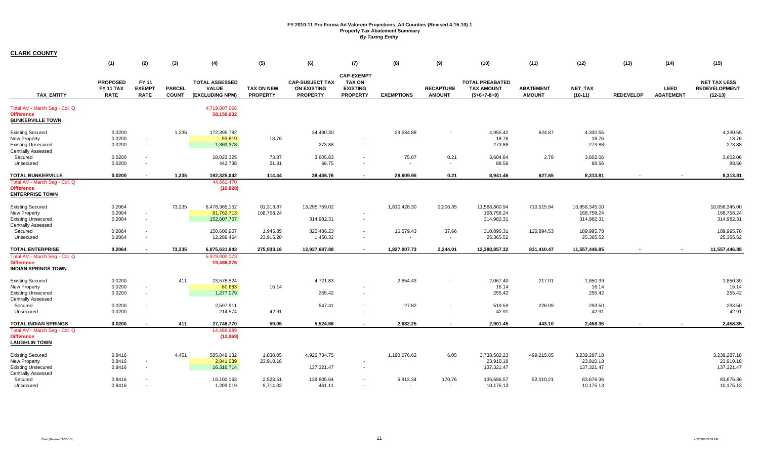|                                                                                                             | (1)                                                | (2)                                                  | (3)                           | (4)                                                      | (5)                                  | (6)                                                             | (7)                                                                      | (8)                | (9)                               | (10)                                                         | (11)                              | (12)                                      | (13)             | (14)                     | (15)                                                     |
|-------------------------------------------------------------------------------------------------------------|----------------------------------------------------|------------------------------------------------------|-------------------------------|----------------------------------------------------------|--------------------------------------|-----------------------------------------------------------------|--------------------------------------------------------------------------|--------------------|-----------------------------------|--------------------------------------------------------------|-----------------------------------|-------------------------------------------|------------------|--------------------------|----------------------------------------------------------|
| <b>TAX ENTITY</b>                                                                                           | <b>PROPOSED</b><br><b>FY 11 TAX</b><br><b>RATE</b> | FY 11<br><b>EXEMPT</b><br><b>RATE</b>                | <b>PARCEL</b><br><b>COUNT</b> | <b>TOTAL ASSESSED</b><br><b>VALUE</b><br>(EXCLUDING NPM) | <b>TAX ON NEW</b><br><b>PROPERTY</b> | <b>CAP-SUBJECT TAX</b><br><b>ON EXISTING</b><br><b>PROPERTY</b> | <b>CAP-EXEMPT</b><br><b>TAX ON</b><br><b>EXISTING</b><br><b>PROPERTY</b> | <b>EXEMPTIONS</b>  | <b>RECAPTURE</b><br><b>AMOUNT</b> | <b>TOTAL PREABATED</b><br><b>TAX AMOUNT</b><br>$(5+6+7-8+9)$ | <b>ABATEMENT</b><br><b>AMOUNT</b> | <b>NET TAX</b><br>$(10-11)$               | <b>REDEVELOP</b> | LEED<br><b>ABATEMENT</b> | <b>NET TAX LESS</b><br><b>REDEVELOPMENT</b><br>$(12-13)$ |
| Total AV - March Seq - Col. Q<br><b>Difference</b><br><b>BUNKERVILLE TOWN</b>                               |                                                    |                                                      |                               | 4,719,007,066<br>58,150,632                              |                                      |                                                                 |                                                                          |                    |                                   |                                                              |                                   |                                           |                  |                          |                                                          |
| <b>Existing Secured</b><br>New Property<br><b>Existing Unsecured</b><br><b>Centrally Assessed</b>           | 0.0200<br>0.0200<br>0.0200                         | $\overline{\phantom{a}}$<br>$\sim$                   | 1,235                         | 172,395,782<br>93,819<br>1,369,378                       | 18.76                                | 34,490.30<br>273.88                                             | $\sim$                                                                   | 29,534.88          |                                   | 4,955.42<br>18.76<br>273.88                                  | 624.87                            | 4,330.55<br>18.76<br>273.88               |                  |                          | 4,330.55<br>18.76<br>273.88                              |
| Secured<br>Unsecured                                                                                        | 0.0200<br>0.0200                                   | $\overline{\phantom{a}}$<br>$\overline{\phantom{a}}$ |                               | 18,023,325<br>442,738                                    | 73.87<br>21.81                       | 3,605.83<br>66.75                                               | $\sim$<br>$\sim$                                                         | 75.07              | 0.21<br>$\sim$                    | 3,604.84<br>88.56                                            | 2.78                              | 3,602.06<br>88.56                         |                  |                          | 3,602.06<br>88.56                                        |
| <b>TOTAL BUNKERVILLE</b>                                                                                    | 0.0200                                             | $\sim$                                               | 1,235                         | 192,325,042                                              | 114.44                               | 38,436.76                                                       | $\sim$                                                                   | 29,609.95          | 0.21                              | 8,941.46                                                     | 627.65                            | 8,313.81                                  |                  |                          | 8,313.81                                                 |
| Total AV - March Seg - Col. Q<br><b>Difference</b><br><b>ENTERPRISE TOWN</b>                                |                                                    |                                                      |                               | 44,661,470<br>(10, 828)                                  |                                      |                                                                 |                                                                          |                    |                                   |                                                              |                                   |                                           |                  |                          |                                                          |
| <b>Existing Secured</b><br>New Property<br><b>Existing Unsecured</b><br><b>Centrally Assessed</b>           | 0.2064<br>0.2064<br>0.2064                         | $\sim$<br>$\sim$                                     | 73,235                        | 6,478,365,152<br>81,762,713<br>152,607,707               | 81,313.87<br>168,758.24              | 13,295,769.02<br>314,982.31                                     | $\sim$                                                                   | 1,810,428.30       | 2,206.35                          | 11,568,860.94<br>168,758.24<br>314,982.31                    | 710,515.94                        | 10,858,345.00<br>168,758.24<br>314,982.31 |                  |                          | 10,858,345.00<br>168,758.24<br>314,982.31                |
| Secured<br>Unsecured                                                                                        | 0.2064<br>0.2064                                   | ۰<br>$\sim$                                          |                               | 150,606,907<br>12,289,464                                | 1,945.85<br>23,915.20                | 325,486.23<br>1,450.32                                          | $\sim$<br>$\sim$                                                         | 16,579.43          | 37.66<br>$\sim$                   | 310,890.31<br>25,365.52                                      | 120,894.53                        | 189,995.78<br>25,365.52                   |                  |                          | 189,995.78<br>25,365.52                                  |
| <b>TOTAL ENTERPRISE</b><br>Total AV - March Seg - Col. Q<br><b>Difference</b><br><b>INDIAN SPRINGS TOWN</b> | 0.2064                                             | $\sim$                                               | 73.235                        | 6,875,631,943<br>5,979,000,173<br>19,486,276             | 275,933.16                           | 13,937,687.88                                                   | $\sim$                                                                   | 1,827,007.73       | 2.244.01                          | 12,388,857.32                                                | 831,410.47                        | 11,557,446.85                             |                  | $\overline{\phantom{a}}$ | 11,557,446.85                                            |
| <b>Existing Secured</b><br>New Property<br><b>Existing Unsecured</b><br><b>Centrally Assessed</b>           | 0.0200<br>0.0200<br>0.0200                         | $\overline{\phantom{a}}$<br>$\sim$                   | 411                           | 23,578,524<br>80,683<br>1,277,079                        | 16.14                                | 4,721.83<br>255.42                                              | $\sim$                                                                   | 2,654.43           |                                   | 2,067.40<br>16.14<br>255.42                                  | 217.01                            | 1,850.39<br>16.14<br>255.42               |                  |                          | 1,850.39<br>16.14<br>255.42                              |
| Secured<br>Unsecured                                                                                        | 0.0200<br>0.0200                                   | $\overline{\phantom{a}}$<br>$\overline{\phantom{a}}$ |                               | 2,597,911<br>214,574                                     | $\sim$<br>42.91                      | 547.41                                                          |                                                                          | 27.82<br>$\sim$    |                                   | 519.59<br>42.91                                              | 226.09                            | 293.50<br>42.91                           |                  |                          | 293.50<br>42.91                                          |
| TOTAL INDIAN SPRINGS<br>Total AV - March Seg - Col. Q<br><b>Difference</b><br><b>LAUGHLIN TOWN</b>          | 0.0200                                             | $\blacksquare$                                       | 411                           | 27,748,770<br>14,488,689<br>(12,069)                     | 59.05                                | 5,524.66                                                        |                                                                          | 2,682.25           |                                   | 2,901.45                                                     | 443.10                            | 2,458.35                                  | $\overline{a}$   |                          | 2,458.35                                                 |
| <b>Existing Secured</b><br><b>New Property</b><br><b>Existing Unsecured</b><br><b>Centrally Assessed</b>    | 0.8416<br>0.8416<br>0.8416                         | $\overline{\phantom{a}}$<br>$\overline{\phantom{a}}$ | 4,451                         | 585,049,132<br>2,841,039<br>16,316,714                   | 1,838.05<br>23,910.18                | 4,926,734.75<br>137,321.47                                      | $\sim$                                                                   | 1,190,076.62       | 6.05                              | 3,738,502.23<br>23,910.18<br>137,321.47                      | 499,215.05                        | 3,239,287.18<br>23,910.18<br>137,321.47   |                  |                          | 3,239,287.18<br>23,910.18<br>137,321.47                  |
| Secured<br>Unsecured                                                                                        | 0.8416<br>0.8416                                   | $\sim$                                               |                               | 16,102,163<br>1,209,019                                  | 2,523.51<br>9,714.02                 | 139,805.64<br>461.11                                            |                                                                          | 6,813.34<br>$\sim$ | 170.76<br>$\sim$                  | 135,686.57<br>10,175.13                                      | 52,010.21                         | 83,676.36<br>10,175.13                    |                  |                          | 83,676.36<br>10,175.13                                   |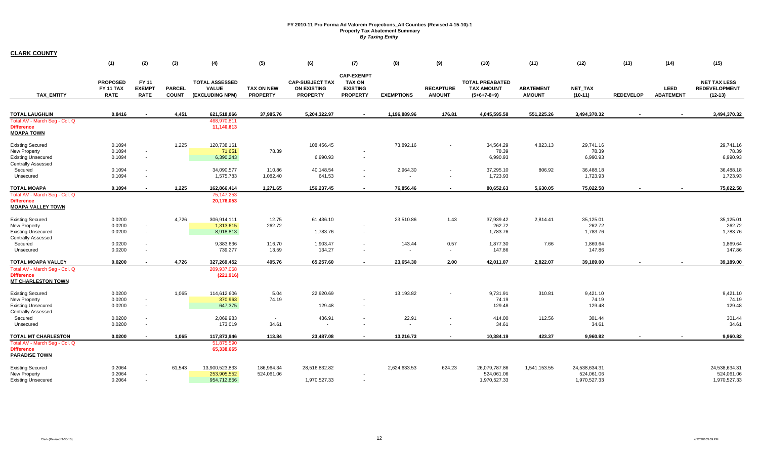|                                                                                                   | (1)                                                | (2)                                   | (3)                           | (4)                                                      | (5)                                  | (6)                                                             | (7)                                                                      | (8)                                  | (9)                               | (10)                                                         | (11)                              | (12)                                        | (13)             | (14)                     | (15)                                                     |
|---------------------------------------------------------------------------------------------------|----------------------------------------------------|---------------------------------------|-------------------------------|----------------------------------------------------------|--------------------------------------|-----------------------------------------------------------------|--------------------------------------------------------------------------|--------------------------------------|-----------------------------------|--------------------------------------------------------------|-----------------------------------|---------------------------------------------|------------------|--------------------------|----------------------------------------------------------|
| <b>TAX ENTITY</b>                                                                                 | <b>PROPOSED</b><br><b>FY 11 TAX</b><br><b>RATE</b> | FY 11<br><b>EXEMPT</b><br><b>RATE</b> | <b>PARCEL</b><br><b>COUNT</b> | <b>TOTAL ASSESSED</b><br><b>VALUE</b><br>(EXCLUDING NPM) | <b>TAX ON NEW</b><br><b>PROPERTY</b> | <b>CAP-SUBJECT TAX</b><br><b>ON EXISTING</b><br><b>PROPERTY</b> | <b>CAP-EXEMPT</b><br><b>TAX ON</b><br><b>EXISTING</b><br><b>PROPERTY</b> | <b>EXEMPTIONS</b>                    | <b>RECAPTURE</b><br><b>AMOUNT</b> | <b>TOTAL PREABATED</b><br><b>TAX AMOUNT</b><br>$(5+6+7-8+9)$ | <b>ABATEMENT</b><br><b>AMOUNT</b> | NET_TAX<br>$(10-11)$                        | <b>REDEVELOP</b> | LEED<br><b>ABATEMENT</b> | <b>NET TAX LESS</b><br><b>REDEVELOPMENT</b><br>$(12-13)$ |
| <b>TOTAL LAUGHLIN</b>                                                                             | 0.8416                                             |                                       | 4,451                         | 621,518,066                                              | 37,985.76                            | 5,204,322.97                                                    |                                                                          | 1,196,889.96                         | 176.81                            | 4,045,595.58                                                 | 551,225.26                        | 3,494,370.32                                |                  |                          | 3,494,370.32                                             |
| Total AV - March Seg - Col. Q<br><b>Difference</b><br><b>MOAPA TOWN</b>                           |                                                    |                                       |                               | 468,970,811<br>11,140,813                                |                                      |                                                                 |                                                                          |                                      |                                   |                                                              |                                   |                                             |                  |                          |                                                          |
| <b>Existing Secured</b><br><b>New Property</b><br><b>Existing Unsecured</b>                       | 0.1094<br>0.1094<br>0.1094                         | $\sim$<br>$\sim$                      | 1,225                         | 120,738,161<br>71,651<br>6,390,243                       | 78.39                                | 108,456.45<br>6,990.93                                          | $\sim$                                                                   | 73,892.16                            |                                   | 34,564.29<br>78.39<br>6,990.93                               | 4,823.13                          | 29,741.16<br>78.39<br>6,990.93              |                  |                          | 29,741.16<br>78.39<br>6,990.93                           |
| <b>Centrally Assessed</b><br>Secured<br>Unsecured                                                 | 0.1094<br>0.1094                                   |                                       |                               | 34,090,577<br>1,575,783                                  | 110.86<br>1,082.40                   | 40,148.54<br>641.53                                             | $\sim$<br>$\overline{\phantom{a}}$                                       | 2,964.30<br>$\overline{\phantom{a}}$ |                                   | 37,295.10<br>1,723.93                                        | 806.92                            | 36,488.18<br>1,723.93                       |                  |                          | 36,488.18<br>1,723.93                                    |
| <b>TOTAL MOAPA</b>                                                                                | 0.1094                                             |                                       | 1,225                         | 162,866,414                                              | 1,271.65                             | 156,237.45                                                      |                                                                          | 76,856.46                            |                                   | 80,652.63                                                    | 5,630.05                          | 75,022.58                                   |                  |                          | 75,022.58                                                |
| Total AV - March Seg - Col. Q<br><b>Difference</b><br><b>MOAPA VALLEY TOWN</b>                    |                                                    |                                       |                               | 75, 147, 253<br>20,176,053                               |                                      |                                                                 |                                                                          |                                      |                                   |                                                              |                                   |                                             |                  |                          |                                                          |
| <b>Existing Secured</b><br>New Property<br><b>Existing Unsecured</b>                              | 0.0200<br>0.0200<br>0.0200                         | $\sim$<br>$\sim$                      | 4,726                         | 306,914,111<br>1,313,615<br>8,918,813                    | 12.75<br>262.72                      | 61,436.10<br>1,783.76                                           | $\overline{\phantom{a}}$                                                 | 23,510.86                            | 1.43                              | 37,939.42<br>262.72<br>1,783.76                              | 2,814.41                          | 35,125.01<br>262.72<br>1,783.76             |                  |                          | 35,125.01<br>262.72<br>1,783.76                          |
| <b>Centrally Assessed</b><br>Secured<br>Unsecured                                                 | 0.0200<br>0.0200                                   | $\overline{\phantom{a}}$              |                               | 9,383,636<br>739,277                                     | 116.70<br>13.59                      | 1,903.47<br>134.27                                              | $\sim$<br>$\overline{\phantom{a}}$                                       | 143.44                               | 0.57<br>$\sim$                    | 1,877.30<br>147.86                                           | 7.66                              | 1,869.64<br>147.86                          |                  |                          | 1,869.64<br>147.86                                       |
| <b>TOTAL MOAPA VALLEY</b>                                                                         | 0.0200                                             |                                       | 4,726                         | 327,269,452                                              | 405.76                               | 65,257.60                                                       |                                                                          | 23,654.30                            | 2.00                              | 42,011.07                                                    | 2,822.07                          | 39,189.00                                   |                  |                          | 39,189.00                                                |
| Total AV - March Seg - Col. Q<br><b>Difference</b><br><b>MT CHARLESTON TOWN</b>                   |                                                    |                                       |                               | 209,937,068<br>(221, 916)                                |                                      |                                                                 |                                                                          |                                      |                                   |                                                              |                                   |                                             |                  |                          |                                                          |
| <b>Existing Secured</b><br>New Property<br><b>Existing Unsecured</b><br><b>Centrally Assessed</b> | 0.0200<br>0.0200<br>0.0200                         | $\sim$<br>$\sim$                      | 1,065                         | 114,612,606<br>370,963<br>647,375                        | 5.04<br>74.19                        | 22,920.69<br>129.48                                             | $\sim$                                                                   | 13,193.82                            |                                   | 9,731.91<br>74.19<br>129.48                                  | 310.81                            | 9,421.10<br>74.19<br>129.48                 |                  |                          | 9,421.10<br>74.19<br>129.48                              |
| Secured<br>Unsecured                                                                              | 0.0200<br>0.0200                                   | $\overline{\phantom{a}}$              |                               | 2,069,983<br>173,019                                     | $\sim$<br>34.61                      | 436.91<br>$\overline{\phantom{a}}$                              | $\overline{\phantom{a}}$                                                 | 22.91<br>$\overline{\phantom{a}}$    |                                   | 414.00<br>34.61                                              | 112.56                            | 301.44<br>34.61                             |                  |                          | 301.44<br>34.61                                          |
| TOTAL MT CHARLESTON                                                                               | 0.0200                                             |                                       | 1,065                         | 117,873,946                                              | 113.84                               | 23,487.08                                                       | $\blacksquare$                                                           | 13,216.73                            | $\overline{\phantom{a}}$          | 10,384.19                                                    | 423.37                            | 9,960.82                                    |                  |                          | 9,960.82                                                 |
| Total AV - March Seg - Col. Q<br><b>Difference</b><br><b>PARADISE TOWN</b>                        |                                                    |                                       |                               | 51,875,590<br>65,338,665                                 |                                      |                                                                 |                                                                          |                                      |                                   |                                                              |                                   |                                             |                  |                          |                                                          |
| <b>Existing Secured</b><br>New Property<br><b>Existing Unsecured</b>                              | 0.2064<br>0.2064<br>0.2064                         | $\overline{\phantom{a}}$<br>$\sim$    | 61,543                        | 13,900,523,833<br>253,905,552<br>954,712,856             | 186,964.34<br>524,061.06             | 28,516,832.82<br>1,970,527.33                                   | $\sim$                                                                   | 2,624,633.53                         | 624.23                            | 26,079,787.86<br>524,061.06<br>1,970,527.33                  | 1,541,153.55                      | 24,538,634.31<br>524,061.06<br>1,970,527.33 |                  |                          | 24.538.634.31<br>524,061.06<br>1,970,527.33              |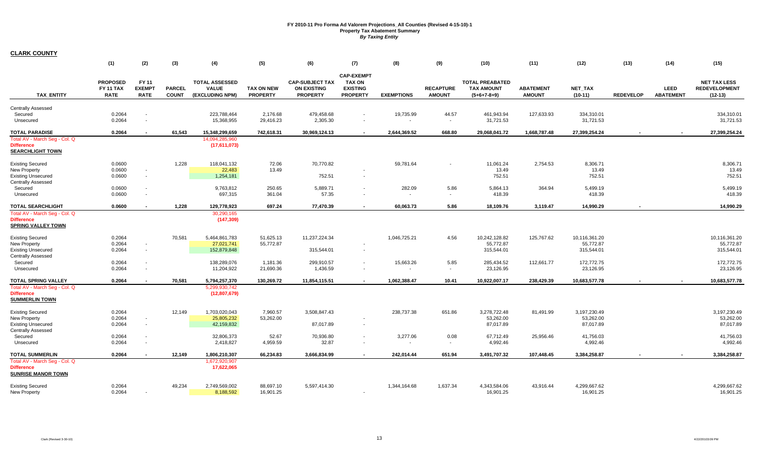|                                                                                 | (1)                                         | (2)                                   | (3)                           | (4)                                               | (5)                                  | (6)                                                             | (7)                                                                      | (8)                      | (9)                               | (10)                                                         | (11)                              | (12)                      | (13)             | (14)                            | (15)                                                     |
|---------------------------------------------------------------------------------|---------------------------------------------|---------------------------------------|-------------------------------|---------------------------------------------------|--------------------------------------|-----------------------------------------------------------------|--------------------------------------------------------------------------|--------------------------|-----------------------------------|--------------------------------------------------------------|-----------------------------------|---------------------------|------------------|---------------------------------|----------------------------------------------------------|
| <b>TAX ENTITY</b>                                                               | <b>PROPOSED</b><br>FY 11 TAX<br><b>RATE</b> | FY 11<br><b>EXEMPT</b><br><b>RATE</b> | <b>PARCEL</b><br><b>COUNT</b> | <b>TOTAL ASSESSED</b><br>VALUE<br>(EXCLUDING NPM) | <b>TAX ON NEW</b><br><b>PROPERTY</b> | <b>CAP-SUBJECT TAX</b><br><b>ON EXISTING</b><br><b>PROPERTY</b> | <b>CAP-EXEMPT</b><br><b>TAX ON</b><br><b>EXISTING</b><br><b>PROPERTY</b> | <b>EXEMPTIONS</b>        | <b>RECAPTURE</b><br><b>AMOUNT</b> | <b>TOTAL PREABATED</b><br><b>TAX AMOUNT</b><br>$(5+6+7-8+9)$ | <b>ABATEMENT</b><br><b>AMOUNT</b> | NET_TAX<br>$(10-11)$      | <b>REDEVELOP</b> | <b>LEED</b><br><b>ABATEMENT</b> | <b>NET TAX LESS</b><br><b>REDEVELOPMENT</b><br>$(12-13)$ |
| <b>Centrally Assessed</b>                                                       |                                             |                                       |                               |                                                   |                                      |                                                                 |                                                                          |                          |                                   |                                                              |                                   |                           |                  |                                 |                                                          |
| Secured                                                                         | 0.2064                                      |                                       |                               | 223,788,464                                       | 2,176.68                             | 479,458.68                                                      |                                                                          | 19,735.99                | 44.57                             | 461,943.94                                                   | 127,633.93                        | 334,310.01                |                  |                                 | 334,310.01                                               |
| Unsecured                                                                       | 0.2064                                      | $\overline{\phantom{a}}$              |                               | 15,368,955                                        | 29,416.23                            | 2,305.30                                                        | $\sim$                                                                   | $\overline{\phantom{a}}$ | $\sim$                            | 31,721.53                                                    |                                   | 31,721.53                 |                  |                                 | 31,721.53                                                |
| <b>TOTAL PARADISE</b>                                                           | 0.2064                                      |                                       | 61,543                        | 15,348,299,659                                    | 742,618.31                           | 30,969,124.13                                                   |                                                                          | 2,644,369.52             | 668.80                            | 29,068,041.72                                                | 1,668,787.48                      | 27,399,254.24             |                  |                                 | 27,399,254.24                                            |
| Total AV - March Seq - Col. Q<br><b>Difference</b><br><b>SEARCHLIGHT TOWN</b>   |                                             |                                       |                               | 14,094,285,960<br>(17,611,073)                    |                                      |                                                                 |                                                                          |                          |                                   |                                                              |                                   |                           |                  |                                 |                                                          |
| <b>Existing Secured</b>                                                         | 0.0600                                      |                                       | 1,228                         | 118,041,132                                       | 72.06                                | 70,770.82                                                       |                                                                          | 59,781.64                |                                   | 11,061.24                                                    | 2,754.53                          | 8,306.71                  |                  |                                 | 8,306.71                                                 |
| <b>New Property</b>                                                             | 0.0600                                      | $\overline{\phantom{a}}$              |                               | 22,483                                            | 13.49                                |                                                                 |                                                                          |                          |                                   | 13.49                                                        |                                   | 13.49                     |                  |                                 | 13.49                                                    |
| <b>Existing Unsecured</b><br><b>Centrally Assessed</b>                          | 0.0600                                      | $\sim$                                |                               | 1,254,181                                         |                                      | 752.51                                                          |                                                                          |                          |                                   | 752.51                                                       |                                   | 752.51                    |                  |                                 | 752.51                                                   |
| Secured                                                                         | 0.0600                                      | $\overline{\phantom{a}}$              |                               | 9,763,812                                         | 250.65                               | 5,889.71                                                        |                                                                          | 282.09                   | 5.86                              | 5,864.13                                                     | 364.94                            | 5,499.19                  |                  |                                 | 5,499.19                                                 |
| Unsecured                                                                       | 0.0600                                      | $\overline{\phantom{a}}$              |                               | 697,315                                           | 361.04                               | 57.35                                                           | $\sim$                                                                   | $\overline{\phantom{a}}$ | $\sim$                            | 418.39                                                       |                                   | 418.39                    |                  |                                 | 418.39                                                   |
| <b>TOTAL SEARCHLIGHT</b>                                                        | 0.0600                                      |                                       | 1,228                         | 129,778,923                                       | 697.24                               | 77,470.39                                                       | $\sim$                                                                   | 60,063.73                | 5.86                              | 18,109.76                                                    | 3,119.47                          | 14.990.29                 |                  |                                 | 14.990.29                                                |
| Total AV - March Seg - Col. Q<br><b>Difference</b><br><b>SPRING VALLEY TOWN</b> |                                             |                                       |                               | 30,290,165<br>(147, 309)                          |                                      |                                                                 |                                                                          |                          |                                   |                                                              |                                   |                           |                  |                                 |                                                          |
| <b>Existing Secured</b>                                                         | 0.2064                                      |                                       | 70,581                        | 5,464,861,783                                     | 51,625.13                            | 11,237,224.34                                                   |                                                                          | 1,046,725.21             | 4.56                              | 10,242,128.82                                                | 125,767.62                        | 10,116,361.20             |                  |                                 | 10,116,361.20                                            |
| <b>New Property</b>                                                             | 0.2064                                      | $\sim$                                |                               | 27,021,741                                        | 55,772.87                            |                                                                 |                                                                          |                          |                                   | 55,772.87                                                    |                                   | 55,772.87                 |                  |                                 | 55,772.87                                                |
| <b>Existing Unsecured</b><br><b>Centrally Assessed</b>                          | 0.2064                                      | $\overline{\phantom{a}}$              |                               | 152,879,848                                       |                                      | 315,544.01                                                      | $\sim$                                                                   |                          |                                   | 315,544.01                                                   |                                   | 315,544.01                |                  |                                 | 315,544.01                                               |
| Secured                                                                         | 0.2064                                      |                                       |                               | 138,289,076                                       | 1,181.36                             | 299.910.57                                                      |                                                                          | 15,663.26                | 5.85                              | 285,434.52                                                   | 112,661.77                        | 172,772.75                |                  |                                 | 172,772.75                                               |
| Unsecured                                                                       | 0.2064                                      | $\sim$                                |                               | 11,204,922                                        | 21,690.36                            | 1,436.59                                                        | $\sim$                                                                   | $\sim$                   | $\sim$                            | 23,126.95                                                    |                                   | 23,126.95                 |                  |                                 | 23,126.95                                                |
| <b>TOTAL SPRING VALLEY</b>                                                      | 0.2064                                      |                                       | 70,581                        | 5,794,257,370                                     | 130,269.72                           | 11,854,115.51                                                   | $\sim$                                                                   | 1,062,388.47             | 10.41                             | 10,922,007.17                                                | 238.429.39                        | 10,683,577.78             |                  |                                 | 10,683,577.78                                            |
| Total AV - March Seg - Col. Q<br><b>Difference</b><br><b>SUMMERLIN TOWN</b>     |                                             |                                       |                               | 5,299,930,742<br>(12,807,679)                     |                                      |                                                                 |                                                                          |                          |                                   |                                                              |                                   |                           |                  |                                 |                                                          |
| <b>Existing Secured</b>                                                         | 0.2064                                      |                                       | 12,149                        | 1,703,020,043                                     | 7,960.57                             | 3,508,847.43                                                    |                                                                          | 238,737.38               | 651.86                            | 3,278,722.48                                                 | 81,491.99                         | 3,197,230.49              |                  |                                 | 3,197,230.49                                             |
| <b>New Property</b>                                                             | 0.2064                                      | $\sim$                                |                               | 25,805,232                                        | 53,262.00                            |                                                                 |                                                                          |                          |                                   | 53,262.00                                                    |                                   | 53,262.00                 |                  |                                 | 53,262.00                                                |
| <b>Existing Unsecured</b><br><b>Centrally Assessed</b>                          | 0.2064                                      | $\overline{\phantom{a}}$              |                               | 42,159,832                                        |                                      | 87,017.89                                                       | $\sim$                                                                   |                          |                                   | 87,017.89                                                    |                                   | 87,017.89                 |                  |                                 | 87,017.89                                                |
| Secured                                                                         | 0.2064                                      |                                       |                               | 32,806,373                                        | 52.67                                | 70,936.80                                                       | $\overline{\phantom{a}}$                                                 | 3,277.06                 | 0.08                              | 67,712.49                                                    | 25,956.46                         | 41,756.03                 |                  |                                 | 41,756.03                                                |
| Unsecured                                                                       | 0.2064                                      | $\blacksquare$                        |                               | 2,418,827                                         | 4,959.59                             | 32.87                                                           | $\overline{\phantom{a}}$                                                 | $\overline{\phantom{a}}$ | $\sim$                            | 4,992.46                                                     |                                   | 4,992.46                  |                  |                                 | 4,992.46                                                 |
| <b>TOTAL SUMMERLIN</b>                                                          | 0.2064                                      | $\blacksquare$                        | 12,149                        | 1,806,210,307                                     | 66,234.83                            | 3.666.834.99                                                    | $\sim$                                                                   | 242.014.44               | 651.94                            | 3,491,707.32                                                 | 107.448.45                        | 3,384,258.87              |                  |                                 | 3,384,258.87                                             |
| Total AV - March Seg - Col. Q<br><b>Difference</b><br><b>SUNRISE MANOR TOWN</b> |                                             |                                       |                               | 1,672,920,907<br>17,622,065                       |                                      |                                                                 |                                                                          |                          |                                   |                                                              |                                   |                           |                  |                                 |                                                          |
| <b>Existing Secured</b><br><b>New Property</b>                                  | 0.2064<br>0.2064                            | $\overline{\phantom{a}}$              | 49,234                        | 2,749,569,002<br>8,188,592                        | 88,697.10<br>16,901.25               | 5,597,414.30                                                    | $\sim$                                                                   | 1,344,164.68             | 1,637.34                          | 4,343,584.06<br>16,901.25                                    | 43,916.44                         | 4,299,667.62<br>16,901.25 |                  |                                 | 4,299,667.62<br>16,901.25                                |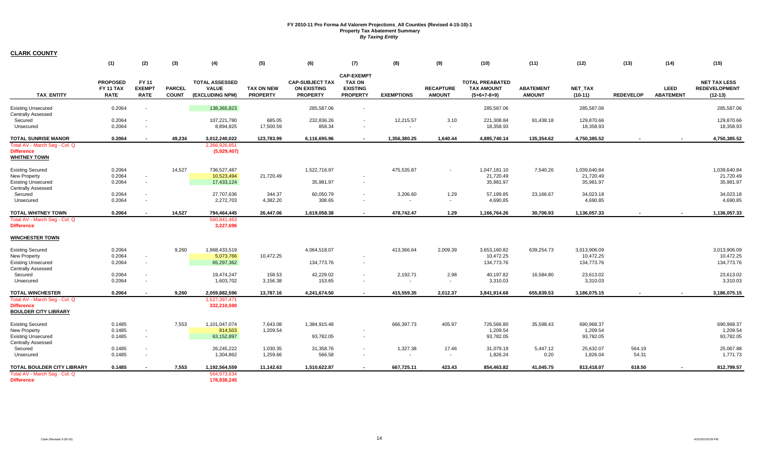|                                                                                                          | (1)                                                | (2)                                   | (3)                           | (4)                                                      | (5)                                  | (6)                                                             | (7)                                                                      | (8)                 | (9)                               | (10)                                                         | (11)                              | (12)                                    | (13)             | (14)                            | (15)                                                     |
|----------------------------------------------------------------------------------------------------------|----------------------------------------------------|---------------------------------------|-------------------------------|----------------------------------------------------------|--------------------------------------|-----------------------------------------------------------------|--------------------------------------------------------------------------|---------------------|-----------------------------------|--------------------------------------------------------------|-----------------------------------|-----------------------------------------|------------------|---------------------------------|----------------------------------------------------------|
| <b>TAX ENTITY</b>                                                                                        | <b>PROPOSED</b><br><b>FY 11 TAX</b><br><b>RATE</b> | FY 11<br><b>EXEMPT</b><br><b>RATE</b> | <b>PARCEL</b><br><b>COUNT</b> | <b>TOTAL ASSESSED</b><br><b>VALUE</b><br>(EXCLUDING NPM) | <b>TAX ON NEW</b><br><b>PROPERTY</b> | <b>CAP-SUBJECT TAX</b><br><b>ON EXISTING</b><br><b>PROPERTY</b> | <b>CAP-EXEMPT</b><br><b>TAX ON</b><br><b>EXISTING</b><br><b>PROPERTY</b> | <b>EXEMPTIONS</b>   | <b>RECAPTURE</b><br><b>AMOUNT</b> | <b>TOTAL PREABATED</b><br><b>TAX AMOUNT</b><br>$(5+6+7-8+9)$ | <b>ABATEMENT</b><br><b>AMOUNT</b> | <b>NET TAX</b><br>$(10-11)$             | <b>REDEVELOP</b> | <b>LEED</b><br><b>ABATEMENT</b> | <b>NET TAX LESS</b><br><b>REDEVELOPMENT</b><br>$(12-13)$ |
| <b>Existing Unsecured</b><br>Centrally Assessed                                                          | 0.2064                                             |                                       |                               | 138,365,823                                              |                                      | 285,587.06                                                      |                                                                          |                     |                                   | 285,587.06                                                   |                                   | 285,587.06                              |                  |                                 | 285,587.06                                               |
| Secured<br>Unsecured                                                                                     | 0.2064<br>0.2064                                   | $\sim$                                |                               | 107,221,780<br>8,894,825                                 | 685.05<br>17,500.59                  | 232,836.26<br>858.34                                            | $\blacksquare$                                                           | 12,215.57<br>$\sim$ | 3.10<br>$\sim$                    | 221,308.84<br>18,358.93                                      | 91,438.18                         | 129.870.66<br>18,358.93                 |                  |                                 | 129.870.66<br>18,358.93                                  |
| <b>TOTAL SUNRISE MANOR</b>                                                                               | 0.2064                                             |                                       | 49.234                        | 3,012,240,022                                            | 123,783.99                           | 6,116,695.96                                                    | $\sim$                                                                   | 1,356,380.25        | 1,640.44                          | 4,885,740.14                                                 | 135,354.62                        | 4,750,385.52                            |                  |                                 | 4,750,385.52                                             |
| Total AV - March Seg - Col. Q<br><b>Difference</b><br><b>WHITNEY TOWN</b>                                |                                                    |                                       |                               | 2,366,926,851<br>(5,929,407)                             |                                      |                                                                 |                                                                          |                     |                                   |                                                              |                                   |                                         |                  |                                 |                                                          |
| <b>Existing Secured</b><br>New Property<br><b>Existing Unsecured</b>                                     | 0.2064<br>0.2064<br>0.2064                         | $\sim$<br>$\sim$                      | 14,527                        | 736,527,487<br>10,523,494<br>17,433,124                  | 21,720.49                            | 1,522,716.97<br>35,981.97                                       | $\blacksquare$                                                           | 475,535.87          | $\sim$                            | 1,047,181.10<br>21,720.49<br>35,981.97                       | 7,540.26                          | 1,039,640.84<br>21,720.49<br>35,981.97  |                  |                                 | 1,039,640.84<br>21,720.49<br>35,981.97                   |
| <b>Centrally Assessed</b><br>Secured                                                                     | 0.2064                                             |                                       |                               | 27,707,636                                               | 344.37                               | 60,050.79                                                       | $\blacksquare$                                                           | 3,206.60            | 1.29                              | 57,189.85                                                    | 23,166.67                         | 34,023.18                               |                  |                                 | 34,023.18                                                |
| Unsecured                                                                                                | 0.2064                                             |                                       |                               | 2,272,703                                                | 4,382.20                             | 308.65                                                          | $\blacksquare$                                                           | $\sim$              | $\blacksquare$                    | 4.690.85                                                     |                                   | 4,690.85                                |                  |                                 | 4.690.85                                                 |
| TOTAL WHITNEY TOWN                                                                                       | 0.2064                                             | $\sim$                                | 14,527                        | 794,464,445                                              | 26,447.06                            | 1,619,058.38                                                    | $\sim$                                                                   | 478,742.47          | 1.29                              | 1,166,764.26                                                 | 30,706.93                         | 1,136,057.33                            |                  | $\sim$                          | 1,136,057.33                                             |
| Total AV - March Seg - Col. Q<br><b>Difference</b>                                                       |                                                    |                                       |                               | 560,841,463<br>3,227,696                                 |                                      |                                                                 |                                                                          |                     |                                   |                                                              |                                   |                                         |                  |                                 |                                                          |
| <b>WINCHESTER TOWN</b>                                                                                   |                                                    |                                       |                               |                                                          |                                      |                                                                 |                                                                          |                     |                                   |                                                              |                                   |                                         |                  |                                 |                                                          |
| <b>Existing Secured</b><br><b>New Property</b><br><b>Existing Unsecured</b>                              | 0.2064<br>0.2064<br>0.2064                         | $\sim$<br>$\sim$                      | 9,260                         | 1,968,433,519<br>5,073,766<br>65,297,362                 | 10,472.25                            | 4,064,518.07<br>134,773.76                                      | $\blacksquare$                                                           | 413,366.64          | 2,009.39                          | 3,653,160.82<br>10,472.25<br>134,773.76                      | 639,254.73                        | 3,013,906.09<br>10,472.25<br>134,773.76 |                  |                                 | 3,013,906.09<br>10,472.25<br>134,773.76                  |
| <b>Centrally Assessed</b><br>Secured<br>Unsecured                                                        | 0.2064<br>0.2064                                   |                                       |                               | 19,474,247<br>1,603,702                                  | 158.53<br>3,156.38                   | 42,229.02<br>153.65                                             | $\overline{\phantom{a}}$<br>$\blacksquare$                               | 2,192.71<br>$\sim$  | 2.98<br>$\blacksquare$            | 40,197.82<br>3,310.03                                        | 16,584.80                         | 23,613.02<br>3,310.03                   |                  |                                 | 23,613.02<br>3,310.03                                    |
| <b>TOTAL WINCHESTER</b>                                                                                  | 0.2064                                             |                                       | 9,260                         | 2,059,882,596                                            | 13,787.16                            | 4,241,674.50                                                    | $\overline{\phantom{a}}$                                                 | 415,559.35          | 2,012.37                          | 3,841,914.68                                                 | 655,839.53                        | 3,186,075.15                            |                  | $\sim$                          | 3,186,075.15                                             |
| Total AV - March Seg - Col. Q<br><b>Difference</b><br><b>BOULDER CITY LIBRARY</b>                        |                                                    |                                       |                               | 1,527,397,471<br>332,210,590                             |                                      |                                                                 |                                                                          |                     |                                   |                                                              |                                   |                                         |                  |                                 |                                                          |
| <b>Existing Secured</b><br><b>New Property</b><br><b>Existing Unsecured</b><br><b>Centrally Assessed</b> | 0.1485<br>0.1485<br>0.1485                         | $\sim$<br>$\sim$                      | 7,553                         | 1,101,047,074<br>814,503<br>63,152,897                   | 7,643.08<br>1,209.54                 | 1,384,915.48<br>93,782.05                                       | $\sim$                                                                   | 666,397.73          | 405.97                            | 726,566.80<br>1,209.54<br>93,782.05                          | 35,598.43                         | 690,968.37<br>1,209.54<br>93,782.05     |                  |                                 | 690,968.37<br>1,209.54<br>93,782.05                      |
| Secured<br>Unsecured                                                                                     | 0.1485<br>0.1485                                   | $\sim$                                |                               | 26,245,222<br>1,304,862                                  | 1,030.35<br>1,259.66                 | 31,358.76<br>566.58                                             | $\overline{\phantom{a}}$<br>$\blacksquare$                               | 1,327.38<br>$\sim$  | 17.46<br>$\sim$                   | 31,079.19<br>1,826.24                                        | 5,447.12<br>0.20                  | 25,632.07<br>1,826.04                   | 564.19<br>54.31  |                                 | 25,067.88<br>1,771.73                                    |
| TOTAL BOULDER CITY LIBRARY<br>Total AV - March Seg - Col. Q<br><b>Difference</b>                         | 0.1485                                             |                                       | 7,553                         | 1,192,564,559<br>564,973,634<br>178,838,245              | 11,142.63                            | 1,510,622.87                                                    |                                                                          | 667,725.11          | 423.43                            | 854,463.82                                                   | 41,045.75                         | 813,418.07                              | 618.50           |                                 | 812,799.57                                               |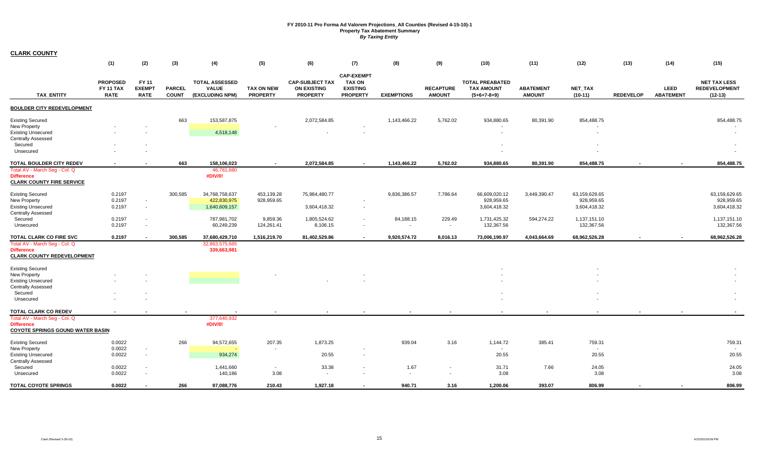|                                                                                                                    | (1)                                                | (2)                                          | (3)                           | (4)                                                      | (5)                           | (6)                                                             | (7)                                                                      | (8)                                   | (9)                               | (10)                                                         | (11)                              | (12)                              | (13)             | (14)                     | (15)                                                     |
|--------------------------------------------------------------------------------------------------------------------|----------------------------------------------------|----------------------------------------------|-------------------------------|----------------------------------------------------------|-------------------------------|-----------------------------------------------------------------|--------------------------------------------------------------------------|---------------------------------------|-----------------------------------|--------------------------------------------------------------|-----------------------------------|-----------------------------------|------------------|--------------------------|----------------------------------------------------------|
| <b>TAX ENTITY</b>                                                                                                  | <b>PROPOSED</b><br><b>FY 11 TAX</b><br><b>RATE</b> | <b>FY 11</b><br><b>EXEMPT</b><br><b>RATE</b> | <b>PARCEL</b><br><b>COUNT</b> | <b>TOTAL ASSESSED</b><br><b>VALUE</b><br>(EXCLUDING NPM) | TAX ON NEW<br><b>PROPERTY</b> | <b>CAP-SUBJECT TAX</b><br><b>ON EXISTING</b><br><b>PROPERTY</b> | <b>CAP-EXEMPT</b><br><b>TAX ON</b><br><b>EXISTING</b><br><b>PROPERTY</b> | <b>EXEMPTIONS</b>                     | <b>RECAPTURE</b><br><b>AMOUNT</b> | <b>TOTAL PREABATED</b><br><b>TAX AMOUNT</b><br>$(5+6+7-8+9)$ | <b>ABATEMENT</b><br><b>AMOUNT</b> | NET_TAX<br>$(10-11)$              | <b>REDEVELOP</b> | LEED<br><b>ABATEMENT</b> | <b>NET TAX LESS</b><br><b>REDEVELOPMENT</b><br>$(12-13)$ |
| BOULDER CITY REDEVELOPMENT                                                                                         |                                                    |                                              |                               |                                                          |                               |                                                                 |                                                                          |                                       |                                   |                                                              |                                   |                                   |                  |                          |                                                          |
| <b>Existing Secured</b><br><b>New Property</b>                                                                     |                                                    |                                              | 663                           | 153,587,875                                              |                               | 2,072,584.85                                                    |                                                                          | 1,143,466.22                          | 5,762.02                          | 934,880.65                                                   | 80,391.90                         | 854,488.75                        |                  |                          | 854,488.75                                               |
| <b>Existing Unsecured</b><br><b>Centrally Assessed</b>                                                             |                                                    |                                              |                               | 4,518,148                                                |                               |                                                                 | $\overline{\phantom{a}}$                                                 |                                       |                                   | $\sim$                                                       |                                   |                                   |                  |                          | $\sim$                                                   |
| Secured<br>Unsecured                                                                                               |                                                    |                                              |                               |                                                          |                               |                                                                 |                                                                          |                                       |                                   |                                                              |                                   |                                   |                  |                          |                                                          |
| TOTAL BOULDER CITY REDEV                                                                                           |                                                    |                                              | 663                           | 158,106,023                                              |                               | 2,072,584.85                                                    |                                                                          | 1,143,466.22                          | 5,762.02                          | 934,880.65                                                   | 80,391.90                         | 854,488.75                        |                  |                          | 854,488.75                                               |
| Total AV - March Seg - Col. Q<br><b>Difference</b><br><b>CLARK COUNTY FIRE SERVICE</b>                             |                                                    |                                              |                               | 46,781,680<br>#DIV/0!                                    |                               |                                                                 |                                                                          |                                       |                                   |                                                              |                                   |                                   |                  |                          |                                                          |
| <b>Existing Secured</b><br>New Property                                                                            | 0.2197<br>0.2197                                   | $\sim$                                       | 300,585                       | 34,768,758,637<br>422,830,975                            | 453,139.28<br>928,959.65      | 75,984,480.77                                                   | $\overline{\phantom{a}}$                                                 | 9,836,386.57                          | 7,786.64                          | 66,609,020.12<br>928,959.65                                  | 3,449,390.47                      | 63,159,629.65<br>928,959.65       |                  |                          | 63,159,629.65<br>928,959.65                              |
| <b>Existing Unsecured</b><br><b>Centrally Assessed</b>                                                             | 0.2197                                             | $\sim$                                       |                               | 1,640,609,157                                            |                               | 3,604,418.32                                                    | $\sim$                                                                   |                                       |                                   | 3,604,418.32                                                 |                                   | 3,604,418.32                      |                  |                          | 3,604,418.32                                             |
| Secured<br>Unsecured                                                                                               | 0.2197<br>0.2197                                   | $\overline{\phantom{a}}$<br>$\sim$           |                               | 787,981,702<br>60,249,239                                | 9,859.36<br>124,261.41        | 1,805,524.62<br>8,106.15                                        | $\sim$<br>$\overline{\phantom{a}}$                                       | 84,188.15<br>$\overline{\phantom{a}}$ | 229.49<br>$\sim$                  | 1,731,425.32<br>132,367.56                                   | 594,274.22                        | 1,137,151.10<br>132,367.56        |                  |                          | 1,137,151.10<br>132,367.56                               |
|                                                                                                                    |                                                    |                                              |                               |                                                          |                               |                                                                 |                                                                          |                                       |                                   |                                                              |                                   |                                   |                  |                          |                                                          |
| TOTAL CLARK CO FIRE SVC<br>Total AV - March Seg - Col. Q<br><b>Difference</b><br><b>CLARK COUNTY REDEVELOPMENT</b> | 0.2197                                             |                                              | 300,585                       | 37,680,429,710<br>32,863,575,665<br>339,663,981          | 1,516,219.70                  | 81,402,529.86                                                   | $\sim$                                                                   | 9,920,574.72                          | 8,016.13                          | 73,006,190.97                                                | 4,043,664.69                      | 68,962,526.28                     |                  |                          | 68,962,526.28                                            |
| <b>Existing Secured</b><br>New Property                                                                            |                                                    |                                              |                               |                                                          |                               |                                                                 |                                                                          |                                       |                                   |                                                              |                                   |                                   |                  |                          |                                                          |
| <b>Existing Unsecured</b><br><b>Centrally Assessed</b><br>Secured                                                  |                                                    |                                              |                               |                                                          |                               |                                                                 |                                                                          |                                       |                                   |                                                              |                                   |                                   |                  |                          |                                                          |
| Unsecured                                                                                                          |                                                    |                                              |                               |                                                          |                               |                                                                 |                                                                          |                                       |                                   |                                                              |                                   |                                   |                  |                          |                                                          |
| TOTAL CLARK CO REDEV                                                                                               |                                                    |                                              |                               |                                                          |                               |                                                                 |                                                                          |                                       |                                   |                                                              |                                   | $\blacksquare$                    |                  |                          |                                                          |
| Total AV - March Seq - Col. Q<br><b>Difference</b><br><b>COYOTE SPRINGS GOUND WATER BASIN</b>                      |                                                    |                                              |                               | 377,640,932<br>#DIV/0!                                   |                               |                                                                 |                                                                          |                                       |                                   |                                                              |                                   |                                   |                  |                          |                                                          |
| <b>Existing Secured</b>                                                                                            | 0.0022                                             |                                              | 266                           | 94,572,655                                               | 207.35                        | 1,873.25                                                        |                                                                          | 939.04                                | 3.16                              | 1,144.72                                                     | 385.41                            | 759.31                            |                  |                          | 759.31                                                   |
| <b>New Property</b><br><b>Existing Unsecured</b><br><b>Centrally Assessed</b>                                      | 0.0022<br>0.0022                                   | $\sim$<br>$\sim$                             |                               | 934,274                                                  |                               | 20.55                                                           | $\sim$                                                                   |                                       |                                   | 20.55                                                        |                                   | $\overline{\phantom{a}}$<br>20.55 |                  |                          | 20.55                                                    |
| Secured<br>Unsecured                                                                                               | 0.0022<br>0.0022                                   |                                              |                               | 1,441,660<br>140,186                                     | $\sim$<br>3.08                | 33.38<br>$\sim$                                                 |                                                                          | 1.67<br>$\overline{\phantom{a}}$      |                                   | 31.71<br>3.08                                                | 7.66                              | 24.05<br>3.08                     |                  |                          | 24.05<br>3.08                                            |
| <b>TOTAL COYOTE SPRINGS</b>                                                                                        | 0.0022                                             |                                              | 266                           | 97,088,776                                               | 210.43                        | 1,927.18                                                        |                                                                          | 940.71                                | 3.16                              | 1,200.06                                                     | 393.07                            | 806.99                            |                  |                          | 806.99                                                   |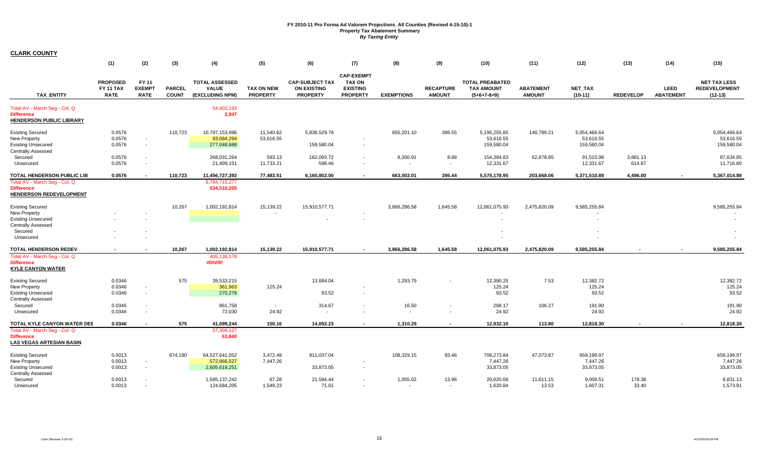|                                                                                                                      | (1)                                         | (2)                                   | (3)                           | (4)                                                      | (5)                                  | (6)                                                             | (7)                                                                      | (8)                               | (9)                               | (10)                                                         | (11)                              | (12)                                    | (13)               | (14)                            | (15)                                                     |
|----------------------------------------------------------------------------------------------------------------------|---------------------------------------------|---------------------------------------|-------------------------------|----------------------------------------------------------|--------------------------------------|-----------------------------------------------------------------|--------------------------------------------------------------------------|-----------------------------------|-----------------------------------|--------------------------------------------------------------|-----------------------------------|-----------------------------------------|--------------------|---------------------------------|----------------------------------------------------------|
| <b>TAX ENTITY</b>                                                                                                    | <b>PROPOSED</b><br>FY 11 TAX<br><b>RATE</b> | FY 11<br><b>EXEMPT</b><br><b>RATE</b> | <b>PARCEL</b><br><b>COUNT</b> | <b>TOTAL ASSESSED</b><br><b>VALUE</b><br>(EXCLUDING NPM) | <b>TAX ON NEW</b><br><b>PROPERTY</b> | <b>CAP-SUBJECT TAX</b><br><b>ON EXISTING</b><br><b>PROPERTY</b> | <b>CAP-EXEMPT</b><br><b>TAX ON</b><br><b>EXISTING</b><br><b>PROPERTY</b> | <b>EXEMPTIONS</b>                 | <b>RECAPTURE</b><br><b>AMOUNT</b> | <b>TOTAL PREABATED</b><br><b>TAX AMOUNT</b><br>$(5+6+7-8+9)$ | <b>ABATEMENT</b><br><b>AMOUNT</b> | <b>NET TAX</b><br>$(10-11)$             | <b>REDEVELOP</b>   | <b>LEED</b><br><b>ABATEMENT</b> | <b>NET TAX LESS</b><br><b>REDEVELOPMENT</b><br>$(12-13)$ |
| Total AV - March Seg - Col. Q<br><b>Difference</b><br><b>HENDERSON PUBLIC LIBRARY</b>                                |                                             |                                       |                               | 54,402,193<br>2,947                                      |                                      |                                                                 |                                                                          |                                   |                                   |                                                              |                                   |                                         |                    |                                 |                                                          |
| <b>Existing Secured</b><br><b>New Property</b><br><b>Existing Unsecured</b><br><b>Centrally Assessed</b>             | 0.0576<br>0.0576<br>0.0576                  | $\sim$<br>$\sim$                      | 110,723                       | 10,797,153,996<br>93,084,294<br>277,048,688              | 11,540.62<br>53,616.55               | 5,838,529.78<br>159,580.04                                      | $\sim$                                                                   | 655,201.10                        | 386.55                            | 5,195,255.85<br>53,616.55<br>159,580.04                      | 140,789.21                        | 5,054,466.64<br>53,616.55<br>159,580.04 |                    |                                 | 5,054,466.64<br>53,616.55<br>159,580.04                  |
| Secured<br>Unsecured                                                                                                 | 0.0576<br>0.0576                            |                                       |                               | 268,031,264<br>21,409,151                                | 593.13<br>11,733.21                  | 162,093.72<br>598.46                                            | $\sim$<br>$\sim$                                                         | 8,300.91<br>$\sim$                | 8.89<br>$\sim$                    | 154,394.83<br>12,331.67                                      | 62,878.85                         | 91,515.98<br>12,331.67                  | 3,881.13<br>614.87 |                                 | 87,634.85<br>11,716.80                                   |
| <b>TOTAL HENDERSON PUBLIC LIB</b>                                                                                    | 0.0576                                      | $\sim$                                | 110,723                       | 11,456,727,392                                           | 77,483.51                            | 6,160,802.00                                                    |                                                                          | 663,502.01                        | 395.44                            | 5,575,178.95                                                 | 203,668.06                        | 5,371,510.89                            | 4,496.00           | $\blacksquare$                  | 5,367,014.89                                             |
| Total AV - March Seg - Col. Q<br><b>Difference</b><br><b>HENDERSON REDEVELOPMENT</b>                                 |                                             |                                       |                               | 9,784,715,277<br>534,510,205                             |                                      |                                                                 |                                                                          |                                   |                                   |                                                              |                                   |                                         |                    |                                 |                                                          |
| <b>Existing Secured</b><br>New Property<br><b>Existing Unsecured</b><br><b>Centrally Assessed</b><br>Secured         |                                             |                                       | 10,267                        | 1,002,192,814                                            | 15,139.22                            | 15,910,577.71                                                   |                                                                          | 3,866,286.58                      | 1,645.58                          | 12,061,075.93                                                | 2,475,820.09                      | 9,585,255.84                            |                    |                                 | 9,585,255.84                                             |
| Unsecured                                                                                                            |                                             |                                       |                               |                                                          |                                      |                                                                 |                                                                          |                                   |                                   |                                                              |                                   |                                         |                    |                                 | $\overline{\phantom{a}}$                                 |
| <b>TOTAL HENDERSON REDEV</b><br>Total AV - March Seg - Col. Q<br><b>Difference</b><br><b>KYLE CANYON WATER</b>       |                                             |                                       | 10,267                        | 1,002,192,814<br>405,138,178<br>#DIV/0!                  | 15,139.22                            | 15,910,577.71                                                   |                                                                          | 3,866,286.58                      | 1,645.58                          | 12,061,075.93                                                | 2,475,820.09                      | 9,585,255.84                            |                    |                                 | 9,585,255.84                                             |
| <b>Existing Secured</b><br><b>New Property</b><br><b>Existing Unsecured</b><br><b>Centrally Assessed</b>             | 0.0346<br>0.0346<br>0.0346                  | $\overline{\phantom{a}}$<br>$\sim$    | 575                           | 39,533,215<br>361,963<br>270,278                         | 125.24                               | 13,684.04<br>93.52                                              |                                                                          | 1,293.79                          |                                   | 12,390.25<br>125.24<br>93.52                                 | 7.53                              | 12,382.72<br>125.24<br>93.52            |                    |                                 | 12,382.72<br>125.24<br>93.52                             |
| Secured<br>Unsecured                                                                                                 | 0.0346<br>0.0346                            |                                       |                               | 861,758<br>72,030                                        | $\sim$<br>24.92                      | 314.67<br>$\sim$                                                |                                                                          | 16.50<br>$\overline{\phantom{a}}$ |                                   | 298.17<br>24.92                                              | 106.27                            | 191.90<br>24.92                         |                    |                                 | 191.90<br>24.92                                          |
| TOTAL KYLE CANYON WATER DEE<br>Total AV - March Seg - Col. Q<br><b>Difference</b><br><b>LAS VEGAS ARTESIAN BASIN</b> | 0.0346                                      |                                       | 575                           | 41,099,244<br>37,306,127<br>53,840                       | 150.16                               | 14,092.23                                                       | $\sim$                                                                   | 1,310.29                          |                                   | 12,932.10                                                    | 113.80                            | 12,818.30                               |                    |                                 | 12,818.30                                                |
| <b>Existing Secured</b><br>New Property<br><b>Existing Unsecured</b><br><b>Centrally Assessed</b>                    | 0.0013<br>0.0013<br>0.0013                  | $\sim$                                | 674,180                       | 64,527,641,052<br>572,866,527<br>2,605,619,251           | 3,472.49<br>7,447.26                 | 811,037.04<br>33,873.05                                         | $\sim$                                                                   | 108,329.15                        | 93.46                             | 706,273.84<br>7,447.26<br>33,873.05                          | 47,073.87                         | 659,199.97<br>7,447.26<br>33,873.05     |                    |                                 | 659,199.97<br>7,447.26<br>33,873.05                      |
| Secured<br>Unsecured                                                                                                 | 0.0013<br>0.0013                            | $\overline{\phantom{a}}$              |                               | 1,585,137,242<br>124,684,205                             | 67.28<br>1,549.23                    | 21,594.44<br>71.61                                              | $\sim$                                                                   | 1,055.02<br>$\sim$                | 13.96<br>$\sim$                   | 20,620.66<br>1,620.84                                        | 11,611.15<br>13.53                | 9,009.51<br>1,607.31                    | 178.38<br>33.40    |                                 | 8,831.13<br>1,573.91                                     |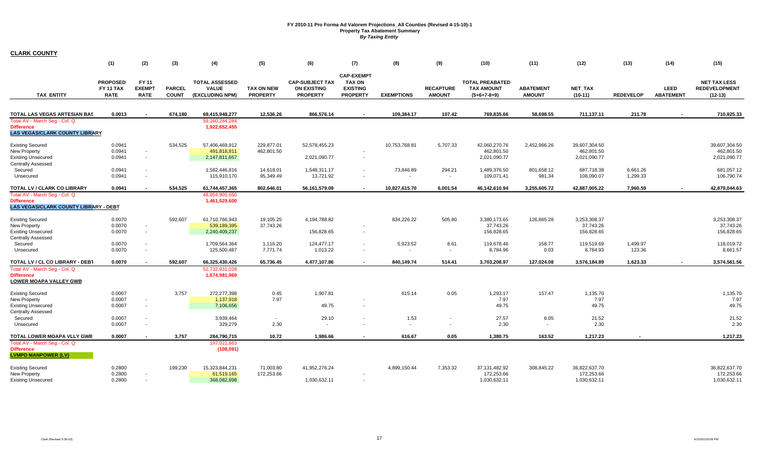|                                                                                             | (1)                                                | (2)                                   | (3)                           | (4)                                                      | (5)                                  | (6)                                                             | (7)                                                                      | (8)               | (9)                               | (10)                                                         | (11)                              | (12)                        | (13)             | (14)                     | (15)                                                     |
|---------------------------------------------------------------------------------------------|----------------------------------------------------|---------------------------------------|-------------------------------|----------------------------------------------------------|--------------------------------------|-----------------------------------------------------------------|--------------------------------------------------------------------------|-------------------|-----------------------------------|--------------------------------------------------------------|-----------------------------------|-----------------------------|------------------|--------------------------|----------------------------------------------------------|
| <b>TAX ENTITY</b>                                                                           | <b>PROPOSED</b><br><b>FY 11 TAX</b><br><b>RATE</b> | FY 11<br><b>EXEMPT</b><br><b>RATE</b> | <b>PARCEL</b><br><b>COUNT</b> | <b>TOTAL ASSESSED</b><br><b>VALUE</b><br>(EXCLUDING NPM) | <b>TAX ON NEW</b><br><b>PROPERTY</b> | <b>CAP-SUBJECT TAX</b><br><b>ON EXISTING</b><br><b>PROPERTY</b> | <b>CAP-EXEMPT</b><br><b>TAX ON</b><br><b>EXISTING</b><br><b>PROPERTY</b> | <b>EXEMPTIONS</b> | <b>RECAPTURE</b><br><b>AMOUNT</b> | <b>TOTAL PREABATED</b><br><b>TAX AMOUNT</b><br>$(5+6+7-8+9)$ | <b>ABATEMENT</b><br><b>AMOUNT</b> | <b>NET TAX</b><br>$(10-11)$ | <b>REDEVELOP</b> | LEED<br><b>ABATEMENT</b> | <b>NET TAX LESS</b><br><b>REDEVELOPMENT</b><br>$(12-13)$ |
|                                                                                             |                                                    |                                       |                               |                                                          |                                      |                                                                 |                                                                          |                   |                                   |                                                              |                                   |                             |                  |                          |                                                          |
| TOTAL LAS VEGAS ARTESIAN BAS                                                                | 0.0013                                             |                                       | 674,180                       | 69,415,948,277                                           | 12,536.26                            | 866,576.14                                                      |                                                                          | 109,384.17        | 107.42                            | 769,835.66                                                   | 58,698.55                         | 711,137.11                  | 211.78           |                          | 710,925.33                                               |
| Total AV - March Seg - Col. Q<br><b>Difference</b><br><b>LAS VEGAS/CLARK COUNTY LIBRARY</b> |                                                    |                                       |                               | 59,160,284,284<br>1,922,652,455                          |                                      |                                                                 |                                                                          |                   |                                   |                                                              |                                   |                             |                  |                          |                                                          |
| <b>Existing Secured</b>                                                                     | 0.0941                                             |                                       | 534,525                       | 57,406,469,912                                           | 229,877.01                           | 52,578,455.23                                                   |                                                                          | 10,753,768.81     | 5,707.33                          | 42,060,270.76                                                | 2,452,966.26                      | 39,607,304.50               |                  |                          | 39,607,304.50                                            |
| New Property                                                                                | 0.0941                                             | $\blacksquare$                        |                               | 491,818,811                                              | 462,801.50                           |                                                                 |                                                                          |                   |                                   | 462,801.50                                                   |                                   | 462,801.50                  |                  |                          | 462,801.50                                               |
| <b>Existing Unsecured</b><br><b>Centrally Assessed</b>                                      | 0.0941                                             | $\blacksquare$                        |                               | 2,147,811,657                                            |                                      | 2,021,090.77                                                    |                                                                          |                   |                                   | 2,021,090.77                                                 |                                   | 2,021,090.77                |                  |                          | 2,021,090.77                                             |
| Secured                                                                                     | 0.0941                                             | $\overline{\phantom{a}}$              |                               | 1,582,446,816                                            | 14,618.01                            | 1,548,311.17                                                    |                                                                          | 73,846.89         | 294.21                            | 1,489,376.50                                                 | 801,658.12                        | 687,718.38                  | 6,661.26         |                          | 681,057.12                                               |
| Unsecured                                                                                   | 0.0941                                             | $\overline{\phantom{a}}$              |                               | 115,910,170                                              | 95,349.49                            | 13,721.92                                                       |                                                                          | $\sim$            | $\sim$                            | 109,071.41                                                   | 981.34                            | 108,090.07                  | 1,299.33         |                          | 106,790.74                                               |
| TOTAL LV / CLARK CO LIBRARY                                                                 | 0.0941                                             |                                       | 534.525                       | 61,744,457,365                                           | 802,646.01                           | 56, 161, 579.09                                                 | $\overline{\phantom{a}}$                                                 | 10,827,615.70     | 6,001.54                          | 46,142,610.94                                                | 3,255,605.72                      | 42,887,005.22               | 7,960.59         | $\sim$                   | 42,879,044.63                                            |
| Total AV - March Seq - Col. Q                                                               |                                                    |                                       |                               | 48.854.905.650                                           |                                      |                                                                 |                                                                          |                   |                                   |                                                              |                                   |                             |                  |                          |                                                          |
| <b>Difference</b><br><b>LAS VEGAS/CLARK COUNTY LIBRARY - DEBT</b>                           |                                                    |                                       |                               | 1,461,529,600                                            |                                      |                                                                 |                                                                          |                   |                                   |                                                              |                                   |                             |                  |                          |                                                          |
| <b>Existing Secured</b>                                                                     | 0.0070                                             |                                       | 592,607                       | 61,710,766,943                                           | 19,105.25                            | 4,194,788.82                                                    |                                                                          | 834,226.22        | 505.80                            | 3,380,173.65                                                 | 126,865.28                        | 3,253,308.37                |                  |                          | 3,253,308.37                                             |
| New Property                                                                                | 0.0070                                             | $\sim$                                |                               | 539,189,395                                              | 37,743.26                            |                                                                 |                                                                          |                   |                                   | 37,743.26                                                    |                                   | 37,743.26                   |                  |                          | 37,743.26                                                |
| <b>Existing Unsecured</b>                                                                   | 0.0070                                             | $\blacksquare$                        |                               | 2,240,409,237                                            |                                      | 156,828.65                                                      |                                                                          |                   |                                   | 156,828.65                                                   |                                   | 156,828.65                  |                  |                          | 156,828.65                                               |
| <b>Centrally Assessed</b><br>Secured                                                        | 0.0070                                             | $\blacksquare$                        |                               | 1,709,564,364                                            | 1,116.20                             | 124,477.17                                                      |                                                                          | 5,923.52          | 8.61                              | 119,678.46                                                   | 158.77                            | 119,519.69                  | 1,499.97         |                          | 118,019.72                                               |
| Unsecured                                                                                   | 0.0070                                             | $\overline{\phantom{a}}$              |                               | 125,500,487                                              | 7,771.74                             | 1,013.22                                                        |                                                                          |                   |                                   | 8,784.96                                                     | 0.03                              | 8,784.93                    | 123.36           |                          | 8,661.57                                                 |
| TOTAL LV / CL CO LIBRARY - DEB1                                                             | 0.0070                                             | $\sim$                                | 592.607                       | 66,325,430,426                                           | 65,736.45                            | 4,477,107.86                                                    | $\sim$                                                                   | 840,149.74        | 514.41                            | 3,703,208.97                                                 | 127,024.08                        | 3,576,184.89                | 1,623.33         | $\sim$                   | 3,574,561.56                                             |
| Total AV - March Seg - Col. Q<br><b>Difference</b><br><b>LOWER MOAPA VALLEY GWB</b>         |                                                    |                                       |                               | 52,732,931,028<br>1,674,981,969                          |                                      |                                                                 |                                                                          |                   |                                   |                                                              |                                   |                             |                  |                          |                                                          |
| <b>Existing Secured</b>                                                                     | 0.0007                                             |                                       | 3,757                         | 272,277,398                                              | 0.45                                 | 1,907.81                                                        |                                                                          | 615.14            | 0.05                              | 1,293.17                                                     | 157.47                            | 1,135.70                    |                  |                          | 1,135.70                                                 |
| New Property                                                                                | 0.0007                                             | $\blacksquare$                        |                               | 1,137,918                                                | 7.97                                 |                                                                 |                                                                          |                   |                                   | 7.97                                                         |                                   | 7.97                        |                  |                          | 7.97                                                     |
| <b>Existing Unsecured</b><br><b>Centrally Assessed</b>                                      | 0.0007                                             | $\blacksquare$                        |                               | 7,106,656                                                |                                      | 49.75                                                           |                                                                          |                   |                                   | 49.75                                                        |                                   | 49.75                       |                  |                          | 49.75                                                    |
| Secured                                                                                     | 0.0007                                             | $\overline{\phantom{a}}$              |                               | 3,939,464                                                | $\sim$                               | 29.10                                                           |                                                                          | 1.53              |                                   | 27.57                                                        | 6.05                              | 21.52                       |                  |                          | 21.52                                                    |
| Unsecured                                                                                   | 0.0007                                             | $\blacksquare$                        |                               | 329,279                                                  | 2.30                                 | $\sim$                                                          |                                                                          | $\sim$            |                                   | 2.30                                                         | $\overline{\phantom{a}}$          | 2.30                        |                  |                          | 2.30                                                     |
| TOTAL LOWER MOAPA VLLY GWB                                                                  | 0.0007                                             |                                       | 3,757                         | 284,790,715                                              | 10.72                                | 1,986.66                                                        |                                                                          | 616.67            | 0.05                              | 1,380.75                                                     | 163.52                            | 1,217.23                    |                  |                          | 1,217.23                                                 |
| Total AV - March Seq - Col. Q<br><b>Difference</b><br><b>LVMPD MANPOWER (LV)</b>            |                                                    |                                       |                               | 197,021,663<br>(108,091)                                 |                                      |                                                                 |                                                                          |                   |                                   |                                                              |                                   |                             |                  |                          |                                                          |
| <b>Existing Secured</b>                                                                     | 0.2800                                             |                                       | 199,230                       | 15,323,844,231                                           | 71,003.80                            | 41,952,276.24                                                   |                                                                          | 4,899,150.44      | 7,353.32                          | 37, 131, 482. 92                                             | 308,845.22                        | 36,822,637.70               |                  |                          | 36,822,637.70                                            |
| New Property<br><b>Existing Unsecured</b>                                                   | 0.2800<br>0.2800                                   |                                       |                               | 61,519,165<br>368,082,898                                | 172,253.66                           | 1,030,632.11                                                    |                                                                          |                   |                                   | 172,253.66<br>1,030,632.11                                   |                                   | 172,253.66<br>1,030,632.11  |                  |                          | 172,253.66<br>1,030,632.11                               |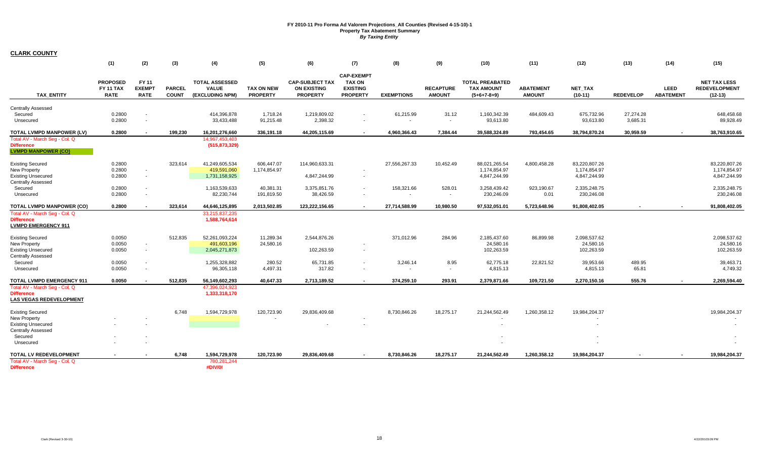|                                                                                                                           | (1)                                                | (2)                                   | (3)                           | (4)                                                      | (5)                                  | (6)                                                             | (7)                                                                      | (8)                                  | (9)                               | (10)                                                         | (11)                              | (12)                                          | (13)             | (14)                            | (15)                                                     |
|---------------------------------------------------------------------------------------------------------------------------|----------------------------------------------------|---------------------------------------|-------------------------------|----------------------------------------------------------|--------------------------------------|-----------------------------------------------------------------|--------------------------------------------------------------------------|--------------------------------------|-----------------------------------|--------------------------------------------------------------|-----------------------------------|-----------------------------------------------|------------------|---------------------------------|----------------------------------------------------------|
| <b>TAX ENTITY</b>                                                                                                         | <b>PROPOSED</b><br><b>FY 11 TAX</b><br><b>RATE</b> | FY 11<br><b>EXEMPT</b><br><b>RATE</b> | <b>PARCEL</b><br><b>COUNT</b> | <b>TOTAL ASSESSED</b><br><b>VALUE</b><br>(EXCLUDING NPM) | <b>TAX ON NEW</b><br><b>PROPERTY</b> | <b>CAP-SUBJECT TAX</b><br><b>ON EXISTING</b><br><b>PROPERTY</b> | <b>CAP-EXEMPT</b><br><b>TAX ON</b><br><b>EXISTING</b><br><b>PROPERTY</b> | <b>EXEMPTIONS</b>                    | <b>RECAPTURE</b><br><b>AMOUNT</b> | <b>TOTAL PREABATED</b><br><b>TAX AMOUNT</b><br>$(5+6+7-8+9)$ | <b>ABATEMENT</b><br><b>AMOUNT</b> | <b>NET TAX</b><br>$(10-11)$                   | <b>REDEVELOP</b> | <b>LEED</b><br><b>ABATEMENT</b> | <b>NET TAX LESS</b><br><b>REDEVELOPMENT</b><br>$(12-13)$ |
| <b>Centrally Assessed</b><br>Secured                                                                                      | 0.2800                                             |                                       |                               | 414,396,878                                              | 1,718.24                             | 1,219,809.02                                                    |                                                                          | 61,215.99                            | 31.12                             | 1,160,342.39                                                 | 484,609.43                        | 675,732.96                                    | 27,274.28        |                                 | 648,458.68                                               |
| Unsecured                                                                                                                 | 0.2800                                             |                                       |                               | 33,433,488                                               | 91,215.48                            | 2,398.32                                                        | $\sim$                                                                   | $\overline{\phantom{a}}$             | $\sim$                            | 93,613.80                                                    |                                   | 93,613.80                                     | 3,685.31         |                                 | 89,928.49                                                |
| TOTAL LVMPD MANPOWER (LV)<br>Total AV - March Seg - Col. Q<br><b>Difference</b><br><b>LVMPD MANPOWER (CO)</b>             | 0.2800                                             |                                       | 199.230                       | 16,201,276,660<br>14,967,453,403<br>(515, 873, 329)      | 336,191.18                           | 44,205,115.69                                                   | $\sim$                                                                   | 4,960,366.43                         | 7,384.44                          | 39,588,324.89                                                | 793,454.65                        | 38,794,870.24                                 | 30,959.59        | $\sim$                          | 38,763,910.65                                            |
| <b>Existing Secured</b><br><b>New Property</b><br><b>Existing Unsecured</b><br><b>Centrally Assessed</b>                  | 0.2800<br>0.2800<br>0.2800                         | $\sim$                                | 323,614                       | 41,249,605,534<br>419,591,060<br>1,731,158,925           | 606,447.07<br>1,174,854.97           | 114,960,633.31<br>4,847,244.99                                  |                                                                          | 27,556,267.33                        | 10,452.49                         | 88,021,265.54<br>1,174,854.97<br>4,847,244.99                | 4,800,458.28                      | 83,220,807.26<br>1,174,854.97<br>4,847,244.99 |                  |                                 | 83,220,807.26<br>1,174,854.97<br>4,847,244.99            |
| Secured<br>Unsecured                                                                                                      | 0.2800<br>0.2800                                   |                                       |                               | 1,163,539,633<br>82,230,744                              | 40,381.31<br>191,819.50              | 3,375,851.76<br>38,426.59                                       | $\overline{\phantom{a}}$<br>$\overline{\phantom{a}}$                     | 158,321.66<br>$\sim$                 | 528.01<br>$\sim$                  | 3,258,439.42<br>230,246.09                                   | 923,190.67<br>0.01                | 2,335,248.75<br>230,246.08                    |                  |                                 | 2,335,248.75<br>230,246.08                               |
| <b>TOTAL LVMPD MANPOWER (CO)</b>                                                                                          | 0.2800                                             | $\overline{a}$                        | 323.614                       | 44,646,125,895                                           | 2,013,502.85                         | 123,222,156.65                                                  | $\sim$                                                                   | 27,714,588.99                        | 10,980.50                         | 97,532,051.01                                                | 5,723,648.96                      | 91,808,402.05                                 |                  | $\sim$                          | 91,808,402.05                                            |
| Total AV - March Seg - Col. Q<br><b>Difference</b><br><b>LVMPD EMERGENCY 911</b>                                          |                                                    |                                       |                               | 33,215,837,235<br>1,588,764,614                          |                                      |                                                                 |                                                                          |                                      |                                   |                                                              |                                   |                                               |                  |                                 |                                                          |
| <b>Existing Secured</b><br>New Property<br><b>Existing Unsecured</b><br>Centrally Assessed                                | 0.0050<br>0.0050<br>0.0050                         | $\sim$<br>$\sim$                      | 512,835                       | 52,261,093,224<br>491,603,196<br>2,045,271,873           | 11,289.34<br>24,580.16               | 2,544,876.26<br>102,263.59                                      | $\overline{\phantom{a}}$                                                 | 371,012.96                           | 284.96                            | 2,185,437.60<br>24,580.16<br>102,263.59                      | 86,899.98                         | 2,098,537.62<br>24,580.16<br>102,263.59       |                  |                                 | 2,098,537.62<br>24,580.16<br>102,263.59                  |
| Secured<br>Unsecured                                                                                                      | 0.0050<br>0.0050                                   |                                       |                               | 1,255,328,882<br>96,305,118                              | 280.52<br>4,497.31                   | 65,731.85<br>317.82                                             | $\overline{\phantom{a}}$<br>$\sim$                                       | 3,246.14<br>$\overline{\phantom{a}}$ | 8.95<br>$\sim$                    | 62,775.18<br>4,815.13                                        | 22,821.52                         | 39,953.66<br>4,815.13                         | 489.95<br>65.81  |                                 | 39,463.71<br>4,749.32                                    |
| <b>TOTAL LVMPD EMERGENCY 911</b>                                                                                          | 0.0050                                             |                                       | 512.835                       | 56,149,602,293                                           | 40.647.33                            | 2,713,189.52                                                    |                                                                          | 374.259.10                           | 293.91                            | 2,379,871.66                                                 | 109.721.50                        | 2.270.150.16                                  | 555.76           | $\sim$                          | 2.269.594.40                                             |
| Total AV - March Seg - Col. Q<br><b>Difference</b><br>LAS VEGAS REDEVELOPMENT                                             |                                                    |                                       |                               | 47,396,024,923<br>1,333,318,170                          |                                      |                                                                 |                                                                          |                                      |                                   |                                                              |                                   |                                               |                  |                                 |                                                          |
| <b>Existing Secured</b><br>New Property<br><b>Existing Unsecured</b><br><b>Centrally Assessed</b><br>Secured<br>Unsecured |                                                    |                                       | 6,748                         | 1,594,729,978                                            | 120,723.90                           | 29,836,409.68                                                   |                                                                          | 8,730,846.26                         | 18,275.17                         | 21,244,562.49                                                | 1,260,358.12                      | 19,984,204.37                                 |                  |                                 | 19,984,204.37                                            |
| TOTAL LV REDEVELOPMENT<br>Total AV - March Seg - Col. Q<br><b>Difference</b>                                              |                                                    |                                       | 6,748                         | 1,594,729,978<br>780,281,244<br>#DIV/0!                  | 120,723.90                           | 29,836,409.68                                                   |                                                                          | 8,730,846.26                         | 18,275.17                         | 21,244,562.49                                                | 1,260,358.12                      | 19,984,204.37                                 |                  |                                 | 19,984,204.37                                            |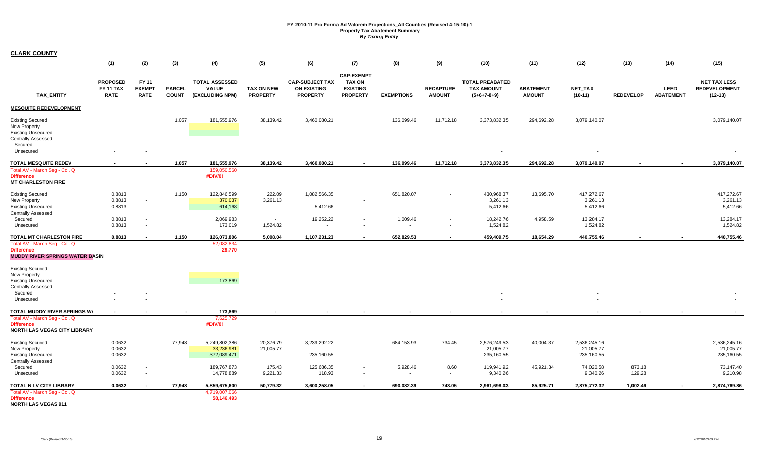|                                                 | (1)                                         | (2)                                   | (3)                           | (4)                                                      | (5)                                  | (6)                                                             | (7)                                                                      | (8)                      | (9)                               | (10)                                                         | (11)                              | (12)                        | (13)             | (14)                     | (15)                                                     |
|-------------------------------------------------|---------------------------------------------|---------------------------------------|-------------------------------|----------------------------------------------------------|--------------------------------------|-----------------------------------------------------------------|--------------------------------------------------------------------------|--------------------------|-----------------------------------|--------------------------------------------------------------|-----------------------------------|-----------------------------|------------------|--------------------------|----------------------------------------------------------|
| <b>TAX ENTITY</b>                               | <b>PROPOSED</b><br>FY 11 TAX<br><b>RATE</b> | FY 11<br><b>EXEMPT</b><br><b>RATE</b> | <b>PARCEL</b><br><b>COUNT</b> | <b>TOTAL ASSESSED</b><br><b>VALUE</b><br>(EXCLUDING NPM) | <b>TAX ON NEW</b><br><b>PROPERTY</b> | <b>CAP-SUBJECT TAX</b><br><b>ON EXISTING</b><br><b>PROPERTY</b> | <b>CAP-EXEMPT</b><br><b>TAX ON</b><br><b>EXISTING</b><br><b>PROPERTY</b> | <b>EXEMPTIONS</b>        | <b>RECAPTURE</b><br><b>AMOUNT</b> | <b>TOTAL PREABATED</b><br><b>TAX AMOUNT</b><br>$(5+6+7-8+9)$ | <b>ABATEMENT</b><br><b>AMOUNT</b> | <b>NET TAX</b><br>$(10-11)$ | <b>REDEVELOP</b> | LEED<br><b>ABATEMENT</b> | <b>NET TAX LESS</b><br><b>REDEVELOPMENT</b><br>$(12-13)$ |
| <b>MESQUITE REDEVELOPMENT</b>                   |                                             |                                       |                               |                                                          |                                      |                                                                 |                                                                          |                          |                                   |                                                              |                                   |                             |                  |                          |                                                          |
| <b>Existing Secured</b>                         |                                             |                                       | 1,057                         | 181,555,976                                              | 38,139.42                            | 3,460,080.21                                                    |                                                                          | 136,099.46               | 11,712.18                         | 3,373,832.35                                                 | 294,692.28                        | 3,079,140.07                |                  |                          | 3,079,140.07                                             |
| New Property                                    |                                             |                                       |                               |                                                          |                                      |                                                                 |                                                                          |                          |                                   |                                                              |                                   |                             |                  |                          |                                                          |
| <b>Existing Unsecured</b>                       |                                             |                                       |                               |                                                          |                                      |                                                                 |                                                                          |                          |                                   |                                                              |                                   |                             |                  |                          |                                                          |
| <b>Centrally Assessed</b>                       |                                             |                                       |                               |                                                          |                                      |                                                                 |                                                                          |                          |                                   |                                                              |                                   |                             |                  |                          |                                                          |
| Secured                                         |                                             |                                       |                               |                                                          |                                      |                                                                 |                                                                          |                          |                                   |                                                              |                                   |                             |                  |                          |                                                          |
| Unsecured                                       |                                             |                                       |                               |                                                          |                                      |                                                                 |                                                                          |                          |                                   |                                                              |                                   |                             |                  |                          |                                                          |
| <b>TOTAL MESQUITE REDEV</b>                     |                                             |                                       | 1,057                         | 181,555,976                                              | 38,139.42                            | 3,460,080.21                                                    |                                                                          | 136,099.46               | 11,712.18                         | 3,373,832.35                                                 | 294,692.28                        | 3,079,140.07                |                  |                          | 3,079,140.07                                             |
| Total AV - March Seg - Col. Q                   |                                             |                                       |                               | 159,050,560                                              |                                      |                                                                 |                                                                          |                          |                                   |                                                              |                                   |                             |                  |                          |                                                          |
| <b>Difference</b><br><b>MT CHARLESTON FIRE</b>  |                                             |                                       |                               | #DIV/0!                                                  |                                      |                                                                 |                                                                          |                          |                                   |                                                              |                                   |                             |                  |                          |                                                          |
| <b>Existing Secured</b>                         | 0.8813                                      |                                       | 1,150                         | 122,846,599                                              | 222.09                               | 1,082,566.35                                                    |                                                                          | 651,820.07               |                                   | 430,968.37                                                   | 13,695.70                         | 417,272.67                  |                  |                          | 417,272.67                                               |
| New Property                                    | 0.8813                                      | $\sim$                                |                               | 370,037                                                  | 3,261.13                             |                                                                 |                                                                          |                          |                                   | 3,261.13                                                     |                                   | 3,261.13                    |                  |                          | 3,261.13                                                 |
| <b>Existing Unsecured</b>                       | 0.8813                                      | $\sim$                                |                               | 614,168                                                  |                                      | 5,412.66                                                        | $\overline{\phantom{a}}$                                                 |                          |                                   | 5,412.66                                                     |                                   | 5,412.66                    |                  |                          | 5,412.66                                                 |
| <b>Centrally Assessed</b>                       |                                             |                                       |                               |                                                          |                                      |                                                                 |                                                                          |                          |                                   |                                                              |                                   |                             |                  |                          |                                                          |
| Secured                                         | 0.8813                                      | $\overline{\phantom{a}}$              |                               | 2,069,983                                                | $\sim$                               | 19,252.22                                                       | $\sim$                                                                   | 1,009.46                 |                                   | 18,242.76                                                    | 4,958.59                          | 13,284.17                   |                  |                          | 13,284.17                                                |
| Unsecured                                       | 0.8813                                      | $\overline{\phantom{a}}$              |                               | 173,019                                                  | 1,524.82                             | $\sim$                                                          |                                                                          | $\overline{\phantom{a}}$ |                                   | 1,524.82                                                     |                                   | 1,524.82                    |                  |                          | 1,524.82                                                 |
| TOTAL MT CHARLESTON FIRE                        | 0.8813                                      | $\overline{\phantom{a}}$              | 1,150                         | 126,073,806                                              | 5,008.04                             | 1,107,231.23                                                    | $\sim$                                                                   | 652,829.53               | $\sim$                            | 459,409.75                                                   | 18,654.29                         | 440,755.46                  |                  |                          | 440,755.46                                               |
| Total AV - March Seg - Col. Q                   |                                             |                                       |                               | 52,082,834                                               |                                      |                                                                 |                                                                          |                          |                                   |                                                              |                                   |                             |                  |                          |                                                          |
| <b>Difference</b>                               |                                             |                                       |                               | 29,770                                                   |                                      |                                                                 |                                                                          |                          |                                   |                                                              |                                   |                             |                  |                          |                                                          |
| <b>MUDDY RIVER SPRINGS WATER BASIN</b>          |                                             |                                       |                               |                                                          |                                      |                                                                 |                                                                          |                          |                                   |                                                              |                                   |                             |                  |                          |                                                          |
| <b>Existing Secured</b>                         |                                             |                                       |                               |                                                          |                                      |                                                                 |                                                                          |                          |                                   |                                                              |                                   |                             |                  |                          |                                                          |
| New Property                                    |                                             |                                       |                               |                                                          |                                      |                                                                 |                                                                          |                          |                                   |                                                              |                                   |                             |                  |                          |                                                          |
| <b>Existing Unsecured</b>                       |                                             |                                       |                               | 173,869                                                  |                                      |                                                                 |                                                                          |                          |                                   |                                                              |                                   |                             |                  |                          |                                                          |
| <b>Centrally Assessed</b>                       |                                             |                                       |                               |                                                          |                                      |                                                                 |                                                                          |                          |                                   |                                                              |                                   |                             |                  |                          |                                                          |
| Secured                                         |                                             |                                       |                               |                                                          |                                      |                                                                 |                                                                          |                          |                                   |                                                              |                                   |                             |                  |                          |                                                          |
| Unsecured                                       |                                             |                                       |                               |                                                          |                                      |                                                                 |                                                                          |                          |                                   |                                                              |                                   |                             |                  |                          |                                                          |
| TOTAL MUDDY RIVER SPRINGS W/                    |                                             |                                       |                               | 173,869                                                  |                                      |                                                                 |                                                                          |                          |                                   |                                                              |                                   |                             |                  |                          |                                                          |
| Total AV - March Seg - Col. Q                   |                                             |                                       |                               | 7,625,729                                                |                                      |                                                                 |                                                                          |                          |                                   |                                                              |                                   |                             |                  |                          |                                                          |
| <b>Difference</b>                               |                                             |                                       |                               | #DIV/0!                                                  |                                      |                                                                 |                                                                          |                          |                                   |                                                              |                                   |                             |                  |                          |                                                          |
| <b>NORTH LAS VEGAS CITY LIBRARY</b>             |                                             |                                       |                               |                                                          |                                      |                                                                 |                                                                          |                          |                                   |                                                              |                                   |                             |                  |                          |                                                          |
| <b>Existing Secured</b>                         | 0.0632                                      |                                       | 77,948                        | 5,249,802,386                                            | 20,376.79                            | 3,239,292.22                                                    |                                                                          | 684,153.93               | 734.45                            | 2,576,249.53                                                 | 40,004.37                         | 2,536,245.16                |                  |                          | 2,536,245.16                                             |
| <b>New Property</b>                             | 0.0632                                      | $\sim$                                |                               | 33,236,981                                               | 21,005.77                            |                                                                 |                                                                          |                          |                                   | 21,005.77                                                    |                                   | 21,005.77                   |                  |                          | 21,005.77                                                |
| <b>Existing Unsecured</b>                       | 0.0632                                      | $\overline{\phantom{a}}$              |                               | 372,089,471                                              |                                      | 235,160.55                                                      | $\overline{\phantom{a}}$                                                 |                          |                                   | 235,160.55                                                   |                                   | 235,160.55                  |                  |                          | 235,160.55                                               |
| <b>Centrally Assessed</b>                       |                                             |                                       |                               |                                                          |                                      |                                                                 |                                                                          |                          |                                   |                                                              |                                   |                             |                  |                          |                                                          |
| Secured                                         | 0.0632                                      |                                       |                               | 189,767,873                                              | 175.43                               | 125,686.35                                                      | $\sim$                                                                   | 5,928.46                 | 8.60                              | 119,941.92                                                   | 45,921.34                         | 74,020.58                   | 873.18           |                          | 73,147.40                                                |
| Unsecured                                       | 0.0632                                      | $\overline{\phantom{a}}$              |                               | 14,778,889                                               | 9,221.33                             | 118.93                                                          | $\overline{\phantom{a}}$                                                 | $\overline{\phantom{a}}$ | $\sim$                            | 9,340.26                                                     |                                   | 9,340.26                    | 129.28           |                          | 9,210.98                                                 |
| TOTAL N LV CITY LIBRARY                         | 0.0632                                      |                                       | 77,948                        | 5,859,675,600                                            | 50,779.32                            | 3,600,258.05                                                    | $\sim$                                                                   | 690,082.39               | 743.05                            | 2,961,698.03                                                 | 85,925.71                         | 2,875,772.32                | 1,002.46         |                          | 2,874,769.86                                             |
| Total AV - March Seg - Col. Q                   |                                             |                                       |                               | 4,719,007,066                                            |                                      |                                                                 |                                                                          |                          |                                   |                                                              |                                   |                             |                  |                          |                                                          |
| <b>Difference</b><br><b>NORTH LAS VEGAS 911</b> |                                             |                                       |                               | 58,146,493                                               |                                      |                                                                 |                                                                          |                          |                                   |                                                              |                                   |                             |                  |                          |                                                          |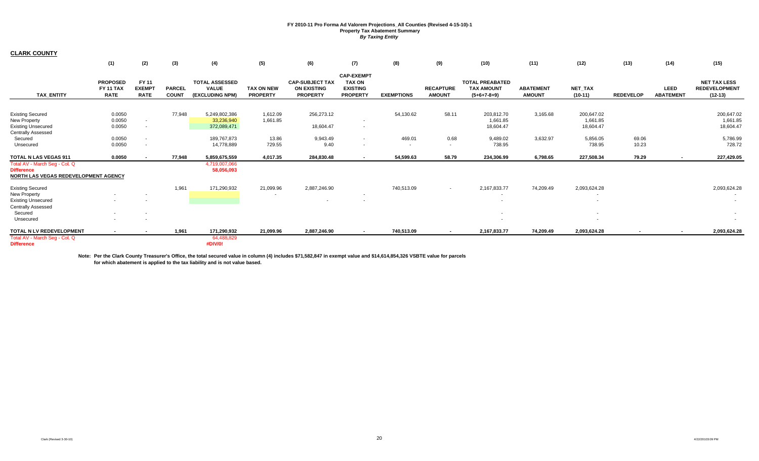**CLARK COUNTY**

|                                                                                                   | (1)                                                | (2)                                   | (3)                           | (4)                                                      | (5)                                  | (6)                                                             | (7)                                                                      | (8)                                | (9)                               | (10)                                                         | (11)                              | (12)                                | (13)             | (14)                     | (15)                                                     |
|---------------------------------------------------------------------------------------------------|----------------------------------------------------|---------------------------------------|-------------------------------|----------------------------------------------------------|--------------------------------------|-----------------------------------------------------------------|--------------------------------------------------------------------------|------------------------------------|-----------------------------------|--------------------------------------------------------------|-----------------------------------|-------------------------------------|------------------|--------------------------|----------------------------------------------------------|
| <b>TAX ENTITY</b>                                                                                 | <b>PROPOSED</b><br><b>FY 11 TAX</b><br><b>RATE</b> | FY 11<br><b>EXEMPT</b><br><b>RATE</b> | <b>PARCEL</b><br><b>COUNT</b> | <b>TOTAL ASSESSED</b><br><b>VALUE</b><br>(EXCLUDING NPM) | <b>TAX ON NEW</b><br><b>PROPERTY</b> | <b>CAP-SUBJECT TAX</b><br><b>ON EXISTING</b><br><b>PROPERTY</b> | <b>CAP-EXEMPT</b><br><b>TAX ON</b><br><b>EXISTING</b><br><b>PROPERTY</b> | <b>EXEMPTIONS</b>                  | <b>RECAPTURE</b><br><b>AMOUNT</b> | <b>TOTAL PREABATED</b><br><b>TAX AMOUNT</b><br>$(5+6+7-8+9)$ | <b>ABATEMENT</b><br><b>AMOUNT</b> | NET_TAX<br>$(10-11)$                | <b>REDEVELOP</b> | LEED<br><b>ABATEMENT</b> | <b>NET TAX LESS</b><br><b>REDEVELOPMENT</b><br>$(12-13)$ |
|                                                                                                   |                                                    |                                       |                               |                                                          |                                      |                                                                 |                                                                          |                                    |                                   |                                                              |                                   |                                     |                  |                          |                                                          |
| <b>Existing Secured</b><br>New Property<br><b>Existing Unsecured</b><br><b>Centrally Assessed</b> | 0.0050<br>0.0050<br>0.0050                         | $\sim$                                | 77,948                        | 5,249,802,386<br>33,236,940<br>372,089,471               | 1,612.09<br>1,661.85                 | 256,273.12<br>18,604.47                                         | $\sim$                                                                   | 54,130.62                          | 58.11                             | 203,812.70<br>1,661.85<br>18,604.47                          | 3,165.68                          | 200,647.02<br>1,661.85<br>18,604.47 |                  |                          | 200,647.02<br>1,661.85<br>18,604.47                      |
| Secured<br>Unsecured                                                                              | 0.0050<br>0.0050                                   | $\sim$                                |                               | 189,767,873<br>14,778,889                                | 13.86<br>729.55                      | 9,943.49<br>9.40                                                | $\sim$<br>$\overline{\phantom{a}}$                                       | 469.01<br>$\overline{\phantom{a}}$ | 0.68<br>$\sim$                    | 9,489.02<br>738.95                                           | 3,632.97                          | 5,856.05<br>738.95                  | 69.06<br>10.23   |                          | 5,786.99<br>728.72                                       |
| <b>TOTAL N LAS VEGAS 911</b>                                                                      | 0.0050                                             |                                       | 77,948                        | 5,859,675,559                                            | 4,017.35                             | 284,830.48                                                      | $\sim$                                                                   | 54,599.63                          | 58.79                             | 234,306.99                                                   | 6,798.65                          | 227,508.34                          | 79.29            | $\sim$                   | 227,429.05                                               |
| Total AV - March Seg - Col. Q<br><b>Difference</b><br>NORTH LAS VEGAS REDEVELOPMENT AGENCY        |                                                    |                                       |                               | 4,719,007,066<br>58,056,093                              |                                      |                                                                 |                                                                          |                                    |                                   |                                                              |                                   |                                     |                  |                          |                                                          |
| <b>Existing Secured</b><br>New Property<br><b>Existing Unsecured</b><br><b>Centrally Assessed</b> |                                                    |                                       | 1,961                         | 171,290,932                                              | 21,099.96                            | 2,887,246.90                                                    |                                                                          | 740,513.09                         | $\sim$                            | 2,167,833.77                                                 | 74,209.49                         | 2,093,624.28                        |                  |                          | 2,093,624.28                                             |
| Secured<br>Unsecured                                                                              |                                                    |                                       |                               |                                                          |                                      |                                                                 |                                                                          |                                    |                                   |                                                              |                                   | $\sim$                              |                  |                          |                                                          |
| TOTAL N LV REDEVELOPMENT                                                                          |                                                    |                                       | 1,961                         | 171,290,932                                              | 21,099.96                            | 2,887,246.90                                                    |                                                                          | 740,513.09                         |                                   | 2,167,833.77                                                 | 74,209.49                         | 2,093,624.28                        |                  |                          | 2,093,624.28                                             |
| Total AV - March Seg - Col. Q<br><b>Difference</b>                                                |                                                    |                                       |                               | 64,488,829<br>#DIV/0!                                    |                                      |                                                                 |                                                                          |                                    |                                   |                                                              |                                   |                                     |                  |                          |                                                          |

**Note: Per the Clark County Treasurer's Office, the total secured value in column (4) includes \$71,582,847 in exempt value and \$14,614,854,326 VSBTE value for parcels for which abatement is applied to the tax liability and is not value based.**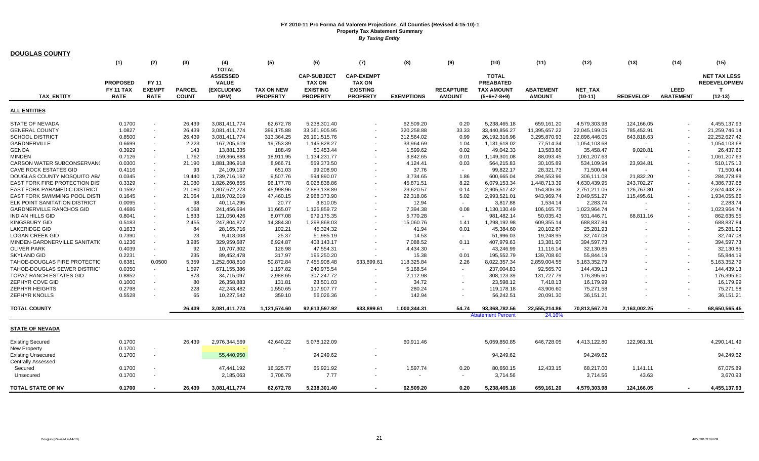| <b>DOUGLAS COUNTY</b>                                  |                                                    |                                              |                               |                                                                              |                                      |                                                                           |                                                                          |                   |                                   |                                                                        |                                   |                             |                  |                                 |                                                              |
|--------------------------------------------------------|----------------------------------------------------|----------------------------------------------|-------------------------------|------------------------------------------------------------------------------|--------------------------------------|---------------------------------------------------------------------------|--------------------------------------------------------------------------|-------------------|-----------------------------------|------------------------------------------------------------------------|-----------------------------------|-----------------------------|------------------|---------------------------------|--------------------------------------------------------------|
|                                                        | (1)                                                | (2)                                          | (3)                           | (4)                                                                          | (5)                                  | (6)                                                                       | (7)                                                                      | (8)               | (9)                               | (10)                                                                   | (11)                              | (12)                        | (13)             | (14)                            | (15)                                                         |
| <b>TAX ENTITY</b>                                      | <b>PROPOSED</b><br><b>FY 11 TAX</b><br><b>RATE</b> | <b>FY 11</b><br><b>EXEMPT</b><br><b>RATE</b> | <b>PARCEL</b><br><b>COUNT</b> | <b>TOTAL</b><br><b>ASSESSED</b><br><b>VALUE</b><br><b>(EXCLUDING</b><br>NPM) | <b>TAX ON NEW</b><br><b>PROPERTY</b> | <b>CAP-SUBJECT</b><br><b>TAX ON</b><br><b>EXISTING</b><br><b>PROPERTY</b> | <b>CAP-EXEMPT</b><br><b>TAX ON</b><br><b>EXISTING</b><br><b>PROPERTY</b> | <b>EXEMPTIONS</b> | <b>RECAPTURE</b><br><b>AMOUNT</b> | <b>TOTAL</b><br><b>PREABATED</b><br><b>TAX AMOUNT</b><br>$(5+6+7-8+9)$ | <b>ABATEMENT</b><br><b>AMOUNT</b> | <b>NET TAX</b><br>$(10-11)$ | <b>REDEVELOP</b> | <b>LEED</b><br><b>ABATEMENT</b> | <b>NET TAX LESS</b><br><b>REDEVELOPMEN</b><br>т<br>$(12-13)$ |
| <b>ALL ENTITIES</b>                                    |                                                    |                                              |                               |                                                                              |                                      |                                                                           |                                                                          |                   |                                   |                                                                        |                                   |                             |                  |                                 |                                                              |
| <b>STATE OF NEVADA</b>                                 | 0.1700                                             |                                              | 26,439                        | 3,081,411,774                                                                | 62,672.78                            | 5,238,301.40                                                              |                                                                          | 62,509.20         | 0.20                              | 5,238,465.18                                                           | 659,161.20                        | 4,579,303.98                | 124,166.05       |                                 | 4,455,137.93                                                 |
| <b>GENERAL COUNTY</b>                                  | 1.0827                                             |                                              | 26,439                        | 3,081,411,774                                                                | 399,175.88                           | 33,361,905.95                                                             |                                                                          | 320,258.88        | 33.33                             | 33,440,856.27                                                          | 11,395,657.22                     | 22,045,199.05               | 785,452.91       |                                 | 21,259,746.14                                                |
| <b>SCHOOL DISTRICT</b>                                 | 0.8500                                             |                                              | 26,439                        | 3,081,411,774                                                                | 313,364.25                           | 26, 191, 515. 76                                                          |                                                                          | 312,564.02        | 0.99                              | 26,192,316.98                                                          | 3,295,870.93                      | 22,896,446.05               | 643,818.63       |                                 | 22,252,627.42                                                |
| GARDNERVILLE                                           | 0.6699                                             | $\sim$                                       | 2,223                         | 167,205,619                                                                  | 19,753.39                            | 1,145,828.27                                                              |                                                                          | 33,964.69         | 1.04                              | 1,131,618.02                                                           | 77,514.34                         | 1,054,103.68                | $\sim$           |                                 | 1,054,103.68                                                 |
| <b>GENOA</b>                                           | 0.3929                                             |                                              | 143                           | 13,881,335                                                                   | 188.49                               | 50,453.44                                                                 |                                                                          | 1,599.62          | 0.02                              | 49,042.33                                                              | 13,583.86                         | 35,458.47                   | 9,020.81         |                                 | 26,437.66                                                    |
| <b>MINDEN</b>                                          | 0.7126                                             | $\sim$                                       | 1,762                         | 159,366,883                                                                  | 18,911.95                            | 1,134,231.77                                                              |                                                                          | 3,842.65          | 0.01                              | 1,149,301.08                                                           | 88,093.45                         | 1,061,207.63                |                  |                                 | 1,061,207.63                                                 |
| CARSON WATER SUBCONSERVANG                             | 0.0300                                             |                                              | 21,190                        | 1,881,386,918                                                                | 8,966.71                             | 559,373.50                                                                |                                                                          | 4,124.41          | 0.03                              | 564,215.83                                                             | 30,105.89                         | 534,109.94                  | 23,934.81        |                                 | 510,175.13                                                   |
| <b>CAVE ROCK ESTATES GID</b>                           | 0.4116                                             | $\sim$                                       | 93                            | 24,109,137                                                                   | 651.03                               | 99,208.90                                                                 |                                                                          | 37.76             | $\sim$                            | 99,822.17                                                              | 28,321.73                         | 71,500.44                   |                  |                                 | 71,500.44                                                    |
| DOUGLAS COUNTY MOSQUITO AB/                            | 0.0345                                             |                                              | 19.440                        | 1,739,716,162                                                                | 9,507.76                             | 594,890.07                                                                |                                                                          | 3,734.65          | 1.86                              | 600,665.04                                                             | 294,553.96                        | 306,111.08                  | 21,832.20        |                                 | 284,278.88                                                   |
| <b>EAST FORK FIRE PROTECTION DIS</b>                   | 0.3329                                             |                                              | 21,080                        | 1,826,260,855                                                                | 96,177.78                            | 6,028,838.86                                                              |                                                                          | 45,871.51         | 8.22                              | 6,079,153.34                                                           | 1,448,713.39                      | 4,630,439.95                | 243,702.27       |                                 | 4,386,737.68                                                 |
| <b>EAST FORK PARAMEDIC DISTRICT</b>                    | 0.1592                                             |                                              | 21,080                        | 1,807,672,273                                                                | 45,998.96                            |                                                                           |                                                                          | 23,620.57         | 0.14                              | 2,905,517.42                                                           | 154,306.36                        |                             | 126,767.80       |                                 | 2,624,443.26                                                 |
| EAST FORK SWIMMING POOL DISTI                          | 0.1645                                             |                                              |                               | 1,819,702,019                                                                |                                      | 2,883,138.89                                                              |                                                                          | 22,318.06         | 5.02                              | 2,993,521.01                                                           | 943,969.74                        | 2,751,211.06                |                  |                                 |                                                              |
|                                                        |                                                    |                                              | 21,064                        |                                                                              | 47,460.15                            | 2,968,373.90                                                              |                                                                          |                   | $\sim$                            |                                                                        |                                   | 2,049,551.27                | 115,495.61       |                                 | 1,934,055.66                                                 |
| ELK POINT SANITATION DISTRICT                          | 0.0095                                             | $\overline{\phantom{a}}$                     | 98                            | 40,114,295                                                                   | 20.77                                | 3,810.05                                                                  |                                                                          | 12.94             |                                   | 3,817.88                                                               | 1,534.14                          | 2,283.74                    | $\sim$           |                                 | 2,283.74                                                     |
| <b>GARDNERVILLE RANCHOS GID</b>                        | 0.4686                                             |                                              | 4,068                         | 241,456,694                                                                  | 11,665.07                            | 1,125,859.72                                                              |                                                                          | 7,394.38          | 0.08                              | 1,130,130.49                                                           | 106,165.75                        | 1,023,964.74                | $\sim$           |                                 | 1,023,964.74                                                 |
| <b>INDIAN HILLS GID</b>                                | 0.8041                                             |                                              | 1,833                         | 121,050,426                                                                  | 8,077.08                             | 979,175.35                                                                |                                                                          | 5,770.28          |                                   | 981,482.14                                                             | 50,035.43                         | 931,446.71                  | 68,811.16        |                                 | 862,635.55                                                   |
| <b>KINGSBURY GID</b>                                   | 0.5183                                             |                                              | 2,455                         | 247,804,877                                                                  | 14,384.30                            | 1,298,868.03                                                              |                                                                          | 15,060.76         | 1.41                              | 1,298,192.98                                                           | 609,355.14                        | 688,837.84                  |                  |                                 | 688,837.84                                                   |
| <b>LAKERIDGE GID</b>                                   | 0.1633                                             |                                              | 84                            | 28,165,716                                                                   | 102.21                               | 45,324.32                                                                 |                                                                          | 41.94             | 0.01                              | 45,384.60                                                              | 20,102.67                         | 25,281.93                   |                  |                                 | 25,281.93                                                    |
| <b>LOGAN CREEK GID</b>                                 | 0.7390                                             |                                              | 23                            | 9,418,003                                                                    | 25.37                                | 51,985.19                                                                 |                                                                          | 14.53             |                                   | 51,996.03                                                              | 19,248.95                         | 32,747.08                   |                  |                                 | 32,747.08                                                    |
| MINDEN-GARDNERVILLE SANITATIO                          | 0.1236                                             |                                              | 3,985                         | 329,959,687                                                                  | 6,924.87                             | 408,143.17                                                                |                                                                          | 7,088.52          | 0.11                              | 407,979.63                                                             | 13,381.90                         | 394,597.73                  |                  |                                 | 394,597.73                                                   |
| <b>OLIVER PARK</b>                                     | 0.4039                                             | $\overline{\phantom{a}}$                     | 92                            | 10,707,302                                                                   | 126.98                               | 47,554.31                                                                 |                                                                          | 4,434.30          | $\sim$                            | 43,246.99                                                              | 11,116.14                         | 32,130.85                   |                  |                                 | 32,130.85                                                    |
| <b>SKYLAND GID</b>                                     | 0.2231                                             |                                              | 235                           | 89,452,478                                                                   | 317.97                               | 195,250.20                                                                |                                                                          | 15.38             | 0.01                              | 195,552.79                                                             | 139,708.60                        | 55,844.19                   |                  |                                 | 55,844.19                                                    |
| TAHOE-DOUGLAS FIRE PROTECTIC                           | 0.6381                                             | 0.0500                                       | 5,359                         | 1,252,608,810                                                                | 50,872.84                            | 7,455,908.48                                                              | 633,899.61                                                               | 118,325.84        | 2.26                              | 8,022,357.34                                                           | 2,859,004.55                      | 5,163,352.79                |                  |                                 | 5,163,352.79                                                 |
| TAHOE-DOUGLAS SEWER DISTRICT                           | 0.0350                                             |                                              | 1,597                         | 671,155,386                                                                  | 1,197.82                             | 240,975.54                                                                |                                                                          | 5,168.54          |                                   | 237,004.83                                                             | 92,565.70                         | 144,439.13                  |                  |                                 | 144,439.13                                                   |
| <b>TOPAZ RANCH ESTATES GID</b>                         | 0.8852                                             |                                              | 873                           | 34,715,097                                                                   | 2,988.65                             | 307,247.72                                                                |                                                                          | 2,112.98          |                                   | 308,123.39                                                             | 131,727.79                        | 176,395.60                  |                  |                                 | 176,395.60                                                   |
| ZEPHYR COVE GID                                        | 0.1000                                             |                                              | 80                            | 26,358,883                                                                   | 131.81                               | 23,501.03                                                                 |                                                                          | 34.72             |                                   | 23,598.12                                                              | 7,418.13                          | 16,179.99                   |                  |                                 | 16,179.99                                                    |
| <b>ZEPHYR HEIGHTS</b>                                  | 0.2798                                             |                                              | 228                           | 42,243,482                                                                   | 1,550.65                             | 117,907.77                                                                |                                                                          | 280.24            |                                   | 119,178.18                                                             | 43,906.60                         | 75,271.58                   |                  |                                 | 75,271.58                                                    |
| <b>ZEPHYR KNOLLS</b>                                   | 0.5528                                             |                                              | 65                            | 10,227,542                                                                   | 359.10                               | 56,026.36                                                                 |                                                                          | 142.94            |                                   | 56,242.51                                                              | 20,091.30                         | 36,151.21                   |                  |                                 | 36,151.21                                                    |
| <b>TOTAL COUNTY</b>                                    |                                                    |                                              | 26,439                        | 3,081,411,774                                                                | 1,121,574.60                         | 92,613,597.92                                                             | 633,899.61                                                               | 1,000,344.31      | 54.74                             | 93,368,782.56                                                          | 22,555,214.86                     | 70,813,567.70               | 2,163,002.25     |                                 | 68,650,565.45                                                |
|                                                        |                                                    |                                              |                               |                                                                              |                                      |                                                                           |                                                                          |                   |                                   | <b>Abatement Percent</b>                                               | 24.16%                            |                             |                  |                                 |                                                              |
| <b>STATE OF NEVADA</b>                                 |                                                    |                                              |                               |                                                                              |                                      |                                                                           |                                                                          |                   |                                   |                                                                        |                                   |                             |                  |                                 |                                                              |
| <b>Existing Secured</b>                                | 0.1700                                             |                                              | 26.439                        | 2,976,344,569                                                                | 42.640.22                            | 5,078,122.09                                                              |                                                                          | 60.911.46         |                                   | 5,059,850.85                                                           | 646,728.05                        | 4,413,122.80                | 122,981.31       |                                 | 4,290,141.49                                                 |
| New Property                                           | 0.1700                                             |                                              |                               |                                                                              |                                      |                                                                           |                                                                          |                   |                                   |                                                                        |                                   |                             |                  |                                 |                                                              |
| <b>Existing Unsecured</b><br><b>Centrally Assessed</b> | 0.1700                                             | $\sim$                                       |                               | 55,440,950                                                                   |                                      | 94,249.62                                                                 |                                                                          |                   |                                   | 94,249.62                                                              |                                   | 94,249.62                   |                  |                                 | 94,249.62                                                    |
| Secured                                                | 0.1700                                             |                                              |                               | 47,441,192                                                                   | 16,325.77                            | 65,921.92                                                                 |                                                                          | 1,597.74          | 0.20                              | 80,650.15                                                              | 12,433.15                         | 68,217.00                   | 1,141.11         |                                 | 67,075.89                                                    |
| Unsecured                                              | 0.1700                                             |                                              |                               | 2,185,063                                                                    | 3,706.79                             | 7.77                                                                      |                                                                          |                   | $\sim$                            | 3,714.56                                                               |                                   | 3,714.56                    | 43.63            |                                 | 3,670.93                                                     |
| <b>TOTAL STATE OF NV</b>                               | 0.1700                                             |                                              | 26.439                        | 3,081,411,774                                                                | 62.672.78                            | 5.238.301.40                                                              |                                                                          | 62.509.20         | 0.20                              | 5.238.465.18                                                           | 659.161.20                        | 4.579.303.98                | 124.166.05       |                                 | 4,455,137.93                                                 |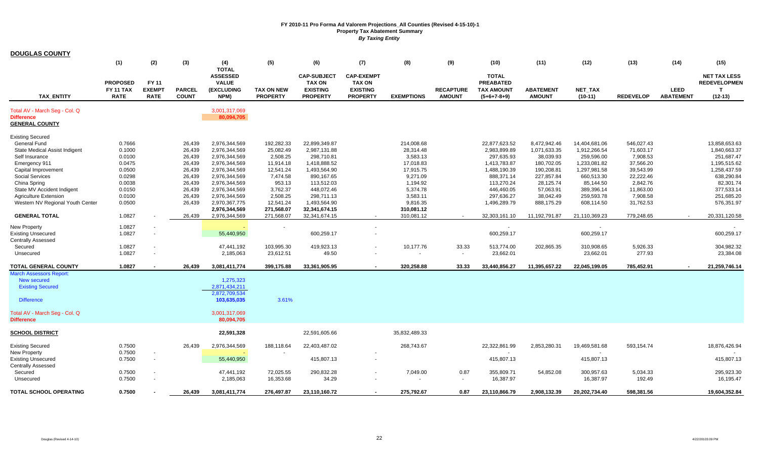| <b>DOUGLAS COUNTY</b>                                                                         |                                             |                                       |                                      |                                                                              |                                            |                                                                           |                                                                          |                                              |                                   |                                                                        |                                                   |                                                     |                                                |                                 |                                                                         |
|-----------------------------------------------------------------------------------------------|---------------------------------------------|---------------------------------------|--------------------------------------|------------------------------------------------------------------------------|--------------------------------------------|---------------------------------------------------------------------------|--------------------------------------------------------------------------|----------------------------------------------|-----------------------------------|------------------------------------------------------------------------|---------------------------------------------------|-----------------------------------------------------|------------------------------------------------|---------------------------------|-------------------------------------------------------------------------|
|                                                                                               | (1)                                         | (2)                                   | (3)                                  | (4)                                                                          | (5)                                        | (6)                                                                       | (7)                                                                      | (8)                                          | (9)                               | (10)                                                                   | (11)                                              | (12)                                                | (13)                                           | (14)                            | (15)                                                                    |
| <b>TAX ENTITY</b>                                                                             | <b>PROPOSED</b><br>FY 11 TAX<br><b>RATE</b> | FY 11<br><b>EXEMPT</b><br><b>RATE</b> | <b>PARCEL</b><br><b>COUNT</b>        | <b>TOTAL</b><br><b>ASSESSED</b><br><b>VALUE</b><br><b>(EXCLUDING</b><br>NPM) | <b>TAX ON NEW</b><br><b>PROPERTY</b>       | <b>CAP-SUBJECT</b><br><b>TAX ON</b><br><b>EXISTING</b><br><b>PROPERTY</b> | <b>CAP-EXEMPT</b><br><b>TAX ON</b><br><b>EXISTING</b><br><b>PROPERTY</b> | <b>EXEMPTIONS</b>                            | <b>RECAPTURE</b><br><b>AMOUNT</b> | <b>TOTAL</b><br><b>PREABATED</b><br><b>TAX AMOUNT</b><br>$(5+6+7-8+9)$ | <b>ABATEMENT</b><br><b>AMOUNT</b>                 | <b>NET TAX</b><br>$(10-11)$                         | <b>REDEVELOP</b>                               | <b>LEED</b><br><b>ABATEMENT</b> | <b>NET TAX LESS</b><br><b>REDEVELOPMEN</b><br>$\mathbf{T}$<br>$(12-13)$ |
|                                                                                               |                                             |                                       |                                      |                                                                              |                                            |                                                                           |                                                                          |                                              |                                   |                                                                        |                                                   |                                                     |                                                |                                 |                                                                         |
| Total AV - March Seg - Col. Q<br><b>Difference</b><br><b>GENERAL COUNTY</b>                   |                                             |                                       |                                      | 3,001,317,069<br>80,094,705                                                  |                                            |                                                                           |                                                                          |                                              |                                   |                                                                        |                                                   |                                                     |                                                |                                 |                                                                         |
| <b>Existing Secured</b>                                                                       |                                             |                                       |                                      |                                                                              |                                            |                                                                           |                                                                          |                                              |                                   |                                                                        |                                                   |                                                     |                                                |                                 |                                                                         |
| <b>General Fund</b><br>State Medical Assist Indigent<br>Self Insurance                        | 0.7666<br>0.1000<br>0.0100                  |                                       | 26,439<br>26,439<br>26,439           | 2,976,344,569<br>2,976,344,569<br>2,976,344,569                              | 192,282.33<br>25,082.49<br>2,508.25        | 22,899,349.87<br>2,987,131.88<br>298,710.81                               |                                                                          | 214,008.68<br>28,314.48<br>3,583.13          |                                   | 22,877,623.52<br>2,983,899.89<br>297,635.93                            | 8,472,942.46<br>1,071,633.35<br>38,039.93         | 14,404,681.06<br>1,912,266.54<br>259,596.00         | 546,027.43<br>71,603.17<br>7,908.53            |                                 | 13,858,653.63<br>1,840,663.37<br>251,687.47                             |
| Emergency 911<br>Capital Improvement                                                          | 0.0475<br>0.0500                            |                                       | 26,439<br>26,439                     | 2,976,344,569<br>2,976,344,569                                               | 11,914.18<br>12,541.24                     | 1,418,888.52<br>1,493,564.90                                              |                                                                          | 17,018.83<br>17,915.75                       |                                   | 1,413,783.87<br>1,488,190.39                                           | 180,702.05<br>190,208.81                          | 1,233,081.82<br>1,297,981.58                        | 37,566.20<br>39,543.99                         |                                 | 1,195,515.62<br>1,258,437.59                                            |
| Social Services<br>China Spring<br>State MV Accident Indigent<br><b>Agriculture Extension</b> | 0.0298<br>0.0038<br>0.0150<br>0.0100        |                                       | 26,439<br>26,439<br>26,439<br>26,439 | 2,976,344,569<br>2,976,344,569<br>2,976,344,569<br>2,976,344,569             | 7,474.58<br>953.13<br>3,762.37<br>2,508.25 | 890,167.65<br>113,512.03<br>448,072.46<br>298,711.13                      |                                                                          | 9,271.09<br>1,194.92<br>5,374.78<br>3,583.11 |                                   | 888,371.14<br>113,270.24<br>446,460.05<br>297,636.27                   | 227,857.84<br>28,125.74<br>57,063.91<br>38,042.49 | 660,513.30<br>85,144.50<br>389,396.14<br>259,593.78 | 22,222.46<br>2,842.76<br>11,863.00<br>7,908.58 |                                 | 638,290.84<br>82,301.74<br>377,533.14<br>251,685.20                     |
| Western NV Regional Youth Center                                                              | 0.0500                                      |                                       | 26,439                               | 2,970,367,775<br>2,976,344,569                                               | 12,541.24<br>271,568.07                    | 1,493,564.90<br>32,341,674.15                                             |                                                                          | 9,816.35<br>310,081.12                       |                                   | 1,496,289.79                                                           | 888,175.29                                        | 608,114.50                                          | 31,762.53                                      |                                 | 576,351.97                                                              |
| <b>GENERAL TOTAL</b>                                                                          | 1.0827                                      |                                       | 26,439                               | 2,976,344,569                                                                | 271,568.07                                 | 32,341,674.15                                                             |                                                                          | 310,081.12                                   |                                   | 32,303,161.10                                                          | 11,192,791.87                                     | 21,110,369.23                                       | 779,248.65                                     |                                 | 20,331,120.58                                                           |
| <b>New Property</b><br><b>Existing Unsecured</b><br>Centrally Assessed                        | 1.0827<br>1.0827                            | $\sim$                                |                                      | 55,440,950                                                                   |                                            | 600,259.17                                                                | $\overline{\phantom{a}}$                                                 |                                              |                                   | 600,259.17                                                             |                                                   | $\sim$<br>600,259.17                                |                                                |                                 | 600,259.17                                                              |
| Secured<br>Unsecured                                                                          | 1.0827<br>1.0827                            | $\overline{\phantom{a}}$              |                                      | 47,441,192<br>2,185,063                                                      | 103,995.30<br>23,612.51                    | 419,923.13<br>49.50                                                       |                                                                          | 10,177.76                                    | 33.33<br>$\blacksquare$           | 513,774.00<br>23,662.01                                                | 202,865.35                                        | 310,908.65<br>23,662.01                             | 5,926.33<br>277.93                             |                                 | 304,982.32<br>23,384.08                                                 |
| <b>TOTAL GENERAL COUNTY</b>                                                                   | 1.0827                                      |                                       | 26,439                               | 3,081,411,774                                                                | 399,175.88                                 | 33,361,905.95                                                             |                                                                          | 320,258.88                                   | 33.33                             | 33,440,856.27                                                          | 11,395,657.22                                     | 22,045,199.05                                       | 785,452.91                                     |                                 | 21,259,746.14                                                           |
| March Assessors Report:<br>New secured<br><b>Existing Secured</b><br><b>Difference</b>        |                                             |                                       |                                      | 1,275,323<br>2,871,434,211<br>2,872,709,534<br>103,635,035                   | 3.61%                                      |                                                                           |                                                                          |                                              |                                   |                                                                        |                                                   |                                                     |                                                |                                 |                                                                         |
| Total AV - March Seg - Col. Q<br><b>Difference</b>                                            |                                             |                                       |                                      | 3,001,317,069<br>80,094,705                                                  |                                            |                                                                           |                                                                          |                                              |                                   |                                                                        |                                                   |                                                     |                                                |                                 |                                                                         |
| SCHOOL DISTRICT                                                                               |                                             |                                       |                                      | 22,591,328                                                                   |                                            | 22,591,605.66                                                             |                                                                          | 35,832,489.33                                |                                   |                                                                        |                                                   |                                                     |                                                |                                 |                                                                         |
| <b>Existing Secured</b><br><b>New Property</b><br><b>Existing Unsecured</b>                   | 0.7500<br>0.7500<br>0.7500                  | $\sim$<br>$\overline{\phantom{a}}$    | 26,439                               | 2,976,344,569<br>55,440,950                                                  | 188,118.64                                 | 22,403,487.02<br>415,807.13                                               |                                                                          | 268,743.67                                   |                                   | 22,322,861.99<br>415,807.13                                            | 2,853,280.31                                      | 19,469,581.68<br>415,807.13                         | 593,154.74                                     |                                 | 18,876,426.94<br>415,807.13                                             |
| Centrally Assessed<br>Secured<br>Unsecured                                                    | 0.7500<br>0.7500                            | $\overline{\phantom{a}}$              |                                      | 47,441,192<br>2,185,063                                                      | 72,025.55<br>16,353.68                     | 290,832.28<br>34.29                                                       |                                                                          | 7,049.00                                     | 0.87<br>$\sim$                    | 355,809.71<br>16,387.97                                                | 54,852.08                                         | 300,957.63<br>16,387.97                             | 5,034.33<br>192.49                             |                                 | 295,923.30<br>16,195.47                                                 |
| TOTAL SCHOOL OPERATING                                                                        | 0.7500                                      |                                       | 26.439                               | 3,081,411,774                                                                | 276.497.87                                 | 23.110.160.72                                                             |                                                                          | 275,792.67                                   | 0.87                              | 23.110.866.79                                                          | 2.908.132.39                                      | 20.202.734.40                                       | 598.381.56                                     |                                 | 19.604.352.84                                                           |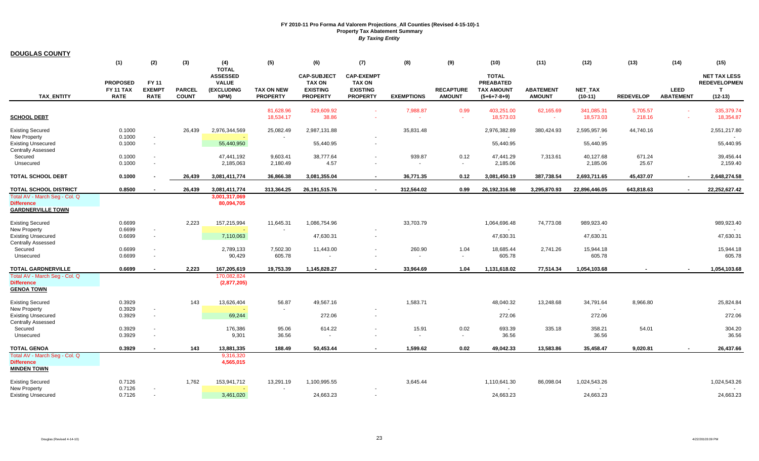| <b>DOUGLAS COUNTY</b>                                                          |                                     |                                    |               |                                               |                        |                                                        |                                                       |                    |                  |                                                       |                     |                         |                    |                  |                                                            |
|--------------------------------------------------------------------------------|-------------------------------------|------------------------------------|---------------|-----------------------------------------------|------------------------|--------------------------------------------------------|-------------------------------------------------------|--------------------|------------------|-------------------------------------------------------|---------------------|-------------------------|--------------------|------------------|------------------------------------------------------------|
|                                                                                | (1)                                 | (2)                                | (3)           | (4)<br><b>TOTAL</b>                           | (5)                    | (6)                                                    | (7)                                                   | (8)                | (9)              | (10)                                                  | (11)                | (12)                    | (13)               | (14)             | (15)                                                       |
|                                                                                | <b>PROPOSED</b><br><b>FY 11 TAX</b> | FY 11<br><b>EXEMPT</b>             | <b>PARCEL</b> | <b>ASSESSED</b><br><b>VALUE</b><br>(EXCLUDING | <b>TAX ON NEW</b>      | <b>CAP-SUBJECT</b><br><b>TAX ON</b><br><b>EXISTING</b> | <b>CAP-EXEMPT</b><br><b>TAX ON</b><br><b>EXISTING</b> |                    | <b>RECAPTURE</b> | <b>TOTAL</b><br><b>PREABATED</b><br><b>TAX AMOUNT</b> | <b>ABATEMENT</b>    | <b>NET TAX</b>          |                    | <b>LEED</b>      | <b>NET TAX LESS</b><br><b>REDEVELOPMEN</b><br>$\mathbf{T}$ |
| <b>TAX ENTITY</b>                                                              | <b>RATE</b>                         | <b>RATE</b>                        | <b>COUNT</b>  | NPM)                                          | <b>PROPERTY</b>        | <b>PROPERTY</b>                                        | <b>PROPERTY</b>                                       | <b>EXEMPTIONS</b>  | <b>AMOUNT</b>    | $(5+6+7-8+9)$                                         | <b>AMOUNT</b>       | $(10-11)$               | <b>REDEVELOP</b>   | <b>ABATEMENT</b> | $(12-13)$                                                  |
| <b>SCHOOL DEBT</b>                                                             |                                     |                                    |               |                                               | 81,628.96<br>18,534.17 | 329,609.92<br>38.86                                    |                                                       | 7,988.87<br>$\sim$ | 0.99<br>$\sim$   | 403,251.00<br>18,573.03                               | 62,165.69<br>$\sim$ | 341,085.31<br>18,573.03 | 5,705.57<br>218.16 | ÷.               | 335,379.74<br>18,354.87                                    |
| <b>Existing Secured</b>                                                        | 0.1000                              |                                    | 26,439        | 2,976,344,569                                 | 25,082.49              | 2,987,131.88                                           |                                                       | 35,831.48          |                  | 2,976,382.89                                          | 380,424.93          | 2,595,957.96            | 44,740.16          |                  | 2,551,217.80                                               |
| New Property<br><b>Existing Unsecured</b><br><b>Centrally Assessed</b>         | 0.1000<br>0.1000                    | $\overline{\phantom{a}}$<br>$\sim$ |               | 55,440,950                                    |                        | 55,440.95                                              | $\overline{\phantom{a}}$                              |                    |                  | 55,440.95                                             |                     | 55,440.95               |                    |                  | 55,440.95                                                  |
| Secured<br>Unsecured                                                           | 0.1000<br>0.1000                    | $\sim$                             |               | 47,441,192<br>2,185,063                       | 9,603.41<br>2,180.49   | 38,777.64<br>4.57                                      |                                                       | 939.87             | 0.12<br>$\sim$   | 47,441.29<br>2,185.06                                 | 7,313.61            | 40,127.68<br>2,185.06   | 671.24<br>25.67    |                  | 39,456.44<br>2,159.40                                      |
| <b>TOTAL SCHOOL DEBT</b>                                                       | 0.1000                              |                                    | 26,439        | 3,081,411,774                                 | 36,866.38              | 3,081,355.04                                           | $\sim$                                                | 36,771.35          | 0.12             | 3,081,450.19                                          | 387,738.54          | 2,693,711.65            | 45,437.07          | $\sim$           | 2,648,274.58                                               |
| TOTAL SCHOOL DISTRICT                                                          | 0.8500                              |                                    | 26,439        | 3,081,411,774                                 | 313,364.25             | 26, 191, 515.76                                        | $\blacksquare$                                        | 312,564.02         | 0.99             | 26,192,316.98                                         | 3,295,870.93        | 22,896,446.05           | 643,818.63         | $\sim$           | 22,252,627.42                                              |
| Total AV - March Seg - Col. Q<br><b>Difference</b><br><b>GARDNERVILLE TOWN</b> |                                     |                                    |               | 3,001,317,069<br>80,094,705                   |                        |                                                        |                                                       |                    |                  |                                                       |                     |                         |                    |                  |                                                            |
| <b>Existing Secured</b>                                                        | 0.6699                              |                                    | 2,223         | 157,215,994                                   | 11,645.31              | 1,086,754.96                                           |                                                       | 33,703.79          |                  | 1,064,696.48                                          | 74,773.08           | 989,923.40              |                    |                  | 989,923.40                                                 |
| <b>New Property</b><br><b>Existing Unsecured</b><br><b>Centrally Assessed</b>  | 0.6699<br>0.6699                    | $\sim$<br>$\overline{\phantom{a}}$ |               | 7,110,063                                     |                        | 47,630.31                                              |                                                       |                    |                  | 47,630.31                                             |                     | 47,630.31               |                    |                  | 47,630.31                                                  |
| Secured<br>Unsecured                                                           | 0.6699<br>0.6699                    | $\sim$<br>$\sim$                   |               | 2,789,133<br>90,429                           | 7,502.30<br>605.78     | 11,443.00                                              |                                                       | 260.90             | 1.04<br>$\sim$   | 18,685.44<br>605.78                                   | 2,741.26            | 15,944.18<br>605.78     |                    |                  | 15,944.18<br>605.78                                        |
| <b>TOTAL GARDNERVILLE</b>                                                      | 0.6699                              | $\overline{\phantom{a}}$           | 2,223         | 167,205,619                                   | 19,753.39              | 1,145,828.27                                           |                                                       | 33,964.69          | 1.04             | 1,131,618.02                                          | 77,514.34           | 1,054,103.68            |                    |                  | 1,054,103.68                                               |
| Total AV - March Seg - Col. Q<br><b>Difference</b><br><b>GENOA TOWN</b>        |                                     |                                    |               | 170,082,824<br>(2,877,205)                    |                        |                                                        |                                                       |                    |                  |                                                       |                     |                         |                    |                  |                                                            |
| <b>Existing Secured</b><br>New Property                                        | 0.3929<br>0.3929                    | $\overline{\phantom{a}}$           | 143           | 13,626,404                                    | 56.87                  | 49,567.16                                              |                                                       | 1,583.71           |                  | 48,040.32                                             | 13,248.68           | 34,791.64               | 8,966.80           |                  | 25,824.84                                                  |
| <b>Existing Unsecured</b><br><b>Centrally Assessed</b>                         | 0.3929                              | $\overline{\phantom{a}}$           |               | 69,244                                        |                        | 272.06                                                 |                                                       |                    |                  | 272.06                                                |                     | 272.06                  |                    |                  | 272.06                                                     |
| Secured<br>Unsecured                                                           | 0.3929<br>0.3929                    | $\sim$<br>$\sim$                   |               | 176,386<br>9,301                              | 95.06<br>36.56         | 614.22                                                 |                                                       | 15.91              | 0.02<br>$\sim$   | 693.39<br>36.56                                       | 335.18              | 358.21<br>36.56         | 54.01              |                  | 304.20<br>36.56                                            |
| <b>TOTAL GENOA</b>                                                             | 0.3929                              | $\overline{\phantom{a}}$           | 143           | 13,881,335                                    | 188.49                 | 50.453.44                                              |                                                       | 1,599.62           | 0.02             | 49.042.33                                             | 13.583.86           | 35,458.47               | 9.020.81           |                  | 26,437.66                                                  |
| Total AV - March Seg - Col. Q<br><b>Difference</b><br><b>MINDEN TOWN</b>       |                                     |                                    |               | 9,316,320<br>4,565,015                        |                        |                                                        |                                                       |                    |                  |                                                       |                     |                         |                    |                  |                                                            |
| <b>Existing Secured</b>                                                        | 0.7126                              |                                    | 1,762         | 153,941,712                                   | 13,291.19              | 1,100,995.55                                           |                                                       | 3,645.44           |                  | 1,110,641.30                                          | 86,098.04           | 1,024,543.26            |                    |                  | 1,024,543.26                                               |
| <b>New Property</b><br><b>Existing Unsecured</b>                               | 0.7126<br>0.7126                    | $\sim$<br>$\sim$                   |               | 3,461,020                                     |                        | 24,663.23                                              | $\sim$                                                |                    |                  | 24,663.23                                             |                     | 24,663.23               |                    |                  | 24,663.23                                                  |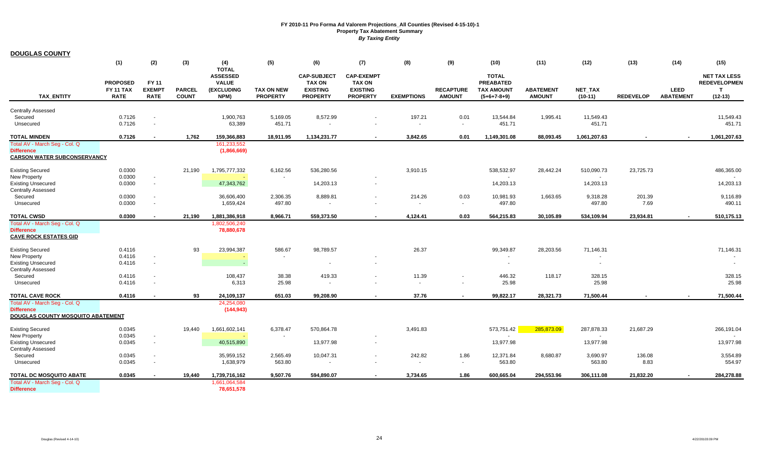| <b>DOUGLAS COUNTY</b>                                   |                                     |                                    |               |                                 |                          |                                  |                                  |                   |                                            |                                       |                  |                          |                  |                  |                                     |
|---------------------------------------------------------|-------------------------------------|------------------------------------|---------------|---------------------------------|--------------------------|----------------------------------|----------------------------------|-------------------|--------------------------------------------|---------------------------------------|------------------|--------------------------|------------------|------------------|-------------------------------------|
|                                                         | (1)                                 | (2)                                | (3)           | (4)                             | (5)                      | (6)                              | (7)                              | (8)               | (9)                                        | (10)                                  | (11)             | (12)                     | (13)             | (14)             | (15)                                |
|                                                         |                                     |                                    |               | <b>TOTAL</b><br><b>ASSESSED</b> |                          | <b>CAP-SUBJECT</b>               | <b>CAP-EXEMPT</b>                |                   |                                            | <b>TOTAL</b>                          |                  |                          |                  |                  | <b>NET TAX LESS</b>                 |
|                                                         | <b>PROPOSED</b><br><b>FY 11 TAX</b> | FY 11<br><b>EXEMPT</b>             | <b>PARCEL</b> | <b>VALUE</b><br>(EXCLUDING      | <b>TAX ON NEW</b>        | <b>TAX ON</b><br><b>EXISTING</b> | <b>TAX ON</b><br><b>EXISTING</b> |                   | <b>RECAPTURE</b>                           | <b>PREABATED</b><br><b>TAX AMOUNT</b> | <b>ABATEMENT</b> | <b>NET TAX</b>           |                  | <b>LEED</b>      | <b>REDEVELOPMEN</b><br>$\mathbf{T}$ |
| <b>TAX ENTITY</b>                                       | <b>RATE</b>                         | <b>RATE</b>                        | <b>COUNT</b>  | NPM)                            | <b>PROPERTY</b>          | <b>PROPERTY</b>                  | <b>PROPERTY</b>                  | <b>EXEMPTIONS</b> | <b>AMOUNT</b>                              | $(5+6+7-8+9)$                         | <b>AMOUNT</b>    | $(10-11)$                | <b>REDEVELOP</b> | <b>ABATEMENT</b> | $(12-13)$                           |
| <b>Centrally Assessed</b>                               |                                     |                                    |               |                                 |                          |                                  |                                  |                   |                                            |                                       |                  |                          |                  |                  |                                     |
| Secured                                                 | 0.7126                              | $\blacksquare$                     |               | 1,900,763                       | 5,169.05                 | 8,572.99                         |                                  | 197.21            | 0.01                                       | 13,544.84                             | 1,995.41         | 11,549.43                |                  |                  | 11,549.43                           |
| Unsecured                                               | 0.7126                              | $\sim$                             |               | 63,389                          | 451.71                   |                                  |                                  | $\sim$            | $\sim$                                     | 451.71                                |                  | 451.71                   |                  |                  | 451.71                              |
| <b>TOTAL MINDEN</b>                                     | 0.7126                              | $\blacksquare$                     | 1,762         | 159,366,883                     | 18,911.95                | 1,134,231.77                     |                                  | 3.842.65          | 0.01                                       | 1,149,301.08                          | 88,093.45        | 1,061,207.63             |                  | $\sim$           | 1,061,207.63                        |
| Total AV - March Seg - Col. Q<br><b>Difference</b>      |                                     |                                    |               | 161,233,552<br>(1,866,669)      |                          |                                  |                                  |                   |                                            |                                       |                  |                          |                  |                  |                                     |
| <b>CARSON WATER SUBCONSERVANCY</b>                      |                                     |                                    |               |                                 |                          |                                  |                                  |                   |                                            |                                       |                  |                          |                  |                  |                                     |
| <b>Existing Secured</b>                                 | 0.0300                              |                                    | 21.190        | 1,795,777,332                   | 6,162.56                 | 536,280.56                       |                                  | 3,910.15          |                                            | 538,532.97                            | 28,442.24        | 510,090.73               | 23,725.73        |                  | 486,365.00                          |
| New Property                                            | 0.0300                              | $\blacksquare$                     |               |                                 | $\overline{\phantom{a}}$ |                                  |                                  |                   |                                            |                                       |                  | $\sim$                   |                  |                  |                                     |
| <b>Existing Unsecured</b>                               | 0.0300                              | $\sim$                             |               | 47,343,762                      |                          | 14,203.13                        |                                  |                   |                                            | 14,203.13                             |                  | 14,203.13                |                  |                  | 14,203.13                           |
| <b>Centrally Assessed</b><br>Secured                    | 0.0300                              |                                    |               | 36,606,400                      | 2,306.35                 | 8,889.81                         |                                  | 214.26            | 0.03                                       | 10,981.93                             | 1,663.65         | 9,318.28                 | 201.39           |                  | 9,116.89                            |
| Unsecured                                               | 0.0300                              | $\blacksquare$                     |               | 1,659,424                       | 497.80                   |                                  |                                  |                   | $\sim$                                     | 497.80                                |                  | 497.80                   | 7.69             |                  | 490.11                              |
| <b>TOTAL CWSD</b>                                       | 0.0300                              |                                    | 21,190        | 1,881,386,918                   | 8,966.71                 | 559,373.50                       |                                  | 4,124.41          | 0.03                                       | 564,215.83                            | 30,105.89        | 534,109.94               | 23,934.81        |                  | 510,175.13                          |
| Total AV - March Seg - Col. Q                           |                                     |                                    |               | 1,802,506,240                   |                          |                                  |                                  |                   |                                            |                                       |                  |                          |                  |                  |                                     |
| <b>Difference</b><br><b>CAVE ROCK ESTATES GID</b>       |                                     |                                    |               | 78,880,678                      |                          |                                  |                                  |                   |                                            |                                       |                  |                          |                  |                  |                                     |
|                                                         |                                     |                                    |               |                                 |                          |                                  |                                  |                   |                                            |                                       |                  |                          |                  |                  |                                     |
| <b>Existing Secured</b><br><b>New Property</b>          | 0.4116<br>0.4116                    | $\overline{\phantom{a}}$           | 93            | 23,994,387                      | 586.67                   | 98,789.57                        |                                  | 26.37             |                                            | 99,349.87                             | 28,203.56        | 71,146.31                |                  |                  | 71,146.31                           |
| <b>Existing Unsecured</b>                               | 0.4116                              | $\blacksquare$                     |               |                                 |                          |                                  |                                  |                   |                                            |                                       |                  | $\overline{\phantom{a}}$ |                  |                  |                                     |
| <b>Centrally Assessed</b>                               |                                     |                                    |               |                                 |                          |                                  |                                  |                   |                                            |                                       |                  |                          |                  |                  |                                     |
| Secured<br>Unsecured                                    | 0.4116<br>0.4116                    | $\sim$<br>$\overline{\phantom{a}}$ |               | 108,437<br>6,313                | 38.38<br>25.98           | 419.33                           |                                  | 11.39<br>$\sim$   | $\blacksquare$<br>$\overline{\phantom{a}}$ | 446.32<br>25.98                       | 118.17           | 328.15<br>25.98          |                  |                  | 328.15<br>25.98                     |
|                                                         | 0.4116                              |                                    | 93            |                                 | 651.03                   |                                  |                                  |                   |                                            |                                       |                  |                          |                  |                  |                                     |
| <b>TOTAL CAVE ROCK</b><br>Total AV - March Seg - Col. Q |                                     |                                    |               | 24,109,137<br>24,254,080        |                          | 99,208.90                        |                                  | 37.76             | $\blacksquare$                             | 99,822.17                             | 28,321.73        | 71,500.44                |                  |                  | 71,500.44                           |
| <b>Difference</b>                                       |                                     |                                    |               | (144, 943)                      |                          |                                  |                                  |                   |                                            |                                       |                  |                          |                  |                  |                                     |
| DOUGLAS COUNTY MOSQUITO ABATEMENT                       |                                     |                                    |               |                                 |                          |                                  |                                  |                   |                                            |                                       |                  |                          |                  |                  |                                     |
| <b>Existing Secured</b>                                 | 0.0345                              |                                    | 19,440        | 1,661,602,141                   | 6,378.47                 | 570,864.78                       |                                  | 3,491.83          |                                            | 573,751.42                            | 285,873.09       | 287,878.33               | 21,687.29        |                  | 266,191.04                          |
| <b>New Property</b>                                     | 0.0345                              | $\overline{\phantom{a}}$           |               |                                 |                          |                                  |                                  |                   |                                            |                                       |                  |                          |                  |                  |                                     |
| <b>Existing Unsecured</b><br><b>Centrally Assessed</b>  | 0.0345                              | $\sim$                             |               | 40,515,890                      |                          | 13.977.98                        | $\sim$                           |                   |                                            | 13,977.98                             |                  | 13,977.98                |                  |                  | 13,977.98                           |
| Secured                                                 | 0.0345                              | $\sim$                             |               | 35,959,152                      | 2,565.49                 | 10,047.31                        |                                  | 242.82            | 1.86                                       | 12,371.84                             | 8,680.87         | 3,690.97                 | 136.08           |                  | 3,554.89                            |
| Unsecured                                               | 0.0345                              |                                    |               | 1,638,979                       | 563.80                   |                                  |                                  |                   | $\sim$                                     | 563.80                                |                  | 563.80                   | 8.83             |                  | 554.97                              |
| <b>TOTAL DC MOSQUITO ABATE</b>                          | 0.0345                              |                                    | 19,440        | 1,739,716,162                   | 9,507.76                 | 594,890.07                       |                                  | 3,734.65          | 1.86                                       | 600,665.04                            | 294,553.96       | 306,111.08               | 21,832.20        |                  | 284,278.88                          |
| Total AV - March Seg - Col. Q<br><b>Difference</b>      |                                     |                                    |               | 1,661,064,584<br>78,651,578     |                          |                                  |                                  |                   |                                            |                                       |                  |                          |                  |                  |                                     |
|                                                         |                                     |                                    |               |                                 |                          |                                  |                                  |                   |                                            |                                       |                  |                          |                  |                  |                                     |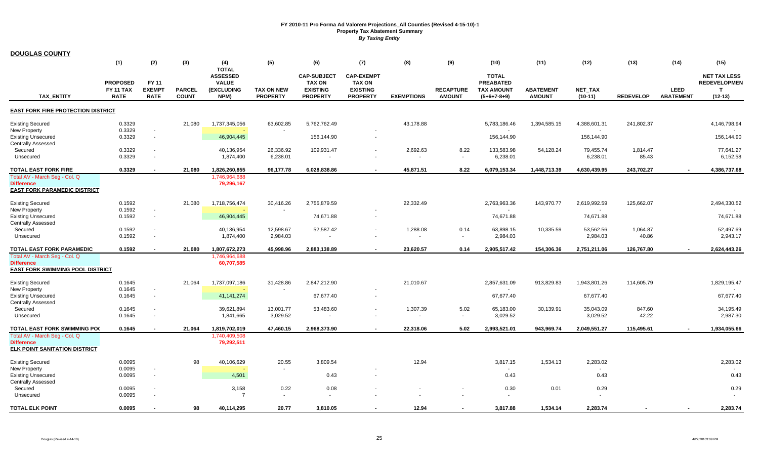| <b>DOUGLAS COUNTY</b>                                                                      |                                                    |                                       |                               |                                                                              |                                      |                                                                           |                                                                          |                                      |                                   |                                                                        |                                   |                             |                   |                                 |                                                                         |
|--------------------------------------------------------------------------------------------|----------------------------------------------------|---------------------------------------|-------------------------------|------------------------------------------------------------------------------|--------------------------------------|---------------------------------------------------------------------------|--------------------------------------------------------------------------|--------------------------------------|-----------------------------------|------------------------------------------------------------------------|-----------------------------------|-----------------------------|-------------------|---------------------------------|-------------------------------------------------------------------------|
|                                                                                            | (1)                                                | (2)                                   | (3)                           | (4)                                                                          | (5)                                  | (6)                                                                       | (7)                                                                      | (8)                                  | (9)                               | (10)                                                                   | (11)                              | (12)                        | (13)              | (14)                            | (15)                                                                    |
| <b>TAX ENTITY</b>                                                                          | <b>PROPOSED</b><br><b>FY 11 TAX</b><br><b>RATE</b> | FY 11<br><b>EXEMPT</b><br><b>RATE</b> | <b>PARCEL</b><br><b>COUNT</b> | <b>TOTAL</b><br><b>ASSESSED</b><br><b>VALUE</b><br><b>(EXCLUDING</b><br>NPM) | <b>TAX ON NEW</b><br><b>PROPERTY</b> | <b>CAP-SUBJECT</b><br><b>TAX ON</b><br><b>EXISTING</b><br><b>PROPERTY</b> | <b>CAP-EXEMPT</b><br><b>TAX ON</b><br><b>EXISTING</b><br><b>PROPERTY</b> | <b>EXEMPTIONS</b>                    | <b>RECAPTURE</b><br><b>AMOUNT</b> | <b>TOTAL</b><br><b>PREABATED</b><br><b>TAX AMOUNT</b><br>$(5+6+7-8+9)$ | <b>ABATEMENT</b><br><b>AMOUNT</b> | <b>NET TAX</b><br>$(10-11)$ | <b>REDEVELOP</b>  | <b>LEED</b><br><b>ABATEMENT</b> | <b>NET TAX LESS</b><br><b>REDEVELOPMEN</b><br>$\mathbf{T}$<br>$(12-13)$ |
| <b>EAST FORK FIRE PROTECTION DISTRICT</b>                                                  |                                                    |                                       |                               |                                                                              |                                      |                                                                           |                                                                          |                                      |                                   |                                                                        |                                   |                             |                   |                                 |                                                                         |
| <b>Existing Secured</b><br><b>New Property</b>                                             | 0.3329<br>0.3329                                   |                                       | 21,080                        | 1,737,345,056                                                                | 63,602.85                            | 5,762,762.49                                                              |                                                                          | 43,178.88                            |                                   | 5,783,186.46                                                           | 1,394,585.15                      | 4,388,601.31                | 241,802.37        |                                 | 4,146,798.94                                                            |
| Existing Unsecured<br><b>Centrally Assessed</b>                                            | 0.3329                                             | $\sim$                                |                               | 46,904,445                                                                   |                                      | 156,144.90                                                                |                                                                          |                                      |                                   | 156,144.90                                                             |                                   | 156,144.90                  |                   |                                 | 156,144.90                                                              |
| Secured<br>Unsecured                                                                       | 0.3329<br>0.3329                                   |                                       |                               | 40,136,954<br>1,874,400                                                      | 26,336.92<br>6,238.01                | 109,931.47                                                                |                                                                          | 2,692.63<br>$\overline{\phantom{a}}$ | 8.22<br>$\sim$                    | 133,583.98<br>6,238.01                                                 | 54,128.24                         | 79,455.74<br>6,238.01       | 1,814.47<br>85.43 |                                 | 77,641.27<br>6,152.58                                                   |
| TOTAL EAST FORK FIRE<br>Total AV - March Seg - Col. Q                                      | 0.3329                                             |                                       | 21,080                        | 1,826,260,855<br>1,746,964,688                                               | 96,177.78                            | 6,028,838.86                                                              | $\blacksquare$                                                           | 45,871.51                            | 8.22                              | 6,079,153.34                                                           | 1,448,713.39                      | 4,630,439.95                | 243,702.27        |                                 | 4,386,737.68                                                            |
| <b>Difference</b><br><b>EAST FORK PARAMEDIC DISTRICT</b>                                   |                                                    |                                       |                               | 79,296,167                                                                   |                                      |                                                                           |                                                                          |                                      |                                   |                                                                        |                                   |                             |                   |                                 |                                                                         |
| <b>Existing Secured</b><br><b>New Property</b>                                             | 0.1592<br>0.1592                                   |                                       | 21,080                        | 1,718,756,474                                                                | 30,416.26                            | 2,755,879.59                                                              |                                                                          | 22,332.49                            |                                   | 2,763,963.36                                                           | 143,970.77                        | 2,619,992.59                | 125,662.07        |                                 | 2,494,330.52                                                            |
| <b>Existing Unsecured</b><br><b>Centrally Assessed</b>                                     | 0.1592                                             | $\sim$                                |                               | 46,904,445                                                                   |                                      | 74,671.88                                                                 |                                                                          |                                      |                                   | 74,671.88                                                              |                                   | 74,671.88                   |                   |                                 | 74,671.88                                                               |
| Secured<br>Unsecured                                                                       | 0.1592<br>0.1592                                   |                                       |                               | 40,136,954<br>1,874,400                                                      | 12,598.67<br>2,984.03                | 52,587.42                                                                 |                                                                          | 1,288.08<br>$\overline{\phantom{a}}$ | 0.14<br>$\sim$                    | 63,898.15<br>2,984.03                                                  | 10,335.59                         | 53,562.56<br>2,984.03       | 1,064.87<br>40.86 |                                 | 52,497.69<br>2,943.17                                                   |
| TOTAL EAST FORK PARAMEDIC                                                                  | 0.1592                                             |                                       | 21,080                        | 1,807,672,273                                                                | 45,998.96                            | 2,883,138.89                                                              |                                                                          | 23,620.57                            | 0.14                              | 2,905,517.42                                                           | 154,306.36                        | 2,751,211.06                | 126,767.80        |                                 | 2,624,443.26                                                            |
| Total AV - March Seq - Col. Q<br><b>Difference</b><br>EAST FORK SWIMMING POOL DISTRICT     |                                                    |                                       |                               | 1,746,964,688<br>60,707,585                                                  |                                      |                                                                           |                                                                          |                                      |                                   |                                                                        |                                   |                             |                   |                                 |                                                                         |
| <b>Existing Secured</b><br><b>New Property</b>                                             | 0.1645<br>0.1645                                   |                                       | 21,064                        | 1,737,097,186                                                                | 31,428.86                            | 2,847,212.90                                                              |                                                                          | 21,010.67                            |                                   | 2,857,631.09                                                           | 913,829.83                        | 1,943,801.26                | 114,605.79        |                                 | 1,829,195.47                                                            |
| <b>Existing Unsecured</b><br>Centrally Assessed                                            | 0.1645                                             | $\sim$                                |                               | 41,141,274                                                                   |                                      | 67,677.40                                                                 | $\blacksquare$                                                           |                                      |                                   | 67,677.40                                                              |                                   | 67,677.40                   |                   |                                 | 67,677.40                                                               |
| Secured<br>Unsecured                                                                       | 0.1645<br>0.1645                                   |                                       |                               | 39,621,894<br>1,841,665                                                      | 13,001.77<br>3,029.52                | 53,483.60<br>$\overline{\phantom{a}}$                                     |                                                                          | 1,307.39<br>$\sim$                   | 5.02<br>$\sim$                    | 65,183.00<br>3,029.52                                                  | 30,139.91                         | 35,043.09<br>3,029.52       | 847.60<br>42.22   |                                 | 34,195.49<br>2,987.30                                                   |
| TOTAL EAST FORK SWIMMING PO(                                                               | 0.1645                                             |                                       | 21,064                        | 1,819,702,019                                                                | 47,460.15                            | 2,968,373.90                                                              |                                                                          | 22,318.06                            | 5.02                              | 2,993,521.01                                                           | 943,969.74                        | 2,049,551.27                | 115,495.61        |                                 | 1,934,055.66                                                            |
| Total AV - March Seg - Col. Q<br><b>Difference</b><br><b>ELK POINT SANITATION DISTRICT</b> |                                                    |                                       |                               | 1,740,409,508<br>79,292,511                                                  |                                      |                                                                           |                                                                          |                                      |                                   |                                                                        |                                   |                             |                   |                                 |                                                                         |
| Existing Secured<br><b>New Property</b>                                                    | 0.0095<br>0.0095                                   |                                       | 98                            | 40,106,629                                                                   | 20.55                                | 3,809.54                                                                  |                                                                          | 12.94                                |                                   | 3,817.15                                                               | 1,534.13                          | 2,283.02                    |                   |                                 | 2,283.02                                                                |
| <b>Existing Unsecured</b><br><b>Centrally Assessed</b>                                     | 0.0095                                             |                                       |                               | 4,501                                                                        |                                      | 0.43                                                                      |                                                                          |                                      |                                   | 0.43                                                                   |                                   | 0.43                        |                   |                                 | 0.43                                                                    |
| Secured<br>Unsecured                                                                       | 0.0095<br>0.0095                                   |                                       |                               | 3,158<br>$\overline{7}$                                                      | 0.22<br>$\sim$                       | 0.08<br>$\overline{\phantom{a}}$                                          |                                                                          |                                      |                                   | 0.30<br>$\sim$                                                         | 0.01                              | 0.29                        |                   |                                 | 0.29                                                                    |
| TOTAL ELK POINT                                                                            | 0.0095                                             |                                       | 98                            | 40,114,295                                                                   | 20.77                                | 3.810.05                                                                  |                                                                          | 12.94                                |                                   | 3,817.88                                                               | 1,534.14                          | 2,283.74                    |                   |                                 | 2,283.74                                                                |

 $\mathbb{R}^2$ 

 $\mathcal{A}$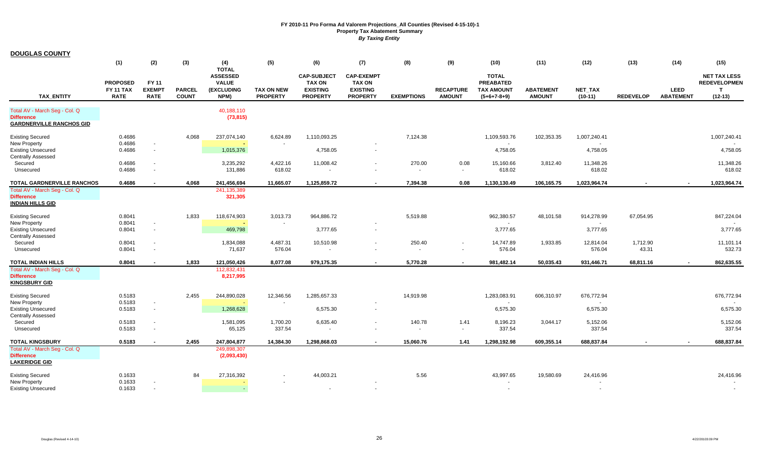| <b>DOUGLAS COUNTY</b>                                  |                  |                                            |               |                                 |                          |                    |                                    |                   |                  |                     |                  |                     |                  |                  |                     |
|--------------------------------------------------------|------------------|--------------------------------------------|---------------|---------------------------------|--------------------------|--------------------|------------------------------------|-------------------|------------------|---------------------|------------------|---------------------|------------------|------------------|---------------------|
|                                                        | (1)              | (2)                                        | (3)           | (4)                             | (5)                      | (6)                | (7)                                | (8)               | (9)              | (10)                | (11)             | (12)                | (13)             | (14)             | (15)                |
|                                                        |                  |                                            |               | <b>TOTAL</b><br><b>ASSESSED</b> |                          | <b>CAP-SUBJECT</b> | <b>CAP-EXEMPT</b>                  |                   |                  | <b>TOTAL</b>        |                  |                     |                  |                  | <b>NET TAX LESS</b> |
|                                                        | <b>PROPOSED</b>  | <b>FY 11</b>                               |               | <b>VALUE</b>                    |                          | <b>TAX ON</b>      | <b>TAX ON</b>                      |                   |                  | <b>PREABATED</b>    |                  |                     |                  |                  | <b>REDEVELOPMEN</b> |
|                                                        | <b>FY 11 TAX</b> | <b>EXEMPT</b>                              | <b>PARCEL</b> | (EXCLUDING                      | <b>TAX ON NEW</b>        | <b>EXISTING</b>    | <b>EXISTING</b>                    |                   | <b>RECAPTURE</b> | <b>TAX AMOUNT</b>   | <b>ABATEMENT</b> | <b>NET TAX</b>      |                  | <b>LEED</b>      | $\mathbf{T}$        |
| <b>TAX ENTITY</b>                                      | <b>RATE</b>      | <b>RATE</b>                                | <b>COUNT</b>  | NPM)                            | <b>PROPERTY</b>          | <b>PROPERTY</b>    | <b>PROPERTY</b>                    | <b>EXEMPTIONS</b> | <b>AMOUNT</b>    | $(5+6+7-8+9)$       | <b>AMOUNT</b>    | $(10-11)$           | <b>REDEVELOP</b> | <b>ABATEMENT</b> | $(12-13)$           |
| Total AV - March Seg - Col. Q<br><b>Difference</b>     |                  |                                            |               | 40,188,110                      |                          |                    |                                    |                   |                  |                     |                  |                     |                  |                  |                     |
| <b>GARDNERVILLE RANCHOS GID</b>                        |                  |                                            |               | (73, 815)                       |                          |                    |                                    |                   |                  |                     |                  |                     |                  |                  |                     |
| <b>Existing Secured</b>                                | 0.4686           |                                            | 4,068         | 237,074,140                     | 6,624.89                 | 1,110,093.25       |                                    | 7,124.38          |                  | 1,109,593.76        | 102,353.35       | 1,007,240.41        |                  |                  | 1,007,240.41        |
| New Property<br><b>Existing Unsecured</b>              | 0.4686<br>0.4686 | $\overline{\phantom{a}}$<br>$\sim$         |               | 1,015,376                       |                          | 4,758.05           | $\overline{\phantom{a}}$<br>$\sim$ |                   |                  | 4,758.05            |                  | 4,758.05            |                  |                  | 4,758.05            |
| <b>Centrally Assessed</b>                              |                  |                                            |               |                                 |                          |                    |                                    |                   |                  |                     |                  |                     |                  |                  |                     |
| Secured<br>Unsecured                                   | 0.4686<br>0.4686 |                                            |               | 3,235,292<br>131,886            | 4,422.16<br>618.02       | 11,008.42          |                                    | 270.00            | 0.08<br>$\sim$   | 15,160.66<br>618.02 | 3,812.40         | 11,348.26<br>618.02 |                  |                  | 11,348.26<br>618.02 |
| TOTAL GARDNERVILLE RANCHOS                             | 0.4686           | $\overline{\phantom{a}}$                   | 4.068         | 241,456,694                     | 11.665.07                | 1,125,859.72       |                                    | 7.394.38          | 0.08             | 1,130,130.49        | 106,165.75       | 1,023,964.74        |                  |                  | 1,023,964.74        |
| Total AV - March Seg - Col. Q                          |                  |                                            |               | 241, 135, 389                   |                          |                    |                                    |                   |                  |                     |                  |                     |                  |                  |                     |
| <b>Difference</b><br><b>INDIAN HILLS GID</b>           |                  |                                            |               | 321,305                         |                          |                    |                                    |                   |                  |                     |                  |                     |                  |                  |                     |
| <b>Existing Secured</b>                                | 0.8041           |                                            | 1,833         | 118,674,903                     | 3,013.73                 | 964,886.72         |                                    | 5,519.88          |                  | 962,380.57          | 48,101.58        | 914,278.99          | 67,054.95        |                  | 847,224.04          |
| New Property<br><b>Existing Unsecured</b>              | 0.8041<br>0.8041 | $\overline{\phantom{a}}$<br>$\blacksquare$ |               | 469,798                         | $\overline{\phantom{a}}$ | 3,777.65           | $\sim$                             |                   |                  | 3,777.65            |                  | 3,777.65            |                  |                  | 3,777.65            |
| <b>Centrally Assessed</b>                              |                  |                                            |               |                                 |                          |                    |                                    |                   |                  |                     |                  |                     |                  |                  |                     |
| Secured                                                | 0.8041           |                                            |               | 1,834,088                       | 4,487.31                 | 10,510.98          | $\overline{\phantom{a}}$           | 250.40            | $\sim$           | 14,747.89           | 1,933.85         | 12,814.04           | 1,712.90         |                  | 11,101.14           |
| Unsecured                                              | 0.8041           | $\overline{\phantom{a}}$                   |               | 71,637                          | 576.04                   |                    |                                    |                   |                  | 576.04              |                  | 576.04              | 43.31            |                  | 532.73              |
| TOTAL INDIAN HILLS                                     | 0.8041           | $\blacksquare$                             | 1,833         | 121,050,426                     | 8,077.08                 | 979,175.35         | $\sim$                             | 5,770.28          | $\sim$           | 981,482.14          | 50,035.43        | 931,446.71          | 68,811.16        |                  | 862,635.55          |
| Total AV - March Seg - Col. Q<br><b>Difference</b>     |                  |                                            |               | 112,832,431                     |                          |                    |                                    |                   |                  |                     |                  |                     |                  |                  |                     |
| <b>KINGSBURY GID</b>                                   |                  |                                            |               | 8,217,995                       |                          |                    |                                    |                   |                  |                     |                  |                     |                  |                  |                     |
| <b>Existing Secured</b>                                | 0.5183           |                                            | 2,455         | 244,890,028                     | 12,346.56                | 1,285,657.33       |                                    | 14,919.98         |                  | 1,283,083.91        | 606,310.97       | 676,772.94          |                  |                  | 676,772.94          |
| <b>New Property</b>                                    | 0.5183           |                                            |               |                                 |                          |                    |                                    |                   |                  |                     |                  |                     |                  |                  |                     |
| <b>Existing Unsecured</b><br><b>Centrally Assessed</b> | 0.5183           | $\sim$                                     |               | 1,268,628                       |                          | 6,575.30           | $\sim$                             |                   |                  | 6,575.30            |                  | 6,575.30            |                  |                  | 6,575.30            |
| Secured                                                | 0.5183           | $\overline{\phantom{a}}$                   |               | 1,581,095                       | 1,700.20                 | 6,635.40           |                                    | 140.78            | 1.41             | 8,196.23            | 3,044.17         | 5,152.06            |                  |                  | 5,152.06            |
| Unsecured                                              | 0.5183           |                                            |               | 65,125                          | 337.54                   |                    |                                    |                   | $\sim$           | 337.54              |                  | 337.54              |                  |                  | 337.54              |
| <b>TOTAL KINGSBURY</b>                                 | 0.5183           | $\overline{\phantom{a}}$                   | 2,455         | 247,804,877                     | 14,384.30                | 1,298,868.03       | $\overline{\phantom{a}}$           | 15,060.76         | 1.41             | 1,298,192.98        | 609,355.14       | 688,837.84          |                  |                  | 688,837.84          |
| Total AV - March Seg - Col. Q<br><b>Difference</b>     |                  |                                            |               | 249,898,307<br>(2,093,430)      |                          |                    |                                    |                   |                  |                     |                  |                     |                  |                  |                     |
| <b>LAKERIDGE GID</b>                                   |                  |                                            |               |                                 |                          |                    |                                    |                   |                  |                     |                  |                     |                  |                  |                     |
| <b>Existing Secured</b>                                | 0.1633           |                                            | 84            | 27,316,392                      |                          | 44,003.21          |                                    | 5.56              |                  | 43,997.65           | 19,580.69        | 24,416.96           |                  |                  | 24,416.96           |
| New Property                                           | 0.1633           |                                            |               |                                 |                          |                    |                                    |                   |                  |                     |                  |                     |                  |                  |                     |
| <b>Existing Unsecured</b>                              | 0.1633           |                                            |               |                                 |                          |                    | $\sim$                             |                   |                  |                     |                  |                     |                  |                  |                     |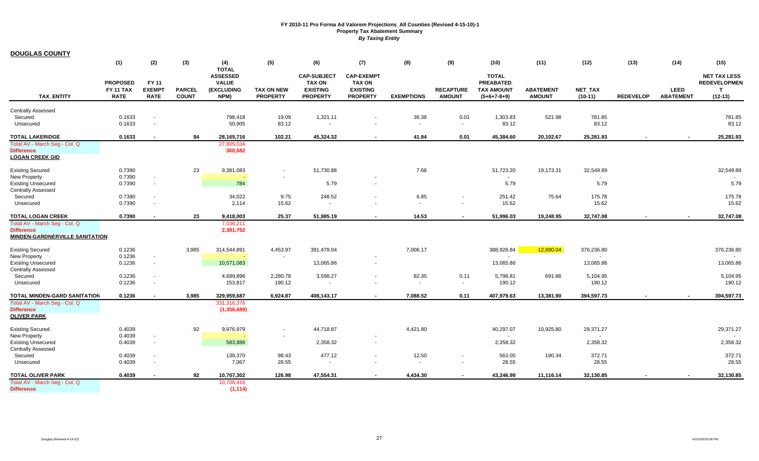| <b>DOUGLAS COUNTY</b>                                      |                                 |                              |                               |                                 |                                      |                                    |                                    |                   |                                   |                                    |                                   |                      |                  |                                 |                     |
|------------------------------------------------------------|---------------------------------|------------------------------|-------------------------------|---------------------------------|--------------------------------------|------------------------------------|------------------------------------|-------------------|-----------------------------------|------------------------------------|-----------------------------------|----------------------|------------------|---------------------------------|---------------------|
|                                                            | (1)                             | (2)                          | (3)                           | (4)                             | (5)                                  | (6)                                | (7)                                | (8)               | (9)                               | (10)                               | (11)                              | (12)                 | (13)             | (14)                            | (15)                |
|                                                            |                                 |                              |                               | <b>TOTAL</b><br><b>ASSESSED</b> |                                      | <b>CAP-SUBJECT</b>                 | <b>CAP-EXEMPT</b>                  |                   |                                   | <b>TOTAL</b>                       |                                   |                      |                  |                                 | <b>NET TAX LESS</b> |
|                                                            | <b>PROPOSED</b>                 | <b>FY 11</b>                 |                               | <b>VALUE</b>                    |                                      | <b>TAX ON</b>                      | <b>TAX ON</b>                      |                   |                                   | <b>PREABATED</b>                   |                                   |                      |                  |                                 | <b>REDEVELOPMEN</b> |
| <b>TAX ENTITY</b>                                          | <b>FY 11 TAX</b><br><b>RATE</b> | <b>EXEMPT</b><br><b>RATE</b> | <b>PARCEL</b><br><b>COUNT</b> | <b>(EXCLUDING</b><br>NPM)       | <b>TAX ON NEW</b><br><b>PROPERTY</b> | <b>EXISTING</b><br><b>PROPERTY</b> | <b>EXISTING</b><br><b>PROPERTY</b> | <b>EXEMPTIONS</b> | <b>RECAPTURE</b><br><b>AMOUNT</b> | <b>TAX AMOUNT</b><br>$(5+6+7-8+9)$ | <b>ABATEMENT</b><br><b>AMOUNT</b> | NET_TAX<br>$(10-11)$ | <b>REDEVELOP</b> | <b>LEED</b><br><b>ABATEMENT</b> | T<br>$(12-13)$      |
|                                                            |                                 |                              |                               |                                 |                                      |                                    |                                    |                   |                                   |                                    |                                   |                      |                  |                                 |                     |
| <b>Centrally Assessed</b><br>Secured                       | 0.1633                          | $\sim$                       |                               | 798,418                         | 19.09                                | 1,321.11                           |                                    | 36.38             | 0.01                              | 1,303.83                           | 521.98                            | 781.85               |                  |                                 | 781.85              |
| Unsecured                                                  | 0.1633                          | $\sim$                       |                               | 50,905                          | 83.12                                |                                    |                                    | $\sim$            | $\sim$                            | 83.12                              |                                   | 83.12                |                  |                                 | 83.12               |
| <b>TOTAL LAKERIDGE</b>                                     | 0.1633                          |                              | 84                            | 28,165,716                      | 102.21                               | 45,324.32                          |                                    | 41.94             | 0.01                              | 45,384.60                          | 20,102.67                         | 25,281.93            |                  |                                 | 25,281.93           |
| Total AV - March Seg - Col. Q                              |                                 |                              |                               | 27,805,034                      |                                      |                                    |                                    |                   |                                   |                                    |                                   |                      |                  |                                 |                     |
| <b>Difference</b>                                          |                                 |                              |                               | 360,682                         |                                      |                                    |                                    |                   |                                   |                                    |                                   |                      |                  |                                 |                     |
| <b>LOGAN CREEK GID</b>                                     |                                 |                              |                               |                                 |                                      |                                    |                                    |                   |                                   |                                    |                                   |                      |                  |                                 |                     |
| <b>Existing Secured</b>                                    | 0.7390                          |                              | 23                            | 9,381,083                       |                                      | 51,730.88                          |                                    | 7.68              |                                   | 51,723.20                          | 19,173.31                         | 32,549.89            |                  |                                 | 32,549.89           |
| <b>New Property</b>                                        | 0.7390                          | $\sim$                       |                               |                                 |                                      |                                    |                                    |                   |                                   |                                    |                                   | $\sim$               |                  |                                 |                     |
| <b>Existing Unsecured</b><br><b>Centrally Assessed</b>     | 0.7390                          | $\sim$                       |                               | 784                             |                                      | 5.79                               |                                    |                   |                                   | 5.79                               |                                   | 5.79                 |                  |                                 | 5.79                |
| Secured                                                    | 0.7390                          |                              |                               | 34,022                          | 9.75                                 | 248.52                             |                                    | 6.85              | $\sim$                            | 251.42                             | 75.64                             | 175.78               |                  |                                 | 175.78              |
| Unsecured                                                  | 0.7390                          | $\sim$                       |                               | 2,114                           | 15.62                                | $\sim$                             |                                    | $\sim$            | $\sim$                            | 15.62                              |                                   | 15.62                |                  |                                 | 15.62               |
| <b>TOTAL LOGAN CREEK</b>                                   | 0.7390                          | $\sim$                       | 23                            | 9,418,003                       | 25.37                                | 51,985.19                          | $\sim$                             | 14.53             | $\blacksquare$                    | 51,996.03                          | 19,248.95                         | 32.747.08            |                  |                                 | 32,747.08           |
| Total AV - March Seg - Col. Q                              |                                 |                              |                               | 7,036,211                       |                                      |                                    |                                    |                   |                                   |                                    |                                   |                      |                  |                                 |                     |
| <b>Difference</b><br><b>MINDEN-GARDNERVILLE SANITATION</b> |                                 |                              |                               | 2,381,792                       |                                      |                                    |                                    |                   |                                   |                                    |                                   |                      |                  |                                 |                     |
|                                                            |                                 |                              |                               |                                 |                                      |                                    |                                    |                   |                                   |                                    |                                   |                      |                  |                                 |                     |
| <b>Existing Secured</b>                                    | 0.1236                          |                              | 3,985                         | 314,544,891                     | 4,453.97                             | 391,479.04                         |                                    | 7,006.17          |                                   | 388,926.84                         | 12,690.04                         | 376,236.80           |                  |                                 | 376,236.80          |
| <b>New Property</b><br><b>Existing Unsecured</b>           | 0.1236<br>0.1236                | $\sim$<br>$\blacksquare$     |                               | 10,571,083                      |                                      | 13,065.86                          | $\sim$                             |                   |                                   | 13,065.86                          |                                   | $\sim$<br>13,065.86  |                  |                                 | 13,065.86           |
| <b>Centrally Assessed</b>                                  |                                 |                              |                               |                                 |                                      |                                    |                                    |                   |                                   |                                    |                                   |                      |                  |                                 |                     |
| Secured                                                    | 0.1236                          | $\sim$                       |                               | 4,689,896                       | 2,280.78                             | 3,598.27<br>$\sim$                 |                                    | 82.35             | 0.11                              | 5,796.81                           | 691.86                            | 5,104.95             |                  |                                 | 5,104.95            |
| Unsecured                                                  | 0.1236                          | $\sim$                       |                               | 153,817                         | 190.12                               |                                    |                                    | $\sim$            | $\sim$                            | 190.12                             |                                   | 190.12               |                  |                                 | 190.12              |
| <b>TOTAL MINDEN-GARD SANITATION</b>                        | 0.1236                          | $\sim$                       | 3,985                         | 329,959,687                     | 6,924.87                             | 408,143.17                         |                                    | 7,088.52          | 0.11                              | 407,979.63                         | 13,381.90                         | 394,597.73           |                  |                                 | 394,597.73          |
| Total AV - March Seg - Col. Q<br><b>Difference</b>         |                                 |                              |                               | 331,316,376<br>(1,356,689)      |                                      |                                    |                                    |                   |                                   |                                    |                                   |                      |                  |                                 |                     |
| <b>OLIVER PARK</b>                                         |                                 |                              |                               |                                 |                                      |                                    |                                    |                   |                                   |                                    |                                   |                      |                  |                                 |                     |
| <b>Existing Secured</b>                                    | 0.4039                          |                              | 92                            | 9,976,979                       |                                      | 44,718.87                          |                                    | 4,421.80          |                                   | 40,297.07                          | 10,925.80                         | 29,371.27            |                  |                                 | 29,371.27           |
| <b>New Property</b>                                        | 0.4039                          | $\sim$                       |                               |                                 |                                      |                                    |                                    |                   |                                   |                                    |                                   | $\sim$               |                  |                                 |                     |
| <b>Existing Unsecured</b><br><b>Centrally Assessed</b>     | 0.4039                          | $\sim$                       |                               | 583,886                         |                                      | 2,358.32                           |                                    |                   |                                   | 2,358.32                           |                                   | 2,358.32             |                  |                                 | 2,358.32            |
| Secured                                                    | 0.4039                          | $\sim$                       |                               | 139,370                         | 98.43                                | 477.12                             | $\overline{\phantom{a}}$           | 12.50             | $\sim$                            | 563.05                             | 190.34                            | 372.71               |                  |                                 | 372.71              |
| Unsecured                                                  | 0.4039                          | $\overline{\phantom{a}}$     |                               | 7,067                           | 28.55                                | $\sim$                             |                                    | $\sim$            | $\sim$                            | 28.55                              |                                   | 28.55                |                  |                                 | 28.55               |
| TOTAL OLIVER PARK                                          | 0.4039                          |                              | 92                            | 10,707,302                      | 126.98                               | 47,554.31                          |                                    | 4,434.30          |                                   | 43,246.99                          | 11,116.14                         | 32,130.85            |                  |                                 | 32,130.85           |
| Total AV - March Seg - Col. Q                              |                                 |                              |                               | 10,708,416                      |                                      |                                    |                                    |                   |                                   |                                    |                                   |                      |                  |                                 |                     |
| <b>Difference</b>                                          |                                 |                              |                               | (1, 114)                        |                                      |                                    |                                    |                   |                                   |                                    |                                   |                      |                  |                                 |                     |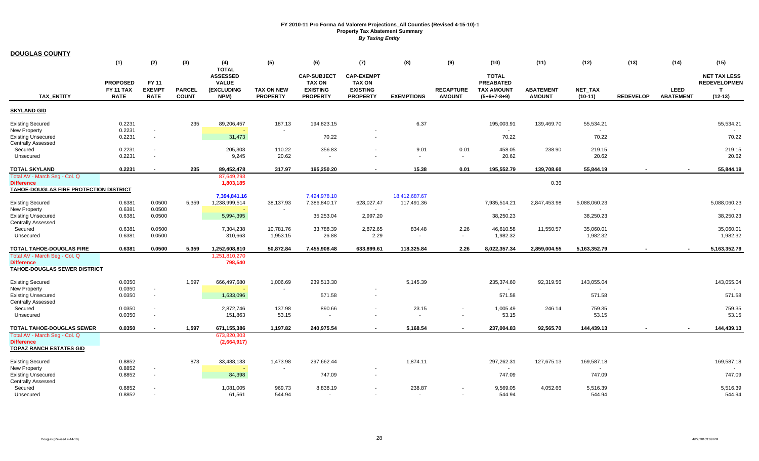| <b>DOUGLAS COUNTY</b>                                              |                  |                                    |               |                                 |                   |                    |                    |                   |                                  |                   |                  |                             |                  |                                 |                     |
|--------------------------------------------------------------------|------------------|------------------------------------|---------------|---------------------------------|-------------------|--------------------|--------------------|-------------------|----------------------------------|-------------------|------------------|-----------------------------|------------------|---------------------------------|---------------------|
|                                                                    | (1)              | (2)                                | (3)           | (4)                             | (5)               | (6)                | (7)                | (8)               | (9)                              | (10)              | (11)             | (12)                        | (13)             | (14)                            | (15)                |
|                                                                    |                  |                                    |               | <b>TOTAL</b><br><b>ASSESSED</b> |                   | <b>CAP-SUBJECT</b> | <b>CAP-EXEMPT</b>  |                   |                                  | <b>TOTAL</b>      |                  |                             |                  |                                 | <b>NET TAX LESS</b> |
|                                                                    | <b>PROPOSED</b>  | FY 11                              |               | <b>VALUE</b>                    |                   | <b>TAX ON</b>      | <b>TAX ON</b>      |                   |                                  | <b>PREABATED</b>  |                  |                             |                  |                                 | <b>REDEVELOPMEN</b> |
| <b>TAX ENTITY</b>                                                  | <b>FY 11 TAX</b> | <b>EXEMPT</b>                      | <b>PARCEL</b> | <b>(EXCLUDING</b>               | <b>TAX ON NEW</b> | <b>EXISTING</b>    | <b>EXISTING</b>    |                   | <b>RECAPTURE</b>                 | <b>TAX AMOUNT</b> | <b>ABATEMENT</b> | <b>NET TAX</b>              |                  | <b>LEED</b><br><b>ABATEMENT</b> | $\mathbf{T}$        |
|                                                                    | <b>RATE</b>      | <b>RATE</b>                        | <b>COUNT</b>  | NPM)                            | <b>PROPERTY</b>   | <b>PROPERTY</b>    | <b>PROPERTY</b>    | <b>EXEMPTIONS</b> | <b>AMOUNT</b>                    | $(5+6+7-8+9)$     | <b>AMOUNT</b>    | $(10-11)$                   | <b>REDEVELOP</b> |                                 | $(12-13)$           |
| <b>SKYLAND GID</b>                                                 |                  |                                    |               |                                 |                   |                    |                    |                   |                                  |                   |                  |                             |                  |                                 |                     |
| <b>Existing Secured</b>                                            | 0.2231           |                                    | 235           | 89,206,457                      | 187.13            | 194,823.15         |                    | 6.37              |                                  | 195,003.91        | 139,469.70       | 55,534.21                   |                  |                                 | 55,534.21           |
| <b>New Property</b>                                                | 0.2231           | $\blacksquare$                     |               |                                 |                   |                    |                    |                   |                                  | $\sim$            |                  | $\sim$                      |                  |                                 |                     |
| <b>Existing Unsecured</b><br><b>Centrally Assessed</b>             | 0.2231           | $\sim$                             |               | 31,473                          |                   | 70.22              | $\sim$             |                   |                                  | 70.22             |                  | 70.22                       |                  |                                 | 70.22               |
| Secured                                                            | 0.2231           |                                    |               | 205,303                         | 110.22            | 356.83             |                    | 9.01              | 0.01                             | 458.05            | 238.90           | 219.15                      |                  |                                 | 219.15              |
| Unsecured                                                          | 0.2231           | $\sim$                             |               | 9,245                           | 20.62             | $\sim$             |                    | $\sim$            | $\sim$                           | 20.62             |                  | 20.62                       |                  |                                 | 20.62               |
| TOTAL SKYLAND                                                      | 0.2231           |                                    | 235           | 89,452,478                      | 317.97            | 195,250.20         |                    | 15.38             | 0.01                             | 195,552.79        | 139,708.60       | 55,844.19                   |                  |                                 | 55,844.19           |
| Total AV - March Seg - Col. Q                                      |                  |                                    |               | 87,649,293                      |                   |                    |                    |                   |                                  |                   |                  |                             |                  |                                 |                     |
| <b>Difference</b><br><b>TAHOE-DOUGLAS FIRE PROTECTION DISTRICT</b> |                  |                                    |               | 1,803,185                       |                   |                    |                    |                   |                                  |                   | 0.36             |                             |                  |                                 |                     |
|                                                                    |                  |                                    |               | 7,394,841.16                    |                   | 7,424,978.10       |                    | 18,412,687.67     |                                  |                   |                  |                             |                  |                                 |                     |
| <b>Existing Secured</b>                                            | 0.6381           | 0.0500                             | 5,359         | 1,238,999,514                   | 38,137.93         | 7,386,840.17       | 628,027.47         | 117,491.36        |                                  | 7,935,514.21      | 2,847,453.98     | 5,088,060.23                |                  |                                 | 5,088,060.23        |
| <b>New Property</b><br><b>Existing Unsecured</b>                   | 0.6381<br>0.6381 | 0.0500<br>0.0500                   |               | 5,994,395                       |                   | 35,253.04          | $\sim$<br>2,997.20 |                   |                                  | 38,250.23         |                  | $\blacksquare$<br>38,250.23 |                  |                                 | 38,250.23           |
| <b>Centrally Assessed</b>                                          |                  |                                    |               |                                 |                   |                    |                    |                   |                                  |                   |                  |                             |                  |                                 |                     |
| Secured                                                            | 0.6381           | 0.0500                             |               | 7,304,238                       | 10,781.76         | 33,788.39          | 2,872.65           | 834.48            | 2.26                             | 46,610.58         | 11,550.57        | 35,060.01                   |                  |                                 | 35,060.01           |
| Unsecured                                                          | 0.6381           | 0.0500                             |               | 310,663                         | 1,953.15          | 26.88              | 2.29               |                   | $\sim$                           | 1,982.32          |                  | 1,982.32                    |                  |                                 | 1,982.32            |
| <b>TOTAL TAHOE-DOUGLAS FIRE</b>                                    | 0.6381           | 0.0500                             | 5,359         | 1,252,608,810                   | 50,872.84         | 7,455,908.48       | 633,899.61         | 118,325.84        | 2.26                             | 8,022,357.34      | 2,859,004.55     | 5,163,352.79                |                  |                                 | 5,163,352.79        |
| Total AV - March Seg - Col. Q<br><b>Difference</b>                 |                  |                                    |               | 1,251,810,270<br>798,540        |                   |                    |                    |                   |                                  |                   |                  |                             |                  |                                 |                     |
| <b>TAHOE-DOUGLAS SEWER DISTRICT</b>                                |                  |                                    |               |                                 |                   |                    |                    |                   |                                  |                   |                  |                             |                  |                                 |                     |
|                                                                    |                  |                                    |               |                                 |                   |                    |                    |                   |                                  |                   |                  |                             |                  |                                 |                     |
| <b>Existing Secured</b><br><b>New Property</b>                     | 0.0350<br>0.0350 | $\sim$                             | 1,597         | 666,497,680                     | 1,006.69          | 239,513.30         |                    | 5,145.39          |                                  | 235,374.60        | 92,319.56        | 143,055.04                  |                  |                                 | 143,055.04          |
| <b>Existing Unsecured</b>                                          | 0.0350           | $\sim$                             |               | 1,633,096                       |                   | 571.58             |                    |                   |                                  | 571.58            |                  | 571.58                      |                  |                                 | 571.58              |
| <b>Centrally Assessed</b>                                          |                  |                                    |               |                                 |                   |                    |                    |                   |                                  |                   |                  |                             |                  |                                 |                     |
| Secured<br>Unsecured                                               | 0.0350<br>0.0350 | $\sim$<br>$\overline{\phantom{a}}$ |               | 2,872,746<br>151,863            | 137.98<br>53.15   | 890.66             |                    | 23.15             | $\blacksquare$<br>$\blacksquare$ | 1,005.49<br>53.15 | 246.14           | 759.35<br>53.15             |                  |                                 | 759.35<br>53.15     |
|                                                                    |                  |                                    |               |                                 |                   |                    |                    |                   |                                  |                   |                  |                             |                  |                                 |                     |
| <b>TOTAL TAHOE-DOUGLAS SEWER</b>                                   | 0.0350           |                                    | 1,597         | 671,155,386                     | 1,197.82          | 240,975.54         |                    | 5,168.54          | $\sim$                           | 237,004.83        | 92,565.70        | 144,439.13                  |                  |                                 | 144,439.13          |
| Total AV - March Seg - Col. Q                                      |                  |                                    |               | 673,820,303                     |                   |                    |                    |                   |                                  |                   |                  |                             |                  |                                 |                     |
| <b>Difference</b><br><b>TOPAZ RANCH ESTATES GID</b>                |                  |                                    |               | (2,664,917)                     |                   |                    |                    |                   |                                  |                   |                  |                             |                  |                                 |                     |
|                                                                    |                  |                                    |               |                                 |                   |                    |                    |                   |                                  |                   |                  |                             |                  |                                 |                     |
| <b>Existing Secured</b>                                            | 0.8852           |                                    | 873           | 33,488,133                      | 1,473.98          | 297,662.44         |                    | 1,874.11          |                                  | 297,262.31        | 127,675.13       | 169,587.18                  |                  |                                 | 169,587.18          |
| New Property                                                       | 0.8852<br>0.8852 | $\sim$<br>$\sim$                   |               | 84,398                          |                   | 747.09             | $\sim$             |                   |                                  | 747.09            |                  | $\blacksquare$<br>747.09    |                  |                                 | 747.09              |
| <b>Existing Unsecured</b><br><b>Centrally Assessed</b>             |                  |                                    |               |                                 |                   |                    |                    |                   |                                  |                   |                  |                             |                  |                                 |                     |
| Secured                                                            | 0.8852           |                                    |               | 1,081,005                       | 969.73            | 8,838.19           |                    | 238.87            |                                  | 9,569.05          | 4,052.66         | 5,516.39                    |                  |                                 | 5,516.39            |
| Unsecured                                                          | 0.8852           |                                    |               | 61,561                          | 544.94            |                    | $\sim$             | $\sim$            | $\sim$                           | 544.94            |                  | 544.94                      |                  |                                 | 544.94              |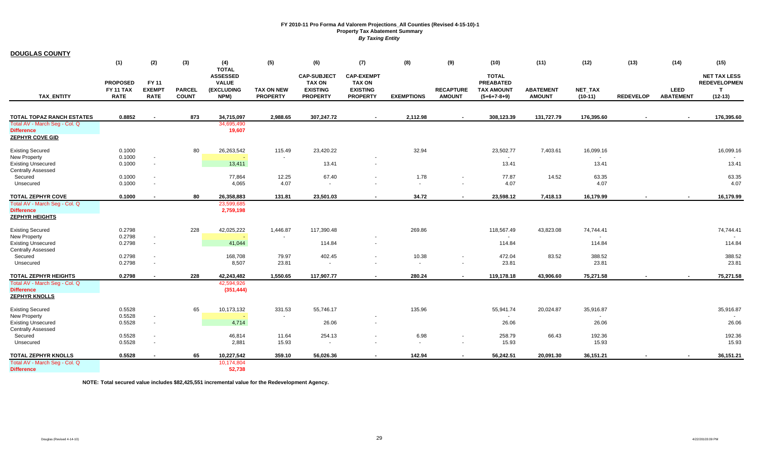| <b>DOUGLAS COUNTY</b>                                  |                                     |                          |               |                                               |                   |                                                        |                                                       |                   |                  |                                                       |                  |                 |                  |                  |                                                            |
|--------------------------------------------------------|-------------------------------------|--------------------------|---------------|-----------------------------------------------|-------------------|--------------------------------------------------------|-------------------------------------------------------|-------------------|------------------|-------------------------------------------------------|------------------|-----------------|------------------|------------------|------------------------------------------------------------|
|                                                        | (1)                                 | (2)                      | (3)           | (4)<br><b>TOTAL</b>                           | (5)               | (6)                                                    | (7)                                                   | (8)               | (9)              | (10)                                                  | (11)             | (12)            | (13)             | (14)             | (15)                                                       |
|                                                        | <b>PROPOSED</b><br><b>FY 11 TAX</b> | FY 11<br><b>EXEMPT</b>   | <b>PARCEL</b> | <b>ASSESSED</b><br><b>VALUE</b><br>(EXCLUDING | <b>TAX ON NEW</b> | <b>CAP-SUBJECT</b><br><b>TAX ON</b><br><b>EXISTING</b> | <b>CAP-EXEMPT</b><br><b>TAX ON</b><br><b>EXISTING</b> |                   | <b>RECAPTURE</b> | <b>TOTAL</b><br><b>PREABATED</b><br><b>TAX AMOUNT</b> | <b>ABATEMENT</b> | <b>NET TAX</b>  |                  | <b>LEED</b>      | <b>NET TAX LESS</b><br><b>REDEVELOPMEN</b><br>$\mathbf{T}$ |
| <b>TAX ENTITY</b>                                      | <b>RATE</b>                         | <b>RATE</b>              | <b>COUNT</b>  | NPM)                                          | <b>PROPERTY</b>   | <b>PROPERTY</b>                                        | <b>PROPERTY</b>                                       | <b>EXEMPTIONS</b> | <b>AMOUNT</b>    | $(5+6+7-8+9)$                                         | <b>AMOUNT</b>    | $(10-11)$       | <b>REDEVELOP</b> | <b>ABATEMENT</b> | $(12-13)$                                                  |
|                                                        |                                     |                          |               |                                               |                   |                                                        |                                                       |                   |                  |                                                       |                  |                 |                  |                  |                                                            |
| TOTAL TOPAZ RANCH ESTATES                              | 0.8852                              | $\overline{\phantom{a}}$ | 873           | 34,715,097                                    | 2,988.65          | 307,247.72                                             | $\sim$                                                | 2,112.98          | $\sim$           | 308,123.39                                            | 131,727.79       | 176,395.60      |                  |                  | 176,395.60                                                 |
| Total AV - March Seg - Col. Q<br><b>Difference</b>     |                                     |                          |               | 34,695,490<br>19,607                          |                   |                                                        |                                                       |                   |                  |                                                       |                  |                 |                  |                  |                                                            |
| <b>ZEPHYR COVE GID</b>                                 |                                     |                          |               |                                               |                   |                                                        |                                                       |                   |                  |                                                       |                  |                 |                  |                  |                                                            |
| <b>Existing Secured</b>                                | 0.1000                              |                          | 80            | 26,263,542                                    | 115.49            | 23,420.22                                              |                                                       | 32.94             |                  | 23,502.77                                             | 7,403.61         | 16,099.16       |                  |                  | 16,099.16                                                  |
| <b>New Property</b><br><b>Existing Unsecured</b>       | 0.1000<br>0.1000                    | $\sim$<br>$\sim$         |               | 13,411                                        |                   | 13.41                                                  |                                                       |                   |                  | $\sim$<br>13.41                                       |                  | $\sim$<br>13.41 |                  |                  | 13.41                                                      |
| <b>Centrally Assessed</b>                              |                                     |                          |               |                                               |                   |                                                        |                                                       |                   |                  |                                                       |                  |                 |                  |                  |                                                            |
| Secured                                                | 0.1000                              |                          |               | 77,864                                        | 12.25             | 67.40                                                  |                                                       | 1.78              |                  | 77.87                                                 | 14.52            | 63.35           |                  |                  | 63.35                                                      |
| Unsecured                                              | 0.1000                              |                          |               | 4,065                                         | 4.07              | $\sim$                                                 |                                                       |                   | $\sim$           | 4.07                                                  |                  | 4.07            |                  |                  | 4.07                                                       |
| <b>TOTAL ZEPHYR COVE</b>                               | 0.1000                              |                          | 80            | 26,358,883                                    | 131.81            | 23,501.03                                              |                                                       | 34.72             | $\blacksquare$   | 23,598.12                                             | 7,418.13         | 16,179.99       |                  |                  | 16,179.99                                                  |
| Total AV - March Seg - Col. Q<br><b>Difference</b>     |                                     |                          |               | 23,599,685<br>2,759,198                       |                   |                                                        |                                                       |                   |                  |                                                       |                  |                 |                  |                  |                                                            |
| <b>ZEPHYR HEIGHTS</b>                                  |                                     |                          |               |                                               |                   |                                                        |                                                       |                   |                  |                                                       |                  |                 |                  |                  |                                                            |
| <b>Existing Secured</b>                                | 0.2798                              |                          | 228           | 42,025,222                                    | 1,446.87          | 117,390.48                                             |                                                       | 269.86            |                  | 118,567.49                                            | 43,823.08        | 74,744.41       |                  |                  | 74,744.41                                                  |
| <b>New Property</b>                                    | 0.2798                              | $\sim$                   |               |                                               |                   |                                                        |                                                       |                   |                  | $\sim$                                                |                  |                 |                  |                  |                                                            |
| <b>Existing Unsecured</b><br><b>Centrally Assessed</b> | 0.2798                              | $\sim$                   |               | 41,044                                        |                   | 114.84                                                 | $\sim$                                                |                   |                  | 114.84                                                |                  | 114.84          |                  |                  | 114.84                                                     |
| Secured                                                | 0.2798                              | $\sim$                   |               | 168,708                                       | 79.97             | 402.45                                                 |                                                       | 10.38             | $\sim$           | 472.04                                                | 83.52            | 388.52          |                  |                  | 388.52                                                     |
| Unsecured                                              | 0.2798                              |                          |               | 8,507                                         | 23.81             | $\sim$                                                 |                                                       | $\sim$            | $\sim$           | 23.81                                                 |                  | 23.81           |                  |                  | 23.81                                                      |
| <b>TOTAL ZEPHYR HEIGHTS</b>                            | 0.2798                              |                          | 228           | 42,243,482                                    | 1,550.65          | 117,907.77                                             |                                                       | 280.24            | $\sim$           | 119,178.18                                            | 43,906.60        | 75,271.58       |                  |                  | 75,271.58                                                  |
| Total AV - March Seq - Col. Q<br><b>Difference</b>     |                                     |                          |               | 42,594,926                                    |                   |                                                        |                                                       |                   |                  |                                                       |                  |                 |                  |                  |                                                            |
| <b>ZEPHYR KNOLLS</b>                                   |                                     |                          |               | (351, 444)                                    |                   |                                                        |                                                       |                   |                  |                                                       |                  |                 |                  |                  |                                                            |
| <b>Existing Secured</b>                                | 0.5528                              |                          | 65            | 10,173,132                                    | 331.53            | 55,746.17                                              |                                                       | 135.96            |                  | 55,941.74                                             | 20,024.87        | 35,916.87       |                  |                  | 35,916.87                                                  |
| <b>New Property</b>                                    | 0.5528<br>0.5528                    | $\sim$                   |               |                                               |                   | 26.06                                                  |                                                       |                   |                  | 26.06                                                 |                  | $\sim$          |                  |                  | 26.06                                                      |
| <b>Existing Unsecured</b><br><b>Centrally Assessed</b> |                                     | $\sim$                   |               | 4,714                                         |                   |                                                        | $\sim$                                                |                   |                  |                                                       |                  | 26.06           |                  |                  |                                                            |
| Secured                                                | 0.5528                              |                          |               | 46,814                                        | 11.64             | 254.13                                                 |                                                       | 6.98              | $\sim$           | 258.79                                                | 66.43            | 192.36          |                  |                  | 192.36                                                     |
| Unsecured                                              | 0.5528                              |                          |               | 2,881                                         | 15.93             | $\sim$                                                 |                                                       | $\sim$            | $\sim$           | 15.93                                                 |                  | 15.93           |                  |                  | 15.93                                                      |
| <b>TOTAL ZEPHYR KNOLLS</b>                             | 0.5528                              |                          | 65            | 10,227,542                                    | 359.10            | 56,026.36                                              |                                                       | 142.94            | $\sim$           | 56,242.51                                             | 20,091.30        | 36,151.21       |                  |                  | 36,151.21                                                  |
| Total AV - March Seg - Col. Q                          |                                     |                          |               | 10,174,804                                    |                   |                                                        |                                                       |                   |                  |                                                       |                  |                 |                  |                  |                                                            |
| <b>Difference</b>                                      |                                     |                          |               | 52,738                                        |                   |                                                        |                                                       |                   |                  |                                                       |                  |                 |                  |                  |                                                            |

**NOTE: Total secured value includes \$82,425,551 incremental value for the Redevelopment Agency.**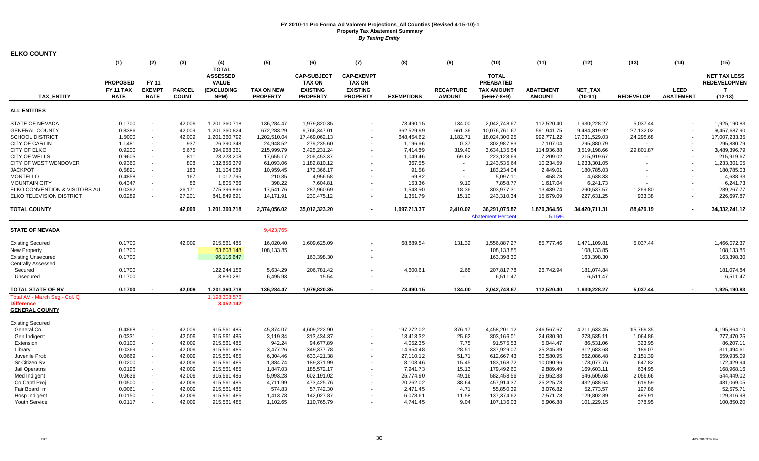| <b>ELKO COUNTY</b>            |                                     |                               |               |                                                               |                   |                                                        |                                                       |                   |                          |                                                       |                  |                |                  |                  |                                                 |
|-------------------------------|-------------------------------------|-------------------------------|---------------|---------------------------------------------------------------|-------------------|--------------------------------------------------------|-------------------------------------------------------|-------------------|--------------------------|-------------------------------------------------------|------------------|----------------|------------------|------------------|-------------------------------------------------|
|                               | (1)                                 | (2)                           | (3)           | (4)                                                           | (5)               | (6)                                                    | (7)                                                   | (8)               | (9)                      | (10)                                                  | (11)             | (12)           | (13)             | (14)             | (15)                                            |
|                               | <b>PROPOSED</b><br><b>FY 11 TAX</b> | <b>FY 11</b><br><b>EXEMPT</b> | <b>PARCEL</b> | <b>TOTAL</b><br><b>ASSESSED</b><br><b>VALUE</b><br>(EXCLUDING | <b>TAX ON NEW</b> | <b>CAP-SUBJECT</b><br><b>TAX ON</b><br><b>EXISTING</b> | <b>CAP-EXEMPT</b><br><b>TAX ON</b><br><b>EXISTING</b> |                   | <b>RECAPTURE</b>         | <b>TOTAL</b><br><b>PREABATED</b><br><b>TAX AMOUNT</b> | <b>ABATEMENT</b> | <b>NET TAX</b> |                  | <b>LEED</b>      | <b>NET TAX LESS</b><br><b>REDEVELOPMEN</b><br>т |
| <b>TAX ENTITY</b>             | <b>RATE</b>                         | <b>RATE</b>                   | <b>COUNT</b>  | NPM)                                                          | <b>PROPERTY</b>   | <b>PROPERTY</b>                                        | <b>PROPERTY</b>                                       | <b>EXEMPTIONS</b> | <b>AMOUNT</b>            | $(5+6+7-8+9)$                                         | <b>AMOUNT</b>    | $(10-11)$      | <b>REDEVELOP</b> | <b>ABATEMENT</b> | $(12-13)$                                       |
| <b>ALL ENTITIES</b>           |                                     |                               |               |                                                               |                   |                                                        |                                                       |                   |                          |                                                       |                  |                |                  |                  |                                                 |
| <b>STATE OF NEVADA</b>        | 0.1700                              |                               | 42.009        | 1,201,360,718                                                 | 136,284.47        | 1,979,820.35                                           | $\overline{\phantom{a}}$                              | 73,490.15         | 134.00                   | 2,042,748.67                                          | 112,520.40       | 1,930,228.27   | 5,037.44         |                  | 1,925,190.83                                    |
| <b>GENERAL COUNTY</b>         | 0.8386                              | $\sim$                        | 42,009        | 1,201,360,824                                                 | 672,283.29        | 9,766,347.01                                           |                                                       | 362,529.99        | 661.36                   | 10,076,761.67                                         | 591,941.75       | 9,484,819.92   | 27,132.02        |                  | 9,457,687.90                                    |
| <b>SCHOOL DISTRICT</b>        | 1.5000                              | $\sim$                        | 42,009        | 1,201,360,792                                                 | 1,202,510.04      | 17,469,062.13                                          | $\overline{\phantom{a}}$                              | 648,454.62        | 1,182.71                 | 18,024,300.25                                         | 992,771.22       | 17,031,529.03  | 24,295.68        |                  | 17,007,233.35                                   |
| CITY OF CARLIN                | 1.1481                              | $\sim$                        | 937           | 26,390,348                                                    | 24,948.52         | 279,235.60                                             | $\sim$                                                | 1,196.66          | 0.37                     | 302,987.83                                            | 7,107.04         | 295,880.79     |                  |                  | 295,880.79                                      |
| CITY OF ELKO                  | 0.9200                              | $\sim$                        | 5,675         | 394,968,361                                                   | 215,999.79        | 3,425,231.24                                           | $\sim$                                                | 7,414.89          | 319.40                   | 3,634,135.54                                          | 114,936.88       | 3,519,198.66   | 29,801.87        |                  | 3,489,396.79                                    |
| <b>CITY OF WELLS</b>          | 0.9605                              | $\sim$                        | 811           | 23,223,208                                                    | 17,655.17         | 206,453.37                                             | $\sim$                                                | 1,049.46          | 69.62                    | 223,128.69                                            | 7,209.02         | 215,919.67     |                  |                  | 215,919.67                                      |
| CITY OF WEST WENDOVER         | 0.9360                              | $\sim$                        | 808           | 132,856,379                                                   | 61,093.06         | 1,182,810.12                                           | $\sim$                                                | 367.55            | $\sim$                   | 1,243,535.64                                          | 10,234.59        | 1,233,301.05   |                  |                  | 1,233,301.05                                    |
| <b>JACKPOT</b>                | 0.5891                              | $\sim$                        | 183           | 31,104,089                                                    | 10,959.45         | 172,366.17                                             |                                                       | 91.58             | $\overline{\phantom{a}}$ | 183,234.04                                            | 2,449.01         | 180,785.03     |                  |                  | 180,785.03                                      |
| <b>MONTELLO</b>               | 0.4858                              | $\sim$                        | 167           | 1,012,795                                                     | 210.35            | 4,956.58                                               | $\overline{\phantom{a}}$                              | 69.82             | $\sim$                   | 5,097.11                                              | 458.78           | 4,638.33       |                  |                  | 4,638.33                                        |
| <b>MOUNTAIN CITY</b>          | 0.4347                              | $\sim$                        | 86            | 1,805,766                                                     | 398.22            | 7,604.81                                               | $\sim$                                                | 153.36            | 9.10                     | 7,858.77                                              | 1,617.04         | 6,241.73       |                  |                  | 6,241.73                                        |
| ELKO CONVENTION & VISITORS AU | 0.0392                              | $\sim$                        | 26,171        | 775,396,896                                                   | 17,541.76         | 287,960.69                                             | $\sim$                                                | 1,543.50          | 18.36                    | 303,977.31                                            | 13,439.74        | 290,537.57     | 1,269.80         |                  | 289,267.77                                      |
| ELKO TELEVISION DISTRICT      | 0.0289                              | $\sim$                        | 27,201        | 841,849,691                                                   | 14,171.91         | 230,475.12                                             | $\sim$                                                | 1,351.79          | 15.10                    | 243,310.34                                            | 15,679.09        | 227,631.25     | 933.38           |                  | 226,697.87                                      |
|                               |                                     |                               |               |                                                               |                   |                                                        |                                                       |                   |                          |                                                       |                  |                |                  |                  |                                                 |
| <b>TOTAL COUNTY</b>           |                                     |                               | 42,009        | 1,201,360,718                                                 | 2,374,056.02      | 35,012,323.20                                          | $\overline{\phantom{a}}$                              | 1,097,713.37      | 2,410.02                 | 36,291,075.87                                         | 1,870,364.56     | 34,420,711.31  | 88,470.19        |                  | 34,332,241.12                                   |
|                               |                                     |                               |               |                                                               |                   |                                                        |                                                       |                   |                          | <b>Abatement Percent</b>                              | 5.15%            |                |                  |                  |                                                 |
| <b>STATE OF NEVADA</b>        |                                     |                               |               |                                                               | 9,423,765         |                                                        |                                                       |                   |                          |                                                       |                  |                |                  |                  |                                                 |
| <b>Existing Secured</b>       | 0.1700                              |                               | 42,009        | 915,561,485                                                   | 16,020.40         | 1,609,625.09                                           |                                                       | 68,889.54         | 131.32                   | 1,556,887.27                                          | 85,777.46        | 1,471,109.81   | 5,037.44         |                  | 1,466,072.37                                    |
| <b>New Property</b>           | 0.1700                              |                               |               | 63,608,148                                                    | 108,133.85        |                                                        |                                                       |                   |                          | 108,133.85                                            |                  | 108,133.85     |                  |                  | 108,133.85                                      |
| <b>Existing Unsecured</b>     | 0.1700                              |                               |               | 96,116,647                                                    |                   | 163,398.30                                             | $\overline{\phantom{a}}$                              |                   |                          | 163,398.30                                            |                  | 163,398.30     |                  |                  | 163,398.30                                      |
| <b>Centrally Assessed</b>     |                                     |                               |               |                                                               |                   |                                                        |                                                       |                   |                          |                                                       |                  |                |                  |                  |                                                 |
| Secured                       | 0.1700                              |                               |               | 122,244,156                                                   | 5,634.29          | 206,781.42                                             | $\overline{\phantom{a}}$                              | 4,600.61          | 2.68                     | 207,817.78                                            | 26,742.94        | 181,074.84     |                  |                  | 181,074.84                                      |
| Unsecured                     | 0.1700                              |                               |               | 3,830,281                                                     | 6,495.93          | 15.54                                                  | $\overline{\phantom{a}}$                              | $\sim$            | $\sim$                   | 6,511.47                                              |                  | 6,511.47       |                  |                  | 6.511.47                                        |
| TOTAL STATE OF NV             | 0.1700                              |                               | 42,009        | 1,201,360,718                                                 | 136,284.47        | 1,979,820.35                                           | $\blacksquare$                                        | 73,490.15         | 134.00                   | 2,042,748.67                                          | 112,520.40       | 1,930,228.27   | 5,037.44         |                  | 1,925,190.83                                    |
| Total AV - March Seg - Col. Q |                                     |                               |               | 1,198,308,576                                                 |                   |                                                        |                                                       |                   |                          |                                                       |                  |                |                  |                  |                                                 |
| <b>Difference</b>             |                                     |                               |               | 3,052,142                                                     |                   |                                                        |                                                       |                   |                          |                                                       |                  |                |                  |                  |                                                 |
| <b>GENERAL COUNTY</b>         |                                     |                               |               |                                                               |                   |                                                        |                                                       |                   |                          |                                                       |                  |                |                  |                  |                                                 |
| <b>Existing Secured</b>       |                                     |                               |               |                                                               |                   |                                                        |                                                       |                   |                          |                                                       |                  |                |                  |                  |                                                 |
| General Co.                   | 0.4868                              | $\sim$                        | 42,009        | 915,561,485                                                   | 45,874.07         | 4,609,222.90                                           |                                                       | 197,272.02        | 376.17                   | 4,458,201.12                                          | 246,567.67       | 4,211,633.45   | 15,769.35        |                  | 4,195,864.10                                    |
| Gen Indigent                  | 0.0331                              | $\sim$                        | 42,009        | 915,561,485                                                   | 3,119.34          | 313,434.37                                             | $\sim$                                                | 13,413.32         | 25.62                    | 303,166.01                                            | 24,630.90        | 278,535.11     | 1,064.86         |                  | 277,470.25                                      |
| Extension                     | 0.0100                              | $\sim$                        | 42,009        | 915,561,485                                                   | 942.24            | 94,677.89                                              | $\sim$                                                | 4,052.35          | 7.75                     | 91,575.53                                             | 5,044.47         | 86,531.06      | 323.95           |                  | 86,207.11                                       |
| Library                       | 0.0369                              | $\sim$                        | 42,009        | 915,561,485                                                   | 3,477.26          | 349,377.78                                             | $\sim$                                                | 14,954.48         | 28.51                    | 337,929.07                                            | 25,245.39        | 312,683.68     | 1,189.07         |                  | 311,494.61                                      |
| Juvenile Prob                 | 0.0669                              | $\sim$                        | 42,009        | 915,561,485                                                   | 6,304.46          | 633,421.38                                             | $\sim$                                                | 27,110.12         | 51.71                    | 612,667.43                                            | 50,580.95        | 562,086.48     | 2,151.39         |                  | 559,935.09                                      |
| Sr Citizen Sv                 | 0.0200                              | $\sim$                        | 42,009        | 915,561,485                                                   | 1,884.74          | 189,371.99                                             |                                                       | 8,103.46          | 15.45                    | 183,168.72                                            | 10,090.96        | 173,077.76     | 647.82           |                  | 172,429.94                                      |
| Jail Operatns                 | 0.0196                              | $\sim$                        | 42,009        | 915,561,485                                                   | 1,847.03          | 185,572.17                                             | $\sim$                                                | 7,941.73          | 15.13                    | 179,492.60                                            | 9,889.49         | 169,603.11     | 634.95           |                  | 168,968.16                                      |
| Med Indigent                  | 0.0636                              | $\sim$                        | 42,009        | 915,561,485                                                   | 5,993.28          | 602,191.02                                             | $\sim$                                                | 25,774.90         | 49.16                    | 582,458.56                                            | 35,952.88        | 546,505.68     | 2,056.66         |                  | 544,449.02                                      |
| Co Captl Proj                 | 0.0500                              | $\sim$                        | 42,009        | 915,561,485                                                   | 4,711.99          | 473,425.76                                             |                                                       | 20,262.02         | 38.64                    | 457,914.37                                            | 25,225.73        | 432,688.64     | 1,619.59         |                  | 431,069.05                                      |
| Fair Board Im                 | 0.0061                              | $\sim$                        | 42,009        | 915,561,485                                                   | 574.83            | 57,742.30                                              | $\overline{\phantom{a}}$                              | 2,471.45          | 4.71                     | 55,850.39                                             | 3,076.82         | 52,773.57      | 197.86           |                  | 52,575.71                                       |
| Hosp Indigent                 | 0.0150                              | $\sim$                        | 42,009        | 915,561,485                                                   | 1,413.78          | 142,027.87                                             |                                                       | 6,078.61          | 11.58                    | 137,374.62                                            | 7,571.73         | 129,802.89     | 485.91           |                  | 129,316.98                                      |
| <b>Youth Service</b>          | 0.0117                              |                               | 42,009        | 915,561,485                                                   | 1,102.65          | 110,765.79                                             |                                                       | 4,741.45          | 9.04                     | 107,136.03                                            | 5,906.88         | 101,229.15     | 378.95           |                  | 100,850.20                                      |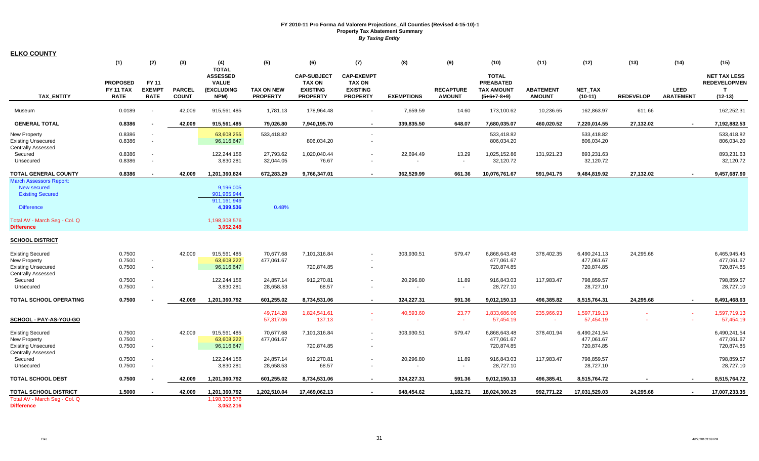| <b>ELKO COUNTY</b>                                     |                  |                          |               |                                 |                   |                    |                          |                   |                          |                   |                  |               |                  |                          |                     |
|--------------------------------------------------------|------------------|--------------------------|---------------|---------------------------------|-------------------|--------------------|--------------------------|-------------------|--------------------------|-------------------|------------------|---------------|------------------|--------------------------|---------------------|
|                                                        | (1)              | (2)                      | (3)           | (4)                             | (5)               | (6)                | (7)                      | (8)               | (9)                      | (10)              | (11)             | (12)          | (13)             | (14)                     | (15)                |
|                                                        |                  |                          |               | <b>TOTAL</b><br><b>ASSESSED</b> |                   | <b>CAP-SUBJECT</b> | <b>CAP-EXEMPT</b>        |                   |                          | <b>TOTAL</b>      |                  |               |                  |                          | <b>NET TAX LESS</b> |
|                                                        | <b>PROPOSED</b>  | <b>FY11</b>              |               | <b>VALUE</b>                    |                   | <b>TAX ON</b>      | <b>TAX ON</b>            |                   |                          | <b>PREABATED</b>  |                  |               |                  |                          | <b>REDEVELOPMEN</b> |
|                                                        | <b>FY 11 TAX</b> | <b>EXEMPT</b>            | <b>PARCEL</b> | <b>(EXCLUDING</b>               | <b>TAX ON NEW</b> | <b>EXISTING</b>    | <b>EXISTING</b>          |                   | <b>RECAPTURE</b>         | <b>TAX AMOUNT</b> | <b>ABATEMENT</b> | NET_TAX       |                  | <b>LEED</b>              | T                   |
| <b>TAX ENTITY</b>                                      | <b>RATE</b>      | <b>RATE</b>              | <b>COUNT</b>  | NPM)                            | <b>PROPERTY</b>   | <b>PROPERTY</b>    | <b>PROPERTY</b>          | <b>EXEMPTIONS</b> | <b>AMOUNT</b>            | $(5+6+7-8+9)$     | <b>AMOUNT</b>    | $(10-11)$     | <b>REDEVELOP</b> | <b>ABATEMENT</b>         | $(12-13)$           |
| Museum                                                 | 0.0189           | $\sim$                   | 42,009        | 915,561,485                     | 1,781.13          | 178,964.48         |                          | 7,659.59          | 14.60                    | 173,100.62        | 10,236.65        | 162,863.97    | 611.66           |                          | 162,252.31          |
| <b>GENERAL TOTAL</b>                                   | 0.8386           |                          | 42,009        | 915,561,485                     | 79,026.80         | 7,940,195.70       |                          | 339,835.50        | 648.07                   | 7,680,035.07      | 460,020.52       | 7,220,014.55  | 27,132.02        | $\sim$                   | 7,192,882.53        |
| <b>New Property</b>                                    | 0.8386           | $\blacksquare$           |               | 63,608,255                      | 533,418.82        |                    |                          |                   |                          | 533,418.82        |                  | 533,418.82    |                  |                          | 533,418.82          |
| <b>Existing Unsecured</b>                              | 0.8386           | $\mathbf{r}$             |               | 96,116,647                      |                   | 806,034.20         |                          |                   |                          | 806,034.20        |                  | 806,034.20    |                  |                          | 806,034.20          |
| <b>Centrally Assessed</b>                              |                  |                          |               |                                 |                   |                    |                          |                   |                          |                   |                  |               |                  |                          |                     |
| Secured                                                | 0.8386           | $\blacksquare$           |               | 122,244,156                     | 27,793.62         | 1,020,040.44       |                          | 22,694.49         | 13.29                    | 1,025,152.86      | 131,921.23       | 893,231.63    |                  |                          | 893,231.63          |
| Unsecured                                              | 0.8386           | $\blacksquare$           |               | 3,830,281                       | 32,044.05         | 76.67              |                          |                   |                          | 32,120.72         |                  | 32,120.72     |                  |                          | 32,120.72           |
| <b>TOTAL GENERAL COUNTY</b>                            | 0.8386           | $\sim$                   | 42.009        | 1,201,360,824                   | 672,283.29        | 9,766,347.01       | $\overline{\phantom{a}}$ | 362,529.99        | 661.36                   | 10,076,761.67     | 591,941.75       | 9,484,819.92  | 27,132.02        | $\sim$                   | 9,457,687.90        |
| March Assessors Report:                                |                  |                          |               |                                 |                   |                    |                          |                   |                          |                   |                  |               |                  |                          |                     |
| <b>New secured</b>                                     |                  |                          |               | 9,196,005                       |                   |                    |                          |                   |                          |                   |                  |               |                  |                          |                     |
| <b>Existing Secured</b>                                |                  |                          |               | 901,965,944<br>911.161.949      |                   |                    |                          |                   |                          |                   |                  |               |                  |                          |                     |
| <b>Difference</b>                                      |                  |                          |               | 4,399,536                       | 0.48%             |                    |                          |                   |                          |                   |                  |               |                  |                          |                     |
|                                                        |                  |                          |               |                                 |                   |                    |                          |                   |                          |                   |                  |               |                  |                          |                     |
| Total AV - March Seg - Col. Q                          |                  |                          |               | 1,198,308,576                   |                   |                    |                          |                   |                          |                   |                  |               |                  |                          |                     |
| <b>Difference</b>                                      |                  |                          |               | 3,052,248                       |                   |                    |                          |                   |                          |                   |                  |               |                  |                          |                     |
| <b>SCHOOL DISTRICT</b>                                 |                  |                          |               |                                 |                   |                    |                          |                   |                          |                   |                  |               |                  |                          |                     |
|                                                        |                  |                          |               |                                 |                   |                    |                          |                   |                          |                   |                  |               |                  |                          |                     |
| <b>Existing Secured</b>                                | 0.7500           |                          | 42,009        | 915,561,485                     | 70,677.68         | 7,101,316.84       |                          | 303,930.51        | 579.47                   | 6,868,643.48      | 378,402.35       | 6,490,241.13  | 24,295.68        |                          | 6,465,945.45        |
| New Property                                           | 0.7500           | $\blacksquare$           |               | 63,608,222                      | 477,061.67        |                    |                          |                   |                          | 477,061.67        |                  | 477,061.67    |                  |                          | 477,061.67          |
| <b>Existing Unsecured</b><br><b>Centrally Assessed</b> | 0.7500           | $\sim$                   |               | 96,116,647                      |                   | 720,874.85         | $\sim$                   |                   |                          | 720,874.85        |                  | 720,874.85    |                  |                          | 720,874.85          |
| Secured                                                | 0.7500           | $\blacksquare$           |               | 122,244,156                     | 24,857.14         | 912,270.81         |                          | 20,296.80         | 11.89                    | 916,843.03        | 117,983.47       | 798,859.57    |                  |                          | 798,859.57          |
| Unsecured                                              | 0.7500           | $\overline{\phantom{a}}$ |               | 3,830,281                       | 28,658.53         | 68.57              |                          |                   | $\overline{\phantom{a}}$ | 28,727.10         |                  | 28,727.10     |                  |                          | 28,727.10           |
|                                                        |                  |                          |               |                                 |                   |                    |                          |                   |                          |                   |                  |               |                  |                          |                     |
| TOTAL SCHOOL OPERATING                                 | 0.7500           |                          | 42,009        | 1,201,360,792                   | 601,255.02        | 8,734,531.06       | $\sim$                   | 324,227.31        | 591.36                   | 9,012,150.13      | 496,385.82       | 8,515,764.31  | 24,295.68        | $\blacksquare$           | 8,491,468.63        |
|                                                        |                  |                          |               |                                 | 49,714.28         | 1,824,541.61       | <b>Section</b>           | 40,593.60         | 23.77                    | 1,833,686.06      | 235,966.93       | 1,597,719.13  |                  |                          | 1,597,719.13        |
| <u>SCHOOL - PAY-AS-YOU-GO</u>                          |                  |                          |               |                                 | 57,317.06         | 137.13             |                          | $\sim$            | $\sim$                   | 57,454.19         | $\sim$           | 57,454.19     |                  |                          | 57,454.19           |
| <b>Existing Secured</b>                                | 0.7500           |                          | 42.009        | 915,561,485                     | 70,677.68         | 7,101,316.84       |                          | 303,930.51        | 579.47                   | 6,868,643.48      | 378,401.94       | 6,490,241.54  |                  |                          | 6,490,241.54        |
| <b>New Property</b>                                    | 0.7500           | $\sim$                   |               | 63,608,222                      | 477,061.67        |                    |                          |                   |                          | 477,061.67        |                  | 477,061.67    |                  |                          | 477,061.67          |
| <b>Existing Unsecured</b>                              | 0.7500           | $\sim$                   |               | 96,116,647                      |                   | 720,874.85         |                          |                   |                          | 720,874.85        |                  | 720,874.85    |                  |                          | 720,874.85          |
| <b>Centrally Assessed</b>                              |                  |                          |               |                                 |                   |                    |                          |                   |                          |                   |                  |               |                  |                          |                     |
| Secured                                                | 0.7500           | $\sim$                   |               | 122,244,156                     | 24,857.14         | 912,270.81         |                          | 20,296.80         | 11.89                    | 916,843.03        | 117,983.47       | 798,859.57    |                  |                          | 798,859.57          |
| Unsecured                                              | 0.7500           | $\sim$                   |               | 3,830,281                       | 28,658.53         | 68.57              |                          |                   | $\overline{\phantom{a}}$ | 28,727.10         |                  | 28,727.10     |                  |                          | 28,727.10           |
| <b>TOTAL SCHOOL DEBT</b>                               | 0.7500           |                          | 42,009        | 1,201,360,792                   | 601,255.02        | 8,734,531.06       | $\sim$                   | 324,227.31        | 591.36                   | 9,012,150.13      | 496,385.41       | 8,515,764.72  |                  | $\overline{\phantom{a}}$ | 8,515,764.72        |
| TOTAL SCHOOL DISTRICT                                  | 1.5000           |                          | 42,009        | 1,201,360,792                   | 1,202,510.04      | 17,469,062.13      | $\sim$                   | 648,454.62        | 1,182.71                 | 18,024,300.25     | 992,771.22       | 17,031,529.03 | 24,295.68        | $\sim$                   | 17,007,233.35       |
| Total AV - March Seg - Col. Q                          |                  |                          |               | 1,198,308,576                   |                   |                    |                          |                   |                          |                   |                  |               |                  |                          |                     |
| <b>Difference</b>                                      |                  |                          |               | 3,052,216                       |                   |                    |                          |                   |                          |                   |                  |               |                  |                          |                     |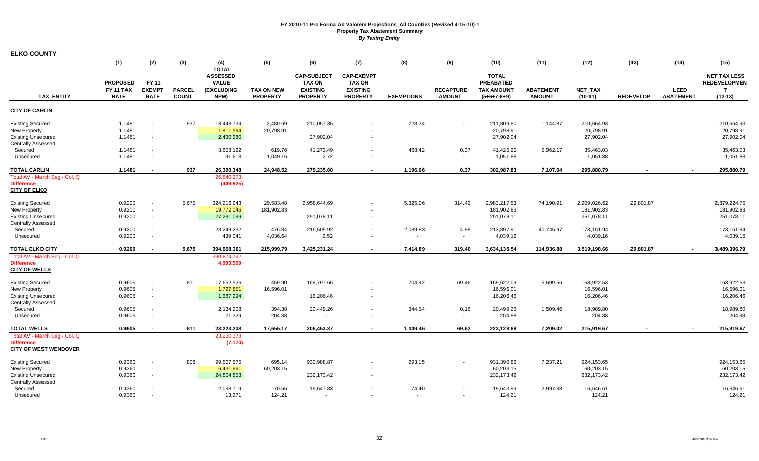| <b>ELKO COUNTY</b>                                                                                       |                                                    |                                            |                               |                                                                       |                                      |                                                                           |                                                                          |                   |                                   |                                                                        |                                   |                                          |                  |                                 |                                                                         |
|----------------------------------------------------------------------------------------------------------|----------------------------------------------------|--------------------------------------------|-------------------------------|-----------------------------------------------------------------------|--------------------------------------|---------------------------------------------------------------------------|--------------------------------------------------------------------------|-------------------|-----------------------------------|------------------------------------------------------------------------|-----------------------------------|------------------------------------------|------------------|---------------------------------|-------------------------------------------------------------------------|
|                                                                                                          | (1)                                                | (2)                                        | (3)                           | (4)                                                                   | (5)                                  | (6)                                                                       | (7)                                                                      | (8)               | (9)                               | (10)                                                                   | (11)                              | (12)                                     | (13)             | (14)                            | (15)                                                                    |
| <b>TAX ENTITY</b>                                                                                        | <b>PROPOSED</b><br><b>FY 11 TAX</b><br><b>RATE</b> | FY 11<br><b>EXEMPT</b><br><b>RATE</b>      | <b>PARCEL</b><br><b>COUNT</b> | <b>TOTAL</b><br><b>ASSESSED</b><br><b>VALUE</b><br>(EXCLUDING<br>NPM) | <b>TAX ON NEW</b><br><b>PROPERTY</b> | <b>CAP-SUBJECT</b><br><b>TAX ON</b><br><b>EXISTING</b><br><b>PROPERTY</b> | <b>CAP-EXEMPT</b><br><b>TAX ON</b><br><b>EXISTING</b><br><b>PROPERTY</b> | <b>EXEMPTIONS</b> | <b>RECAPTURE</b><br><b>AMOUNT</b> | <b>TOTAL</b><br><b>PREABATED</b><br><b>TAX AMOUNT</b><br>$(5+6+7-8+9)$ | <b>ABATEMENT</b><br><b>AMOUNT</b> | <b>NET TAX</b><br>$(10-11)$              | <b>REDEVELOP</b> | <b>LEED</b><br><b>ABATEMENT</b> | <b>NET TAX LESS</b><br><b>REDEVELOPMEN</b><br>$\mathbf{T}$<br>$(12-13)$ |
| <b>CITY OF CARLIN</b>                                                                                    |                                                    |                                            |                               |                                                                       |                                      |                                                                           |                                                                          |                   |                                   |                                                                        |                                   |                                          |                  |                                 |                                                                         |
| <b>Existing Secured</b><br>New Property<br><b>Existing Unsecured</b><br><b>Centrally Assessed</b>        | 1.1481<br>1.1481<br>1.1481                         | $\mathbf{r}$<br>$\sim$<br>$\sim$           | 937                           | 18,448,734<br>1,811,594<br>2,430,280                                  | 2,480.69<br>20,798.91                | 210,057.35<br>27,902.04                                                   | $\sim$                                                                   | 728.24            |                                   | 211,809.80<br>20,798.91<br>27,902.04                                   | 1,144.87                          | 210,664.93<br>20,798.91<br>27,902.04     |                  |                                 | 210,664.93<br>20,798.91<br>27,902.04                                    |
| Secured<br>Unsecured                                                                                     | 1.1481<br>1.1481                                   | $\blacksquare$<br>$\blacksquare$           |                               | 3,608,122<br>91,618                                                   | 619.76<br>1,049.16                   | 41,273.49<br>2.72                                                         |                                                                          | 468.42            | 0.37<br>$\sim$                    | 41,425.20<br>1,051.88                                                  | 5,962.17                          | 35,463.03<br>1,051.88                    |                  |                                 | 35,463.03<br>1,051.88                                                   |
| <b>TOTAL CARLIN</b>                                                                                      | 1.1481                                             | $\blacksquare$                             | 937                           | 26,390,348                                                            | 24,948.52                            | 279,235.60                                                                |                                                                          | 1,196.66          | 0.37                              | 302,987.83                                                             | 7,107.04                          | 295,880.79                               |                  |                                 | 295,880.79                                                              |
| Total AV - March Seg - Col. Q<br><b>Difference</b><br><b>CITY OF ELKO</b>                                |                                                    |                                            |                               | 26,840,273<br>(449, 925)                                              |                                      |                                                                           |                                                                          |                   |                                   |                                                                        |                                   |                                          |                  |                                 |                                                                         |
| <b>Existing Secured</b><br><b>New Property</b><br><b>Existing Unsecured</b><br><b>Centrally Assessed</b> | 0.9200<br>0.9200<br>0.9200                         | $\blacksquare$<br>$\blacksquare$<br>$\sim$ | 5,675                         | 324,216,943<br>19,772,046<br>27,291,099                               | 29,583.48<br>181,902.83              | 2,958,644.69<br>251,078.11                                                | $\sim$                                                                   | 5,325.06          | 314.42                            | 2,983,217.53<br>181,902.83<br>251,078.11                               | 74,190.91                         | 2,909,026.62<br>181,902.83<br>251,078.11 | 29,801.87        |                                 | 2,879,224.75<br>181,902.83<br>251,078.11                                |
| Secured<br>Unsecured                                                                                     | 0.9200<br>0.9200                                   | $\blacksquare$<br>$\blacksquare$           |                               | 23,249,232<br>439,041                                                 | 476.84<br>4,036.64                   | 215,505.92<br>2.52                                                        | $\blacksquare$                                                           | 2,089.83          | 4.98<br>$\mathbf{r}$              | 213,897.91<br>4,039.16                                                 | 40,745.97                         | 173,151.94<br>4,039.16                   |                  |                                 | 173,151.94<br>4,039.16                                                  |
| <b>TOTAL ELKO CITY</b><br>Total AV - March Seg - Col. Q<br><b>Difference</b><br><b>CITY OF WELLS</b>     | 0.9200                                             | $\overline{\phantom{a}}$                   | 5,675                         | 394,968,361<br>390,874,792<br>4,093,569                               | 215,999.79                           | 3,425,231.24                                                              | $\blacksquare$                                                           | 7,414.89          | 319.40                            | 3,634,135.54                                                           | 114,936.88                        | 3,519,198.66                             | 29,801.87        |                                 | 3,489,396.79                                                            |
| <b>Existing Secured</b><br>New Property<br><b>Existing Unsecured</b><br><b>Centrally Assessed</b>        | 0.9605<br>0.9605<br>0.9605                         | $\blacksquare$<br>$\blacksquare$<br>$\sim$ | 811                           | 17,652,526<br>1,727,851<br>1,687,294                                  | 459.90<br>16,596.01                  | 169,797.65<br>16,206.46                                                   | $\sim$                                                                   | 704.92            | 69.46                             | 169,622.09<br>16,596.01<br>16,206.46                                   | 5,699.56                          | 163,922.53<br>16,596.01<br>16,206.46     |                  |                                 | 163,922.53<br>16,596.01<br>16,206.46                                    |
| Secured<br>Unsecured                                                                                     | 0.9605<br>0.9605                                   | $\blacksquare$<br>$\blacksquare$           |                               | 2,134,208<br>21,329                                                   | 394.38<br>204.88                     | 20,449.26                                                                 |                                                                          | 344.54            | 0.16<br>$\sim$                    | 20,499.26<br>204.88                                                    | 1,509.46                          | 18,989.80<br>204.88                      |                  |                                 | 18,989.80<br>204.88                                                     |
| <b>TOTAL WELLS</b><br>Total AV - March Seg - Col. Q<br><b>Difference</b><br><b>CITY OF WEST WENDOVER</b> | 0.9605                                             | $\sim$                                     | 811                           | 23,223,208<br>23,230,378<br>(7, 170)                                  | 17,655.17                            | 206,453.37                                                                | $\blacksquare$                                                           | 1,049.46          | 69.62                             | 223,128.69                                                             | 7,209.02                          | 215,919.67                               |                  |                                 | 215,919.67                                                              |
| <b>Existing Secured</b><br>New Property<br><b>Existing Unsecured</b><br><b>Centrally Assessed</b>        | 0.9360<br>0.9360<br>0.9360                         | $\blacksquare$<br>$\blacksquare$<br>$\sim$ | 808                           | 99,507,575<br>6,431,961<br>24,804,853                                 | 695.14<br>60,203.15                  | 930,988.87<br>232,173.42                                                  | $\overline{\phantom{a}}$                                                 | 293.15            |                                   | 931,390.86<br>60,203.15<br>232,173.42                                  | 7,237.21                          | 924,153.65<br>60,203.15<br>232,173.42    |                  |                                 | 924,153.65<br>60,203.15<br>232,173.42                                   |
| Secured<br>Unsecured                                                                                     | 0.9360<br>0.9360                                   |                                            |                               | 2,098,719<br>13.271                                                   | 70.56<br>124.21                      | 19,647.83                                                                 |                                                                          | 74.40<br>$\sim$   | $\sim$                            | 19,643.99<br>124.21                                                    | 2,997.38                          | 16,646.61<br>124.21                      |                  |                                 | 16,646.61<br>124.21                                                     |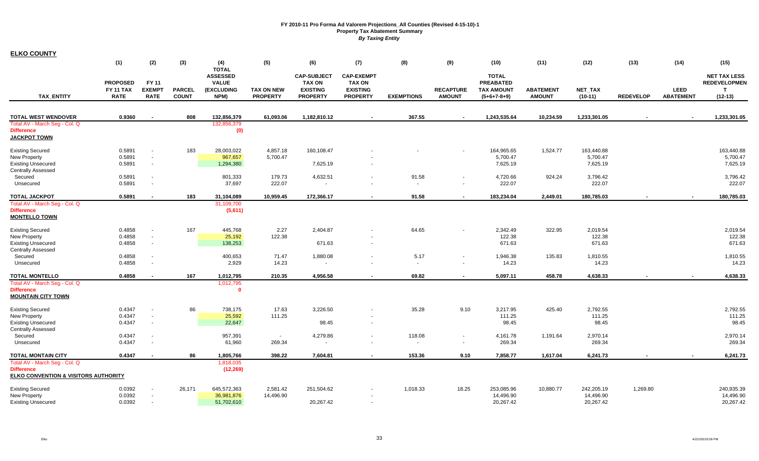| <b>ELKO COUNTY</b>                                                         |                                     |                          |               |                                                               |                   |                                                        |                                                       |                          |                  |                                                       |                  |              |                  |                  |                                                            |
|----------------------------------------------------------------------------|-------------------------------------|--------------------------|---------------|---------------------------------------------------------------|-------------------|--------------------------------------------------------|-------------------------------------------------------|--------------------------|------------------|-------------------------------------------------------|------------------|--------------|------------------|------------------|------------------------------------------------------------|
|                                                                            | (1)                                 | (2)                      | (3)           | (4)                                                           | (5)               | (6)                                                    | (7)                                                   | (8)                      | (9)              | (10)                                                  | (11)             | (12)         | (13)             | (14)             | (15)                                                       |
|                                                                            | <b>PROPOSED</b><br><b>FY 11 TAX</b> | FY 11<br><b>EXEMPT</b>   | <b>PARCEL</b> | <b>TOTAL</b><br><b>ASSESSED</b><br><b>VALUE</b><br>(EXCLUDING | <b>TAX ON NEW</b> | <b>CAP-SUBJECT</b><br><b>TAX ON</b><br><b>EXISTING</b> | <b>CAP-EXEMPT</b><br><b>TAX ON</b><br><b>EXISTING</b> |                          | <b>RECAPTURE</b> | <b>TOTAL</b><br><b>PREABATED</b><br><b>TAX AMOUNT</b> | <b>ABATEMENT</b> | NET_TAX      |                  | <b>LEED</b>      | <b>NET TAX LESS</b><br><b>REDEVELOPMEN</b><br>$\mathbf{T}$ |
| <b>TAX ENTITY</b>                                                          | <b>RATE</b>                         | <b>RATE</b>              | <b>COUNT</b>  | NPM)                                                          | <b>PROPERTY</b>   | <b>PROPERTY</b>                                        | <b>PROPERTY</b>                                       | <b>EXEMPTIONS</b>        | <b>AMOUNT</b>    | $(5+6+7-8+9)$                                         | <b>AMOUNT</b>    | $(10-11)$    | <b>REDEVELOP</b> | <b>ABATEMENT</b> | $(12-13)$                                                  |
| <b>TOTAL WEST WENDOVER</b>                                                 | 0.9360                              |                          | 808           | 132,856,379                                                   | 61,093.06         | 1,182,810.12                                           | $\overline{\phantom{a}}$                              | 367.55                   | $\sim$           | 1,243,535.64                                          | 10,234.59        | 1,233,301.05 |                  |                  | 1,233,301.05                                               |
| Total AV - March Seg - Col. Q                                              |                                     |                          |               | 132,856,379                                                   |                   |                                                        |                                                       |                          |                  |                                                       |                  |              |                  |                  |                                                            |
| <b>Difference</b><br><b>JACKPOT TOWN</b>                                   |                                     |                          |               | (0)                                                           |                   |                                                        |                                                       |                          |                  |                                                       |                  |              |                  |                  |                                                            |
| <b>Existing Secured</b>                                                    | 0.5891                              | $\overline{\phantom{a}}$ | 183           | 28,003,022                                                    | 4,857.18          | 160,108.47                                             |                                                       |                          |                  | 164,965.65                                            | 1,524.77         | 163,440.88   |                  |                  | 163,440.88                                                 |
| New Property                                                               | 0.5891                              | $\sim$                   |               | 967,657                                                       | 5,700.47          |                                                        |                                                       |                          |                  | 5,700.47                                              |                  | 5,700.47     |                  |                  | 5,700.47                                                   |
| <b>Existing Unsecured</b><br><b>Centrally Assessed</b>                     | 0.5891                              | $\sim$                   |               | 1,294,380                                                     |                   | 7,625.19                                               |                                                       |                          |                  | 7,625.19                                              |                  | 7,625.19     |                  |                  | 7,625.19                                                   |
| Secured                                                                    | 0.5891                              | $\sim$                   |               | 801,333                                                       | 179.73            | 4,632.51                                               |                                                       | 91.58                    | $\blacksquare$   | 4,720.66                                              | 924.24           | 3,796.42     |                  |                  | 3,796.42                                                   |
| Unsecured                                                                  | 0.5891                              | $\sim$                   |               | 37,697                                                        | 222.07            |                                                        |                                                       | $\overline{\phantom{a}}$ | $\sim$           | 222.07                                                |                  | 222.07       |                  |                  | 222.07                                                     |
| <b>TOTAL JACKPOT</b>                                                       | 0.5891                              | $\sim$                   | 183           | 31,104,089                                                    | 10,959.45         | 172,366.17                                             |                                                       | 91.58                    | $\sim$           | 183,234.04                                            | 2,449.01         | 180,785.03   |                  |                  | 180,785.03                                                 |
| Total AV - March Seg - Col. Q<br><b>Difference</b><br><b>MONTELLO TOWN</b> |                                     |                          |               | 31,109,700<br>(5,611)                                         |                   |                                                        |                                                       |                          |                  |                                                       |                  |              |                  |                  |                                                            |
| <b>Existing Secured</b>                                                    | 0.4858                              | $\sim$                   | 167           | 445,768                                                       | 2.27              | 2,404.87                                               |                                                       | 64.65                    |                  | 2,342.49                                              | 322.95           | 2,019.54     |                  |                  | 2,019.54                                                   |
| New Property                                                               | 0.4858                              | $\sim$                   |               | 25,192                                                        | 122.38            |                                                        |                                                       |                          |                  | 122.38                                                |                  | 122.38       |                  |                  | 122.38                                                     |
| <b>Existing Unsecured</b>                                                  | 0.4858                              | $\sim$                   |               | 138,253                                                       |                   | 671.63                                                 |                                                       |                          |                  | 671.63                                                |                  | 671.63       |                  |                  | 671.63                                                     |
| <b>Centrally Assessed</b>                                                  |                                     |                          |               |                                                               |                   |                                                        |                                                       |                          |                  |                                                       |                  |              |                  |                  |                                                            |
| Secured                                                                    | 0.4858<br>0.4858                    | $\sim$                   |               | 400,653                                                       | 71.47             | 1,880.08                                               |                                                       | 5.17                     |                  | 1,946.38                                              | 135.83           | 1,810.55     |                  |                  | 1,810.55<br>14.23                                          |
| Unsecured                                                                  |                                     | $\sim$                   |               | 2,929                                                         | 14.23             | $\blacksquare$                                         |                                                       | $\sim$                   | $\blacksquare$   | 14.23                                                 |                  | 14.23        |                  |                  |                                                            |
| <b>TOTAL MONTELLO</b>                                                      | 0.4858                              | $\sim$                   | 167           | 1,012,795                                                     | 210.35            | 4.956.58                                               |                                                       | 69.82                    | $\sim$           | 5,097.11                                              | 458.78           | 4,638.33     |                  |                  | 4,638.33                                                   |
| Total AV - March Seg - Col. Q<br><b>Difference</b>                         |                                     |                          |               | 1,012,795<br>$\mathbf{0}$                                     |                   |                                                        |                                                       |                          |                  |                                                       |                  |              |                  |                  |                                                            |
| <b>MOUNTAIN CITY TOWN</b>                                                  |                                     |                          |               |                                                               |                   |                                                        |                                                       |                          |                  |                                                       |                  |              |                  |                  |                                                            |
| <b>Existing Secured</b>                                                    | 0.4347                              | $\sim$                   | 86            | 738,175                                                       | 17.63             | 3.226.50                                               |                                                       | 35.28                    | 9.10             | 3,217.95                                              | 425.40           | 2.792.55     |                  |                  | 2,792.55                                                   |
| New Property                                                               | 0.4347                              | $\sim$                   |               | 25,592                                                        | 111.25            |                                                        |                                                       |                          |                  | 111.25                                                |                  | 111.25       |                  |                  | 111.25                                                     |
| <b>Existing Unsecured</b><br><b>Centrally Assessed</b>                     | 0.4347                              | $\sim$                   |               | 22,647                                                        |                   | 98.45                                                  |                                                       |                          |                  | 98.45                                                 |                  | 98.45        |                  |                  | 98.45                                                      |
| Secured                                                                    | 0.4347                              | $\overline{\phantom{a}}$ |               | 957,391                                                       | $\sim$            | 4,279.86                                               |                                                       | 118.08                   |                  | 4,161.78                                              | 1,191.64         | 2,970.14     |                  |                  | 2,970.14                                                   |
| Unsecured                                                                  | 0.4347                              | $\sim$                   |               | 61,960                                                        | 269.34            | $\sim$                                                 |                                                       | $\sim$                   | $\sim$           | 269.34                                                |                  | 269.34       |                  |                  | 269.34                                                     |
| TOTAL MONTAIN CITY                                                         | 0.4347                              | $\overline{\phantom{a}}$ | 86            | 1,805,766                                                     | 398.22            | 7,604.81                                               |                                                       | 153.36                   | 9.10             | 7,858.77                                              | 1,617.04         | 6,241.73     |                  |                  | 6,241.73                                                   |
| Total AV - March Seg - Col. Q<br><b>Difference</b>                         |                                     |                          |               | 1,818,035                                                     |                   |                                                        |                                                       |                          |                  |                                                       |                  |              |                  |                  |                                                            |
| <b>ELKO CONVENTION &amp; VISITORS AUTHORITY</b>                            |                                     |                          |               | (12, 269)                                                     |                   |                                                        |                                                       |                          |                  |                                                       |                  |              |                  |                  |                                                            |
| <b>Existing Secured</b>                                                    | 0.0392                              | $\sim$                   | 26,171        | 645,572,363                                                   | 2,581.42          | 251,504.62                                             |                                                       | 1,018.33                 | 18.25            | 253,085.96                                            | 10,880.77        | 242,205.19   | 1,269.80         |                  | 240,935.39                                                 |
| New Property                                                               | 0.0392                              | $\sim$                   |               | 36,981,876                                                    | 14,496.90         |                                                        |                                                       |                          |                  | 14,496.90                                             |                  | 14,496.90    |                  |                  | 14,496.90                                                  |
| <b>Existing Unsecured</b>                                                  | 0.0392                              | $\sim$                   |               | 51,702,610                                                    |                   | 20,267.42                                              |                                                       |                          |                  | 20,267.42                                             |                  | 20,267.42    |                  |                  | 20,267.42                                                  |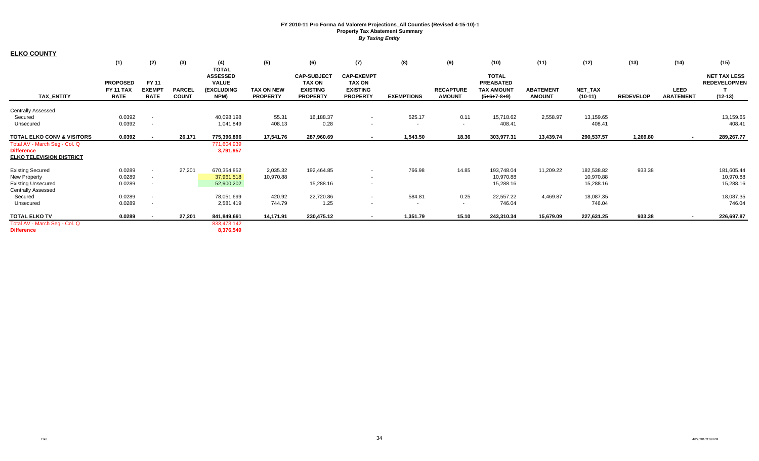| <b>ELKO COUNTY</b>                                                                    |                                                    |                                       |                               |                                                              |                                      |                                                                           |                                                                          |                   |                                   |                                                                 |                                   |                      |                  |                                 |                                                         |
|---------------------------------------------------------------------------------------|----------------------------------------------------|---------------------------------------|-------------------------------|--------------------------------------------------------------|--------------------------------------|---------------------------------------------------------------------------|--------------------------------------------------------------------------|-------------------|-----------------------------------|-----------------------------------------------------------------|-----------------------------------|----------------------|------------------|---------------------------------|---------------------------------------------------------|
|                                                                                       | (1)                                                | (2)                                   | (3)                           | (4)<br><b>TOTAL</b>                                          | (5)                                  | (6)                                                                       | (7)                                                                      | (8)               | (9)                               | (10)                                                            | (11)                              | (12)                 | (13)             | (14)                            | (15)                                                    |
| <b>TAX_ENTITY</b>                                                                     | <b>PROPOSED</b><br><b>FY 11 TAX</b><br><b>RATE</b> | FY 11<br><b>EXEMPT</b><br><b>RATE</b> | <b>PARCEL</b><br><b>COUNT</b> | <b>ASSESSED</b><br><b>VALUE</b><br><b>(EXCLUDING</b><br>NPM) | <b>TAX ON NEW</b><br><b>PROPERTY</b> | <b>CAP-SUBJECT</b><br><b>TAX ON</b><br><b>EXISTING</b><br><b>PROPERTY</b> | <b>CAP-EXEMPT</b><br><b>TAX ON</b><br><b>EXISTING</b><br><b>PROPERTY</b> | <b>EXEMPTIONS</b> | <b>RECAPTURE</b><br><b>AMOUNT</b> | <b>TOTAL</b><br><b>PREABATED</b><br>TAX AMOUNT<br>$(5+6+7-8+9)$ | <b>ABATEMENT</b><br><b>AMOUNT</b> | NET_TAX<br>$(10-11)$ | <b>REDEVELOP</b> | <b>LEED</b><br><b>ABATEMENT</b> | <b>NET TAX LESS</b><br><b>REDEVELOPMEN</b><br>$(12-13)$ |
| <b>Centrally Assessed</b>                                                             |                                                    |                                       |                               |                                                              |                                      |                                                                           |                                                                          |                   |                                   |                                                                 |                                   |                      |                  |                                 |                                                         |
| Secured                                                                               | 0.0392                                             | $\overline{\phantom{a}}$              |                               | 40,098,198                                                   | 55.31                                | 16,188.37                                                                 | $\sim$                                                                   | 525.17            | 0.11                              | 15,718.62                                                       | 2,558.97                          | 13,159.65            |                  |                                 | 13,159.65                                               |
| Unsecured                                                                             | 0.0392                                             | $\overline{\phantom{a}}$              |                               | 1,041,849                                                    | 408.13                               | 0.28                                                                      | $\sim$                                                                   | $\sim$            | $\sim$                            | 408.41                                                          |                                   | 408.41               |                  |                                 | 408.41                                                  |
| <b>TOTAL ELKO CONV &amp; VISITORS</b>                                                 | 0.0392                                             | $\overline{\phantom{a}}$              | 26,171                        | 775,396,896                                                  | 17,541.76                            | 287,960.69                                                                | $\sim$                                                                   | 1,543.50          | 18.36                             | 303,977.31                                                      | 13,439.74                         | 290,537.57           | 1,269.80         | $\sim$                          | 289,267.77                                              |
| Total AV - March Seg - Col. Q<br><b>Difference</b><br><b>ELKO TELEVISION DISTRICT</b> |                                                    |                                       |                               | 771,604,939<br>3,791,957                                     |                                      |                                                                           |                                                                          |                   |                                   |                                                                 |                                   |                      |                  |                                 |                                                         |
| <b>Existing Secured</b>                                                               | 0.0289                                             | $\overline{\phantom{a}}$              | 27,201                        | 670,354,852                                                  | 2,035.32                             | 192,464.85                                                                | $\sim$                                                                   | 766.98            | 14.85                             | 193,748.04                                                      | 11,209.22                         | 182,538.82           | 933.38           |                                 | 181,605.44                                              |
| New Property                                                                          | 0.0289                                             | $\overline{\phantom{a}}$              |                               | 37,961,518                                                   | 10,970.88                            |                                                                           | $\overline{\phantom{a}}$                                                 |                   |                                   | 10,970.88                                                       |                                   | 10,970.88            |                  |                                 | 10,970.88                                               |
| <b>Existing Unsecured</b>                                                             | 0.0289                                             | $\overline{\phantom{a}}$              |                               | 52,900,202                                                   |                                      | 15,288.16                                                                 | $\sim$                                                                   |                   |                                   | 15,288.16                                                       |                                   | 15,288.16            |                  |                                 | 15,288.16                                               |
| <b>Centrally Assessed</b>                                                             |                                                    |                                       |                               |                                                              |                                      |                                                                           |                                                                          |                   |                                   |                                                                 |                                   |                      |                  |                                 |                                                         |
| Secured                                                                               | 0.0289                                             | $\overline{\phantom{a}}$              |                               | 78,051,699                                                   | 420.92                               | 22,720.86                                                                 | $\sim$                                                                   | 584.81            | 0.25                              | 22,557.22                                                       | 4,469.87                          | 18,087.35            |                  |                                 | 18,087.35                                               |
| Unsecured                                                                             | 0.0289                                             | $\overline{\phantom{a}}$              |                               | 2,581,419                                                    | 744.79                               | 1.25                                                                      | $\sim$                                                                   | $\sim$            | $\sim$                            | 746.04                                                          |                                   | 746.04               |                  |                                 | 746.04                                                  |
| <b>TOTAL ELKO TV</b>                                                                  | 0.0289                                             | $\sim$                                | 27,201                        | 841,849,691                                                  | 14,171.91                            | 230,475.12                                                                | $\sim$                                                                   | 1,351.79          | 15.10                             | 243,310.34                                                      | 15,679.09                         | 227,631.25           | 933.38           | $\sim$                          | 226,697.87                                              |
| Total AV - March Seg - Col. Q<br><b>Difference</b>                                    |                                                    |                                       |                               | 833,473,142<br>8,376,549                                     |                                      |                                                                           |                                                                          |                   |                                   |                                                                 |                                   |                      |                  |                                 |                                                         |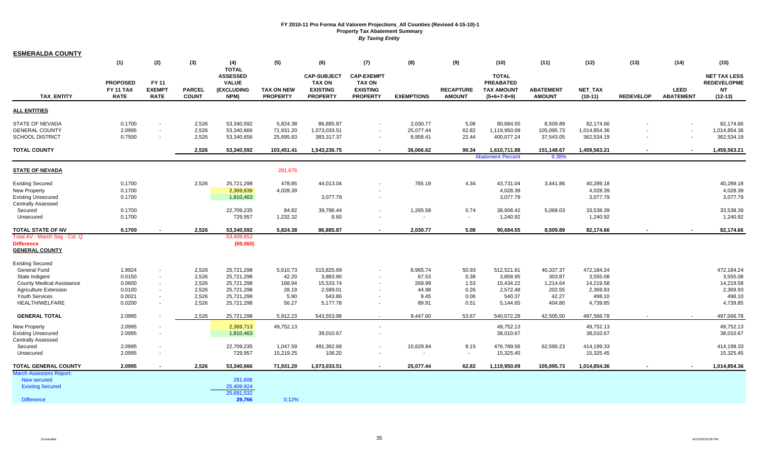| <b>ESMERALDA COUNTY</b>                                          |                          |                                          |                               |                                 |                                      |                                    |                                    |                       |                                   |                                    |                                   |                            |                  |                                 |                            |
|------------------------------------------------------------------|--------------------------|------------------------------------------|-------------------------------|---------------------------------|--------------------------------------|------------------------------------|------------------------------------|-----------------------|-----------------------------------|------------------------------------|-----------------------------------|----------------------------|------------------|---------------------------------|----------------------------|
|                                                                  | (1)                      | (2)                                      | (3)                           | (4)                             | (5)                                  | (6)                                | (7)                                | (8)                   | (9)                               | (10)                               | (11)                              | (12)                       | (13)             | (14)                            | (15)                       |
|                                                                  |                          |                                          |                               | <b>TOTAL</b><br><b>ASSESSED</b> |                                      | <b>CAP-SUBJECT</b>                 | <b>CAP-EXEMPT</b>                  |                       |                                   | <b>TOTAL</b>                       |                                   |                            |                  |                                 | <b>NET TAX LESS</b>        |
|                                                                  | <b>PROPOSED</b>          | FY 11                                    |                               | <b>VALUE</b>                    |                                      | <b>TAX ON</b>                      | <b>TAX ON</b>                      |                       |                                   | <b>PREABATED</b>                   |                                   |                            |                  |                                 | <b>REDEVELOPME</b>         |
| <b>TAX ENTITY</b>                                                | FY 11 TAX<br><b>RATE</b> | <b>EXEMPT</b><br><b>RATE</b>             | <b>PARCEL</b><br><b>COUNT</b> | <b>(EXCLUDING</b><br>NPM)       | <b>TAX ON NEW</b><br><b>PROPERTY</b> | <b>EXISTING</b><br><b>PROPERTY</b> | <b>EXISTING</b><br><b>PROPERTY</b> | <b>EXEMPTIONS</b>     | <b>RECAPTURE</b><br><b>AMOUNT</b> | <b>TAX AMOUNT</b><br>$(5+6+7-8+9)$ | <b>ABATEMENT</b><br><b>AMOUNT</b> | NET_TAX<br>$(10-11)$       | <b>REDEVELOP</b> | <b>LEED</b><br><b>ABATEMENT</b> | <b>NT</b><br>$(12-13)$     |
| <b>ALL ENTITIES</b>                                              |                          |                                          |                               |                                 |                                      |                                    |                                    |                       |                                   |                                    |                                   |                            |                  |                                 |                            |
|                                                                  |                          |                                          |                               |                                 |                                      |                                    |                                    |                       |                                   |                                    |                                   |                            |                  |                                 |                            |
| <b>STATE OF NEVADA</b>                                           | 0.1700                   | $\blacksquare$                           | 2,526                         | 53,340,592                      | 5,824.38                             | 86,885.87                          |                                    | 2,030.77              | 5.08                              | 90,684.55                          | 8,509.89                          | 82,174.66                  |                  |                                 | 82,174.66                  |
| <b>GENERAL COUNTY</b><br><b>SCHOOL DISTRICT</b>                  | 2.0995<br>0.7500         | $\sim$<br>$\sim$                         | 2,526<br>2,526                | 53,340,666<br>53,340,656        | 71,931.20<br>25,695.83               | 1,073,033.51<br>383,317.37         | $\sim$                             | 25,077.44<br>8,958.41 | 62.82<br>22.44                    | 1,119,950.09<br>400,077.24         | 105,095.73<br>37,543.05           | 1,014,854.36<br>362,534.19 |                  | $\sim$<br>$\blacksquare$        | 1,014,854.36<br>362,534.19 |
|                                                                  |                          |                                          |                               |                                 |                                      |                                    |                                    |                       |                                   |                                    |                                   |                            |                  |                                 |                            |
| <b>TOTAL COUNTY</b>                                              |                          |                                          | 2,526                         | 53,340,592                      | 103,451.41                           | 1,543,236.75                       | $\sim$                             | 36,066.62             | 90.34                             | 1,610,711.88                       | 151,148.67                        | 1,459,563.21               |                  |                                 | 1,459,563.21               |
|                                                                  |                          |                                          |                               |                                 |                                      |                                    |                                    |                       |                                   | <b>Abatement Percent</b>           | 9.38                              |                            |                  |                                 |                            |
| <b>STATE OF NEVADA</b>                                           |                          |                                          |                               |                                 | 281,676                              |                                    |                                    |                       |                                   |                                    |                                   |                            |                  |                                 |                            |
| <b>Existing Secured</b>                                          | 0.1700                   |                                          | 2,526                         | 25,721,298                      | 478.85                               | 44,013.04                          |                                    | 765.19                | 4.34                              | 43,731.04                          | 3,441.86                          | 40,289.18                  |                  |                                 | 40,289.18                  |
| <b>New Property</b>                                              | 0.1700                   |                                          |                               | 2,369,639                       | 4,028.39                             |                                    |                                    |                       |                                   | 4,028.39                           |                                   | 4,028.39                   |                  |                                 | 4,028.39                   |
| <b>Existing Unsecured</b>                                        | 0.1700                   |                                          |                               | 1,810,463                       |                                      | 3,077.79                           |                                    |                       |                                   | 3,077.79                           |                                   | 3,077.79                   |                  |                                 | 3,077.79                   |
| <b>Centrally Assessed</b><br>Secured                             | 0.1700                   |                                          |                               | 22,709,235                      | 84.82                                | 39,786.44                          | $\sim$                             | 1,265.58              | 0.74                              | 38,606.42                          | 5,068.03                          | 33,538.39                  |                  |                                 | 33,538.39                  |
| Unsecured                                                        | 0.1700                   |                                          |                               | 729,957                         | 1,232.32                             | 8.60                               | $\sim$                             |                       |                                   | 1,240.92                           |                                   | 1,240.92                   |                  |                                 | 1,240.92                   |
|                                                                  |                          |                                          |                               |                                 |                                      |                                    |                                    |                       |                                   |                                    |                                   |                            |                  |                                 |                            |
| TOTAL STATE OF NV<br>Total AV - March Seg - Col. Q               | 0.1700                   |                                          | 2,526                         | 53,340,592<br>53,409,652        | 5,824.38                             | 86,885.87                          | $\overline{\phantom{a}}$           | 2,030.77              | 5.08                              | 90,684.55                          | 8,509.89                          | 82,174.66                  |                  |                                 | 82,174.66                  |
| <b>Difference</b>                                                |                          |                                          |                               | (69,060)                        |                                      |                                    |                                    |                       |                                   |                                    |                                   |                            |                  |                                 |                            |
| <b>GENERAL COUNTY</b>                                            |                          |                                          |                               |                                 |                                      |                                    |                                    |                       |                                   |                                    |                                   |                            |                  |                                 |                            |
| <b>Existing Secured</b>                                          |                          |                                          |                               |                                 |                                      |                                    |                                    |                       |                                   |                                    |                                   |                            |                  |                                 |                            |
| General Fund                                                     | 1.9924                   | $\overline{\phantom{a}}$                 | 2,526                         | 25,721,298                      | 5,610.73                             | 515,825.69                         | $\sim$                             | 8,965.74              | 50.93                             | 512,521.61                         | 40,337.37                         | 472,184.24                 |                  |                                 | 472,184.24                 |
| State Indigent                                                   | 0.0150                   | $\overline{\phantom{a}}$                 | 2,526                         | 25,721,298                      | 42.20                                | 3,883.90                           |                                    | 67.53                 | 0.38                              | 3,858.95                           | 303.87                            | 3,555.08                   |                  |                                 | 3,555.08                   |
| <b>County Medical Assistance</b><br><b>Agriculture Extension</b> | 0.0600<br>0.0100         | $\overline{\phantom{a}}$<br>$\mathbf{r}$ | 2,526<br>2,526                | 25,721,298<br>25,721,298        | 168.94<br>28.19                      | 15,533.74<br>2,589.01              |                                    | 269.99<br>44.98       | 1.53<br>0.26                      | 15,434.22<br>2,572.48              | 1,214.64<br>202.55                | 14,219.58<br>2,369.93      |                  |                                 | 14,219.58<br>2,369.93      |
| Youth Services                                                   | 0.0021                   | $\overline{\phantom{a}}$                 | 2,526                         | 25,721,298                      | 5.90                                 | 543.86                             |                                    | 9.45                  | 0.06                              | 540.37                             | 42.27                             | 498.10                     |                  |                                 | 498.10                     |
| <b>HEALTH/WELFARE</b>                                            | 0.0200                   | $\overline{\phantom{a}}$                 | 2,526                         | 25,721,298                      | 56.27                                | 5,177.78                           | $\sim$                             | 89.91                 | 0.51                              | 5,144.65                           | 404.80                            | 4,739.85                   |                  |                                 | 4,739.85                   |
| <b>GENERAL TOTAL</b>                                             | 2.0995                   |                                          | 2,526                         | 25,721,298                      | 5,912.23                             | 543,553.98                         |                                    | 9,447.60              | 53.67                             | 540,072.28                         | 42,505.50                         | 497,566.78                 |                  |                                 | 497,566.78                 |
| <b>New Property</b>                                              | 2.0995                   |                                          |                               | 2,369,713                       | 49,752.13                            |                                    | $\sim$                             |                       |                                   | 49,752.13                          |                                   | 49,752.13                  |                  |                                 | 49,752.13                  |
| <b>Existing Unsecured</b>                                        | 2.0995                   |                                          |                               | 1,810,463                       |                                      | 38,010.67                          |                                    |                       |                                   | 38,010.67                          |                                   | 38,010.67                  |                  |                                 | 38,010.67                  |
| Centrally Assessed                                               |                          |                                          |                               |                                 |                                      |                                    |                                    |                       |                                   |                                    |                                   |                            |                  |                                 |                            |
| Secured                                                          | 2.0995                   |                                          |                               | 22,709,235                      | 1,047.59                             | 491,362.66                         |                                    | 15,629.84             | 9.15                              | 476,789.56                         | 62,590.23                         | 414,199.33                 |                  |                                 | 414,199.33                 |
| Unsecured                                                        | 2.0995                   |                                          |                               | 729,957                         | 15,219.25                            | 106.20                             |                                    | $\sim$                | $\sim$                            | 15,325.45                          |                                   | 15,325.45                  |                  |                                 | 15,325.45                  |
| <b>TOTAL GENERAL COUNTY</b><br><b>March Assessors Report:</b>    | 2.0995                   |                                          | 2,526                         | 53,340,666                      | 71,931.20                            | 1,073,033.51                       | $\overline{\phantom{a}}$           | 25,077.44             | 62.82                             | 1,119,950.09                       | 105,095.73                        | 1,014,854.36               |                  |                                 | 1,014,854.36               |
| New secured                                                      |                          |                                          |                               | 281,608                         |                                      |                                    |                                    |                       |                                   |                                    |                                   |                            |                  |                                 |                            |
| <b>Existing Secured</b>                                          |                          |                                          |                               | 25,409,924                      |                                      |                                    |                                    |                       |                                   |                                    |                                   |                            |                  |                                 |                            |
|                                                                  |                          |                                          |                               | 25,691,532                      |                                      |                                    |                                    |                       |                                   |                                    |                                   |                            |                  |                                 |                            |
| <b>Difference</b>                                                |                          |                                          |                               | 29,766                          | 0.12%                                |                                    |                                    |                       |                                   |                                    |                                   |                            |                  |                                 |                            |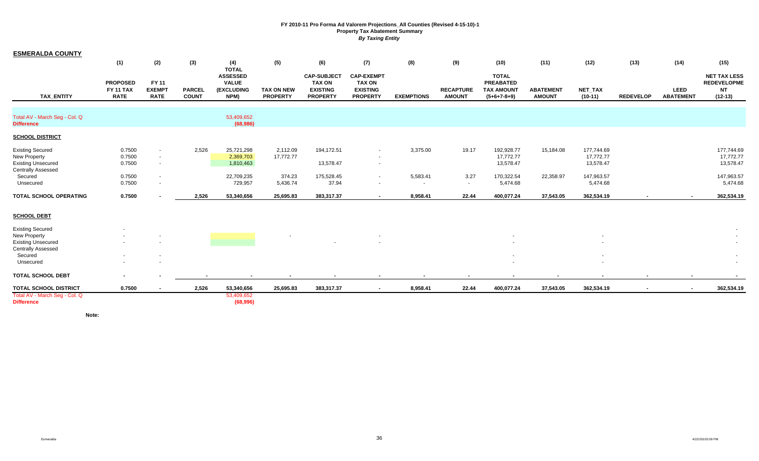| <b>ESMERALDA COUNTY</b>                                                                           |                                                    |                                              |                               |                                                                              |                                      |                                                                           |                                                                          |                    |                                   |                                                                        |                                   |                                      |                  |                                 |                                                                     |
|---------------------------------------------------------------------------------------------------|----------------------------------------------------|----------------------------------------------|-------------------------------|------------------------------------------------------------------------------|--------------------------------------|---------------------------------------------------------------------------|--------------------------------------------------------------------------|--------------------|-----------------------------------|------------------------------------------------------------------------|-----------------------------------|--------------------------------------|------------------|---------------------------------|---------------------------------------------------------------------|
|                                                                                                   | (1)                                                | (2)                                          | (3)                           | (4)                                                                          | (5)                                  | (6)                                                                       | (7)                                                                      | (8)                | (9)                               | (10)                                                                   | (11)                              | (12)                                 | (13)             | (14)                            | (15)                                                                |
| <b>TAX ENTITY</b>                                                                                 | <b>PROPOSED</b><br><b>FY 11 TAX</b><br><b>RATE</b> | <b>FY 11</b><br><b>EXEMPT</b><br><b>RATE</b> | <b>PARCEL</b><br><b>COUNT</b> | <b>TOTAL</b><br><b>ASSESSED</b><br><b>VALUE</b><br><b>(EXCLUDING</b><br>NPM) | <b>TAX ON NEW</b><br><b>PROPERTY</b> | <b>CAP-SUBJECT</b><br><b>TAX ON</b><br><b>EXISTING</b><br><b>PROPERTY</b> | <b>CAP-EXEMPT</b><br><b>TAX ON</b><br><b>EXISTING</b><br><b>PROPERTY</b> | <b>EXEMPTIONS</b>  | <b>RECAPTURE</b><br><b>AMOUNT</b> | <b>TOTAL</b><br><b>PREABATED</b><br><b>TAX AMOUNT</b><br>$(5+6+7-8+9)$ | <b>ABATEMENT</b><br><b>AMOUNT</b> | <b>NET TAX</b><br>$(10-11)$          | <b>REDEVELOP</b> | <b>LEED</b><br><b>ABATEMENT</b> | <b>NET TAX LESS</b><br><b>REDEVELOPME</b><br><b>NT</b><br>$(12-13)$ |
| Total AV - March Seg - Col. Q<br><b>Difference</b>                                                |                                                    |                                              |                               | 53,409,652<br>(68,986)                                                       |                                      |                                                                           |                                                                          |                    |                                   |                                                                        |                                   |                                      |                  |                                 |                                                                     |
| <b>SCHOOL DISTRICT</b>                                                                            |                                                    |                                              |                               |                                                                              |                                      |                                                                           |                                                                          |                    |                                   |                                                                        |                                   |                                      |                  |                                 |                                                                     |
| <b>Existing Secured</b><br>New Property<br><b>Existing Unsecured</b><br><b>Centrally Assessed</b> | 0.7500<br>0.7500<br>0.7500                         | $\overline{\phantom{a}}$<br>$\sim$<br>$\sim$ | 2,526                         | 25,721,298<br>2,369,703<br>1,810,463                                         | 2,112.09<br>17,772.77                | 194,172.51<br>13,578.47                                                   | $\sim$<br>$\sim$                                                         | 3,375.00           | 19.17                             | 192,928.77<br>17,772.77<br>13,578.47                                   | 15,184.08                         | 177,744.69<br>17,772.77<br>13,578.47 |                  |                                 | 177,744.69<br>17,772.77<br>13,578.47                                |
| Secured<br>Unsecured                                                                              | 0.7500<br>0.7500                                   | $\blacksquare$<br>$\overline{\phantom{a}}$   |                               | 22,709,235<br>729,957                                                        | 374.23<br>5,436.74                   | 175,528.45<br>37.94                                                       | $\sim$                                                                   | 5,583.41<br>$\sim$ | 3.27<br>$\sim$                    | 170,322.54<br>5,474.68                                                 | 22,358.97                         | 147,963.57<br>5,474.68               |                  |                                 | 147,963.57<br>5,474.68                                              |
| TOTAL SCHOOL OPERATING                                                                            | 0.7500                                             |                                              | 2,526                         | 53,340,656                                                                   | 25,695.83                            | 383,317.37                                                                | $\sim$                                                                   | 8,958.41           | 22.44                             | 400,077.24                                                             | 37,543.05                         | 362,534.19                           |                  |                                 | 362,534.19                                                          |
| <b>SCHOOL DEBT</b>                                                                                |                                                    |                                              |                               |                                                                              |                                      |                                                                           |                                                                          |                    |                                   |                                                                        |                                   |                                      |                  |                                 |                                                                     |
| <b>Existing Secured</b>                                                                           |                                                    |                                              |                               |                                                                              |                                      |                                                                           |                                                                          |                    |                                   |                                                                        |                                   |                                      |                  |                                 |                                                                     |
| New Property<br><b>Existing Unsecured</b>                                                         |                                                    |                                              |                               |                                                                              |                                      |                                                                           |                                                                          |                    |                                   |                                                                        |                                   |                                      |                  |                                 |                                                                     |
| <b>Centrally Assessed</b><br>Secured<br>Unsecured                                                 |                                                    |                                              |                               |                                                                              |                                      |                                                                           |                                                                          |                    |                                   |                                                                        |                                   | $\overline{\phantom{a}}$             |                  |                                 |                                                                     |
| <b>TOTAL SCHOOL DEBT</b>                                                                          | $\sim$                                             |                                              |                               |                                                                              |                                      |                                                                           |                                                                          |                    |                                   |                                                                        |                                   |                                      |                  |                                 |                                                                     |
| <b>TOTAL SCHOOL DISTRICT</b>                                                                      | 0.7500                                             |                                              | 2,526                         | 53,340,656                                                                   | 25,695.83                            | 383,317.37                                                                | $\sim$                                                                   | 8,958.41           | 22.44                             | 400,077.24                                                             | 37,543.05                         | 362,534.19                           | $\blacksquare$   |                                 | 362,534.19                                                          |
| Total AV - March Seg - Col. Q<br><b>Difference</b>                                                |                                                    |                                              |                               | 53,409,652<br>(68,996)                                                       |                                      |                                                                           |                                                                          |                    |                                   |                                                                        |                                   |                                      |                  |                                 |                                                                     |

**Note:**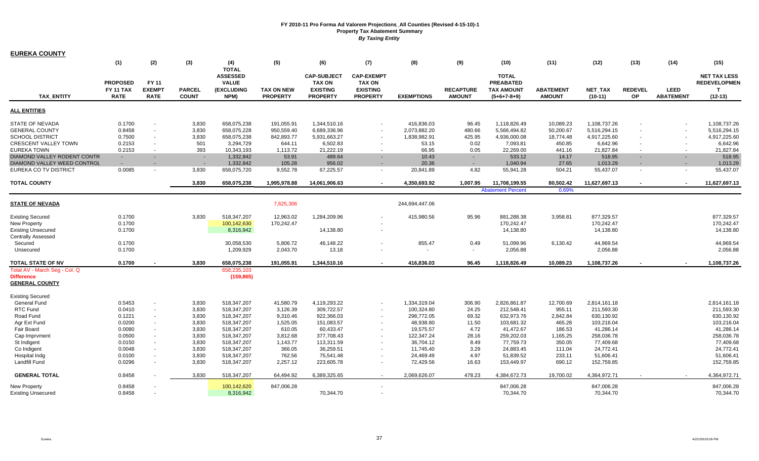| <b>EUREKA COUNTY</b>          |                  |                          |               |                                 |                   |                                     |                                  |                   |                          |                                  |                  |                |                          |                  |                                            |
|-------------------------------|------------------|--------------------------|---------------|---------------------------------|-------------------|-------------------------------------|----------------------------------|-------------------|--------------------------|----------------------------------|------------------|----------------|--------------------------|------------------|--------------------------------------------|
|                               | (1)              | (2)                      | (3)           | (4)                             | (5)               | (6)                                 | (7)                              | (8)               | (9)                      | (10)                             | (11)             | (12)           | (13)                     | (14)             | (15)                                       |
|                               |                  |                          |               | <b>TOTAL</b>                    |                   |                                     |                                  |                   |                          |                                  |                  |                |                          |                  |                                            |
|                               | <b>PROPOSED</b>  | <b>FY 11</b>             |               | <b>ASSESSED</b><br><b>VALUE</b> |                   | <b>CAP-SUBJECT</b><br><b>TAX ON</b> | <b>CAP-EXEMPT</b>                |                   |                          | <b>TOTAL</b><br><b>PREABATED</b> |                  |                |                          |                  | <b>NET TAX LESS</b><br><b>REDEVELOPMEN</b> |
|                               | <b>FY 11 TAX</b> | <b>EXEMPT</b>            | <b>PARCEL</b> | (EXCLUDING                      | <b>TAX ON NEW</b> | <b>EXISTING</b>                     | <b>TAX ON</b><br><b>EXISTING</b> |                   | <b>RECAPTURE</b>         | <b>TAX AMOUNT</b>                | <b>ABATEMENT</b> | <b>NET TAX</b> | <b>REDEVEL</b>           | <b>LEED</b>      | $\mathbf{T}$                               |
| <b>TAX ENTITY</b>             | <b>RATE</b>      | <b>RATE</b>              | <b>COUNT</b>  | NPM)                            | <b>PROPERTY</b>   | <b>PROPERTY</b>                     | <b>PROPERTY</b>                  | <b>EXEMPTIONS</b> | <b>AMOUNT</b>            | $(5+6+7-8+9)$                    | <b>AMOUNT</b>    | $(10-11)$      | <b>OP</b>                | <b>ABATEMENT</b> | $(12-13)$                                  |
|                               |                  |                          |               |                                 |                   |                                     |                                  |                   |                          |                                  |                  |                |                          |                  |                                            |
| <b>ALL ENTITIES</b>           |                  |                          |               |                                 |                   |                                     |                                  |                   |                          |                                  |                  |                |                          |                  |                                            |
| <b>STATE OF NEVADA</b>        | 0.1700           |                          | 3,830         | 658,075,238                     | 191,055.91        | 1,344,510.16                        |                                  | 416,836.03        | 96.45                    | 1,118,826.49                     | 10,089.23        | 1,108,737.26   |                          |                  | 1,108,737.26                               |
| <b>GENERAL COUNTY</b>         | 0.8458           | $\sim$                   | 3,830         | 658,075,228                     | 950,559.40        | 6,689,336.96                        |                                  | 2,073,882.20      | 480.66                   | 5,566,494.82                     | 50,200.67        | 5,516,294.15   |                          |                  | 5,516,294.15                               |
| <b>SCHOOL DISTRICT</b>        | 0.7500           | $\sim$                   | 3,830         | 658,075,238                     | 842.893.77        | 5.931.663.27                        |                                  | 1,838,982.91      | 425.95                   | 4,936,000.08                     | 18.774.48        | 4,917,225.60   | $\overline{\phantom{a}}$ |                  | 4,917,225.60                               |
| CRESCENT VALLEY TOWN          | 0.2153           | $\sim$                   | 501           | 3,294,729                       | 644.11            | 6,502.83                            |                                  | 53.15             | 0.02                     | 7,093.81                         | 450.85           | 6,642.96       |                          |                  | 6,642.96                                   |
| <b>EUREKA TOWN</b>            | 0.2153           | $\sim$                   | 393           | 10,343,193                      | 1,113.72          | 21,222.19                           | $\sim$                           | 66.95             | 0.05                     | 22,269.00                        | 441.16           | 21,827.84      | $\sim$                   | $\sim$           | 21,827.84                                  |
| DIAMOND VALLEY RODENT CONTR   | $\sim$           | $\sim$                   | $\sim$        | 1,332,842                       | 53.91             | 489.64                              |                                  | 10.43             | $\sim$                   | 533.12                           | 14.17            | 518.95         |                          | $\sim$           | 518.95                                     |
| DIAMOND VALLEY WEED CONTROL   |                  |                          |               | 1,332,842                       | 105.28            | 956.02                              |                                  | 20.36             | $\sim$                   | 1,040.94                         | 27.65            | 1,013.29       |                          |                  | 1,013.29                                   |
| EUREKA CO TV DISTRICT         | 0.0085           | $\sim$                   | 3,830         | 658,075,720                     | 9,552.78          | 67,225.57                           | $\sim$                           | 20,841.89         | 4.82                     | 55,941.28                        | 504.21           | 55,437.07      | $\sim$                   | $\sim$           | 55,437.07                                  |
| <b>TOTAL COUNTY</b>           |                  |                          | 3,830         | 658,075,238                     | 1,995,978.88      | 14,061,906.63                       |                                  | 4,350,693.92      | 1,007.95                 | 11,708,199.55                    | 80,502.42        | 11,627,697.13  | $\blacksquare$           | $\sim$           | 11,627,697.13                              |
|                               |                  |                          |               |                                 |                   |                                     |                                  |                   |                          | <b>Abatement Percent</b>         | 0.69%            |                |                          |                  |                                            |
| STATE OF NEVADA               |                  |                          |               |                                 | 7,625,306         |                                     |                                  | 244,694,447.06    |                          |                                  |                  |                |                          |                  |                                            |
| <b>Existing Secured</b>       | 0.1700           |                          | 3,830         | 518,347,207                     | 12,963.02         | 1,284,209.96                        |                                  | 415,980.56        | 95.96                    | 881,288.38                       | 3,958.81         | 877,329.57     |                          |                  | 877,329.57                                 |
| <b>New Property</b>           | 0.1700           |                          |               | 100,142,630                     | 170,242.47        |                                     |                                  |                   |                          | 170,242.47                       |                  | 170,242.47     |                          |                  | 170,242.47                                 |
| <b>Existing Unsecured</b>     | 0.1700           |                          |               | 8,316,942                       |                   | 14,138.80                           |                                  |                   |                          | 14,138.80                        |                  | 14,138.80      |                          |                  | 14,138.80                                  |
| <b>Centrally Assessed</b>     |                  |                          |               |                                 |                   |                                     |                                  |                   |                          |                                  |                  |                |                          |                  |                                            |
| Secured                       | 0.1700           |                          |               | 30,058,530                      | 5,806.72          | 46,148.22                           |                                  | 855.47            | 0.49                     | 51,099.96                        | 6,130.42         | 44,969.54      |                          |                  | 44,969.54                                  |
| Unsecured                     | 0.1700           |                          |               | 1,209,929                       | 2,043.70          | 13.18                               |                                  |                   | $\overline{\phantom{a}}$ | 2,056.88                         |                  | 2,056.88       |                          |                  | 2,056.88                                   |
| <b>TOTAL STATE OF NV</b>      | 0.1700           |                          | 3.830         | 658,075,238                     | 191,055.91        | 1,344,510.16                        |                                  | 416,836.03        | 96.45                    | 1,118,826.49                     | 10,089.23        | 1,108,737.26   |                          |                  | 1,108,737.26                               |
| Total AV - March Seg - Col. Q |                  |                          |               | 658,235,103                     |                   |                                     |                                  |                   |                          |                                  |                  |                |                          |                  |                                            |
| <b>Difference</b>             |                  |                          |               | (159, 865)                      |                   |                                     |                                  |                   |                          |                                  |                  |                |                          |                  |                                            |
| <b>GENERAL COUNTY</b>         |                  |                          |               |                                 |                   |                                     |                                  |                   |                          |                                  |                  |                |                          |                  |                                            |
| <b>Existing Secured</b>       |                  |                          |               |                                 |                   |                                     |                                  |                   |                          |                                  |                  |                |                          |                  |                                            |
| <b>General Fund</b>           | 0.5453           | $\overline{\phantom{a}}$ | 3,830         | 518,347,207                     | 41,580.79         | 4,119,293.22                        |                                  | 1,334,319.04      | 306.90                   | 2,826,861.87                     | 12,700.69        | 2,814,161.18   |                          |                  | 2,814,161.18                               |
| RTC Fund                      | 0.0410           | $\blacksquare$           | 3,830         | 518,347,207                     | 3,126.39          | 309,722.57                          |                                  | 100,324.80        | 24.25                    | 212,548.41                       | 955.11           | 211,593.30     |                          |                  | 211,593.30                                 |
| Road Fund                     | 0.1221           | $\overline{\phantom{a}}$ | 3,830         | 518,347,207                     | 9,310.46          | 922,366.03                          |                                  | 298,772.05        | 69.32                    | 632,973.76                       | 2,842.84         | 630,130.92     |                          |                  | 630,130.92                                 |
| Agr Ext Fund                  | 0.0200           | $\overline{\phantom{a}}$ | 3,830         | 518,347,207                     | 1,525.05          | 151,083.57                          |                                  | 48,938.80         | 11.50                    | 103,681.32                       | 465.28           | 103,216.04     |                          |                  | 103,216.04                                 |
| Fair Board                    | 0.0080           |                          | 3,830         | 518,347,207                     | 610.05            | 60,433.47                           |                                  | 19,575.57         | 4.72                     | 41,472.67                        | 186.53           | 41,286.14      |                          |                  | 41,286.14                                  |
| Cap Imprvment                 | 0.0500           | $\overline{\phantom{a}}$ | 3,830         | 518,347,207                     | 3,812.68          | 377,708.43                          |                                  | 122,347.24        | 28.16                    | 259,202.03                       | 1,165.25         | 258,036.78     |                          |                  | 258,036.78                                 |
| St Indigent                   | 0.0150           | ÷.                       | 3,830         | 518,347,207                     | 1,143.77          | 113,311.59                          |                                  | 36.704.12         | 8.49                     | 77,759.73                        | 350.05           | 77.409.68      |                          |                  | 77,409.68                                  |
| Co Indigent                   | 0.0048           | $\overline{\phantom{a}}$ | 3,830         | 518,347,207                     | 366.05            | 36,259.51                           |                                  | 11,745.40         | 3.29                     | 24,883.45                        | 111.04           | 24,772.41      |                          |                  | 24,772.41                                  |
| Hospital Indo                 | 0.0100           | $\sim$                   | 3,830         | 518,347,207                     | 762.56            | 75,541.48                           |                                  | 24,469.49         | 4.97                     | 51,839.52                        | 233.11           | 51,606.41      |                          |                  | 51,606.41                                  |
| <b>Landfill Fund</b>          | 0.0296           | $\blacksquare$           | 3,830         | 518,347,207                     | 2,257.12          | 223,605.78                          |                                  | 72,429.56         | 16.63                    | 153,449.97                       | 690.12           | 152,759.85     |                          |                  | 152,759.85                                 |
| <b>GENERAL TOTAL</b>          | 0.8458           |                          | 3,830         | 518,347,207                     | 64,494.92         | 6,389,325.65                        |                                  | 2,069,626.07      | 478.23                   | 4,384,672.73                     | 19,700.02        | 4,364,972.71   |                          |                  | 4,364,972.71                               |
| <b>New Property</b>           | 0.8458           |                          |               | 100,142,620                     | 847,006.28        |                                     |                                  |                   |                          | 847,006.28                       |                  | 847,006.28     |                          |                  | 847,006.28                                 |
| <b>Existing Unsecured</b>     | 0.8458           |                          |               | 8,316,942                       |                   | 70,344.70                           |                                  |                   |                          | 70,344.70                        |                  | 70,344.70      |                          |                  | 70,344.70                                  |
|                               |                  |                          |               |                                 |                   |                                     |                                  |                   |                          |                                  |                  |                |                          |                  |                                            |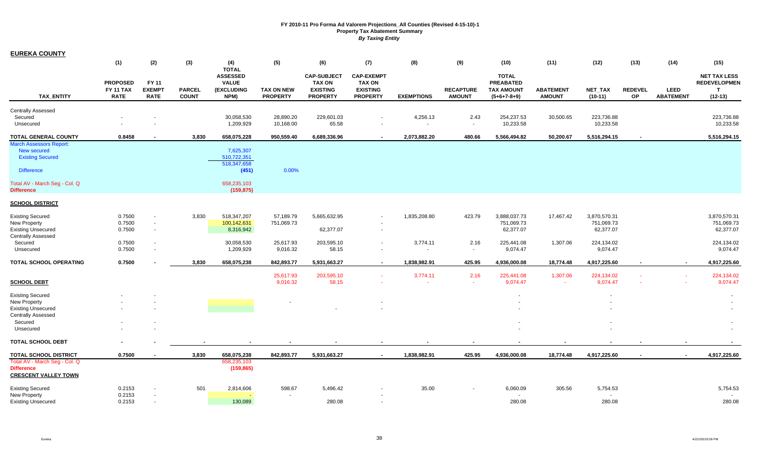| <b>EUREKA COUNTY</b>                             |                                 |                                    |                               |                                                 |                                      |                                     |                                    |                    |                                   |                                    |                                   |                        |                          |                                 |                                            |
|--------------------------------------------------|---------------------------------|------------------------------------|-------------------------------|-------------------------------------------------|--------------------------------------|-------------------------------------|------------------------------------|--------------------|-----------------------------------|------------------------------------|-----------------------------------|------------------------|--------------------------|---------------------------------|--------------------------------------------|
|                                                  | (1)                             | (2)                                | (3)                           | (4)                                             | (5)                                  | (6)                                 | (7)                                | (8)                | (9)                               | (10)                               | (11)                              | (12)                   | (13)                     | (14)                            | (15)                                       |
|                                                  | <b>PROPOSED</b>                 | <b>FY 11</b>                       |                               | <b>TOTAL</b><br><b>ASSESSED</b><br><b>VALUE</b> |                                      | <b>CAP-SUBJECT</b><br><b>TAX ON</b> | <b>CAP-EXEMPT</b><br>TAX ON        |                    |                                   | <b>TOTAL</b><br><b>PREABATED</b>   |                                   |                        |                          |                                 | <b>NET TAX LESS</b><br><b>REDEVELOPMEN</b> |
| <b>TAX ENTITY</b>                                | <b>FY 11 TAX</b><br><b>RATE</b> | <b>EXEMPT</b><br><b>RATE</b>       | <b>PARCEL</b><br><b>COUNT</b> | (EXCLUDING<br>NPM)                              | <b>TAX ON NEW</b><br><b>PROPERTY</b> | <b>EXISTING</b><br><b>PROPERTY</b>  | <b>EXISTING</b><br><b>PROPERTY</b> | <b>EXEMPTIONS</b>  | <b>RECAPTURE</b><br><b>AMOUNT</b> | <b>TAX AMOUNT</b><br>$(5+6+7-8+9)$ | <b>ABATEMENT</b><br><b>AMOUNT</b> | NET_TAX<br>$(10-11)$   | <b>REDEVEL</b><br>OP     | <b>LEED</b><br><b>ABATEMENT</b> | $\mathbf{T}$<br>$(12-13)$                  |
|                                                  |                                 |                                    |                               |                                                 |                                      |                                     |                                    |                    |                                   |                                    |                                   |                        |                          |                                 |                                            |
| <b>Centrally Assessed</b><br>Secured             |                                 |                                    |                               | 30,058,530                                      | 28,890.20                            | 229,601.03                          |                                    | 4,256.13           | 2.43                              | 254,237.53                         | 30,500.65                         | 223,736.88             |                          |                                 | 223,736.88                                 |
| Unsecured                                        |                                 |                                    |                               | 1,209,929                                       | 10,168.00                            | 65.58                               |                                    | $\sim$             | $\blacksquare$                    | 10,233.58                          |                                   | 10,233.58              |                          |                                 | 10,233.58                                  |
| <b>TOTAL GENERAL COUNTY</b>                      | 0.8458                          |                                    | 3,830                         | 658,075,228                                     | 950,559.40                           | 6,689,336.96                        | $\sim$                             | 2,073,882.20       | 480.66                            | 5,566,494.82                       | 50,200.67                         | 5,516,294.15           |                          |                                 | 5,516,294.15                               |
| <b>March Assessors Report:</b>                   |                                 |                                    |                               |                                                 |                                      |                                     |                                    |                    |                                   |                                    |                                   |                        |                          |                                 |                                            |
| <b>New secured</b>                               |                                 |                                    |                               | 7,625,307                                       |                                      |                                     |                                    |                    |                                   |                                    |                                   |                        |                          |                                 |                                            |
| <b>Existing Secured</b>                          |                                 |                                    |                               | 510,722,351                                     |                                      |                                     |                                    |                    |                                   |                                    |                                   |                        |                          |                                 |                                            |
| <b>Difference</b>                                |                                 |                                    |                               | 518,347,658<br>(451)                            | 0.00%                                |                                     |                                    |                    |                                   |                                    |                                   |                        |                          |                                 |                                            |
| Total AV - March Seg - Col. Q                    |                                 |                                    |                               | 658,235,103                                     |                                      |                                     |                                    |                    |                                   |                                    |                                   |                        |                          |                                 |                                            |
| <b>Difference</b>                                |                                 |                                    |                               | (159, 875)                                      |                                      |                                     |                                    |                    |                                   |                                    |                                   |                        |                          |                                 |                                            |
| <b>SCHOOL DISTRICT</b>                           |                                 |                                    |                               |                                                 |                                      |                                     |                                    |                    |                                   |                                    |                                   |                        |                          |                                 |                                            |
| <b>Existing Secured</b>                          | 0.7500                          | $\overline{\phantom{a}}$           | 3,830                         | 518,347,207                                     | 57,189.79                            | 5,665,632.95                        |                                    | 1,835,208.80       | 423.79                            | 3,888,037.73                       | 17,467.42                         | 3,870,570.31           |                          |                                 | 3,870,570.31                               |
| New Property                                     | 0.7500                          | $\overline{\phantom{a}}$           |                               | 100,142,631                                     | 751,069.73                           |                                     |                                    |                    |                                   | 751,069.73                         |                                   | 751,069.73             |                          |                                 | 751,069.73                                 |
| <b>Existing Unsecured</b>                        | 0.7500                          | $\overline{\phantom{a}}$           |                               | 8,316,942                                       |                                      | 62,377.07                           |                                    |                    |                                   | 62,377.07                          |                                   | 62,377.07              |                          |                                 | 62,377.07                                  |
| <b>Centrally Assessed</b>                        |                                 |                                    |                               |                                                 |                                      |                                     |                                    |                    |                                   |                                    |                                   |                        |                          |                                 |                                            |
| Secured<br>Unsecured                             | 0.7500<br>0.7500                | $\overline{\phantom{a}}$<br>$\sim$ |                               | 30,058,530<br>1,209,929                         | 25,617.93<br>9,016.32                | 203,595.10<br>58.15                 |                                    | 3,774.11<br>$\sim$ | 2.16<br>$\sim$                    | 225,441.08<br>9,074.47             | 1,307.06                          | 224,134.02<br>9,074.47 |                          |                                 | 224,134.02<br>9,074.47                     |
|                                                  |                                 |                                    |                               |                                                 |                                      |                                     |                                    |                    |                                   |                                    |                                   |                        |                          |                                 |                                            |
| TOTAL SCHOOL OPERATING                           | 0.7500                          |                                    | 3,830                         | 658,075,238                                     | 842,893.77                           | 5,931,663.27                        |                                    | 1,838,982.91       | 425.95                            | 4,936,000.08                       | 18,774.48                         | 4,917,225.60           | $\overline{\phantom{a}}$ | $\sim$                          | 4,917,225.60                               |
|                                                  |                                 |                                    |                               |                                                 | 25,617.93                            | 203,595.10                          |                                    | 3,774.11           | 2.16                              | 225,441.08                         | 1,307.06                          | 224,134.02             |                          |                                 | 224,134.02                                 |
| <b>SCHOOL DEBT</b>                               |                                 |                                    |                               |                                                 | 9,016.32                             | 58.15                               |                                    |                    | $\sim$                            | 9,074.47                           |                                   | 9,074.47               |                          |                                 | 9,074.47                                   |
| <b>Existing Secured</b>                          |                                 |                                    |                               |                                                 |                                      |                                     |                                    |                    |                                   |                                    |                                   |                        |                          |                                 |                                            |
| New Property                                     |                                 |                                    |                               |                                                 |                                      |                                     |                                    |                    |                                   |                                    |                                   |                        |                          |                                 |                                            |
| <b>Existing Unsecured</b>                        |                                 |                                    |                               |                                                 |                                      |                                     |                                    |                    |                                   |                                    |                                   |                        |                          |                                 |                                            |
| <b>Centrally Assessed</b>                        |                                 |                                    |                               |                                                 |                                      |                                     |                                    |                    |                                   |                                    |                                   |                        |                          |                                 |                                            |
| Secured<br>Unsecured                             |                                 |                                    |                               |                                                 |                                      |                                     |                                    |                    |                                   |                                    |                                   |                        |                          |                                 |                                            |
| <b>TOTAL SCHOOL DEBT</b>                         |                                 |                                    |                               |                                                 |                                      |                                     |                                    |                    |                                   |                                    |                                   |                        |                          |                                 |                                            |
| <b>TOTAL SCHOOL DISTRICT</b>                     | 0.7500                          |                                    | 3,830                         | 658,075,238                                     | 842,893.77                           | 5,931,663.27                        | $\sim$                             | 1,838,982.91       | 425.95                            | 4,936,000.08                       | 18,774.48                         | 4,917,225.60           |                          | $\sim$                          | 4,917,225.60                               |
| Total AV - March Seg - Col. Q                    |                                 |                                    |                               | 658,235,103                                     |                                      |                                     |                                    |                    |                                   |                                    |                                   |                        |                          |                                 |                                            |
| <b>Difference</b><br><b>CRESCENT VALLEY TOWN</b> |                                 |                                    |                               | (159, 865)                                      |                                      |                                     |                                    |                    |                                   |                                    |                                   |                        |                          |                                 |                                            |
| <b>Existing Secured</b>                          | 0.2153                          |                                    | 501                           | 2,814,606                                       | 598.67                               | 5,496.42                            |                                    | 35.00              |                                   | 6,060.09                           | 305.56                            | 5,754.53               |                          |                                 | 5,754.53                                   |
| New Property                                     | 0.2153                          | $\sim$                             |                               |                                                 |                                      |                                     |                                    |                    |                                   |                                    |                                   |                        |                          |                                 |                                            |
| <b>Existing Unsecured</b>                        | 0.2153                          | $\overline{\phantom{a}}$           |                               | 130,089                                         |                                      | 280.08                              |                                    |                    |                                   | 280.08                             |                                   | 280.08                 |                          |                                 | 280.08                                     |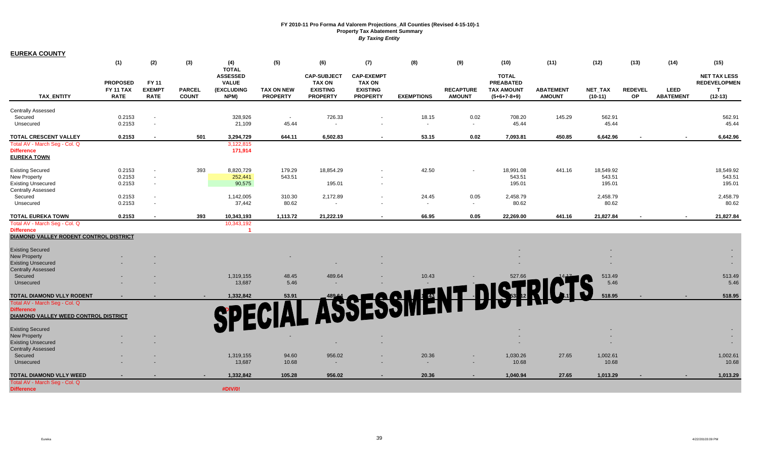| <u>EUREKA COUNTY</u>                        |                 |                          |               |                                 |                   |                    |                   |                   |                  |                   |                  |           |                |                  |                     |
|---------------------------------------------|-----------------|--------------------------|---------------|---------------------------------|-------------------|--------------------|-------------------|-------------------|------------------|-------------------|------------------|-----------|----------------|------------------|---------------------|
|                                             | (1)             | (2)                      | (3)           | (4)                             | (5)               | (6)                | (7)               | (8)               | (9)              | (10)              | (11)             | (12)      | (13)           | (14)             | (15)                |
|                                             |                 |                          |               | <b>TOTAL</b><br><b>ASSESSED</b> |                   | <b>CAP-SUBJECT</b> | <b>CAP-EXEMPT</b> |                   |                  | <b>TOTAL</b>      |                  |           |                |                  | <b>NET TAX LESS</b> |
|                                             | <b>PROPOSED</b> | <b>FY 11</b>             |               | <b>VALUE</b>                    |                   | <b>TAX ON</b>      | <b>TAX ON</b>     |                   |                  | <b>PREABATED</b>  |                  |           |                |                  | <b>REDEVELOPMEN</b> |
|                                             | FY 11 TAX       | <b>EXEMPT</b>            | <b>PARCEL</b> | (EXCLUDING                      | <b>TAX ON NEW</b> | <b>EXISTING</b>    | <b>EXISTING</b>   |                   | <b>RECAPTURE</b> | <b>TAX AMOUNT</b> | <b>ABATEMENT</b> | NET_TAX   | <b>REDEVEL</b> | <b>LEED</b>      | T                   |
| <b>TAX ENTITY</b>                           | <b>RATE</b>     | <b>RATE</b>              | <b>COUNT</b>  | NPM)                            | <b>PROPERTY</b>   | <b>PROPERTY</b>    | <b>PROPERTY</b>   | <b>EXEMPTIONS</b> | <b>AMOUNT</b>    | $(5+6+7-8+9)$     | <b>AMOUNT</b>    | $(10-11)$ | <b>OP</b>      | <b>ABATEMENT</b> | $(12-13)$           |
| <b>Centrally Assessed</b>                   |                 |                          |               |                                 |                   |                    |                   |                   |                  |                   |                  |           |                |                  |                     |
| Secured                                     | 0.2153          | $\overline{\phantom{a}}$ |               | 328,926                         | $\sim$            | 726.33             |                   | 18.15             | 0.02             | 708.20            | 145.29           | 562.91    |                |                  | 562.91              |
| Unsecured                                   | 0.2153          | $\sim$                   |               | 21,109                          | 45.44             | $\sim$             |                   | $\sim$            | $\sim$           | 45.44             |                  | 45.44     |                |                  | 45.44               |
| <b>TOTAL CRESCENT VALLEY</b>                | 0.2153          |                          | 501           | 3,294,729                       | 644.11            | 6,502.83           |                   | 53.15             | 0.02             | 7,093.81          | 450.85           | 6,642.96  |                |                  | 6,642.96            |
| Total AV - March Seg - Col. Q               |                 |                          |               | 3,122,815                       |                   |                    |                   |                   |                  |                   |                  |           |                |                  |                     |
| <b>Difference</b>                           |                 |                          |               | 171,914                         |                   |                    |                   |                   |                  |                   |                  |           |                |                  |                     |
| <b>EUREKA TOWN</b>                          |                 |                          |               |                                 |                   |                    |                   |                   |                  |                   |                  |           |                |                  |                     |
| <b>Existing Secured</b>                     | 0.2153          |                          | 393           | 8,820,729                       | 179.29            | 18,854.29          |                   | 42.50             |                  | 18,991.08         | 441.16           | 18,549.92 |                |                  | 18,549.92           |
| New Property                                | 0.2153          | $\sim$                   |               | 252,441                         | 543.51            |                    |                   |                   |                  | 543.51            |                  | 543.51    |                |                  | 543.51              |
| <b>Existing Unsecured</b>                   | 0.2153          | $\blacksquare$           |               | 90,575                          |                   | 195.01             |                   |                   |                  | 195.01            |                  | 195.01    |                |                  | 195.01              |
| <b>Centrally Assessed</b>                   |                 |                          |               |                                 |                   |                    |                   |                   |                  |                   |                  |           |                |                  |                     |
| Secured                                     | 0.2153          | $\sim$                   |               | 1,142,005                       | 310.30            | 2,172.89           |                   | 24.45             | 0.05             | 2,458.79          |                  | 2,458.79  |                |                  | 2,458.79            |
| Unsecured                                   | 0.2153          | $\sim$                   |               | 37,442                          | 80.62             | $\sim$             |                   | $\sim$            | $\sim$           | 80.62             |                  | 80.62     |                |                  | 80.62               |
| TOTAL EUREKA TOWN                           | 0.2153          |                          | 393           | 10,343,193                      | 1,113.72          | 21,222.19          |                   | 66.95             | 0.05             | 22,269.00         | 441.16           | 21,827.84 |                |                  | 21,827.84           |
| Total AV - March Seg - Col. Q               |                 |                          |               | 10,343,192                      |                   |                    |                   |                   |                  |                   |                  |           |                |                  |                     |
| <b>Difference</b>                           |                 |                          |               | -1                              |                   |                    |                   |                   |                  |                   |                  |           |                |                  |                     |
| DIAMOND VALLEY RODENT CONTROL DISTRICT      |                 |                          |               |                                 |                   |                    |                   |                   |                  |                   |                  |           |                |                  |                     |
| <b>Existing Secured</b>                     |                 |                          |               |                                 |                   |                    |                   |                   |                  |                   |                  |           |                |                  |                     |
| <b>New Property</b>                         |                 |                          |               |                                 |                   |                    |                   |                   |                  |                   |                  |           |                |                  |                     |
| <b>Existing Unsecured</b>                   |                 |                          |               |                                 |                   |                    |                   |                   |                  |                   |                  |           |                |                  |                     |
| <b>Centrally Assessed</b>                   |                 |                          |               |                                 |                   |                    |                   |                   |                  |                   |                  |           |                |                  |                     |
| Secured                                     |                 |                          |               | 1,319,155                       | 48.45             | 489.64             |                   | 10.43             |                  | 527.66            |                  | 513.49    |                |                  | 513.49              |
| Unsecured                                   |                 |                          |               | 13,687                          | 5.46              | $\sim$             |                   |                   |                  |                   |                  | 5.46      |                |                  | 5.46                |
| <b>TOTAL DIAMOND VLLY RODENT</b>            |                 |                          |               | 1,332,842                       | 53.91             |                    |                   |                   |                  |                   |                  | 518.95    |                |                  | 518.95              |
| Total AV - March Seg - Col. Q               |                 |                          |               |                                 |                   |                    |                   |                   |                  |                   |                  |           |                |                  |                     |
| <b>Difference</b>                           |                 |                          |               |                                 |                   |                    |                   |                   |                  |                   |                  |           |                |                  |                     |
| <b>DIAMOND VALLEY WEED CONTROL DISTRICT</b> |                 |                          |               |                                 |                   |                    |                   |                   |                  |                   |                  |           |                |                  |                     |
| <b>Existing Secured</b>                     |                 |                          |               |                                 |                   |                    |                   |                   |                  |                   |                  |           |                |                  |                     |
| New Property                                |                 |                          |               |                                 |                   |                    |                   |                   |                  |                   |                  |           |                |                  |                     |
| <b>Existing Unsecured</b>                   |                 |                          |               |                                 |                   |                    |                   |                   |                  |                   |                  |           |                |                  |                     |
| <b>Centrally Assessed</b>                   |                 |                          |               |                                 |                   |                    |                   |                   |                  |                   |                  |           |                |                  |                     |
| Secured                                     |                 |                          |               | 1,319,155                       | 94.60             | 956.02             |                   | 20.36             |                  | 1,030.26          | 27.65            | 1,002.61  |                |                  | 1,002.61            |
| Unsecured                                   |                 |                          |               | 13,687                          | 10.68             | $\sim$             |                   | $\sim$            | $\sim$           | 10.68             |                  | 10.68     |                |                  | 10.68               |
| <b>TOTAL DIAMOND VLLY WEED</b>              |                 |                          |               | 1,332,842                       | 105.28            | 956.02             |                   | 20.36             |                  | 1,040.94          | 27.65            | 1,013.29  |                |                  | 1,013.29            |
| Total AV - March Seg - Col. Q               |                 |                          |               |                                 |                   |                    |                   |                   |                  |                   |                  |           |                |                  |                     |
| <b>Difference</b>                           |                 |                          |               | #DIV/0!                         |                   |                    |                   |                   |                  |                   |                  |           |                |                  |                     |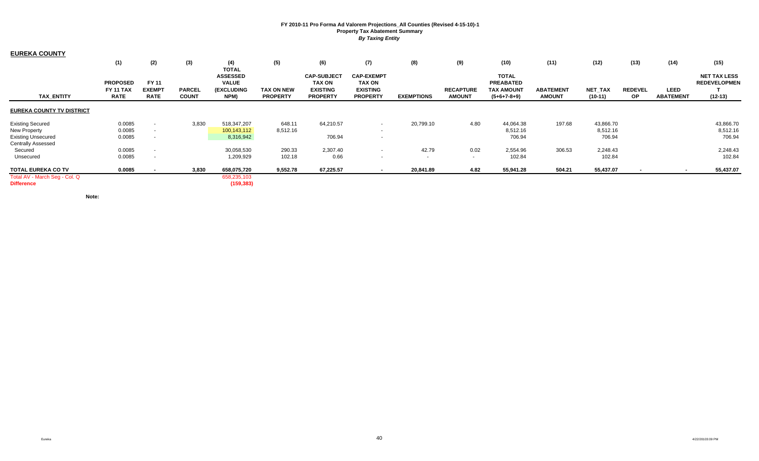| <b>EUREKA COUNTY</b>             |                                                    |                                              |                               |                                                              |                                      |                                                                           |                                                                          |                   |                                   |                                                                        |                                   |                             |                             |                                 |                                                         |
|----------------------------------|----------------------------------------------------|----------------------------------------------|-------------------------------|--------------------------------------------------------------|--------------------------------------|---------------------------------------------------------------------------|--------------------------------------------------------------------------|-------------------|-----------------------------------|------------------------------------------------------------------------|-----------------------------------|-----------------------------|-----------------------------|---------------------------------|---------------------------------------------------------|
|                                  | (1)                                                | (2)                                          | (3)                           | (4)<br><b>TOTAL</b>                                          | (5)                                  | (6)                                                                       | (7)                                                                      | (8)               | (9)                               | (10)                                                                   | (11)                              | (12)                        | (13)                        | (14)                            | (15)                                                    |
| <b>TAX ENTITY</b>                | <b>PROPOSED</b><br><b>FY 11 TAX</b><br><b>RATE</b> | <b>FY 11</b><br><b>EXEMPT</b><br><b>RATE</b> | <b>PARCEL</b><br><b>COUNT</b> | <b>ASSESSED</b><br><b>VALUE</b><br><b>(EXCLUDING</b><br>NPM) | <b>TAX ON NEW</b><br><b>PROPERTY</b> | <b>CAP-SUBJECT</b><br><b>TAX ON</b><br><b>EXISTING</b><br><b>PROPERTY</b> | <b>CAP-EXEMPT</b><br><b>TAX ON</b><br><b>EXISTING</b><br><b>PROPERTY</b> | <b>EXEMPTIONS</b> | <b>RECAPTURE</b><br><b>AMOUNT</b> | <b>TOTAL</b><br><b>PREABATED</b><br><b>TAX AMOUNT</b><br>$(5+6+7-8+9)$ | <b>ABATEMENT</b><br><b>AMOUNT</b> | <b>NET TAX</b><br>$(10-11)$ | <b>REDEVEL</b><br><b>OP</b> | <b>LEED</b><br><b>ABATEMENT</b> | <b>NET TAX LESS</b><br><b>REDEVELOPMEN</b><br>$(12-13)$ |
| <b>EUREKA COUNTY TV DISTRICT</b> |                                                    |                                              |                               |                                                              |                                      |                                                                           |                                                                          |                   |                                   |                                                                        |                                   |                             |                             |                                 |                                                         |
| <b>Existing Secured</b>          | 0.0085                                             | $\sim$                                       | 3,830                         | 518,347,207                                                  | 648.11                               | 64,210.57                                                                 |                                                                          | 20,799.10         | 4.80                              | 44,064.38                                                              | 197.68                            | 43,866.70                   |                             |                                 | 43,866.70                                               |
| <b>New Property</b>              | 0.0085                                             | $\sim$                                       |                               | 100,143,112                                                  | 8,512.16                             |                                                                           | $\sim$                                                                   |                   |                                   | 8,512.16                                                               |                                   | 8,512.16                    |                             |                                 | 8,512.16                                                |
| <b>Existing Unsecured</b>        | 0.0085                                             |                                              |                               | 8,316,942                                                    |                                      | 706.94                                                                    |                                                                          |                   |                                   | 706.94                                                                 |                                   | 706.94                      |                             |                                 | 706.94                                                  |
| <b>Centrally Assessed</b>        |                                                    |                                              |                               |                                                              |                                      |                                                                           |                                                                          |                   |                                   |                                                                        |                                   |                             |                             |                                 |                                                         |
| Secured                          | 0.0085                                             |                                              |                               | 30,058,530                                                   | 290.33                               | 2,307.40                                                                  |                                                                          | 42.79             | 0.02                              | 2,554.96                                                               | 306.53                            | 2,248.43                    |                             |                                 | 2,248.43                                                |
| Unsecured                        | 0.0085                                             |                                              |                               | 1,209,929                                                    | 102.18                               | 0.66                                                                      | $\sim$                                                                   | . .               | $\sim$                            | 102.84                                                                 |                                   | 102.84                      |                             |                                 | 102.84                                                  |
| <b>TOTAL EUREKA CO TV</b>        | 0.0085                                             |                                              | 3,830                         | 658,075,720                                                  | 9,552.78                             | 67,225.57                                                                 |                                                                          | 20,841.89         | 4.82                              | 55,941.28                                                              | 504.21                            | 55,437.07                   |                             |                                 | 55,437.07                                               |
| Total AV - March Seg - Col. Q    |                                                    |                                              |                               | 658,235,103                                                  |                                      |                                                                           |                                                                          |                   |                                   |                                                                        |                                   |                             |                             |                                 |                                                         |
| <b>Difference</b>                |                                                    |                                              |                               | (159, 383)                                                   |                                      |                                                                           |                                                                          |                   |                                   |                                                                        |                                   |                             |                             |                                 |                                                         |

**Note:**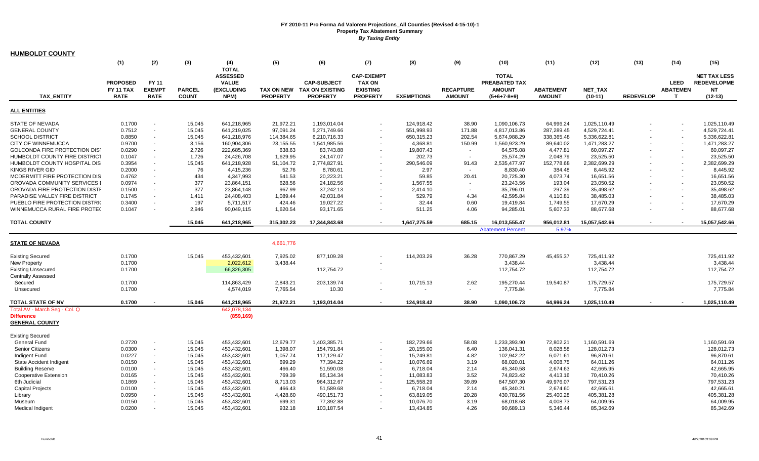| <b>HUMBOLDT COUNTY</b>                     |                  |                |               |                     |                   |                        |                   |                   |                  |                          |                  |               |                  |                 |                     |
|--------------------------------------------|------------------|----------------|---------------|---------------------|-------------------|------------------------|-------------------|-------------------|------------------|--------------------------|------------------|---------------|------------------|-----------------|---------------------|
|                                            | (1)              | (2)            | (3)           | (4)<br><b>TOTAL</b> | (5)               | (6)                    | (7)               | (8)               | (9)              | (10)                     | (11)             | (12)          | (13)             | (14)            | (15)                |
|                                            |                  |                |               | <b>ASSESSED</b>     |                   |                        | <b>CAP-EXEMPT</b> |                   |                  | <b>TOTAL</b>             |                  |               |                  |                 | <b>NET TAX LESS</b> |
|                                            | <b>PROPOSED</b>  | <b>FY 11</b>   |               | <b>VALUE</b>        |                   | <b>CAP-SUBJECT</b>     | <b>TAX ON</b>     |                   |                  | PREABATED TAX            |                  |               |                  | <b>LEED</b>     | <b>REDEVELOPME</b>  |
|                                            | <b>FY 11 TAX</b> | <b>EXEMPT</b>  | <b>PARCEL</b> | <b>(EXCLUDING</b>   | <b>TAX ON NEW</b> | <b>TAX ON EXISTING</b> | <b>EXISTING</b>   |                   | <b>RECAPTURE</b> | <b>AMOUNT</b>            | <b>ABATEMENT</b> | NET_TAX       |                  | <b>ABATEMEN</b> | <b>NT</b>           |
| <b>TAX ENTITY</b>                          | <b>RATE</b>      | <b>RATE</b>    | <b>COUNT</b>  | NPM)                | <b>PROPERTY</b>   | <b>PROPERTY</b>        | <b>PROPERTY</b>   | <b>EXEMPTIONS</b> | <b>AMOUNT</b>    | $(5+6+7-8+9)$            | <b>AMOUNT</b>    | $(10-11)$     | <b>REDEVELOP</b> | $\mathbf \tau$  | $(12-13)$           |
| <b>ALL ENTITIES</b>                        |                  |                |               |                     |                   |                        |                   |                   |                  |                          |                  |               |                  |                 |                     |
| <b>STATE OF NEVADA</b>                     | 0.1700           |                | 15,045        | 641,218,965         | 21,972.21         | 1,193,014.04           |                   | 124,918.42        | 38.90            | 1,090,106.73             | 64,996.24        | 1,025,110.49  |                  |                 | 1,025,110.49        |
| <b>GENERAL COUNTY</b>                      | 0.7512           | $\blacksquare$ | 15,045        | 641,219,025         | 97,091.24         | 5,271,749.66           |                   | 551,998.93        | 171.88           | 4,817,013.86             | 287,289.45       | 4,529,724.41  |                  |                 | 4,529,724.41        |
| <b>SCHOOL DISTRICT</b>                     | 0.8850           | $\sim$         | 15,045        | 641,218,976         | 114,384.65        | 6,210,716.33           |                   | 650,315.23        | 202.54           | 5,674,988.29             | 338,365.48       | 5,336,622.81  |                  |                 | 5,336,622.81        |
| CITY OF WINNEMUCCA                         | 0.9700           |                | 3,156         | 160,904,306         | 23,155.55         | 1,541,985.56           |                   | 4,368.81          | 150.99           | 1,560,923.29             | 89,640.02        | 1,471,283.27  |                  |                 | 1,471,283.27        |
| GOLCONDA FIRE PROTECTION DIST              | 0.0290           | $\sim$         | 2,726         | 222,685,369         | 638.63            | 83,743.88              |                   | 19,807.43         | $\sim$           | 64,575.08                | 4,477.81         | 60,097.27     |                  |                 | 60,097.27           |
| HUMBOLDT COUNTY FIRE DISTRICT              | 0.1047           |                | 1,726         | 24,426,708          | 1,629.95          | 24,147.07              |                   | 202.73            | $\sim$           | 25,574.29                | 2,048.79         | 23,525.50     |                  |                 | 23,525.50           |
| HUMBOLDT COUNTY HOSPITAL DIST              | 0.3954           |                | 15,045        | 641,218,928         | 51,104.72         | 2,774,827.91           |                   | 290,546.09        | 91.43            | 2,535,477.97             | 152,778.68       | 2,382,699.29  |                  |                 | 2,382,699.29        |
| KINGS RIVER GID                            | 0.2000           |                | 76            | 4,415,236           | 52.76             | 8,780.61               |                   | 2.97              | $\sim$           | 8,830.40                 | 384.48           | 8,445.92      |                  |                 | 8,445.92            |
| MCDERMITT FIRE PROTECTION DIS              | 0.4762           |                | 434           | 4,347,993           | 541.53            | 20,223.21              | $\sim$            | 59.85             | 20.41            | 20,725.30                | 4,073.74         | 16,651.56     |                  |                 | 16,651.56           |
| OROVADA COMMUNITY SERVICES I               | 0.0974           |                | 377           | 23,864,151          | 628.56            | 24,182.56              |                   | 1,567.55          | $\sim$           | 23,243.56                | 193.04           | 23,050.52     |                  |                 | 23,050.52           |
| OROVADA FIRE PROTECTION DISTF              | 0.1500           |                | 377           | 23,864,148          | 967.99            | 37,242.13              |                   | 2,414.10          | $\sim$           | 35,796.01                | 297.39           | 35,498.62     |                  |                 | 35,498.62           |
| PARADISE VALLEY FIRE DISTRICT              | 0.1745           |                | 1,411         | 24,408,403          | 1,089.44          | 42,031.84              |                   | 529.79            | 4.34             | 42,595.84                | 4,110.81         | 38,485.03     |                  |                 | 38,485.03           |
| PUEBLO FIRE PROTECTION DISTRIC             | 0.3400           | $\sim$         | 197           | 5,711,517           | 424.46            | 19,027.22              |                   | 32.44             | 0.60             | 19,419.84                | 1,749.55         | 17,670.29     |                  |                 | 17,670.29           |
| WINNEMUCCA RURAL FIRE PROTEC               | 0.1047           |                | 2,946         | 90,049,115          | 1,620.54          | 93,171.65              |                   | 511.25            | 4.06             | 94,285.01                | 5,607.33         | 88,677.68     |                  |                 | 88,677.68           |
| <b>TOTAL COUNTY</b>                        |                  |                | 15,045        | 641,218,965         | 315,302.23        | 17,344,843.68          |                   | 1,647,275.59      | 685.15           | 16,013,555.47            | 956,012.81       | 15,057,542.66 |                  |                 | 15,057,542.66       |
|                                            |                  |                |               |                     |                   |                        |                   |                   |                  | <b>Abatement Percent</b> | 5.97%            |               |                  |                 |                     |
|                                            |                  |                |               |                     |                   |                        |                   |                   |                  |                          |                  |               |                  |                 |                     |
| <b>STATE OF NEVADA</b>                     |                  |                |               |                     | 4,661,776         |                        |                   |                   |                  |                          |                  |               |                  |                 |                     |
| <b>Existing Secured</b>                    | 0.1700           |                | 15,045        | 453,432,601         | 7,925.02          | 877,109.28             |                   | 114,203.29        | 36.28            | 770,867.29               | 45,455.37        | 725,411.92    |                  |                 | 725,411.92          |
| <b>New Property</b>                        | 0.1700           |                |               | 2,022,612           | 3,438.44          |                        |                   |                   |                  | 3,438.44                 |                  | 3,438.44      |                  |                 | 3,438.44            |
| <b>Existing Unsecured</b>                  | 0.1700           |                |               | 66,326,305          |                   | 112,754.72             |                   |                   |                  | 112,754.72               |                  | 112,754.72    |                  |                 | 112,754.72          |
| <b>Centrally Assessed</b>                  |                  |                |               |                     |                   |                        |                   |                   |                  |                          |                  |               |                  |                 |                     |
| Secured                                    | 0.1700           |                |               | 114,863,429         | 2,843.21          | 203,139.74             |                   | 10,715.13         | 2.62             | 195,270.44               | 19.540.87        | 175,729.57    |                  |                 | 175,729.57          |
| Unsecured                                  | 0.1700           |                |               | 4,574,019           | 7,765.54          | 10.30                  |                   |                   | $\sim$           | 7,775.84                 |                  | 7,775.84      |                  |                 | 7,775.84            |
| <b>TOTAL STATE OF NV</b>                   | 0.1700           |                | 15,045        | 641,218,965         | 21,972.21         | 1,193,014.04           |                   | 124,918.42        | 38.90            | 1,090,106.73             | 64.996.24        | 1,025,110.49  |                  |                 | 1,025,110.49        |
| Total AV - March Seg - Col. Q              |                  |                |               | 642,078,134         |                   |                        |                   |                   |                  |                          |                  |               |                  |                 |                     |
| <b>Difference</b><br><b>GENERAL COUNTY</b> |                  |                |               | (859, 169)          |                   |                        |                   |                   |                  |                          |                  |               |                  |                 |                     |
| <b>Existing Secured</b>                    |                  |                |               |                     |                   |                        |                   |                   |                  |                          |                  |               |                  |                 |                     |
| General Fund                               | 0.2720           | $\sim$         | 15,045        | 453,432,601         | 12,679.77         | 1,403,385.71           |                   | 182,729.66        | 58.08            | 1,233,393.90             | 72,802.21        | 1,160,591.69  |                  |                 | 1,160,591.69        |
| Senior Citizens                            | 0.0300           | $\sim$         | 15,045        | 453,432,601         | 1,398.07          | 154,791.84             |                   | 20,155.00         | 6.40             | 136,041.31               | 8,028.58         | 128,012.73    |                  |                 | 128,012.73          |
| Indigent Fund                              | 0.0227           | $\sim$         | 15,045        | 453,432,601         | 1,057.74          | 117,129.47             | $\sim$            | 15,249.81         | 4.82             | 102,942.22               | 6,071.61         | 96,870.61     |                  |                 | 96,870.61           |
| State Accident Indigent                    | 0.0150           | $\sim$         | 15,045        | 453,432,601         | 699.29            | 77,394.22              |                   | 10,076.69         | 3.19             | 68,020.01                | 4,008.75         | 64,011.26     |                  |                 | 64,011.26           |
| <b>Building Reserve</b>                    | 0.0100           | $\blacksquare$ | 15,045        | 453,432,601         | 466.40            | 51,590.08              |                   | 6,718.04          | 2.14             | 45,340.58                | 2,674.63         | 42,665.95     |                  |                 | 42,665.95           |
| <b>Cooperative Extension</b>               | 0.0165           | $\sim$         | 15,045        | 453,432,601         | 769.39            | 85,134.34              |                   | 11,083.83         | 3.52             | 74,823.42                | 4,413.16         | 70,410.26     |                  |                 | 70,410.26           |
| 6th Judicial                               | 0.1869           | $\sim$         | 15,045        | 453,432,601         | 8,713.03          | 964,312.67             |                   | 125,558.29        | 39.89            | 847,507.30               | 49,976.07        | 797,531.23    |                  |                 | 797,531.23          |
| <b>Capital Projects</b>                    | 0.0100           | $\sim$         | 15,045        | 453,432,601         | 466.43            | 51,589.68              |                   | 6,718.04          | 2.14             | 45,340.21                | 2,674.60         | 42,665.61     |                  |                 | 42,665.61           |
| Library                                    | 0.0950           |                | 15,045        | 453,432,601         | 4,428.60          | 490,151.73             |                   | 63,819.05         | 20.28            | 430,781.56               | 25,400.28        | 405,381.28    |                  |                 | 405,381.28          |
| Museum                                     | 0.0150           | $\sim$         | 15,045        | 453,432,601         | 699.31            | 77,392.88              |                   | 10,076.70         | 3.19             | 68,018.68                | 4,008.73         | 64,009.95     |                  |                 | 64,009.95           |
| <b>Medical Indigent</b>                    | 0.0200           | $\sim$         | 15,045        | 453,432,601         | 932.18            | 103,187.54             |                   | 13,434.85         | 4.26             | 90,689.13                | 5.346.44         | 85,342.69     |                  |                 | 85,342.69           |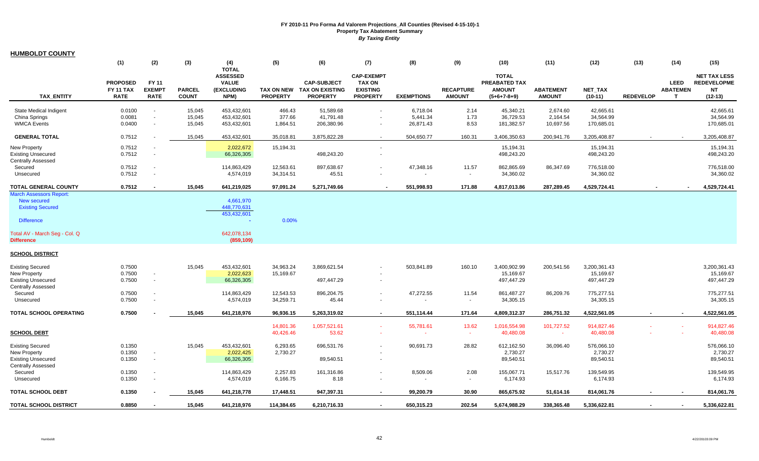|--|

|                                                                                                                                                     | (1)                                                | (2)                                   | (3)                           | (4)                                                                   | (5)                                  | (6)                                                             | (7)                                                                      | (8)               | (9)                               | (10)                                                            | (11)                              | (12)                        | (13)             | (14)                                | (15)                                                                |
|-----------------------------------------------------------------------------------------------------------------------------------------------------|----------------------------------------------------|---------------------------------------|-------------------------------|-----------------------------------------------------------------------|--------------------------------------|-----------------------------------------------------------------|--------------------------------------------------------------------------|-------------------|-----------------------------------|-----------------------------------------------------------------|-----------------------------------|-----------------------------|------------------|-------------------------------------|---------------------------------------------------------------------|
| <b>TAX ENTITY</b>                                                                                                                                   | <b>PROPOSED</b><br><b>FY 11 TAX</b><br><b>RATE</b> | FY 11<br><b>EXEMPT</b><br><b>RATE</b> | <b>PARCEL</b><br><b>COUNT</b> | <b>TOTAL</b><br><b>ASSESSED</b><br><b>VALUE</b><br>(EXCLUDING<br>NPM) | <b>TAX ON NEW</b><br><b>PROPERTY</b> | <b>CAP-SUBJECT</b><br><b>TAX ON EXISTING</b><br><b>PROPERTY</b> | <b>CAP-EXEMPT</b><br><b>TAX ON</b><br><b>EXISTING</b><br><b>PROPERTY</b> | <b>EXEMPTIONS</b> | <b>RECAPTURE</b><br><b>AMOUNT</b> | <b>TOTAL</b><br>PREABATED TAX<br><b>AMOUNT</b><br>$(5+6+7-8+9)$ | <b>ABATEMENT</b><br><b>AMOUNT</b> | <b>NET TAX</b><br>$(10-11)$ | <b>REDEVELOP</b> | <b>LEED</b><br><b>ABATEMEN</b><br>T | <b>NET TAX LESS</b><br><b>REDEVELOPME</b><br><b>NT</b><br>$(12-13)$ |
| <b>State Medical Indigent</b>                                                                                                                       | 0.0100                                             | $\sim$                                | 15,045                        | 453.432.601                                                           | 466.43                               | 51,589.68                                                       | $\blacksquare$                                                           | 6.718.04          | 2.14                              | 45.340.21                                                       | 2.674.60                          | 42.665.61                   |                  |                                     | 42.665.61                                                           |
| China Springs                                                                                                                                       | 0.0081                                             | $\sim$                                | 15,045                        | 453,432,601                                                           | 377.66                               | 41,791.48                                                       | $\overline{\phantom{a}}$                                                 | 5,441.34          | 1.73                              | 36,729.53                                                       | 2,164.54                          | 34,564.99                   |                  |                                     | 34,564.99                                                           |
| <b>WMCA Events</b>                                                                                                                                  | 0.0400                                             | $\sim$                                | 15,045                        | 453,432,601                                                           | 1,864.51                             | 206,380.96                                                      | $\blacksquare$                                                           | 26,871.43         | 8.53                              | 181,382.57                                                      | 10,697.56                         | 170,685.01                  |                  |                                     | 170,685.01                                                          |
| <b>GENERAL TOTAL</b>                                                                                                                                | 0.7512                                             |                                       | 15,045                        | 453,432,601                                                           | 35,018.81                            | 3,875,822.28                                                    | $\sim$                                                                   | 504,650.77        | 160.31                            | 3,406,350.63                                                    | 200,941.76                        | 3,205,408.87                | $\sim$           | $\sim$                              | 3,205,408.87                                                        |
| <b>New Property</b>                                                                                                                                 | 0.7512                                             |                                       |                               | 2,022,672                                                             | 15,194.31                            |                                                                 | $\sim$                                                                   |                   |                                   | 15,194.31                                                       |                                   | 15,194.31                   |                  |                                     | 15,194.31                                                           |
| <b>Existing Unsecured</b>                                                                                                                           | 0.7512                                             | $\sim$                                |                               | 66,326,305                                                            |                                      | 498,243.20                                                      | $\sim$                                                                   |                   |                                   | 498,243.20                                                      |                                   | 498,243.20                  |                  |                                     | 498,243.20                                                          |
| <b>Centrally Assessed</b>                                                                                                                           |                                                    |                                       |                               |                                                                       |                                      |                                                                 |                                                                          |                   |                                   |                                                                 |                                   |                             |                  |                                     |                                                                     |
| Secured                                                                                                                                             | 0.7512                                             |                                       |                               | 114,863,429                                                           | 12,563.61                            | 897,638.67                                                      |                                                                          | 47,348.16         | 11.57                             | 862,865.69                                                      | 86,347.69                         | 776,518.00                  |                  |                                     | 776,518.00                                                          |
| Unsecured                                                                                                                                           | 0.7512                                             |                                       |                               | 4,574,019                                                             | 34,314.51                            | 45.51                                                           |                                                                          |                   | $\sim$                            | 34,360.02                                                       |                                   | 34,360.02                   |                  |                                     | 34,360.02                                                           |
| TOTAL GENERAL COUNTY                                                                                                                                | 0.7512                                             |                                       | 15,045                        | 641,219,025                                                           | 97,091.24                            | 5,271,749.66                                                    |                                                                          | 551,998.93        | 171.88                            | 4,817,013.86                                                    | 287,289.45                        | 4,529,724.41                |                  |                                     | 4,529,724.41                                                        |
| <b>March Assessors Report:</b><br>New secured<br><b>Existing Secured</b><br><b>Difference</b><br>Total AV - March Seg - Col. Q<br><b>Difference</b> |                                                    |                                       |                               | 4,661,970<br>448,770,631<br>453,432,601<br>642,078,134<br>(859, 109)  | 0.00%                                |                                                                 |                                                                          |                   |                                   |                                                                 |                                   |                             |                  |                                     |                                                                     |
| <b>SCHOOL DISTRICT</b>                                                                                                                              |                                                    |                                       |                               |                                                                       |                                      |                                                                 |                                                                          |                   |                                   |                                                                 |                                   |                             |                  |                                     |                                                                     |
|                                                                                                                                                     |                                                    |                                       |                               |                                                                       |                                      |                                                                 |                                                                          |                   |                                   |                                                                 |                                   |                             |                  |                                     |                                                                     |
| <b>Existing Secured</b>                                                                                                                             | 0.7500                                             |                                       | 15,045                        | 453,432,601                                                           | 34,963.24                            | 3,869,621.54                                                    |                                                                          | 503,841.89        | 160.10                            | 3,400,902.99                                                    | 200,541.56                        | 3,200,361.43                |                  |                                     | 3,200,361.43<br>15,169.67                                           |
| <b>New Property</b><br><b>Existing Unsecured</b>                                                                                                    | 0.7500<br>0.7500                                   | $\sim$<br>$\sim$                      |                               | 2,022,623<br>66,326,305                                               | 15,169.67                            | 497,447.29                                                      | $\overline{\phantom{a}}$                                                 |                   |                                   | 15,169.67<br>497,447.29                                         |                                   | 15,169.67<br>497,447.29     |                  |                                     | 497,447.29                                                          |
| <b>Centrally Assessed</b>                                                                                                                           |                                                    |                                       |                               |                                                                       |                                      |                                                                 |                                                                          |                   |                                   |                                                                 |                                   |                             |                  |                                     |                                                                     |
| Secured                                                                                                                                             | 0.7500                                             |                                       |                               | 114,863,429                                                           | 12,543.53                            | 896,204.75                                                      | $\overline{\phantom{a}}$                                                 | 47,272.55         | 11.54                             | 861,487.27                                                      | 86,209.76                         | 775,277.51                  |                  |                                     | 775,277.51                                                          |
| Unsecured                                                                                                                                           | 0.7500                                             |                                       |                               | 4,574,019                                                             | 34,259.71                            | 45.44                                                           | $\overline{\phantom{a}}$                                                 |                   | $\blacksquare$                    | 34,305.15                                                       |                                   | 34,305.15                   |                  |                                     | 34,305.15                                                           |
| <b>TOTAL SCHOOL OPERATING</b>                                                                                                                       | 0.7500                                             |                                       | 15.045                        | 641,218,976                                                           | 96,936.15                            | 5,263,319.02                                                    | $\sim$                                                                   | 551,114.44        | 171.64                            | 4,809,312.37                                                    | 286,751.32                        | 4,522,561.05                |                  | $\sim$                              | 4,522,561.05                                                        |
|                                                                                                                                                     |                                                    |                                       |                               |                                                                       |                                      |                                                                 |                                                                          |                   |                                   |                                                                 |                                   |                             |                  |                                     |                                                                     |
| <b>SCHOOL DEBT</b>                                                                                                                                  |                                                    |                                       |                               |                                                                       | 14,801.36<br>40,426.46               | 1,057,521.61<br>53.62                                           | $\blacksquare$<br>$\sim$                                                 | 55,781.61         | 13.62<br>$\sim$                   | 1,016,554.98<br>40,480.08                                       | 101,727.52<br>$\sim$              | 914,827.46<br>40,480.08     |                  |                                     | 914,827.46<br>40,480.08                                             |
| <b>Existing Secured</b>                                                                                                                             | 0.1350                                             |                                       | 15,045                        | 453,432,601                                                           | 6,293.65                             | 696,531.76                                                      |                                                                          | 90,691.73         | 28.82                             | 612,162.50                                                      | 36,096.40                         | 576,066.10                  |                  |                                     | 576,066.10                                                          |
| New Property                                                                                                                                        | 0.1350                                             | $\sim$                                |                               | 2,022,425                                                             | 2,730.27                             |                                                                 |                                                                          |                   |                                   | 2,730.27                                                        |                                   | 2,730.27                    |                  |                                     | 2,730.27                                                            |
| <b>Existing Unsecured</b>                                                                                                                           | 0.1350                                             | $\sim$                                |                               | 66,326,305                                                            |                                      | 89,540.51                                                       |                                                                          |                   |                                   | 89,540.51                                                       |                                   | 89,540.51                   |                  |                                     | 89,540.51                                                           |
| <b>Centrally Assessed</b>                                                                                                                           |                                                    |                                       |                               |                                                                       |                                      |                                                                 |                                                                          |                   |                                   |                                                                 |                                   |                             |                  |                                     |                                                                     |
| Secured                                                                                                                                             | 0.1350                                             | $\sim$                                |                               | 114,863,429                                                           | 2,257.83                             | 161,316.86                                                      | $\overline{\phantom{a}}$                                                 | 8,509.06          | 2.08                              | 155,067.71                                                      | 15,517.76                         | 139,549.95                  |                  |                                     | 139,549.95                                                          |
| Unsecured                                                                                                                                           | 0.1350                                             | $\sim$                                |                               | 4,574,019                                                             | 6,166.75                             | 8.18                                                            | $\blacksquare$                                                           |                   | $\sim$                            | 6,174.93                                                        |                                   | 6,174.93                    |                  |                                     | 6,174.93                                                            |
| TOTAL SCHOOL DEBT                                                                                                                                   | 0.1350                                             |                                       | 15,045                        | 641,218,778                                                           | 17,448.51                            | 947,397.31                                                      | $\sim$                                                                   | 99,200.79         | 30.90                             | 865,675.92                                                      | 51,614.16                         | 814,061.76                  |                  |                                     | 814,061.76                                                          |
| TOTAL SCHOOL DISTRICT                                                                                                                               | 0.8850                                             |                                       | 15,045                        | 641,218,976                                                           | 114,384.65                           | 6,210,716.33                                                    | $\sim$                                                                   | 650,315.23        | 202.54                            | 5,674,988.29                                                    | 338,365.48                        | 5,336,622.81                |                  | $\overline{\phantom{a}}$            | 5,336,622.81                                                        |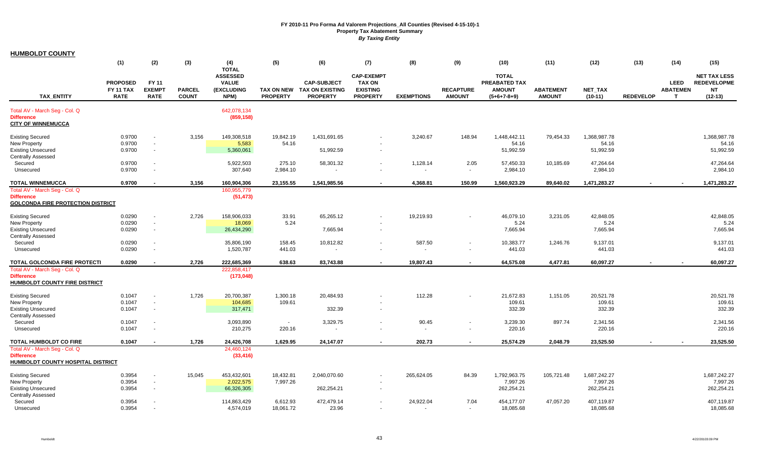| <b>HUMBOLDT COUNTY</b>                                        |                  |                          |               |                                 |                 |                            |                                    |                   |                          |                               |                  |              |                  |                 |                                           |
|---------------------------------------------------------------|------------------|--------------------------|---------------|---------------------------------|-----------------|----------------------------|------------------------------------|-------------------|--------------------------|-------------------------------|------------------|--------------|------------------|-----------------|-------------------------------------------|
|                                                               | (1)              | (2)                      | (3)           | (4)                             | (5)             | (6)                        | (7)                                | (8)               | (9)                      | (10)                          | (11)             | (12)         | (13)             | (14)            | (15)                                      |
|                                                               |                  |                          |               | <b>TOTAL</b>                    |                 |                            |                                    |                   |                          |                               |                  |              |                  |                 |                                           |
|                                                               | <b>PROPOSED</b>  | <b>FY 11</b>             |               | <b>ASSESSED</b><br><b>VALUE</b> |                 | <b>CAP-SUBJECT</b>         | <b>CAP-EXEMPT</b><br><b>TAX ON</b> |                   |                          | <b>TOTAL</b><br>PREABATED TAX |                  |              |                  | <b>LEED</b>     | <b>NET TAX LESS</b><br><b>REDEVELOPME</b> |
|                                                               | <b>FY 11 TAX</b> | <b>EXEMPT</b>            | <b>PARCEL</b> | (EXCLUDING                      |                 | TAX ON NEW TAX ON EXISTING | <b>EXISTING</b>                    |                   | <b>RECAPTURE</b>         | <b>AMOUNT</b>                 | <b>ABATEMENT</b> | NET_TAX      |                  | <b>ABATEMEN</b> | <b>NT</b>                                 |
| <b>TAX ENTITY</b>                                             | <b>RATE</b>      | <b>RATE</b>              | <b>COUNT</b>  | NPM)                            | <b>PROPERTY</b> | <b>PROPERTY</b>            | <b>PROPERTY</b>                    | <b>EXEMPTIONS</b> | <b>AMOUNT</b>            | $(5+6+7-8+9)$                 | <b>AMOUNT</b>    | $(10-11)$    | <b>REDEVELOP</b> | $\mathbf{T}$    | $(12-13)$                                 |
| Total AV - March Seg - Col. Q                                 |                  |                          |               | 642,078,134                     |                 |                            |                                    |                   |                          |                               |                  |              |                  |                 |                                           |
| <b>Difference</b>                                             |                  |                          |               | (859, 158)                      |                 |                            |                                    |                   |                          |                               |                  |              |                  |                 |                                           |
| <b>CITY OF WINNEMUCCA</b>                                     |                  |                          |               |                                 |                 |                            |                                    |                   |                          |                               |                  |              |                  |                 |                                           |
| <b>Existing Secured</b>                                       | 0.9700           |                          | 3,156         | 149,308,518                     | 19,842.19       | 1,431,691.65               |                                    | 3,240.67          | 148.94                   | 1,448,442.11                  | 79,454.33        | 1,368,987.78 |                  |                 | 1,368,987.78                              |
| <b>New Property</b>                                           | 0.9700           | $\sim$                   |               | 5,583                           | 54.16           |                            |                                    |                   |                          | 54.16                         |                  | 54.16        |                  |                 | 54.16                                     |
| <b>Existing Unsecured</b>                                     | 0.9700           | $\sim$                   |               | 5,360,061                       |                 | 51,992.59                  | $\overline{\phantom{a}}$           |                   |                          | 51,992.59                     |                  | 51,992.59    |                  |                 | 51,992.59                                 |
| <b>Centrally Assessed</b>                                     |                  |                          |               |                                 |                 |                            |                                    |                   |                          |                               |                  |              |                  |                 |                                           |
| Secured                                                       | 0.9700           |                          |               | 5,922,503                       | 275.10          | 58,301.32                  | $\overline{\phantom{a}}$           | 1,128.14          | 2.05                     | 57,450.33                     | 10,185.69        | 47,264.64    |                  |                 | 47,264.64                                 |
| Unsecured                                                     | 0.9700           |                          |               | 307,640                         | 2,984.10        |                            |                                    |                   | $\sim$                   | 2,984.10                      |                  | 2,984.10     |                  |                 | 2,984.10                                  |
| <b>TOTAL WINNEMUCCA</b>                                       | 0.9700           |                          | 3,156         | 160,904,306                     | 23,155.55       | 1,541,985.56               | $\blacksquare$                     | 4,368.81          | 150.99                   | 1,560,923.29                  | 89,640.02        | 1,471,283.27 |                  |                 | 1,471,283.27                              |
| Total AV - March Seg - Col. Q                                 |                  |                          |               | 160,955,779                     |                 |                            |                                    |                   |                          |                               |                  |              |                  |                 |                                           |
| <b>Difference</b><br><b>GOLCONDA FIRE PROTECTION DISTRICT</b> |                  |                          |               | (51, 473)                       |                 |                            |                                    |                   |                          |                               |                  |              |                  |                 |                                           |
| <b>Existing Secured</b>                                       | 0.0290           |                          | 2,726         | 158,906,033                     | 33.91           | 65,265.12                  |                                    | 19,219.93         |                          | 46,079.10                     | 3,231.05         | 42,848.05    |                  |                 | 42,848.05                                 |
| New Property                                                  | 0.0290           | $\sim$                   |               | 18,069                          | 5.24            |                            |                                    |                   |                          | 5.24                          |                  | 5.24         |                  |                 | 5.24                                      |
| <b>Existing Unsecured</b>                                     | 0.0290           | $\sim$                   |               | 26,434,290                      |                 | 7,665.94                   | $\sim$                             |                   |                          | 7,665.94                      |                  | 7,665.94     |                  |                 | 7,665.94                                  |
| <b>Centrally Assessed</b>                                     |                  |                          |               |                                 |                 |                            |                                    |                   |                          |                               |                  |              |                  |                 |                                           |
| Secured                                                       | 0.0290           |                          |               | 35,806,190                      | 158.45          | 10,812.82                  |                                    | 587.50            |                          | 10,383.77                     | 1,246.76         | 9,137.01     |                  |                 | 9,137.01                                  |
| Unsecured                                                     | 0.0290           | $\overline{\phantom{a}}$ |               | 1,520,787                       | 441.03          |                            | $\overline{\phantom{a}}$           |                   | $\sim$                   | 441.03                        |                  | 441.03       |                  |                 | 441.03                                    |
| TOTAL GOLCONDA FIRE PROTECTI                                  | 0.0290           |                          | 2,726         | 222,685,369                     | 638.63          | 83,743.88                  |                                    | 19,807.43         |                          | 64,575.08                     | 4,477.81         | 60,097.27    |                  |                 | 60,097.27                                 |
| Total AV - March Seg - Col. Q                                 |                  |                          |               | 222,858,417                     |                 |                            |                                    |                   |                          |                               |                  |              |                  |                 |                                           |
| <b>Difference</b><br>HUMBOLDT COUNTY FIRE DISTRICT            |                  |                          |               | (173, 048)                      |                 |                            |                                    |                   |                          |                               |                  |              |                  |                 |                                           |
|                                                               |                  |                          |               |                                 |                 |                            |                                    |                   |                          |                               |                  |              |                  |                 |                                           |
| <b>Existing Secured</b>                                       | 0.1047           |                          | 1,726         | 20,700,387                      | 1,300.18        | 20,484.93                  |                                    | 112.28            |                          | 21,672.83                     | 1,151.05         | 20,521.78    |                  |                 | 20,521.78                                 |
| <b>New Property</b>                                           | 0.1047           | $\sim$                   |               | 104,685                         | 109.61          |                            |                                    |                   |                          | 109.61                        |                  | 109.61       |                  |                 | 109.61                                    |
| <b>Existing Unsecured</b>                                     | 0.1047           | $\sim$                   |               | 317,471                         |                 | 332.39                     | $\sim$                             |                   |                          | 332.39                        |                  | 332.39       |                  |                 | 332.39                                    |
| <b>Centrally Assessed</b>                                     |                  |                          |               |                                 |                 |                            |                                    |                   |                          |                               |                  |              |                  |                 |                                           |
| Secured                                                       | 0.1047           |                          |               | 3,093,890                       | $\sim$          | 3,329.75                   | $\sim$                             | 90.45             |                          | 3,239.30                      | 897.74           | 2,341.56     |                  |                 | 2,341.56                                  |
| Unsecured                                                     | 0.1047           | $\sim$                   |               | 210,275                         | 220.16          | $\blacksquare$             |                                    |                   | $\overline{\phantom{a}}$ | 220.16                        |                  | 220.16       |                  |                 | 220.16                                    |
| TOTAL HUMBOLDT CO FIRE                                        | 0.1047           |                          | 1,726         | 24,426,708                      | 1,629.95        | 24,147.07                  | $\sim$                             | 202.73            | $\overline{\phantom{a}}$ | 25,574.29                     | 2,048.79         | 23,525.50    |                  |                 | 23,525.50                                 |
| Total AV - March Seg - Col. Q                                 |                  |                          |               | 24,460,124                      |                 |                            |                                    |                   |                          |                               |                  |              |                  |                 |                                           |
| <b>Difference</b>                                             |                  |                          |               | (33, 416)                       |                 |                            |                                    |                   |                          |                               |                  |              |                  |                 |                                           |
| <b>HUMBOLDT COUNTY HOSPITAL DISTRICT</b>                      |                  |                          |               |                                 |                 |                            |                                    |                   |                          |                               |                  |              |                  |                 |                                           |
| <b>Existing Secured</b>                                       | 0.3954           |                          | 15,045        | 453,432,601                     | 18,432.81       | 2,040,070.60               |                                    | 265,624.05        | 84.39                    | 1,792,963.75                  | 105,721.48       | 1,687,242.27 |                  |                 | 1,687,242.27                              |
| New Property                                                  | 0.3954           | $\sim$                   |               | 2,022,575                       | 7,997.26        |                            |                                    |                   |                          | 7,997.26                      |                  | 7,997.26     |                  |                 | 7,997.26                                  |
| <b>Existing Unsecured</b>                                     | 0.3954           | $\sim$                   |               | 66,326,305                      |                 | 262,254.21                 | $\sim$                             |                   |                          | 262,254.21                    |                  | 262,254.21   |                  |                 | 262,254.21                                |
| <b>Centrally Assessed</b>                                     |                  |                          |               |                                 |                 |                            |                                    |                   |                          |                               |                  |              |                  |                 |                                           |
| Secured                                                       | 0.3954           |                          |               | 114,863,429                     | 6,612.93        | 472,479.14                 | $\overline{\phantom{a}}$           | 24,922.04         | 7.04                     | 454,177.07                    | 47,057.20        | 407,119.87   |                  |                 | 407,119.87                                |
| Unsecured                                                     | 0.3954           |                          |               | 4,574,019                       | 18.061.72       | 23.96                      |                                    |                   |                          | 18,085.68                     |                  | 18.085.68    |                  |                 | 18,085.68                                 |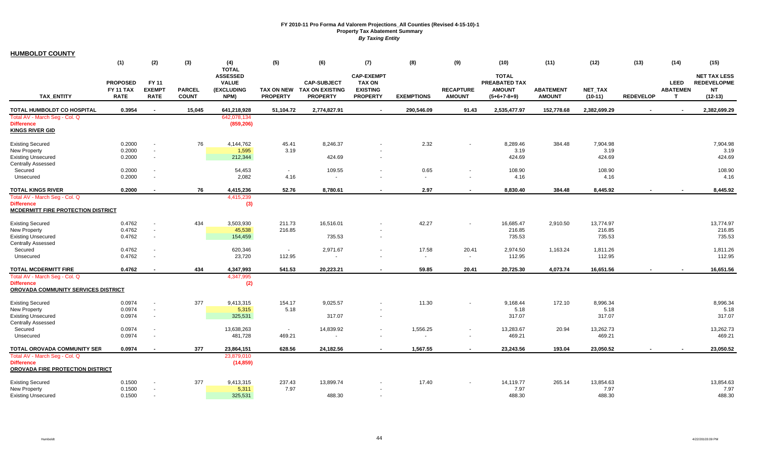| <b>HUMBOLDT COUNTY</b>                                         |                  |                                    |               |                                 |                 |                                      |                                    |                   |                          |                               |                  |                    |                  |                 |                                           |
|----------------------------------------------------------------|------------------|------------------------------------|---------------|---------------------------------|-----------------|--------------------------------------|------------------------------------|-------------------|--------------------------|-------------------------------|------------------|--------------------|------------------|-----------------|-------------------------------------------|
|                                                                | (1)              | (2)                                | (3)           | (4)                             | (5)             | (6)                                  | (7)                                | (8)               | (9)                      | (10)                          | (11)             | (12)               | (13)             | (14)            | (15)                                      |
|                                                                |                  |                                    |               | <b>TOTAL</b>                    |                 |                                      |                                    |                   |                          |                               |                  |                    |                  |                 |                                           |
|                                                                | <b>PROPOSED</b>  | <b>FY 11</b>                       |               | <b>ASSESSED</b><br><b>VALUE</b> |                 | <b>CAP-SUBJECT</b>                   | <b>CAP-EXEMPT</b><br><b>TAX ON</b> |                   |                          | <b>TOTAL</b><br>PREABATED TAX |                  |                    |                  | <b>LEED</b>     | <b>NET TAX LESS</b><br><b>REDEVELOPME</b> |
|                                                                | FY 11 TAX        | <b>EXEMPT</b>                      | <b>PARCEL</b> | <b>(EXCLUDING</b>               |                 | TAX ON NEW TAX ON EXISTING           | <b>EXISTING</b>                    |                   | <b>RECAPTURE</b>         | <b>AMOUNT</b>                 | <b>ABATEMENT</b> | <b>NET TAX</b>     |                  | <b>ABATEMEN</b> | <b>NT</b>                                 |
| <b>TAX ENTITY</b>                                              | <b>RATE</b>      | <b>RATE</b>                        | <b>COUNT</b>  | NPM)                            | <b>PROPERTY</b> | <b>PROPERTY</b>                      | <b>PROPERTY</b>                    | <b>EXEMPTIONS</b> | <b>AMOUNT</b>            | $(5+6+7-8+9)$                 | <b>AMOUNT</b>    | $(10-11)$          | <b>REDEVELOP</b> | $\mathbf{T}$    | $(12-13)$                                 |
| TOTAL HUMBOLDT CO HOSPITAL                                     | 0.3954           | $\blacksquare$                     | 15.045        | 641.218.928                     | 51.104.72       | 2.774.827.91                         | $\blacksquare$                     | 290.546.09        | 91.43                    | 2,535,477.97                  | 152.778.68       | 2.382.699.29       |                  |                 | 2,382,699.29                              |
| Total AV - March Seg - Col. Q                                  |                  |                                    |               | 642,078,134                     |                 |                                      |                                    |                   |                          |                               |                  |                    |                  |                 |                                           |
| <b>Difference</b>                                              |                  |                                    |               | (859, 206)                      |                 |                                      |                                    |                   |                          |                               |                  |                    |                  |                 |                                           |
| <b>KINGS RIVER GID</b>                                         |                  |                                    |               |                                 |                 |                                      |                                    |                   |                          |                               |                  |                    |                  |                 |                                           |
| <b>Existing Secured</b>                                        | 0.2000           |                                    | 76            | 4,144,762                       | 45.41           | 8,246.37                             |                                    | 2.32              |                          | 8,289.46                      | 384.48           | 7,904.98           |                  |                 | 7,904.98                                  |
| <b>New Property</b>                                            | 0.2000           | $\sim$                             |               | 1,595                           | 3.19            |                                      |                                    |                   |                          | 3.19                          |                  | 3.19               |                  |                 | 3.19                                      |
| <b>Existing Unsecured</b>                                      | 0.2000           | $\sim$                             |               | 212,344                         |                 | 424.69                               |                                    |                   |                          | 424.69                        |                  | 424.69             |                  |                 | 424.69                                    |
| <b>Centrally Assessed</b>                                      |                  |                                    |               |                                 |                 |                                      |                                    |                   |                          |                               |                  |                    |                  |                 |                                           |
| Secured                                                        | 0.2000           | $\sim$                             |               | 54,453                          | $\sim$          | 109.55                               |                                    | 0.65              |                          | 108.90                        |                  | 108.90             |                  |                 | 108.90                                    |
| Unsecured                                                      | 0.2000           | $\blacksquare$                     |               | 2,082                           | 4.16            | $\sim$                               |                                    | $\sim$            | $\blacksquare$           | 4.16                          |                  | 4.16               |                  |                 | 4.16                                      |
| <b>TOTAL KINGS RIVER</b>                                       | 0.2000           |                                    | 76            | 4,415,236                       | 52.76           | 8,780.61                             | $\overline{\phantom{a}}$           | 2.97              | $\overline{\phantom{a}}$ | 8,830.40                      | 384.48           | 8,445.92           |                  |                 | 8,445.92                                  |
| Total AV - March Seg - Col. Q                                  |                  |                                    |               | 4,415,239                       |                 |                                      |                                    |                   |                          |                               |                  |                    |                  |                 |                                           |
| <b>Difference</b><br><b>MCDERMITT FIRE PROTECTION DISTRICT</b> |                  |                                    |               | (3)                             |                 |                                      |                                    |                   |                          |                               |                  |                    |                  |                 |                                           |
|                                                                |                  |                                    |               |                                 |                 |                                      |                                    |                   |                          |                               |                  |                    |                  |                 |                                           |
| <b>Existing Secured</b>                                        | 0.4762           |                                    | 434           | 3,503,930                       | 211.73          | 16,516.01                            |                                    | 42.27             | $\blacksquare$           | 16,685.47                     | 2,910.50         | 13,774.97          |                  |                 | 13,774.97                                 |
| <b>New Property</b>                                            | 0.4762           | $\sim$                             |               | 45,538                          | 216.85          |                                      |                                    |                   |                          | 216.85                        |                  | 216.85             |                  |                 | 216.85                                    |
| <b>Existing Unsecured</b>                                      | 0.4762           | $\sim$                             |               | 154,459                         |                 | 735.53                               |                                    |                   |                          | 735.53                        |                  | 735.53             |                  |                 | 735.53                                    |
| <b>Centrally Assessed</b>                                      |                  |                                    |               |                                 | $\sim$          |                                      |                                    |                   |                          |                               |                  |                    |                  |                 |                                           |
| Secured<br>Unsecured                                           | 0.4762<br>0.4762 | $\overline{\phantom{a}}$<br>$\sim$ |               | 620,346<br>23,720               | 112.95          | 2,971.67<br>$\overline{\phantom{a}}$ | $\sim$                             | 17.58<br>$\sim$   | 20.41<br>$\sim$          | 2,974.50<br>112.95            | 1,163.24         | 1,811.26<br>112.95 |                  |                 | 1,811.26<br>112.95                        |
|                                                                |                  |                                    |               |                                 |                 |                                      |                                    |                   |                          |                               |                  |                    |                  |                 |                                           |
| <b>TOTAL MCDERMITT FIRE</b>                                    | 0.4762           |                                    | 434           | 4,347,993                       | 541.53          | 20,223.21                            |                                    | 59.85             | 20.41                    | 20,725.30                     | 4,073.74         | 16,651.56          |                  |                 | 16,651.56                                 |
| Total AV - March Seg - Col. Q<br><b>Difference</b>             |                  |                                    |               | 4,347,995<br>(2)                |                 |                                      |                                    |                   |                          |                               |                  |                    |                  |                 |                                           |
| <b>OROVADA COMMUNITY SERVICES DISTRICT</b>                     |                  |                                    |               |                                 |                 |                                      |                                    |                   |                          |                               |                  |                    |                  |                 |                                           |
| <b>Existing Secured</b>                                        | 0.0974           | $\blacksquare$                     | 377           | 9,413,315                       | 154.17          | 9,025.57                             |                                    | 11.30             |                          | 9,168.44                      | 172.10           | 8,996.34           |                  |                 | 8,996.34                                  |
| <b>New Property</b>                                            | 0.0974           | $\overline{\phantom{a}}$           |               | 5,315                           | 5.18            |                                      |                                    |                   |                          | 5.18                          |                  | 5.18               |                  |                 | 5.18                                      |
| <b>Existing Unsecured</b>                                      | 0.0974           | $\sim$                             |               | 325,531                         |                 | 317.07                               |                                    |                   |                          | 317.07                        |                  | 317.07             |                  |                 | 317.07                                    |
| <b>Centrally Assessed</b>                                      |                  |                                    |               |                                 |                 |                                      |                                    |                   |                          |                               |                  |                    |                  |                 |                                           |
| Secured                                                        | 0.0974           | $\overline{\phantom{a}}$           |               | 13,638,263                      | $\sim$          | 14,839.92                            | $\overline{\phantom{a}}$           | 1,556.25          | $\blacksquare$           | 13,283.67                     | 20.94            | 13,262.73          |                  |                 | 13,262.73                                 |
| Unsecured                                                      | 0.0974           | $\sim$                             |               | 481,728                         | 469.21          | $\overline{\phantom{a}}$             | $\sim$                             | $\sim$            | $\sim$                   | 469.21                        |                  | 469.21             |                  |                 | 469.21                                    |
| TOTAL OROVADA COMMUNITY SER                                    | 0.0974           |                                    | 377           | 23,864,151                      | 628.56          | 24,182.56                            | $\sim$                             | 1,567.55          | $\blacksquare$           | 23,243.56                     | 193.04           | 23,050.52          |                  |                 | 23,050.52                                 |
| Total AV - March Seg - Col. Q                                  |                  |                                    |               | 23,879,010                      |                 |                                      |                                    |                   |                          |                               |                  |                    |                  |                 |                                           |
| <b>Difference</b>                                              |                  |                                    |               | (14, 859)                       |                 |                                      |                                    |                   |                          |                               |                  |                    |                  |                 |                                           |
| OROVADA FIRE PROTECTION DISTRICT                               |                  |                                    |               |                                 |                 |                                      |                                    |                   |                          |                               |                  |                    |                  |                 |                                           |
| <b>Existing Secured</b>                                        | 0.1500           |                                    | 377           | 9,413,315                       | 237.43          | 13,899.74                            |                                    | 17.40             |                          | 14,119.77                     | 265.14           | 13,854.63          |                  |                 | 13,854.63                                 |
| <b>New Property</b>                                            | 0.1500           | $\sim$                             |               | 5,311                           | 7.97            |                                      |                                    |                   |                          | 7.97                          |                  | 7.97               |                  |                 | 7.97                                      |
| <b>Existing Unsecured</b>                                      | 0.1500           | $\sim$                             |               | 325,531                         |                 | 488.30                               |                                    |                   |                          | 488.30                        |                  | 488.30             |                  |                 | 488.30                                    |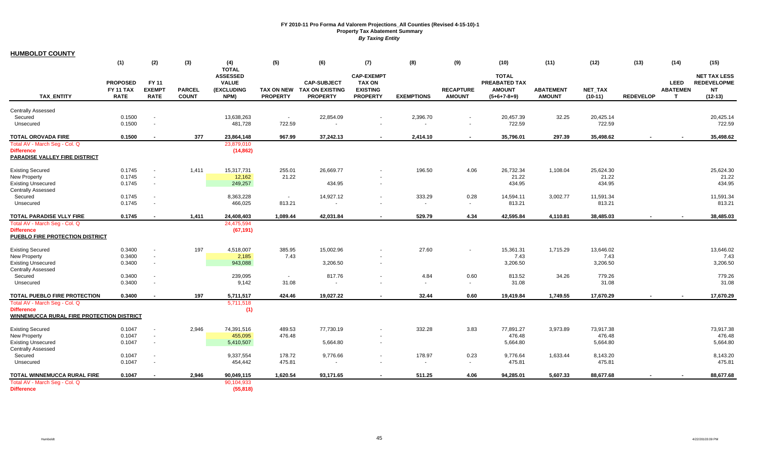**HUMBOLDT COUNTY**

|                                                                                                                     | (1)                                                | (2)                                          | (3)                           | (4)<br><b>TOTAL</b>                                          | (5)                                  | (6)                                                             | (7)                                                                      | (8)                | (9)                               | (10)                                                            | (11)                              | (12)                                        | (13)             | (14)                                | (15)                                                                |
|---------------------------------------------------------------------------------------------------------------------|----------------------------------------------------|----------------------------------------------|-------------------------------|--------------------------------------------------------------|--------------------------------------|-----------------------------------------------------------------|--------------------------------------------------------------------------|--------------------|-----------------------------------|-----------------------------------------------------------------|-----------------------------------|---------------------------------------------|------------------|-------------------------------------|---------------------------------------------------------------------|
| <b>TAX ENTITY</b>                                                                                                   | <b>PROPOSED</b><br><b>FY 11 TAX</b><br><b>RATE</b> | <b>FY 11</b><br><b>EXEMPT</b><br><b>RATE</b> | <b>PARCEL</b><br><b>COUNT</b> | <b>ASSESSED</b><br><b>VALUE</b><br><b>(EXCLUDING</b><br>NPM) | <b>TAX ON NEW</b><br><b>PROPERTY</b> | <b>CAP-SUBJECT</b><br><b>TAX ON EXISTING</b><br><b>PROPERTY</b> | <b>CAP-EXEMPT</b><br><b>TAX ON</b><br><b>EXISTING</b><br><b>PROPERTY</b> | <b>EXEMPTIONS</b>  | <b>RECAPTURE</b><br><b>AMOUNT</b> | <b>TOTAL</b><br>PREABATED TAX<br><b>AMOUNT</b><br>$(5+6+7-8+9)$ | <b>ABATEMENT</b><br><b>AMOUNT</b> | <b>NET TAX</b><br>$(10-11)$                 | <b>REDEVELOP</b> | <b>LEED</b><br><b>ABATEMEN</b><br>т | <b>NET TAX LESS</b><br><b>REDEVELOPME</b><br><b>NT</b><br>$(12-13)$ |
| <b>Centrally Assessed</b>                                                                                           |                                                    |                                              |                               |                                                              |                                      |                                                                 |                                                                          |                    |                                   |                                                                 |                                   |                                             |                  |                                     |                                                                     |
| Secured<br>Unsecured                                                                                                | 0.1500<br>0.1500                                   | $\sim$                                       |                               | 13,638,263<br>481,728                                        | $\sim$<br>722.59                     | 22,854.09<br>$\sim$                                             |                                                                          | 2,396.70<br>$\sim$ |                                   | 20,457.39<br>722.59                                             | 32.25                             | 20,425.14<br>722.59                         |                  |                                     | 20,425.14<br>722.59                                                 |
| TOTAL OROVADA FIRE                                                                                                  | 0.1500                                             |                                              | 377                           | 23,864,148                                                   | 967.99                               | 37,242.13                                                       | $\sim$                                                                   | 2,414.10           | $\sim$                            | 35,796.01                                                       | 297.39                            | 35,498.62                                   | $\blacksquare$   |                                     | 35,498.62                                                           |
| Total AV - March Seg - Col. Q<br><b>Difference</b><br>PARADISE VALLEY FIRE DISTRICT                                 |                                                    |                                              |                               | 23,879,010<br>(14, 862)                                      |                                      |                                                                 |                                                                          |                    |                                   |                                                                 |                                   |                                             |                  |                                     |                                                                     |
| <b>Existing Secured</b><br><b>New Property</b><br><b>Existing Unsecured</b><br>Centrally Assessed                   | 0.1745<br>0.1745<br>0.1745                         | $\sim$                                       | 1,411                         | 15,317,731<br>12,162<br>249,257                              | 255.01<br>21.22                      | 26,669.77<br>434.95                                             |                                                                          | 196.50             | 4.06                              | 26,732.34<br>21.22<br>434.95                                    | 1,108.04                          | 25,624.30<br>21.22<br>434.95                |                  |                                     | 25,624.30<br>21.22<br>434.95                                        |
| Secured<br>Unsecured                                                                                                | 0.1745<br>0.1745                                   | $\sim$                                       |                               | 8,363,228<br>466,025                                         | $\sim$<br>813.21                     | 14,927.12                                                       |                                                                          | 333.29<br>$\sim$   | 0.28<br>$\sim$                    | 14,594.11<br>813.21                                             | 3,002.77                          | 11,591.34<br>813.21                         |                  |                                     | 11,591.34<br>813.21                                                 |
| TOTAL PARADISE VLLY FIRE                                                                                            | 0.1745                                             | $\sim$                                       | 1,411                         | 24,408,403                                                   | 1,089.44                             | 42,031.84                                                       |                                                                          | 529.79             | 4.34                              | 42,595.84                                                       | 4,110.81                          | 38,485.03                                   | $\sim$           |                                     | 38,485.03                                                           |
| Total AV - March Seg - Col. Q<br><b>Difference</b><br>PUEBLO FIRE PROTECTION DISTRICT                               |                                                    |                                              |                               | 24,475,594<br>(67, 191)                                      |                                      |                                                                 |                                                                          |                    |                                   |                                                                 |                                   |                                             |                  |                                     |                                                                     |
| <b>Existing Secured</b><br>New Property<br><b>Existing Unsecured</b><br><b>Centrally Assessed</b>                   | 0.3400<br>0.3400<br>0.3400                         | $\sim$<br>$\sim$                             | 197                           | 4,518,007<br>2,185<br>943,088                                | 385.95<br>7.43                       | 15,002.96<br>3,206.50                                           |                                                                          | 27.60              |                                   | 15,361.31<br>7.43<br>3,206.50                                   | 1,715.29                          | 13,646.02<br>7.43<br>3,206.50               |                  |                                     | 13,646.02<br>7.43<br>3,206.50                                       |
| Secured<br>Unsecured                                                                                                | 0.3400<br>0.3400                                   | $\sim$                                       |                               | 239,095<br>9,142                                             | $\sim$<br>31.08                      | 817.76<br>$\blacksquare$                                        |                                                                          | 4.84<br>$\sim$     | 0.60<br>$\sim$                    | 813.52<br>31.08                                                 | 34.26                             | 779.26<br>31.08                             |                  |                                     | 779.26<br>31.08                                                     |
| TOTAL PUEBLO FIRE PROTECTION                                                                                        | 0.3400                                             |                                              | 197                           | 5,711,517                                                    | 424.46                               | 19,027.22                                                       |                                                                          | 32.44              | 0.60                              | 19,419.84                                                       | 1,749.55                          | 17,670.29                                   |                  |                                     | 17,670.29                                                           |
| Total AV - March Seg - Col. Q<br><b>Difference</b><br><b>WINNEMUCCA RURAL FIRE PROTECTION DISTRICT</b>              |                                                    |                                              |                               | 5,711,518<br>(1)                                             |                                      |                                                                 |                                                                          |                    |                                   |                                                                 |                                   |                                             |                  |                                     |                                                                     |
| <b>Existing Secured</b><br><b>New Property</b><br><b>Existing Unsecured</b><br><b>Centrally Assessed</b><br>Secured | 0.1047<br>0.1047<br>0.1047<br>0.1047               | $\sim$                                       | 2.946                         | 74,391,516<br>455,095<br>5,410,507<br>9,337,554              | 489.53<br>476.48<br>178.72           | 77,730.19<br>5,664.80<br>9,776.66                               |                                                                          | 332.28<br>178.97   | 3.83<br>0.23                      | 77,891.27<br>476.48<br>5,664.80<br>9,776.64                     | 3,973.89<br>1,633.44              | 73,917.38<br>476.48<br>5,664.80<br>8,143.20 |                  |                                     | 73,917.38<br>476.48<br>5,664.80<br>8,143.20                         |
| Unsecured                                                                                                           | 0.1047                                             |                                              |                               | 454,442                                                      | 475.81                               | $\blacksquare$                                                  |                                                                          | $\sim$             | $\sim$                            | 475.81                                                          |                                   | 475.81                                      |                  |                                     | 475.81                                                              |
| TOTAL WINNEMUCCA RURAL FIRE<br>Total AV - March Seg - Col. Q<br><b>Difference</b>                                   | 0.1047                                             |                                              | 2.946                         | 90,049,115<br>90,104,933<br>(55, 818)                        | 1,620.54                             | 93,171.65                                                       |                                                                          | 511.25             | 4.06                              | 94,285.01                                                       | 5.607.33                          | 88,677.68                                   |                  |                                     | 88,677.68                                                           |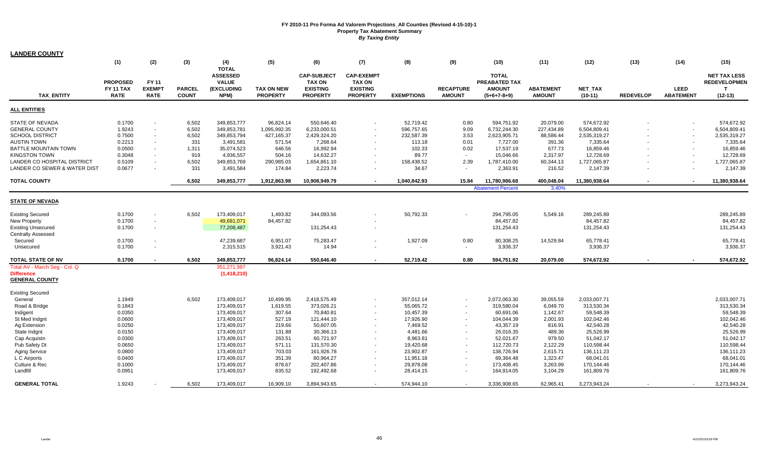| <b>LANDER COUNTY</b>                    |                              |               |               |                            |                   |                                  |                                  |                   |                  |                                |                  |               |                  |                  |                          |
|-----------------------------------------|------------------------------|---------------|---------------|----------------------------|-------------------|----------------------------------|----------------------------------|-------------------|------------------|--------------------------------|------------------|---------------|------------------|------------------|--------------------------|
|                                         | (1)                          | (2)           | (3)           | (4)                        | (5)               | (6)                              | (7)                              | (8)               | (9)              | (10)                           | (11)             | (12)          | (13)             | (14)             | (15)                     |
|                                         |                              |               |               | <b>TOTAL</b>               |                   |                                  |                                  |                   |                  |                                |                  |               |                  |                  |                          |
|                                         |                              | FY 11         |               | <b>ASSESSED</b>            |                   | <b>CAP-SUBJECT</b>               | <b>CAP-EXEMPT</b>                |                   |                  | <b>TOTAL</b>                   |                  |               |                  |                  | <b>NET TAX LESS</b>      |
|                                         | <b>PROPOSED</b><br>FY 11 TAX | <b>EXEMPT</b> | <b>PARCEL</b> | <b>VALUE</b><br>(EXCLUDING | <b>TAX ON NEW</b> | <b>TAX ON</b><br><b>EXISTING</b> | <b>TAX ON</b><br><b>EXISTING</b> |                   | <b>RECAPTURE</b> | PREABATED TAX<br><b>AMOUNT</b> | <b>ABATEMENT</b> | NET_TAX       |                  | <b>LEED</b>      | <b>REDEVELOPMEN</b><br>т |
| <b>TAX ENTITY</b>                       | <b>RATE</b>                  | <b>RATE</b>   | <b>COUNT</b>  | NPM)                       | <b>PROPERTY</b>   | <b>PROPERTY</b>                  | <b>PROPERTY</b>                  | <b>EXEMPTIONS</b> | <b>AMOUNT</b>    | $(5+6+7-8+9)$                  | <b>AMOUNT</b>    | $(10-11)$     | <b>REDEVELOP</b> | <b>ABATEMENT</b> | $(12-13)$                |
|                                         |                              |               |               |                            |                   |                                  |                                  |                   |                  |                                |                  |               |                  |                  |                          |
| ALL ENTITIES                            |                              |               |               |                            |                   |                                  |                                  |                   |                  |                                |                  |               |                  |                  |                          |
| STATE OF NEVADA                         | 0.1700                       |               | 6,502         | 349,853,777                | 96,824.14         | 550,646.40                       |                                  | 52,719.42         | 0.80             | 594,751.92                     | 20,079.00        | 574,672.92    |                  |                  | 574,672.92               |
| <b>GENERAL COUNTY</b>                   | 1.9243                       |               | 6,502         | 349,853,781                | 1,095,992.35      | 6,233,000.51                     |                                  | 596,757.65        | 9.09             | 6,732,244.30                   | 227,434.89       | 6,504,809.41  |                  |                  | 6,504,809.41             |
| SCHOOL DISTRICT                         | 0.7500                       | $\sim$        | 6,502         | 349,853,794                | 427,165.37        | 2,429,324.20                     |                                  | 232,587.39        | 3.53             | 2,623,905.71                   | 88,586.44        | 2,535,319.27  |                  |                  | 2,535,319.27             |
| <b>AUSTIN TOWN</b>                      | 0.2213                       | $\sim$        | 331           | 3,491,581                  | 571.54            | 7,268.64                         |                                  | 113.18            | 0.01             | 7,727.00                       | 391.36           | 7,335.64      |                  |                  | 7,335.64                 |
| <b>BATTLE MOUNTAIN TOWN</b>             | 0.0500                       | $\sim$        | 1,311         | 35,074,523                 | 646.56            | 16,992.94                        |                                  | 102.33            | 0.02             | 17,537.19                      | 677.73           | 16,859.46     |                  |                  | 16,859.46                |
| <b>KINGSTON TOWN</b>                    | 0.3048                       | $\sim$        | 919           | 4,936,557                  | 504.16            | 14,632.27                        |                                  | 89.77             | $\sim$           | 15,046.66                      | 2,317.97         | 12,728.69     |                  |                  | 12,728.69                |
| LANDER CO HOSPITAL DISTRICT             | 0.5109                       | $\sim$        | 6,502         | 349,853,769                | 290,985.03        | 1,654,861.10                     |                                  | 158,438.52        | 2.39             | 1,787,410.00                   | 60,344.13        | 1,727,065.87  |                  |                  | 1,727,065.87             |
| <b>LANDER CO SEWER &amp; WATER DIST</b> | 0.0677                       |               | 331           | 3,491,584                  | 174.84            | 2,223.74                         |                                  | 34.67             |                  | 2,363.91                       | 216.52           | 2,147.39      |                  |                  | 2,147.39                 |
| <b>TOTAL COUNTY</b>                     |                              |               | 6,502         | 349,853,777                | 1,912,863.98      | 10,908,949.79                    | $\blacksquare$                   | 1,040,842.93      | 15.84            | 11,780,986.68                  | 400,048.04       | 11,380,938.64 |                  |                  | 11,380,938.64            |
|                                         |                              |               |               |                            |                   |                                  |                                  |                   |                  | <b>Abatement Percent</b>       | 3.40%            |               |                  |                  |                          |
| STATE OF NEVADA                         |                              |               |               |                            |                   |                                  |                                  |                   |                  |                                |                  |               |                  |                  |                          |
|                                         |                              |               |               |                            |                   |                                  |                                  |                   |                  |                                |                  |               |                  |                  |                          |
| <b>Existing Secured</b>                 | 0.1700                       |               | 6,502         | 173,409,017                | 1,493.82          | 344,093.56                       |                                  | 50,792.33         |                  | 294,795.05                     | 5,549.16         | 289,245.89    |                  |                  | 289,245.89               |
| <b>New Property</b>                     | 0.1700                       | $\sim$        |               | 49,681,071                 | 84,457.82         |                                  |                                  |                   |                  | 84,457.82                      |                  | 84,457.82     |                  |                  | 84,457.82                |
| <b>Existing Unsecured</b>               | 0.1700                       | $\sim$        |               | 77,208,487                 |                   | 131,254.43                       |                                  |                   |                  | 131,254.43                     |                  | 131,254.43    |                  |                  | 131,254.43               |
| <b>Centrally Assessed</b>               |                              |               |               |                            |                   |                                  |                                  |                   |                  |                                |                  |               |                  |                  |                          |
| Secured                                 | 0.1700                       |               |               | 47,239,687                 | 6,951.07          | 75,283.47                        |                                  | 1,927.09          | 0.80             | 80,308.25                      | 14,529.84        | 65,778.41     |                  |                  | 65,778.41                |
| Unsecured                               | 0.1700                       |               |               | 2,315,515                  | 3,921.43          | 14.94                            |                                  | $\sim$            | $\sim$           | 3,936.37                       |                  | 3,936.37      |                  |                  | 3,936.37                 |
| TOTAL STATE OF NV                       | 0.1700                       |               | 6,502         | 349,853,777                | 96,824.14         | 550,646.40                       |                                  | 52,719.42         | 0.80             | 594,751.92                     | 20.079.00        | 574,672.92    |                  |                  | 574,672.92               |
| Total AV - March Seq - Col. Q           |                              |               |               | 351,271,987                |                   |                                  |                                  |                   |                  |                                |                  |               |                  |                  |                          |
| <b>Difference</b>                       |                              |               |               | (1, 418, 210)              |                   |                                  |                                  |                   |                  |                                |                  |               |                  |                  |                          |
| <b>GENERAL COUNTY</b>                   |                              |               |               |                            |                   |                                  |                                  |                   |                  |                                |                  |               |                  |                  |                          |
| <b>Existing Secured</b>                 |                              |               |               |                            |                   |                                  |                                  |                   |                  |                                |                  |               |                  |                  |                          |
| General                                 | 1.1949                       |               | 6,502         | 173,409,017                | 10,499.95         | 2,418,575.49                     |                                  | 357,012.14        |                  | 2,072,063.30                   | 39,055.59        | 2,033,007.71  |                  |                  | 2,033,007.71             |
| Road & Bridge                           | 0.1843                       |               |               | 173,409,017                | 1,619.55          | 373,026.21                       | ٠                                | 55,065.72         |                  | 319,580.04                     | 6,049.70         | 313,530.34    |                  |                  | 313,530.34               |
| Indigent                                | 0.0350                       |               |               | 173,409,017                | 307.64            | 70,840.81                        |                                  | 10,457.39         |                  | 60,691.06                      | 1,142.67         | 59,548.39     |                  |                  | 59,548.39                |
| St Med Indgnt                           | 0.0600                       |               |               | 173,409,017                | 527.19            | 121,444.10                       |                                  | 17,926.90         |                  | 104,044.39                     | 2,001.93         | 102,042.46    |                  |                  | 102,042.46               |
| Ag Extension                            | 0.0250                       |               |               | 173,409,017                | 219.66            | 50,607.05                        |                                  | 7,469.52          |                  | 43,357.19                      | 816.91           | 42,540.28     |                  |                  | 42,540.28                |
| State Indgnt                            | 0.0150                       |               |               | 173,409,017                | 131.88            | 30,366.13                        |                                  | 4,481.66          |                  | 26,016.35                      | 489.36           | 25,526.99     |                  |                  | 25,526.99                |
| Cap Acquistn                            | 0.0300                       |               |               | 173,409,017                | 263.51            | 60,721.97                        |                                  | 8,963.81          |                  | 52,021.67                      | 979.50           | 51,042.17     |                  |                  | 51,042.17                |
| Pub Safety Dt                           | 0.0650                       |               |               | 173,409,017                | 571.11            | 131,570.30                       |                                  | 19,420.68         |                  | 112,720.73                     | 2,122.29         | 110,598.44    |                  |                  | 110,598.44               |
| <b>Aging Service</b>                    | 0.0800                       |               |               | 173,409,017                | 703.03            | 161,926.78                       |                                  | 23,902.87         |                  | 138,726.94                     | 2,615.71         | 136,111.23    |                  |                  | 136, 111.23              |
| L C Airports                            | 0.0400                       |               |               | 173,409,017                | 351.39            | 80,964.27                        |                                  | 11,951.18         |                  | 69,364.48                      | 1,323.47         | 68,041.01     |                  |                  | 68,041.01                |
| Culture & Rec                           | 0.1000                       |               |               | 173,409,017                | 878.67            | 202,407.86                       |                                  | 29,878.08         |                  | 173,408.45                     | 3,263.99         | 170,144.46    |                  |                  | 170,144.46               |
| Landfill                                | 0.0951                       |               |               | 173,409,017                | 835.52            | 192,492.68                       |                                  | 28,414.15         |                  | 164,914.05                     | 3,104.29         | 161,809.76    |                  |                  | 161,809.76               |
| <b>GENERAL TOTAL</b>                    | 1.9243                       |               | 6.502         | 173,409,017                | 16.909.10         | 3.894.943.65                     | $\sim$                           | 574.944.10        | $\sim$           | 3.336.908.65                   | 62.965.41        | 3.273.943.24  |                  |                  | 3,273,943.24             |
|                                         |                              |               |               |                            |                   |                                  |                                  |                   |                  |                                |                  |               |                  |                  |                          |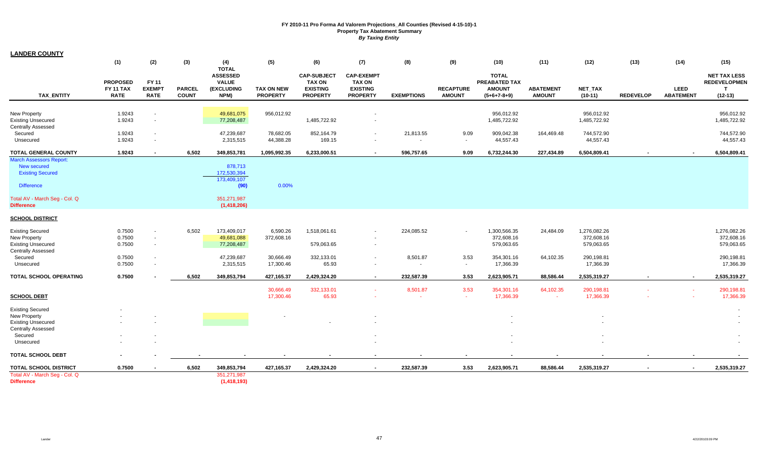| <b>LANDER COUNTY</b>           |                  |                |               |                                 |                   |                                     |                                    |                   |                  |                               |                  |              |                  |                  |                                            |
|--------------------------------|------------------|----------------|---------------|---------------------------------|-------------------|-------------------------------------|------------------------------------|-------------------|------------------|-------------------------------|------------------|--------------|------------------|------------------|--------------------------------------------|
|                                | (1)              | (2)            | (3)           | (4)                             | (5)               | (6)                                 | (7)                                | (8)               | (9)              | (10)                          | (11)             | (12)         | (13)             | (14)             | (15)                                       |
|                                |                  |                |               | <b>TOTAL</b>                    |                   |                                     |                                    |                   |                  |                               |                  |              |                  |                  |                                            |
|                                | <b>PROPOSED</b>  | <b>FY 11</b>   |               | <b>ASSESSED</b><br><b>VALUE</b> |                   | <b>CAP-SUBJECT</b><br><b>TAX ON</b> | <b>CAP-EXEMPT</b><br><b>TAX ON</b> |                   |                  | <b>TOTAL</b><br>PREABATED TAX |                  |              |                  |                  | <b>NET TAX LESS</b><br><b>REDEVELOPMEN</b> |
|                                | <b>FY 11 TAX</b> | <b>EXEMPT</b>  | <b>PARCEL</b> | (EXCLUDING                      | <b>TAX ON NEW</b> | <b>EXISTING</b>                     | <b>EXISTING</b>                    |                   | <b>RECAPTURE</b> | <b>AMOUNT</b>                 | <b>ABATEMENT</b> | NET_TAX      |                  | LEED             | $\mathbf{T}$                               |
| TAX_ENTITY                     | <b>RATE</b>      | <b>RATE</b>    | <b>COUNT</b>  | NPM)                            | <b>PROPERTY</b>   | <b>PROPERTY</b>                     | <b>PROPERTY</b>                    | <b>EXEMPTIONS</b> | <b>AMOUNT</b>    | $(5+6+7-8+9)$                 | <b>AMOUNT</b>    | $(10-11)$    | <b>REDEVELOP</b> | <b>ABATEMENT</b> | $(12-13)$                                  |
|                                |                  |                |               |                                 |                   |                                     |                                    |                   |                  |                               |                  |              |                  |                  |                                            |
| New Property                   | 1.9243           |                |               | 49,681,075                      | 956,012.92        |                                     |                                    |                   |                  | 956,012.92                    |                  | 956,012.92   |                  |                  | 956,012.92                                 |
| <b>Existing Unsecured</b>      | 1.9243           | $\sim$         |               | 77,208,487                      |                   | 1,485,722.92                        |                                    |                   |                  | 1,485,722.92                  |                  | 1,485,722.92 |                  |                  | 1,485,722.92                               |
| <b>Centrally Assessed</b>      |                  |                |               |                                 |                   |                                     |                                    |                   |                  |                               |                  |              |                  |                  |                                            |
| Secured                        | 1.9243           | $\sim$         |               | 47,239,687                      | 78,682.05         | 852,164.79                          |                                    | 21,813.55         | 9.09             | 909,042.38                    | 164,469.48       | 744,572.90   |                  |                  | 744,572.90                                 |
| Unsecured                      | 1.9243           | $\sim$         |               | 2,315,515                       | 44,388.28         | 169.15                              |                                    |                   | $\sim$           | 44,557.43                     |                  | 44,557.43    |                  |                  | 44,557.43                                  |
| TOTAL GENERAL COUNTY           | 1.9243           | $\blacksquare$ | 6,502         | 349,853,781                     | 1,095,992.35      | 6,233,000.51                        | $\blacksquare$                     | 596,757.65        | 9.09             | 6,732,244.30                  | 227,434.89       | 6,504,809.41 |                  | $\blacksquare$   | 6,504,809.41                               |
| <b>March Assessors Report:</b> |                  |                |               |                                 |                   |                                     |                                    |                   |                  |                               |                  |              |                  |                  |                                            |
| New secured                    |                  |                |               | 878,713                         |                   |                                     |                                    |                   |                  |                               |                  |              |                  |                  |                                            |
| <b>Existing Secured</b>        |                  |                |               | 172,530,394<br>173,409,107      |                   |                                     |                                    |                   |                  |                               |                  |              |                  |                  |                                            |
| <b>Difference</b>              |                  |                |               | (90)                            | 0.00%             |                                     |                                    |                   |                  |                               |                  |              |                  |                  |                                            |
| Total AV - March Seq - Col. Q  |                  |                |               | 351,271,987                     |                   |                                     |                                    |                   |                  |                               |                  |              |                  |                  |                                            |
| <b>Difference</b>              |                  |                |               | (1,418,206)                     |                   |                                     |                                    |                   |                  |                               |                  |              |                  |                  |                                            |
| <b>SCHOOL DISTRICT</b>         |                  |                |               |                                 |                   |                                     |                                    |                   |                  |                               |                  |              |                  |                  |                                            |
| <b>Existing Secured</b>        | 0.7500           |                | 6,502         | 173,409,017                     | 6,590.26          | 1,518,061.61                        |                                    | 224,085.52        |                  | 1,300,566.35                  | 24,484.09        | 1,276,082.26 |                  |                  | 1,276,082.26                               |
| <b>New Property</b>            | 0.7500           | $\sim$         |               | 49,681,088                      | 372,608.16        |                                     |                                    |                   |                  | 372,608.16                    |                  | 372,608.16   |                  |                  | 372,608.16                                 |
| <b>Existing Unsecured</b>      | 0.7500           |                |               | 77,208,487                      |                   | 579,063.65                          |                                    |                   |                  | 579,063.65                    |                  | 579,063.65   |                  |                  | 579,063.65                                 |
| <b>Centrally Assessed</b>      |                  |                |               |                                 |                   |                                     |                                    |                   |                  |                               |                  |              |                  |                  |                                            |
| Secured                        | 0.7500           |                |               | 47,239,687                      | 30,666.49         | 332,133.01                          |                                    | 8,501.87          | 3.53             | 354,301.16                    | 64,102.35        | 290,198.81   |                  |                  | 290,198.81                                 |
| Unsecured                      | 0.7500           | $\sim$         |               | 2,315,515                       | 17,300.46         | 65.93                               | $\sim$                             | $\sim$            | $\sim$           | 17,366.39                     |                  | 17,366.39    |                  |                  | 17,366.39                                  |
| <b>TOTAL SCHOOL OPERATING</b>  | 0.7500           |                | 6,502         | 349,853,794                     | 427,165.37        | 2,429,324.20                        | $\blacksquare$                     | 232,587.39        | 3.53             | 2,623,905.71                  | 88,586.44        | 2,535,319.27 |                  | $\blacksquare$   | 2,535,319.27                               |
|                                |                  |                |               |                                 | 30,666.49         | 332,133.01                          |                                    | 8,501.87          | 3.53             | 354,301.16                    | 64,102.35        | 290,198.81   |                  |                  | 290,198.81                                 |
| <b>SCHOOL DEBT</b>             |                  |                |               |                                 | 17,300.46         | 65.93                               |                                    | $\sim$            | $\sim$           | 17,366.39                     |                  | 17,366.39    |                  |                  | 17,366.39                                  |
| <b>Existing Secured</b>        |                  |                |               |                                 |                   |                                     |                                    |                   |                  |                               |                  |              |                  |                  |                                            |
| <b>New Property</b>            |                  |                |               |                                 |                   |                                     |                                    |                   |                  |                               |                  |              |                  |                  |                                            |
| <b>Existing Unsecured</b>      |                  |                |               |                                 |                   |                                     |                                    |                   |                  |                               |                  |              |                  |                  |                                            |
| <b>Centrally Assessed</b>      |                  |                |               |                                 |                   |                                     |                                    |                   |                  |                               |                  |              |                  |                  |                                            |
| Secured                        |                  |                |               |                                 |                   |                                     |                                    |                   |                  |                               |                  |              |                  |                  |                                            |
| Unsecured                      |                  |                |               |                                 |                   |                                     |                                    |                   |                  |                               |                  |              |                  |                  |                                            |
| <b>TOTAL SCHOOL DEBT</b>       |                  |                |               |                                 |                   |                                     |                                    |                   |                  |                               |                  |              |                  |                  |                                            |
| <b>TOTAL SCHOOL DISTRICT</b>   | 0.7500           |                | 6,502         | 349,853,794                     | 427,165.37        | 2,429,324.20                        | $\blacksquare$                     | 232,587.39        | 3.53             | 2,623,905.71                  | 88,586.44        | 2,535,319.27 |                  | $\blacksquare$   | 2,535,319.27                               |
| Total AV - March Seg - Col. Q  |                  |                |               | 351,271,987                     |                   |                                     |                                    |                   |                  |                               |                  |              |                  |                  |                                            |
| <b>Difference</b>              |                  |                |               | (1, 418, 193)                   |                   |                                     |                                    |                   |                  |                               |                  |              |                  |                  |                                            |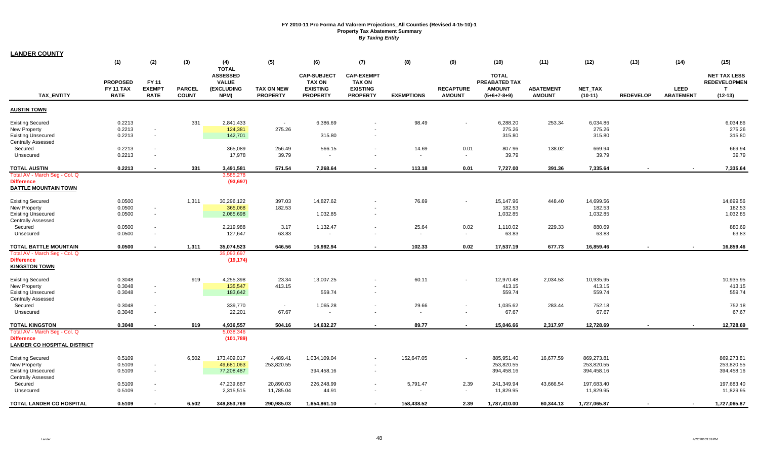| <b>LANDER COUNTY</b>               |                  |                          |               |                                 |                   |                    |                   |                   |                  |               |                  |              |                  |                  |                     |
|------------------------------------|------------------|--------------------------|---------------|---------------------------------|-------------------|--------------------|-------------------|-------------------|------------------|---------------|------------------|--------------|------------------|------------------|---------------------|
|                                    | (1)              | (2)                      | (3)           | (4)                             | (5)               | (6)                | (7)               | (8)               | (9)              | (10)          | (11)             | (12)         | (13)             | (14)             | (15)                |
|                                    |                  |                          |               | <b>TOTAL</b><br><b>ASSESSED</b> |                   | <b>CAP-SUBJECT</b> | <b>CAP-EXEMPT</b> |                   |                  | <b>TOTAL</b>  |                  |              |                  |                  | <b>NET TAX LESS</b> |
|                                    | <b>PROPOSED</b>  | FY 11                    |               | <b>VALUE</b>                    |                   | <b>TAX ON</b>      | <b>TAX ON</b>     |                   |                  | PREABATED TAX |                  |              |                  |                  | <b>REDEVELOPMEN</b> |
|                                    | <b>FY 11 TAX</b> | <b>EXEMPT</b>            | <b>PARCEL</b> | (EXCLUDING                      | <b>TAX ON NEW</b> | <b>EXISTING</b>    | <b>EXISTING</b>   |                   | <b>RECAPTURE</b> | <b>AMOUNT</b> | <b>ABATEMENT</b> | NET_TAX      |                  | <b>LEED</b>      | $\mathbf{T}$        |
| <b>TAX ENTITY</b>                  | <b>RATE</b>      | <b>RATE</b>              | <b>COUNT</b>  | NPM)                            | <b>PROPERTY</b>   | <b>PROPERTY</b>    | <b>PROPERTY</b>   | <b>EXEMPTIONS</b> | <b>AMOUNT</b>    | $(5+6+7-8+9)$ | <b>AMOUNT</b>    | $(10-11)$    | <b>REDEVELOP</b> | <b>ABATEMENT</b> | $(12-13)$           |
| <b>AUSTIN TOWN</b>                 |                  |                          |               |                                 |                   |                    |                   |                   |                  |               |                  |              |                  |                  |                     |
| <b>Existing Secured</b>            | 0.2213           |                          | 331           | 2,841,433                       | $\sim$            | 6,386.69           |                   | 98.49             |                  | 6,288.20      | 253.34           | 6,034.86     |                  |                  | 6,034.86            |
| New Property                       | 0.2213           | $\overline{\phantom{a}}$ |               | 124,381                         | 275.26            |                    |                   |                   |                  | 275.26        |                  | 275.26       |                  |                  | 275.26              |
| <b>Existing Unsecured</b>          | 0.2213           | $\sim$                   |               | 142,701                         |                   | 315.80             |                   |                   |                  | 315.80        |                  | 315.80       |                  |                  | 315.80              |
| <b>Centrally Assessed</b>          |                  |                          |               |                                 |                   |                    |                   |                   |                  |               |                  |              |                  |                  |                     |
| Secured                            | 0.2213           | $\blacksquare$           |               | 365,089                         | 256.49            | 566.15             |                   | 14.69             | 0.01             | 807.96        | 138.02           | 669.94       |                  |                  | 669.94              |
| Unsecured                          | 0.2213           | $\blacksquare$           |               | 17,978                          | 39.79             | $\sim$             |                   | $\sim$            | $\sim$           | 39.79         |                  | 39.79        |                  |                  | 39.79               |
| <b>TOTAL AUSTIN</b>                | 0.2213           | $\blacksquare$           | 331           | 3,491,581                       | 571.54            | 7.268.64           |                   | 113.18            | 0.01             | 7,727.00      | 391.36           | 7,335.64     |                  |                  | 7,335.64            |
| Total AV - March Seg - Col. Q      |                  |                          |               | 3,585,278                       |                   |                    |                   |                   |                  |               |                  |              |                  |                  |                     |
| <b>Difference</b>                  |                  |                          |               | (93, 697)                       |                   |                    |                   |                   |                  |               |                  |              |                  |                  |                     |
| <b>BATTLE MOUNTAIN TOWN</b>        |                  |                          |               |                                 |                   |                    |                   |                   |                  |               |                  |              |                  |                  |                     |
| <b>Existing Secured</b>            | 0.0500           |                          | 1,311         | 30,296,122                      | 397.03            | 14,827.62          |                   | 76.69             | $\blacksquare$   | 15,147.96     | 448.40           | 14,699.56    |                  |                  | 14,699.56           |
| New Property                       | 0.0500           | $\blacksquare$           |               | 365,068                         | 182.53            |                    |                   |                   |                  | 182.53        |                  | 182.53       |                  |                  | 182.53              |
| <b>Existing Unsecured</b>          | 0.0500           | $\sim$                   |               | 2,065,698                       |                   | 1,032.85           |                   |                   |                  | 1,032.85      |                  | 1,032.85     |                  |                  | 1,032.85            |
| <b>Centrally Assessed</b>          |                  |                          |               |                                 |                   |                    |                   |                   |                  |               |                  |              |                  |                  |                     |
| Secured                            | 0.0500           | $\sim$                   |               | 2,219,988                       | 3.17              | 1,132.47           | $\sim$            | 25.64             | 0.02             | 1,110.02      | 229.33           | 880.69       |                  |                  | 880.69              |
| Unsecured                          | 0.0500           | $\blacksquare$           |               | 127,647                         | 63.83             |                    |                   |                   | $\sim$           | 63.83         |                  | 63.83        |                  |                  | 63.83               |
| <b>TOTAL BATTLE MOUNTAIN</b>       | 0.0500           | $\blacksquare$           | 1,311         | 35,074,523                      | 646.56            | 16,992.94          |                   | 102.33            | 0.02             | 17,537.19     | 677.73           | 16,859.46    |                  |                  | 16,859.46           |
| Total AV - March Seg - Col. Q      |                  |                          |               | 35,093,697                      |                   |                    |                   |                   |                  |               |                  |              |                  |                  |                     |
| <b>Difference</b>                  |                  |                          |               | (19, 174)                       |                   |                    |                   |                   |                  |               |                  |              |                  |                  |                     |
| <b>KINGSTON TOWN</b>               |                  |                          |               |                                 |                   |                    |                   |                   |                  |               |                  |              |                  |                  |                     |
| <b>Existing Secured</b>            | 0.3048           |                          | 919           | 4,255,398                       | 23.34             | 13,007.25          |                   | 60.11             |                  | 12,970.48     | 2,034.53         | 10,935.95    |                  |                  | 10,935.95           |
| <b>New Property</b>                | 0.3048           | $\overline{\phantom{a}}$ |               | 135,547                         | 413.15            |                    |                   |                   |                  | 413.15        |                  | 413.15       |                  |                  | 413.15              |
| <b>Existing Unsecured</b>          | 0.3048           | $\sim$                   |               | 183,642                         |                   | 559.74             |                   |                   |                  | 559.74        |                  | 559.74       |                  |                  | 559.74              |
| <b>Centrally Assessed</b>          |                  |                          |               |                                 |                   |                    |                   |                   |                  |               |                  |              |                  |                  |                     |
| Secured                            | 0.3048           | $\sim$                   |               | 339,770                         | $\sim$            | 1,065.28           |                   | 29.66             | $\sim$           | 1,035.62      | 283.44           | 752.18       |                  |                  | 752.18              |
| Unsecured                          | 0.3048           | $\sim$                   |               | 22,201                          | 67.67             | $\sim$             |                   | $\sim$            | $\sim$           | 67.67         |                  | 67.67        |                  |                  | 67.67               |
| <b>TOTAL KINGSTON</b>              | 0.3048           |                          | 919           | 4,936,557                       | 504.16            | 14,632.27          |                   | 89.77             | $\blacksquare$   | 15,046.66     | 2,317.97         | 12,728.69    |                  |                  | 12,728.69           |
| Total AV - March Seg - Col. Q      |                  |                          |               | 5,038,346                       |                   |                    |                   |                   |                  |               |                  |              |                  |                  |                     |
| <b>Difference</b>                  |                  |                          |               | (101, 789)                      |                   |                    |                   |                   |                  |               |                  |              |                  |                  |                     |
| <b>LANDER CO HOSPITAL DISTRICT</b> |                  |                          |               |                                 |                   |                    |                   |                   |                  |               |                  |              |                  |                  |                     |
| <b>Existing Secured</b>            | 0.5109           |                          | 6,502         | 173,409,017                     | 4,489.41          | 1,034,109.04       |                   | 152,647.05        |                  | 885,951.40    | 16,677.59        | 869,273.81   |                  |                  | 869,273.81          |
| New Property                       | 0.5109           | $\overline{\phantom{a}}$ |               | 49,681,063                      | 253,820.55        |                    |                   |                   |                  | 253,820.55    |                  | 253,820.55   |                  |                  | 253,820.55          |
| <b>Existing Unsecured</b>          | 0.5109           | $\blacksquare$           |               | 77,208,487                      |                   | 394,458.16         | $\sim$            |                   |                  | 394,458.16    |                  | 394,458.16   |                  |                  | 394,458.16          |
| <b>Centrally Assessed</b>          |                  |                          |               |                                 |                   |                    |                   |                   |                  |               |                  |              |                  |                  |                     |
| Secured                            | 0.5109           | $\sim$                   |               | 47,239,687                      | 20,890.03         | 226,248.99         |                   | 5,791.47          | 2.39             | 241,349.94    | 43,666.54        | 197,683.40   |                  |                  | 197,683.40          |
| Unsecured                          | 0.5109           | $\blacksquare$           |               | 2,315,515                       | 11,785.04         | 44.91              | $\sim$            | $\sim$            | $\sim$           | 11,829.95     |                  | 11,829.95    |                  |                  | 11,829.95           |
| TOTAL LANDER CO HOSPITAL           | 0.5109           |                          | 6.502         | 349,853,769                     | 290.985.03        | 1,654,861.10       |                   | 158.438.52        | 2.39             | 1.787.410.00  | 60.344.13        | 1,727,065.87 |                  |                  | 1,727,065.87        |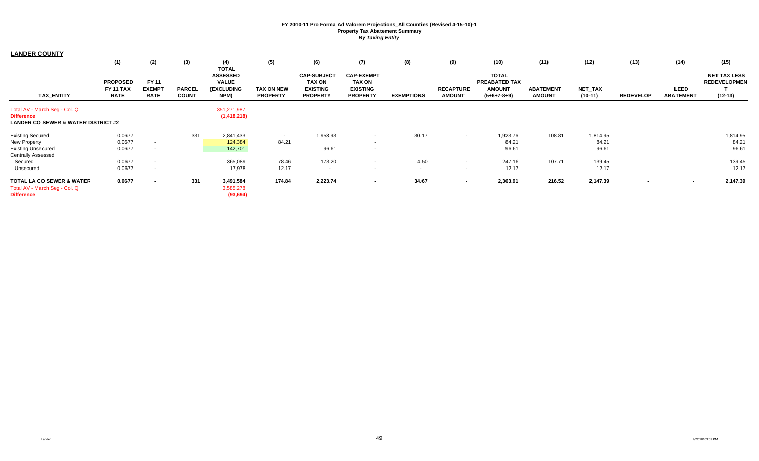| <b>LANDER COUNTY</b>                                                                                 |                                             |                                              |                               |                                                                       |                                      |                                                                           |                                                                          |                   |                                   |                                                                 |                                   |                             |                  |                          |                                                         |
|------------------------------------------------------------------------------------------------------|---------------------------------------------|----------------------------------------------|-------------------------------|-----------------------------------------------------------------------|--------------------------------------|---------------------------------------------------------------------------|--------------------------------------------------------------------------|-------------------|-----------------------------------|-----------------------------------------------------------------|-----------------------------------|-----------------------------|------------------|--------------------------|---------------------------------------------------------|
|                                                                                                      | (1)                                         | (2)                                          | (3)                           | (4)                                                                   | (5)                                  | (6)                                                                       | (7)                                                                      | (8)               | (9)                               | (10)                                                            | (11)                              | (12)                        | (13)             | (14)                     | (15)                                                    |
| <b>TAX ENTITY</b>                                                                                    | <b>PROPOSED</b><br>FY 11 TAX<br><b>RATE</b> | <b>FY 11</b><br><b>EXEMPT</b><br><b>RATE</b> | <b>PARCEL</b><br><b>COUNT</b> | <b>TOTAL</b><br><b>ASSESSED</b><br><b>VALUE</b><br>(EXCLUDING<br>NPM) | <b>TAX ON NEW</b><br><b>PROPERTY</b> | <b>CAP-SUBJECT</b><br><b>TAX ON</b><br><b>EXISTING</b><br><b>PROPERTY</b> | <b>CAP-EXEMPT</b><br><b>TAX ON</b><br><b>EXISTING</b><br><b>PROPERTY</b> | <b>EXEMPTIONS</b> | <b>RECAPTURE</b><br><b>AMOUNT</b> | <b>TOTAL</b><br>PREABATED TAX<br><b>AMOUNT</b><br>$(5+6+7-8+9)$ | <b>ABATEMENT</b><br><b>AMOUNT</b> | <b>NET TAX</b><br>$(10-11)$ | <b>REDEVELOP</b> | LEED<br><b>ABATEMENT</b> | <b>NET TAX LESS</b><br><b>REDEVELOPMEN</b><br>$(12-13)$ |
| Total AV - March Seg - Col. Q<br><b>Difference</b><br><b>LANDER CO SEWER &amp; WATER DISTRICT #2</b> |                                             |                                              |                               | 351,271,987<br>(1, 418, 218)                                          |                                      |                                                                           |                                                                          |                   |                                   |                                                                 |                                   |                             |                  |                          |                                                         |
| <b>Existing Secured</b><br><b>New Property</b><br><b>Existing Unsecured</b>                          | 0.0677<br>0.0677<br>0.0677                  | $\sim$                                       | 331                           | 2,841,433<br>124,384<br>142,701                                       | 84.21                                | 1,953.93<br>96.61                                                         | $\sim$<br>$\sim$                                                         | 30.17             | $\sim$                            | 1,923.76<br>84.21<br>96.61                                      | 108.81                            | 1,814.95<br>84.21<br>96.61  |                  |                          | 1,814.95<br>84.21<br>96.61                              |
| <b>Centrally Assessed</b><br>Secured<br>Unsecured                                                    | 0.0677<br>0.0677                            |                                              |                               | 365,089<br>17,978                                                     | 78.46<br>12.17                       | 173.20<br>$\sim$                                                          | <b>COL</b><br><b>COL</b>                                                 | 4.50<br>$\sim$    | $\sim$<br><b>COLUM</b>            | 247.16<br>12.17                                                 | 107.71                            | 139.45<br>12.17             |                  |                          | 139.45<br>12.17                                         |
| <b>TOTAL LA CO SEWER &amp; WATER</b><br>Total AV - March Seg - Col. Q<br><b>Difference</b>           | 0.0677                                      |                                              | 331                           | 3,491,584<br>3,585,278<br>(93, 694)                                   | 174.84                               | 2,223.74                                                                  |                                                                          | 34.67             |                                   | 2,363.91                                                        | 216.52                            | 2,147.39                    |                  |                          | 2,147.39                                                |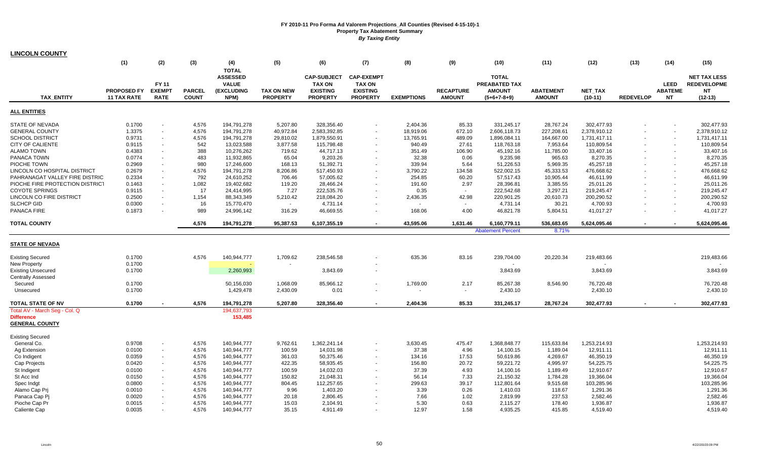| (1)<br>(2)<br>(3)<br>(4)<br>(5)<br>(6)<br>(7)<br>(8)<br>(9)<br>(11)<br>(12)<br>(13)<br>(14)<br>(15)<br>(10)<br><b>TOTAL</b><br><b>ASSESSED</b><br><b>CAP-SUBJECT</b><br><b>CAP-EXEMPT</b><br><b>TOTAL</b><br><b>NET TAX LESS</b><br><b>LEED</b><br><b>REDEVELOPME</b><br><b>FY 11</b><br><b>VALUE</b><br><b>TAX ON</b><br><b>TAX ON</b><br>PREABATED TAX<br><b>PROPOSED FY</b><br><b>EXEMPT</b><br><b>(EXCLUDING</b><br><b>EXISTING</b><br><b>EXISTING</b><br><b>RECAPTURE</b><br><b>AMOUNT</b><br><b>ABATEMENT</b><br><b>ABATEME</b><br><b>NT</b><br><b>PARCEL</b><br><b>TAX ON NEW</b><br><b>NET TAX</b><br><b>TAX ENTITY</b><br><b>RATE</b><br><b>COUNT</b><br>NPM)<br><b>PROPERTY</b><br><b>PROPERTY</b><br><b>PROPERTY</b><br><b>EXEMPTIONS</b><br><b>AMOUNT</b><br><b>REDEVELOP</b><br><b>NT</b><br>$(12-13)$<br><b>11 TAX RATE</b><br>$(5+6+7-8+9)$<br><b>AMOUNT</b><br>$(10-11)$<br><b>STATE OF NEVADA</b><br>0.1700<br>4,576<br>194,791,278<br>5,207.80<br>328,356.40<br>2,404.36<br>85.33<br>331,245.17<br>28,767.24<br>302,477.93<br>302,477.93<br>$\blacksquare$<br>1.3375<br>672.10<br><b>GENERAL COUNTY</b><br>4,576<br>194,791,278<br>40,972.84<br>2,583,392.85<br>18,919.06<br>2,606,118.73<br>227,208.61<br>2,378,910.12<br>2,378,910.12<br>$\blacksquare$<br>$\sim$<br><b>SCHOOL DISTRICT</b><br>0.9731<br>4,576<br>194,791,278<br>29,810.02<br>1,879,550.91<br>13,765.91<br>489.09<br>1,896,084.11<br>164,667.00<br>1,731,417.11<br>1,731,417.11<br>$\blacksquare$<br><b>CITY OF CALIENTE</b><br>0.9115<br>542<br>13,023,588<br>3,877.58<br>115,798.48<br>940.49<br>27.61<br>118,763.18<br>7,953.64<br>110,809.54<br>110,809.54<br>388<br><b>ALAMO TOWN</b><br>0.4383<br>10,276,262<br>719.62<br>44,717.13<br>351.49<br>106.90<br>45,192.16<br>11,785.00<br>33,407.16<br>33,407.16<br>0.0774<br>483<br>8,270.35<br>8,270.35<br><b>PANACA TOWN</b><br>11,932,865<br>65.04<br>9,203.26<br>32.38<br>0.06<br>9,235.98<br>965.63<br>0.2969<br>980<br>5.64<br>45,257.18<br>PIOCHE TOWN<br>17,246,600<br>168.13<br>51,392.71<br>339.94<br>51,226.53<br>5,969.35<br>45,257.18<br>476,668.62<br>LINCOLN CO HOSPITAL DISTRICT<br>0.2679<br>4,576<br>194,791,278<br>8,206.86<br>517,450.93<br>3,790.22<br>134.58<br>522,002.15<br>45,333.53<br>476,668.62<br>PAHRANAGAT VALLEY FIRE DISTRIC<br>0.2334<br>792<br>57,005.62<br>254.85<br>60.20<br>57,517.43<br>46,611.99<br>46,611.99<br>24,610,252<br>706.46<br>10,905.44<br>PIOCHE FIRE PROTECTION DISTRICT<br>0.1463<br>1,082<br>19,402,682<br>2.97<br>28,396.81<br>3,385.55<br>25,011.26<br>119.20<br>28,466.24<br>191.60<br>25,011.26<br>17<br><b>COYOTE SPRINGS</b><br>7.27<br>222,535.76<br>222,542.68<br>219,245.47<br>0.9115<br>24,414,995<br>0.35<br>3,297.21<br>219,245.47<br>$\sim$<br>$\sim$<br>$\sim$<br>LINCOLN CO FIRE DISTRICT<br>0.2500<br>1,154<br>88,343,349<br>5,210.42<br>218,084.20<br>42.98<br>200,290.52<br>200,290.52<br>2,436.35<br>220,901.25<br>20,610.73<br>÷.<br><b>SLCHCP GID</b><br>0.0300<br>16<br>15,770,470<br>4,731.14<br>30.21<br>4,700.93<br>4,700.93<br>4,731.14<br>$\sim$<br>$\blacksquare$<br>$\sim$<br>PANACA FIRE<br>0.1873<br>989<br>168.06<br>4.00<br>41,017.27<br>24,996,142<br>316.29<br>46,669.55<br>46,821.78<br>5,804.51<br>41,017.27<br>4,576<br>95,387.53<br>43,595.06<br>5,624,095.46<br>194,791,278<br>6,107,355.19<br>1,631.46<br>6,160,779.11<br>536,683.65<br>5,624,095.46<br><b>Abatement Percent</b><br>8.71%<br>0.1700<br>4,576<br>140,944,777<br>1,709.62<br>635.36<br>83.16<br>239,704.00<br>219,483.66<br>238,546.58<br>20,220.34<br>219,483.66<br>0.1700<br>٠<br>0.1700<br>2,260,993<br>3,843.69<br>3,843.69<br>3,843.69<br>3,843.69<br>2.17<br>0.1700<br>50,156,030<br>1,068.09<br>85,966.12<br>1,769.00<br>85,267.38<br>8,546.90<br>76,720.48<br>76,720.48<br>Secured<br>0.1700<br>1,429,478<br>2,430.09<br>0.01<br>2,430.10<br>2,430.10<br>2,430.10<br>Unsecured<br>0.1700<br>4.576<br>194,791,278<br>328,356.40<br>2,404.36<br>85.33<br>28,767.24<br>302,477.93<br>302,477.93<br>5.207.80<br>331,245.17<br>$\sim$<br>$\blacksquare$<br>194,637,793<br>153,485<br>1,253,214.93<br>General Co.<br>0.9708<br>4,576<br>140,944,777<br>9,762.61<br>1,362,241.14<br>3,630.45<br>475.47<br>1,368,848.77<br>115,633.84<br>1,253,214.93<br>$\sim$<br>4,576<br>14,031.98<br>37.38<br>4.96<br>0.0100<br>140,944,777<br>100.59<br>14,100.15<br>1,189.04<br>12,911.11<br>12,911.11<br>Ag Extension<br>$\blacksquare$<br>50,375.46<br>17.53<br>46,350.19<br>46,350.19<br>Co Indigent<br>0.0359<br>4,576<br>140,944,777<br>361.03<br>134.16<br>50,619.86<br>4,269.67<br>$\blacksquare$<br>0.0420<br>4,576<br>422.35<br>58,935.45<br>156.80<br>20.72<br>59,221.72<br>54,225.75<br>54,225.75<br>Cap Projects<br>140,944,777<br>4,995.97<br>÷.<br>0.0100<br>4,576<br>100.59<br>37.39<br>4.93<br>12,910.67<br>St Indigent<br>140,944,777<br>14,032.03<br>14,100.16<br>1,189.49<br>12,910.67<br>÷.<br>0.0150<br>4,576<br>140,944,777<br>150.82<br>21,048.31<br>56.14<br>7.33<br>21,150.32<br>1,784.28<br>19,366.04<br>19,366.04<br>St Acc Ind<br>$\sim$<br>103,285.96<br>4,576<br>112,257.65<br>39.17<br>103,285.96<br>Spec Indgt<br>0.0800<br>140,944,777<br>804.45<br>299.63<br>112,801.64<br>9,515.68<br>0.0010<br>4,576<br>9.96<br>3.39<br>0.26<br>1,291.36<br>Alamo Cap Pri<br>140,944,777<br>1,403.20<br>1,410.03<br>118.67<br>1,291.36<br>2,582.46<br>0.0020<br>4.576<br>20.18<br>2,806.45<br>7.66<br>1.02<br>237.53<br>2,582.46<br>Panaca Cap Pi<br>140,944,777<br>2,819.99<br>5.30<br>0.63<br>1,936.87<br>Pioche Cap Pr<br>0.0015<br>4,576<br>140,944,777<br>15.03<br>2,104.91<br>2,115.27<br>178.40<br>1,936.87 | <b>LINCOLN COUNTY</b>         |        |       |             |       |          |       |      |          |        |          |  |          |
|----------------------------------------------------------------------------------------------------------------------------------------------------------------------------------------------------------------------------------------------------------------------------------------------------------------------------------------------------------------------------------------------------------------------------------------------------------------------------------------------------------------------------------------------------------------------------------------------------------------------------------------------------------------------------------------------------------------------------------------------------------------------------------------------------------------------------------------------------------------------------------------------------------------------------------------------------------------------------------------------------------------------------------------------------------------------------------------------------------------------------------------------------------------------------------------------------------------------------------------------------------------------------------------------------------------------------------------------------------------------------------------------------------------------------------------------------------------------------------------------------------------------------------------------------------------------------------------------------------------------------------------------------------------------------------------------------------------------------------------------------------------------------------------------------------------------------------------------------------------------------------------------------------------------------------------------------------------------------------------------------------------------------------------------------------------------------------------------------------------------------------------------------------------------------------------------------------------------------------------------------------------------------------------------------------------------------------------------------------------------------------------------------------------------------------------------------------------------------------------------------------------------------------------------------------------------------------------------------------------------------------------------------------------------------------------------------------------------------------------------------------------------------------------------------------------------------------------------------------------------------------------------------------------------------------------------------------------------------------------------------------------------------------------------------------------------------------------------------------------------------------------------------------------------------------------------------------------------------------------------------------------------------------------------------------------------------------------------------------------------------------------------------------------------------------------------------------------------------------------------------------------------------------------------------------------------------------------------------------------------------------------------------------------------------------------------------------------------------------------------------------------------------------------------------------------------------------------------------------------------------------------------------------------------------------------------------------------------------------------------------------------------------------------------------------------------------------------------------------------------------------------------------------------------------------------------------------------------------------------------------------------------------------------------------------------------------------------------------------------------------------------------------------------------------------------------------------------------------------------------------------------------------------------------------------------------------------------------------------------------------------------------------------------------------------------------------------------------------------------------------------------------------------------------------------------------------------------------------------------------------------------------------------------------------------------------------------------------------------------------------------------------------------------------------------------------------------------------------------------------------------------------------------------------------------------------------------------------------------------------------------------------------------------------------------------------------------------------------------------------------------------------------------------------------------------------------------------------------------------------------------------------------------------------------------------------------------------------------------------------------------|-------------------------------|--------|-------|-------------|-------|----------|-------|------|----------|--------|----------|--|----------|
|                                                                                                                                                                                                                                                                                                                                                                                                                                                                                                                                                                                                                                                                                                                                                                                                                                                                                                                                                                                                                                                                                                                                                                                                                                                                                                                                                                                                                                                                                                                                                                                                                                                                                                                                                                                                                                                                                                                                                                                                                                                                                                                                                                                                                                                                                                                                                                                                                                                                                                                                                                                                                                                                                                                                                                                                                                                                                                                                                                                                                                                                                                                                                                                                                                                                                                                                                                                                                                                                                                                                                                                                                                                                                                                                                                                                                                                                                                                                                                                                                                                                                                                                                                                                                                                                                                                                                                                                                                                                                                                                                                                                                                                                                                                                                                                                                                                                                                                                                                                                                                                                                                                                                                                                                                                                                                                                                                                                                                                                                                                                                                                                                                  |                               |        |       |             |       |          |       |      |          |        |          |  |          |
|                                                                                                                                                                                                                                                                                                                                                                                                                                                                                                                                                                                                                                                                                                                                                                                                                                                                                                                                                                                                                                                                                                                                                                                                                                                                                                                                                                                                                                                                                                                                                                                                                                                                                                                                                                                                                                                                                                                                                                                                                                                                                                                                                                                                                                                                                                                                                                                                                                                                                                                                                                                                                                                                                                                                                                                                                                                                                                                                                                                                                                                                                                                                                                                                                                                                                                                                                                                                                                                                                                                                                                                                                                                                                                                                                                                                                                                                                                                                                                                                                                                                                                                                                                                                                                                                                                                                                                                                                                                                                                                                                                                                                                                                                                                                                                                                                                                                                                                                                                                                                                                                                                                                                                                                                                                                                                                                                                                                                                                                                                                                                                                                                                  |                               |        |       |             |       |          |       |      |          |        |          |  |          |
|                                                                                                                                                                                                                                                                                                                                                                                                                                                                                                                                                                                                                                                                                                                                                                                                                                                                                                                                                                                                                                                                                                                                                                                                                                                                                                                                                                                                                                                                                                                                                                                                                                                                                                                                                                                                                                                                                                                                                                                                                                                                                                                                                                                                                                                                                                                                                                                                                                                                                                                                                                                                                                                                                                                                                                                                                                                                                                                                                                                                                                                                                                                                                                                                                                                                                                                                                                                                                                                                                                                                                                                                                                                                                                                                                                                                                                                                                                                                                                                                                                                                                                                                                                                                                                                                                                                                                                                                                                                                                                                                                                                                                                                                                                                                                                                                                                                                                                                                                                                                                                                                                                                                                                                                                                                                                                                                                                                                                                                                                                                                                                                                                                  | <b>ALL ENTITIES</b>           |        |       |             |       |          |       |      |          |        |          |  |          |
|                                                                                                                                                                                                                                                                                                                                                                                                                                                                                                                                                                                                                                                                                                                                                                                                                                                                                                                                                                                                                                                                                                                                                                                                                                                                                                                                                                                                                                                                                                                                                                                                                                                                                                                                                                                                                                                                                                                                                                                                                                                                                                                                                                                                                                                                                                                                                                                                                                                                                                                                                                                                                                                                                                                                                                                                                                                                                                                                                                                                                                                                                                                                                                                                                                                                                                                                                                                                                                                                                                                                                                                                                                                                                                                                                                                                                                                                                                                                                                                                                                                                                                                                                                                                                                                                                                                                                                                                                                                                                                                                                                                                                                                                                                                                                                                                                                                                                                                                                                                                                                                                                                                                                                                                                                                                                                                                                                                                                                                                                                                                                                                                                                  |                               |        |       |             |       |          |       |      |          |        |          |  |          |
|                                                                                                                                                                                                                                                                                                                                                                                                                                                                                                                                                                                                                                                                                                                                                                                                                                                                                                                                                                                                                                                                                                                                                                                                                                                                                                                                                                                                                                                                                                                                                                                                                                                                                                                                                                                                                                                                                                                                                                                                                                                                                                                                                                                                                                                                                                                                                                                                                                                                                                                                                                                                                                                                                                                                                                                                                                                                                                                                                                                                                                                                                                                                                                                                                                                                                                                                                                                                                                                                                                                                                                                                                                                                                                                                                                                                                                                                                                                                                                                                                                                                                                                                                                                                                                                                                                                                                                                                                                                                                                                                                                                                                                                                                                                                                                                                                                                                                                                                                                                                                                                                                                                                                                                                                                                                                                                                                                                                                                                                                                                                                                                                                                  |                               |        |       |             |       |          |       |      |          |        |          |  |          |
|                                                                                                                                                                                                                                                                                                                                                                                                                                                                                                                                                                                                                                                                                                                                                                                                                                                                                                                                                                                                                                                                                                                                                                                                                                                                                                                                                                                                                                                                                                                                                                                                                                                                                                                                                                                                                                                                                                                                                                                                                                                                                                                                                                                                                                                                                                                                                                                                                                                                                                                                                                                                                                                                                                                                                                                                                                                                                                                                                                                                                                                                                                                                                                                                                                                                                                                                                                                                                                                                                                                                                                                                                                                                                                                                                                                                                                                                                                                                                                                                                                                                                                                                                                                                                                                                                                                                                                                                                                                                                                                                                                                                                                                                                                                                                                                                                                                                                                                                                                                                                                                                                                                                                                                                                                                                                                                                                                                                                                                                                                                                                                                                                                  |                               |        |       |             |       |          |       |      |          |        |          |  |          |
|                                                                                                                                                                                                                                                                                                                                                                                                                                                                                                                                                                                                                                                                                                                                                                                                                                                                                                                                                                                                                                                                                                                                                                                                                                                                                                                                                                                                                                                                                                                                                                                                                                                                                                                                                                                                                                                                                                                                                                                                                                                                                                                                                                                                                                                                                                                                                                                                                                                                                                                                                                                                                                                                                                                                                                                                                                                                                                                                                                                                                                                                                                                                                                                                                                                                                                                                                                                                                                                                                                                                                                                                                                                                                                                                                                                                                                                                                                                                                                                                                                                                                                                                                                                                                                                                                                                                                                                                                                                                                                                                                                                                                                                                                                                                                                                                                                                                                                                                                                                                                                                                                                                                                                                                                                                                                                                                                                                                                                                                                                                                                                                                                                  |                               |        |       |             |       |          |       |      |          |        |          |  |          |
|                                                                                                                                                                                                                                                                                                                                                                                                                                                                                                                                                                                                                                                                                                                                                                                                                                                                                                                                                                                                                                                                                                                                                                                                                                                                                                                                                                                                                                                                                                                                                                                                                                                                                                                                                                                                                                                                                                                                                                                                                                                                                                                                                                                                                                                                                                                                                                                                                                                                                                                                                                                                                                                                                                                                                                                                                                                                                                                                                                                                                                                                                                                                                                                                                                                                                                                                                                                                                                                                                                                                                                                                                                                                                                                                                                                                                                                                                                                                                                                                                                                                                                                                                                                                                                                                                                                                                                                                                                                                                                                                                                                                                                                                                                                                                                                                                                                                                                                                                                                                                                                                                                                                                                                                                                                                                                                                                                                                                                                                                                                                                                                                                                  |                               |        |       |             |       |          |       |      |          |        |          |  |          |
|                                                                                                                                                                                                                                                                                                                                                                                                                                                                                                                                                                                                                                                                                                                                                                                                                                                                                                                                                                                                                                                                                                                                                                                                                                                                                                                                                                                                                                                                                                                                                                                                                                                                                                                                                                                                                                                                                                                                                                                                                                                                                                                                                                                                                                                                                                                                                                                                                                                                                                                                                                                                                                                                                                                                                                                                                                                                                                                                                                                                                                                                                                                                                                                                                                                                                                                                                                                                                                                                                                                                                                                                                                                                                                                                                                                                                                                                                                                                                                                                                                                                                                                                                                                                                                                                                                                                                                                                                                                                                                                                                                                                                                                                                                                                                                                                                                                                                                                                                                                                                                                                                                                                                                                                                                                                                                                                                                                                                                                                                                                                                                                                                                  |                               |        |       |             |       |          |       |      |          |        |          |  |          |
|                                                                                                                                                                                                                                                                                                                                                                                                                                                                                                                                                                                                                                                                                                                                                                                                                                                                                                                                                                                                                                                                                                                                                                                                                                                                                                                                                                                                                                                                                                                                                                                                                                                                                                                                                                                                                                                                                                                                                                                                                                                                                                                                                                                                                                                                                                                                                                                                                                                                                                                                                                                                                                                                                                                                                                                                                                                                                                                                                                                                                                                                                                                                                                                                                                                                                                                                                                                                                                                                                                                                                                                                                                                                                                                                                                                                                                                                                                                                                                                                                                                                                                                                                                                                                                                                                                                                                                                                                                                                                                                                                                                                                                                                                                                                                                                                                                                                                                                                                                                                                                                                                                                                                                                                                                                                                                                                                                                                                                                                                                                                                                                                                                  |                               |        |       |             |       |          |       |      |          |        |          |  |          |
|                                                                                                                                                                                                                                                                                                                                                                                                                                                                                                                                                                                                                                                                                                                                                                                                                                                                                                                                                                                                                                                                                                                                                                                                                                                                                                                                                                                                                                                                                                                                                                                                                                                                                                                                                                                                                                                                                                                                                                                                                                                                                                                                                                                                                                                                                                                                                                                                                                                                                                                                                                                                                                                                                                                                                                                                                                                                                                                                                                                                                                                                                                                                                                                                                                                                                                                                                                                                                                                                                                                                                                                                                                                                                                                                                                                                                                                                                                                                                                                                                                                                                                                                                                                                                                                                                                                                                                                                                                                                                                                                                                                                                                                                                                                                                                                                                                                                                                                                                                                                                                                                                                                                                                                                                                                                                                                                                                                                                                                                                                                                                                                                                                  |                               |        |       |             |       |          |       |      |          |        |          |  |          |
|                                                                                                                                                                                                                                                                                                                                                                                                                                                                                                                                                                                                                                                                                                                                                                                                                                                                                                                                                                                                                                                                                                                                                                                                                                                                                                                                                                                                                                                                                                                                                                                                                                                                                                                                                                                                                                                                                                                                                                                                                                                                                                                                                                                                                                                                                                                                                                                                                                                                                                                                                                                                                                                                                                                                                                                                                                                                                                                                                                                                                                                                                                                                                                                                                                                                                                                                                                                                                                                                                                                                                                                                                                                                                                                                                                                                                                                                                                                                                                                                                                                                                                                                                                                                                                                                                                                                                                                                                                                                                                                                                                                                                                                                                                                                                                                                                                                                                                                                                                                                                                                                                                                                                                                                                                                                                                                                                                                                                                                                                                                                                                                                                                  |                               |        |       |             |       |          |       |      |          |        |          |  |          |
|                                                                                                                                                                                                                                                                                                                                                                                                                                                                                                                                                                                                                                                                                                                                                                                                                                                                                                                                                                                                                                                                                                                                                                                                                                                                                                                                                                                                                                                                                                                                                                                                                                                                                                                                                                                                                                                                                                                                                                                                                                                                                                                                                                                                                                                                                                                                                                                                                                                                                                                                                                                                                                                                                                                                                                                                                                                                                                                                                                                                                                                                                                                                                                                                                                                                                                                                                                                                                                                                                                                                                                                                                                                                                                                                                                                                                                                                                                                                                                                                                                                                                                                                                                                                                                                                                                                                                                                                                                                                                                                                                                                                                                                                                                                                                                                                                                                                                                                                                                                                                                                                                                                                                                                                                                                                                                                                                                                                                                                                                                                                                                                                                                  |                               |        |       |             |       |          |       |      |          |        |          |  |          |
|                                                                                                                                                                                                                                                                                                                                                                                                                                                                                                                                                                                                                                                                                                                                                                                                                                                                                                                                                                                                                                                                                                                                                                                                                                                                                                                                                                                                                                                                                                                                                                                                                                                                                                                                                                                                                                                                                                                                                                                                                                                                                                                                                                                                                                                                                                                                                                                                                                                                                                                                                                                                                                                                                                                                                                                                                                                                                                                                                                                                                                                                                                                                                                                                                                                                                                                                                                                                                                                                                                                                                                                                                                                                                                                                                                                                                                                                                                                                                                                                                                                                                                                                                                                                                                                                                                                                                                                                                                                                                                                                                                                                                                                                                                                                                                                                                                                                                                                                                                                                                                                                                                                                                                                                                                                                                                                                                                                                                                                                                                                                                                                                                                  |                               |        |       |             |       |          |       |      |          |        |          |  |          |
|                                                                                                                                                                                                                                                                                                                                                                                                                                                                                                                                                                                                                                                                                                                                                                                                                                                                                                                                                                                                                                                                                                                                                                                                                                                                                                                                                                                                                                                                                                                                                                                                                                                                                                                                                                                                                                                                                                                                                                                                                                                                                                                                                                                                                                                                                                                                                                                                                                                                                                                                                                                                                                                                                                                                                                                                                                                                                                                                                                                                                                                                                                                                                                                                                                                                                                                                                                                                                                                                                                                                                                                                                                                                                                                                                                                                                                                                                                                                                                                                                                                                                                                                                                                                                                                                                                                                                                                                                                                                                                                                                                                                                                                                                                                                                                                                                                                                                                                                                                                                                                                                                                                                                                                                                                                                                                                                                                                                                                                                                                                                                                                                                                  |                               |        |       |             |       |          |       |      |          |        |          |  |          |
|                                                                                                                                                                                                                                                                                                                                                                                                                                                                                                                                                                                                                                                                                                                                                                                                                                                                                                                                                                                                                                                                                                                                                                                                                                                                                                                                                                                                                                                                                                                                                                                                                                                                                                                                                                                                                                                                                                                                                                                                                                                                                                                                                                                                                                                                                                                                                                                                                                                                                                                                                                                                                                                                                                                                                                                                                                                                                                                                                                                                                                                                                                                                                                                                                                                                                                                                                                                                                                                                                                                                                                                                                                                                                                                                                                                                                                                                                                                                                                                                                                                                                                                                                                                                                                                                                                                                                                                                                                                                                                                                                                                                                                                                                                                                                                                                                                                                                                                                                                                                                                                                                                                                                                                                                                                                                                                                                                                                                                                                                                                                                                                                                                  |                               |        |       |             |       |          |       |      |          |        |          |  |          |
|                                                                                                                                                                                                                                                                                                                                                                                                                                                                                                                                                                                                                                                                                                                                                                                                                                                                                                                                                                                                                                                                                                                                                                                                                                                                                                                                                                                                                                                                                                                                                                                                                                                                                                                                                                                                                                                                                                                                                                                                                                                                                                                                                                                                                                                                                                                                                                                                                                                                                                                                                                                                                                                                                                                                                                                                                                                                                                                                                                                                                                                                                                                                                                                                                                                                                                                                                                                                                                                                                                                                                                                                                                                                                                                                                                                                                                                                                                                                                                                                                                                                                                                                                                                                                                                                                                                                                                                                                                                                                                                                                                                                                                                                                                                                                                                                                                                                                                                                                                                                                                                                                                                                                                                                                                                                                                                                                                                                                                                                                                                                                                                                                                  |                               |        |       |             |       |          |       |      |          |        |          |  |          |
|                                                                                                                                                                                                                                                                                                                                                                                                                                                                                                                                                                                                                                                                                                                                                                                                                                                                                                                                                                                                                                                                                                                                                                                                                                                                                                                                                                                                                                                                                                                                                                                                                                                                                                                                                                                                                                                                                                                                                                                                                                                                                                                                                                                                                                                                                                                                                                                                                                                                                                                                                                                                                                                                                                                                                                                                                                                                                                                                                                                                                                                                                                                                                                                                                                                                                                                                                                                                                                                                                                                                                                                                                                                                                                                                                                                                                                                                                                                                                                                                                                                                                                                                                                                                                                                                                                                                                                                                                                                                                                                                                                                                                                                                                                                                                                                                                                                                                                                                                                                                                                                                                                                                                                                                                                                                                                                                                                                                                                                                                                                                                                                                                                  |                               |        |       |             |       |          |       |      |          |        |          |  |          |
|                                                                                                                                                                                                                                                                                                                                                                                                                                                                                                                                                                                                                                                                                                                                                                                                                                                                                                                                                                                                                                                                                                                                                                                                                                                                                                                                                                                                                                                                                                                                                                                                                                                                                                                                                                                                                                                                                                                                                                                                                                                                                                                                                                                                                                                                                                                                                                                                                                                                                                                                                                                                                                                                                                                                                                                                                                                                                                                                                                                                                                                                                                                                                                                                                                                                                                                                                                                                                                                                                                                                                                                                                                                                                                                                                                                                                                                                                                                                                                                                                                                                                                                                                                                                                                                                                                                                                                                                                                                                                                                                                                                                                                                                                                                                                                                                                                                                                                                                                                                                                                                                                                                                                                                                                                                                                                                                                                                                                                                                                                                                                                                                                                  | <b>TOTAL COUNTY</b>           |        |       |             |       |          |       |      |          |        |          |  |          |
|                                                                                                                                                                                                                                                                                                                                                                                                                                                                                                                                                                                                                                                                                                                                                                                                                                                                                                                                                                                                                                                                                                                                                                                                                                                                                                                                                                                                                                                                                                                                                                                                                                                                                                                                                                                                                                                                                                                                                                                                                                                                                                                                                                                                                                                                                                                                                                                                                                                                                                                                                                                                                                                                                                                                                                                                                                                                                                                                                                                                                                                                                                                                                                                                                                                                                                                                                                                                                                                                                                                                                                                                                                                                                                                                                                                                                                                                                                                                                                                                                                                                                                                                                                                                                                                                                                                                                                                                                                                                                                                                                                                                                                                                                                                                                                                                                                                                                                                                                                                                                                                                                                                                                                                                                                                                                                                                                                                                                                                                                                                                                                                                                                  |                               |        |       |             |       |          |       |      |          |        |          |  |          |
|                                                                                                                                                                                                                                                                                                                                                                                                                                                                                                                                                                                                                                                                                                                                                                                                                                                                                                                                                                                                                                                                                                                                                                                                                                                                                                                                                                                                                                                                                                                                                                                                                                                                                                                                                                                                                                                                                                                                                                                                                                                                                                                                                                                                                                                                                                                                                                                                                                                                                                                                                                                                                                                                                                                                                                                                                                                                                                                                                                                                                                                                                                                                                                                                                                                                                                                                                                                                                                                                                                                                                                                                                                                                                                                                                                                                                                                                                                                                                                                                                                                                                                                                                                                                                                                                                                                                                                                                                                                                                                                                                                                                                                                                                                                                                                                                                                                                                                                                                                                                                                                                                                                                                                                                                                                                                                                                                                                                                                                                                                                                                                                                                                  | <b>STATE OF NEVADA</b>        |        |       |             |       |          |       |      |          |        |          |  |          |
|                                                                                                                                                                                                                                                                                                                                                                                                                                                                                                                                                                                                                                                                                                                                                                                                                                                                                                                                                                                                                                                                                                                                                                                                                                                                                                                                                                                                                                                                                                                                                                                                                                                                                                                                                                                                                                                                                                                                                                                                                                                                                                                                                                                                                                                                                                                                                                                                                                                                                                                                                                                                                                                                                                                                                                                                                                                                                                                                                                                                                                                                                                                                                                                                                                                                                                                                                                                                                                                                                                                                                                                                                                                                                                                                                                                                                                                                                                                                                                                                                                                                                                                                                                                                                                                                                                                                                                                                                                                                                                                                                                                                                                                                                                                                                                                                                                                                                                                                                                                                                                                                                                                                                                                                                                                                                                                                                                                                                                                                                                                                                                                                                                  | <b>Existing Secured</b>       |        |       |             |       |          |       |      |          |        |          |  |          |
|                                                                                                                                                                                                                                                                                                                                                                                                                                                                                                                                                                                                                                                                                                                                                                                                                                                                                                                                                                                                                                                                                                                                                                                                                                                                                                                                                                                                                                                                                                                                                                                                                                                                                                                                                                                                                                                                                                                                                                                                                                                                                                                                                                                                                                                                                                                                                                                                                                                                                                                                                                                                                                                                                                                                                                                                                                                                                                                                                                                                                                                                                                                                                                                                                                                                                                                                                                                                                                                                                                                                                                                                                                                                                                                                                                                                                                                                                                                                                                                                                                                                                                                                                                                                                                                                                                                                                                                                                                                                                                                                                                                                                                                                                                                                                                                                                                                                                                                                                                                                                                                                                                                                                                                                                                                                                                                                                                                                                                                                                                                                                                                                                                  | <b>New Property</b>           |        |       |             |       |          |       |      |          |        |          |  |          |
|                                                                                                                                                                                                                                                                                                                                                                                                                                                                                                                                                                                                                                                                                                                                                                                                                                                                                                                                                                                                                                                                                                                                                                                                                                                                                                                                                                                                                                                                                                                                                                                                                                                                                                                                                                                                                                                                                                                                                                                                                                                                                                                                                                                                                                                                                                                                                                                                                                                                                                                                                                                                                                                                                                                                                                                                                                                                                                                                                                                                                                                                                                                                                                                                                                                                                                                                                                                                                                                                                                                                                                                                                                                                                                                                                                                                                                                                                                                                                                                                                                                                                                                                                                                                                                                                                                                                                                                                                                                                                                                                                                                                                                                                                                                                                                                                                                                                                                                                                                                                                                                                                                                                                                                                                                                                                                                                                                                                                                                                                                                                                                                                                                  | <b>Existing Unsecured</b>     |        |       |             |       |          |       |      |          |        |          |  |          |
|                                                                                                                                                                                                                                                                                                                                                                                                                                                                                                                                                                                                                                                                                                                                                                                                                                                                                                                                                                                                                                                                                                                                                                                                                                                                                                                                                                                                                                                                                                                                                                                                                                                                                                                                                                                                                                                                                                                                                                                                                                                                                                                                                                                                                                                                                                                                                                                                                                                                                                                                                                                                                                                                                                                                                                                                                                                                                                                                                                                                                                                                                                                                                                                                                                                                                                                                                                                                                                                                                                                                                                                                                                                                                                                                                                                                                                                                                                                                                                                                                                                                                                                                                                                                                                                                                                                                                                                                                                                                                                                                                                                                                                                                                                                                                                                                                                                                                                                                                                                                                                                                                                                                                                                                                                                                                                                                                                                                                                                                                                                                                                                                                                  | <b>Centrally Assessed</b>     |        |       |             |       |          |       |      |          |        |          |  |          |
|                                                                                                                                                                                                                                                                                                                                                                                                                                                                                                                                                                                                                                                                                                                                                                                                                                                                                                                                                                                                                                                                                                                                                                                                                                                                                                                                                                                                                                                                                                                                                                                                                                                                                                                                                                                                                                                                                                                                                                                                                                                                                                                                                                                                                                                                                                                                                                                                                                                                                                                                                                                                                                                                                                                                                                                                                                                                                                                                                                                                                                                                                                                                                                                                                                                                                                                                                                                                                                                                                                                                                                                                                                                                                                                                                                                                                                                                                                                                                                                                                                                                                                                                                                                                                                                                                                                                                                                                                                                                                                                                                                                                                                                                                                                                                                                                                                                                                                                                                                                                                                                                                                                                                                                                                                                                                                                                                                                                                                                                                                                                                                                                                                  |                               |        |       |             |       |          |       |      |          |        |          |  |          |
|                                                                                                                                                                                                                                                                                                                                                                                                                                                                                                                                                                                                                                                                                                                                                                                                                                                                                                                                                                                                                                                                                                                                                                                                                                                                                                                                                                                                                                                                                                                                                                                                                                                                                                                                                                                                                                                                                                                                                                                                                                                                                                                                                                                                                                                                                                                                                                                                                                                                                                                                                                                                                                                                                                                                                                                                                                                                                                                                                                                                                                                                                                                                                                                                                                                                                                                                                                                                                                                                                                                                                                                                                                                                                                                                                                                                                                                                                                                                                                                                                                                                                                                                                                                                                                                                                                                                                                                                                                                                                                                                                                                                                                                                                                                                                                                                                                                                                                                                                                                                                                                                                                                                                                                                                                                                                                                                                                                                                                                                                                                                                                                                                                  |                               |        |       |             |       |          |       |      |          |        |          |  |          |
|                                                                                                                                                                                                                                                                                                                                                                                                                                                                                                                                                                                                                                                                                                                                                                                                                                                                                                                                                                                                                                                                                                                                                                                                                                                                                                                                                                                                                                                                                                                                                                                                                                                                                                                                                                                                                                                                                                                                                                                                                                                                                                                                                                                                                                                                                                                                                                                                                                                                                                                                                                                                                                                                                                                                                                                                                                                                                                                                                                                                                                                                                                                                                                                                                                                                                                                                                                                                                                                                                                                                                                                                                                                                                                                                                                                                                                                                                                                                                                                                                                                                                                                                                                                                                                                                                                                                                                                                                                                                                                                                                                                                                                                                                                                                                                                                                                                                                                                                                                                                                                                                                                                                                                                                                                                                                                                                                                                                                                                                                                                                                                                                                                  | <b>TOTAL STATE OF NV</b>      |        |       |             |       |          |       |      |          |        |          |  |          |
|                                                                                                                                                                                                                                                                                                                                                                                                                                                                                                                                                                                                                                                                                                                                                                                                                                                                                                                                                                                                                                                                                                                                                                                                                                                                                                                                                                                                                                                                                                                                                                                                                                                                                                                                                                                                                                                                                                                                                                                                                                                                                                                                                                                                                                                                                                                                                                                                                                                                                                                                                                                                                                                                                                                                                                                                                                                                                                                                                                                                                                                                                                                                                                                                                                                                                                                                                                                                                                                                                                                                                                                                                                                                                                                                                                                                                                                                                                                                                                                                                                                                                                                                                                                                                                                                                                                                                                                                                                                                                                                                                                                                                                                                                                                                                                                                                                                                                                                                                                                                                                                                                                                                                                                                                                                                                                                                                                                                                                                                                                                                                                                                                                  | Total AV - March Seg - Col. Q |        |       |             |       |          |       |      |          |        |          |  |          |
|                                                                                                                                                                                                                                                                                                                                                                                                                                                                                                                                                                                                                                                                                                                                                                                                                                                                                                                                                                                                                                                                                                                                                                                                                                                                                                                                                                                                                                                                                                                                                                                                                                                                                                                                                                                                                                                                                                                                                                                                                                                                                                                                                                                                                                                                                                                                                                                                                                                                                                                                                                                                                                                                                                                                                                                                                                                                                                                                                                                                                                                                                                                                                                                                                                                                                                                                                                                                                                                                                                                                                                                                                                                                                                                                                                                                                                                                                                                                                                                                                                                                                                                                                                                                                                                                                                                                                                                                                                                                                                                                                                                                                                                                                                                                                                                                                                                                                                                                                                                                                                                                                                                                                                                                                                                                                                                                                                                                                                                                                                                                                                                                                                  | <b>Difference</b>             |        |       |             |       |          |       |      |          |        |          |  |          |
|                                                                                                                                                                                                                                                                                                                                                                                                                                                                                                                                                                                                                                                                                                                                                                                                                                                                                                                                                                                                                                                                                                                                                                                                                                                                                                                                                                                                                                                                                                                                                                                                                                                                                                                                                                                                                                                                                                                                                                                                                                                                                                                                                                                                                                                                                                                                                                                                                                                                                                                                                                                                                                                                                                                                                                                                                                                                                                                                                                                                                                                                                                                                                                                                                                                                                                                                                                                                                                                                                                                                                                                                                                                                                                                                                                                                                                                                                                                                                                                                                                                                                                                                                                                                                                                                                                                                                                                                                                                                                                                                                                                                                                                                                                                                                                                                                                                                                                                                                                                                                                                                                                                                                                                                                                                                                                                                                                                                                                                                                                                                                                                                                                  | <b>GENERAL COUNTY</b>         |        |       |             |       |          |       |      |          |        |          |  |          |
|                                                                                                                                                                                                                                                                                                                                                                                                                                                                                                                                                                                                                                                                                                                                                                                                                                                                                                                                                                                                                                                                                                                                                                                                                                                                                                                                                                                                                                                                                                                                                                                                                                                                                                                                                                                                                                                                                                                                                                                                                                                                                                                                                                                                                                                                                                                                                                                                                                                                                                                                                                                                                                                                                                                                                                                                                                                                                                                                                                                                                                                                                                                                                                                                                                                                                                                                                                                                                                                                                                                                                                                                                                                                                                                                                                                                                                                                                                                                                                                                                                                                                                                                                                                                                                                                                                                                                                                                                                                                                                                                                                                                                                                                                                                                                                                                                                                                                                                                                                                                                                                                                                                                                                                                                                                                                                                                                                                                                                                                                                                                                                                                                                  | <b>Existing Secured</b>       |        |       |             |       |          |       |      |          |        |          |  |          |
|                                                                                                                                                                                                                                                                                                                                                                                                                                                                                                                                                                                                                                                                                                                                                                                                                                                                                                                                                                                                                                                                                                                                                                                                                                                                                                                                                                                                                                                                                                                                                                                                                                                                                                                                                                                                                                                                                                                                                                                                                                                                                                                                                                                                                                                                                                                                                                                                                                                                                                                                                                                                                                                                                                                                                                                                                                                                                                                                                                                                                                                                                                                                                                                                                                                                                                                                                                                                                                                                                                                                                                                                                                                                                                                                                                                                                                                                                                                                                                                                                                                                                                                                                                                                                                                                                                                                                                                                                                                                                                                                                                                                                                                                                                                                                                                                                                                                                                                                                                                                                                                                                                                                                                                                                                                                                                                                                                                                                                                                                                                                                                                                                                  |                               |        |       |             |       |          |       |      |          |        |          |  |          |
|                                                                                                                                                                                                                                                                                                                                                                                                                                                                                                                                                                                                                                                                                                                                                                                                                                                                                                                                                                                                                                                                                                                                                                                                                                                                                                                                                                                                                                                                                                                                                                                                                                                                                                                                                                                                                                                                                                                                                                                                                                                                                                                                                                                                                                                                                                                                                                                                                                                                                                                                                                                                                                                                                                                                                                                                                                                                                                                                                                                                                                                                                                                                                                                                                                                                                                                                                                                                                                                                                                                                                                                                                                                                                                                                                                                                                                                                                                                                                                                                                                                                                                                                                                                                                                                                                                                                                                                                                                                                                                                                                                                                                                                                                                                                                                                                                                                                                                                                                                                                                                                                                                                                                                                                                                                                                                                                                                                                                                                                                                                                                                                                                                  |                               |        |       |             |       |          |       |      |          |        |          |  |          |
|                                                                                                                                                                                                                                                                                                                                                                                                                                                                                                                                                                                                                                                                                                                                                                                                                                                                                                                                                                                                                                                                                                                                                                                                                                                                                                                                                                                                                                                                                                                                                                                                                                                                                                                                                                                                                                                                                                                                                                                                                                                                                                                                                                                                                                                                                                                                                                                                                                                                                                                                                                                                                                                                                                                                                                                                                                                                                                                                                                                                                                                                                                                                                                                                                                                                                                                                                                                                                                                                                                                                                                                                                                                                                                                                                                                                                                                                                                                                                                                                                                                                                                                                                                                                                                                                                                                                                                                                                                                                                                                                                                                                                                                                                                                                                                                                                                                                                                                                                                                                                                                                                                                                                                                                                                                                                                                                                                                                                                                                                                                                                                                                                                  |                               |        |       |             |       |          |       |      |          |        |          |  |          |
|                                                                                                                                                                                                                                                                                                                                                                                                                                                                                                                                                                                                                                                                                                                                                                                                                                                                                                                                                                                                                                                                                                                                                                                                                                                                                                                                                                                                                                                                                                                                                                                                                                                                                                                                                                                                                                                                                                                                                                                                                                                                                                                                                                                                                                                                                                                                                                                                                                                                                                                                                                                                                                                                                                                                                                                                                                                                                                                                                                                                                                                                                                                                                                                                                                                                                                                                                                                                                                                                                                                                                                                                                                                                                                                                                                                                                                                                                                                                                                                                                                                                                                                                                                                                                                                                                                                                                                                                                                                                                                                                                                                                                                                                                                                                                                                                                                                                                                                                                                                                                                                                                                                                                                                                                                                                                                                                                                                                                                                                                                                                                                                                                                  |                               |        |       |             |       |          |       |      |          |        |          |  |          |
|                                                                                                                                                                                                                                                                                                                                                                                                                                                                                                                                                                                                                                                                                                                                                                                                                                                                                                                                                                                                                                                                                                                                                                                                                                                                                                                                                                                                                                                                                                                                                                                                                                                                                                                                                                                                                                                                                                                                                                                                                                                                                                                                                                                                                                                                                                                                                                                                                                                                                                                                                                                                                                                                                                                                                                                                                                                                                                                                                                                                                                                                                                                                                                                                                                                                                                                                                                                                                                                                                                                                                                                                                                                                                                                                                                                                                                                                                                                                                                                                                                                                                                                                                                                                                                                                                                                                                                                                                                                                                                                                                                                                                                                                                                                                                                                                                                                                                                                                                                                                                                                                                                                                                                                                                                                                                                                                                                                                                                                                                                                                                                                                                                  |                               |        |       |             |       |          |       |      |          |        |          |  |          |
|                                                                                                                                                                                                                                                                                                                                                                                                                                                                                                                                                                                                                                                                                                                                                                                                                                                                                                                                                                                                                                                                                                                                                                                                                                                                                                                                                                                                                                                                                                                                                                                                                                                                                                                                                                                                                                                                                                                                                                                                                                                                                                                                                                                                                                                                                                                                                                                                                                                                                                                                                                                                                                                                                                                                                                                                                                                                                                                                                                                                                                                                                                                                                                                                                                                                                                                                                                                                                                                                                                                                                                                                                                                                                                                                                                                                                                                                                                                                                                                                                                                                                                                                                                                                                                                                                                                                                                                                                                                                                                                                                                                                                                                                                                                                                                                                                                                                                                                                                                                                                                                                                                                                                                                                                                                                                                                                                                                                                                                                                                                                                                                                                                  |                               |        |       |             |       |          |       |      |          |        |          |  |          |
|                                                                                                                                                                                                                                                                                                                                                                                                                                                                                                                                                                                                                                                                                                                                                                                                                                                                                                                                                                                                                                                                                                                                                                                                                                                                                                                                                                                                                                                                                                                                                                                                                                                                                                                                                                                                                                                                                                                                                                                                                                                                                                                                                                                                                                                                                                                                                                                                                                                                                                                                                                                                                                                                                                                                                                                                                                                                                                                                                                                                                                                                                                                                                                                                                                                                                                                                                                                                                                                                                                                                                                                                                                                                                                                                                                                                                                                                                                                                                                                                                                                                                                                                                                                                                                                                                                                                                                                                                                                                                                                                                                                                                                                                                                                                                                                                                                                                                                                                                                                                                                                                                                                                                                                                                                                                                                                                                                                                                                                                                                                                                                                                                                  |                               |        |       |             |       |          |       |      |          |        |          |  |          |
|                                                                                                                                                                                                                                                                                                                                                                                                                                                                                                                                                                                                                                                                                                                                                                                                                                                                                                                                                                                                                                                                                                                                                                                                                                                                                                                                                                                                                                                                                                                                                                                                                                                                                                                                                                                                                                                                                                                                                                                                                                                                                                                                                                                                                                                                                                                                                                                                                                                                                                                                                                                                                                                                                                                                                                                                                                                                                                                                                                                                                                                                                                                                                                                                                                                                                                                                                                                                                                                                                                                                                                                                                                                                                                                                                                                                                                                                                                                                                                                                                                                                                                                                                                                                                                                                                                                                                                                                                                                                                                                                                                                                                                                                                                                                                                                                                                                                                                                                                                                                                                                                                                                                                                                                                                                                                                                                                                                                                                                                                                                                                                                                                                  |                               |        |       |             |       |          |       |      |          |        |          |  |          |
|                                                                                                                                                                                                                                                                                                                                                                                                                                                                                                                                                                                                                                                                                                                                                                                                                                                                                                                                                                                                                                                                                                                                                                                                                                                                                                                                                                                                                                                                                                                                                                                                                                                                                                                                                                                                                                                                                                                                                                                                                                                                                                                                                                                                                                                                                                                                                                                                                                                                                                                                                                                                                                                                                                                                                                                                                                                                                                                                                                                                                                                                                                                                                                                                                                                                                                                                                                                                                                                                                                                                                                                                                                                                                                                                                                                                                                                                                                                                                                                                                                                                                                                                                                                                                                                                                                                                                                                                                                                                                                                                                                                                                                                                                                                                                                                                                                                                                                                                                                                                                                                                                                                                                                                                                                                                                                                                                                                                                                                                                                                                                                                                                                  |                               |        |       |             |       |          |       |      |          |        |          |  |          |
|                                                                                                                                                                                                                                                                                                                                                                                                                                                                                                                                                                                                                                                                                                                                                                                                                                                                                                                                                                                                                                                                                                                                                                                                                                                                                                                                                                                                                                                                                                                                                                                                                                                                                                                                                                                                                                                                                                                                                                                                                                                                                                                                                                                                                                                                                                                                                                                                                                                                                                                                                                                                                                                                                                                                                                                                                                                                                                                                                                                                                                                                                                                                                                                                                                                                                                                                                                                                                                                                                                                                                                                                                                                                                                                                                                                                                                                                                                                                                                                                                                                                                                                                                                                                                                                                                                                                                                                                                                                                                                                                                                                                                                                                                                                                                                                                                                                                                                                                                                                                                                                                                                                                                                                                                                                                                                                                                                                                                                                                                                                                                                                                                                  |                               |        |       |             |       |          |       |      |          |        |          |  |          |
|                                                                                                                                                                                                                                                                                                                                                                                                                                                                                                                                                                                                                                                                                                                                                                                                                                                                                                                                                                                                                                                                                                                                                                                                                                                                                                                                                                                                                                                                                                                                                                                                                                                                                                                                                                                                                                                                                                                                                                                                                                                                                                                                                                                                                                                                                                                                                                                                                                                                                                                                                                                                                                                                                                                                                                                                                                                                                                                                                                                                                                                                                                                                                                                                                                                                                                                                                                                                                                                                                                                                                                                                                                                                                                                                                                                                                                                                                                                                                                                                                                                                                                                                                                                                                                                                                                                                                                                                                                                                                                                                                                                                                                                                                                                                                                                                                                                                                                                                                                                                                                                                                                                                                                                                                                                                                                                                                                                                                                                                                                                                                                                                                                  | Caliente Cap                  | 0.0035 | 4.576 | 140,944,777 | 35.15 | 4,911.49 | 12.97 | 1.58 | 4,935.25 | 415.85 | 4,519.40 |  | 4,519.40 |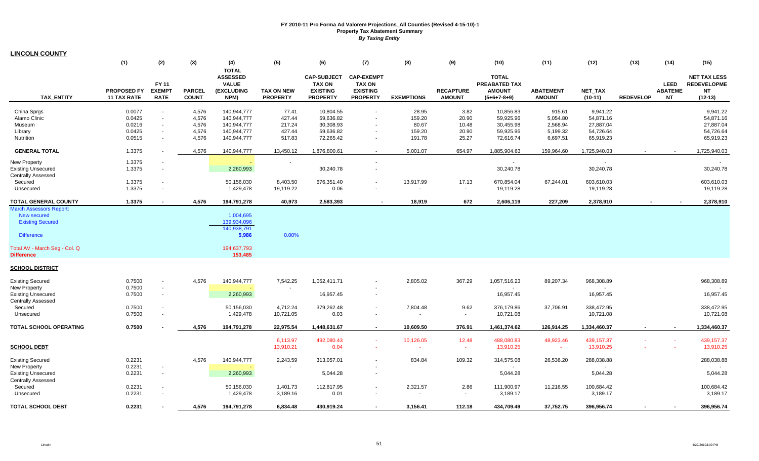| <b>LINCOLN COUNTY</b> |  |
|-----------------------|--|
|-----------------------|--|

|                                                                                                                                                            | (1)                                            | (2)                                          | (3)                                       | (4)                                                                        | (5)                                           | (6)                                                                       | (7)                                                                      | (8)                                          | (9)                                      | (10)                                                            | (11)                                                   | (12)                                                         | (13)             | (14)                                       | (15)                                                                |
|------------------------------------------------------------------------------------------------------------------------------------------------------------|------------------------------------------------|----------------------------------------------|-------------------------------------------|----------------------------------------------------------------------------|-----------------------------------------------|---------------------------------------------------------------------------|--------------------------------------------------------------------------|----------------------------------------------|------------------------------------------|-----------------------------------------------------------------|--------------------------------------------------------|--------------------------------------------------------------|------------------|--------------------------------------------|---------------------------------------------------------------------|
| <b>TAX ENTITY</b>                                                                                                                                          | <b>PROPOSED FY</b><br><b>11 TAX RATE</b>       | <b>FY 11</b><br><b>EXEMPT</b><br><b>RATE</b> | <b>PARCEL</b><br><b>COUNT</b>             | <b>TOTAL</b><br><b>ASSESSED</b><br><b>VALUE</b><br>(EXCLUDING<br>NPM)      | <b>TAX ON NEW</b><br><b>PROPERTY</b>          | <b>CAP-SUBJECT</b><br><b>TAX ON</b><br><b>EXISTING</b><br><b>PROPERTY</b> | <b>CAP-EXEMPT</b><br><b>TAX ON</b><br><b>EXISTING</b><br><b>PROPERTY</b> | <b>EXEMPTIONS</b>                            | <b>RECAPTURE</b><br><b>AMOUNT</b>        | <b>TOTAL</b><br>PREABATED TAX<br><b>AMOUNT</b><br>$(5+6+7-8+9)$ | <b>ABATEMENT</b><br><b>AMOUNT</b>                      | <b>NET TAX</b><br>$(10-11)$                                  | <b>REDEVELOP</b> | <b>LEED</b><br><b>ABATEME</b><br><b>NT</b> | <b>NET TAX LESS</b><br><b>REDEVELOPME</b><br><b>NT</b><br>$(12-13)$ |
|                                                                                                                                                            |                                                |                                              |                                           |                                                                            |                                               |                                                                           |                                                                          |                                              |                                          |                                                                 |                                                        |                                                              |                  |                                            |                                                                     |
| China Sprgs<br>Alamo Clinic<br>Museum<br>Library<br>Nutrition                                                                                              | 0.0077<br>0.0425<br>0.0216<br>0.0425<br>0.0515 | $\sim$<br>$\sim$                             | 4,576<br>4,576<br>4,576<br>4,576<br>4,576 | 140,944,777<br>140,944,777<br>140,944,777<br>140,944,777<br>140,944,777    | 77.41<br>427.44<br>217.24<br>427.44<br>517.83 | 10,804.55<br>59,636.82<br>30,308.93<br>59,636.82<br>72,265.42             | $\blacksquare$<br>$\sim$                                                 | 28.95<br>159.20<br>80.67<br>159.20<br>191.78 | 3.82<br>20.90<br>10.48<br>20.90<br>25.27 | 10,856.83<br>59,925.96<br>30,455.98<br>59,925.96<br>72,616.74   | 915.61<br>5,054.80<br>2,568.94<br>5,199.32<br>6,697.51 | 9,941.22<br>54,871.16<br>27,887.04<br>54,726.64<br>65,919.23 |                  |                                            | 9,941.22<br>54,871.16<br>27,887.04<br>54,726.64<br>65,919.23        |
| <b>GENERAL TOTAL</b>                                                                                                                                       | 1.3375                                         |                                              | 4,576                                     | 140,944,777                                                                | 13,450.12                                     | 1,876,800.61                                                              | $\sim$                                                                   | 5,001.07                                     | 654.97                                   | 1,885,904.63                                                    | 159,964.60                                             | 1,725,940.03                                                 | $\sim$           |                                            | 1,725,940.03                                                        |
| <b>New Property</b><br><b>Existing Unsecured</b><br><b>Centrally Assessed</b><br>Secured<br>Unsecured                                                      | 1.3375<br>1.3375<br>1.3375<br>1.3375           |                                              |                                           | 2,260,993<br>50,156,030<br>1,429,478                                       | 8,403.50<br>19,119.22                         | 30,240.78<br>676,351.40<br>0.06                                           | $\sim$                                                                   | 13,917.99<br>$\sim$                          | 17.13<br>$\sim$                          | $\sim$<br>30,240.78<br>670,854.04<br>19,119.28                  | 67,244.01                                              | $\sim$<br>30,240.78<br>603,610.03<br>19,119.28               |                  |                                            | 30,240.78<br>603,610.03<br>19,119.28                                |
| <b>TOTAL GENERAL COUNTY</b>                                                                                                                                | 1.3375                                         |                                              | 4,576                                     | 194,791,278                                                                | 40,973                                        | 2,583,393                                                                 |                                                                          | 18,919                                       | 672                                      | 2,606,119                                                       | 227,209                                                | 2,378,910                                                    |                  |                                            | 2,378,910                                                           |
| <b>March Assessors Report:</b><br><b>New secured</b><br><b>Existing Secured</b><br><b>Difference</b><br>Total AV - March Seg - Col. Q<br><b>Difference</b> |                                                |                                              |                                           | 1,004,695<br>139,934,096<br>140,938,791<br>5,986<br>194,637,793<br>153,485 | 0.00%                                         |                                                                           |                                                                          |                                              |                                          |                                                                 |                                                        |                                                              |                  |                                            |                                                                     |
| <b>SCHOOL DISTRICT</b>                                                                                                                                     |                                                |                                              |                                           |                                                                            |                                               |                                                                           |                                                                          |                                              |                                          |                                                                 |                                                        |                                                              |                  |                                            |                                                                     |
| <b>Existing Secured</b><br><b>New Property</b><br><b>Existing Unsecured</b><br><b>Centrally Assessed</b><br>Secured<br>Unsecured                           | 0.7500<br>0.7500<br>0.7500<br>0.7500<br>0.7500 |                                              | 4,576                                     | 140,944,777<br>2,260,993<br>50,156,030<br>1,429,478                        | 7,542.25<br>4,712.24<br>10,721.05             | 1,052,411.71<br>16,957.45<br>379,262.48<br>0.03                           | $\blacksquare$                                                           | 2,805.02<br>7,804.48                         | 367.29<br>9.62<br>$\sim$                 | 1,057,516.23<br>16,957.45<br>376,179.86<br>10,721.08            | 89,207.34<br>37,706.91                                 | 968,308.89<br>16,957.45<br>338,472.95<br>10,721.08           |                  |                                            | 968,308.89<br>16,957.45<br>338,472.95<br>10,721.08                  |
| <b>TOTAL SCHOOL OPERATING</b>                                                                                                                              | 0.7500                                         |                                              | 4,576                                     | 194,791,278                                                                | 22,975.54                                     | 1,448,631.67                                                              | $\sim$                                                                   | 10,609.50                                    | 376.91                                   | 1,461,374.62                                                    | 126,914.25                                             | 1,334,460.37                                                 |                  |                                            | 1,334,460.37                                                        |
| <b>SCHOOL DEBT</b>                                                                                                                                         |                                                |                                              |                                           |                                                                            | 6,113.97<br>13,910.21                         | 492,080.43<br>0.04                                                        | $\sim$<br>$\sim$                                                         | 10,126.05                                    | 12.48<br>$\sim$                          | 488,080.83<br>13,910.25                                         | 48,923.46<br>$\sim$                                    | 439,157.37<br>13,910.25                                      |                  |                                            | 439,157.37<br>13,910.25                                             |
| <b>Existing Secured</b><br><b>New Property</b><br><b>Existing Unsecured</b><br>Centrally Assessed<br>Secured                                               | 0.2231<br>0.2231<br>0.2231<br>0.2231           |                                              | 4,576                                     | 140,944,777<br>2,260,993<br>50,156,030                                     | 2,243.59<br>1,401.73                          | 313,057.01<br>5,044.28<br>112,817.95                                      | $\overline{\phantom{a}}$<br>$\sim$                                       | 834.84<br>2,321.57                           | 109.32<br>2.86                           | 314,575.08<br>5,044.28<br>111,900.97                            | 26,536.20<br>11,216.55                                 | 288,038.88<br>5,044.28<br>100,684.42                         |                  |                                            | 288,038.88<br>5,044.28<br>100,684.42                                |
| Unsecured<br><b>TOTAL SCHOOL DEBT</b>                                                                                                                      | 0.2231<br>0.2231                               |                                              | 4,576                                     | 1,429,478<br>194,791,278                                                   | 3,189.16<br>6,834.48                          | 0.01<br>430,919.24                                                        | $\sim$                                                                   | $\overline{\phantom{a}}$<br>3,156.41         | $\sim$<br>112.18                         | 3,189.17<br>434,709.49                                          | 37,752.75                                              | 3,189.17<br>396,956.74                                       |                  |                                            | 3,189.17<br>396,956.74                                              |
|                                                                                                                                                            |                                                |                                              |                                           |                                                                            |                                               |                                                                           |                                                                          |                                              |                                          |                                                                 |                                                        |                                                              |                  |                                            |                                                                     |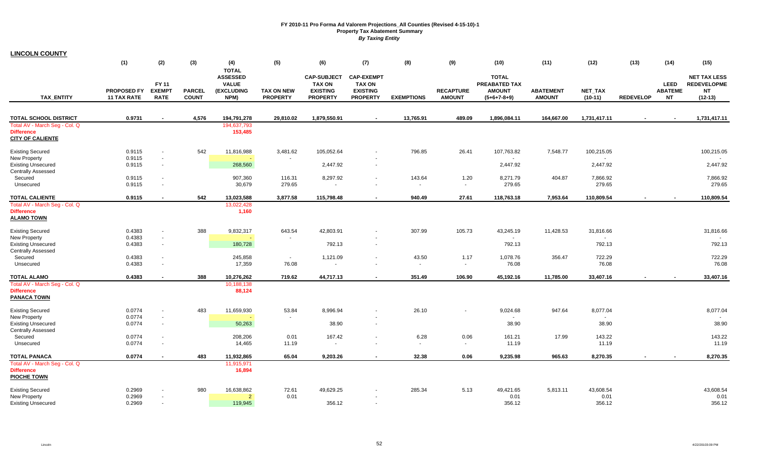| <b>LINCOLN COUNTY</b>                                                         |                                          |                                              |                               |                                                                       |                                      |                                                                           |                                                                          |                          |                                   |                                                                 |                                   |                             |                  |                                            |                                                                     |
|-------------------------------------------------------------------------------|------------------------------------------|----------------------------------------------|-------------------------------|-----------------------------------------------------------------------|--------------------------------------|---------------------------------------------------------------------------|--------------------------------------------------------------------------|--------------------------|-----------------------------------|-----------------------------------------------------------------|-----------------------------------|-----------------------------|------------------|--------------------------------------------|---------------------------------------------------------------------|
|                                                                               | (1)                                      | (2)                                          | (3)                           | (4)                                                                   | (5)                                  | (6)                                                                       | (7)                                                                      | (8)                      | (9)                               | (10)                                                            | (11)                              | (12)                        | (13)             | (14)                                       | (15)                                                                |
| <b>TAX ENTITY</b>                                                             | <b>PROPOSED FY</b><br><b>11 TAX RATE</b> | <b>FY 11</b><br><b>EXEMPT</b><br><b>RATE</b> | <b>PARCEL</b><br><b>COUNT</b> | <b>TOTAL</b><br><b>ASSESSED</b><br><b>VALUE</b><br>(EXCLUDING<br>NPM) | <b>TAX ON NEW</b><br><b>PROPERTY</b> | <b>CAP-SUBJECT</b><br><b>TAX ON</b><br><b>EXISTING</b><br><b>PROPERTY</b> | <b>CAP-EXEMPT</b><br><b>TAX ON</b><br><b>EXISTING</b><br><b>PROPERTY</b> | <b>EXEMPTIONS</b>        | <b>RECAPTURE</b><br><b>AMOUNT</b> | <b>TOTAL</b><br>PREABATED TAX<br><b>AMOUNT</b><br>$(5+6+7-8+9)$ | <b>ABATEMENT</b><br><b>AMOUNT</b> | <b>NET TAX</b><br>$(10-11)$ | <b>REDEVELOP</b> | <b>LEED</b><br><b>ABATEME</b><br><b>NT</b> | <b>NET TAX LESS</b><br><b>REDEVELOPME</b><br><b>NT</b><br>$(12-13)$ |
|                                                                               |                                          |                                              |                               |                                                                       |                                      |                                                                           |                                                                          |                          |                                   |                                                                 |                                   |                             |                  |                                            |                                                                     |
| <b>TOTAL SCHOOL DISTRICT</b>                                                  | 0.9731                                   | $\blacksquare$                               | 4,576                         | 194,791,278                                                           | 29,810.02                            | 1,879,550.91                                                              | $\sim$                                                                   | 13,765.91                | 489.09                            | 1,896,084.11                                                    | 164,667.00                        | 1,731,417.11                | $\sim$           | $\sim$                                     | 1,731,417.11                                                        |
| Total AV - March Seg - Col. Q<br><b>Difference</b><br><b>CITY OF CALIENTE</b> |                                          |                                              |                               | 194,637,793<br>153,485                                                |                                      |                                                                           |                                                                          |                          |                                   |                                                                 |                                   |                             |                  |                                            |                                                                     |
| <b>Existing Secured</b>                                                       | 0.9115                                   |                                              | 542                           | 11,816,988                                                            | 3,481.62                             | 105,052.64                                                                |                                                                          | 796.85                   | 26.41                             | 107,763.82                                                      | 7,548.77                          | 100,215.05                  |                  |                                            | 100,215.05                                                          |
| New Property                                                                  | 0.9115                                   | $\sim$                                       |                               |                                                                       | $\sim$                               |                                                                           |                                                                          |                          |                                   |                                                                 |                                   |                             |                  |                                            |                                                                     |
| <b>Existing Unsecured</b>                                                     | 0.9115                                   | $\sim$                                       |                               | 268,560                                                               |                                      | 2,447.92                                                                  | $\sim$                                                                   |                          |                                   | 2,447.92                                                        |                                   | 2,447.92                    |                  |                                            | 2,447.92                                                            |
| <b>Centrally Assessed</b>                                                     |                                          |                                              |                               |                                                                       |                                      |                                                                           |                                                                          |                          |                                   |                                                                 |                                   |                             |                  |                                            |                                                                     |
| Secured                                                                       | 0.9115                                   | $\sim$                                       |                               | 907,360                                                               | 116.31                               | 8,297.92                                                                  | $\sim$                                                                   | 143.64                   | 1.20                              | 8,271.79                                                        | 404.87                            | 7,866.92                    |                  |                                            | 7,866.92                                                            |
| Unsecured                                                                     | 0.9115                                   | $\sim$                                       |                               | 30,679                                                                | 279.65                               |                                                                           | $\overline{\phantom{a}}$                                                 | $\overline{\phantom{a}}$ | $\sim$                            | 279.65                                                          |                                   | 279.65                      |                  |                                            | 279.65                                                              |
| <b>TOTAL CALIENTE</b>                                                         | 0.9115                                   |                                              | 542                           | 13,023,588                                                            | 3,877.58                             | 115,798.48                                                                | $\blacksquare$                                                           | 940.49                   | 27.61                             | 118,763.18                                                      | 7,953.64                          | 110,809.54                  |                  |                                            | 110,809.54                                                          |
| Total AV - March Seg - Col. Q<br><b>Difference</b><br><b>ALAMO TOWN</b>       |                                          |                                              |                               | 13,022,428<br>1,160                                                   |                                      |                                                                           |                                                                          |                          |                                   |                                                                 |                                   |                             |                  |                                            |                                                                     |
| <b>Existing Secured</b>                                                       | 0.4383                                   | $\overline{\phantom{a}}$                     | 388                           | 9,832,317                                                             | 643.54                               | 42,803.91                                                                 |                                                                          | 307.99                   | 105.73                            | 43,245.19                                                       | 11,428.53                         | 31,816.66                   |                  |                                            | 31,816.66                                                           |
| New Property                                                                  | 0.4383                                   | $\sim$                                       |                               |                                                                       |                                      |                                                                           |                                                                          |                          |                                   |                                                                 |                                   |                             |                  |                                            |                                                                     |
| <b>Existing Unsecured</b>                                                     | 0.4383                                   | $\sim$                                       |                               | 180,728                                                               |                                      | 792.13                                                                    | $\sim$                                                                   |                          |                                   | 792.13                                                          |                                   | 792.13                      |                  |                                            | 792.13                                                              |
| <b>Centrally Assessed</b>                                                     |                                          |                                              |                               |                                                                       |                                      |                                                                           |                                                                          |                          |                                   |                                                                 |                                   |                             |                  |                                            |                                                                     |
| Secured                                                                       | 0.4383                                   | $\sim$                                       |                               | 245,858                                                               | $\sim$                               | 1,121.09                                                                  | $\sim$                                                                   | 43.50                    | 1.17                              | 1,078.76                                                        | 356.47                            | 722.29                      |                  |                                            | 722.29                                                              |
| Unsecured                                                                     | 0.4383                                   | $\overline{\phantom{a}}$                     |                               | 17,359                                                                | 76.08                                | $\sim$                                                                    |                                                                          | $\overline{\phantom{a}}$ | $\sim$                            | 76.08                                                           |                                   | 76.08                       |                  |                                            | 76.08                                                               |
| <b>TOTAL ALAMO</b>                                                            | 0.4383                                   |                                              | 388                           | 10,276,262                                                            | 719.62                               | 44,717.13                                                                 | $\blacksquare$                                                           | 351.49                   | 106.90                            | 45,192.16                                                       | 11,785.00                         | 33,407.16                   |                  |                                            | 33,407.16                                                           |
| Total AV - March Seg - Col. Q                                                 |                                          |                                              |                               | 10,188,138                                                            |                                      |                                                                           |                                                                          |                          |                                   |                                                                 |                                   |                             |                  |                                            |                                                                     |
| <b>Difference</b><br><b>PANACA TOWN</b>                                       |                                          |                                              |                               | 88,124                                                                |                                      |                                                                           |                                                                          |                          |                                   |                                                                 |                                   |                             |                  |                                            |                                                                     |
| <b>Existing Secured</b>                                                       | 0.0774                                   | $\sim$                                       | 483                           | 11,659,930                                                            | 53.84                                | 8,996.94                                                                  | $\blacksquare$                                                           | 26.10                    |                                   | 9,024.68                                                        | 947.64                            | 8,077.04                    |                  |                                            | 8,077.04                                                            |
| New Property                                                                  | 0.0774                                   | $\sim$                                       |                               |                                                                       |                                      |                                                                           |                                                                          |                          |                                   | $\sim$                                                          |                                   |                             |                  |                                            |                                                                     |
| <b>Existing Unsecured</b><br><b>Centrally Assessed</b>                        | 0.0774                                   | $\sim$                                       |                               | 50,263                                                                |                                      | 38.90                                                                     | $\sim$                                                                   |                          |                                   | 38.90                                                           |                                   | 38.90                       |                  |                                            | 38.90                                                               |
| Secured                                                                       | 0.0774                                   | $\overline{\phantom{a}}$                     |                               | 208,206                                                               | 0.01                                 | 167.42                                                                    | $\blacksquare$                                                           | 6.28                     | 0.06                              | 161.21                                                          | 17.99                             | 143.22                      |                  |                                            | 143.22                                                              |
| Unsecured                                                                     | 0.0774                                   | $\sim$                                       |                               | 14,465                                                                | 11.19                                | $\sim$                                                                    | $\overline{a}$                                                           | $\overline{\phantom{a}}$ | $\sim$                            | 11.19                                                           |                                   | 11.19                       |                  |                                            | 11.19                                                               |
| <b>TOTAL PANACA</b>                                                           | 0.0774                                   | $\sim$                                       | 483                           | 11,932,865                                                            | 65.04                                | 9,203.26                                                                  | $\sim$                                                                   | 32.38                    | 0.06                              | 9,235.98                                                        | 965.63                            | 8,270.35                    | $\sim$           |                                            | 8,270.35                                                            |
| Total AV - March Seg - Col. Q<br><b>Difference</b>                            |                                          |                                              |                               | 11,915,971<br>16,894                                                  |                                      |                                                                           |                                                                          |                          |                                   |                                                                 |                                   |                             |                  |                                            |                                                                     |
| <b>PIOCHE TOWN</b>                                                            |                                          |                                              |                               |                                                                       |                                      |                                                                           |                                                                          |                          |                                   |                                                                 |                                   |                             |                  |                                            |                                                                     |
| <b>Existing Secured</b>                                                       | 0.2969                                   |                                              | 980                           | 16,638,862                                                            | 72.61                                | 49,629.25                                                                 |                                                                          | 285.34                   | 5.13                              | 49,421.65                                                       | 5,813.11                          | 43,608.54                   |                  |                                            | 43,608.54                                                           |
| New Property                                                                  | 0.2969                                   |                                              |                               | $\overline{2}$                                                        | 0.01                                 |                                                                           |                                                                          |                          |                                   | 0.01                                                            |                                   | 0.01                        |                  |                                            | 0.01                                                                |
| <b>Existing Unsecured</b>                                                     | 0.2969                                   |                                              |                               | 119.945                                                               |                                      | 356.12                                                                    |                                                                          |                          |                                   | 356.12                                                          |                                   | 356.12                      |                  |                                            | 356.12                                                              |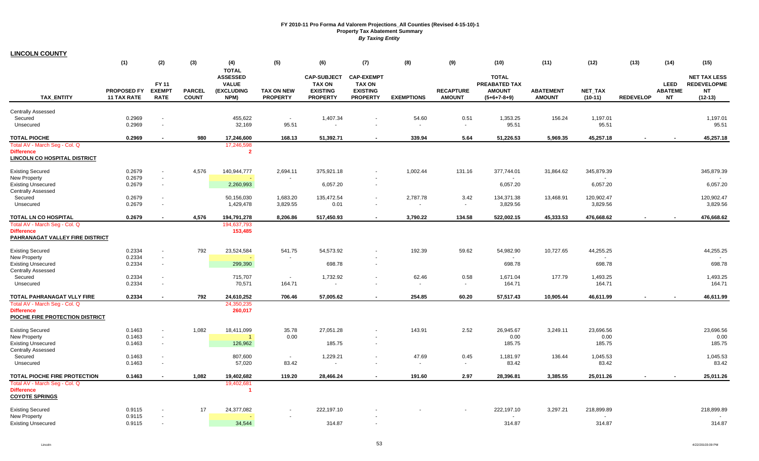|                                                                             | (1)                                      | (2)                                          | (3)                           | (4)                                                                   | (5)                                  | (6)                                                                       | (7)                                                                      | (8)                      | (9)                               | (10)                                                            | (11)                              | (12)                        | (13)                     | (14)                                       | (15)                                                                |
|-----------------------------------------------------------------------------|------------------------------------------|----------------------------------------------|-------------------------------|-----------------------------------------------------------------------|--------------------------------------|---------------------------------------------------------------------------|--------------------------------------------------------------------------|--------------------------|-----------------------------------|-----------------------------------------------------------------|-----------------------------------|-----------------------------|--------------------------|--------------------------------------------|---------------------------------------------------------------------|
| <b>TAX ENTITY</b>                                                           | <b>PROPOSED FY</b><br><b>11 TAX RATE</b> | <b>FY 11</b><br><b>EXEMPT</b><br><b>RATE</b> | <b>PARCEL</b><br><b>COUNT</b> | <b>TOTAL</b><br><b>ASSESSED</b><br><b>VALUE</b><br>(EXCLUDING<br>NPM) | <b>TAX ON NEW</b><br><b>PROPERTY</b> | <b>CAP-SUBJECT</b><br><b>TAX ON</b><br><b>EXISTING</b><br><b>PROPERTY</b> | <b>CAP-EXEMPT</b><br><b>TAX ON</b><br><b>EXISTING</b><br><b>PROPERTY</b> | <b>EXEMPTIONS</b>        | <b>RECAPTURE</b><br><b>AMOUNT</b> | <b>TOTAL</b><br>PREABATED TAX<br><b>AMOUNT</b><br>$(5+6+7-8+9)$ | <b>ABATEMENT</b><br><b>AMOUNT</b> | <b>NET TAX</b><br>$(10-11)$ | <b>REDEVELOP</b>         | <b>LEED</b><br><b>ABATEME</b><br><b>NT</b> | <b>NET TAX LESS</b><br><b>REDEVELOPME</b><br><b>NT</b><br>$(12-13)$ |
| <b>Centrally Assessed</b>                                                   |                                          |                                              |                               |                                                                       |                                      |                                                                           |                                                                          |                          |                                   |                                                                 |                                   |                             |                          |                                            |                                                                     |
| Secured                                                                     | 0.2969                                   | $\sim$                                       |                               | 455,622                                                               | $\sim$                               | 1,407.34                                                                  |                                                                          | 54.60                    | 0.51                              | 1,353.25                                                        | 156.24                            | 1,197.01                    |                          |                                            | 1,197.01                                                            |
| Unsecured                                                                   | 0.2969                                   | $\blacksquare$                               |                               | 32,169                                                                | 95.51                                |                                                                           |                                                                          | $\blacksquare$           | $\sim$                            | 95.51                                                           |                                   | 95.51                       |                          |                                            | 95.51                                                               |
| <b>TOTAL PIOCHE</b>                                                         | 0.2969                                   |                                              | 980                           | 17,246,600                                                            | 168.13                               | 51,392.71                                                                 | $\blacksquare$                                                           | 339.94                   | 5.64                              | 51,226.53                                                       | 5,969.35                          | 45,257.18                   |                          |                                            | 45,257.18                                                           |
| Total AV - March Seg - Col. Q                                               |                                          |                                              |                               | 17,246,598                                                            |                                      |                                                                           |                                                                          |                          |                                   |                                                                 |                                   |                             |                          |                                            |                                                                     |
| <b>Difference</b><br><b>LINCOLN CO HOSPITAL DISTRICT</b>                    |                                          |                                              |                               | $\overline{2}$                                                        |                                      |                                                                           |                                                                          |                          |                                   |                                                                 |                                   |                             |                          |                                            |                                                                     |
| <b>Existing Secured</b>                                                     | 0.2679                                   | $\sim$                                       | 4,576                         | 140,944,777                                                           | 2,694.11                             | 375,921.18                                                                | $\blacksquare$                                                           | 1,002.44                 | 131.16                            | 377,744.01                                                      | 31,864.62                         | 345,879.39                  |                          |                                            | 345,879.39                                                          |
| <b>New Property</b>                                                         | 0.2679                                   | $\omega$                                     |                               |                                                                       |                                      |                                                                           |                                                                          |                          |                                   |                                                                 |                                   |                             |                          |                                            |                                                                     |
| <b>Existing Unsecured</b><br><b>Centrally Assessed</b>                      | 0.2679                                   | $\sim$                                       |                               | 2,260,993                                                             |                                      | 6,057.20                                                                  | $\sim$                                                                   |                          |                                   | 6,057.20                                                        |                                   | 6,057.20                    |                          |                                            | 6,057.20                                                            |
| Secured                                                                     | 0.2679                                   | $\blacksquare$                               |                               | 50,156,030                                                            | 1,683.20                             | 135,472.54                                                                | $\blacksquare$                                                           | 2,787.78                 | 3.42                              | 134,371.38                                                      | 13,468.91                         | 120,902.47                  |                          |                                            | 120,902.47                                                          |
| Unsecured                                                                   | 0.2679                                   | $\blacksquare$                               |                               | 1,429,478                                                             | 3,829.55                             | 0.01                                                                      | $\blacksquare$                                                           | $\overline{\phantom{a}}$ | $\blacksquare$                    | 3,829.56                                                        |                                   | 3,829.56                    |                          |                                            | 3,829.56                                                            |
| <b>TOTAL LN CO HOSPITAL</b>                                                 | 0.2679                                   | $\blacksquare$                               | 4,576                         | 194,791,278                                                           | 8,206.86                             | 517,450.93                                                                | $\blacksquare$                                                           | 3,790.22                 | 134.58                            | 522,002.15                                                      | 45,333.53                         | 476,668.62                  |                          |                                            | 476,668.62                                                          |
| Total AV - March Seg - Col. Q                                               |                                          |                                              |                               | 194,637,793                                                           |                                      |                                                                           |                                                                          |                          |                                   |                                                                 |                                   |                             |                          |                                            |                                                                     |
| <b>Difference</b><br>PAHRANAGAT VALLEY FIRE DISTRICT                        |                                          |                                              |                               | 153,485                                                               |                                      |                                                                           |                                                                          |                          |                                   |                                                                 |                                   |                             |                          |                                            |                                                                     |
| <b>Existing Secured</b>                                                     | 0.2334                                   | $\sim$                                       | 792                           | 23,524,584                                                            | 541.75                               | 54,573.92                                                                 | $\blacksquare$                                                           | 192.39                   | 59.62                             | 54,982.90                                                       | 10,727.65                         | 44,255.25                   |                          |                                            | 44,255.25                                                           |
| <b>New Property</b>                                                         | 0.2334                                   | $\blacksquare$                               |                               |                                                                       |                                      |                                                                           |                                                                          |                          |                                   |                                                                 |                                   |                             |                          |                                            |                                                                     |
| <b>Existing Unsecured</b><br><b>Centrally Assessed</b>                      | 0.2334                                   | $\sim$                                       |                               | 299,390                                                               |                                      | 698.78                                                                    | $\sim$                                                                   |                          |                                   | 698.78                                                          |                                   | 698.78                      |                          |                                            | 698.78                                                              |
| Secured                                                                     | 0.2334                                   | $\blacksquare$                               |                               | 715,707                                                               | $\sim$                               | 1,732.92                                                                  | $\blacksquare$                                                           | 62.46                    | 0.58                              | 1,671.04                                                        | 177.79                            | 1,493.25                    |                          |                                            | 1,493.25                                                            |
| Unsecured                                                                   | 0.2334                                   | $\blacksquare$                               |                               | 70,571                                                                | 164.71                               | $\sim$                                                                    | $\blacksquare$                                                           | $\overline{\phantom{a}}$ | $\sim$                            | 164.71                                                          |                                   | 164.71                      |                          |                                            | 164.71                                                              |
| TOTAL PAHRANAGAT VLLY FIRE                                                  | 0.2334                                   | $\blacksquare$                               | 792                           | 24,610,252                                                            | 706.46                               | 57,005.62                                                                 | $\blacksquare$                                                           | 254.85                   | 60.20                             | 57,517.43                                                       | 10.905.44                         | 46,611.99                   |                          |                                            | 46,611.99                                                           |
| Total AV - March Seg - Col. Q                                               |                                          |                                              |                               | 24,350,235                                                            |                                      |                                                                           |                                                                          |                          |                                   |                                                                 |                                   |                             |                          |                                            |                                                                     |
| <b>Difference</b><br>PIOCHE FIRE PROTECTION DISTRICT                        |                                          |                                              |                               | 260,017                                                               |                                      |                                                                           |                                                                          |                          |                                   |                                                                 |                                   |                             |                          |                                            |                                                                     |
| <b>Existing Secured</b>                                                     | 0.1463                                   | $\blacksquare$                               | 1,082                         | 18,411,099                                                            | 35.78                                | 27,051.28                                                                 |                                                                          | 143.91                   | 2.52                              | 26,945.67                                                       | 3,249.11                          | 23,696.56                   |                          |                                            | 23,696.56                                                           |
| <b>New Property</b>                                                         | 0.1463                                   | $\omega$                                     |                               |                                                                       | 0.00                                 |                                                                           |                                                                          |                          |                                   | 0.00                                                            |                                   | 0.00                        |                          |                                            | 0.00                                                                |
| <b>Existing Unsecured</b><br><b>Centrally Assessed</b>                      | 0.1463                                   | $\sim$                                       |                               | 126,962                                                               |                                      | 185.75                                                                    | $\sim$                                                                   |                          |                                   | 185.75                                                          |                                   | 185.75                      |                          |                                            | 185.75                                                              |
| Secured                                                                     | 0.1463                                   | $\blacksquare$                               |                               | 807,600                                                               | $\sim$                               | 1,229.21                                                                  | $\blacksquare$                                                           | 47.69                    | 0.45                              | 1,181.97                                                        | 136.44                            | 1,045.53                    |                          |                                            | 1,045.53                                                            |
| Unsecured                                                                   | 0.1463                                   | $\sim$                                       |                               | 57,020                                                                | 83.42                                | $\sim$                                                                    |                                                                          | $\overline{\phantom{a}}$ | $\sim$                            | 83.42                                                           |                                   | 83.42                       |                          |                                            | 83.42                                                               |
| TOTAL PIOCHE FIRE PROTECTION                                                | 0.1463                                   | $\sim$                                       | 1,082                         | 19,402,682                                                            | 119.20                               | 28,466.24                                                                 | $\blacksquare$                                                           | 191.60                   | 2.97                              | 28,396.81                                                       | 3,385.55                          | 25,011.26                   | $\overline{\phantom{a}}$ |                                            | 25,011.26                                                           |
| Total AV - March Seg - Col. Q<br><b>Difference</b><br><b>COYOTE SPRINGS</b> |                                          |                                              |                               | 19,402,681<br>-1                                                      |                                      |                                                                           |                                                                          |                          |                                   |                                                                 |                                   |                             |                          |                                            |                                                                     |
| <b>Existing Secured</b>                                                     | 0.9115                                   |                                              | 17                            | 24,377,082                                                            |                                      | 222,197.10                                                                |                                                                          |                          |                                   | 222,197.10                                                      | 3,297.21                          | 218,899.89                  |                          |                                            | 218,899.89                                                          |
| <b>New Property</b>                                                         | 0.9115                                   | $\sim$                                       |                               |                                                                       | $\overline{\phantom{a}}$             |                                                                           |                                                                          |                          |                                   |                                                                 |                                   |                             |                          |                                            |                                                                     |
| <b>Existing Unsecured</b>                                                   | 0.9115                                   | $\sim$                                       |                               | 34,544                                                                |                                      | 314.87                                                                    |                                                                          |                          |                                   | 314.87                                                          |                                   | 314.87                      |                          |                                            | 314.87                                                              |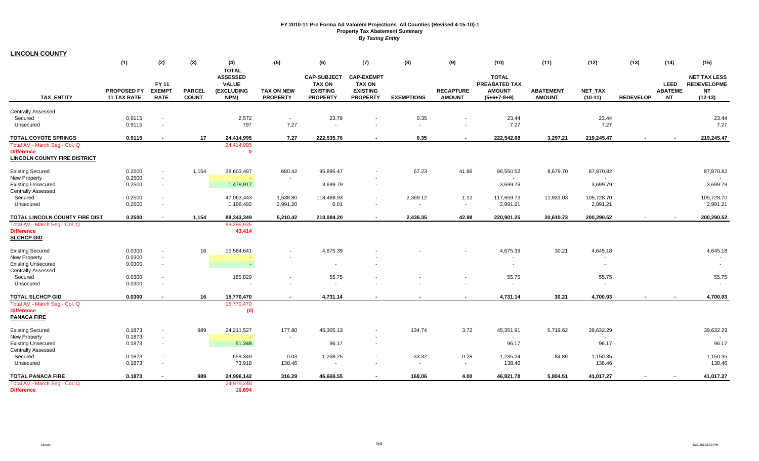|                                                                                           | (1)                                      | (2)                                   | (3)                           | (4)<br><b>TOTAL</b>                                   | (5)                                  | (6)                                                                       | (7)                                                                      | (8)                | (9)                               | (10)                                                                   | (11)                              | (12)                                  | (13)             | (14)                                | (15)                                                                |
|-------------------------------------------------------------------------------------------|------------------------------------------|---------------------------------------|-------------------------------|-------------------------------------------------------|--------------------------------------|---------------------------------------------------------------------------|--------------------------------------------------------------------------|--------------------|-----------------------------------|------------------------------------------------------------------------|-----------------------------------|---------------------------------------|------------------|-------------------------------------|---------------------------------------------------------------------|
| <b>TAX ENTITY</b>                                                                         | <b>PROPOSED FY</b><br><b>11 TAX RATE</b> | FY 11<br><b>EXEMPT</b><br><b>RATE</b> | <b>PARCEL</b><br><b>COUNT</b> | <b>ASSESSED</b><br><b>VALUE</b><br>(EXCLUDING<br>NPM) | <b>TAX ON NEW</b><br><b>PROPERTY</b> | <b>CAP-SUBJECT</b><br><b>TAX ON</b><br><b>EXISTING</b><br><b>PROPERTY</b> | <b>CAP-EXEMPT</b><br><b>TAX ON</b><br><b>EXISTING</b><br><b>PROPERTY</b> | <b>EXEMPTIONS</b>  | <b>RECAPTURE</b><br><b>AMOUNT</b> | <b>TOTAL</b><br><b>PREABATED TAX</b><br><b>AMOUNT</b><br>$(5+6+7-8+9)$ | <b>ABATEMENT</b><br><b>AMOUNT</b> | <b>NET TAX</b><br>$(10-11)$           | <b>REDEVELOP</b> | LEED<br><b>ABATEME</b><br><b>NT</b> | <b>NET TAX LESS</b><br><b>REDEVELOPME</b><br><b>NT</b><br>$(12-13)$ |
| <b>Centrally Assessed</b>                                                                 |                                          |                                       |                               |                                                       |                                      |                                                                           |                                                                          |                    |                                   |                                                                        |                                   |                                       |                  |                                     |                                                                     |
| Secured<br>Unsecured                                                                      | 0.9115<br>0.9115                         | $\sim$                                |                               | 2,572<br>797                                          | $\sim$<br>7.27                       | 23.79                                                                     |                                                                          | 0.35<br>$\sim$     |                                   | 23.44<br>7.27                                                          |                                   | 23.44<br>7.27                         |                  |                                     | 23.44<br>7.27                                                       |
| <b>TOTAL COYOTE SPRINGS</b>                                                               | 0.9115                                   |                                       | 17                            | 24,414,995                                            | 7.27                                 | 222,535.76                                                                |                                                                          | 0.35               | $\sim$                            | 222,542.68                                                             | 3,297.21                          | 219,245.47                            |                  |                                     | 219,245.47                                                          |
| Total AV - March Seg - Col. Q<br><b>Difference</b><br><b>LINCOLN COUNTY FIRE DISTRICT</b> |                                          |                                       |                               | 24,414,995<br>$\Omega$                                |                                      |                                                                           |                                                                          |                    |                                   |                                                                        |                                   |                                       |                  |                                     |                                                                     |
| <b>Existing Secured</b>                                                                   | 0.2500                                   | $\blacksquare$                        | 1,154                         | 38,603,497                                            | 680.42                               | 95,895.47                                                                 |                                                                          | 67.23              | 41.86                             | 96,550.52                                                              | 8,679.70                          | 87,870.82                             |                  |                                     | 87,870.82                                                           |
| New Property<br><b>Existing Unsecured</b><br><b>Centrally Assessed</b>                    | 0.2500<br>0.2500                         | $\sim$<br>$\sim$                      |                               | 1,479,917                                             | $\sim$                               | 3,699.79                                                                  |                                                                          |                    |                                   | $\sim$<br>3,699.79                                                     |                                   | 3,699.79                              |                  |                                     | 3,699.79                                                            |
| Secured<br>Unsecured                                                                      | 0.2500<br>0.2500                         | $\blacksquare$<br>$\blacksquare$      |                               | 47,063,443<br>1,196,492                               | 1,538.80<br>2,991.20                 | 118,488.93<br>0.01                                                        |                                                                          | 2,369.12<br>$\sim$ | 1.12<br>$\sim$                    | 117,659.73<br>2,991.21                                                 | 11,931.03                         | 105,728.70<br>2,991.21                |                  |                                     | 105,728.70<br>2,991.21                                              |
| TOTAL LINCOLN COUNTY FIRE DIST                                                            | 0.2500                                   | $\overline{a}$                        | 1,154                         | 88,343,349                                            | 5,210.42                             | 218,084.20                                                                | $\sim$                                                                   | 2,436.35           | 42.98                             | 220,901.25                                                             | 20,610.73                         | 200,290.52                            |                  |                                     | 200,290.52                                                          |
| Total AV - March Seg - Col. Q<br><b>Difference</b><br><b>SLCHCP GID</b>                   |                                          |                                       |                               | 88,299,935<br>43,414                                  |                                      |                                                                           |                                                                          |                    |                                   |                                                                        |                                   |                                       |                  |                                     |                                                                     |
| <b>Existing Secured</b><br><b>New Property</b><br><b>Existing Unsecured</b>               | 0.0300<br>0.0300<br>0.0300               | $\sim$                                | 16                            | 15,584,641                                            |                                      | 4,675.39                                                                  |                                                                          |                    |                                   | 4,675.39                                                               | 30.21                             | 4,645.18                              |                  |                                     | 4,645.18                                                            |
| <b>Centrally Assessed</b><br>Secured<br>Unsecured                                         | 0.0300<br>0.0300                         |                                       |                               | 185,829                                               |                                      | 55.75                                                                     |                                                                          |                    |                                   | 55.75<br>$\sim$                                                        |                                   | 55.75                                 |                  |                                     | 55.75<br>$\sim$                                                     |
| <b>TOTAL SLCHCP GID</b>                                                                   | 0.0300                                   | $\overline{\phantom{a}}$              | 16                            | 15,770,470                                            |                                      | 4,731.14                                                                  |                                                                          |                    |                                   | 4,731.14                                                               | 30.21                             | 4,700.93                              |                  |                                     | 4,700.93                                                            |
| Total AV - March Seq - Col. Q<br><b>Difference</b><br><b>PANACA FIRE</b>                  |                                          |                                       |                               | 15,770,470<br>(0)                                     |                                      |                                                                           |                                                                          |                    |                                   |                                                                        |                                   |                                       |                  |                                     |                                                                     |
| <b>Existing Secured</b><br>New Property                                                   | 0.1873<br>0.1873                         | $\sim$<br>$\sim$                      | 989                           | 24,211,527                                            | 177.80<br>$\sim$                     | 45,305.13                                                                 |                                                                          | 134.74             | 3.72                              | 45,351.91<br>$\sim$                                                    | 5,719.62                          | 39,632.29<br>$\overline{\phantom{a}}$ |                  |                                     | 39,632.29                                                           |
| <b>Existing Unsecured</b><br><b>Centrally Assessed</b>                                    | 0.1873                                   | $\sim$                                |                               | 51,348                                                |                                      | 96.17                                                                     | $\overline{\phantom{a}}$                                                 |                    |                                   | 96.17                                                                  |                                   | 96.17                                 |                  |                                     | 96.17                                                               |
| Secured<br>Unsecured                                                                      | 0.1873<br>0.1873                         | $\sim$<br>$\sim$                      |                               | 659,349<br>73,918                                     | 0.03<br>138.46                       | 1,268.25                                                                  | $\sim$                                                                   | 33.32<br>$\sim$    | 0.28<br>$\sim$                    | 1,235.24<br>138.46                                                     | 84.89                             | 1,150.35<br>138.46                    |                  |                                     | 1,150.35<br>138.46                                                  |
| <b>TOTAL PANACA FIRE</b>                                                                  | 0.1873                                   | $\blacksquare$                        | 989                           | 24,996,142                                            | 316.29                               | 46,669.55                                                                 | $\sim$                                                                   | 168.06             | 4.00                              | 46,821.78                                                              | 5,804.51                          | 41,017.27                             |                  |                                     | 41,017.27                                                           |
| Total AV - March Seg - Col. Q<br><b>Difference</b>                                        |                                          |                                       |                               | 24,979,248<br>16,894                                  |                                      |                                                                           |                                                                          |                    |                                   |                                                                        |                                   |                                       |                  |                                     |                                                                     |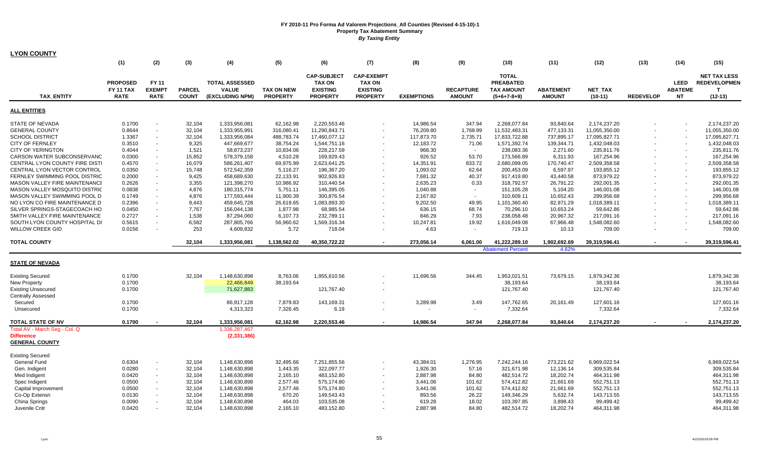| <b>LYON COUNTY</b>                         |                                     |                        |               |                                       |                   |                                                        |                                                       |                   |                  |                                                       |                  |                |                  |                               |                                                            |
|--------------------------------------------|-------------------------------------|------------------------|---------------|---------------------------------------|-------------------|--------------------------------------------------------|-------------------------------------------------------|-------------------|------------------|-------------------------------------------------------|------------------|----------------|------------------|-------------------------------|------------------------------------------------------------|
|                                            | (1)                                 | (2)                    | (3)           | (4)                                   | (5)               | (6)                                                    | (7)                                                   | (8)               | (9)              | (10)                                                  | (11)             | (12)           | (13)             | (14)                          | (15)                                                       |
|                                            | <b>PROPOSED</b><br><b>FY 11 TAX</b> | FY 11<br><b>EXEMPT</b> | <b>PARCEL</b> | <b>TOTAL ASSESSED</b><br><b>VALUE</b> | <b>TAX ON NEW</b> | <b>CAP-SUBJECT</b><br><b>TAX ON</b><br><b>EXISTING</b> | <b>CAP-EXEMPT</b><br><b>TAX ON</b><br><b>EXISTING</b> |                   | <b>RECAPTURE</b> | <b>TOTAL</b><br><b>PREABATED</b><br><b>TAX AMOUNT</b> | <b>ABATEMENT</b> | <b>NET TAX</b> |                  | <b>LEED</b><br><b>ABATEME</b> | <b>NET TAX LESS</b><br><b>REDEVELOPMEN</b><br>$\mathbf{T}$ |
| <b>TAX ENTITY</b>                          | <b>RATE</b>                         | <b>RATE</b>            | <b>COUNT</b>  | (EXCLUDING NPM)                       | <b>PROPERTY</b>   | <b>PROPERTY</b>                                        | <b>PROPERTY</b>                                       | <b>EXEMPTIONS</b> | <b>AMOUNT</b>    | $(5+6+7-8+9)$                                         | <b>AMOUNT</b>    | $(10-11)$      | <b>REDEVELOP</b> | <b>NT</b>                     | $(12-13)$                                                  |
| <b>ALL ENTITIES</b>                        |                                     |                        |               |                                       |                   |                                                        |                                                       |                   |                  |                                                       |                  |                |                  |                               |                                                            |
| <b>STATE OF NEVADA</b>                     | 0.1700                              |                        | 32,104        | 1,333,956,081                         | 62,162.98         | 2,220,553.46                                           |                                                       | 14,986.54         | 347.94           | 2,268,077.84                                          | 93,840.64        | 2,174,237.20   |                  |                               | 2,174,237.20                                               |
| <b>GENERAL COUNTY</b>                      | 0.8644                              |                        | 32,104        | 1,333,955,991                         | 316,080.41        | 11,290,843.71                                          |                                                       | 76,209.80         | 1,768.99         | 11,532,483.31                                         | 477,133.31       | 11,055,350.00  |                  |                               | 11,055,350.00                                              |
| <b>SCHOOL DISTRICT</b>                     | 1.3367                              |                        | 32,104        | 1,333,956,084                         | 488,783.74        | 17,460,077.12                                          |                                                       | 117,873.70        | 2,735.71         | 17,833,722.88                                         | 737,895.17       | 17,095,827.71  |                  | $\sim$                        | 17,095,827.71                                              |
| <b>CITY OF FERNLEY</b>                     | 0.3510                              |                        | 9,325         | 447,669,677                           | 38,754.24         | 1,544,751.16                                           | $\blacksquare$                                        | 12,183.72         | 71.06            | 1,571,392.74                                          | 139,344.71       | 1,432,048.03   |                  |                               | 1,432,048.03                                               |
| <b>CITY OF YERINGTON</b>                   | 0.4044                              | $\sim$                 | 1,521         | 58,873,237                            | 10,834.06         | 228,217.59                                             | $\blacksquare$                                        | 968.30            | $\sim$           | 238,083.36                                            | 2,271.60         | 235,811.76     |                  |                               | 235,811.76                                                 |
| CARSON WATER SUBCONSERVANC                 | 0.0300                              |                        | 15,852        | 578,379,158                           | 4,510.28          | 169,929.43                                             | $\blacksquare$                                        | 926.52            | 53.70            | 173,566.89                                            | 6,311.93         | 167,254.96     |                  | $\sim$                        | 167,254.96                                                 |
| CENTRAL LYON COUNTY FIRE DISTI             | 0.4570                              |                        | 16,079        | 586,261,407                           | 69,975.99         | 2,623,641.25                                           |                                                       | 14,351.91         | 833.72           | 2,680,099.05                                          | 170,740.47       | 2,509,358.58   |                  | $\blacksquare$                | 2,509,358.58                                               |
| CENTRAL LYON VECTOR CONTROL                | 0.0350                              |                        | 15,748        | 572,542,359                           | 5,116.27          | 196,367.20                                             |                                                       | 1,093.02          | 62.64            | 200,453.09                                            | 6,597.97         | 193,855.12     |                  | $\sim$                        | 193,855.12                                                 |
| FERNLEY SWIMMING POOL DISTRIC              | 0.2000                              |                        | 9,425         | 458,689,630                           | 22,133.91         | 902,926.83                                             |                                                       | 7,681.32          | 40.37            | 917,419.80                                            | 43,440.58        | 873,979.22     |                  | $\sim$                        | 873,979.22                                                 |
| <b>MASON VALLEY FIRE MAINTENANCE</b>       | 0.2626                              |                        | 3,355         | 121,398,270                           | 10,986.92         | 310,440.54                                             |                                                       | 2,635.23          | 0.33             | 318,792.57                                            | 26,791.22        | 292,001.35     |                  | $\sim$                        | 292,001.35                                                 |
| MASON VALLEY MOSQUITO DISTRIC              | 0.0838                              |                        | 4,876         | 180,315,774                           | 5,751.11          | 146,395.05                                             |                                                       | 1,040.88          | $\sim$           | 151,105.28                                            | 5,104.20         | 146,001.08     |                  | $\sim$                        | 146,001.08                                                 |
| MASON VALLEY SWIMMING POOL D               | 0.1749                              |                        | 4,876         | 177,593,444                           | 11,900.39         | 300,876.54                                             | $\sim$                                                | 2,167.82          | $\sim$           | 310,609.11                                            | 10,652.43        | 299,956.68     |                  | $\sim$                        | 299,956.68                                                 |
| NO LYON CO FIRE MAINTENANCE D              | 0.2396                              |                        | 9,443         | 459,645,728                           | 26,619.65         | 1,083,893.30                                           |                                                       | 9,202.50          | 49.95            | 1,101,360.40                                          | 82,971.29        | 1,018,389.11   |                  | $\sim$                        | 1,018,389.11                                               |
| SILVER SPRINGS-STAGECOACH HO               | 0.0450                              |                        | 7,767         | 156,044,138                           | 1,877.98          | 68,985.54                                              |                                                       | 636.15            | 68.74            | 70,296.10                                             | 10,653.24        | 59,642.86      |                  |                               | 59,642.86                                                  |
| SMITH VALLEY FIRE MAINTENANCE              | 0.2727                              |                        | 1,538         | 87,294,060                            | 6,107.73          | 232,789.11                                             | $\sim$                                                | 846.29            | 7.93             | 238,058.48                                            | 20,967.32        | 217,091.16     |                  | $\overline{\phantom{a}}$      | 217,091.16                                                 |
| SOUTH LYON COUNTY HOSPITAL DI              | 0.5615                              |                        | 6,582         | 287,805,766                           | 56,960.62         | 1,569,316.34                                           | $\sim$                                                | 10,247.81         | 19.92            | 1,616,049.08                                          | 67,966.48        | 1,548,082.60   |                  | $\sim$                        | 1,548,082.60                                               |
| <b>WILLOW CREEK GID</b>                    | 0.0156                              |                        | 253           | 4,609,832                             | 5.72              | 718.04                                                 | $\sim$                                                | 4.63              | $\sim$           | 719.13                                                | 10.13            | 709.00         |                  |                               | 709.00                                                     |
| <b>TOTAL COUNTY</b>                        |                                     |                        | 32,104        | 1,333,956,081                         | 1,138,562.02      | 40,350,722.22                                          | $\sim$                                                | 273,056.14        | 6,061.00         | 41,222,289.10                                         | 1,902,692.69     | 39,319,596.41  |                  |                               | 39,319,596.41                                              |
|                                            |                                     |                        |               |                                       |                   |                                                        |                                                       |                   |                  | <b>Abatement Percent</b>                              | 4.62%            |                |                  |                               |                                                            |
|                                            |                                     |                        |               |                                       |                   |                                                        |                                                       |                   |                  |                                                       |                  |                |                  |                               |                                                            |
| <b>STATE OF NEVADA</b>                     |                                     |                        |               |                                       |                   |                                                        |                                                       |                   |                  |                                                       |                  |                |                  |                               |                                                            |
| <b>Existing Secured</b>                    | 0.1700                              |                        | 32,104        | 1,148,630,898                         | 8,763.06          | 1,955,610.56                                           |                                                       | 11,696.56         | 344.45           | 1,953,021.51                                          | 73,679.15        | 1,879,342.36   |                  |                               | 1,879,342.36                                               |
| <b>New Property</b>                        | 0.1700                              |                        |               | 22,466,849                            | 38,193.64         |                                                        |                                                       |                   |                  | 38.193.64                                             |                  | 38.193.64      |                  |                               | 38,193.64                                                  |
| <b>Existing Unsecured</b>                  | 0.1700                              |                        |               | 71,627,883                            |                   | 121,767.40                                             | $\blacksquare$                                        |                   |                  | 121,767.40                                            |                  | 121,767.40     |                  |                               | 121,767.40                                                 |
| <b>Centrally Assessed</b>                  |                                     |                        |               |                                       |                   |                                                        |                                                       |                   |                  |                                                       |                  |                |                  |                               |                                                            |
| Secured                                    | 0.1700                              |                        |               | 86,917,128                            | 7,879.83          | 143,169.31                                             |                                                       | 3,289.98          | 3.49             | 147,762.65                                            | 20,161.49        | 127,601.16     |                  |                               | 127,601.16                                                 |
| Unsecured                                  | 0.1700                              |                        |               | 4,313,323                             | 7,326.45          | 6.19                                                   | $\blacksquare$                                        |                   | $\sim$           | 7,332.64                                              |                  | 7,332.64       |                  |                               | 7,332.64                                                   |
| <b>TOTAL STATE OF NV</b>                   | 0.1700                              |                        | 32,104        | 1,333,956,081                         | 62,162.98         | 2,220,553.46                                           |                                                       | 14,986.54         | 347.94           | 2,268,077.84                                          | 93,840.64        | 2,174,237.20   |                  |                               | 2,174,237.20                                               |
| Total AV - March Seg - Col. Q              |                                     |                        |               | 1,336,287,467                         |                   |                                                        |                                                       |                   |                  |                                                       |                  |                |                  |                               |                                                            |
| <b>Difference</b><br><b>GENERAL COUNTY</b> |                                     |                        |               | (2, 331, 386)                         |                   |                                                        |                                                       |                   |                  |                                                       |                  |                |                  |                               |                                                            |
| <b>Existing Secured</b>                    |                                     |                        |               |                                       |                   |                                                        |                                                       |                   |                  |                                                       |                  |                |                  |                               |                                                            |
| <b>General Fund</b>                        | 0.6304                              |                        | 32,104        | 1,148,630,898                         | 32,495.66         | 7,251,855.56                                           |                                                       | 43,384.01         | 1,276.95         | 7,242,244.16                                          | 273,221.62       | 6,969,022.54   |                  |                               | 6,969,022.54                                               |
| Gen. Indigent                              | 0.0280                              |                        | 32,104        | 1,148,630,898                         | 1,443.35          | 322,097.77                                             |                                                       | 1,926.30          | 57.16            | 321,671.98                                            | 12,136.14        | 309,535.84     |                  |                               | 309,535.84                                                 |
| Med Indigent                               | 0.0420                              | $\sim$                 | 32,104        | 1,148,630,898                         | 2,165.10          | 483,152.80                                             | $\blacksquare$                                        | 2,887.98          | 84.80            | 482,514.72                                            | 18,202.74        | 464,311.98     |                  |                               | 464,311.98                                                 |
| Spec Indigent                              | 0.0500                              | $\sim$                 | 32,104        | 1,148,630,898                         | 2,577.46          | 575,174.80                                             | $\sim$                                                | 3,441.06          | 101.62           | 574,412.82                                            | 21,661.69        | 552,751.13     |                  |                               | 552,751.13                                                 |
| Capital Improvement                        | 0.0500                              |                        | 32,104        | 1,148,630,898                         | 2,577.46          | 575,174.80                                             |                                                       | 3,441.06          | 101.62           | 574,412.82                                            | 21,661.69        | 552,751.13     |                  |                               | 552,751.13                                                 |
| Co-Op Extensn                              | 0.0130                              |                        | 32,104        | 1,148,630,898                         | 670.20            | 149,543.43                                             |                                                       | 893.56            | 26.22            | 149,346.29                                            | 5,632.74         | 143,713.55     |                  |                               | 143,713.55                                                 |
| China Springs                              | 0.0090                              |                        | 32,104        | 1,148,630,898                         | 464.03            | 103,535.08                                             | $\sim$                                                | 619.28            | 18.02            | 103,397.85                                            | 3,898.43         | 99,499.42      |                  |                               | 99,499.42                                                  |
| Juvenile Cntr                              | 0.0420                              |                        | 32,104        | 1,148,630,898                         | 2,165.10          | 483,152.80                                             |                                                       | 2,887.98          | 84.80            | 482,514.72                                            | 18,202.74        | 464,311.98     |                  |                               | 464,311.98                                                 |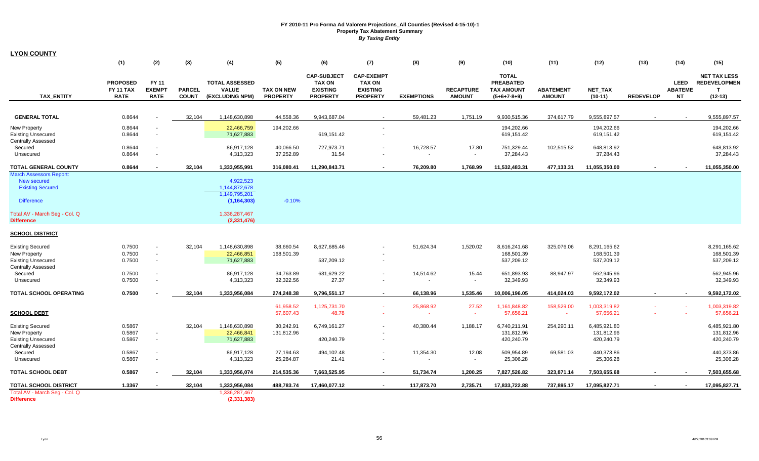| LYON COUNTY                                                                                              |                                                    |                                       |                               |                                                              |                                      |                                                                           |                                                                          |                     |                                   |                                                                        |                                   |                                          |                  |                                      |                                                                         |
|----------------------------------------------------------------------------------------------------------|----------------------------------------------------|---------------------------------------|-------------------------------|--------------------------------------------------------------|--------------------------------------|---------------------------------------------------------------------------|--------------------------------------------------------------------------|---------------------|-----------------------------------|------------------------------------------------------------------------|-----------------------------------|------------------------------------------|------------------|--------------------------------------|-------------------------------------------------------------------------|
|                                                                                                          | (1)                                                | (2)                                   | (3)                           | (4)                                                          | (5)                                  | (6)                                                                       | (7)                                                                      | (8)                 | (9)                               | (10)                                                                   | (11)                              | (12)                                     | (13)             | (14)                                 | (15)                                                                    |
| <b>TAX ENTITY</b>                                                                                        | <b>PROPOSED</b><br><b>FY 11 TAX</b><br><b>RATE</b> | FY 11<br><b>EXEMPT</b><br><b>RATE</b> | <b>PARCEL</b><br><b>COUNT</b> | <b>TOTAL ASSESSED</b><br><b>VALUE</b><br>(EXCLUDING NPM)     | <b>TAX ON NEW</b><br><b>PROPERTY</b> | <b>CAP-SUBJECT</b><br><b>TAX ON</b><br><b>EXISTING</b><br><b>PROPERTY</b> | <b>CAP-EXEMPT</b><br><b>TAX ON</b><br><b>EXISTING</b><br><b>PROPERTY</b> | <b>EXEMPTIONS</b>   | <b>RECAPTURE</b><br><b>AMOUNT</b> | <b>TOTAL</b><br><b>PREABATED</b><br><b>TAX AMOUNT</b><br>$(5+6+7-8+9)$ | <b>ABATEMENT</b><br><b>AMOUNT</b> | <b>NET TAX</b><br>$(10-11)$              | <b>REDEVELOP</b> | <b>LEED</b><br><b>ABATEME</b><br>NT. | <b>NET TAX LESS</b><br><b>REDEVELOPMEN</b><br>$\mathbf{T}$<br>$(12-13)$ |
|                                                                                                          |                                                    |                                       |                               |                                                              |                                      |                                                                           |                                                                          |                     |                                   |                                                                        |                                   |                                          |                  |                                      |                                                                         |
| <b>GENERAL TOTAL</b>                                                                                     | 0.8644                                             |                                       | 32,104                        | 1,148,630,898                                                | 44,558.36                            | 9,943,687.04                                                              |                                                                          | 59,481.23           | 1,751.19                          | 9,930,515.36                                                           | 374,617.79                        | 9,555,897.57                             |                  |                                      | 9,555,897.57                                                            |
| <b>New Property</b><br><b>Existing Unsecured</b><br><b>Centrally Assessed</b>                            | 0.8644<br>0.8644                                   |                                       |                               | 22,466,759<br>71,627,883                                     | 194,202.66                           | 619,151.42                                                                |                                                                          |                     |                                   | 194,202.66<br>619,151.42                                               |                                   | 194,202.66<br>619,151.42                 |                  |                                      | 194,202.66<br>619,151.42                                                |
| Secured<br>Unsecured                                                                                     | 0.8644<br>0.8644                                   |                                       |                               | 86,917,128<br>4,313,323                                      | 40,066.50<br>37,252.89               | 727,973.71<br>31.54                                                       |                                                                          | 16,728.57<br>$\sim$ | 17.80<br>$\blacksquare$           | 751,329.44<br>37,284.43                                                | 102,515.52                        | 648,813.92<br>37,284.43                  |                  |                                      | 648,813.92<br>37,284.43                                                 |
| <b>TOTAL GENERAL COUNTY</b>                                                                              | 0.8644                                             |                                       | 32,104                        | 1,333,955,991                                                | 316,080.41                           | 11,290,843.71                                                             |                                                                          | 76,209.80           | 1,768.99                          | 11,532,483.31                                                          | 477,133.31                        | 11,055,350.00                            |                  |                                      | 11,055,350.00                                                           |
| <b>March Assessors Report:</b><br>New secured<br><b>Existing Secured</b><br><b>Difference</b>            |                                                    |                                       |                               | 4.922.523<br>1,144,872,678<br>1,149,795,201<br>(1, 164, 303) | $-0.10%$                             |                                                                           |                                                                          |                     |                                   |                                                                        |                                   |                                          |                  |                                      |                                                                         |
| Total AV - March Seg - Col. Q<br>Difference                                                              |                                                    |                                       |                               | 1,336,287,467<br>(2,331,476)                                 |                                      |                                                                           |                                                                          |                     |                                   |                                                                        |                                   |                                          |                  |                                      |                                                                         |
| <b>SCHOOL DISTRICT</b>                                                                                   |                                                    |                                       |                               |                                                              |                                      |                                                                           |                                                                          |                     |                                   |                                                                        |                                   |                                          |                  |                                      |                                                                         |
| <b>Existing Secured</b><br>New Property<br><b>Existing Unsecured</b>                                     | 0.7500<br>0.7500<br>0.7500                         | $\sim$                                | 32,104                        | 1,148,630,898<br>22,466,851<br>71,627,883                    | 38,660.54<br>168,501.39              | 8,627,685.46<br>537,209.12                                                |                                                                          | 51,624.34           | 1,520.02                          | 8,616,241.68<br>168,501.39<br>537,209.12                               | 325,076.06                        | 8,291,165.62<br>168,501.39<br>537,209.12 |                  |                                      | 8,291,165.62<br>168,501.39<br>537,209.12                                |
| <b>Centrally Assessed</b><br>Secured<br>Unsecured                                                        | 0.7500<br>0.7500                                   |                                       |                               | 86,917,128<br>4,313,323                                      | 34,763.89<br>32,322.56               | 631,629.22<br>27.37                                                       |                                                                          | 14,514.62           | 15.44<br>$\blacksquare$           | 651,893.93<br>32,349.93                                                | 88,947.97                         | 562,945.96<br>32,349.93                  |                  |                                      | 562,945.96<br>32,349.93                                                 |
| TOTAL SCHOOL OPERATING                                                                                   | 0.7500                                             |                                       | 32,104                        | 1,333,956,084                                                | 274,248.38                           | 9,796,551.17                                                              | $\sim$                                                                   | 66,138.96           | 1.535.46                          | 10,006,196.05                                                          | 414.024.03                        | 9,592,172.02                             |                  | $\sim$                               | 9,592,172.02                                                            |
| <b>SCHOOL DEBT</b>                                                                                       |                                                    |                                       |                               |                                                              | 61,958.52<br>57,607.43               | 1,125,731.70<br>48.78                                                     |                                                                          | 25,868.92           | 27.52<br>$\overline{\phantom{a}}$ | 1,161,848.82<br>57,656.21                                              | 158,529.00<br>$\sim$              | 1,003,319.82<br>57,656.21                |                  |                                      | 1,003,319.82<br>57,656.21                                               |
| <b>Existing Secured</b><br><b>New Property</b><br><b>Existing Unsecured</b><br><b>Centrally Assessed</b> | 0.5867<br>0.5867<br>0.5867                         |                                       | 32,104                        | 1,148,630,898<br>22,466,841<br>71,627,883                    | 30,242.91<br>131,812.96              | 6,749,161.27<br>420,240.79                                                |                                                                          | 40,380.44           | 1,188.17                          | 6,740,211.91<br>131,812.96<br>420,240.79                               | 254,290.11                        | 6,485,921.80<br>131,812.96<br>420,240.79 |                  |                                      | 6,485,921.80<br>131,812.96<br>420,240.79                                |
| Secured<br>Unsecured                                                                                     | 0.5867<br>0.5867                                   |                                       |                               | 86,917,128<br>4,313,323                                      | 27,194.63<br>25,284.87               | 494,102.48<br>21.41                                                       |                                                                          | 11,354.30           | 12.08<br>$\sim$                   | 509,954.89<br>25,306.28                                                | 69,581.03                         | 440,373.86<br>25,306.28                  |                  |                                      | 440,373.86<br>25,306.28                                                 |
| TOTAL SCHOOL DEBT                                                                                        | 0.5867                                             |                                       | 32,104                        | 1,333,956,074                                                | 214,535.36                           | 7,663,525.95                                                              | $\sim$                                                                   | 51,734.74           | 1,200.25                          | 7,827,526.82                                                           | 323,871.14                        | 7,503,655.68                             |                  | $\sim$                               | 7,503,655.68                                                            |
| TOTAL SCHOOL DISTRICT                                                                                    | 1.3367                                             |                                       | 32,104                        | 1,333,956,084                                                | 488,783.74                           | 17,460,077.12                                                             |                                                                          | 117,873.70          | 2,735.71                          | 17,833,722.88                                                          | 737,895.17                        | 17,095,827.71                            |                  |                                      | 17,095,827.71                                                           |
| Total AV - March Seg - Col. Q<br><b>Difference</b>                                                       |                                                    |                                       |                               | 1,336,287,467<br>(2, 331, 383)                               |                                      |                                                                           |                                                                          |                     |                                   |                                                                        |                                   |                                          |                  |                                      |                                                                         |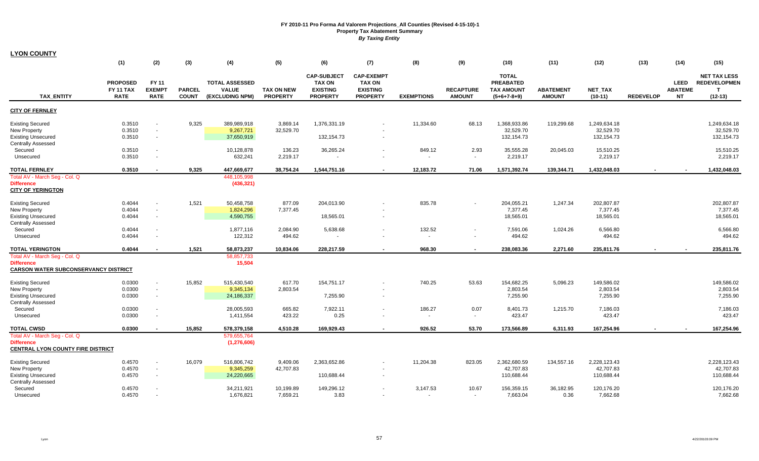| <b>LYON COUNTY</b>                                                                                                  |                                                    |                                              |                               |                                                          |                                      |                                                                           |                                                                          |                       |                                   |                                                                        |                                   |                                                       |                  |                                            |                                                              |
|---------------------------------------------------------------------------------------------------------------------|----------------------------------------------------|----------------------------------------------|-------------------------------|----------------------------------------------------------|--------------------------------------|---------------------------------------------------------------------------|--------------------------------------------------------------------------|-----------------------|-----------------------------------|------------------------------------------------------------------------|-----------------------------------|-------------------------------------------------------|------------------|--------------------------------------------|--------------------------------------------------------------|
|                                                                                                                     | (1)                                                | (2)                                          | (3)                           | (4)                                                      | (5)                                  | (6)                                                                       | (7)                                                                      | (8)                   | (9)                               | (10)                                                                   | (11)                              | (12)                                                  | (13)             | (14)                                       | (15)                                                         |
| <b>TAX ENTITY</b>                                                                                                   | <b>PROPOSED</b><br><b>FY 11 TAX</b><br><b>RATE</b> | FY 11<br><b>EXEMPT</b><br><b>RATE</b>        | <b>PARCEL</b><br><b>COUNT</b> | <b>TOTAL ASSESSED</b><br><b>VALUE</b><br>(EXCLUDING NPM) | <b>TAX ON NEW</b><br><b>PROPERTY</b> | <b>CAP-SUBJECT</b><br><b>TAX ON</b><br><b>EXISTING</b><br><b>PROPERTY</b> | <b>CAP-EXEMPT</b><br><b>TAX ON</b><br><b>EXISTING</b><br><b>PROPERTY</b> | <b>EXEMPTIONS</b>     | <b>RECAPTURE</b><br><b>AMOUNT</b> | <b>TOTAL</b><br><b>PREABATED</b><br><b>TAX AMOUNT</b><br>$(5+6+7-8+9)$ | <b>ABATEMENT</b><br><b>AMOUNT</b> | <b>NET TAX</b><br>$(10-11)$                           | <b>REDEVELOP</b> | <b>LEED</b><br><b>ABATEME</b><br><b>NT</b> | <b>NET TAX LESS</b><br><b>REDEVELOPMEN</b><br>T<br>$(12-13)$ |
| <b>CITY OF FERNLEY</b>                                                                                              |                                                    |                                              |                               |                                                          |                                      |                                                                           |                                                                          |                       |                                   |                                                                        |                                   |                                                       |                  |                                            |                                                              |
| <b>Existing Secured</b><br><b>New Property</b><br><b>Existing Unsecured</b><br><b>Centrally Assessed</b>            | 0.3510<br>0.3510<br>0.3510                         | $\blacksquare$<br>$\blacksquare$<br>$\sim$   | 9,325                         | 389,989,918<br>9,267,721<br>37,650,919                   | 3,869.14<br>32,529.70                | 1,376,331.19<br>132,154.73                                                | $\overline{\phantom{a}}$                                                 | 11,334.60             | 68.13                             | 1,368,933.86<br>32,529.70<br>132, 154. 73                              | 119,299.68                        | 1,249,634.18<br>32,529.70<br>132, 154. 73             |                  |                                            | 1,249,634.18<br>32,529.70<br>132,154.73                      |
| Secured<br>Unsecured                                                                                                | 0.3510<br>0.3510                                   | $\sim$                                       |                               | 10,128,878<br>632,241                                    | 136.23<br>2,219.17                   | 36,265.24                                                                 | $\sim$                                                                   | 849.12                | 2.93<br>$\blacksquare$            | 35,555.28<br>2,219.17                                                  | 20,045.03                         | 15,510.25<br>2,219.17                                 |                  |                                            | 15,510.25<br>2,219.17                                        |
| <b>TOTAL FERNLEY</b>                                                                                                | 0.3510                                             |                                              | 9,325                         | 447,669,677                                              | 38,754.24                            | 1,544,751.16                                                              | $\sim$                                                                   | 12,183.72             | 71.06                             | 1,571,392.74                                                           | 139,344.71                        | 1,432,048.03                                          |                  |                                            | 1,432,048.03                                                 |
| Total AV - March Seg - Col. Q<br><b>Difference</b><br><b>CITY OF YERINGTON</b>                                      |                                                    |                                              |                               | 448,105,998<br>(436, 321)                                |                                      |                                                                           |                                                                          |                       |                                   |                                                                        |                                   |                                                       |                  |                                            |                                                              |
| <b>Existing Secured</b><br><b>New Property</b><br><b>Existing Unsecured</b>                                         | 0.4044<br>0.4044<br>0.4044                         | $\blacksquare$<br>$\blacksquare$<br>$\omega$ | 1,521                         | 50,458,758<br>1,824,296<br>4,590,755                     | 877.09<br>7,377.45                   | 204,013.90<br>18,565.01                                                   | $\sim$                                                                   | 835.78                |                                   | 204,055.21<br>7,377.45<br>18,565.01                                    | 1,247.34                          | 202,807.87<br>7,377.45<br>18,565.01                   |                  |                                            | 202,807.87<br>7,377.45<br>18,565.01                          |
| <b>Centrally Assessed</b><br>Secured<br>Unsecured                                                                   | 0.4044<br>0.4044                                   | $\overline{\phantom{a}}$                     |                               | 1,877,116<br>122,312                                     | 2,084.90<br>494.62                   | 5,638.68                                                                  | $\blacksquare$                                                           | 132.52                |                                   | 7,591.06<br>494.62                                                     | 1,024.26                          | 6,566.80<br>494.62                                    |                  |                                            | 6,566.80<br>494.62                                           |
| <b>TOTAL YERINGTON</b>                                                                                              | 0.4044                                             | $\blacksquare$                               | 1,521                         | 58,873,237                                               | 10,834.06                            | 228,217.59                                                                | $\sim$                                                                   | 968.30                | $\overline{\phantom{a}}$          | 238,083.36                                                             | 2,271.60                          | 235,811.76                                            |                  |                                            | 235,811.76                                                   |
| Total AV - March Seg - Col. Q<br><b>Difference</b><br><b>CARSON WATER SUBCONSERVANCY DISTRICT</b>                   |                                                    |                                              |                               | 58,857,733<br>15,504                                     |                                      |                                                                           |                                                                          |                       |                                   |                                                                        |                                   |                                                       |                  |                                            |                                                              |
| <b>Existing Secured</b><br>New Property<br><b>Existing Unsecured</b><br><b>Centrally Assessed</b>                   | 0.0300<br>0.0300<br>0.0300                         | $\omega$<br>$\sim$<br>$\sim$                 | 15,852                        | 515,430,540<br>9,345,134<br>24,186,337                   | 617.70<br>2,803.54                   | 154,751.17<br>7,255.90                                                    | $\sim$                                                                   | 740.25                | 53.63                             | 154,682.25<br>2,803.54<br>7,255.90                                     | 5,096.23                          | 149,586.02<br>2,803.54<br>7,255.90                    |                  |                                            | 149,586.02<br>2,803.54<br>7,255.90                           |
| Secured                                                                                                             | 0.0300                                             | $\sim$                                       |                               | 28,005,593                                               | 665.82                               | 7,922.11                                                                  | $\sim$                                                                   | 186.27                | 0.07                              | 8,401.73                                                               | 1,215.70                          | 7,186.03                                              |                  |                                            | 7,186.03                                                     |
| Unsecured                                                                                                           | 0.0300                                             | $\sim$                                       |                               | 1,411,554                                                | 423.22                               | 0.25                                                                      |                                                                          | $\sim$                | $\sim$                            | 423.47                                                                 |                                   | 423.47                                                |                  |                                            | 423.47                                                       |
| <b>TOTAL CWSD</b><br>Total AV - March Seg - Col. Q<br><b>Difference</b><br><b>CENTRAL LYON COUNTY FIRE DISTRICT</b> | 0.0300                                             |                                              | 15,852                        | 578,379,158<br>579,655,764<br>(1, 276, 606)              | 4,510.28                             | 169,929.43                                                                | $\overline{\phantom{a}}$                                                 | 926.52                | 53.70                             | 173,566.89                                                             | 6,311.93                          | 167,254.96                                            |                  |                                            | 167,254.96                                                   |
| <b>Existing Secured</b><br><b>New Property</b><br><b>Existing Unsecured</b><br><b>Centrally Assessed</b><br>Secured | 0.4570<br>0.4570<br>0.4570<br>0.4570               | $\blacksquare$<br>$\sim$<br>$\sim$           | 16,079                        | 516,806,742<br>9,345,259<br>24,220,665<br>34,211,921     | 9,409.06<br>42,707.83<br>10,199.89   | 2,363,652.86<br>110,688.44<br>149,296.12                                  | $\sim$<br>$\blacksquare$                                                 | 11,204.38<br>3,147.53 | 823.05<br>10.67                   | 2,362,680.59<br>42,707.83<br>110,688.44<br>156,359.15                  | 134,557.16<br>36,182.95           | 2,228,123.43<br>42,707.83<br>110,688.44<br>120,176.20 |                  |                                            | 2,228,123.43<br>42,707.83<br>110,688.44<br>120,176.20        |
| Unsecured                                                                                                           | 0.4570                                             |                                              |                               | 1,676,821                                                | 7,659.21                             | 3.83                                                                      | $\sim$                                                                   | $\sim$                | $\sim$                            | 7,663.04                                                               | 0.36                              | 7,662.68                                              |                  |                                            | 7,662.68                                                     |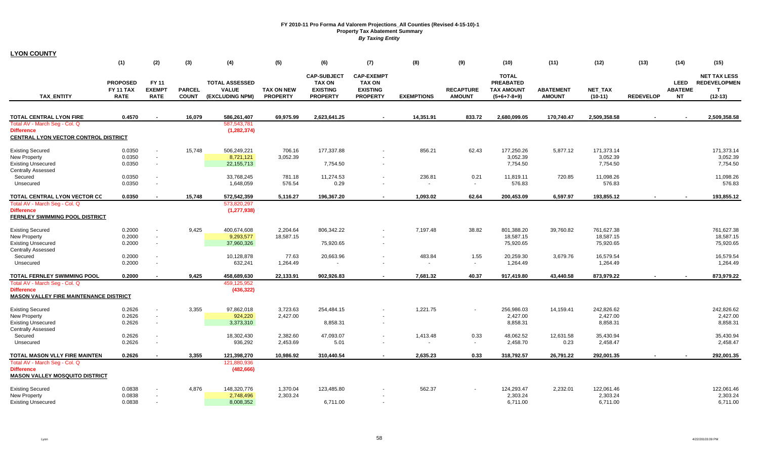| <b>LYON COUNTY</b>                                                 |                                             |                                       |                               |                                                          |                                      |                                                                           |                                                                          |                   |                                   |                                                                        |                                   |                             |                  |                                            |                                                                         |
|--------------------------------------------------------------------|---------------------------------------------|---------------------------------------|-------------------------------|----------------------------------------------------------|--------------------------------------|---------------------------------------------------------------------------|--------------------------------------------------------------------------|-------------------|-----------------------------------|------------------------------------------------------------------------|-----------------------------------|-----------------------------|------------------|--------------------------------------------|-------------------------------------------------------------------------|
|                                                                    | (1)                                         | (2)                                   | (3)                           | (4)                                                      | (5)                                  | (6)                                                                       | (7)                                                                      | (8)               | (9)                               | (10)                                                                   | (11)                              | (12)                        | (13)             | (14)                                       | (15)                                                                    |
| <b>TAX ENTITY</b>                                                  | <b>PROPOSED</b><br>FY 11 TAX<br><b>RATE</b> | FY 11<br><b>EXEMPT</b><br><b>RATE</b> | <b>PARCEL</b><br><b>COUNT</b> | <b>TOTAL ASSESSED</b><br><b>VALUE</b><br>(EXCLUDING NPM) | <b>TAX ON NEW</b><br><b>PROPERTY</b> | <b>CAP-SUBJECT</b><br><b>TAX ON</b><br><b>EXISTING</b><br><b>PROPERTY</b> | <b>CAP-EXEMPT</b><br><b>TAX ON</b><br><b>EXISTING</b><br><b>PROPERTY</b> | <b>EXEMPTIONS</b> | <b>RECAPTURE</b><br><b>AMOUNT</b> | <b>TOTAL</b><br><b>PREABATED</b><br><b>TAX AMOUNT</b><br>$(5+6+7-8+9)$ | <b>ABATEMENT</b><br><b>AMOUNT</b> | <b>NET TAX</b><br>$(10-11)$ | <b>REDEVELOP</b> | <b>LEED</b><br><b>ABATEME</b><br><b>NT</b> | <b>NET TAX LESS</b><br><b>REDEVELOPMEN</b><br>$\mathbf{T}$<br>$(12-13)$ |
| <b>TOTAL CENTRAL LYON FIRE</b>                                     | 0.4570                                      |                                       | 16,079                        | 586.261.407                                              | 69,975.99                            | 2,623,641.25                                                              |                                                                          | 14,351.91         | 833.72                            | 2,680,099.05                                                           | 170.740.47                        | 2,509,358.58                |                  |                                            | 2,509,358.58                                                            |
| Total AV - March Seg - Col. Q                                      |                                             |                                       |                               | 587,543,781                                              |                                      |                                                                           |                                                                          |                   |                                   |                                                                        |                                   |                             |                  |                                            |                                                                         |
| <b>Difference</b>                                                  |                                             |                                       |                               | (1, 282, 374)                                            |                                      |                                                                           |                                                                          |                   |                                   |                                                                        |                                   |                             |                  |                                            |                                                                         |
| <b>CENTRAL LYON VECTOR CONTROL DISTRICT</b>                        |                                             |                                       |                               |                                                          |                                      |                                                                           |                                                                          |                   |                                   |                                                                        |                                   |                             |                  |                                            |                                                                         |
| <b>Existing Secured</b>                                            | 0.0350                                      | $\blacksquare$                        | 15,748                        | 506,249,221                                              | 706.16                               | 177,337.88                                                                |                                                                          | 856.21            | 62.43                             | 177,250.26                                                             | 5,877.12                          | 171,373.14                  |                  |                                            | 171,373.14                                                              |
| <b>New Property</b>                                                | 0.0350                                      | $\blacksquare$                        |                               | 8,721,121                                                | 3,052.39                             |                                                                           |                                                                          |                   |                                   | 3,052.39                                                               |                                   | 3,052.39                    |                  |                                            | 3,052.39                                                                |
| <b>Existing Unsecured</b>                                          | 0.0350                                      | $\sim$                                |                               | 22, 155, 713                                             |                                      | 7,754.50                                                                  | $\sim$                                                                   |                   |                                   | 7,754.50                                                               |                                   | 7,754.50                    |                  |                                            | 7,754.50                                                                |
| <b>Centrally Assessed</b>                                          |                                             |                                       |                               |                                                          |                                      |                                                                           |                                                                          |                   |                                   |                                                                        |                                   |                             |                  |                                            |                                                                         |
| Secured                                                            | 0.0350                                      | $\blacksquare$                        |                               | 33,768,245                                               | 781.18                               | 11,274.53                                                                 | $\sim$                                                                   | 236.81            | 0.21                              | 11,819.11                                                              | 720.85                            | 11,098.26                   |                  |                                            | 11,098.26                                                               |
| Unsecured                                                          | 0.0350                                      | $\sim$                                |                               | 1,648,059                                                | 576.54                               | 0.29                                                                      |                                                                          |                   | $\sim$                            | 576.83                                                                 |                                   | 576.83                      |                  |                                            | 576.83                                                                  |
| TOTAL CENTRAL LYON VECTOR CC                                       | 0.0350                                      | $\overline{\phantom{a}}$              | 15,748                        | 572,542,359                                              | 5,116.27                             | 196,367.20                                                                | $\sim$                                                                   | 1,093.02          | 62.64                             | 200,453.09                                                             | 6,597.97                          | 193,855.12                  |                  |                                            | 193,855.12                                                              |
| Total AV - March Seg - Col. Q                                      |                                             |                                       |                               | 573,820,297                                              |                                      |                                                                           |                                                                          |                   |                                   |                                                                        |                                   |                             |                  |                                            |                                                                         |
| <b>Difference</b><br><b>FERNLEY SWIMMING POOL DISTRICT</b>         |                                             |                                       |                               | (1, 277, 938)                                            |                                      |                                                                           |                                                                          |                   |                                   |                                                                        |                                   |                             |                  |                                            |                                                                         |
| <b>Existing Secured</b>                                            | 0.2000                                      | $\mathbf{r}$                          | 9,425                         | 400,674,608                                              | 2,204.64                             | 806,342.22                                                                |                                                                          | 7,197.48          | 38.82                             | 801,388.20                                                             | 39,760.82                         | 761,627.38                  |                  |                                            | 761,627.38                                                              |
| New Property                                                       | 0.2000                                      | $\blacksquare$                        |                               | 9,293,577                                                | 18,587.15                            |                                                                           |                                                                          |                   |                                   | 18,587.15                                                              |                                   | 18,587.15                   |                  |                                            | 18,587.15                                                               |
| <b>Existing Unsecured</b>                                          | 0.2000                                      | $\blacksquare$                        |                               | 37,960,326                                               |                                      | 75,920.65                                                                 | $\sim$                                                                   |                   |                                   | 75,920.65                                                              |                                   | 75,920.65                   |                  |                                            | 75,920.65                                                               |
| <b>Centrally Assessed</b>                                          |                                             |                                       |                               |                                                          |                                      |                                                                           |                                                                          |                   |                                   |                                                                        |                                   |                             |                  |                                            |                                                                         |
| Secured                                                            | 0.2000                                      | $\blacksquare$                        |                               | 10,128,878                                               | 77.63                                | 20,663.96                                                                 |                                                                          | 483.84            | 1.55                              | 20,259.30                                                              | 3,679.76                          | 16,579.54                   |                  |                                            | 16,579.54                                                               |
| Unsecured                                                          | 0.2000                                      |                                       |                               | 632,241                                                  | 1,264.49                             | $\sim$                                                                    |                                                                          | $\sim$            | $\sim$                            | 1,264.49                                                               |                                   | 1,264.49                    |                  |                                            | 1,264.49                                                                |
| TOTAL FERNLEY SWIMMING POOL                                        | 0.2000                                      | $\blacksquare$                        | 9,425                         | 458,689,630                                              | 22,133.91                            | 902,926.83                                                                | $\sim$                                                                   | 7,681.32          | 40.37                             | 917,419.80                                                             | 43,440.58                         | 873,979.22                  |                  |                                            | 873,979.22                                                              |
| Total AV - March Seg - Col. Q                                      |                                             |                                       |                               | 459,125,952                                              |                                      |                                                                           |                                                                          |                   |                                   |                                                                        |                                   |                             |                  |                                            |                                                                         |
| <b>Difference</b><br><b>MASON VALLEY FIRE MAINTENANCE DISTRICT</b> |                                             |                                       |                               | (436, 322)                                               |                                      |                                                                           |                                                                          |                   |                                   |                                                                        |                                   |                             |                  |                                            |                                                                         |
|                                                                    |                                             |                                       |                               |                                                          |                                      |                                                                           |                                                                          |                   |                                   |                                                                        |                                   |                             |                  |                                            |                                                                         |
| <b>Existing Secured</b>                                            | 0.2626                                      | $\blacksquare$                        | 3,355                         | 97,862,018                                               | 3,723.63                             | 254,484.15                                                                |                                                                          | 1,221.75          |                                   | 256,986.03                                                             | 14,159.41                         | 242,826.62                  |                  |                                            | 242,826.62                                                              |
| <b>New Property</b>                                                | 0.2626                                      | $\sim$                                |                               | 924,220                                                  | 2,427.00                             |                                                                           |                                                                          |                   |                                   | 2,427.00                                                               |                                   | 2,427.00                    |                  |                                            | 2,427.00                                                                |
| <b>Existing Unsecured</b>                                          | 0.2626                                      | $\mathbf{r}$                          |                               | 3,373,310                                                |                                      | 8,858.31                                                                  | $\sim$                                                                   |                   |                                   | 8,858.31                                                               |                                   | 8,858.31                    |                  |                                            | 8,858.31                                                                |
| <b>Centrally Assessed</b>                                          |                                             |                                       |                               |                                                          |                                      |                                                                           |                                                                          |                   |                                   |                                                                        |                                   |                             |                  |                                            |                                                                         |
| Secured                                                            | 0.2626                                      | $\sim$                                |                               | 18,302,430                                               | 2,382.60                             | 47,093.07                                                                 |                                                                          | 1,413.48          | 0.33                              | 48,062.52                                                              | 12,631.58                         | 35,430.94                   |                  |                                            | 35,430.94                                                               |
| Unsecured                                                          | 0.2626                                      | $\blacksquare$                        |                               | 936,292                                                  | 2,453.69                             | 5.01                                                                      | $\sim$                                                                   |                   | $\sim$                            | 2,458.70                                                               | 0.23                              | 2,458.47                    |                  |                                            | 2,458.47                                                                |
| TOTAL MASON VLLY FIRE MAINTEN                                      | 0.2626                                      |                                       | 3,355                         | 121,398,270                                              | 10,986.92                            | 310,440.54                                                                | $\sim$                                                                   | 2,635.23          | 0.33                              | 318,792.57                                                             | 26,791.22                         | 292,001.35                  |                  |                                            | 292,001.35                                                              |
| Total AV - March Seg - Col. Q                                      |                                             |                                       |                               | 121,880,936                                              |                                      |                                                                           |                                                                          |                   |                                   |                                                                        |                                   |                             |                  |                                            |                                                                         |
| <b>Difference</b><br><b>MASON VALLEY MOSQUITO DISTRICT</b>         |                                             |                                       |                               | (482, 666)                                               |                                      |                                                                           |                                                                          |                   |                                   |                                                                        |                                   |                             |                  |                                            |                                                                         |
| <b>Existing Secured</b>                                            | 0.0838                                      |                                       | 4,876                         | 148,320,776                                              | 1,370.04                             | 123,485.80                                                                |                                                                          | 562.37            |                                   | 124,293.47                                                             | 2,232.01                          | 122,061.46                  |                  |                                            | 122,061.46                                                              |
| New Property                                                       | 0.0838                                      |                                       |                               | 2,748,496                                                | 2,303.24                             |                                                                           |                                                                          |                   |                                   | 2,303.24                                                               |                                   | 2,303.24                    |                  |                                            | 2,303.24                                                                |
| <b>Existing Unsecured</b>                                          | 0.0838                                      | $\overline{\phantom{a}}$              |                               | 8,008,352                                                |                                      | 6.711.00                                                                  |                                                                          |                   |                                   | 6.711.00                                                               |                                   | 6.711.00                    |                  |                                            | 6,711.00                                                                |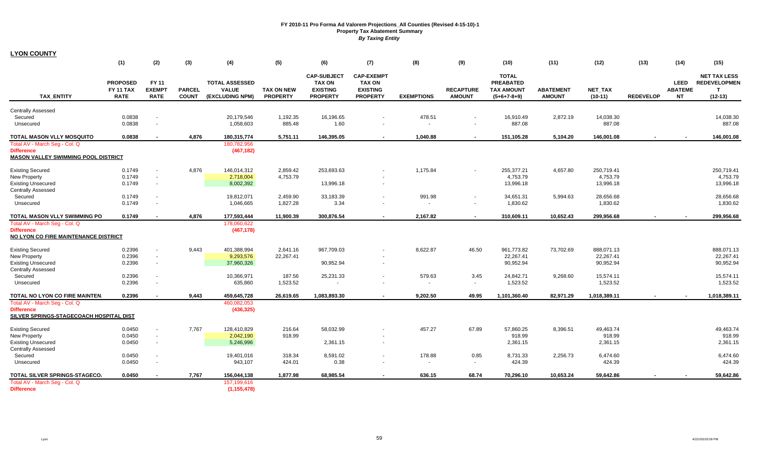| <b>LYON COUNTY</b>                         |                  |                                  |               |                         |                    |                                     |                                    |                   |                  |                                  |                  |                     |                  |                |                                            |
|--------------------------------------------|------------------|----------------------------------|---------------|-------------------------|--------------------|-------------------------------------|------------------------------------|-------------------|------------------|----------------------------------|------------------|---------------------|------------------|----------------|--------------------------------------------|
|                                            | (1)              | (2)                              | (3)           | (4)                     | (5)                | (6)                                 | (7)                                | (8)               | (9)              | (10)                             | (11)             | (12)                | (13)             | (14)           | (15)                                       |
|                                            |                  |                                  |               |                         |                    |                                     |                                    |                   |                  |                                  |                  |                     |                  |                |                                            |
|                                            | <b>PROPOSED</b>  | <b>FY 11</b>                     |               | <b>TOTAL ASSESSED</b>   |                    | <b>CAP-SUBJECT</b><br><b>TAX ON</b> | <b>CAP-EXEMPT</b><br><b>TAX ON</b> |                   |                  | <b>TOTAL</b><br><b>PREABATED</b> |                  |                     |                  | <b>LEED</b>    | <b>NET TAX LESS</b><br><b>REDEVELOPMEN</b> |
|                                            | <b>FY 11 TAX</b> | <b>EXEMPT</b>                    | <b>PARCEL</b> | <b>VALUE</b>            | <b>TAX ON NEW</b>  | <b>EXISTING</b>                     | <b>EXISTING</b>                    |                   | <b>RECAPTURE</b> | <b>TAX AMOUNT</b>                | <b>ABATEMENT</b> | NET_TAX             |                  | <b>ABATEME</b> | $\mathbf{T}$                               |
| <b>TAX ENTITY</b>                          | <b>RATE</b>      | <b>RATE</b>                      | <b>COUNT</b>  | (EXCLUDING NPM)         | <b>PROPERTY</b>    | <b>PROPERTY</b>                     | <b>PROPERTY</b>                    | <b>EXEMPTIONS</b> | <b>AMOUNT</b>    | $(5+6+7-8+9)$                    | <b>AMOUNT</b>    | $(10-11)$           | <b>REDEVELOP</b> | <b>NT</b>      | $(12-13)$                                  |
|                                            |                  |                                  |               |                         |                    |                                     |                                    |                   |                  |                                  |                  |                     |                  |                |                                            |
| <b>Centrally Assessed</b>                  |                  |                                  |               |                         |                    |                                     |                                    | 478.51            |                  |                                  |                  |                     |                  |                |                                            |
| Secured<br>Unsecured                       | 0.0838<br>0.0838 | $\blacksquare$<br>$\blacksquare$ |               | 20,179,546<br>1,058,603 | 1,192.35<br>885.48 | 16,196.65<br>1.60                   | $\sim$                             |                   |                  | 16,910.49<br>887.08              | 2,872.19         | 14,038.30<br>887.08 |                  |                | 14,038.30<br>887.08                        |
|                                            |                  |                                  |               |                         |                    |                                     |                                    |                   |                  |                                  |                  |                     |                  |                |                                            |
| TOTAL MASON VLLY MOSQUITO                  | 0.0838           | $\overline{a}$                   | 4,876         | 180,315,774             | 5,751.11           | 146,395.05                          | $\sim$                             | 1,040.88          |                  | 151,105.28                       | 5,104.20         | 146,001.08          |                  |                | 146,001.08                                 |
| Total AV - March Seg - Col. Q              |                  |                                  |               | 180,782,956             |                    |                                     |                                    |                   |                  |                                  |                  |                     |                  |                |                                            |
| <b>Difference</b>                          |                  |                                  |               | (467, 182)              |                    |                                     |                                    |                   |                  |                                  |                  |                     |                  |                |                                            |
| <b>MASON VALLEY SWIMMING POOL DISTRICT</b> |                  |                                  |               |                         |                    |                                     |                                    |                   |                  |                                  |                  |                     |                  |                |                                            |
| <b>Existing Secured</b>                    | 0.1749           | $\blacksquare$                   | 4,876         | 146,014,312             | 2,859.42           | 253,693.63                          |                                    | 1,175.84          |                  | 255,377.21                       | 4,657.80         | 250,719.41          |                  |                | 250,719.41                                 |
| <b>New Property</b>                        | 0.1749           | $\sim$                           |               | 2,718,004               | 4,753.79           |                                     |                                    |                   |                  | 4,753.79                         |                  | 4,753.79            |                  |                | 4,753.79                                   |
| <b>Existing Unsecured</b>                  | 0.1749           | $\sim$                           |               | 8,002,392               |                    | 13,996.18                           | $\overline{\phantom{a}}$           |                   |                  | 13,996.18                        |                  | 13,996.18           |                  |                | 13,996.18                                  |
| Centrally Assessed                         |                  |                                  |               |                         |                    |                                     |                                    |                   |                  |                                  |                  |                     |                  |                |                                            |
| Secured                                    | 0.1749           | $\sim$                           |               | 19,812,071              | 2,459.90           | 33,183.39                           | $\sim$                             | 991.98            |                  | 34,651.31                        | 5,994.63         | 28,656.68           |                  |                | 28,656.68                                  |
| Unsecured                                  | 0.1749           | $\blacksquare$                   |               | 1,046,665               | 1,827.28           | 3.34                                |                                    |                   |                  | 1,830.62                         |                  | 1,830.62            |                  |                | 1,830.62                                   |
| TOTAL MASON VLLY SWIMMING PO               | 0.1749           |                                  | 4,876         | 177,593,444             | 11,900.39          | 300,876.54                          | $\sim$                             | 2,167.82          |                  | 310,609.11                       | 10,652.43        | 299,956.68          |                  |                | 299,956.68                                 |
| Total AV - March Seq - Col. Q              |                  |                                  |               | 178,060,622             |                    |                                     |                                    |                   |                  |                                  |                  |                     |                  |                |                                            |
| <b>Difference</b>                          |                  |                                  |               | (467, 178)              |                    |                                     |                                    |                   |                  |                                  |                  |                     |                  |                |                                            |
| NO LYON CO FIRE MAINTENANCE DISTRICT       |                  |                                  |               |                         |                    |                                     |                                    |                   |                  |                                  |                  |                     |                  |                |                                            |
| <b>Existing Secured</b>                    | 0.2396           | $\sim$                           | 9,443         | 401,388,994             | 2,641.16           | 967,709.03                          |                                    | 8,622.87          | 46.50            | 961,773.82                       | 73,702.69        | 888,071.13          |                  |                | 888,071.13                                 |
| <b>New Property</b>                        | 0.2396           | $\blacksquare$                   |               | 9,293,576               | 22,267.41          |                                     |                                    |                   |                  | 22,267.41                        |                  | 22,267.41           |                  |                | 22,267.41                                  |
| <b>Existing Unsecured</b>                  | 0.2396           | $\sim$                           |               | 37,960,326              |                    | 90,952.94                           | $\overline{\phantom{a}}$           |                   |                  | 90,952.94                        |                  | 90,952.94           |                  |                | 90,952.94                                  |
| <b>Centrally Assessed</b>                  |                  |                                  |               |                         |                    |                                     |                                    |                   |                  |                                  |                  |                     |                  |                |                                            |
| Secured                                    | 0.2396           | $\blacksquare$                   |               | 10,366,971              | 187.56             | 25,231.33                           | $\sim$                             | 579.63            | 3.45             | 24,842.71                        | 9,268.60         | 15,574.11           |                  |                | 15,574.11                                  |
| Unsecured                                  | 0.2396           | $\blacksquare$                   |               | 635,860                 | 1,523.52           |                                     |                                    |                   |                  | 1,523.52                         |                  | 1,523.52            |                  |                | 1,523.52                                   |
| TOTAL NO LYON CO FIRE MAINTEN.             | 0.2396           |                                  | 9,443         | 459,645,728             | 26,619.65          | 1,083,893.30                        | $\overline{\phantom{a}}$           | 9,202.50          | 49.95            | 1,101,360.40                     | 82,971.29        | 1,018,389.11        |                  |                | 1,018,389.11                               |
| Total AV - March Seg - Col. Q              |                  |                                  |               | 460,082,053             |                    |                                     |                                    |                   |                  |                                  |                  |                     |                  |                |                                            |
| <b>Difference</b>                          |                  |                                  |               | (436, 325)              |                    |                                     |                                    |                   |                  |                                  |                  |                     |                  |                |                                            |
| SILVER SPRINGS-STAGECOACH HOSPITAL DIST    |                  |                                  |               |                         |                    |                                     |                                    |                   |                  |                                  |                  |                     |                  |                |                                            |
| <b>Existing Secured</b>                    | 0.0450           | $\blacksquare$                   | 7,767         | 128,410,829             | 216.64             | 58,032.99                           |                                    | 457.27            | 67.89            | 57,860.25                        | 8,396.51         | 49,463.74           |                  |                | 49,463.74                                  |
| <b>New Property</b>                        | 0.0450           | $\sim$                           |               | 2,042,190               | 918.99             |                                     | $\overline{\phantom{a}}$           |                   |                  | 918.99                           |                  | 918.99              |                  |                | 918.99                                     |
| <b>Existing Unsecured</b>                  | 0.0450           | $\sim$                           |               | 5,246,996               |                    | 2,361.15                            | $\sim$                             |                   |                  | 2,361.15                         |                  | 2,361.15            |                  |                | 2,361.15                                   |
| <b>Centrally Assessed</b>                  |                  |                                  |               |                         |                    |                                     |                                    |                   |                  |                                  |                  |                     |                  |                |                                            |
| Secured                                    | 0.0450           | $\blacksquare$                   |               | 19,401,016              | 318.34             | 8,591.02                            | $\sim$                             | 178.88            | 0.85             | 8,731.33                         | 2,256.73         | 6,474.60            |                  |                | 6,474.60                                   |
| Unsecured                                  | 0.0450           | $\blacksquare$                   |               | 943,107                 | 424.01             | 0.38                                |                                    | $\sim$            | $\sim$           | 424.39                           |                  | 424.39              |                  |                | 424.39                                     |
| TOTAL SILVER SPRINGS-STAGECO.              | 0.0450           |                                  | 7,767         | 156,044,138             | 1,877.98           | 68,985.54                           |                                    | 636.15            | 68.74            | 70,296.10                        | 10.653.24        | 59,642.86           |                  |                | 59,642.86                                  |
| Total AV - March Seg - Col. Q              |                  |                                  |               | 157,199,616             |                    |                                     |                                    |                   |                  |                                  |                  |                     |                  |                |                                            |
| <b>Difference</b>                          |                  |                                  |               | (1, 155, 478)           |                    |                                     |                                    |                   |                  |                                  |                  |                     |                  |                |                                            |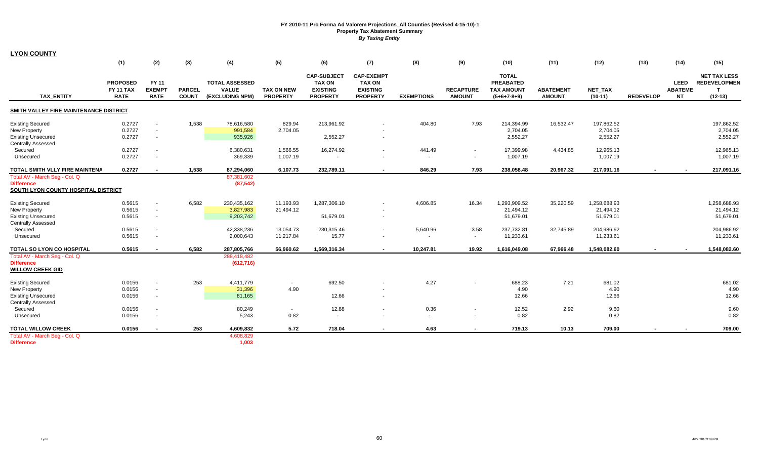| <b>LYON COUNTY</b>                     |                                             |                                       |                               |                                                          |                                      |                                                                           |                                                                          |                   |                                   |                                                                        |                                   |                             |                  |                                            |                                                         |
|----------------------------------------|---------------------------------------------|---------------------------------------|-------------------------------|----------------------------------------------------------|--------------------------------------|---------------------------------------------------------------------------|--------------------------------------------------------------------------|-------------------|-----------------------------------|------------------------------------------------------------------------|-----------------------------------|-----------------------------|------------------|--------------------------------------------|---------------------------------------------------------|
|                                        | (1)                                         | (2)                                   | (3)                           | (4)                                                      | (5)                                  | (6)                                                                       | (7)                                                                      | (8)               | (9)                               | (10)                                                                   | (11)                              | (12)                        | (13)             | (14)                                       | (15)                                                    |
| <b>TAX ENTITY</b>                      | <b>PROPOSED</b><br>FY 11 TAX<br><b>RATE</b> | FY 11<br><b>EXEMPT</b><br><b>RATE</b> | <b>PARCEL</b><br><b>COUNT</b> | <b>TOTAL ASSESSED</b><br><b>VALUE</b><br>(EXCLUDING NPM) | <b>TAX ON NEW</b><br><b>PROPERTY</b> | <b>CAP-SUBJECT</b><br><b>TAX ON</b><br><b>EXISTING</b><br><b>PROPERTY</b> | <b>CAP-EXEMPT</b><br><b>TAX ON</b><br><b>EXISTING</b><br><b>PROPERTY</b> | <b>EXEMPTIONS</b> | <b>RECAPTURE</b><br><b>AMOUNT</b> | <b>TOTAL</b><br><b>PREABATED</b><br><b>TAX AMOUNT</b><br>$(5+6+7-8+9)$ | <b>ABATEMENT</b><br><b>AMOUNT</b> | <b>NET TAX</b><br>$(10-11)$ | <b>REDEVELOP</b> | <b>LEED</b><br><b>ABATEME</b><br><b>NT</b> | <b>NET TAX LESS</b><br><b>REDEVELOPMEN</b><br>$(12-13)$ |
| SMITH VALLEY FIRE MAINTENANCE DISTRICT |                                             |                                       |                               |                                                          |                                      |                                                                           |                                                                          |                   |                                   |                                                                        |                                   |                             |                  |                                            |                                                         |
| <b>Existing Secured</b>                | 0.2727                                      | $\mathbf{r}$                          | 1,538                         | 78,616,580                                               | 829.94                               | 213,961.92                                                                |                                                                          | 404.80            | 7.93                              | 214,394.99                                                             | 16,532.47                         | 197,862.52                  |                  |                                            | 197,862.52                                              |
| <b>New Property</b>                    | 0.2727                                      | $\blacksquare$                        |                               | 991,584                                                  | 2,704.05                             |                                                                           |                                                                          |                   |                                   | 2,704.05                                                               |                                   | 2,704.05                    |                  |                                            | 2,704.05                                                |
| <b>Existing Unsecured</b>              | 0.2727                                      | $\blacksquare$                        |                               | 935,926                                                  |                                      | 2,552.27                                                                  | $\sim$                                                                   |                   |                                   | 2,552.27                                                               |                                   | 2,552.27                    |                  |                                            | 2,552.27                                                |
| <b>Centrally Assessed</b>              |                                             |                                       |                               |                                                          |                                      |                                                                           |                                                                          |                   |                                   |                                                                        |                                   |                             |                  |                                            |                                                         |
| Secured                                | 0.2727                                      | $\blacksquare$                        |                               | 6,380,631                                                | 1,566.55                             | 16,274.92                                                                 | $\sim$                                                                   | 441.49            | $\sim$                            | 17,399.98                                                              | 4,434.85                          | 12,965.13                   |                  |                                            | 12,965.13                                               |
| Unsecured                              | 0.2727                                      | $\sim$                                |                               | 369,339                                                  | 1,007.19                             | $\overline{\phantom{a}}$                                                  |                                                                          | $\sim$            | $\sim$                            | 1,007.19                                                               |                                   | 1,007.19                    |                  |                                            | 1,007.19                                                |
|                                        |                                             |                                       |                               |                                                          |                                      |                                                                           |                                                                          |                   |                                   |                                                                        |                                   |                             |                  |                                            |                                                         |
| TOTAL SMITH VLLY FIRE MAINTENA         | 0.2727                                      |                                       | 1,538                         | 87,294,060                                               | 6,107.73                             | 232,789.11                                                                | $\sim$                                                                   | 846.29            | 7.93                              | 238,058.48                                                             | 20,967.32                         | 217,091.16                  |                  |                                            | 217,091.16                                              |
| Total AV - March Seg - Col. Q          |                                             |                                       |                               | 87,381,602                                               |                                      |                                                                           |                                                                          |                   |                                   |                                                                        |                                   |                             |                  |                                            |                                                         |
| <b>Difference</b>                      |                                             |                                       |                               | (87, 542)                                                |                                      |                                                                           |                                                                          |                   |                                   |                                                                        |                                   |                             |                  |                                            |                                                         |
| SOUTH LYON COUNTY HOSPITAL DISTRICT    |                                             |                                       |                               |                                                          |                                      |                                                                           |                                                                          |                   |                                   |                                                                        |                                   |                             |                  |                                            |                                                         |
| <b>Existing Secured</b>                | 0.5615                                      | $\overline{\phantom{a}}$              | 6,582                         | 230,435,162                                              | 11,193.93                            | 1,287,306.10                                                              |                                                                          | 4,606.85          | 16.34                             | 1,293,909.52                                                           | 35,220.59                         | 1,258,688.93                |                  |                                            | 1,258,688.93                                            |
| <b>New Property</b>                    | 0.5615                                      | $\blacksquare$                        |                               | 3,827,983                                                | 21,494.12                            |                                                                           |                                                                          |                   |                                   | 21,494.12                                                              |                                   | 21,494.12                   |                  |                                            | 21,494.12                                               |
| <b>Existing Unsecured</b>              | 0.5615                                      | $\blacksquare$                        |                               | 9,203,742                                                |                                      | 51,679.01                                                                 |                                                                          |                   |                                   | 51,679.01                                                              |                                   | 51,679.01                   |                  |                                            | 51,679.01                                               |
| <b>Centrally Assessed</b>              |                                             |                                       |                               |                                                          |                                      |                                                                           |                                                                          |                   |                                   |                                                                        |                                   |                             |                  |                                            |                                                         |
| Secured                                | 0.5615                                      | $\overline{\phantom{a}}$              |                               | 42,338,236                                               | 13,054.73                            | 230,315.46                                                                | $\sim$                                                                   | 5,640.96          | 3.58                              | 237,732.81                                                             | 32,745.89                         | 204,986.92                  |                  |                                            | 204,986.92                                              |
| Unsecured                              | 0.5615                                      |                                       |                               | 2,000,643                                                | 11,217.84                            | 15.77                                                                     |                                                                          |                   | $\overline{\phantom{a}}$          | 11,233.61                                                              |                                   | 11,233.61                   |                  |                                            | 11,233.61                                               |
|                                        |                                             |                                       |                               |                                                          |                                      |                                                                           |                                                                          |                   |                                   |                                                                        |                                   |                             |                  |                                            |                                                         |
| TOTAL SO LYON CO HOSPITAL              | 0.5615                                      | $\overline{\phantom{a}}$              | 6,582                         | 287,805,766                                              | 56,960.62                            | 1,569,316.34                                                              | $\overline{\phantom{a}}$                                                 | 10,247.81         | 19.92                             | 1,616,049.08                                                           | 67,966.48                         | 1,548,082.60                | $\blacksquare$   |                                            | 1,548,082.60                                            |
| Total AV - March Seg - Col. Q          |                                             |                                       |                               | 288,418,482                                              |                                      |                                                                           |                                                                          |                   |                                   |                                                                        |                                   |                             |                  |                                            |                                                         |
| <b>Difference</b>                      |                                             |                                       |                               | (612, 716)                                               |                                      |                                                                           |                                                                          |                   |                                   |                                                                        |                                   |                             |                  |                                            |                                                         |
| <b>WILLOW CREEK GID</b>                |                                             |                                       |                               |                                                          |                                      |                                                                           |                                                                          |                   |                                   |                                                                        |                                   |                             |                  |                                            |                                                         |
| <b>Existing Secured</b>                | 0.0156                                      | $\blacksquare$                        | 253                           | 4,411,779                                                | $\sim$                               | 692.50                                                                    |                                                                          | 4.27              |                                   | 688.23                                                                 | 7.21                              | 681.02                      |                  |                                            | 681.02                                                  |
| New Property                           | 0.0156                                      | $\blacksquare$                        |                               | 31,396                                                   | 4.90                                 |                                                                           |                                                                          |                   |                                   | 4.90                                                                   |                                   | 4.90                        |                  |                                            | 4.90                                                    |
| <b>Existing Unsecured</b>              | 0.0156                                      | $\overline{\phantom{a}}$              |                               | 81,165                                                   |                                      | 12.66                                                                     |                                                                          |                   |                                   | 12.66                                                                  |                                   | 12.66                       |                  |                                            | 12.66                                                   |
| Centrally Assessed                     |                                             |                                       |                               |                                                          |                                      |                                                                           |                                                                          |                   |                                   |                                                                        |                                   |                             |                  |                                            |                                                         |
| Secured                                | 0.0156                                      | $\overline{\phantom{a}}$              |                               | 80,249                                                   | $\sim$                               | 12.88                                                                     |                                                                          | 0.36              |                                   | 12.52                                                                  | 2.92                              | 9.60                        |                  |                                            | 9.60                                                    |
| Unsecured                              | 0.0156                                      | $\overline{\phantom{a}}$              |                               | 5,243                                                    | 0.82                                 | $\sim$                                                                    |                                                                          | $\sim$            | $\overline{\phantom{a}}$          | 0.82                                                                   |                                   | 0.82                        |                  |                                            | 0.82                                                    |
| <b>TOTAL WILLOW CREEK</b>              | 0.0156                                      |                                       | 253                           | 4,609,832                                                | 5.72                                 | 718.04                                                                    | $\sim$                                                                   | 4.63              | $\sim$                            | 719.13                                                                 | 10.13                             | 709.00                      |                  |                                            | 709.00                                                  |
| Total AV - March Seg - Col. Q          |                                             |                                       |                               | 4,608,829                                                |                                      |                                                                           |                                                                          |                   |                                   |                                                                        |                                   |                             |                  |                                            |                                                         |
| <b>Difference</b>                      |                                             |                                       |                               | 1,003                                                    |                                      |                                                                           |                                                                          |                   |                                   |                                                                        |                                   |                             |                  |                                            |                                                         |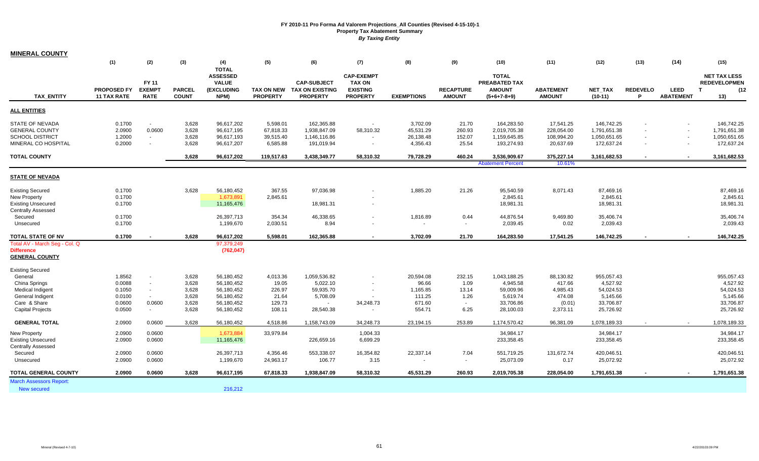| <b>MINERAL COUNTY</b>                                                                                                   |                                                |                                                |                                           |                                                                              |                                                              |                                                                          |                                                                          |                                                             |                                              |                                                                          |                                                                  |                                                                          |                      |                                                                |                                                                           |
|-------------------------------------------------------------------------------------------------------------------------|------------------------------------------------|------------------------------------------------|-------------------------------------------|------------------------------------------------------------------------------|--------------------------------------------------------------|--------------------------------------------------------------------------|--------------------------------------------------------------------------|-------------------------------------------------------------|----------------------------------------------|--------------------------------------------------------------------------|------------------------------------------------------------------|--------------------------------------------------------------------------|----------------------|----------------------------------------------------------------|---------------------------------------------------------------------------|
|                                                                                                                         | (1)                                            | (2)                                            | (3)                                       | (4)                                                                          | (5)                                                          | (6)                                                                      | (7)                                                                      | (8)                                                         | (9)                                          | (10)                                                                     | (11)                                                             | (12)                                                                     | (13)                 | (14)                                                           | (15)                                                                      |
| <b>TAX ENTITY</b>                                                                                                       | <b>PROPOSED FY</b><br><b>11 TAX RATE</b>       | <b>FY 11</b><br><b>EXEMPT</b><br><b>RATE</b>   | <b>PARCEL</b><br><b>COUNT</b>             | <b>TOTAL</b><br><b>ASSESSED</b><br><b>VALUE</b><br><b>(EXCLUDING</b><br>NPM) | <b>TAX ON NEW</b><br><b>PROPERTY</b>                         | <b>CAP-SUBJECT</b><br><b>TAX ON EXISTING</b><br><b>PROPERTY</b>          | <b>CAP-EXEMPT</b><br><b>TAX ON</b><br><b>EXISTING</b><br><b>PROPERTY</b> | <b>EXEMPTIONS</b>                                           | <b>RECAPTURE</b><br><b>AMOUNT</b>            | <b>TOTAL</b><br>PREABATED TAX<br><b>AMOUNT</b><br>$(5+6+7-8+9)$          | <b>ABATEMENT</b><br><b>AMOUNT</b>                                | <b>NET TAX</b><br>$(10-11)$                                              | <b>REDEVELO</b><br>P | <b>LEED</b><br><b>ABATEMENT</b>                                | <b>NET TAX LESS</b><br><b>REDEVELOPMEN</b><br>(12)<br>$\mathbf{T}$<br>13) |
| <b>ALL ENTITIES</b>                                                                                                     |                                                |                                                |                                           |                                                                              |                                                              |                                                                          |                                                                          |                                                             |                                              |                                                                          |                                                                  |                                                                          |                      |                                                                |                                                                           |
| <b>STATE OF NEVADA</b><br><b>GENERAL COUNTY</b><br><b>SCHOOL DISTRICT</b><br>MINERAL CO HOSPITAL<br><b>TOTAL COUNTY</b> | 0.1700<br>2.0900<br>1.2000<br>0.2000           | $\sim$<br>0.0600<br>$\sim$<br>$\sim$           | 3,628<br>3,628<br>3,628<br>3,628<br>3,628 | 96,617,202<br>96,617,195<br>96,617,193<br>96,617,207<br>96,617,202           | 5,598.01<br>67,818.33<br>39,515.40<br>6,585.88<br>119,517.63 | 162,365.88<br>1,938,847.09<br>1,146,116.86<br>191,019.94<br>3,438,349.77 | $\sim$<br>58,310.32<br>58,310.32                                         | 3,702.09<br>45,531.29<br>26,138.48<br>4,356.43<br>79,728.29 | 21.70<br>260.93<br>152.07<br>25.54<br>460.24 | 164,283.50<br>2,019,705.38<br>1,159,645.85<br>193,274.93<br>3,536,909.67 | 17,541.25<br>228,054.00<br>108,994.20<br>20,637.69<br>375,227.14 | 146,742.25<br>1,791,651.38<br>1,050,651.65<br>172,637.24<br>3,161,682.53 |                      | $\blacksquare$<br>$\sim$<br>$\sim$<br>$\overline{\phantom{a}}$ | 146,742.25<br>1,791,651.38<br>1,050,651.65<br>172,637.24<br>3,161,682.53  |
|                                                                                                                         |                                                |                                                |                                           |                                                                              |                                                              |                                                                          |                                                                          |                                                             |                                              | <b>Abatement Percent</b>                                                 | 10.61%                                                           |                                                                          |                      |                                                                |                                                                           |
| <b>STATE OF NEVADA</b>                                                                                                  |                                                |                                                |                                           |                                                                              |                                                              |                                                                          |                                                                          |                                                             |                                              |                                                                          |                                                                  |                                                                          |                      |                                                                |                                                                           |
| <b>Existing Secured</b><br>New Property<br><b>Existing Unsecured</b><br><b>Centrally Assessed</b>                       | 0.1700<br>0.1700<br>0.1700                     |                                                | 3,628                                     | 56,180,452<br>1,673,891<br>11,165,476                                        | 367.55<br>2,845.61                                           | 97,036.98<br>18,981.31                                                   |                                                                          | 1,885.20                                                    | 21.26                                        | 95,540.59<br>2,845.61<br>18,981.31                                       | 8,071.43                                                         | 87,469.16<br>2,845.61<br>18,981.31                                       |                      |                                                                | 87,469.16<br>2,845.61<br>18,981.31                                        |
| Secured<br>Unsecured                                                                                                    | 0.1700<br>0.1700                               |                                                |                                           | 26,397,713<br>1,199,670                                                      | 354.34<br>2,030.51                                           | 46,338.65<br>8.94                                                        |                                                                          | 1,816.89<br>$\blacksquare$                                  | 0.44<br>$\sim$                               | 44,876.54<br>2,039.45                                                    | 9,469.80<br>0.02                                                 | 35,406.74<br>2,039.43                                                    |                      |                                                                | 35,406.74<br>2,039.43                                                     |
| <b>TOTAL STATE OF NV</b>                                                                                                | 0.1700                                         |                                                | 3,628                                     | 96,617,202                                                                   | 5,598.01                                                     | 162,365.88                                                               |                                                                          | 3,702.09                                                    | 21.70                                        | 164,283.50                                                               | 17,541.25                                                        | 146,742.25                                                               |                      |                                                                | 146,742.25                                                                |
| Total AV - March Seg - Col. Q<br><b>Difference</b><br><b>GENERAL COUNTY</b>                                             |                                                |                                                |                                           | 97,379,249<br>(762, 047)                                                     |                                                              |                                                                          |                                                                          |                                                             |                                              |                                                                          |                                                                  |                                                                          |                      |                                                                |                                                                           |
| <b>Existing Secured</b><br>General                                                                                      | 1.8562                                         | $\sim$                                         | 3,628                                     | 56,180,452                                                                   | 4,013.36                                                     | 1,059,536.82                                                             |                                                                          | 20,594.08                                                   | 232.15                                       | 1,043,188.25                                                             | 88,130.82                                                        | 955,057.43                                                               |                      |                                                                | 955,057.43                                                                |
| China Springs<br><b>Medical Indigent</b><br>General Indigent<br>Care & Share<br><b>Capital Projects</b>                 | 0.0088<br>0.1050<br>0.0100<br>0.0600<br>0.0500 | $\sim$<br>$\sim$<br>$\sim$<br>0.0600<br>$\sim$ | 3,628<br>3,628<br>3,628<br>3,628<br>3,628 | 56,180,452<br>56,180,452<br>56,180,452<br>56,180,452<br>56,180,452           | 19.05<br>226.97<br>21.64<br>129.73<br>108.11                 | 5,022.10<br>59,935.70<br>5,708.09<br>$\sim$<br>28,540.38                 | 34,248.73<br>$\overline{\phantom{a}}$                                    | 96.66<br>1,165.85<br>111.25<br>671.60<br>554.71             | 1.09<br>13.14<br>1.26<br>$\sim$<br>6.25      | 4,945.58<br>59,009.96<br>5,619.74<br>33,706.86<br>28,100.03              | 417.66<br>4,985.43<br>474.08<br>(0.01)<br>2,373.11               | 4,527.92<br>54,024.53<br>5,145.66<br>33,706.87<br>25,726.92              |                      |                                                                | 4,527.92<br>54,024.53<br>5,145.66<br>33,706.87<br>25,726.92               |
| <b>GENERAL TOTAL</b>                                                                                                    | 2.0900                                         | 0.0600                                         | 3,628                                     | 56,180,452                                                                   | 4,518.86                                                     | 1,158,743.09                                                             | 34,248.73                                                                | 23,194.15                                                   | 253.89                                       | 1,174,570.42                                                             | 96,381.09                                                        | 1,078,189.33                                                             |                      |                                                                | 1,078,189.33                                                              |
| <b>New Property</b><br><b>Existing Unsecured</b><br><b>Centrally Assessed</b><br>Secured                                | 2.0900<br>2.0900<br>2.0900                     | 0.0600<br>0.0600<br>0.0600                     |                                           | 1,673,884<br>11,165,476<br>26,397,713                                        | 33,979.84<br>4,356.46                                        | 226,659.16<br>553,338.07                                                 | 1,004.33<br>6,699.29<br>16,354.82                                        | 22,337.14                                                   | 7.04                                         | 34,984.17<br>233,358.45<br>551,719.25                                    | 131,672.74                                                       | 34,984.17<br>233,358.45<br>420,046.51                                    |                      |                                                                | 34,984.17<br>233,358.45<br>420,046.51                                     |
| Unsecured                                                                                                               | 2.0900                                         | 0.0600                                         |                                           | 1,199,670                                                                    | 24,963.17                                                    | 106.77                                                                   | 3.15                                                                     |                                                             | $\sim$                                       | 25,073.09                                                                | 0.17                                                             | 25,072.92                                                                |                      |                                                                | 25,072.92                                                                 |
| <b>TOTAL GENERAL COUNTY</b>                                                                                             | 2.0900                                         | 0.0600                                         | 3,628                                     | 96,617,195                                                                   | 67,818.33                                                    | 1,938,847.09                                                             | 58,310.32                                                                | 45,531.29                                                   | 260.93                                       | 2,019,705.38                                                             | 228,054.00                                                       | 1,791,651.38                                                             |                      |                                                                | 1,791,651.38                                                              |
| <b>March Assessors Report:</b><br>New secured                                                                           |                                                |                                                |                                           | 216,212                                                                      |                                                              |                                                                          |                                                                          |                                                             |                                              |                                                                          |                                                                  |                                                                          |                      |                                                                |                                                                           |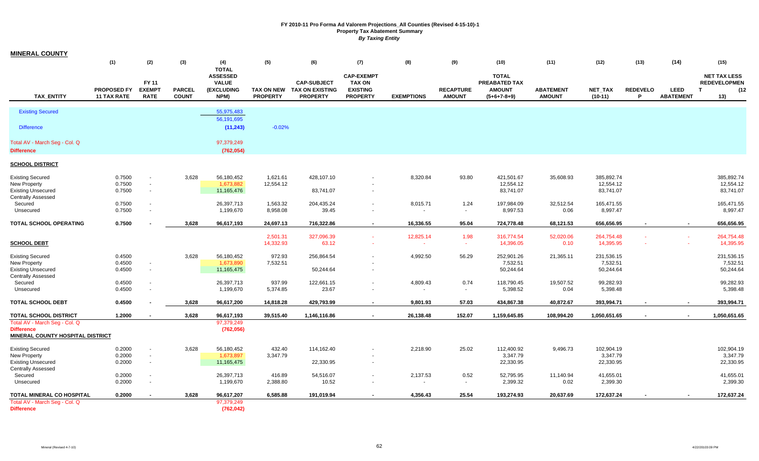| <b>MINERAL COUNTY</b>                                         |                    |                |               |                                 |                 |                            |                                    |                   |                  |                               |                  |                |                 |                  |                                            |
|---------------------------------------------------------------|--------------------|----------------|---------------|---------------------------------|-----------------|----------------------------|------------------------------------|-------------------|------------------|-------------------------------|------------------|----------------|-----------------|------------------|--------------------------------------------|
|                                                               | (1)                | (2)            | (3)           | (4)                             | (5)             | (6)                        | (7)                                | (8)               | (9)              | (10)                          | (11)             | (12)           | (13)            | (14)             | (15)                                       |
|                                                               |                    |                |               | <b>TOTAL</b><br><b>ASSESSED</b> |                 |                            |                                    |                   |                  |                               |                  |                |                 |                  |                                            |
|                                                               |                    | <b>FY 11</b>   |               | <b>VALUE</b>                    |                 | <b>CAP-SUBJECT</b>         | <b>CAP-EXEMPT</b><br><b>TAX ON</b> |                   |                  | <b>TOTAL</b><br>PREABATED TAX |                  |                |                 |                  | <b>NET TAX LESS</b><br><b>REDEVELOPMEN</b> |
|                                                               | <b>PROPOSED FY</b> | <b>EXEMPT</b>  | <b>PARCEL</b> | <b>(EXCLUDING</b>               |                 | TAX ON NEW TAX ON EXISTING | <b>EXISTING</b>                    |                   | <b>RECAPTURE</b> | <b>AMOUNT</b>                 | <b>ABATEMENT</b> | <b>NET TAX</b> | <b>REDEVELO</b> | <b>LEED</b>      | (12)<br>$\mathbf{T}$                       |
| <b>TAX ENTITY</b>                                             | <b>11 TAX RATE</b> | <b>RATE</b>    | <b>COUNT</b>  | NPM)                            | <b>PROPERTY</b> | <b>PROPERTY</b>            | <b>PROPERTY</b>                    | <b>EXEMPTIONS</b> | <b>AMOUNT</b>    | $(5+6+7-8+9)$                 | <b>AMOUNT</b>    | $(10-11)$      | P               | <b>ABATEMENT</b> | 13)                                        |
|                                                               |                    |                |               |                                 |                 |                            |                                    |                   |                  |                               |                  |                |                 |                  |                                            |
| <b>Existing Secured</b>                                       |                    |                |               | 55,975,483                      |                 |                            |                                    |                   |                  |                               |                  |                |                 |                  |                                            |
|                                                               |                    |                |               | 56,191,695                      |                 |                            |                                    |                   |                  |                               |                  |                |                 |                  |                                            |
| <b>Difference</b>                                             |                    |                |               | (11, 243)                       | $-0.02%$        |                            |                                    |                   |                  |                               |                  |                |                 |                  |                                            |
| Total AV - March Seg - Col. Q                                 |                    |                |               | 97,379,249                      |                 |                            |                                    |                   |                  |                               |                  |                |                 |                  |                                            |
| <b>Difference</b>                                             |                    |                |               | (762, 054)                      |                 |                            |                                    |                   |                  |                               |                  |                |                 |                  |                                            |
|                                                               |                    |                |               |                                 |                 |                            |                                    |                   |                  |                               |                  |                |                 |                  |                                            |
| <b>SCHOOL DISTRICT</b>                                        |                    |                |               |                                 |                 |                            |                                    |                   |                  |                               |                  |                |                 |                  |                                            |
| <b>Existing Secured</b>                                       | 0.7500             |                | 3,628         | 56,180,452                      | 1,621.61        | 428,107.10                 |                                    | 8,320.84          | 93.80            | 421,501.67                    | 35,608.93        | 385,892.74     |                 |                  | 385,892.74                                 |
| New Property                                                  | 0.7500             | $\sim$         |               | 1,673,882                       | 12,554.12       |                            |                                    |                   |                  | 12,554.12                     |                  | 12,554.12      |                 |                  | 12,554.12                                  |
| <b>Existing Unsecured</b>                                     | 0.7500             | $\sim$         |               | 11,165,476                      |                 | 83,741.07                  |                                    |                   |                  | 83,741.07                     |                  | 83,741.07      |                 |                  | 83,741.07                                  |
| <b>Centrally Assessed</b>                                     |                    |                |               |                                 |                 |                            |                                    |                   |                  |                               |                  |                |                 |                  |                                            |
| Secured                                                       | 0.7500             |                |               | 26,397,713                      | 1,563.32        | 204,435.24                 |                                    | 8,015.71          | 1.24             | 197,984.09                    | 32,512.54        | 165,471.55     |                 |                  | 165,471.55                                 |
| Unsecured                                                     | 0.7500             |                |               | 1,199,670                       | 8,958.08        | 39.45                      |                                    |                   | $\blacksquare$   | 8,997.53                      | 0.06             | 8,997.47       |                 |                  | 8,997.47                                   |
| TOTAL SCHOOL OPERATING                                        | 0.7500             |                | 3,628         | 96,617,193                      | 24,697.13       | 716,322.86                 |                                    | 16,336.55         | 95.04            | 724,778.48                    | 68,121.53        | 656,656.95     |                 |                  | 656,656.95                                 |
|                                                               |                    |                |               |                                 | 2,501.31        | 327,096.39                 |                                    | 12,825.14         | 1.98             | 316,774.54                    | 52,020.06        | 264,754.48     |                 |                  | 264,754.48                                 |
| <b>SCHOOL DEBT</b>                                            |                    |                |               |                                 | 14,332.93       | 63.12                      |                                    |                   | $\sim$           | 14,396.05                     | 0.10             | 14,395.95      |                 |                  | 14,395.95                                  |
| <b>Existing Secured</b>                                       | 0.4500             |                | 3,628         | 56,180,452                      | 972.93          | 256,864.54                 |                                    | 4,992.50          | 56.29            | 252,901.26                    | 21,365.11        | 231,536.15     |                 |                  | 231,536.15                                 |
| New Property                                                  | 0.4500             | $\sim$         |               | 1,673,890                       | 7,532.51        |                            |                                    |                   |                  | 7,532.51                      |                  | 7,532.51       |                 |                  | 7,532.51                                   |
| <b>Existing Unsecured</b>                                     | 0.4500             | $\sim$         |               | 11,165,475                      |                 | 50,244.64                  |                                    |                   |                  | 50,244.64                     |                  | 50,244.64      |                 |                  | 50,244.64                                  |
| <b>Centrally Assessed</b>                                     |                    |                |               |                                 |                 |                            |                                    |                   |                  |                               |                  |                |                 |                  |                                            |
| Secured                                                       | 0.4500             |                |               | 26,397,713                      | 937.99          | 122,661.15                 |                                    | 4,809.43          | 0.74             | 118,790.45                    | 19,507.52        | 99,282.93      |                 |                  | 99,282.93                                  |
| Unsecured                                                     | 0.4500             | $\sim$         |               | 1,199,670                       | 5,374.85        | 23.67                      | $\sim$                             |                   | $\blacksquare$   | 5,398.52                      | 0.04             | 5,398.48       |                 |                  | 5,398.48                                   |
| <b>TOTAL SCHOOL DEBT</b>                                      | 0.4500             |                | 3,628         | 96,617,200                      | 14,818.28       | 429,793.99                 |                                    | 9,801.93          | 57.03            | 434,867.38                    | 40,872.67        | 393,994.71     |                 |                  | 393,994.71                                 |
|                                                               | 1.2000             | $\blacksquare$ | 3,628         | 96,617,193                      | 39,515.40       | 1,146,116.86               |                                    | 26,138.48         | 152.07           | 1,159,645.85                  | 108,994.20       | 1,050,651.65   |                 |                  | 1,050,651.65                               |
| <b>TOTAL SCHOOL DISTRICT</b><br>Total AV - March Seg - Col. Q |                    |                |               | 97,379,249                      |                 |                            |                                    |                   |                  |                               |                  |                |                 |                  |                                            |
| <b>Difference</b>                                             |                    |                |               | (762,056)                       |                 |                            |                                    |                   |                  |                               |                  |                |                 |                  |                                            |
| <b>MINERAL COUNTY HOSPITAL DISTRICT</b>                       |                    |                |               |                                 |                 |                            |                                    |                   |                  |                               |                  |                |                 |                  |                                            |
| <b>Existing Secured</b>                                       | 0.2000             |                | 3,628         | 56,180,452                      | 432.40          | 114,162.40                 |                                    | 2,218.90          | 25.02            | 112,400.92                    | 9,496.73         | 102,904.19     |                 |                  | 102,904.19                                 |
| New Property                                                  | 0.2000             | $\sim$         |               | 1,673,897                       | 3,347.79        |                            |                                    |                   |                  | 3,347.79                      |                  | 3,347.79       |                 |                  | 3,347.79                                   |
| <b>Existing Unsecured</b>                                     | 0.2000             | $\sim$         |               | 11,165,475                      |                 | 22,330.95                  |                                    |                   |                  | 22,330.95                     |                  | 22,330.95      |                 |                  | 22,330.95                                  |
| <b>Centrally Assessed</b>                                     |                    |                |               |                                 |                 |                            |                                    |                   |                  |                               |                  |                |                 |                  |                                            |
| Secured                                                       | 0.2000             | $\sim$         |               | 26,397,713                      | 416.89          | 54,516.07                  | $\sim$                             | 2,137.53          | 0.52             | 52,795.95                     | 11,140.94        | 41,655.01      |                 |                  | 41,655.01                                  |
| Unsecured                                                     | 0.2000             |                |               | 1,199,670                       | 2,388.80        | 10.52                      |                                    | $\sim$            | $\sim$           | 2,399.32                      | 0.02             | 2,399.30       |                 |                  | 2,399.30                                   |
| TOTAL MINERAL CO HOSPITAL                                     | 0.2000             |                | 3,628         | 96,617,207                      | 6,585.88        | 191,019.94                 |                                    | 4,356.43          | 25.54            | 193,274.93                    | 20,637.69        | 172,637.24     |                 |                  | 172,637.24                                 |
| Total AV - March Seg - Col. Q                                 |                    |                |               | 97,379,249                      |                 |                            |                                    |                   |                  |                               |                  |                |                 |                  |                                            |
| <b>Difference</b>                                             |                    |                |               | (762, 042)                      |                 |                            |                                    |                   |                  |                               |                  |                |                 |                  |                                            |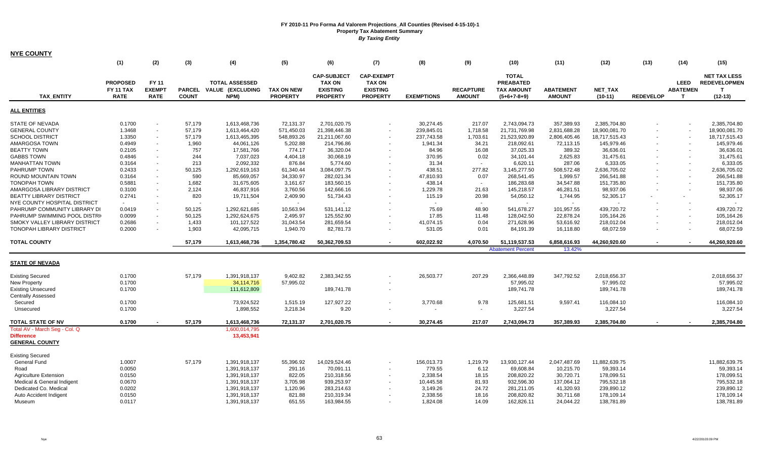| <b>NYE COUNTY</b>                                                                                                                                                                                                                                                                                                                                                                                                                                                      |                                                                                                                                                                        |                                       |                                                                                                                                          |                                                                                                                                                                                                                                               |                                                                                                                                                                                                             |                                                                                                                                                                                                                                            |                                                                          |                                                                                                                                                                                         |                                                                                                                                                              |                                                                                                                                                                                                                                            |                                                                                                                                                                                                                        |                                                                                                                                                                                                                                           |                          |                                                |                                                                                                                                                                                                                                           |
|------------------------------------------------------------------------------------------------------------------------------------------------------------------------------------------------------------------------------------------------------------------------------------------------------------------------------------------------------------------------------------------------------------------------------------------------------------------------|------------------------------------------------------------------------------------------------------------------------------------------------------------------------|---------------------------------------|------------------------------------------------------------------------------------------------------------------------------------------|-----------------------------------------------------------------------------------------------------------------------------------------------------------------------------------------------------------------------------------------------|-------------------------------------------------------------------------------------------------------------------------------------------------------------------------------------------------------------|--------------------------------------------------------------------------------------------------------------------------------------------------------------------------------------------------------------------------------------------|--------------------------------------------------------------------------|-----------------------------------------------------------------------------------------------------------------------------------------------------------------------------------------|--------------------------------------------------------------------------------------------------------------------------------------------------------------|--------------------------------------------------------------------------------------------------------------------------------------------------------------------------------------------------------------------------------------------|------------------------------------------------------------------------------------------------------------------------------------------------------------------------------------------------------------------------|-------------------------------------------------------------------------------------------------------------------------------------------------------------------------------------------------------------------------------------------|--------------------------|------------------------------------------------|-------------------------------------------------------------------------------------------------------------------------------------------------------------------------------------------------------------------------------------------|
|                                                                                                                                                                                                                                                                                                                                                                                                                                                                        | (1)                                                                                                                                                                    | (2)                                   | (3)                                                                                                                                      | (4)                                                                                                                                                                                                                                           | (5)                                                                                                                                                                                                         | (6)                                                                                                                                                                                                                                        | (7)                                                                      | (8)                                                                                                                                                                                     | (9)                                                                                                                                                          | (10)                                                                                                                                                                                                                                       | (11)                                                                                                                                                                                                                   | (12)                                                                                                                                                                                                                                      | (13)                     | (14)                                           | (15)                                                                                                                                                                                                                                      |
| <b>TAX ENTITY</b>                                                                                                                                                                                                                                                                                                                                                                                                                                                      | <b>PROPOSED</b><br>FY 11 TAX<br><b>RATE</b>                                                                                                                            | FY 11<br><b>EXEMPT</b><br><b>RATE</b> | <b>PARCEL</b><br><b>COUNT</b>                                                                                                            | <b>TOTAL ASSESSED</b><br><b>VALUE (EXCLUDING</b><br>NPM)                                                                                                                                                                                      | <b>TAX ON NEW</b><br><b>PROPERTY</b>                                                                                                                                                                        | <b>CAP-SUBJECT</b><br><b>TAX ON</b><br><b>EXISTING</b><br><b>PROPERTY</b>                                                                                                                                                                  | <b>CAP-EXEMPT</b><br><b>TAX ON</b><br><b>EXISTING</b><br><b>PROPERTY</b> | <b>EXEMPTIONS</b>                                                                                                                                                                       | <b>RECAPTURE</b><br><b>AMOUNT</b>                                                                                                                            | <b>TOTAL</b><br><b>PREABATED</b><br><b>TAX AMOUNT</b><br>$(5+6+7-8+9)$                                                                                                                                                                     | <b>ABATEMENT</b><br><b>AMOUNT</b>                                                                                                                                                                                      | <b>NET TAX</b><br>$(10-11)$                                                                                                                                                                                                               | <b>REDEVELOP</b>         | <b>LEED</b><br><b>ABATEMEN</b><br>$\mathbf{T}$ | <b>NET TAX LESS</b><br><b>REDEVELOPMEN</b><br>т<br>$(12-13)$                                                                                                                                                                              |
| <b>ALL ENTITIES</b>                                                                                                                                                                                                                                                                                                                                                                                                                                                    |                                                                                                                                                                        |                                       |                                                                                                                                          |                                                                                                                                                                                                                                               |                                                                                                                                                                                                             |                                                                                                                                                                                                                                            |                                                                          |                                                                                                                                                                                         |                                                                                                                                                              |                                                                                                                                                                                                                                            |                                                                                                                                                                                                                        |                                                                                                                                                                                                                                           |                          |                                                |                                                                                                                                                                                                                                           |
| <b>STATE OF NEVADA</b><br><b>GENERAL COUNTY</b><br><b>SCHOOL DISTRICT</b><br>AMARGOSA TOWN<br><b>BEATTY TOWN</b><br><b>GABBS TOWN</b><br><b>MANHATTAN TOWN</b><br>PAHRUMP TOWN<br>ROUND MOUNTAIN TOWN<br><b>TONOPAH TOWN</b><br>AMARGOSA LIBRARY DISTRICT<br><b>BEATTY LIBRARY DISTRICT</b><br>NYE COUNTY HOSPITAL DISTRICT<br>PAHRUMP COMMUNITY LIBRARY DI<br>PAHRUMP SWIMMING POOL DISTRI<br><b>SMOKY VALLEY LIBRARY DISTRICT</b><br><b>TONOPAH LIBRARY DISTRICT</b> | 0.1700<br>1.3468<br>1.3350<br>0.4949<br>0.2105<br>0.4846<br>0.3164<br>0.2433<br>0.3164<br>0.5881<br>0.3100<br>0.2741<br>$\sim$<br>0.0419<br>0.0099<br>0.2686<br>0.2000 | $\sim$<br>$\sim$<br>$\sim$            | 57.179<br>57,179<br>57,179<br>1,960<br>757<br>244<br>213<br>50,125<br>590<br>1,682<br>2,124<br>820<br>50,125<br>50,125<br>1,433<br>1,903 | 1,613,468,736<br>1,613,464,420<br>1,613,465,395<br>44,061,126<br>17,581,766<br>7,037,023<br>2,092,332<br>1,292,619,163<br>85,669,057<br>31,675,605<br>46,837,916<br>19,711,504<br>1,292,621,685<br>1,292,624,675<br>101,127,522<br>42,095,715 | 72.131.37<br>571,450.03<br>548,893.26<br>5,202.88<br>774.17<br>4,404.18<br>876.84<br>61,340.44<br>34,330.97<br>3,161.67<br>3,760.56<br>2,409.90<br>$\sim$<br>10,563.94<br>2,495.97<br>31,043.54<br>1,940.70 | 2,701,020.75<br>21,398,446.38<br>21,211,067.60<br>214,796.86<br>36,320.04<br>30,068.19<br>5,774.60<br>3,084,097.75<br>282,021.34<br>183,560.15<br>142,666.16<br>51,734.43<br>$\sim$<br>531,141.12<br>125,552.90<br>281,659.54<br>82,781.73 |                                                                          | 30.274.45<br>239,845.01<br>237,743.58<br>1,941.34<br>84.96<br>370.95<br>31.34<br>438.51<br>47,810.93<br>438.14<br>1,229.78<br>115.19<br>$\sim$<br>75.69<br>17.85<br>41,074.15<br>531.05 | 217.07<br>1,718.58<br>1,703.61<br>34.21<br>16.08<br>0.02<br>$\sim$<br>277.82<br>0.07<br>$\sim$<br>21.63<br>20.98<br>$\sim$<br>48.90<br>11.48<br>0.04<br>0.01 | 2,743,094.73<br>21,731,769.98<br>21,523,920.89<br>218,092.61<br>37,025.33<br>34,101.44<br>6,620.11<br>3,145,277.50<br>268,541.45<br>186,283.68<br>145,218.57<br>54,050.12<br>$\sim$<br>541,678.27<br>128,042.50<br>271,628.96<br>84,191.39 | 357,389.93<br>2,831,688.28<br>2,806,405.46<br>72,113.15<br>389.32<br>2,625.83<br>287.06<br>508,572.48<br>1,999.57<br>34,547.88<br>46,281.51<br>1,744.95<br>$\sim$<br>101,957.55<br>22,878.24<br>53,616.92<br>16,118.80 | 2,385,704.80<br>18,900,081.70<br>18,717,515.43<br>145,979.46<br>36,636.01<br>31,475.61<br>6,333.05<br>2,636,705.02<br>266,541.88<br>151,735.80<br>98,937.06<br>52,305.17<br>$\sim$<br>439,720.72<br>105,164.26<br>218,012.04<br>68,072.59 |                          |                                                | 2.385.704.80<br>18,900,081.70<br>18,717,515.43<br>145,979.46<br>36,636.01<br>31,475.61<br>6,333.05<br>2,636,705.02<br>266,541.88<br>151,735.80<br>98,937.06<br>52,305.17<br>$\sim$<br>439,720.72<br>105,164.26<br>218,012.04<br>68,072.59 |
| <b>TOTAL COUNTY</b>                                                                                                                                                                                                                                                                                                                                                                                                                                                    |                                                                                                                                                                        |                                       | 57,179                                                                                                                                   | 1,613,468,736                                                                                                                                                                                                                                 | 1,354,780.42                                                                                                                                                                                                | 50,362,709.53                                                                                                                                                                                                                              | $\sim$                                                                   | 602,022.92                                                                                                                                                                              | 4,070.50                                                                                                                                                     | 51,119,537.53                                                                                                                                                                                                                              | 6,858,616.93                                                                                                                                                                                                           | 44,260,920.60                                                                                                                                                                                                                             |                          |                                                | 44,260,920.60                                                                                                                                                                                                                             |
|                                                                                                                                                                                                                                                                                                                                                                                                                                                                        |                                                                                                                                                                        |                                       |                                                                                                                                          |                                                                                                                                                                                                                                               |                                                                                                                                                                                                             |                                                                                                                                                                                                                                            |                                                                          |                                                                                                                                                                                         |                                                                                                                                                              | <b>Abatement Percent</b>                                                                                                                                                                                                                   | 13.42%                                                                                                                                                                                                                 |                                                                                                                                                                                                                                           |                          |                                                |                                                                                                                                                                                                                                           |
| <b>STATE OF NEVADA</b>                                                                                                                                                                                                                                                                                                                                                                                                                                                 |                                                                                                                                                                        |                                       |                                                                                                                                          |                                                                                                                                                                                                                                               |                                                                                                                                                                                                             |                                                                                                                                                                                                                                            |                                                                          |                                                                                                                                                                                         |                                                                                                                                                              |                                                                                                                                                                                                                                            |                                                                                                                                                                                                                        |                                                                                                                                                                                                                                           |                          |                                                |                                                                                                                                                                                                                                           |
| <b>Existing Secured</b><br><b>New Property</b><br><b>Existing Unsecured</b><br><b>Centrally Assessed</b><br>Secured<br>Unsecured                                                                                                                                                                                                                                                                                                                                       | 0.1700<br>0.1700<br>0.1700<br>0.1700<br>0.1700                                                                                                                         |                                       | 57,179                                                                                                                                   | 1,391,918,137<br>34,114,716<br>111,612,809<br>73,924,522<br>1,898,552                                                                                                                                                                         | 9,402.82<br>57,995.02<br>1,515.19<br>3,218.34                                                                                                                                                               | 2,383,342.55<br>189,741.78<br>127,927.22<br>9.20                                                                                                                                                                                           |                                                                          | 26,503.77<br>3,770.68                                                                                                                                                                   | 207.29<br>9.78<br>$\blacksquare$                                                                                                                             | 2,366,448.89<br>57,995.02<br>189,741.78<br>125,681.51<br>3,227.54                                                                                                                                                                          | 347,792.52<br>9,597.41                                                                                                                                                                                                 | 2,018,656.37<br>57,995.02<br>189,741.78<br>116,084.10<br>3,227.54                                                                                                                                                                         |                          |                                                | 2,018,656.37<br>57,995.02<br>189,741.78<br>116,084.10<br>3,227.54                                                                                                                                                                         |
| <b>TOTAL STATE OF NV</b>                                                                                                                                                                                                                                                                                                                                                                                                                                               | 0.1700                                                                                                                                                                 |                                       | 57,179                                                                                                                                   | 1,613,468,736                                                                                                                                                                                                                                 | 72,131.37                                                                                                                                                                                                   | 2,701,020.75                                                                                                                                                                                                                               | $\overline{\phantom{a}}$                                                 | 30,274.45                                                                                                                                                                               | 217.07                                                                                                                                                       | 2,743,094.73                                                                                                                                                                                                                               | 357,389.93                                                                                                                                                                                                             | 2,385,704.80                                                                                                                                                                                                                              | $\overline{\phantom{a}}$ |                                                | 2,385,704.80                                                                                                                                                                                                                              |
| Total AV - March Seg - Col. Q<br><b>Difference</b><br><b>GENERAL COUNTY</b>                                                                                                                                                                                                                                                                                                                                                                                            |                                                                                                                                                                        |                                       |                                                                                                                                          | 1,600,014,795<br>13,453,941                                                                                                                                                                                                                   |                                                                                                                                                                                                             |                                                                                                                                                                                                                                            |                                                                          |                                                                                                                                                                                         |                                                                                                                                                              |                                                                                                                                                                                                                                            |                                                                                                                                                                                                                        |                                                                                                                                                                                                                                           |                          |                                                |                                                                                                                                                                                                                                           |
| <b>Existing Secured</b><br>General Fund<br>Road<br><b>Agriculture Extension</b><br>Medical & General Indigent<br>Dedicated Co. Medical<br>Auto Accident Indigent<br>Museum                                                                                                                                                                                                                                                                                             | 1.0007<br>0.0050<br>0.0150<br>0.0670<br>0.0202<br>0.0150<br>0.0117                                                                                                     |                                       | 57,179                                                                                                                                   | 1,391,918,137<br>1,391,918,137<br>1,391,918,137<br>1,391,918,137<br>1,391,918,137<br>1,391,918,137<br>1,391,918,137                                                                                                                           | 55,396.92<br>291.16<br>822.05<br>3,705.98<br>1,120.96<br>821.88<br>651.55                                                                                                                                   | 14,029,524.46<br>70,091.11<br>210,318.56<br>939,253.97<br>283,214.63<br>210,319.34<br>163,984.55                                                                                                                                           |                                                                          | 156,013.73<br>779.55<br>2,338.54<br>10,445.58<br>3,149.26<br>2,338.56<br>1,824.08                                                                                                       | 1,219.79<br>6.12<br>18.15<br>81.93<br>24.72<br>18.16<br>14.09                                                                                                | 13,930,127.44<br>69,608.84<br>208,820.22<br>932,596.30<br>281,211.05<br>208,820.82<br>162,826.11                                                                                                                                           | 2,047,487.69<br>10,215.70<br>30,720.71<br>137,064.12<br>41,320.93<br>30,711.68<br>24,044.22                                                                                                                            | 11,882,639.75<br>59,393.14<br>178,099.51<br>795,532.18<br>239,890.12<br>178,109.14<br>138,781.89                                                                                                                                          |                          |                                                | 11,882,639.75<br>59,393.14<br>178,099.51<br>795,532.18<br>239,890.12<br>178,109.14<br>138,781.89                                                                                                                                          |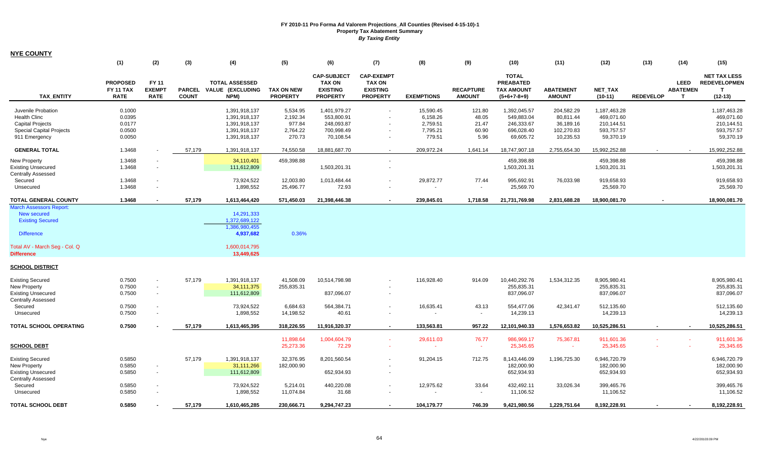| <b>NYE COUNTY</b>               |                                             |                                       |                               |                                                   |                                      |                                                                           |                                                                          |                   |                                   |                                                                        |                                   |                             |                  |                                                |                                                         |
|---------------------------------|---------------------------------------------|---------------------------------------|-------------------------------|---------------------------------------------------|--------------------------------------|---------------------------------------------------------------------------|--------------------------------------------------------------------------|-------------------|-----------------------------------|------------------------------------------------------------------------|-----------------------------------|-----------------------------|------------------|------------------------------------------------|---------------------------------------------------------|
|                                 | (1)                                         | (2)                                   | (3)                           | (4)                                               | (5)                                  | (6)                                                                       | (7)                                                                      | (8)               | (9)                               | (10)                                                                   | (11)                              | (12)                        | (13)             | (14)                                           | (15)                                                    |
| <b>TAX ENTITY</b>               | <b>PROPOSED</b><br>FY 11 TAX<br><b>RATE</b> | FY 11<br><b>EXEMPT</b><br><b>RATE</b> | <b>PARCEL</b><br><b>COUNT</b> | <b>TOTAL ASSESSED</b><br>VALUE (EXCLUDING<br>NPM) | <b>TAX ON NEW</b><br><b>PROPERTY</b> | <b>CAP-SUBJECT</b><br><b>TAX ON</b><br><b>EXISTING</b><br><b>PROPERTY</b> | <b>CAP-EXEMPT</b><br><b>TAX ON</b><br><b>EXISTING</b><br><b>PROPERTY</b> | <b>EXEMPTIONS</b> | <b>RECAPTURE</b><br><b>AMOUNT</b> | <b>TOTAL</b><br><b>PREABATED</b><br><b>TAX AMOUNT</b><br>$(5+6+7-8+9)$ | <b>ABATEMENT</b><br><b>AMOUNT</b> | <b>NET TAX</b><br>$(10-11)$ | <b>REDEVELOP</b> | <b>LEED</b><br><b>ABATEMEN</b><br>$\mathbf{T}$ | <b>NET TAX LESS</b><br><b>REDEVELOPMEN</b><br>$(12-13)$ |
| Juvenile Probation              | 0.1000                                      |                                       |                               | 1,391,918,137                                     | 5,534.95                             | 1,401,979.27                                                              |                                                                          | 15,590.45         | 121.80                            | 1,392,045.57                                                           | 204,582.29                        | 1,187,463.28                |                  |                                                | 1,187,463.28                                            |
| <b>Health Clinc</b>             | 0.0395                                      |                                       |                               | 1,391,918,137                                     | 2,192.34                             | 553,800.91                                                                |                                                                          | 6,158.26          | 48.05                             | 549,883.04                                                             | 80,811.44                         | 469,071.60                  |                  |                                                | 469,071.60                                              |
| <b>Capital Projects</b>         | 0.0177                                      |                                       |                               | 1,391,918,137                                     | 977.84                               | 248,093.87                                                                |                                                                          | 2,759.51          | 21.47                             | 246,333.67                                                             | 36,189.16                         | 210,144.51                  |                  |                                                | 210,144.51                                              |
| <b>Special Capital Projects</b> | 0.0500                                      |                                       |                               | 1,391,918,137                                     | 2,764.22                             | 700,998.49                                                                | $\sim$                                                                   | 7,795.21          | 60.90                             | 696,028.40                                                             | 102,270.83                        | 593,757.57                  |                  |                                                | 593,757.57                                              |
| 911 Emergency                   | 0.0050                                      |                                       |                               | 1,391,918,137                                     | 270.73                               | 70,108.54                                                                 | $\blacksquare$                                                           | 779.51            | 5.96                              | 69,605.72                                                              | 10,235.53                         | 59,370.19                   |                  |                                                | 59,370.19                                               |
|                                 |                                             |                                       |                               |                                                   |                                      |                                                                           |                                                                          |                   |                                   |                                                                        |                                   |                             |                  |                                                |                                                         |
| <b>GENERAL TOTAL</b>            | 1.3468                                      |                                       | 57,179                        | 1,391,918,137                                     | 74,550.58                            | 18,881,687.70                                                             | $\sim$                                                                   | 209.972.24        | 1,641.14                          | 18,747,907.18                                                          | 2,755,654.30                      | 15,992,252.88               |                  | $\sim$                                         | 15,992,252.88                                           |
| <b>New Property</b>             | 1.3468                                      |                                       |                               | 34,110,401                                        | 459,398.88                           |                                                                           | $\blacksquare$                                                           |                   |                                   | 459,398.88                                                             |                                   | 459,398.88                  |                  |                                                | 459,398.88                                              |
| <b>Existing Unsecured</b>       | 1.3468                                      |                                       |                               | 111,612,809                                       |                                      | 1,503,201.31                                                              |                                                                          |                   |                                   | 1,503,201.31                                                           |                                   | 1,503,201.31                |                  |                                                | 1,503,201.31                                            |
| <b>Centrally Assessed</b>       |                                             |                                       |                               |                                                   |                                      |                                                                           |                                                                          |                   |                                   |                                                                        |                                   |                             |                  |                                                |                                                         |
| Secured                         | 1.3468                                      |                                       |                               | 73,924,522                                        | 12,003.80                            | 1,013,484.44                                                              |                                                                          | 29,872.77         | 77.44                             | 995,692.91                                                             | 76,033.98                         | 919,658.93                  |                  |                                                | 919,658.93                                              |
| Unsecured                       | 1.3468                                      | $\sim$                                |                               | 1,898,552                                         | 25,496.77                            | 72.93                                                                     | $\blacksquare$                                                           | $\sim$            |                                   | 25,569.70                                                              |                                   | 25,569.70                   |                  |                                                | 25,569.70                                               |
| <b>TOTAL GENERAL COUNTY</b>     | 1.3468                                      |                                       | 57,179                        | 1,613,464,420                                     | 571,450.03                           | 21,398,446.38                                                             |                                                                          | 239,845.01        | 1,718.58                          | 21,731,769.98                                                          | 2,831,688.28                      | 18,900,081.70               |                  |                                                | 18,900,081.70                                           |
| <b>March Assessors Report:</b>  |                                             |                                       |                               |                                                   |                                      |                                                                           |                                                                          |                   |                                   |                                                                        |                                   |                             |                  |                                                |                                                         |
| New secured                     |                                             |                                       |                               | 14.291.333                                        |                                      |                                                                           |                                                                          |                   |                                   |                                                                        |                                   |                             |                  |                                                |                                                         |
| <b>Existing Secured</b>         |                                             |                                       |                               | 1,372,689,122                                     |                                      |                                                                           |                                                                          |                   |                                   |                                                                        |                                   |                             |                  |                                                |                                                         |
| <b>Difference</b>               |                                             |                                       |                               | 1,386,980,455<br>4,937,682                        | 0.36%                                |                                                                           |                                                                          |                   |                                   |                                                                        |                                   |                             |                  |                                                |                                                         |
| Total AV - March Seg - Col. Q   |                                             |                                       |                               | 1,600,014,795                                     |                                      |                                                                           |                                                                          |                   |                                   |                                                                        |                                   |                             |                  |                                                |                                                         |
| <b>Difference</b>               |                                             |                                       |                               | 13,449,625                                        |                                      |                                                                           |                                                                          |                   |                                   |                                                                        |                                   |                             |                  |                                                |                                                         |
| <b>SCHOOL DISTRICT</b>          |                                             |                                       |                               |                                                   |                                      |                                                                           |                                                                          |                   |                                   |                                                                        |                                   |                             |                  |                                                |                                                         |
| <b>Existing Secured</b>         | 0.7500                                      | $\sim$                                | 57,179                        | 1,391,918,137                                     | 41,508.09                            | 10,514,798.98                                                             |                                                                          | 116,928.40        | 914.09                            | 10,440,292.76                                                          | 1,534,312.35                      | 8,905,980.41                |                  |                                                | 8,905,980.41                                            |
| New Property                    | 0.7500                                      | $\sim$                                |                               | 34, 111, 375                                      | 255,835.31                           |                                                                           |                                                                          |                   |                                   | 255,835.31                                                             |                                   | 255,835.31                  |                  |                                                | 255,835.31                                              |
| <b>Existing Unsecured</b>       | 0.7500                                      | $\sim$                                |                               | 111,612,809                                       |                                      | 837,096.07                                                                | $\sim$                                                                   |                   |                                   | 837,096.07                                                             |                                   | 837,096.07                  |                  |                                                | 837,096.07                                              |
| <b>Centrally Assessed</b>       |                                             |                                       |                               |                                                   |                                      |                                                                           |                                                                          |                   |                                   |                                                                        |                                   |                             |                  |                                                |                                                         |
| Secured                         | 0.7500                                      |                                       |                               | 73,924,522                                        | 6,684.63                             | 564,384.71                                                                |                                                                          | 16,635.41         | 43.13                             | 554,477.06                                                             | 42,341.47                         | 512,135.60                  |                  |                                                | 512,135.60                                              |
| Unsecured                       | 0.7500                                      |                                       |                               | 1,898,552                                         | 14,198.52                            | 40.61                                                                     |                                                                          | $\sim$            |                                   | 14,239.13                                                              |                                   | 14,239.13                   |                  |                                                | 14,239.13                                               |
| <b>TOTAL SCHOOL OPERATING</b>   | 0.7500                                      |                                       | 57,179                        | 1,613,465,395                                     | 318.226.55                           | 11,916,320.37                                                             | $\blacksquare$                                                           | 133,563,81        | 957.22                            | 12,101,940.33                                                          | 1.576.653.82                      | 10,525,286.51               |                  | $\blacksquare$                                 | 10.525.286.51                                           |
|                                 |                                             |                                       |                               |                                                   | 11,898.64                            | 1,004,604.79                                                              |                                                                          | 29,611.03         | 76.77                             | 986,969.17                                                             | 75,367.81                         | 911,601.36                  |                  |                                                | 911,601.36                                              |
| <b>SCHOOL DEBT</b>              |                                             |                                       |                               |                                                   | 25,273.36                            | 72.29                                                                     |                                                                          | $\sim$            | $\sim$                            | 25,345.65                                                              | $\sim$                            | 25,345.65                   |                  |                                                | 25,345.65                                               |
| <b>Existing Secured</b>         | 0.5850                                      |                                       | 57,179                        | 1,391,918,137                                     | 32,376.95                            | 8,201,560.54                                                              | $\sim$                                                                   | 91,204.15         | 712.75                            | 8,143,446.09                                                           | 1,196,725.30                      | 6,946,720.79                |                  |                                                | 6,946,720.79                                            |
| <b>New Property</b>             | 0.5850                                      |                                       |                               | 31,111,266                                        | 182,000.90                           |                                                                           |                                                                          |                   |                                   | 182,000.90                                                             |                                   | 182,000.90                  |                  |                                                | 182,000.90                                              |
| <b>Existing Unsecured</b>       | 0.5850                                      | $\sim$                                |                               | 111,612,809                                       |                                      | 652,934.93                                                                |                                                                          |                   |                                   | 652,934.93                                                             |                                   | 652,934.93                  |                  |                                                | 652,934.93                                              |
| <b>Centrally Assessed</b>       |                                             |                                       |                               |                                                   |                                      |                                                                           |                                                                          |                   |                                   |                                                                        |                                   |                             |                  |                                                |                                                         |
| Secured                         | 0.5850                                      |                                       |                               | 73,924,522                                        | 5,214.01                             | 440,220.08                                                                |                                                                          | 12,975.62         | 33.64                             | 432,492.11                                                             | 33,026.34                         | 399,465.76                  |                  |                                                | 399,465.76                                              |
| Unsecured                       | 0.5850                                      |                                       |                               | 1,898,552                                         | 11,074.84                            | 31.68                                                                     |                                                                          |                   | $\blacksquare$                    | 11,106.52                                                              |                                   | 11,106.52                   |                  |                                                | 11,106.52                                               |
| <b>TOTAL SCHOOL DEBT</b>        | 0.5850                                      |                                       | 57.179                        | 1,610,465,285                                     | 230.666.71                           | 9,294,747.23                                                              |                                                                          | 104.179.77        | 746.39                            | 9.421.980.56                                                           | 1,229,751.64                      | 8,192,228.91                |                  |                                                | 8,192,228.91                                            |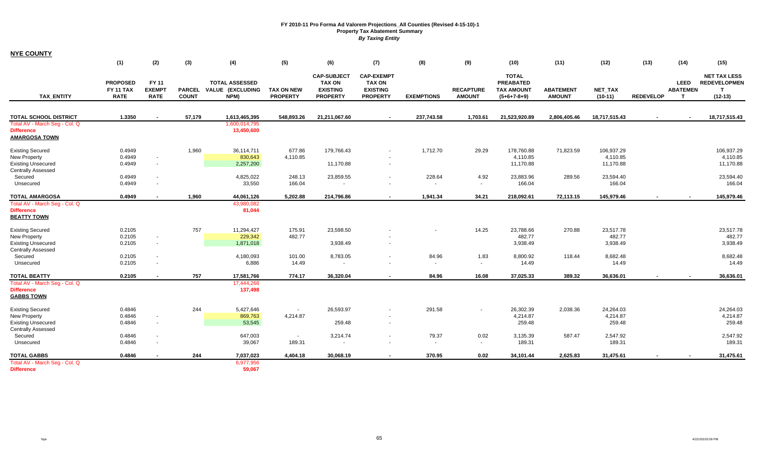| <b>NYE COUNTY</b>                                                           |                                                    |                                       |                               |                                                          |                                      |                                                                           |                                                                          |                         |                                   |                                                                        |                                   |                                     |                  |                                               |                                                         |
|-----------------------------------------------------------------------------|----------------------------------------------------|---------------------------------------|-------------------------------|----------------------------------------------------------|--------------------------------------|---------------------------------------------------------------------------|--------------------------------------------------------------------------|-------------------------|-----------------------------------|------------------------------------------------------------------------|-----------------------------------|-------------------------------------|------------------|-----------------------------------------------|---------------------------------------------------------|
|                                                                             | (1)                                                | (2)                                   | (3)                           | (4)                                                      | (5)                                  | (6)                                                                       | (7)                                                                      | (8)                     | (9)                               | (10)                                                                   | (11)                              | (12)                                | (13)             | (14)                                          | (15)                                                    |
| <b>TAX ENTITY</b>                                                           | <b>PROPOSED</b><br><b>FY 11 TAX</b><br><b>RATE</b> | FY 11<br><b>EXEMPT</b><br><b>RATE</b> | <b>PARCEL</b><br><b>COUNT</b> | <b>TOTAL ASSESSED</b><br><b>VALUE (EXCLUDING</b><br>NPM) | <b>TAX ON NEW</b><br><b>PROPERTY</b> | <b>CAP-SUBJECT</b><br><b>TAX ON</b><br><b>EXISTING</b><br><b>PROPERTY</b> | <b>CAP-EXEMPT</b><br><b>TAX ON</b><br><b>EXISTING</b><br><b>PROPERTY</b> | <b>EXEMPTIONS</b>       | <b>RECAPTURE</b><br><b>AMOUNT</b> | <b>TOTAL</b><br><b>PREABATED</b><br><b>TAX AMOUNT</b><br>$(5+6+7-8+9)$ | <b>ABATEMENT</b><br><b>AMOUNT</b> | <b>NET TAX</b><br>$(10-11)$         | <b>REDEVELOP</b> | <b>LEED</b><br><b>ABATEMEN</b><br>$\mathbf T$ | <b>NET TAX LESS</b><br><b>REDEVELOPMEN</b><br>$(12-13)$ |
| <b>TOTAL SCHOOL DISTRICT</b>                                                | 1.3350                                             |                                       | 57,179                        | 1,613,465,395                                            | 548,893.26                           | 21,211,067.60                                                             |                                                                          | 237,743.58              | 1,703.61                          | 21,523,920.89                                                          | 2,806,405.46                      | 18,717,515.43                       |                  |                                               | 18,717,515.43                                           |
| Total AV - March Seg - Col. Q<br><b>Difference</b><br><b>AMARGOSA TOWN</b>  |                                                    |                                       |                               | 1,600,014,795<br>13,450,600                              |                                      |                                                                           |                                                                          |                         |                                   |                                                                        |                                   |                                     |                  |                                               |                                                         |
| <b>Existing Secured</b><br>New Property<br><b>Existing Unsecured</b>        | 0.4949<br>0.4949<br>0.4949                         | $\sim$<br>$\sim$                      | 1,960                         | 36,114,711<br>830,643<br>2,257,200                       | 677.86<br>4,110.85                   | 179,766.43<br>11,170.88                                                   | $\sim$<br>$\sim$                                                         | 1,712.70                | 29.29                             | 178,760.88<br>4,110.85<br>11,170.88                                    | 71,823.59                         | 106,937.29<br>4,110.85<br>11,170.88 |                  |                                               | 106,937.29<br>4,110.85<br>11,170.88                     |
| <b>Centrally Assessed</b><br>Secured<br>Unsecured                           | 0.4949<br>0.4949                                   | $\sim$<br>$\sim$                      |                               | 4,825,022<br>33,550                                      | 248.13<br>166.04                     | 23,859.55<br>$\sim$                                                       |                                                                          | 228.64<br>$\sim$        | 4.92<br>$\sim$                    | 23,883.96<br>166.04                                                    | 289.56                            | 23,594.40<br>166.04                 |                  |                                               | 23,594.40<br>166.04                                     |
| <b>TOTAL AMARGOSA</b>                                                       | 0.4949                                             |                                       | 1,960                         | 44,061,126                                               | 5,202.88                             | 214,796.86                                                                |                                                                          | 1,941.34                | 34.21                             | 218,092.61                                                             | 72,113.15                         | 145,979.46                          |                  |                                               | 145,979.46                                              |
| Total AV - March Seg - Col. Q<br><b>Difference</b><br><b>BEATTY TOWN</b>    |                                                    |                                       |                               | 43,980,082<br>81,044                                     |                                      |                                                                           |                                                                          |                         |                                   |                                                                        |                                   |                                     |                  |                                               |                                                         |
| <b>Existing Secured</b><br>New Property                                     | 0.2105<br>0.2105                                   | $\sim$                                | 757                           | 11,294,427<br>229,342                                    | 175.91<br>482.77                     | 23,598.50                                                                 |                                                                          |                         | 14.25                             | 23,788.66<br>482.77                                                    | 270.88                            | 23,517.78<br>482.77                 |                  |                                               | 23,517.78<br>482.77                                     |
| <b>Existing Unsecured</b><br><b>Centrally Assessed</b>                      | 0.2105                                             | $\sim$                                |                               | 1,871,018                                                |                                      | 3,938.49                                                                  |                                                                          |                         |                                   | 3,938.49                                                               |                                   | 3,938.49                            |                  |                                               | 3,938.49                                                |
| Secured<br>Unsecured                                                        | 0.2105<br>0.2105                                   | $\sim$<br>$\sim$                      |                               | 4,180,093<br>6,886                                       | 101.00<br>14.49                      | 8,783.05<br>$\blacksquare$                                                | $\sim$                                                                   | 84.96<br>$\sim$         | 1.83<br>$\overline{\phantom{a}}$  | 8,800.92<br>14.49                                                      | 118.44                            | 8,682.48<br>14.49                   |                  |                                               | 8,682.48<br>14.49                                       |
| <b>TOTAL BEATTY</b>                                                         | 0.2105                                             |                                       | 757                           | 17,581,766                                               | 774.17                               | 36,320.04                                                                 | $\overline{\phantom{a}}$                                                 | 84.96                   | 16.08                             | 37,025.33                                                              | 389.32                            | 36,636.01                           |                  |                                               | 36,636.01                                               |
| Total AV - March Seg - Col. Q<br><b>Difference</b><br><b>GABBS TOWN</b>     |                                                    |                                       |                               | 17,444,268<br>137,498                                    |                                      |                                                                           |                                                                          |                         |                                   |                                                                        |                                   |                                     |                  |                                               |                                                         |
| <b>Existing Secured</b><br><b>New Property</b><br><b>Existing Unsecured</b> | 0.4846<br>0.4846<br>0.4846                         | $\sim$<br>$\sim$                      | 244                           | 5,427,646<br>869,763<br>53,545                           | $\sim$<br>4,214.87                   | 26,593.97<br>259.48                                                       | $\sim$<br>$\sim$                                                         | 291.58                  |                                   | 26,302.39<br>4,214.87<br>259.48                                        | 2,038.36                          | 24,264.03<br>4,214.87<br>259.48     |                  |                                               | 24,264.03<br>4,214.87<br>259.48                         |
| <b>Centrally Assessed</b><br>Secured<br>Unsecured                           | 0.4846<br>0.4846                                   | $\sim$<br>$\overline{\phantom{a}}$    |                               | 647,003<br>39,067                                        | $\sim$<br>189.31                     | 3,214.74                                                                  |                                                                          | 79.37<br>$\blacksquare$ | 0.02                              | 3,135.39<br>189.31                                                     | 587.47                            | 2,547.92<br>189.31                  |                  |                                               | 2,547.92<br>189.31                                      |
| <b>TOTAL GABBS</b>                                                          | 0.4846                                             |                                       | 244                           | 7,037,023                                                | 4,404.18                             | 30,068.19                                                                 |                                                                          | 370.95                  | 0.02                              | 34,101.44                                                              | 2,625.83                          | 31,475.61                           |                  |                                               | 31,475.61                                               |
| Total AV - March Seg - Col. Q<br><b>Difference</b>                          |                                                    |                                       |                               | 6,977,956<br>59,067                                      |                                      |                                                                           |                                                                          |                         |                                   |                                                                        |                                   |                                     |                  |                                               |                                                         |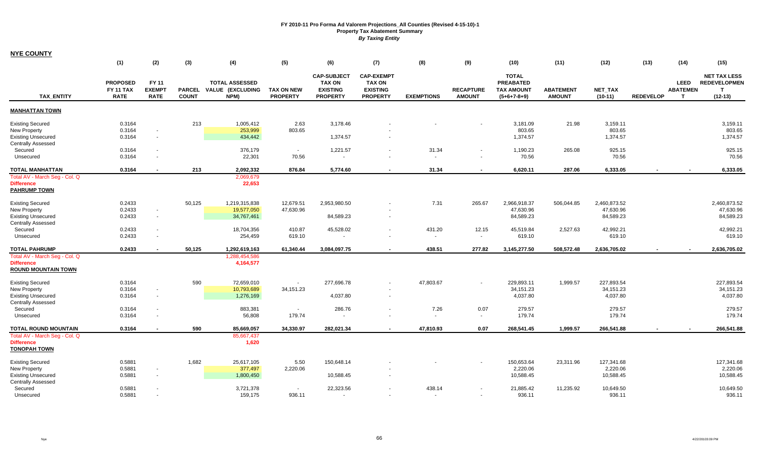| <b>NYE COUNTY</b>                                                                                        |                                                    |                                       |                               |                                                   |                                      |                                                                           |                                                                          |                                    |                                   |                                                                        |                                   |                                        |                  |                                                |                                                                         |
|----------------------------------------------------------------------------------------------------------|----------------------------------------------------|---------------------------------------|-------------------------------|---------------------------------------------------|--------------------------------------|---------------------------------------------------------------------------|--------------------------------------------------------------------------|------------------------------------|-----------------------------------|------------------------------------------------------------------------|-----------------------------------|----------------------------------------|------------------|------------------------------------------------|-------------------------------------------------------------------------|
|                                                                                                          | (1)                                                | (2)                                   | (3)                           | (4)                                               | (5)                                  | (6)                                                                       | (7)                                                                      | (8)                                | (9)                               | (10)                                                                   | (11)                              | (12)                                   | (13)             | (14)                                           | (15)                                                                    |
| <b>TAX ENTITY</b>                                                                                        | <b>PROPOSED</b><br><b>FY 11 TAX</b><br><b>RATE</b> | FY 11<br><b>EXEMPT</b><br><b>RATE</b> | <b>PARCEL</b><br><b>COUNT</b> | <b>TOTAL ASSESSED</b><br>VALUE (EXCLUDING<br>NPM) | <b>TAX ON NEW</b><br><b>PROPERTY</b> | <b>CAP-SUBJECT</b><br><b>TAX ON</b><br><b>EXISTING</b><br><b>PROPERTY</b> | <b>CAP-EXEMPT</b><br><b>TAX ON</b><br><b>EXISTING</b><br><b>PROPERTY</b> | <b>EXEMPTIONS</b>                  | <b>RECAPTURE</b><br><b>AMOUNT</b> | <b>TOTAL</b><br><b>PREABATED</b><br><b>TAX AMOUNT</b><br>$(5+6+7-8+9)$ | <b>ABATEMENT</b><br><b>AMOUNT</b> | <b>NET TAX</b><br>$(10-11)$            | <b>REDEVELOP</b> | <b>LEED</b><br><b>ABATEMEN</b><br>$\mathbf{T}$ | <b>NET TAX LESS</b><br><b>REDEVELOPMEN</b><br>$\mathbf{T}$<br>$(12-13)$ |
| <b>MANHATTAN TOWN</b>                                                                                    |                                                    |                                       |                               |                                                   |                                      |                                                                           |                                                                          |                                    |                                   |                                                                        |                                   |                                        |                  |                                                |                                                                         |
| <b>Existing Secured</b><br><b>New Property</b><br><b>Existing Unsecured</b><br><b>Centrally Assessed</b> | 0.3164<br>0.3164<br>0.3164                         | $\blacksquare$<br>$\blacksquare$      | 213                           | 1,005,412<br>253,999<br>434,442                   | 2.63<br>803.65                       | 3,178.46<br>1,374.57                                                      | $\overline{\phantom{a}}$                                                 |                                    |                                   | 3,181.09<br>803.65<br>1,374.57                                         | 21.98                             | 3,159.11<br>803.65<br>1,374.57         |                  |                                                | 3,159.11<br>803.65<br>1,374.57                                          |
| Secured<br>Unsecured                                                                                     | 0.3164<br>0.3164                                   | $\sim$<br>$\overline{\phantom{a}}$    |                               | 376,179<br>22,301                                 | $\sim$<br>70.56                      | 1,221.57                                                                  |                                                                          | 31.34<br>$\sim$                    |                                   | 1,190.23<br>70.56                                                      | 265.08                            | 925.15<br>70.56                        |                  |                                                | 925.15<br>70.56                                                         |
| <b>TOTAL MANHATTAN</b>                                                                                   | 0.3164                                             |                                       | 213                           | 2,092,332                                         | 876.84                               | 5.774.60                                                                  |                                                                          | 31.34                              |                                   | 6,620.11                                                               | 287.06                            | 6,333.05                               |                  |                                                | 6,333.05                                                                |
| Total AV - March Seg - Col. Q<br><b>Difference</b><br><b>PAHRUMP TOWN</b>                                |                                                    |                                       |                               | 2,069,679<br>22,653                               |                                      |                                                                           |                                                                          |                                    |                                   |                                                                        |                                   |                                        |                  |                                                |                                                                         |
| <b>Existing Secured</b><br><b>New Property</b><br><b>Existing Unsecured</b><br><b>Centrally Assessed</b> | 0.2433<br>0.2433<br>0.2433                         | $\sim$<br>$\sim$                      | 50,125                        | 1,219,315,838<br>19,577,050<br>34,767,461         | 12,679.51<br>47,630.96               | 2,953,980.50<br>84,589.23                                                 |                                                                          | 7.31                               | 265.67                            | 2,966,918.37<br>47,630.96<br>84,589.23                                 | 506,044.85                        | 2,460,873.52<br>47,630.96<br>84,589.23 |                  |                                                | 2,460,873.52<br>47,630.96<br>84,589.23                                  |
| Secured<br>Unsecured                                                                                     | 0.2433<br>0.2433                                   | $\sim$<br>$\overline{\phantom{a}}$    |                               | 18,704,356<br>254,459                             | 410.87<br>619.10                     | 45,528.02                                                                 | $\overline{\phantom{a}}$                                                 | 431.20<br>$\overline{\phantom{a}}$ | 12.15                             | 45,519.84<br>619.10                                                    | 2,527.63                          | 42,992.21<br>619.10                    |                  |                                                | 42,992.21<br>619.10                                                     |
| <b>TOTAL PAHRUMP</b>                                                                                     | 0.2433                                             | $\blacksquare$                        | 50,125                        | 1,292,619,163                                     | 61,340.44                            | 3,084,097.75                                                              | $\overline{\phantom{a}}$                                                 | 438.51                             | 277.82                            | 3,145,277.50                                                           | 508,572.48                        | 2,636,705.02                           |                  |                                                | 2,636,705.02                                                            |
| Total AV - March Seg - Col. Q<br><b>Difference</b><br><b>ROUND MOUNTAIN TOWN</b>                         |                                                    |                                       |                               | 1,288,454,586<br>4,164,577                        |                                      |                                                                           |                                                                          |                                    |                                   |                                                                        |                                   |                                        |                  |                                                |                                                                         |
| <b>Existing Secured</b><br>New Property<br><b>Existing Unsecured</b><br><b>Centrally Assessed</b>        | 0.3164<br>0.3164<br>0.3164                         | $\sim$<br>$\sim$                      | 590                           | 72,659,010<br>10,793,689<br>1,276,169             | $\blacksquare$<br>34,151.23          | 277,696.78<br>4,037.80                                                    | $\overline{\phantom{a}}$<br>$\overline{\phantom{a}}$                     | 47,803.67                          |                                   | 229,893.11<br>34,151.23<br>4,037.80                                    | 1,999.57                          | 227,893.54<br>34,151.23<br>4,037.80    |                  |                                                | 227,893.54<br>34, 151.23<br>4,037.80                                    |
| Secured                                                                                                  | 0.3164                                             | $\sim$                                |                               | 883,381                                           | $\sim$                               | 286.76                                                                    |                                                                          | 7.26                               | 0.07                              | 279.57                                                                 |                                   | 279.57                                 |                  |                                                | 279.57                                                                  |
| Unsecured                                                                                                | 0.3164                                             | ٠                                     |                               | 56,808                                            | 179.74                               |                                                                           |                                                                          | $\sim$                             | $\sim$                            | 179.74                                                                 |                                   | 179.74                                 |                  |                                                | 179.74                                                                  |
| TOTAL ROUND MOUNTAIN<br>Total AV - March Seg - Col. Q<br><b>Difference</b><br><b>TONOPAH TOWN</b>        | 0.3164                                             | $\overline{\phantom{a}}$              | 590                           | 85,669,057<br>85,667,437<br>1,620                 | 34,330.97                            | 282,021.34                                                                | $\overline{\phantom{a}}$                                                 | 47,810.93                          | 0.07                              | 268,541.45                                                             | 1,999.57                          | 266,541.88                             |                  |                                                | 266,541.88                                                              |
| <b>Existing Secured</b><br>New Property<br><b>Existing Unsecured</b><br><b>Centrally Assessed</b>        | 0.5881<br>0.5881<br>0.5881                         | $\blacksquare$<br>$\sim$              | 1,682                         | 25,617,105<br>377,497<br>1,800,450                | 5.50<br>2,220.06                     | 150,648.14<br>10,588.45                                                   |                                                                          |                                    |                                   | 150,653.64<br>2,220.06<br>10,588.45                                    | 23,311.96                         | 127,341.68<br>2,220.06<br>10,588.45    |                  |                                                | 127,341.68<br>2,220.06<br>10,588.45                                     |
| Secured<br>Unsecured                                                                                     | 0.5881<br>0.5881                                   | $\blacksquare$                        |                               | 3,721,378<br>159,175                              | $\sim$<br>936.11                     | 22,323.56                                                                 |                                                                          | 438.14<br>$\sim$                   | $\sim$                            | 21,885.42<br>936.11                                                    | 11,235.92                         | 10,649.50<br>936.11                    |                  |                                                | 10,649.50<br>936.11                                                     |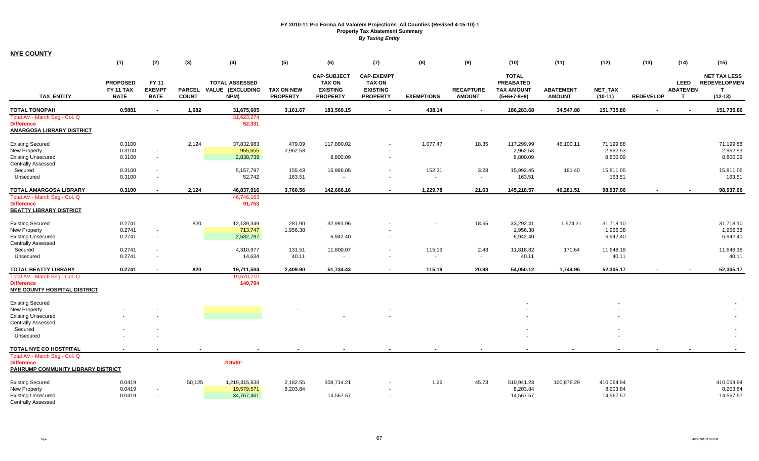| <b>NYE COUNTY</b>                                                                         |                                                    |                                              |              |                                                          |                                      |                                                                           |                                                                          |                   |                                   |                                                                        |                                   |                      |                  |                                                |                                                              |
|-------------------------------------------------------------------------------------------|----------------------------------------------------|----------------------------------------------|--------------|----------------------------------------------------------|--------------------------------------|---------------------------------------------------------------------------|--------------------------------------------------------------------------|-------------------|-----------------------------------|------------------------------------------------------------------------|-----------------------------------|----------------------|------------------|------------------------------------------------|--------------------------------------------------------------|
|                                                                                           | (1)                                                | (2)                                          | (3)          | (4)                                                      | (5)                                  | (6)                                                                       | (7)                                                                      | (8)               | (9)                               | (10)                                                                   | (11)                              | (12)                 | (13)             | (14)                                           | (15)                                                         |
| <b>TAX ENTITY</b>                                                                         | <b>PROPOSED</b><br><b>FY 11 TAX</b><br><b>RATE</b> | <b>FY 11</b><br><b>EXEMPT</b><br><b>RATE</b> | <b>COUNT</b> | <b>TOTAL ASSESSED</b><br>PARCEL VALUE (EXCLUDING<br>NPM) | <b>TAX ON NEW</b><br><b>PROPERTY</b> | <b>CAP-SUBJECT</b><br><b>TAX ON</b><br><b>EXISTING</b><br><b>PROPERTY</b> | <b>CAP-EXEMPT</b><br><b>TAX ON</b><br><b>EXISTING</b><br><b>PROPERTY</b> | <b>EXEMPTIONS</b> | <b>RECAPTURE</b><br><b>AMOUNT</b> | <b>TOTAL</b><br><b>PREABATED</b><br><b>TAX AMOUNT</b><br>$(5+6+7-8+9)$ | <b>ABATEMENT</b><br><b>AMOUNT</b> | NET_TAX<br>$(10-11)$ | <b>REDEVELOP</b> | <b>LEED</b><br><b>ABATEMEN</b><br>$\mathsf{T}$ | <b>NET TAX LESS</b><br><b>REDEVELOPMEN</b><br>т<br>$(12-13)$ |
| <b>TOTAL TONOPAH</b>                                                                      | 0.5881                                             |                                              | 1,682        | 31,675,605                                               | 3,161.67                             | 183,560.15                                                                |                                                                          | 438.14            |                                   | 186,283.68                                                             | 34,547.88                         | 151,735.80           |                  |                                                | 151,735.80                                                   |
| Total AV - March Seg - Col. Q<br><b>Difference</b><br><b>AMARGOSA LIBRARY DISTRICT</b>    |                                                    |                                              |              | 31,623,274<br>52,331                                     |                                      |                                                                           |                                                                          |                   |                                   |                                                                        |                                   |                      |                  |                                                |                                                              |
| <b>Existing Secured</b>                                                                   | 0.3100                                             |                                              | 2,124        | 37,832,983                                               | 479.09                               | 117,880.02                                                                |                                                                          | 1,077.47          | 18.35                             | 117,299.99                                                             | 46,100.11                         | 71,199.88            |                  |                                                | 71,199.88                                                    |
| New Property                                                                              | 0.3100                                             | $\blacksquare$                               |              | 955,655                                                  | 2,962.53                             |                                                                           |                                                                          |                   |                                   | 2,962.53                                                               |                                   | 2,962.53             |                  |                                                | 2,962.53                                                     |
| <b>Existing Unsecured</b><br><b>Centrally Assessed</b>                                    | 0.3100                                             | $\sim$                                       |              | 2,838,739                                                |                                      | 8,800.09                                                                  |                                                                          |                   |                                   | 8,800.09                                                               |                                   | 8,800.09             |                  |                                                | 8,800.09                                                     |
| Secured                                                                                   | 0.3100                                             | $\overline{\phantom{a}}$                     |              | 5,157,797                                                | 155.43                               | 15,986.05                                                                 |                                                                          | 152.31            | 3.28                              | 15,992.45                                                              | 181.40                            | 15,811.05            |                  |                                                | 15,811.05                                                    |
| Unsecured                                                                                 | 0.3100                                             | $\sim$                                       |              | 52,742                                                   | 163.51                               |                                                                           |                                                                          | $\sim$            | $\blacksquare$                    | 163.51                                                                 |                                   | 163.51               |                  |                                                | 163.51                                                       |
| <b>TOTAL AMARGOSA LIBRARY</b>                                                             | 0.3100                                             | $\sim$                                       | 2,124        | 46,837,916                                               | 3,760.56                             | 142,666.16                                                                | $\sim$                                                                   | 1,229.78          | 21.63                             | 145,218.57                                                             | 46,281.51                         | 98,937.06            | $\sim$           |                                                | 98,937.06                                                    |
| Total AV - March Seg - Col. Q                                                             |                                                    |                                              |              | 46,746,163                                               |                                      |                                                                           |                                                                          |                   |                                   |                                                                        |                                   |                      |                  |                                                |                                                              |
| <b>Difference</b><br><b>BEATTY LIBRARY DISTRICT</b>                                       |                                                    |                                              |              | 91,753                                                   |                                      |                                                                           |                                                                          |                   |                                   |                                                                        |                                   |                      |                  |                                                |                                                              |
| <b>Existing Secured</b>                                                                   | 0.2741                                             |                                              | 820          | 12,139,349                                               | 281.90                               | 32,991.96                                                                 |                                                                          |                   | 18.55                             | 33,292.41                                                              | 1,574.31                          | 31,718.10            |                  |                                                | 31,718.10                                                    |
| New Property                                                                              | 0.2741                                             | $\overline{\phantom{a}}$                     |              |                                                          | 713,747<br>1,956.38                  |                                                                           |                                                                          |                   |                                   | 1,956.38                                                               | 1,956.38                          |                      |                  | 1,956.38                                       |                                                              |
| <b>Existing Unsecured</b><br><b>Centrally Assessed</b>                                    | 0.2741                                             | $\sim$                                       |              | 2,532,797                                                |                                      | 6,942.40                                                                  |                                                                          |                   |                                   | 6,942.40                                                               |                                   | 6,942.40             |                  |                                                | 6,942.40                                                     |
| Secured                                                                                   | 0.2741                                             |                                              |              | 4,310,977                                                | 131.51                               | 11,800.07                                                                 |                                                                          | 115.19            | 2.43                              | 11,818.82                                                              | 170.64                            | 11,648.18            |                  |                                                | 11,648.18                                                    |
| Unsecured                                                                                 | 0.2741                                             | $\sim$                                       |              | 14,634                                                   | 40.11                                | $\sim$                                                                    |                                                                          | $\sim$            | $\sim$                            | 40.11                                                                  |                                   | 40.11                |                  |                                                | 40.11                                                        |
| TOTAL BEATTY LIBRARY                                                                      | 0.2741                                             |                                              | 820          | 19,711,504                                               | 2,409.90                             | 51,734.43                                                                 |                                                                          | 115.19            | 20.98                             | 54,050.12                                                              | 1,744.95                          | 52,305.17            |                  |                                                | 52,305.17                                                    |
| Total AV - March Seg - Col. Q<br><b>Difference</b><br><b>NYE COUNTY HOSPITAL DISTRICT</b> |                                                    |                                              |              | 19,570,710<br>140,794                                    |                                      |                                                                           |                                                                          |                   |                                   |                                                                        |                                   |                      |                  |                                                |                                                              |
| <b>Existing Secured</b>                                                                   |                                                    |                                              |              |                                                          |                                      |                                                                           |                                                                          |                   |                                   |                                                                        |                                   |                      |                  |                                                |                                                              |
| New Property                                                                              |                                                    |                                              |              |                                                          |                                      |                                                                           |                                                                          |                   |                                   |                                                                        |                                   |                      |                  |                                                |                                                              |
| <b>Existing Unsecured</b><br><b>Centrally Assessed</b>                                    |                                                    |                                              |              |                                                          |                                      |                                                                           |                                                                          |                   |                                   |                                                                        |                                   |                      |                  |                                                |                                                              |
| Secured                                                                                   |                                                    |                                              |              |                                                          |                                      |                                                                           |                                                                          |                   |                                   |                                                                        |                                   |                      |                  |                                                |                                                              |
| Unsecured                                                                                 |                                                    |                                              |              |                                                          |                                      |                                                                           |                                                                          |                   |                                   |                                                                        |                                   |                      |                  |                                                |                                                              |
| TOTAL NYE CO HOSTPITAL                                                                    |                                                    |                                              |              |                                                          |                                      |                                                                           |                                                                          |                   |                                   |                                                                        |                                   |                      |                  |                                                |                                                              |
| Total AV - March Seg - Col. Q<br><b>Difference</b><br>PAHRUMP COMMUNITY LIBRARY DISTRICT  |                                                    |                                              |              | #DIV/0!                                                  |                                      |                                                                           |                                                                          |                   |                                   |                                                                        |                                   |                      |                  |                                                |                                                              |
| <b>Existing Secured</b>                                                                   | 0.0419                                             |                                              | 50,125       | 1,219,315,838                                            | 2,182.55                             | 508,714.21                                                                |                                                                          | 1.26              | 45.73                             | 510,941.23                                                             | 100,876.29                        | 410,064.94           |                  |                                                | 410,064.94                                                   |
| <b>New Property</b>                                                                       | 0.0419                                             |                                              |              | 19,579,571                                               | 8,203.84                             |                                                                           |                                                                          |                   |                                   | 8,203.84                                                               |                                   | 8,203.84             |                  |                                                | 8,203.84                                                     |
| <b>Existing Unsecured</b><br><b>Centrally Assessed</b>                                    | 0.0419                                             | $\sim$                                       |              | 34,767,461                                               |                                      | 14,567.57                                                                 |                                                                          |                   |                                   | 14,567.57                                                              |                                   | 14,567.57            |                  |                                                | 14,567.57                                                    |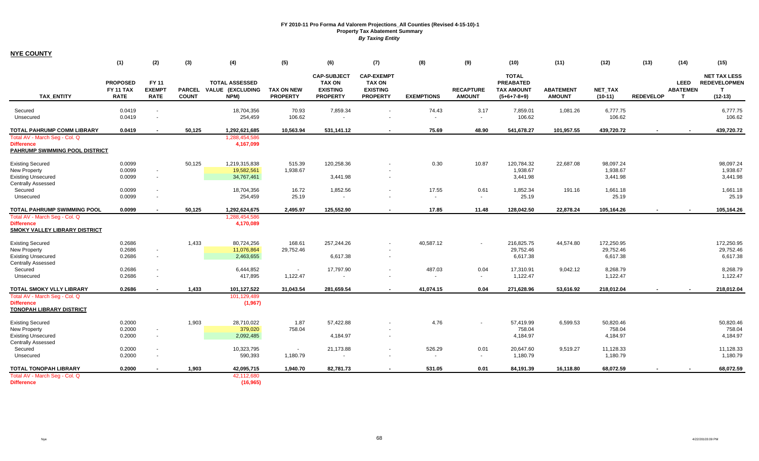**NYE COUNTY**

|                                                                                                                           | (1)                                                | (2)                                          | (3)                           | (4)                                                         | (5)                                  | (6)                                                                       | (7)                                                                      | (8)                                        | (9)                               | (10)                                                                   | (11)                              | (12)                                                     | (13)             | (14)                                           | (15)                                                          |
|---------------------------------------------------------------------------------------------------------------------------|----------------------------------------------------|----------------------------------------------|-------------------------------|-------------------------------------------------------------|--------------------------------------|---------------------------------------------------------------------------|--------------------------------------------------------------------------|--------------------------------------------|-----------------------------------|------------------------------------------------------------------------|-----------------------------------|----------------------------------------------------------|------------------|------------------------------------------------|---------------------------------------------------------------|
| <b>TAX ENTITY</b>                                                                                                         | <b>PROPOSED</b><br><b>FY 11 TAX</b><br><b>RATE</b> | <b>FY 11</b><br><b>EXEMPT</b><br><b>RATE</b> | <b>PARCEL</b><br><b>COUNT</b> | <b>TOTAL ASSESSED</b><br><b>VALUE (EXCLUDING</b><br>NPM)    | <b>TAX ON NEW</b><br><b>PROPERTY</b> | <b>CAP-SUBJECT</b><br><b>TAX ON</b><br><b>EXISTING</b><br><b>PROPERTY</b> | <b>CAP-EXEMPT</b><br><b>TAX ON</b><br><b>EXISTING</b><br><b>PROPERTY</b> | <b>EXEMPTIONS</b>                          | <b>RECAPTURE</b><br><b>AMOUNT</b> | <b>TOTAL</b><br><b>PREABATED</b><br><b>TAX AMOUNT</b><br>$(5+6+7-8+9)$ | <b>ABATEMENT</b><br><b>AMOUNT</b> | <b>NET TAX</b><br>$(10-11)$                              | <b>REDEVELOP</b> | <b>LEED</b><br><b>ABATEMEN</b><br>$\mathbf{T}$ | <b>NET TAX LESS</b><br><b>REDEVELOPMEN</b><br>T.<br>$(12-13)$ |
| Secured<br>Unsecured                                                                                                      | 0.0419<br>0.0419                                   | $\blacksquare$<br>$\blacksquare$             |                               | 18,704,356<br>254,459                                       | 70.93<br>106.62                      | 7,859.34                                                                  | $\sim$                                                                   | 74.43<br>$\blacksquare$                    | 3.17<br>$\sim$                    | 7,859.01<br>106.62                                                     | 1,081.26                          | 6,777.75<br>106.62                                       |                  |                                                | 6,777.75<br>106.62                                            |
| <b>TOTAL PAHRUMP COMM LIBRARY</b>                                                                                         | 0.0419                                             | $\blacksquare$                               | 50,125                        | 1,292,621,685                                               | 10,563.94                            | 531,141.12                                                                | $\sim$                                                                   | 75.69                                      | 48.90                             | 541,678.27                                                             | 101,957.55                        | 439,720.72                                               | $\sim$           |                                                | 439,720.72                                                    |
| Total AV - March Seg - Col. Q<br><b>Difference</b><br><b>PAHRUMP SWIMMING POOL DISTRICT</b>                               |                                                    |                                              |                               | 1,288,454,586<br>4,167,099                                  |                                      |                                                                           |                                                                          |                                            |                                   |                                                                        |                                   |                                                          |                  |                                                |                                                               |
| <b>Existing Secured</b><br>New Property<br><b>Existing Unsecured</b>                                                      | 0.0099<br>0.0099<br>0.0099                         | $\sim$<br>$\sim$                             | 50,125                        | 1,219,315,838<br>19,582,561<br>34,767,461                   | 515.39<br>1,938.67                   | 120,258.36<br>3.441.98                                                    |                                                                          | 0.30                                       | 10.87                             | 120,784.32<br>1,938.67<br>3,441.98                                     | 22,687.08                         | 98,097.24<br>1,938.67<br>3,441.98                        |                  |                                                | 98,097.24<br>1,938.67<br>3,441.98                             |
| <b>Centrally Assessed</b><br>Secured<br>Unsecured                                                                         | 0.0099<br>0.0099                                   | $\blacksquare$                               |                               | 18,704,356<br>254,459                                       | 16.72<br>25.19                       | 1,852.56<br>$\blacksquare$                                                |                                                                          | 17.55<br>$\sim$                            | 0.61<br>$\sim$                    | 1,852.34<br>25.19                                                      | 191.16                            | 1,661.18<br>25.19                                        |                  |                                                | 1,661.18<br>25.19                                             |
| <b>TOTAL PAHRUMP SWIMMING POOL</b>                                                                                        | 0.0099                                             |                                              | 50,125                        | 1,292,624,675                                               | 2.495.97                             | 125.552.90                                                                | $\blacksquare$                                                           | 17.85                                      | 11.48                             | 128,042.50                                                             | 22,878.24                         | 105,164.26                                               |                  |                                                | 105,164.26                                                    |
| Total AV - March Seg - Col. Q<br><b>Difference</b><br>SMOKY VALLEY LIBRARY DISTRICT                                       |                                                    |                                              |                               | 1,288,454,586<br>4,170,089                                  |                                      |                                                                           |                                                                          |                                            |                                   |                                                                        |                                   |                                                          |                  |                                                |                                                               |
| <b>Existing Secured</b><br><b>New Property</b><br><b>Existing Unsecured</b><br><b>Centrally Assessed</b>                  | 0.2686<br>0.2686<br>0.2686                         | $\sim$<br>$\sim$                             | 1,433                         | 80,724,256<br>11,076,864<br>2,463,655                       | 168.61<br>29,752.46                  | 257,244.26<br>6,617.38                                                    | $\sim$                                                                   | 40,587.12                                  |                                   | 216,825.75<br>29,752.46<br>6,617.38                                    | 44,574.80                         | 172,250.95<br>29,752.46<br>6,617.38                      |                  |                                                | 172,250.95<br>29,752.46<br>6,617.38                           |
| Secured<br>Unsecured                                                                                                      | 0.2686<br>0.2686                                   | $\blacksquare$<br>$\blacksquare$             |                               | 6,444,852<br>417,895                                        | $\sim$<br>1,122.47                   | 17,797.90                                                                 |                                                                          | 487.03<br>$\overline{\phantom{a}}$         | 0.04<br>$\sim$                    | 17,310.91<br>1,122.47                                                  | 9,042.12                          | 8,268.79<br>1,122.47                                     |                  |                                                | 8,268.79<br>1,122.47                                          |
| <b>TOTAL SMOKY VLLY LIBRARY</b>                                                                                           | 0.2686                                             |                                              | 1,433                         | 101,127,522                                                 | 31,043.54                            | 281,659.54                                                                |                                                                          | 41,074.15                                  | 0.04                              | 271,628.96                                                             | 53,616.92                         | 218,012.04                                               |                  |                                                | 218,012.04                                                    |
| Total AV - March Seg - Col. Q<br><b>Difference</b><br><b>TONOPAH LIBRARY DISTRICT</b>                                     |                                                    |                                              |                               | 101,129,489<br>(1,967)                                      |                                      |                                                                           |                                                                          |                                            |                                   |                                                                        |                                   |                                                          |                  |                                                |                                                               |
| <b>Existing Secured</b><br>New Property<br><b>Existing Unsecured</b><br><b>Centrally Assessed</b><br>Secured<br>Unsecured | 0.2000<br>0.2000<br>0.2000<br>0.2000<br>0.2000     | $\blacksquare$<br>٠                          | 1,903                         | 28,710,022<br>379,020<br>2,092,485<br>10,323,795<br>590,393 | 1.87<br>758.04<br>$\sim$<br>1,180.79 | 57,422.88<br>4,184.97<br>21,173.88                                        | $\sim$                                                                   | 4.76<br>526.29<br>$\overline{\phantom{a}}$ | 0.01<br>$\blacksquare$            | 57,419.99<br>758.04<br>4,184.97<br>20,647.60<br>1,180.79               | 6,599.53<br>9,519.27              | 50,820.46<br>758.04<br>4,184.97<br>11,128.33<br>1,180.79 |                  |                                                | 50,820.46<br>758.04<br>4,184.97<br>11,128.33<br>1,180.79      |
| <b>TOTAL TONOPAH LIBRARY</b><br>Total AV - March Seg - Col. Q<br><b>Difference</b>                                        | 0.2000                                             |                                              | 1.903                         | 42,095,715<br>42,112,680<br>(16, 965)                       | 1,940.70                             | 82,781.73                                                                 |                                                                          | 531.05                                     | 0.01                              | 84,191.39                                                              | 16,118.80                         | 68.072.59                                                |                  |                                                | 68,072.59                                                     |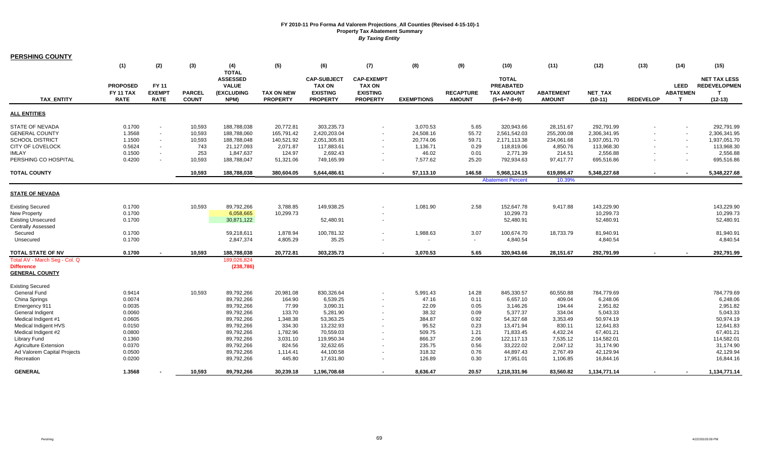| <b>PERSHING COUNTY</b>                                                                                                                                                     |                                                                    |                                                                                                                        |                                                    |                                                                                                |                                                                          |                                                                                       |                                                                          |                                                                     |                                                       |                                                                                       |                                                                           |                                                                                       |                  |                                      |                                                                                       |
|----------------------------------------------------------------------------------------------------------------------------------------------------------------------------|--------------------------------------------------------------------|------------------------------------------------------------------------------------------------------------------------|----------------------------------------------------|------------------------------------------------------------------------------------------------|--------------------------------------------------------------------------|---------------------------------------------------------------------------------------|--------------------------------------------------------------------------|---------------------------------------------------------------------|-------------------------------------------------------|---------------------------------------------------------------------------------------|---------------------------------------------------------------------------|---------------------------------------------------------------------------------------|------------------|--------------------------------------|---------------------------------------------------------------------------------------|
|                                                                                                                                                                            | (1)                                                                | (2)                                                                                                                    | (3)                                                | (4)<br><b>TOTAL</b>                                                                            | (5)                                                                      | (6)                                                                                   | (7)                                                                      | (8)                                                                 | (9)                                                   | (10)                                                                                  | (11)                                                                      | (12)                                                                                  | (13)             | (14)                                 | (15)                                                                                  |
| <b>TAX ENTITY</b>                                                                                                                                                          | <b>PROPOSED</b><br>FY 11 TAX<br><b>RATE</b>                        | <b>FY 11</b><br><b>EXEMPT</b><br><b>RATE</b>                                                                           | <b>PARCEL</b><br><b>COUNT</b>                      | <b>ASSESSED</b><br><b>VALUE</b><br>(EXCLUDING<br>NPM)                                          | <b>TAX ON NEW</b><br><b>PROPERTY</b>                                     | <b>CAP-SUBJECT</b><br><b>TAX ON</b><br><b>EXISTING</b><br><b>PROPERTY</b>             | <b>CAP-EXEMPT</b><br><b>TAX ON</b><br><b>EXISTING</b><br><b>PROPERTY</b> | <b>EXEMPTIONS</b>                                                   | <b>RECAPTURE</b><br><b>AMOUNT</b>                     | <b>TOTAL</b><br><b>PREABATED</b><br><b>TAX AMOUNT</b><br>$(5+6+7-8+9)$                | <b>ABATEMENT</b><br><b>AMOUNT</b>                                         | <b>NET TAX</b><br>$(10-11)$                                                           | <b>REDEVELOP</b> | <b>LEED</b><br><b>ABATEMEN</b><br>т  | <b>NET TAX LESS</b><br><b>REDEVELOPMEN</b><br>т<br>$(12-13)$                          |
| <b>ALL ENTITIES</b>                                                                                                                                                        |                                                                    |                                                                                                                        |                                                    |                                                                                                |                                                                          |                                                                                       |                                                                          |                                                                     |                                                       |                                                                                       |                                                                           |                                                                                       |                  |                                      |                                                                                       |
| <b>STATE OF NEVADA</b><br><b>GENERAL COUNTY</b><br><b>SCHOOL DISTRICT</b><br><b>CITY OF LOVELOCK</b><br><b>IMLAY</b><br>PERSHING CO HOSPITAL                               | 0.1700<br>1.3568<br>1.1500<br>0.5624<br>0.1500<br>0.4200           | $\overline{\phantom{a}}$<br>$\sim$<br>$\sim$<br>$\overline{\phantom{a}}$<br>$\blacksquare$<br>$\overline{\phantom{a}}$ | 10,593<br>10,593<br>10,593<br>743<br>253<br>10,593 | 188,788,038<br>188,788,060<br>188,788,048<br>21.127.093<br>1,847,637<br>188,788,047            | 20,772.81<br>165,791.42<br>140,521.92<br>2.071.87<br>124.97<br>51,321.06 | 303,235.73<br>2,420,203.04<br>2,051,305.81<br>117.883.61<br>2,692.43<br>749,165.99    | $\sim$<br>$\sim$<br>$\sim$<br>$\sim$<br>$\sim$<br>$\sim$                 | 3,070.53<br>24,508.16<br>20,774.06<br>1,136.71<br>46.02<br>7,577.62 | 5.65<br>55.72<br>59.71<br>0.29<br>0.01<br>25.20       | 320,943.66<br>2,561,542.03<br>2,171,113.38<br>118.819.06<br>2,771.39<br>792,934.63    | 28,151.67<br>255,200.08<br>234,061.68<br>4,850.76<br>214.51<br>97,417.77  | 292,791.99<br>2,306,341.95<br>1,937,051.70<br>113.968.30<br>2,556.88<br>695,516.86    |                  | $\sim$<br>$\sim$<br>$\sim$<br>$\sim$ | 292,791.99<br>2,306,341.95<br>1,937,051.70<br>113,968.30<br>2,556.88<br>695,516.86    |
| <b>TOTAL COUNTY</b>                                                                                                                                                        |                                                                    |                                                                                                                        | 10,593                                             | 188,788,038                                                                                    | 380,604.05                                                               | 5,644,486.61                                                                          | $\sim$                                                                   | 57,113.10                                                           | 146.58                                                | 5,968,124.15                                                                          | 619,896.47                                                                | 5,348,227.68                                                                          | $\blacksquare$   | $\sim$                               | 5,348,227.68                                                                          |
|                                                                                                                                                                            |                                                                    |                                                                                                                        |                                                    |                                                                                                |                                                                          |                                                                                       |                                                                          |                                                                     |                                                       | <b>Abatement Percent</b>                                                              | 10.39%                                                                    |                                                                                       |                  |                                      |                                                                                       |
| <b>STATE OF NEVADA</b>                                                                                                                                                     |                                                                    |                                                                                                                        |                                                    |                                                                                                |                                                                          |                                                                                       |                                                                          |                                                                     |                                                       |                                                                                       |                                                                           |                                                                                       |                  |                                      |                                                                                       |
| <b>Existing Secured</b><br>New Property<br><b>Existing Unsecured</b><br><b>Centrally Assessed</b><br>Secured                                                               | 0.1700<br>0.1700<br>0.1700<br>0.1700                               |                                                                                                                        | 10,593                                             | 89,792,266<br>6,058,665<br>30,871,122<br>59,218,611                                            | 3,788.85<br>10,299.73<br>1,878.94                                        | 149,938.25<br>52,480.91<br>100,781.32                                                 | $\sim$<br>$\sim$<br>$\sim$                                               | 1,081.90<br>1,988.63                                                | 2.58<br>3.07                                          | 152,647.78<br>10,299.73<br>52,480.91<br>100,674.70                                    | 9,417.88<br>18,733.79                                                     | 143,229.90<br>10,299.73<br>52,480.91<br>81,940.91                                     |                  |                                      | 143,229.90<br>10,299.73<br>52,480.91<br>81,940.91                                     |
| Unsecured                                                                                                                                                                  | 0.1700                                                             |                                                                                                                        |                                                    | 2,847,374                                                                                      | 4,805.29                                                                 | 35.25                                                                                 | $\sim$                                                                   |                                                                     | $\sim$                                                | 4,840.54                                                                              |                                                                           | 4,840.54                                                                              |                  |                                      | 4,840.54                                                                              |
| <b>TOTAL STATE OF NV</b>                                                                                                                                                   | 0.1700                                                             |                                                                                                                        | 10,593                                             | 188,788,038                                                                                    | 20,772.81                                                                | 303,235.73                                                                            | $\sim$                                                                   | 3,070.53                                                            | 5.65                                                  | 320,943.66                                                                            | 28,151.67                                                                 | 292,791.99                                                                            |                  |                                      | 292,791.99                                                                            |
| Total AV - March Seg - Col. Q<br><b>Difference</b><br><b>GENERAL COUNTY</b>                                                                                                |                                                                    |                                                                                                                        |                                                    | 189,026,824<br>(238, 786)                                                                      |                                                                          |                                                                                       |                                                                          |                                                                     |                                                       |                                                                                       |                                                                           |                                                                                       |                  |                                      |                                                                                       |
| <b>Existing Secured</b><br><b>General Fund</b><br>China Springs<br>Emergency 911<br>General Indigent<br>Medical Indigent #1<br>Medical Indigent HVS<br>Medical Indigent #2 | 0.9414<br>0.0074<br>0.0035<br>0.0060<br>0.0605<br>0.0150<br>0.0800 |                                                                                                                        | 10,593                                             | 89,792,266<br>89,792,266<br>89,792,266<br>89,792,266<br>89,792,266<br>89,792,266<br>89,792,266 | 20,981.08<br>164.90<br>77.99<br>133.70<br>1,348.38<br>334.30<br>1,782.96 | 830,326.64<br>6,539.25<br>3,090.31<br>5,281.90<br>53,363.25<br>13,232.93<br>70,559.03 | $\sim$<br>$\sim$<br>$\sim$<br>$\sim$                                     | 5,991.43<br>47.16<br>22.09<br>38.32<br>384.87<br>95.52<br>509.75    | 14.28<br>0.11<br>0.05<br>0.09<br>0.92<br>0.23<br>1.21 | 845,330.57<br>6,657.10<br>3,146.26<br>5,377.37<br>54,327.68<br>13,471.94<br>71,833.45 | 60,550.88<br>409.04<br>194.44<br>334.04<br>3,353.49<br>830.11<br>4,432.24 | 784,779.69<br>6,248.06<br>2,951.82<br>5,043.33<br>50,974.19<br>12,641.83<br>67,401.21 |                  |                                      | 784,779.69<br>6,248.06<br>2,951.82<br>5,043.33<br>50,974.19<br>12,641.83<br>67,401.21 |
| Library Fund<br><b>Agriculture Extension</b><br>Ad Valorem Capital Projects<br>Recreation                                                                                  | 0.1360<br>0.0370<br>0.0500<br>0.0200                               |                                                                                                                        |                                                    | 89,792,266<br>89,792,266<br>89,792,266<br>89,792,266                                           | 3,031.10<br>824.56<br>1,114.41<br>445.80                                 | 119,950.34<br>32,632.65<br>44,100.58<br>17,631.80                                     | $\sim$<br>$\sim$<br>$\sim$<br>$\sim$                                     | 866.37<br>235.75<br>318.32<br>126.89                                | 2.06<br>0.56<br>0.76<br>0.30                          | 122,117.13<br>33,222.02<br>44,897.43<br>17,951.01                                     | 7,535.12<br>2,047.12<br>2,767.49<br>1,106.85                              | 114,582.01<br>31,174.90<br>42,129.94<br>16,844.16                                     |                  |                                      | 114,582.01<br>31,174.90<br>42,129.94<br>16,844.16                                     |
| <b>GENERAL</b>                                                                                                                                                             | 1.3568                                                             |                                                                                                                        | 10,593                                             | 89,792,266                                                                                     | 30,239.18                                                                | 1,196,708.68                                                                          | $\blacksquare$                                                           | 8,636.47                                                            | 20.57                                                 | 1,218,331.96                                                                          | 83,560.82                                                                 | 1,134,771.14                                                                          |                  |                                      | 1,134,771.14                                                                          |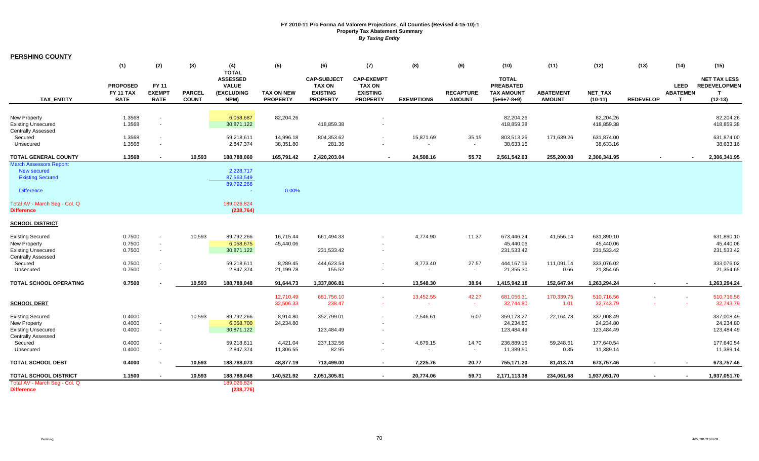| <b>PERSHING COUNTY</b>                                                                                                                                     |                                             |                                                                      |                               |                                                                                      |                                      |                                                                           |                                                                          |                      |                                   |                                                                        |                                   |                                                     |                  |                                |                                                                         |
|------------------------------------------------------------------------------------------------------------------------------------------------------------|---------------------------------------------|----------------------------------------------------------------------|-------------------------------|--------------------------------------------------------------------------------------|--------------------------------------|---------------------------------------------------------------------------|--------------------------------------------------------------------------|----------------------|-----------------------------------|------------------------------------------------------------------------|-----------------------------------|-----------------------------------------------------|------------------|--------------------------------|-------------------------------------------------------------------------|
|                                                                                                                                                            | (1)                                         | (2)                                                                  | (3)                           | (4)                                                                                  | (5)                                  | (6)                                                                       | (7)                                                                      | (8)                  | (9)                               | (10)                                                                   | (11)                              | (12)                                                | (13)             | (14)                           | (15)                                                                    |
| <b>TAX ENTITY</b>                                                                                                                                          | <b>PROPOSED</b><br>FY 11 TAX<br><b>RATE</b> | FY 11<br><b>EXEMPT</b><br><b>RATE</b>                                | <b>PARCEL</b><br><b>COUNT</b> | <b>TOTAL</b><br><b>ASSESSED</b><br><b>VALUE</b><br>(EXCLUDING<br>NPM)                | <b>TAX ON NEW</b><br><b>PROPERTY</b> | <b>CAP-SUBJECT</b><br><b>TAX ON</b><br><b>EXISTING</b><br><b>PROPERTY</b> | <b>CAP-EXEMPT</b><br><b>TAX ON</b><br><b>EXISTING</b><br><b>PROPERTY</b> | <b>EXEMPTIONS</b>    | <b>RECAPTURE</b><br><b>AMOUNT</b> | <b>TOTAL</b><br><b>PREABATED</b><br><b>TAX AMOUNT</b><br>$(5+6+7-8+9)$ | <b>ABATEMENT</b><br><b>AMOUNT</b> | NET_TAX<br>$(10-11)$                                | <b>REDEVELOP</b> | <b>LEED</b><br><b>ABATEMEN</b> | <b>NET TAX LESS</b><br><b>REDEVELOPMEN</b><br>$\mathbf{T}$<br>$(12-13)$ |
| <b>New Property</b><br><b>Existing Unsecured</b><br><b>Centrally Assessed</b>                                                                              | 1.3568<br>1.3568                            | $\blacksquare$<br>$\mathbf{r}$                                       |                               | 6,058,687<br>30,871,122                                                              | 82,204.26                            | 418,859.38                                                                |                                                                          |                      |                                   | 82,204.26<br>418,859.38                                                |                                   | 82,204.26<br>418,859.38                             |                  |                                | 82,204.26<br>418,859.38                                                 |
| Secured<br>Unsecured                                                                                                                                       | 1.3568<br>1.3568                            | $\blacksquare$<br>$\blacksquare$                                     |                               | 59,218,611<br>2,847,374                                                              | 14,996.18<br>38,351.80               | 804,353.62<br>281.36                                                      |                                                                          | 15,871.69            | 35.15<br>$\sim$                   | 803,513.26<br>38,633.16                                                | 171,639.26                        | 631,874.00<br>38,633.16                             |                  |                                | 631,874.00<br>38,633.16                                                 |
| <b>TOTAL GENERAL COUNTY</b>                                                                                                                                | 1.3568                                      |                                                                      | 10.593                        | 188,788,060                                                                          | 165,791.42                           | 2,420,203.04                                                              | $\overline{\phantom{a}}$                                                 | 24,508.16            | 55.72                             | 2,561,542.03                                                           | 255,200.08                        | 2,306,341.95                                        |                  |                                | 2,306,341.95                                                            |
| <b>March Assessors Report:</b><br><b>New secured</b><br><b>Existing Secured</b><br><b>Difference</b><br>Total AV - March Seg - Col. Q<br><b>Difference</b> |                                             |                                                                      |                               | 2,228,717<br>87,563,549<br>89,792,266<br>$\blacksquare$<br>189,026,824<br>(238, 764) | 0.00%                                |                                                                           |                                                                          |                      |                                   |                                                                        |                                   |                                                     |                  |                                |                                                                         |
| <b>SCHOOL DISTRICT</b>                                                                                                                                     |                                             |                                                                      |                               |                                                                                      |                                      |                                                                           |                                                                          |                      |                                   |                                                                        |                                   |                                                     |                  |                                |                                                                         |
| <b>Existing Secured</b><br><b>New Property</b><br><b>Existing Unsecured</b><br><b>Centrally Assessed</b><br>Secured                                        | 0.7500<br>0.7500<br>0.7500<br>0.7500        | $\blacksquare$<br>$\blacksquare$<br>$\blacksquare$<br>$\blacksquare$ | 10,593                        | 89,792,266<br>6,058,675<br>30,871,122<br>59,218,611                                  | 16,715.44<br>45,440.06<br>8,289.45   | 661,494.33<br>231,533.42<br>444,623.54                                    |                                                                          | 4,774.90<br>8,773.40 | 11.37<br>27.57                    | 673,446.24<br>45,440.06<br>231,533.42<br>444,167.16                    | 41,556.14<br>111,091.14           | 631,890.10<br>45,440.06<br>231,533.42<br>333,076.02 |                  |                                | 631,890.10<br>45,440.06<br>231,533.42<br>333,076.02                     |
| Unsecured                                                                                                                                                  | 0.7500                                      | $\mathbf{r}$                                                         |                               | 2,847,374                                                                            | 21,199.78                            | 155.52                                                                    |                                                                          |                      | $\sim$                            | 21,355.30                                                              | 0.66                              | 21,354.65                                           |                  |                                | 21,354.65                                                               |
| TOTAL SCHOOL OPERATING                                                                                                                                     | 0.7500                                      |                                                                      | 10,593                        | 188,788,048                                                                          | 91,644.73                            | 1,337,806.81                                                              | $\sim$                                                                   | 13,548.30            | 38.94                             | 1,415,942.18                                                           | 152,647.94                        | 1,263,294.24                                        |                  |                                | 1,263,294.24                                                            |
| <b>SCHOOL DEBT</b>                                                                                                                                         |                                             |                                                                      |                               |                                                                                      | 12,710.49<br>32,506.33               | 681,756.10<br>238.47                                                      | $\sim$                                                                   | 13,452.55<br>$\sim$  | 42.27<br>$\sim$                   | 681,056.31<br>32,744.80                                                | 170,339.75<br>1.01                | 510,716.56<br>32,743.79                             |                  | $\sim$                         | 510,716.56<br>32,743.79                                                 |
| <b>Existing Secured</b><br><b>New Property</b><br><b>Existing Unsecured</b><br>Centrally Assessed                                                          | 0.4000<br>0.4000<br>0.4000                  | $\blacksquare$<br>$\blacksquare$                                     | 10,593                        | 89,792,266<br>6,058,700<br>30,871,122                                                | 8,914.80<br>24,234.80                | 352,799.01<br>123,484.49                                                  |                                                                          | 2,546.61             | 6.07                              | 359,173.27<br>24,234.80<br>123,484.49                                  | 22,164.78                         | 337,008.49<br>24,234.80<br>123,484.49               |                  |                                | 337,008.49<br>24,234.80<br>123,484.49                                   |
| Secured<br>Unsecured                                                                                                                                       | 0.4000<br>0.4000                            | $\overline{\phantom{a}}$<br>$\blacksquare$                           |                               | 59,218,611<br>2,847,374                                                              | 4,421.04<br>11,306.55                | 237,132.56<br>82.95                                                       |                                                                          | 4,679.15             | 14.70<br>$\sim$                   | 236,889.15<br>11,389.50                                                | 59,248.61<br>0.35                 | 177,640.54<br>11,389.14                             |                  |                                | 177,640.54<br>11,389.14                                                 |
| <b>TOTAL SCHOOL DEBT</b>                                                                                                                                   | 0.4000                                      | ٠                                                                    | 10,593                        | 188,788,073                                                                          | 48,877.19                            | 713,499.00                                                                | $\sim$                                                                   | 7,225.76             | 20.77                             | 755,171.20                                                             | 81,413.74                         | 673,757.46                                          |                  |                                | 673,757.46                                                              |
| TOTAL SCHOOL DISTRICT                                                                                                                                      | 1.1500                                      |                                                                      | 10,593                        | 188,788,048                                                                          | 140,521.92                           | 2,051,305.81                                                              |                                                                          | 20,774.06            | 59.71                             | 2,171,113.38                                                           | 234,061.68                        | 1,937,051.70                                        |                  |                                | 1,937,051.70                                                            |
| Total AV - March Seg - Col. Q<br><b>Difference</b>                                                                                                         |                                             |                                                                      |                               | 189,026,824<br>(238, 776)                                                            |                                      |                                                                           |                                                                          |                      |                                   |                                                                        |                                   |                                                     |                  |                                |                                                                         |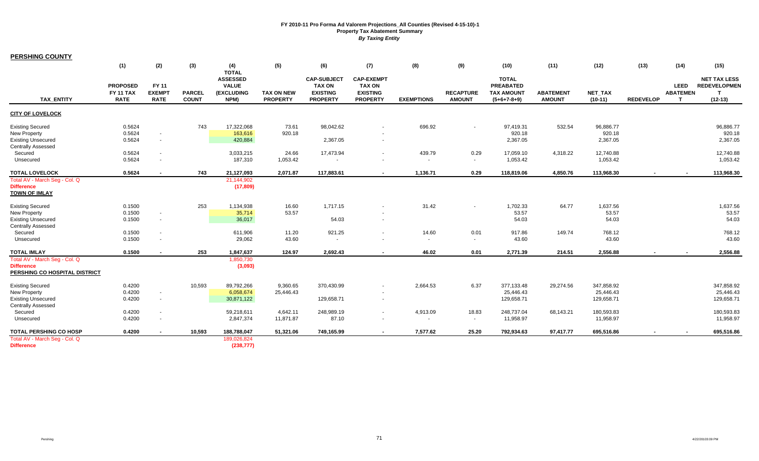| <b>PERSHING COUNTY</b>                                                                                   |                                                    |                                          |                               |                                                                              |                                      |                                                                           |                                                                          |                                      |                                   |                                                                        |                                   |                                       |                  |                                                |                                                              |
|----------------------------------------------------------------------------------------------------------|----------------------------------------------------|------------------------------------------|-------------------------------|------------------------------------------------------------------------------|--------------------------------------|---------------------------------------------------------------------------|--------------------------------------------------------------------------|--------------------------------------|-----------------------------------|------------------------------------------------------------------------|-----------------------------------|---------------------------------------|------------------|------------------------------------------------|--------------------------------------------------------------|
|                                                                                                          | (1)                                                | (2)                                      | $(3)$                         | (4)                                                                          | (5)                                  | (6)                                                                       | (7)                                                                      | (8)                                  | (9)                               | (10)                                                                   | (11)                              | (12)                                  | (13)             | (14)                                           | (15)                                                         |
| <b>TAX ENTITY</b>                                                                                        | <b>PROPOSED</b><br><b>FY 11 TAX</b><br><b>RATE</b> | FY 11<br><b>EXEMPT</b><br><b>RATE</b>    | <b>PARCEL</b><br><b>COUNT</b> | <b>TOTAL</b><br><b>ASSESSED</b><br><b>VALUE</b><br><b>(EXCLUDING</b><br>NPM) | <b>TAX ON NEW</b><br><b>PROPERTY</b> | <b>CAP-SUBJECT</b><br><b>TAX ON</b><br><b>EXISTING</b><br><b>PROPERTY</b> | <b>CAP-EXEMPT</b><br><b>TAX ON</b><br><b>EXISTING</b><br><b>PROPERTY</b> | <b>EXEMPTIONS</b>                    | <b>RECAPTURE</b><br><b>AMOUNT</b> | <b>TOTAL</b><br><b>PREABATED</b><br><b>TAX AMOUNT</b><br>$(5+6+7-8+9)$ | <b>ABATEMENT</b><br><b>AMOUNT</b> | <b>NET TAX</b><br>$(10-11)$           | <b>REDEVELOP</b> | <b>LEED</b><br><b>ABATEMEN</b><br>$\mathbf{r}$ | <b>NET TAX LESS</b><br><b>REDEVELOPMEN</b><br>т<br>$(12-13)$ |
| <b>CITY OF LOVELOCK</b>                                                                                  |                                                    |                                          |                               |                                                                              |                                      |                                                                           |                                                                          |                                      |                                   |                                                                        |                                   |                                       |                  |                                                |                                                              |
| <b>Existing Secured</b><br><b>New Property</b><br><b>Existing Unsecured</b><br><b>Centrally Assessed</b> | 0.5624<br>0.5624<br>0.5624                         | $\sim$<br>$\sim$                         | 743                           | 17,322,068<br>163,616<br>420,884                                             | 73.61<br>920.18                      | 98,042.62<br>2,367.05                                                     |                                                                          | 696.92                               | $\blacksquare$                    | 97,419.31<br>920.18<br>2,367.05                                        | 532.54                            | 96,886.77<br>920.18<br>2,367.05       |                  |                                                | 96,886.77<br>920.18<br>2,367.05                              |
| Secured<br>Unsecured                                                                                     | 0.5624<br>0.5624                                   | $\mathbf{r}$<br>$\overline{\phantom{a}}$ |                               | 3,033,215<br>187,310                                                         | 24.66<br>1,053.42                    | 17,473.94                                                                 |                                                                          | 439.79                               | 0.29<br>$\sim$                    | 17,059.10<br>1,053.42                                                  | 4,318.22                          | 12,740.88<br>1,053.42                 |                  |                                                | 12,740.88<br>1,053.42                                        |
| <b>TOTAL LOVELOCK</b>                                                                                    | 0.5624                                             | $\sim$                                   | 743                           | 21,127,093                                                                   | 2,071.87                             | 117,883.61                                                                | $\overline{\phantom{a}}$                                                 | 1,136.71                             | 0.29                              | 118,819.06                                                             | 4,850.76                          | 113,968.30                            | $\sim$           |                                                | 113,968.30                                                   |
| Total AV - March Seg - Col. Q<br><b>Difference</b><br><b>TOWN OF IMLAY</b>                               |                                                    |                                          |                               | 21,144,902<br>(17, 809)                                                      |                                      |                                                                           |                                                                          |                                      |                                   |                                                                        |                                   |                                       |                  |                                                |                                                              |
| <b>Existing Secured</b><br><b>New Property</b><br><b>Existing Unsecured</b><br><b>Centrally Assessed</b> | 0.1500<br>0.1500<br>0.1500                         | $\blacksquare$<br>$\sim$                 | 253                           | 1,134,938<br>35,714<br>36,017                                                | 16.60<br>53.57                       | 1,717.15<br>54.03                                                         | $\overline{\phantom{a}}$                                                 | 31.42                                | $\sim$                            | 1,702.33<br>53.57<br>54.03                                             | 64.77                             | 1,637.56<br>53.57<br>54.03            |                  |                                                | 1,637.56<br>53.57<br>54.03                                   |
| Secured<br>Unsecured                                                                                     | 0.1500<br>0.1500                                   | $\blacksquare$<br>$\blacksquare$         |                               | 611,906<br>29,062                                                            | 11.20<br>43.60                       | 921.25<br>$\sim$                                                          |                                                                          | 14.60<br>$\sim$                      | 0.01<br>$\sim$                    | 917.86<br>43.60                                                        | 149.74                            | 768.12<br>43.60                       |                  |                                                | 768.12<br>43.60                                              |
| <b>TOTAL IMLAY</b><br>Total AV - March Seq - Col. Q                                                      | 0.1500                                             | $\sim$                                   | 253                           | 1,847,637<br>1,850,730                                                       | 124.97                               | 2.692.43                                                                  | $\sim$                                                                   | 46.02                                | 0.01                              | 2,771.39                                                               | 214.51                            | 2.556.88                              |                  |                                                | 2,556.88                                                     |
| <b>Difference</b><br>PERSHING CO HOSPITAL DISTRICT                                                       |                                                    |                                          |                               | (3,093)                                                                      |                                      |                                                                           |                                                                          |                                      |                                   |                                                                        |                                   |                                       |                  |                                                |                                                              |
| <b>Existing Secured</b><br>New Property<br><b>Existing Unsecured</b>                                     | 0.4200<br>0.4200<br>0.4200                         | $\sim$<br>$\blacksquare$                 | 10,593                        | 89,792,266<br>6,058,674<br>30,871,122                                        | 9,360.65<br>25,446.43                | 370,430.99<br>129,658.71                                                  |                                                                          | 2,664.53                             | 6.37                              | 377,133.48<br>25,446.43<br>129,658.71                                  | 29,274.56                         | 347,858.92<br>25,446.43<br>129,658.71 |                  |                                                | 347,858.92<br>25,446.43<br>129,658.71                        |
| <b>Centrally Assessed</b><br>Secured<br>Unsecured                                                        | 0.4200<br>0.4200                                   | $\mathbf{r}$<br>$\blacksquare$           |                               | 59,218,611<br>2,847,374                                                      | 4,642.11<br>11,871.87                | 248,989.19<br>87.10                                                       |                                                                          | 4,913.09<br>$\overline{\phantom{a}}$ | 18.83<br>$\sim$                   | 248,737.04<br>11,958.97                                                | 68,143.21                         | 180,593.83<br>11,958.97               |                  |                                                | 180,593.83<br>11,958.97                                      |
| <b>TOTAL PERSHING CO HOSP</b><br>Total AV - March Seg - Col. Q<br><b>Difference</b>                      | 0.4200                                             | $\sim$                                   | 10,593                        | 188,788,047<br>189,026,824<br>(238, 777)                                     | 51,321.06                            | 749,165.99                                                                | $\sim$                                                                   | 7,577.62                             | 25.20                             | 792,934.63                                                             | 97,417.77                         | 695,516.86                            |                  |                                                | 695,516.86                                                   |
|                                                                                                          |                                                    |                                          |                               |                                                                              |                                      |                                                                           |                                                                          |                                      |                                   |                                                                        |                                   |                                       |                  |                                                |                                                              |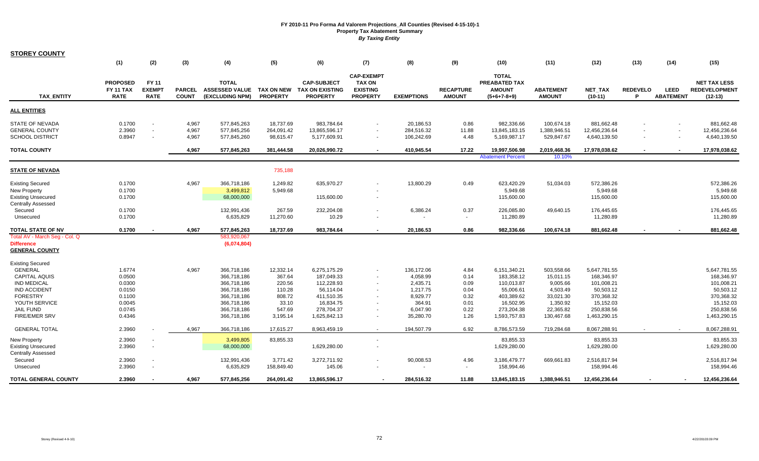| <b>STOREY COUNTY</b>                                                                                                                        |                                                          |                                       |                               |                                                                                        |                                                            |                                                                                  |                                                                          |                                                                      |                                              |                                                                                  |                                                                          |                                                                                  |                       |                                 |                                                                                  |
|---------------------------------------------------------------------------------------------------------------------------------------------|----------------------------------------------------------|---------------------------------------|-------------------------------|----------------------------------------------------------------------------------------|------------------------------------------------------------|----------------------------------------------------------------------------------|--------------------------------------------------------------------------|----------------------------------------------------------------------|----------------------------------------------|----------------------------------------------------------------------------------|--------------------------------------------------------------------------|----------------------------------------------------------------------------------|-----------------------|---------------------------------|----------------------------------------------------------------------------------|
|                                                                                                                                             | (1)                                                      | (2)                                   | (3)                           | (4)                                                                                    | (5)                                                        | (6)                                                                              | (7)                                                                      | (8)                                                                  | (9)                                          | (10)                                                                             | (11)                                                                     | (12)                                                                             | (13)                  | (14)                            | (15)                                                                             |
| <b>TAX ENTITY</b>                                                                                                                           | <b>PROPOSED</b><br><b>FY 11 TAX</b><br><b>RATE</b>       | FY 11<br><b>EXEMPT</b><br><b>RATE</b> | <b>PARCEL</b><br><b>COUNT</b> | <b>TOTAL</b><br><b>ASSESSED VALUE</b><br>(EXCLUDING NPM)                               | TAX ON NEW<br><b>PROPERTY</b>                              | <b>CAP-SUBJECT</b><br><b>TAX ON EXISTING</b><br><b>PROPERTY</b>                  | <b>CAP-EXEMPT</b><br><b>TAX ON</b><br><b>EXISTING</b><br><b>PROPERTY</b> | <b>EXEMPTIONS</b>                                                    | <b>RECAPTURE</b><br><b>AMOUNT</b>            | <b>TOTAL</b><br>PREABATED TAX<br><b>AMOUNT</b><br>$(5+6+7-8+9)$                  | <b>ABATEMENT</b><br><b>AMOUNT</b>                                        | <b>NET TAX</b><br>$(10-11)$                                                      | <b>REDEVELO</b><br>P. | <b>LEED</b><br><b>ABATEMENT</b> | <b>NET TAX LESS</b><br><b>REDEVELOPMENT</b><br>$(12-13)$                         |
| ALL ENTITIES                                                                                                                                |                                                          |                                       |                               |                                                                                        |                                                            |                                                                                  |                                                                          |                                                                      |                                              |                                                                                  |                                                                          |                                                                                  |                       |                                 |                                                                                  |
| STATE OF NEVADA<br>GENERAL COUNTY<br>SCHOOL DISTRICT                                                                                        | 0.1700<br>2.3960<br>0.8947                               | $\sim$<br>$\sim$                      | 4,967<br>4,967<br>4,967       | 577,845,263<br>577,845,256<br>577,845,260                                              | 18,737.69<br>264,091.42<br>98,615.47                       | 983,784.64<br>13,865,596.17<br>5,177,609.91                                      |                                                                          | 20,186.53<br>284,516.32<br>106,242.69                                | 0.86<br>11.88<br>4.48                        | 982,336.66<br>13,845,183.15<br>5,169,987.17                                      | 100,674.18<br>1,388,946.51<br>529,847.67                                 | 881,662.48<br>12,456,236.64<br>4,640,139.50                                      |                       |                                 | 881,662.48<br>12,456,236.64<br>4,640,139.50                                      |
| <b>TOTAL COUNTY</b>                                                                                                                         |                                                          |                                       | 4,967                         | 577,845,263                                                                            | 381,444.58                                                 | 20,026,990.72                                                                    |                                                                          | 410,945.54                                                           | 17.22                                        | 19,997,506.98<br><b>Abatement Percent</b>                                        | 2,019,468.36<br>10.10%                                                   | 17,978,038.62                                                                    |                       |                                 | 17,978,038.62                                                                    |
| STATE OF NEVADA                                                                                                                             |                                                          |                                       |                               |                                                                                        | 735,188                                                    |                                                                                  |                                                                          |                                                                      |                                              |                                                                                  |                                                                          |                                                                                  |                       |                                 |                                                                                  |
| <b>Existing Secured</b><br><b>New Property</b><br><b>Existing Unsecured</b>                                                                 | 0.1700<br>0.1700<br>0.1700                               |                                       | 4,967                         | 366,718,186<br>3,499,812<br>68,000,000                                                 | 1,249.82<br>5,949.68                                       | 635,970.27<br>115,600.00                                                         |                                                                          | 13,800.29                                                            | 0.49                                         | 623,420.29<br>5,949.68<br>115,600.00                                             | 51,034.03                                                                | 572,386.26<br>5,949.68<br>115,600.00                                             |                       |                                 | 572,386.26<br>5,949.68<br>115,600.00                                             |
| <b>Centrally Assessed</b><br>Secured<br>Unsecured                                                                                           | 0.1700<br>0.1700                                         |                                       |                               | 132,991,436<br>6,635,829                                                               | 267.59<br>11,270.60                                        | 232,204.08<br>10.29                                                              |                                                                          | 6,386.24                                                             | 0.37                                         | 226,085.80<br>11,280.89                                                          | 49,640.15                                                                | 176,445.65<br>11,280.89                                                          |                       |                                 | 176,445.65<br>11,280.89                                                          |
| TOTAL STATE OF NV                                                                                                                           | 0.1700                                                   |                                       | 4,967                         | 577,845,263                                                                            | 18,737.69                                                  | 983,784.64                                                                       |                                                                          | 20,186.53                                                            | 0.86                                         | 982,336.66                                                                       | 100,674.18                                                               | 881,662.48                                                                       |                       |                                 | 881,662.48                                                                       |
| Total AV - March Seg - Col. Q<br>Difference<br><b>GENERAL COUNTY</b>                                                                        |                                                          |                                       |                               | 583,920,067<br>(6,074,804)                                                             |                                                            |                                                                                  |                                                                          |                                                                      |                                              |                                                                                  |                                                                          |                                                                                  |                       |                                 |                                                                                  |
| Existing Secured<br><b>GENERAL</b><br><b>CAPITAL AQUIS</b><br><b>IND MEDICAL</b><br><b>IND ACCIDENT</b><br><b>FORESTRY</b><br>YOUTH SERVICE | 1.6774<br>0.0500<br>0.0300<br>0.0150<br>0.1100<br>0.0045 |                                       | 4,967                         | 366,718,186<br>366,718,186<br>366,718,186<br>366,718,186<br>366,718,186<br>366,718,186 | 12,332.14<br>367.64<br>220.56<br>110.28<br>808.72<br>33.10 | 6,275,175.29<br>187,049.33<br>112,228.93<br>56,114.04<br>411,510.35<br>16,834.75 |                                                                          | 136,172.06<br>4,058.99<br>2,435.71<br>1,217.75<br>8,929.77<br>364.91 | 4.84<br>0.14<br>0.09<br>0.04<br>0.32<br>0.01 | 6,151,340.21<br>183,358.12<br>110,013.87<br>55,006.61<br>403,389.62<br>16,502.95 | 503,558.66<br>15,011.15<br>9,005.66<br>4,503.49<br>33,021.30<br>1,350.92 | 5,647,781.55<br>168,346.97<br>101,008.21<br>50,503.12<br>370,368.32<br>15,152.03 |                       |                                 | 5,647,781.55<br>168,346.97<br>101,008.21<br>50,503.12<br>370,368.32<br>15,152.03 |
| <b>JAIL FUND</b><br><b>FIRE/EMER SRV</b>                                                                                                    | 0.0745<br>0.4346                                         |                                       |                               | 366,718,186<br>366,718,186                                                             | 547.69<br>3,195.14                                         | 278,704.37<br>1,625,842.13                                                       |                                                                          | 6,047.90<br>35,280.70                                                | 0.22<br>1.26                                 | 273,204.38<br>1,593,757.83                                                       | 22,365.82<br>130,467.68                                                  | 250,838.56<br>1,463,290.15                                                       |                       |                                 | 250,838.56<br>1,463,290.15                                                       |
| <b>GENERAL TOTAL</b>                                                                                                                        | 2.3960                                                   |                                       | 4,967                         | 366,718,186                                                                            | 17,615.27                                                  | 8,963,459.19                                                                     |                                                                          | 194.507.79                                                           | 6.92                                         | 8,786,573.59                                                                     | 719,284.68                                                               | 8,067,288.91                                                                     |                       |                                 | 8,067,288.91                                                                     |
| New Property<br>Existing Unsecured<br><b>Centrally Assessed</b>                                                                             | 2.3960<br>2.3960                                         |                                       |                               | 3,499,805<br>68,000,000                                                                | 83,855.33                                                  | 1,629,280.00                                                                     |                                                                          |                                                                      |                                              | 83,855.33<br>1,629,280.00                                                        |                                                                          | 83,855.33<br>1,629,280.00                                                        |                       |                                 | 83,855.33<br>1,629,280.00                                                        |
| Secured<br>Unsecured                                                                                                                        | 2.3960<br>2.3960                                         | $\sim$                                |                               | 132,991,436<br>6,635,829                                                               | 3,771.42<br>158,849.40                                     | 3,272,711.92<br>145.06                                                           |                                                                          | 90,008.53                                                            | 4.96                                         | 3,186,479.77<br>158,994.46                                                       | 669,661.83                                                               | 2,516,817.94<br>158,994.46                                                       |                       |                                 | 2,516,817.94<br>158,994.46                                                       |
| TOTAL GENERAL COUNTY                                                                                                                        | 2.3960                                                   | $\blacksquare$                        | 4,967                         | 577,845,256                                                                            | 264,091.42                                                 | 13,865,596.17                                                                    |                                                                          | 284,516.32                                                           | 11.88                                        | 13,845,183.15                                                                    | 1,388,946.51                                                             | 12,456,236.64                                                                    |                       |                                 | 12,456,236.64                                                                    |

 $\sim$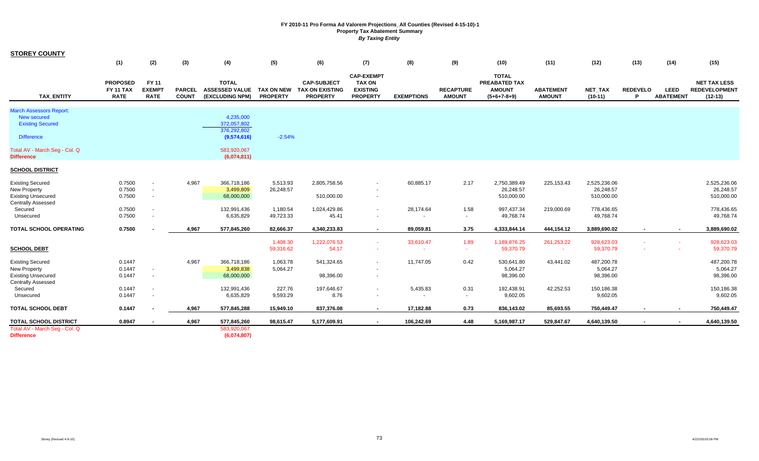| <b>STOREY COUNTY</b>                                                                                     |                                                    |                                              |                               |                                                          |                                      |                                                                 |                                                                          |                    |                                   |                                                                 |                                   |                                         |                      |                                 |                                                          |
|----------------------------------------------------------------------------------------------------------|----------------------------------------------------|----------------------------------------------|-------------------------------|----------------------------------------------------------|--------------------------------------|-----------------------------------------------------------------|--------------------------------------------------------------------------|--------------------|-----------------------------------|-----------------------------------------------------------------|-----------------------------------|-----------------------------------------|----------------------|---------------------------------|----------------------------------------------------------|
|                                                                                                          | (1)                                                | (2)                                          | (3)                           | (4)                                                      | (5)                                  | (6)                                                             | (7)                                                                      | (8)                | (9)                               | (10)                                                            | (11)                              | (12)                                    | (13)                 | (14)                            | (15)                                                     |
| <b>TAX ENTITY</b>                                                                                        | <b>PROPOSED</b><br><b>FY 11 TAX</b><br><b>RATE</b> | <b>FY 11</b><br><b>EXEMPT</b><br><b>RATE</b> | <b>PARCEL</b><br><b>COUNT</b> | <b>TOTAL</b><br><b>ASSESSED VALUE</b><br>(EXCLUDING NPM) | <b>TAX ON NEW</b><br><b>PROPERTY</b> | <b>CAP-SUBJECT</b><br><b>TAX ON EXISTING</b><br><b>PROPERTY</b> | <b>CAP-EXEMPT</b><br><b>TAX ON</b><br><b>EXISTING</b><br><b>PROPERTY</b> | <b>EXEMPTIONS</b>  | <b>RECAPTURE</b><br><b>AMOUNT</b> | <b>TOTAL</b><br>PREABATED TAX<br><b>AMOUNT</b><br>$(5+6+7-8+9)$ | <b>ABATEMENT</b><br><b>AMOUNT</b> | <b>NET TAX</b><br>$(10-11)$             | <b>REDEVELO</b><br>D | <b>LEED</b><br><b>ABATEMENT</b> | <b>NET TAX LESS</b><br><b>REDEVELOPMENT</b><br>$(12-13)$ |
| <b>March Assessors Report:</b><br><b>New secured</b><br><b>Existing Secured</b><br><b>Difference</b>     |                                                    |                                              |                               | 4,235,000<br>372,057,802<br>376,292,802<br>(9,574,616)   | $-2.54%$                             |                                                                 |                                                                          |                    |                                   |                                                                 |                                   |                                         |                      |                                 |                                                          |
| Total AV - March Seg - Col. Q<br><b>Difference</b>                                                       |                                                    |                                              |                               | 583,920,067<br>(6,074,811)                               |                                      |                                                                 |                                                                          |                    |                                   |                                                                 |                                   |                                         |                      |                                 |                                                          |
| <b>SCHOOL DISTRICT</b>                                                                                   |                                                    |                                              |                               |                                                          |                                      |                                                                 |                                                                          |                    |                                   |                                                                 |                                   |                                         |                      |                                 |                                                          |
| <b>Existing Secured</b><br><b>New Property</b><br><b>Existing Unsecured</b>                              | 0.7500<br>0.7500<br>0.7500                         | $\sim$<br>$\sim$<br>$\sim$                   | 4,967                         | 366,718,186<br>3,499,809<br>68,000,000                   | 5,513.93<br>26,248.57                | 2,805,758.56<br>510,000.00                                      |                                                                          | 60,885.17          | 2.17                              | 2,750,389.49<br>26,248.57<br>510,000.00                         | 225, 153. 43                      | 2,525,236.06<br>26,248.57<br>510,000.00 |                      |                                 | 2,525,236.06<br>26,248.57<br>510,000.00                  |
| <b>Centrally Assessed</b><br>Secured<br>Unsecured                                                        | 0.7500<br>0.7500                                   | $\sim$                                       |                               | 132,991,436<br>6,635,829                                 | 1,180.54<br>49,723.33                | 1,024,429.86<br>45.41                                           | $\overline{\phantom{a}}$                                                 | 28,174.64          | 1.58<br>$\sim$                    | 997,437.34<br>49,768.74                                         | 219,000.69                        | 778,436.65<br>49,768.74                 |                      |                                 | 778,436.65<br>49,768.74                                  |
| <b>TOTAL SCHOOL OPERATING</b>                                                                            | 0.7500                                             |                                              | 4,967                         | 577,845,260                                              | 82,666.37                            | 4,340,233.83                                                    | $\sim$                                                                   | 89,059.81          | 3.75                              | 4,333,844.14                                                    | 444,154.12                        | 3,889,690.02                            |                      |                                 | 3,889,690.02                                             |
| <b>SCHOOL DEBT</b>                                                                                       |                                                    |                                              |                               |                                                          | 1,408.30<br>59,316.62                | 1,222,076.53<br>54.17                                           | $\sim$                                                                   | 33,610.47          | 1.89<br>$\sim$                    | 1,189,876.25<br>59,370.79                                       | 261,253.22<br>$\sim$              | 928,623.03<br>59,370.79                 | $\sim$               | $\sim$                          | 928,623.03<br>59,370.79                                  |
| <b>Existing Secured</b><br><b>New Property</b><br><b>Existing Unsecured</b><br><b>Centrally Assessed</b> | 0.1447<br>0.1447<br>0.1447                         | $\sim$<br>$\sim$                             | 4,967                         | 366,718,186<br>3,499,838<br>68,000,000                   | 1,063.78<br>5,064.27                 | 541,324.65<br>98,396.00                                         |                                                                          | 11,747.05          | 0.42                              | 530,641.80<br>5,064.27<br>98,396.00                             | 43,441.02                         | 487,200.78<br>5,064.27<br>98,396.00     |                      |                                 | 487,200.78<br>5,064.27<br>98,396.00                      |
| Secured<br>Unsecured                                                                                     | 0.1447<br>0.1447                                   | $\sim$<br>$\sim$                             |                               | 132,991,436<br>6,635,829                                 | 227.76<br>9,593.29                   | 197,646.67<br>8.76                                              | $\overline{\phantom{a}}$                                                 | 5,435.83<br>$\sim$ | 0.31<br>$\sim$                    | 192,438.91<br>9,602.05                                          | 42,252.53                         | 150,186.38<br>9,602.05                  |                      |                                 | 150,186.38<br>9,602.05                                   |
| TOTAL SCHOOL DEBT                                                                                        | 0.1447                                             |                                              | 4,967                         | 577,845,288                                              | 15,949.10                            | 837,376.08                                                      |                                                                          | 17,182.88          | 0.73                              | 836,143.02                                                      | 85,693.55                         | 750,449.47                              |                      |                                 | 750,449.47                                               |
| TOTAL SCHOOL DISTRICT                                                                                    | 0.8947                                             |                                              | 4,967                         | 577,845,260                                              | 98,615.47                            | 5,177,609.91                                                    | $\sim$                                                                   | 106,242.69         | 4.48                              | 5,169,987.17                                                    | 529,847.67                        | 4,640,139.50                            |                      | $\sim$                          | 4,640,139.50                                             |
| Total AV - March Seg - Col. Q<br><b>Difference</b>                                                       |                                                    |                                              |                               | 583,920,067<br>(6,074,807)                               |                                      |                                                                 |                                                                          |                    |                                   |                                                                 |                                   |                                         |                      |                                 |                                                          |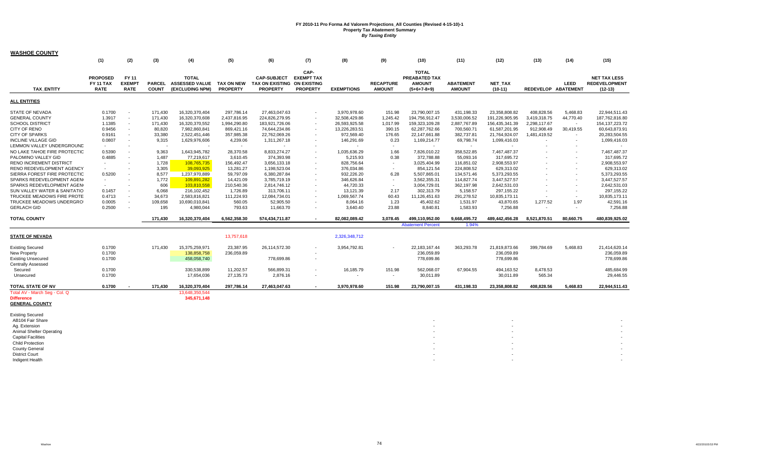| <b>WASHOE COUNTY</b>                                                        |                                             |                                       |                               |                                                          |                               |                                                                      |                                              |                   |                                   |                                                                        |                                   |                             |                     |                          |                                                          |
|-----------------------------------------------------------------------------|---------------------------------------------|---------------------------------------|-------------------------------|----------------------------------------------------------|-------------------------------|----------------------------------------------------------------------|----------------------------------------------|-------------------|-----------------------------------|------------------------------------------------------------------------|-----------------------------------|-----------------------------|---------------------|--------------------------|----------------------------------------------------------|
|                                                                             | (1)                                         | (2)                                   | (3)                           | (4)                                                      | (5)                           | (6)                                                                  | (7)                                          | (8)               | (9)                               | (10)                                                                   | (11)                              | (12)                        | (13)                | (14)                     | (15)                                                     |
| <b>TAX ENTITY</b>                                                           | <b>PROPOSED</b><br>FY 11 TAX<br><b>RATE</b> | FY 11<br><b>EXEMPT</b><br><b>RATE</b> | <b>PARCEL</b><br><b>COUNT</b> | <b>TOTAL</b><br><b>ASSESSED VALUE</b><br>(EXCLUDING NPM) | TAX ON NEW<br><b>PROPERTY</b> | <b>CAP-SUBJECT</b><br>TAX ON EXISTING ON EXISTING<br><b>PROPERTY</b> | CAP-<br><b>EXEMPT TAX</b><br><b>PROPERTY</b> | <b>EXEMPTIONS</b> | <b>RECAPTURE</b><br><b>AMOUNT</b> | <b>TOTAL</b><br><b>PREABATED TAX</b><br><b>AMOUNT</b><br>$(5+6+7-8+9)$ | <b>ABATEMENT</b><br><b>AMOUNT</b> | <b>NET TAX</b><br>$(10-11)$ | REDEVELOP ABATEMENT | LEED                     | <b>NET TAX LESS</b><br><b>REDEVELOPMENT</b><br>$(12-13)$ |
| <b>ALL ENTITIES</b>                                                         |                                             |                                       |                               |                                                          |                               |                                                                      |                                              |                   |                                   |                                                                        |                                   |                             |                     |                          |                                                          |
| STATE OF NEVADA                                                             | 0.1700                                      | $\sim$                                | 171,430                       | 16,320,370,404                                           | 297,786.14                    | 27,463,047.63                                                        | $\sim$                                       | 3,970,978.60      | 151.98                            | 23,790,007.15                                                          | 431,198.33                        | 23,358,808.82               | 408,828.56          | 5,468.83                 | 22,944,511.43                                            |
| <b>GENERAL COUNTY</b>                                                       | 1.3917                                      | $\blacksquare$                        | 171,430                       | 16,320,370,608                                           | 2,437,816.95                  | 224,826,279.95                                                       | $\sim$                                       | 32,508,429.86     | 1,245.42                          | 194,756,912.47                                                         | 3,530,006.52                      | 191,226,905.95              | 3,419,318.75        | 44,770.40                | 187,762,816.80                                           |
| <b>SCHOOL DISTRICT</b>                                                      | 1.1385                                      | $\sim$                                | 171,430                       | 16,320,370,552                                           | 1,994,290.80                  | 183,921,726.06                                                       | $\sim$                                       | 26,593,925.58     | 1,017.99                          | 159,323,109.28                                                         | 2,887,767.89                      | 156,435,341.39              | 2,298,117.67        | $\sim$                   | 154, 137, 223. 72                                        |
| CITY OF RENO                                                                | 0.9456                                      | $\sim$                                | 80,820                        | 7,982,860,841                                            | 869,421.16                    | 74,644,234.86                                                        |                                              | 13,226,283.51     | 390.15                            | 62,287,762.66                                                          | 700,560.71                        | 61,587,201.95               | 912,908.49          | 30,419.55                | 60,643,873.91                                            |
| <b>CITY OF SPARKS</b>                                                       | 0.9161                                      | $\sim$                                | 33,380                        | 2.522.451.446                                            | 357,985.38                    | 22,762,069.26                                                        |                                              | 972,569.40        | 176.65                            | 22,147,661.88                                                          | 382,737.81                        | 21,764,924.07               | 1,481,419.52        | $\blacksquare$           | 20,283,504.55                                            |
| <b>INCLINE VILLAGE GID</b>                                                  | 0.0807                                      | $\sim$                                | 9,315                         | 1,629,976,606                                            | 4,239.06                      | 1,311,267.18                                                         |                                              | 146,291.69        | 0.23                              | 1,169,214.77                                                           | 69,798.74                         | 1,099,416.03                |                     |                          | 1,099,416.03                                             |
| LEMMON VALLEY UNDERGROUND                                                   |                                             | $\overline{\phantom{a}}$              |                               |                                                          | $\sim$                        |                                                                      |                                              |                   | $\sim$                            |                                                                        | $\sim$                            |                             |                     |                          |                                                          |
| NO LAKE TAHOE FIRE PROTECTIC                                                | 0.5390                                      | $\sim$                                | 9,363                         | 1,643,945,782                                            | 28,370.58                     | 8,833,274.27                                                         | $\sim$                                       | 1,035,636.29      | 1.66                              | 7,826,010.22                                                           | 358,522.85                        | 7,467,487.37                |                     |                          | 7,467,487.37                                             |
| PALOMINO VALLEY GID                                                         | 0.4885                                      | $\sim$                                | 1,487                         | 77,219,617                                               | 3,610.45                      | 374,393.98                                                           |                                              | 5,215.93          | 0.38                              | 372,788.88                                                             | 55,093.16                         | 317,695.72                  |                     |                          | 317,695.72                                               |
| RENO INCREMENT DISTRICT                                                     |                                             |                                       | 1,728                         | 108,765,735                                              | 156,492.47                    | 3,656,133.18                                                         |                                              | 828,756.64        | $\sim$                            | 3,025,404.99                                                           | 116,851.02                        | 2,908,553.97                |                     |                          | 2,908,553.97                                             |
| RENO REDEVELOPMENT AGENCY                                                   | $\sim$                                      |                                       | 3,305                         | 39,093,925                                               | 13,281.27                     | 1,198,523.04                                                         | $\overline{\phantom{a}}$                     | 376,034.86        | $\sim$                            | 854,121.54                                                             | 224,808.52                        | 629,313.02                  |                     | $\sim$                   | 629,313.02                                               |
| SIERRA FOREST FIRE PROTECTIC                                                | 0.5200                                      |                                       | 8,577                         | 1,237,970,889                                            | 59,797.09                     | 6,380,287.84                                                         |                                              | 932,226.20        | 6.28                              | 5,507,865.01                                                           | 134,571.46                        | 5,373,293.55                |                     |                          | 5,373,293.55                                             |
| SPARKS REDEVELOPMENT AGEN                                                   | $\sim$                                      |                                       | 1,772                         | 109,891,282                                              | 14,421.09                     | 3,785,719.19                                                         |                                              | 346,626.84        | $\sim$                            | 3,562,355.31                                                           | 114,827.74                        | 3,447,527.57                |                     |                          | 3,447,527.57                                             |
| SPARKS REDEVELOPMENT AGEN(                                                  | $\sim$                                      | $\overline{\phantom{a}}$              | 606                           | 103,810,558                                              | 210,540.36                    | 2,814,746.12                                                         | $\overline{\phantom{a}}$                     | 44,720.33         | $\sim$                            | 3,004,729.01                                                           | 362,197.98                        | 2,642,531.03                |                     | $\sim$                   | 2,642,531.03                                             |
| SUN VALLEY WATER & SANITATIO                                                | 0.1457                                      | $\overline{\phantom{a}}$              | 6,068                         | 216,102,452                                              | 1,726.89                      | 313,706.11                                                           |                                              | 13,121.39         | 2.17                              | 302,313.79                                                             | 5,158.57                          | 297,155.22                  |                     | $\overline{\phantom{a}}$ | 297,155.22                                               |
| TRUCKEE MEADOWS FIRE PROTE                                                  | 0.4713                                      | $\sim$                                | 34,673                        | 2,583,816,821                                            | 111,224.93                    | 12,084,734.01                                                        | $\overline{\phantom{a}}$                     | 1,069,567.74      | 60.43                             | 11,126,451.63                                                          | 291,278.52                        | 10,835,173.11               |                     | $\overline{\phantom{a}}$ | 10,835,173.11                                            |
| TRUCKEE MEADOWS UNDERGRO                                                    | 0.0005                                      | $\sim$                                | 109,658                       | 10,690,010,841                                           | 560.05                        | 52,905.50                                                            |                                              | 8,064.16          | 1.23                              | 45,402.62                                                              | 1,531.97                          | 43,870.65                   | 1,277.52            | 1.97                     | 42,591.16                                                |
| <b>GERLACH GID</b>                                                          | 0.2500                                      | $\sim$                                | 195                           | 4,980,044                                                | 793.63                        | 11,663.70                                                            | $\overline{\phantom{a}}$                     | 3.640.40          | 23.88                             | 8,840.81                                                               | 1,583.93                          | 7,256.88                    |                     | $\overline{\phantom{a}}$ | 7,256.88                                                 |
| <b>TOTAL COUNTY</b>                                                         |                                             |                                       | 171,430                       | 16,320,370,404                                           | 6,562,358.30                  | 574,434,711.87                                                       | $\overline{\phantom{a}}$                     | 82,082,089.42     | 3.078.45                          | 499,110,952.00                                                         | 9,668,495.72                      | 489,442,456.28              | 8,521,870.51        | 80,660.75                | 480,839,925.02                                           |
|                                                                             |                                             |                                       |                               |                                                          |                               |                                                                      |                                              |                   |                                   | <b>Abatement Percent</b>                                               | 1.94%                             |                             |                     |                          |                                                          |
|                                                                             |                                             |                                       |                               |                                                          |                               |                                                                      |                                              |                   |                                   |                                                                        |                                   |                             |                     |                          |                                                          |
| <b>STATE OF NEVADA</b>                                                      |                                             |                                       |                               |                                                          | 13,757,618                    |                                                                      |                                              | 2,326,348,712     |                                   |                                                                        |                                   |                             |                     |                          |                                                          |
| <b>Existing Secured</b>                                                     | 0.1700                                      |                                       | 171.430                       | 15,375,259,971                                           | 23,387.95                     | 26,114,572.30                                                        |                                              | 3,954,792.81      |                                   | 22,183,167.44                                                          | 363,293.78                        | 21,819,873.66               | 399,784.69          | 5,468.83                 | 21,414,620.14                                            |
| New Property                                                                | 0.1700                                      |                                       |                               | 138,858,758                                              | 236,059.89                    |                                                                      |                                              |                   |                                   | 236,059.89                                                             |                                   | 236,059.89                  |                     |                          | 236,059.89                                               |
| <b>Existing Unsecured</b>                                                   | 0.1700                                      |                                       |                               | 458,058,740                                              |                               | 778,699.86                                                           |                                              |                   |                                   | 778,699.86                                                             |                                   | 778,699.86                  |                     |                          | 778,699.86                                               |
| <b>Centrally Assessed</b>                                                   |                                             |                                       |                               |                                                          |                               |                                                                      |                                              |                   |                                   |                                                                        |                                   |                             |                     |                          |                                                          |
| Secured                                                                     | 0.1700                                      |                                       |                               | 330,538,899                                              | 11,202.57                     | 566,899.31                                                           |                                              | 16,185.79         | 151.98                            | 562,068.07                                                             | 67,904.55                         | 494,163.52                  | 8,478.53            |                          | 485,684.99                                               |
| Unsecured                                                                   | 0.1700                                      |                                       |                               | 17,654,036                                               | 27,135.73                     | 2,876.16                                                             |                                              |                   |                                   | 30,011.89                                                              |                                   | 30,011.89                   | 565.34              |                          | 29,446.55                                                |
| TOTAL STATE OF NV                                                           | 0.1700                                      |                                       | 171,430                       | 16,320,370,404                                           | 297,786.14                    | 27,463,047.63                                                        |                                              | 3,970,978.60      | 151.98                            | 23,790,007.15                                                          | 431,198.33                        | 23,358,808.82               | 408,828.56          | 5,468.83                 | 22,944,511.43                                            |
| Total AV - March Seg - Col. Q<br><b>Difference</b><br><b>GENERAL COUNTY</b> |                                             |                                       |                               | 13.648.350.544<br>345,671,148                            |                               |                                                                      |                                              |                   |                                   |                                                                        |                                   |                             |                     |                          |                                                          |
| <b>Existing Secured</b>                                                     |                                             |                                       |                               |                                                          |                               |                                                                      |                                              |                   |                                   |                                                                        |                                   |                             |                     |                          |                                                          |
| AB104 Fair Share                                                            |                                             |                                       |                               |                                                          |                               |                                                                      |                                              |                   |                                   |                                                                        |                                   |                             |                     |                          |                                                          |
| Ag. Extension                                                               |                                             |                                       |                               |                                                          |                               |                                                                      |                                              |                   |                                   |                                                                        |                                   |                             |                     |                          |                                                          |
| Animal Shelter Operating                                                    |                                             |                                       |                               |                                                          |                               |                                                                      |                                              |                   |                                   |                                                                        |                                   |                             |                     |                          |                                                          |
| <b>Capital Facilities</b>                                                   |                                             |                                       |                               |                                                          |                               |                                                                      |                                              |                   |                                   |                                                                        |                                   |                             |                     |                          |                                                          |
| <b>Child Protection</b>                                                     |                                             |                                       |                               |                                                          |                               |                                                                      |                                              |                   |                                   |                                                                        |                                   |                             |                     |                          |                                                          |
| <b>County General</b>                                                       |                                             |                                       |                               |                                                          |                               |                                                                      |                                              |                   |                                   |                                                                        |                                   |                             |                     |                          |                                                          |
| <b>District Court</b>                                                       |                                             |                                       |                               |                                                          |                               |                                                                      |                                              |                   |                                   |                                                                        |                                   |                             |                     |                          |                                                          |
| Indigent Health                                                             |                                             |                                       |                               |                                                          |                               |                                                                      |                                              |                   |                                   |                                                                        |                                   |                             |                     |                          |                                                          |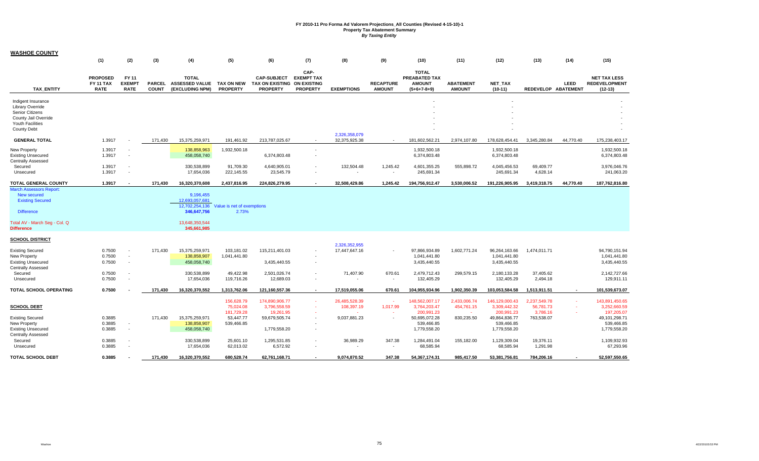| <b>WASHOE COUNTY</b>                                                                                                                         |                                             |                                                                |                               |                                                                                               |                                       |                                                                      |                                              |                                |                                   |                                                                 |                                   |                                               |                                       |             |                                                          |
|----------------------------------------------------------------------------------------------------------------------------------------------|---------------------------------------------|----------------------------------------------------------------|-------------------------------|-----------------------------------------------------------------------------------------------|---------------------------------------|----------------------------------------------------------------------|----------------------------------------------|--------------------------------|-----------------------------------|-----------------------------------------------------------------|-----------------------------------|-----------------------------------------------|---------------------------------------|-------------|----------------------------------------------------------|
|                                                                                                                                              | (1)                                         | (2)                                                            | (3)                           | (4)                                                                                           | (5)                                   | (6)                                                                  | (7)                                          | (8)                            | (9)                               | (10)                                                            | (11)                              | (12)                                          | (13)                                  | (14)        | (15)                                                     |
| <b>TAX ENTITY</b>                                                                                                                            | <b>PROPOSED</b><br>FY 11 TAX<br><b>RATE</b> | FY 11<br><b>EXEMPT</b><br><b>RATE</b>                          | <b>PARCEL</b><br><b>COUNT</b> | <b>TOTAL</b><br><b>ASSESSED VALUE</b><br>(EXCLUDING NPM)                                      | <b>TAX ON NEW</b><br><b>PROPERTY</b>  | <b>CAP-SUBJECT</b><br>TAX ON EXISTING ON EXISTING<br><b>PROPERTY</b> | CAP-<br><b>EXEMPT TAX</b><br><b>PROPERTY</b> | <b>EXEMPTIONS</b>              | <b>RECAPTURE</b><br><b>AMOUNT</b> | <b>TOTAL</b><br>PREABATED TAX<br><b>AMOUNT</b><br>$(5+6+7-8+9)$ | <b>ABATEMENT</b><br><b>AMOUNT</b> | <b>NET TAX</b><br>$(10-11)$                   | REDEVELOP ABATEMENT                   | <b>LEED</b> | <b>NET TAX LESS</b><br><b>REDEVELOPMENT</b><br>$(12-13)$ |
| Indigent Insurance<br>Library Override<br>Senior Citizens<br>County Jail Override<br>Youth Facilities<br><b>County Debt</b>                  |                                             |                                                                |                               |                                                                                               |                                       |                                                                      |                                              | 2,326,358,079                  |                                   |                                                                 |                                   |                                               |                                       |             |                                                          |
| <b>GENERAL TOTAL</b>                                                                                                                         | 1.3917                                      |                                                                | 171,430                       | 15,375,259,971                                                                                | 191,461.92                            | 213,787,025.67                                                       |                                              | 32,375,925.38                  | $\sim$                            | 181,602,562.21                                                  | 2,974,107.80                      | 178,628,454.41                                | 3,345,280.84                          | 44,770.40   | 175,238,403.17                                           |
| New Property<br><b>Existing Unsecured</b><br><b>Centrally Assessed</b>                                                                       | 1.3917<br>1.3917                            | $\sim$<br>$\sim$                                               |                               | 138,858,963<br>458,058,740                                                                    | 1,932,500.18                          | 6,374,803.48                                                         | $\overline{\phantom{a}}$<br>$\sim$           |                                |                                   | 1,932,500.18<br>6,374,803.48                                    |                                   | 1,932,500.18<br>6,374,803.48                  |                                       |             | 1,932,500.18<br>6,374,803.48                             |
| Secured<br>Unsecured                                                                                                                         | 1.3917<br>1.3917                            | $\sim$<br>$\sim$                                               |                               | 330,538,899<br>17,654,036                                                                     | 91,709.30<br>222,145.55               | 4,640,905.01<br>23,545.79                                            |                                              | 132,504.48                     | 1,245.42                          | 4,601,355.25<br>245,691.34                                      | 555,898.72                        | 4,045,456.53<br>245,691.34                    | 69,409.77<br>4,628.14                 |             | 3,976,046.76<br>241,063.20                               |
| <b>TOTAL GENERAL COUNTY</b>                                                                                                                  | 1.3917                                      |                                                                | 171,430                       | 16,320,370,608                                                                                | 2,437,816.95                          | 224,826,279.95                                                       |                                              | 32,508,429.86                  | 1,245.42                          | 194,756,912.47                                                  | 3,530,006.52                      | 191,226,905.95                                | 3,419,318.75                          | 44,770.40   | 187,762,816.80                                           |
| March Assessors Report:<br>New secured<br><b>Existing Secured</b><br><b>Difference</b><br>Total AV - March Seg - Col. Q<br><b>Difference</b> |                                             |                                                                |                               | 9,196,455<br>12.693.057.681<br>12,702,254,136<br>346,647,756<br>13,648,350,544<br>345,661,985 | Value is net of exemptions<br>2.73%   |                                                                      |                                              |                                |                                   |                                                                 |                                   |                                               |                                       |             |                                                          |
|                                                                                                                                              |                                             |                                                                |                               |                                                                                               |                                       |                                                                      |                                              |                                |                                   |                                                                 |                                   |                                               |                                       |             |                                                          |
| <b>SCHOOL DISTRICT</b><br><b>Existing Secured</b><br>New Property<br><b>Existing Unsecured</b><br><b>Centrally Assessed</b>                  | 0.7500<br>0.7500<br>0.7500                  | $\sim$<br>$\overline{\phantom{a}}$<br>$\overline{\phantom{a}}$ | 171,430                       | 15,375,259,971<br>138,858,907<br>458,058,740                                                  | 103,181.02<br>1,041,441.80            | 115,211,401.03<br>3,435,440.55                                       | $\blacksquare$<br>$\overline{\phantom{a}}$   | 2,326,352,955<br>17,447,647.16 |                                   | 97,866,934.89<br>1,041,441.80<br>3,435,440.55                   | 1,602,771.24                      | 96,264,163.66<br>1,041,441.80<br>3,435,440.55 | 1,474,011.71                          |             | 94,790,151.94<br>1,041,441.80<br>3,435,440.55            |
| Secured<br>Unsecured                                                                                                                         | 0.7500<br>0.7500                            | $\overline{\phantom{a}}$<br>$\sim$                             |                               | 330,538,899<br>17,654,036                                                                     | 49,422.98<br>119,716.26               | 2,501,026.74<br>12,689.03                                            | $\blacksquare$                               | 71,407.90                      | 670.61<br>$\sim$                  | 2,479,712.43<br>132,405.29                                      | 299,579.15                        | 2,180,133.28<br>132,405.29                    | 37,405.62<br>2,494.18                 |             | 2,142,727.66<br>129,911.11                               |
| TOTAL SCHOOL OPERATING                                                                                                                       | 0.7500                                      |                                                                | 171,430                       | 16,320,370,552                                                                                | 1,313,762.06                          | 121,160,557.36                                                       |                                              | 17,519,055.06                  | 670.61                            | 104,955,934.96                                                  | 1,902,350.39                      | 103,053,584.58                                | 1,513,911.51                          |             | 101,539,673.07                                           |
| <b>SCHOOL DEBT</b>                                                                                                                           |                                             |                                                                |                               |                                                                                               | 156,628.79<br>75,024.08<br>181,729.28 | 174,890,906.77<br>3,796,558.59<br>19,261.95                          | $\sim$                                       | 26,485,528.39<br>108,397.19    | $\sim$<br>1,017.99                | 148,562,007.17<br>3,764,203.47<br>200,991.23                    | 2,433,006.74<br>454,761.15        | 146,129,000.43<br>3,309,442.32<br>200,991.23  | 2,237,549.78<br>56,781.73<br>3,786.16 | $\sim$      | 143,891,450.65<br>3,252,660.59<br>197,205.07             |
| <b>Existing Secured</b><br>New Property<br><b>Existing Unsecured</b><br><b>Centrally Assessed</b>                                            | 0.3885<br>0.3885<br>0.3885                  | $\sim$<br>$\sim$                                               | 171.430                       | 15,375,259,971<br>138,858,907<br>458,058,740                                                  | 53,447.77<br>539,466.85               | 59,679,505.74<br>1,779,558.20                                        | $\sim$<br>$\blacksquare$                     | 9,037,881.23                   |                                   | 50,695,072.28<br>539,466.85<br>1,779,558.20                     | 830,235.50                        | 49,864,836.77<br>539,466.85<br>1,779,558.20   | 763,538.07                            |             | 49,101,298.71<br>539,466.85<br>1,779,558.20              |
| Secured<br>Unsecured                                                                                                                         | 0.3885<br>0.3885                            | $\sim$<br>$\sim$                                               |                               | 330,538,899<br>17,654,036                                                                     | 25,601.10<br>62,013.02                | 1,295,531.85<br>6,572.92                                             | $\blacksquare$                               | 36,989.29                      | 347.38<br>$\overline{a}$          | 1,284,491.04<br>68,585.94                                       | 155,182.00                        | 1,129,309.04<br>68,585.94                     | 19,376.11<br>1,291.98                 |             | 1,109,932.93<br>67,293.96                                |
| <b>TOTAL SCHOOL DEBT</b>                                                                                                                     | 0.3885                                      |                                                                | 171.430                       | 16,320,370,552                                                                                | 680.528.74                            | 62,761,168.71                                                        |                                              | 9,074,870.52                   | 347.38                            | 54.367.174.31                                                   | 985.417.50                        | 53,381,756.81                                 | 784,206.16                            |             | 52,597,550.65                                            |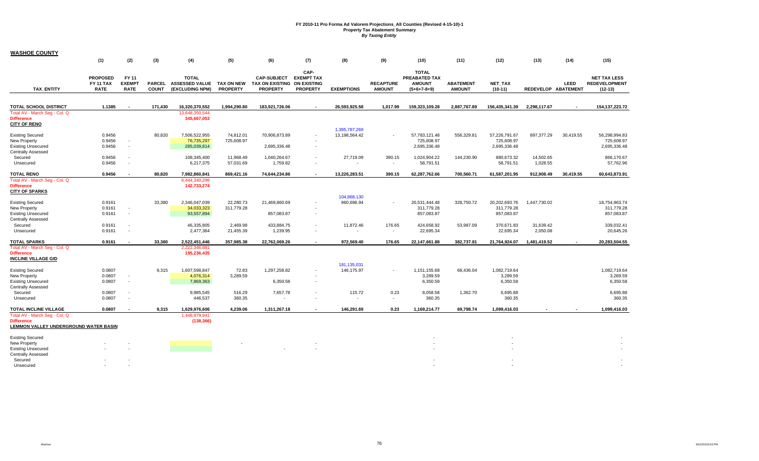| <b>WASHOE COUNTY</b>                                                        |                                                    |                                       |              |                                                          |                                      |                                                                      |                                              |                                |                                   |                                                                        |                                   |                             |                       |                             |                                                          |
|-----------------------------------------------------------------------------|----------------------------------------------------|---------------------------------------|--------------|----------------------------------------------------------|--------------------------------------|----------------------------------------------------------------------|----------------------------------------------|--------------------------------|-----------------------------------|------------------------------------------------------------------------|-----------------------------------|-----------------------------|-----------------------|-----------------------------|----------------------------------------------------------|
|                                                                             | (1)                                                | (2)                                   | (3)          | (4)                                                      | (5)                                  | (6)                                                                  | (7)                                          | (8)                            | (9)                               | (10)                                                                   | (11)                              | (12)                        | (13)                  | (14)                        | (15)                                                     |
| <b>TAX ENTITY</b>                                                           | <b>PROPOSED</b><br><b>FY 11 TAX</b><br><b>RATE</b> | FY 11<br><b>EXEMPT</b><br><b>RATE</b> | <b>COUNT</b> | <b>TOTAL</b><br>PARCEL ASSESSED VALUE<br>(EXCLUDING NPM) | <b>TAX ON NEW</b><br><b>PROPERTY</b> | <b>CAP-SUBJECT</b><br>TAX ON EXISTING ON EXISTING<br><b>PROPERTY</b> | CAP-<br><b>EXEMPT TAX</b><br><b>PROPERTY</b> | <b>EXEMPTIONS</b>              | <b>RECAPTURE</b><br><b>AMOUNT</b> | <b>TOTAL</b><br><b>PREABATED TAX</b><br><b>AMOUNT</b><br>$(5+6+7-8+9)$ | <b>ABATEMENT</b><br><b>AMOUNT</b> | <b>NET TAX</b><br>$(10-11)$ |                       | LEED<br>REDEVELOP ABATEMENT | <b>NET TAX LESS</b><br><b>REDEVELOPMENT</b><br>$(12-13)$ |
|                                                                             |                                                    |                                       |              |                                                          |                                      |                                                                      |                                              |                                |                                   |                                                                        |                                   |                             |                       |                             |                                                          |
| <b>TOTAL SCHOOL DISTRICT</b>                                                | 1.1385                                             |                                       | 171,430      | 16,320,370,552                                           | 1,994,290.80                         | 183,921,726.06                                                       |                                              | 26,593,925.58                  | 1.017.99                          | 159,323,109.28                                                         | 2,887,767.89                      | 156,435,341.39              | 2,298,117.67          |                             | 154, 137, 223. 72                                        |
| Total AV - March Seq - Col. Q<br><b>Difference</b><br><b>CITY OF RENO</b>   |                                                    |                                       |              | 13.648.350.544<br>345,667,053                            |                                      |                                                                      |                                              |                                |                                   |                                                                        |                                   |                             |                       |                             |                                                          |
| <b>Existing Secured</b>                                                     | 0.9456                                             |                                       | 80,820       | 7,506,522,955                                            | 74,812.01                            | 70,906,873.89                                                        |                                              | 1,395,787,269<br>13,198,564.42 | $\blacksquare$                    | 57,783,121.48                                                          | 556,329.81                        | 57,226,791.67               | 897,377.29            | 30,419.55                   | 56,298,994.83                                            |
| New Property                                                                | 0.9456                                             |                                       |              | 76,735,297                                               | 725,608.97                           |                                                                      |                                              |                                |                                   | 725,608.97                                                             |                                   | 725,608.97                  |                       |                             | 725,608.97                                               |
| <b>Existing Unsecured</b>                                                   | 0.9456                                             | $\sim$                                |              | 285,039,814                                              |                                      | 2,695,336.48                                                         |                                              |                                |                                   | 2,695,336.48                                                           |                                   | 2,695,336.48                |                       |                             | 2,695,336.48                                             |
| Centrally Assessed                                                          |                                                    |                                       |              |                                                          |                                      |                                                                      |                                              |                                |                                   |                                                                        |                                   |                             |                       |                             |                                                          |
| Secured<br>Unsecured                                                        | 0.9456<br>0.9456                                   | $\sim$<br>$\sim$                      |              | 108,345,400<br>6,217,375                                 | 11,968.49<br>57,031.69               | 1,040,264.67<br>1,759.82                                             | $\sim$                                       | 27,719.09                      | 390.15<br>$\omega$                | 1,024,904.22<br>58,791.51                                              | 144,230.90                        | 880,673.32<br>58,791.51     | 14,502.65<br>1,028.55 |                             | 866,170.67<br>57,762.96                                  |
| <b>TOTAL RENO</b>                                                           | 0.9456                                             |                                       | 80,820       | 7,982,860,841                                            | 869,421.16                           | 74,644,234.86                                                        |                                              | 13,226,283.51                  | 390.15                            | 62,287,762.66                                                          | 700,560.71                        | 61,587,201.95               | 912,908.49            | 30,419.55                   | 60,643,873.91                                            |
| Total AV - March Seg - Col. Q<br><b>Difference</b><br><b>CITY OF SPARKS</b> |                                                    |                                       |              | 6,444,340,298<br>142,733,274                             |                                      |                                                                      |                                              |                                |                                   |                                                                        |                                   |                             |                       |                             |                                                          |
|                                                                             |                                                    |                                       |              |                                                          |                                      |                                                                      |                                              | 104.868.130                    |                                   |                                                                        |                                   |                             |                       |                             |                                                          |
| <b>Existing Secured</b><br>New Property                                     | 0.9161<br>0.9161                                   | $\sim$                                | 33,380       | 2,346,047,039<br>34,033,323                              | 22,280.73<br>311,779.28              | 21,469,860.69                                                        |                                              | 960,696.94                     |                                   | 20,531,444.48<br>311,779.28                                            | 328,750.72                        | 20,202,693.76<br>311,779.28 | 1,447,730.02          |                             | 18,754,963.74<br>311,779.28                              |
| <b>Existing Unsecured</b>                                                   | 0.9161                                             | $\sim$                                |              | 93,557,894                                               |                                      | 857,083.87                                                           | $\overline{\phantom{a}}$                     |                                |                                   | 857,083.87                                                             |                                   | 857,083.87                  |                       |                             | 857,083.87                                               |
| Centrally Assessed                                                          |                                                    |                                       |              |                                                          |                                      |                                                                      |                                              |                                |                                   |                                                                        |                                   |                             |                       |                             |                                                          |
| Secured<br>Unsecured                                                        | 0.9161<br>0.9161                                   | $\sim$<br>$\sim$                      |              | 46,335,805<br>2,477,384                                  | 2,469.98<br>21,455.39                | 433,884.75<br>1,239.95                                               | $\overline{a}$                               | 11,872.46                      | 176.65<br>$\sim$                  | 424,658.92<br>22,695.34                                                | 53,987.09                         | 370,671.83<br>22,695.34     | 31,639.42<br>2,050.08 |                             | 339,032.41<br>20,645.26                                  |
| <b>TOTAL SPARKS</b>                                                         | 0.9161                                             | $\overline{\phantom{a}}$              | 33,380       | 2,522,451,446                                            | 357,985.38                           | 22,762,069.26                                                        | $\sim$                                       | 972,569.40                     | 176.65                            | 22,147,661.88                                                          | 382,737.81                        | 21,764,924.07               | 1,481,419.52          |                             | 20,283,504.55                                            |
| Total AV - March Seq - Col. Q                                               |                                                    |                                       |              | 2,222,346,881                                            |                                      |                                                                      |                                              |                                |                                   |                                                                        |                                   |                             |                       |                             |                                                          |
| <b>Difference</b><br><b>INCLINE VILLAGE GID</b>                             |                                                    |                                       |              | 195,236,435                                              |                                      |                                                                      |                                              |                                |                                   |                                                                        |                                   |                             |                       |                             |                                                          |
|                                                                             |                                                    |                                       |              |                                                          |                                      |                                                                      |                                              | 181, 135, 031                  |                                   |                                                                        |                                   |                             |                       |                             |                                                          |
| <b>Existing Secured</b>                                                     | 0.0807                                             |                                       | 9,315        | 1,607,598,847                                            | 72.83                                | 1,297,258.82                                                         |                                              | 146,175.97                     | $\sim$                            | 1,151,155.68                                                           | 68,436.04                         | 1,082,719.64                |                       |                             | 1,082,719.64                                             |
| New Property                                                                | 0.0807                                             | $\sim$                                |              | 4,076,314                                                | 3,289.59                             |                                                                      |                                              |                                |                                   | 3,289.59                                                               |                                   | 3,289.59                    |                       |                             | 3,289.59                                                 |
| <b>Existing Unsecured</b>                                                   | 0.0807                                             | $\sim$                                |              | 7,869,363                                                |                                      | 6,350.58                                                             | $\overline{a}$                               |                                |                                   | 6,350.58                                                               |                                   | 6,350.58                    |                       |                             | 6,350.58                                                 |
| Centrally Assessed                                                          | 0.0807                                             | $\sim$                                |              |                                                          |                                      |                                                                      |                                              |                                |                                   |                                                                        |                                   |                             |                       |                             | 6,695.88                                                 |
| Secured<br>Unsecured                                                        | 0.0807                                             | $\sim$                                |              | 9,985,545<br>446,537                                     | 516.29<br>360.35                     | 7,657.78<br>$\overline{\phantom{a}}$                                 |                                              | 115.72                         | 0.23<br>$\sim$                    | 8,058.58<br>360.35                                                     | 1,362.70                          | 6,695.88<br>360.35          |                       |                             | 360.35                                                   |
| TOTAL INCLINE VILLAGE                                                       | 0.0807                                             | $\overline{\phantom{a}}$              | 9,315        | 1,629,976,606                                            | 4.239.06                             | 1,311,267.18                                                         | $\overline{\phantom{a}}$                     | 146,291.69                     | 0.23                              | 1,169,214.77                                                           | 69.798.74                         | 1,099,416.03                |                       |                             | 1,099,416.03                                             |
| Total AV - March Seq - Col. Q                                               |                                                    |                                       |              | 1,448,979,941                                            |                                      |                                                                      |                                              |                                |                                   |                                                                        |                                   |                             |                       |                             |                                                          |
| <b>Difference</b><br><u>LEMMON VALLEY UNDERGROUND WATER BASIN</u>           |                                                    |                                       |              | (138, 366)                                               |                                      |                                                                      |                                              |                                |                                   |                                                                        |                                   |                             |                       |                             |                                                          |
|                                                                             |                                                    |                                       |              |                                                          |                                      |                                                                      |                                              |                                |                                   |                                                                        |                                   |                             |                       |                             |                                                          |
| <b>Existing Secured</b><br>New Property                                     |                                                    |                                       |              |                                                          |                                      |                                                                      |                                              |                                |                                   |                                                                        |                                   |                             |                       |                             |                                                          |
| <b>Existing Unsecured</b>                                                   |                                                    |                                       |              |                                                          |                                      |                                                                      |                                              |                                |                                   |                                                                        |                                   |                             |                       |                             |                                                          |
| <b>Centrally Assessed</b>                                                   |                                                    |                                       |              |                                                          |                                      |                                                                      |                                              |                                |                                   |                                                                        |                                   |                             |                       |                             |                                                          |
| Secured                                                                     |                                                    |                                       |              |                                                          |                                      |                                                                      |                                              |                                |                                   |                                                                        |                                   |                             |                       |                             |                                                          |
| Unsecured                                                                   |                                                    |                                       |              |                                                          |                                      |                                                                      |                                              |                                |                                   |                                                                        |                                   |                             |                       |                             |                                                          |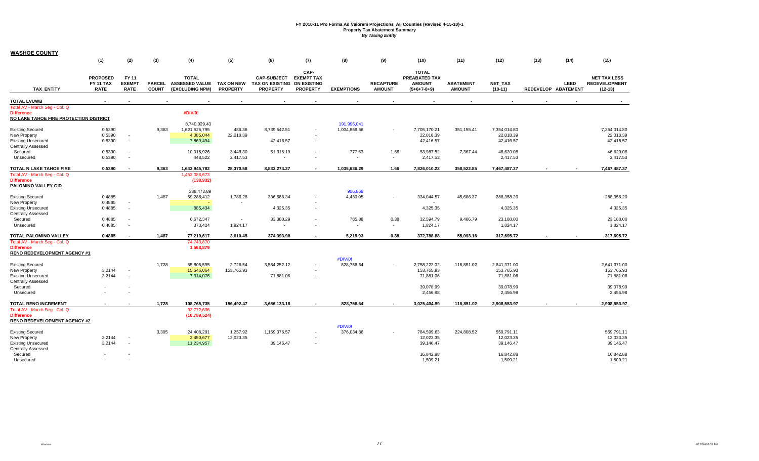| <b>WASHOE COUNTY</b>                                                                                                      |                                                    |                                       |                               |                                                          |                                      |                                                                      |                                              |                             |                                   |                                                                  |                                   |                                                                  |      |                             |                                                                  |
|---------------------------------------------------------------------------------------------------------------------------|----------------------------------------------------|---------------------------------------|-------------------------------|----------------------------------------------------------|--------------------------------------|----------------------------------------------------------------------|----------------------------------------------|-----------------------------|-----------------------------------|------------------------------------------------------------------|-----------------------------------|------------------------------------------------------------------|------|-----------------------------|------------------------------------------------------------------|
|                                                                                                                           | (1)                                                | (2)                                   | (3)                           | (4)                                                      | (5)                                  | (6)                                                                  | (7)                                          | (8)                         | (9)                               | (10)                                                             | (11)                              | (12)                                                             | (13) | (14)                        | (15)                                                             |
| <b>TAX ENTITY</b>                                                                                                         | <b>PROPOSED</b><br><b>FY 11 TAX</b><br><b>RATE</b> | FY 11<br><b>EXEMPT</b><br><b>RATE</b> | <b>PARCEL</b><br><b>COUNT</b> | <b>TOTAL</b><br><b>ASSESSED VALUE</b><br>(EXCLUDING NPM) | <b>TAX ON NEW</b><br><b>PROPERTY</b> | <b>CAP-SUBJECT</b><br>TAX ON EXISTING ON EXISTING<br><b>PROPERTY</b> | CAP-<br><b>EXEMPT TAX</b><br><b>PROPERTY</b> | <b>EXEMPTIONS</b>           | <b>RECAPTURE</b><br><b>AMOUNT</b> | <b>TOTAL</b><br>PREABATED TAX<br><b>AMOUNT</b><br>$(5+6+7-8+9)$  | <b>ABATEMENT</b><br><b>AMOUNT</b> | <b>NET TAX</b><br>$(10-11)$                                      |      | LEED<br>REDEVELOP ABATEMENT | <b>NET TAX LESS</b><br><b>REDEVELOPMENT</b><br>$(12-13)$         |
| <b>TOTAL LVUWB</b>                                                                                                        |                                                    |                                       |                               |                                                          |                                      |                                                                      |                                              |                             |                                   |                                                                  |                                   |                                                                  |      |                             |                                                                  |
| Total AV - March Seg - Col. Q<br><b>Difference</b><br>NO LAKE TAHOE FIRE PROTECTION DISTRICT                              |                                                    |                                       |                               | #DIV/0!                                                  |                                      |                                                                      |                                              |                             |                                   |                                                                  |                                   |                                                                  |      |                             |                                                                  |
| <b>Existing Secured</b><br>New Property<br><b>Existing Unsecured</b><br><b>Centrally Assessed</b>                         | 0.5390<br>0.5390<br>0.5390                         | $\sim$<br>$\sim$                      | 9,363                         | 8,740,029.43<br>1,621,526,795<br>4,085,044<br>7,869,494  | 486.36<br>22.018.39                  | 8,739,542.51<br>42,416.57                                            |                                              | 191,996,041<br>1,034,858.66 | $\sim$                            | 7,705,170.21<br>22,018.39<br>42,416.57                           | 351,155.41                        | 7,354,014.80<br>22.018.39<br>42,416.57                           |      |                             | 7,354,014.80<br>22,018.39<br>42,416.57                           |
| Secured<br>Unsecured                                                                                                      | 0.5390<br>0.5390                                   | $\sim$<br>$\overline{\phantom{a}}$    |                               | 10,015,926<br>448,522                                    | 3,448.30<br>2,417.53                 | 51,315.19<br>$\overline{\phantom{a}}$                                |                                              | 777.63                      | 1.66<br>$\sim$                    | 53,987.52<br>2,417.53                                            | 7,367.44                          | 46,620.08<br>2,417.53                                            |      |                             | 46,620.08<br>2,417.53                                            |
| TOTAL N LAKE TAHOE FIRE                                                                                                   | 0.5390                                             | $\overline{\phantom{a}}$              | 9,363                         | 1,643,945,782                                            | 28,370.58                            | 8,833,274.27                                                         | $\overline{\phantom{a}}$                     | 1,035,636.29                | 1.66                              | 7,826,010.22                                                     | 358,522.85                        | 7,467,487.37                                                     |      | $\overline{\phantom{a}}$    | 7,467,487.37                                                     |
| Total AV - March Seq - Col. Q<br><b>Difference</b><br>PALOMINO VALLEY GID                                                 |                                                    |                                       |                               | 1,452,088,673<br>(138, 932)                              |                                      |                                                                      |                                              |                             |                                   |                                                                  |                                   |                                                                  |      |                             |                                                                  |
| <b>Existing Secured</b><br>New Property                                                                                   | 0.4885<br>0.4885                                   | $\sim$                                | 1,487                         | 338.473.89<br>69,288,412                                 | 1,786.28                             | 336,688.34                                                           |                                              | 906.868<br>4,430.05         |                                   | 334,044.57                                                       | 45,686.37                         | 288,358.20                                                       |      |                             | 288,358.20                                                       |
| <b>Existing Unsecured</b><br>Centrally Assessed                                                                           | 0.4885                                             | $\sim$                                |                               | 885,434                                                  |                                      | 4,325.35                                                             |                                              |                             |                                   | 4,325.35                                                         |                                   | 4,325.35                                                         |      |                             | 4,325.35                                                         |
| Secured<br>Unsecured                                                                                                      | 0.4885<br>0.4885                                   | $\sim$<br>$\sim$                      |                               | 6,672,347<br>373,424                                     | $\sim$<br>1,824.17                   | 33,380.29                                                            |                                              | 785.88                      | 0.38<br>$\sim$                    | 32,594.79<br>1,824.17                                            | 9.406.79                          | 23,188.00<br>1,824.17                                            |      |                             | 23,188.00<br>1,824.17                                            |
| TOTAL PALOMINO VALLEY                                                                                                     | 0.4885                                             | $\overline{\phantom{a}}$              | 1,487                         | 77,219,617                                               | 3,610.45                             | 374,393.98                                                           |                                              | 5,215.93                    | 0.38                              | 372,788.88                                                       | 55,093.16                         | 317,695.72                                                       |      |                             | 317,695.72                                                       |
| Total AV - March Seg - Col. Q<br><b>Difference</b><br><b>RENO REDEVELOPMENT AGENCY #1</b>                                 |                                                    |                                       |                               | 74,743,870<br>1,568,879                                  |                                      |                                                                      |                                              |                             |                                   |                                                                  |                                   |                                                                  |      |                             |                                                                  |
| <b>Existing Secured</b><br>New Property<br><b>Existing Unsecured</b><br><b>Centrally Assessed</b><br>Secured<br>Unsecured | 3.2144<br>3.2144                                   | $\sim$<br>$\sim$                      | 1,728                         | 85,805,595<br>15,646,064<br>7,314,076                    | 2,726.54<br>153,765.93               | 3,584,252.12<br>71,881.06                                            |                                              | #DIV/0!<br>828,756.64       |                                   | 2,758,222.02<br>153,765.93<br>71,881.06<br>39,078.99<br>2,456.98 | 116,851.02                        | 2,641,371.00<br>153,765.93<br>71,881.06<br>39,078.99<br>2,456.98 |      |                             | 2,641,371.00<br>153,765.93<br>71,881.06<br>39,078.99<br>2,456.98 |
| <b>TOTAL RENO INCREMENT</b>                                                                                               |                                                    |                                       | 1,728                         | 108,765,735                                              | 156,492.47                           | 3,656,133.18                                                         |                                              | 828,756.64                  |                                   | 3,025,404.99                                                     | 116,851.02                        | 2,908,553.97                                                     |      |                             | 2,908,553.97                                                     |
| Total AV - March Seq - Col. Q<br><b>Difference</b><br><b>RENO REDEVELOPMENT AGENCY #2</b>                                 |                                                    |                                       |                               | 93,772,636<br>(10, 789, 524)                             |                                      |                                                                      |                                              |                             |                                   |                                                                  |                                   |                                                                  |      |                             |                                                                  |
| <b>Existing Secured</b><br>New Property<br><b>Existing Unsecured</b><br><b>Centrally Assessed</b><br>Secured<br>Unsecured | 3.2144<br>3.2144                                   | $\sim$<br>$\sim$                      | 3,305                         | 24,408,291<br>3,450,677<br>11,234,957                    | 1,257.92<br>12,023.35                | 1,159,376.57<br>39,146.47                                            | $\overline{\phantom{a}}$                     | #DIV/0!<br>376,034.86       |                                   | 784,599.63<br>12,023.35<br>39,146.47<br>16,842.88<br>1,509.21    | 224,808.52                        | 559,791.11<br>12,023.35<br>39,146.47<br>16,842.88<br>1,509.21    |      |                             | 559,791.11<br>12,023.35<br>39,146.47<br>16,842.88<br>1,509.21    |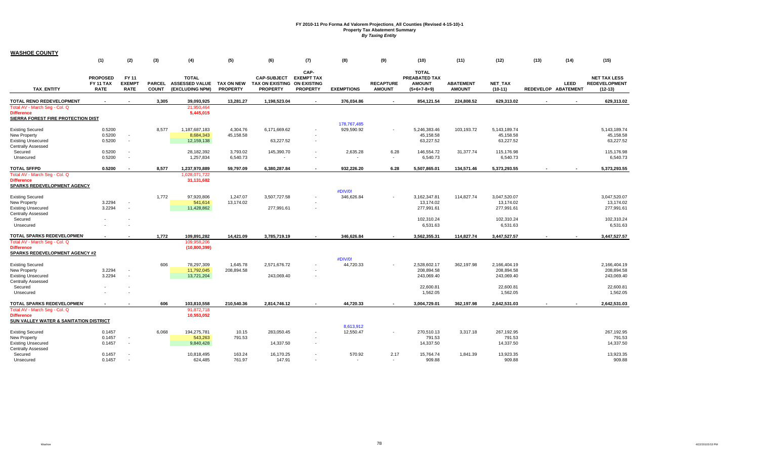| <b>WASHOE COUNTY</b>                                                                     |                                             |                                       |                               |                                                          |                                      |                                                                      |                                              |                   |                                   |                                                                 |                                   |                             |      |                             |                                                          |
|------------------------------------------------------------------------------------------|---------------------------------------------|---------------------------------------|-------------------------------|----------------------------------------------------------|--------------------------------------|----------------------------------------------------------------------|----------------------------------------------|-------------------|-----------------------------------|-----------------------------------------------------------------|-----------------------------------|-----------------------------|------|-----------------------------|----------------------------------------------------------|
|                                                                                          | (1)                                         | (2)                                   | (3)                           | (4)                                                      | (5)                                  | (6)                                                                  | (7)                                          | (8)               | (9)                               | (10)                                                            | (11)                              | (12)                        | (13) | (14)                        | (15)                                                     |
| <b>TAX ENTITY</b>                                                                        | <b>PROPOSED</b><br>FY 11 TAX<br><b>RATE</b> | FY 11<br><b>EXEMPT</b><br><b>RATE</b> | <b>PARCEL</b><br><b>COUNT</b> | <b>TOTAL</b><br><b>ASSESSED VALUE</b><br>(EXCLUDING NPM) | <b>TAX ON NEW</b><br><b>PROPERTY</b> | <b>CAP-SUBJECT</b><br>TAX ON EXISTING ON EXISTING<br><b>PROPERTY</b> | CAP-<br><b>EXEMPT TAX</b><br><b>PROPERTY</b> | <b>EXEMPTIONS</b> | <b>RECAPTURE</b><br><b>AMOUNT</b> | <b>TOTAL</b><br>PREABATED TAX<br><b>AMOUNT</b><br>$(5+6+7-8+9)$ | <b>ABATEMENT</b><br><b>AMOUNT</b> | <b>NET TAX</b><br>$(10-11)$ |      | LEED<br>REDEVELOP ABATEMENT | <b>NET TAX LESS</b><br><b>REDEVELOPMENT</b><br>$(12-13)$ |
| TOTAL RENO REDEVELOPMENT                                                                 |                                             | $\overline{\phantom{a}}$              | 3,305                         | 39,093,925                                               | 13,281.27                            | 1,198,523.04                                                         |                                              | 376,034.86        | $\overline{\phantom{a}}$          | 854,121.54                                                      | 224,808.52                        | 629,313.02                  |      |                             | 629,313.02                                               |
| Total AV - March Seg - Col. Q<br><b>Difference</b><br>SIERRA FOREST FIRE PROTECTION DIST |                                             |                                       |                               | 21,950,464<br>5,445,015                                  |                                      |                                                                      |                                              |                   |                                   |                                                                 |                                   |                             |      |                             |                                                          |
|                                                                                          |                                             |                                       |                               |                                                          |                                      |                                                                      |                                              | 178,767,485       |                                   |                                                                 |                                   |                             |      |                             |                                                          |
| <b>Existing Secured</b><br>New Property                                                  | 0.5200<br>0.5200                            | $\sim$                                | 8,577                         | 1,187,687,183<br>8,684,343                               | 4,304.76<br>45.158.58                | 6,171,669.62                                                         |                                              | 929,590.92        | $\overline{\phantom{a}}$          | 5,246,383.46<br>45,158.58                                       | 103,193.72                        | 5,143,189.74<br>45,158.58   |      |                             | 5,143,189.74<br>45,158.58                                |
| <b>Existing Unsecured</b>                                                                | 0.5200                                      | $\sim$                                |                               | 12,159,138                                               |                                      | 63,227.52                                                            |                                              |                   |                                   | 63,227.52                                                       |                                   | 63,227.52                   |      |                             | 63,227.52                                                |
| <b>Centrally Assessed</b>                                                                |                                             |                                       |                               |                                                          |                                      |                                                                      |                                              |                   |                                   |                                                                 |                                   |                             |      |                             |                                                          |
| Secured                                                                                  | 0.5200                                      |                                       |                               | 28,182,392                                               | 3,793.02                             | 145,390.70                                                           |                                              | 2,635.28          | 6.28                              | 146,554.72                                                      | 31,377.74                         | 115,176.98                  |      |                             | 115,176.98                                               |
| Unsecured                                                                                | 0.5200                                      | $\sim$                                |                               | 1,257,834                                                | 6,540.73                             |                                                                      |                                              |                   | $\overline{\phantom{a}}$          | 6,540.73                                                        |                                   | 6,540.73                    |      |                             | 6,540.73                                                 |
| <b>TOTAL SFFPD</b>                                                                       | 0.5200                                      |                                       | 8,577                         | 1,237,970,889                                            | 59,797.09                            | 6,380,287.84                                                         |                                              | 932,226.20        | 6.28                              | 5,507,865.01                                                    | 134,571.46                        | 5,373,293.55                |      |                             | 5,373,293.55                                             |
| Total AV - March Seq - Col. Q<br><b>Difference</b><br>SPARKS REDEVELOPMENT AGENCY        |                                             |                                       |                               | 1,028,071,722<br>31,131,682                              |                                      |                                                                      |                                              |                   |                                   |                                                                 |                                   |                             |      |                             |                                                          |
|                                                                                          |                                             |                                       |                               |                                                          |                                      |                                                                      |                                              | #DIV/0!           |                                   |                                                                 |                                   |                             |      |                             |                                                          |
| <b>Existing Secured</b>                                                                  |                                             |                                       | 1,772                         | 97,920,806                                               | 1,247.07                             | 3,507,727.58                                                         |                                              | 346,626.84        |                                   | 3,162,347.81                                                    | 114,827.74                        | 3,047,520.07                |      |                             | 3,047,520.07                                             |
| New Property                                                                             | 3.2294                                      |                                       |                               | 541,614                                                  | 13,174.02                            |                                                                      |                                              |                   |                                   | 13,174.02                                                       |                                   | 13,174.02                   |      |                             | 13,174.02                                                |
| <b>Existing Unsecured</b><br><b>Centrally Assessed</b>                                   | 3.2294                                      | $\sim$                                |                               | 11,428,862                                               |                                      | 277,991.61                                                           |                                              |                   |                                   | 277,991.61                                                      |                                   | 277,991.61                  |      |                             | 277,991.61                                               |
| Secured                                                                                  |                                             |                                       |                               |                                                          |                                      |                                                                      |                                              |                   |                                   | 102,310.24                                                      |                                   | 102,310.24                  |      |                             | 102,310.24                                               |
| Unsecured                                                                                |                                             |                                       |                               |                                                          |                                      |                                                                      |                                              |                   |                                   | 6,531.63                                                        |                                   | 6,531.63                    |      |                             | 6,531.63                                                 |
| TOTAL SPARKS REDEVELOPMEN'                                                               |                                             |                                       | 1,772                         | 109,891,282                                              | 14,421.09                            | 3,785,719.19                                                         |                                              | 346,626.84        |                                   | 3,562,355.31                                                    | 114,827.74                        | 3,447,527.57                |      |                             | 3,447,527.57                                             |
| Total AV - March Seg - Col. Q                                                            |                                             |                                       |                               | 109,958,206                                              |                                      |                                                                      |                                              |                   |                                   |                                                                 |                                   |                             |      |                             |                                                          |
| <b>Difference</b>                                                                        |                                             |                                       |                               | (10,800,399)                                             |                                      |                                                                      |                                              |                   |                                   |                                                                 |                                   |                             |      |                             |                                                          |
| <b>SPARKS REDEVELOPMENT AGENCY #2</b>                                                    |                                             |                                       |                               |                                                          |                                      |                                                                      |                                              |                   |                                   |                                                                 |                                   |                             |      |                             |                                                          |
|                                                                                          |                                             |                                       |                               |                                                          |                                      |                                                                      |                                              | #DIV/0!           |                                   |                                                                 |                                   |                             |      |                             |                                                          |
| <b>Existing Secured</b>                                                                  |                                             |                                       | 606                           | 78,297,309                                               | 1,645.78                             | 2,571,676.72                                                         |                                              | 44,720.33         |                                   | 2,528,602.17                                                    | 362,197.98                        | 2,166,404.19                |      |                             | 2,166,404.19                                             |
| New Property<br><b>Existing Unsecured</b>                                                | 3.2294<br>3.2294                            | $\sim$                                |                               | 11,792,045                                               | 208,894.58                           | 243,069.40                                                           |                                              |                   |                                   | 208,894.58<br>243,069.40                                        |                                   | 208,894.58<br>243,069.40    |      |                             | 208,894.58<br>243,069.40                                 |
| <b>Centrally Assessed</b>                                                                |                                             |                                       |                               | 13,721,204                                               |                                      |                                                                      |                                              |                   |                                   |                                                                 |                                   |                             |      |                             |                                                          |
| Secured                                                                                  |                                             |                                       |                               |                                                          |                                      |                                                                      |                                              |                   |                                   | 22,600.81                                                       |                                   | 22,600.81                   |      |                             | 22,600.81                                                |
| Unsecured                                                                                |                                             |                                       |                               |                                                          |                                      |                                                                      |                                              |                   |                                   | 1,562.05                                                        |                                   | 1,562.05                    |      |                             | 1,562.05                                                 |
| TOTAL SPARKS REDEVELOPMEN'                                                               |                                             |                                       | 606                           | 103,810,558                                              | 210,540.36                           | 2,814,746.12                                                         |                                              | 44,720.33         |                                   | 3,004,729.01                                                    | 362,197.98                        | 2,642,531.03                |      |                             | 2,642,531.03                                             |
| Total AV - March Seq - Col. Q                                                            |                                             |                                       |                               | 91,872,718                                               |                                      |                                                                      |                                              |                   |                                   |                                                                 |                                   |                             |      |                             |                                                          |
| <b>Difference</b>                                                                        |                                             |                                       |                               | 10,553,052                                               |                                      |                                                                      |                                              |                   |                                   |                                                                 |                                   |                             |      |                             |                                                          |
| <b>SUN VALLEY WATER &amp; SANITATION DISTRICT</b>                                        |                                             |                                       |                               |                                                          |                                      |                                                                      |                                              |                   |                                   |                                                                 |                                   |                             |      |                             |                                                          |
|                                                                                          |                                             |                                       |                               |                                                          |                                      |                                                                      |                                              | 8,613,912         |                                   |                                                                 |                                   |                             |      |                             |                                                          |
| <b>Existing Secured</b><br>New Property                                                  | 0.1457<br>0.1457                            |                                       | 6,068                         | 194,275,781<br>543,263                                   | 10.15<br>791.53                      | 283,050.45                                                           |                                              | 12,550.47         | $\blacksquare$                    | 270,510.13<br>791.53                                            | 3,317.18                          | 267,192.95<br>791.53        |      |                             | 267,192.95<br>791.53                                     |
| <b>Existing Unsecured</b>                                                                | 0.1457                                      |                                       |                               | 9,840,428                                                |                                      | 14,337.50                                                            |                                              |                   |                                   | 14,337.50                                                       |                                   | 14,337.50                   |      |                             | 14,337.50                                                |
| <b>Centrally Assessed</b>                                                                |                                             |                                       |                               |                                                          |                                      |                                                                      |                                              |                   |                                   |                                                                 |                                   |                             |      |                             |                                                          |
| Secured                                                                                  | 0.1457                                      |                                       |                               | 10,818,495                                               | 163.24                               | 16,170.25                                                            |                                              | 570.92            | 2.17                              | 15,764.74                                                       | 1,841.39                          | 13,923.35                   |      |                             | 13,923.35                                                |
| Unsecured                                                                                | 0.1457                                      |                                       |                               | 624,485                                                  | 761.97                               | 147.91                                                               |                                              |                   |                                   | 909.88                                                          |                                   | 909.88                      |      |                             | 909.88                                                   |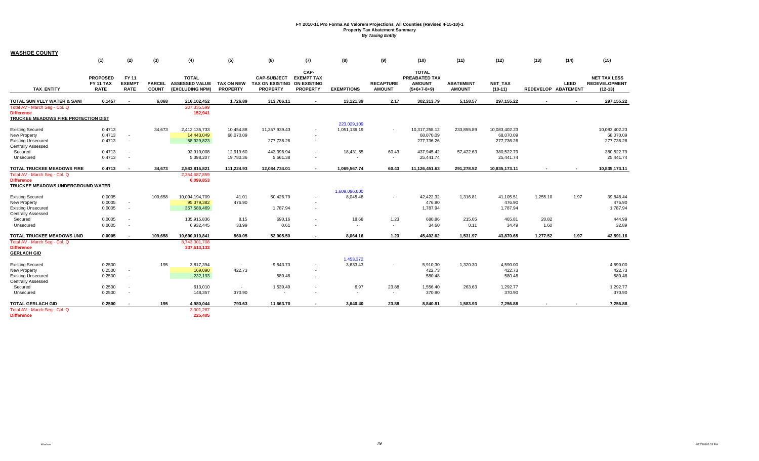| <b>WASHOE COUNTY</b>                                                                       |                                             |                                       |                               |                                                          |                                      |                                                                      |                                              |                   |                                   |                                                                 |                                   |                             |          |                             |                                                          |
|--------------------------------------------------------------------------------------------|---------------------------------------------|---------------------------------------|-------------------------------|----------------------------------------------------------|--------------------------------------|----------------------------------------------------------------------|----------------------------------------------|-------------------|-----------------------------------|-----------------------------------------------------------------|-----------------------------------|-----------------------------|----------|-----------------------------|----------------------------------------------------------|
|                                                                                            | (1)                                         | (2)                                   | (3)                           | (4)                                                      | (5)                                  | (6)                                                                  | (7)                                          | (8)               | (9)                               | (10)                                                            | (11)                              | (12)                        | (13)     | (14)                        | (15)                                                     |
| <b>TAX ENTITY</b>                                                                          | <b>PROPOSED</b><br>FY 11 TAX<br><b>RATE</b> | FY 11<br><b>EXEMPT</b><br><b>RATE</b> | <b>PARCEL</b><br><b>COUNT</b> | <b>TOTAL</b><br><b>ASSESSED VALUE</b><br>(EXCLUDING NPM) | <b>TAX ON NEW</b><br><b>PROPERTY</b> | <b>CAP-SUBJECT</b><br>TAX ON EXISTING ON EXISTING<br><b>PROPERTY</b> | CAP-<br><b>EXEMPT TAX</b><br><b>PROPERTY</b> | <b>EXEMPTIONS</b> | <b>RECAPTURE</b><br><b>AMOUNT</b> | <b>TOTAL</b><br>PREABATED TAX<br><b>AMOUNT</b><br>$(5+6+7-8+9)$ | <b>ABATEMENT</b><br><b>AMOUNT</b> | <b>NET TAX</b><br>$(10-11)$ |          | LEED<br>REDEVELOP ABATEMENT | <b>NET TAX LESS</b><br><b>REDEVELOPMENT</b><br>$(12-13)$ |
| TOTAL SUN VLLY WATER & SANI                                                                | 0.1457                                      | $\sim$                                | 6,068                         | 216,102,452                                              | 1,726.89                             | 313,706.11                                                           | $\sim$                                       | 13,121.39         | 2.17                              | 302,313.79                                                      | 5,158.57                          | 297,155.22                  |          | $\blacksquare$              | 297,155.22                                               |
| Total AV - March Seg - Col. Q<br><b>Difference</b><br>TRUCKEE MEADOWS FIRE PROTECTION DIST |                                             |                                       |                               | 207,335,599<br>152,941                                   |                                      |                                                                      |                                              |                   |                                   |                                                                 |                                   |                             |          |                             |                                                          |
|                                                                                            |                                             |                                       |                               |                                                          |                                      |                                                                      |                                              | 223,029,109       |                                   |                                                                 |                                   |                             |          |                             |                                                          |
| <b>Existing Secured</b>                                                                    | 0.4713                                      |                                       | 34,673                        | 2,412,135,733                                            | 10,454.88                            | 11,357,939.43                                                        |                                              | 1,051,136.19      | $\sim$                            | 10,317,258.12                                                   | 233,855.89                        | 10,083,402.23               |          |                             | 10,083,402.23                                            |
| New Property                                                                               | 0.4713                                      | $\sim$                                |                               | 14,443,049                                               | 68,070.09                            |                                                                      |                                              |                   |                                   | 68,070.09                                                       |                                   | 68,070.09                   |          |                             | 68,070.09                                                |
| <b>Existing Unsecured</b>                                                                  | 0.4713                                      | $\sim$                                |                               | 58,929,823                                               |                                      | 277,736.26                                                           | $\overline{\phantom{a}}$                     |                   |                                   | 277,736.26                                                      |                                   | 277,736.26                  |          |                             | 277,736.26                                               |
| Centrally Assessed                                                                         |                                             |                                       |                               |                                                          |                                      |                                                                      |                                              |                   |                                   |                                                                 |                                   |                             |          |                             |                                                          |
| Secured                                                                                    | 0.4713                                      | $\sim$                                |                               | 92,910,008                                               | 12,919.60                            | 443,396.94                                                           | $\overline{\phantom{a}}$                     | 18,431.55         | 60.43                             | 437,945.42                                                      | 57,422.63                         | 380,522.79                  |          |                             | 380,522.79                                               |
| Unsecured                                                                                  | 0.4713                                      | $\overline{\phantom{a}}$              |                               | 5,398,207                                                | 19,780.36                            | 5,661.38                                                             |                                              |                   | $\sim$                            | 25,441.74                                                       |                                   | 25,441.74                   |          |                             | 25,441.74                                                |
| <b>TOTAL TRUCKEE MEADOWS FIRE</b>                                                          | 0.4713                                      |                                       | 34,673                        | 2,583,816,821                                            | 111,224.93                           | 12,084,734.01                                                        |                                              | 1,069,567.74      | 60.43                             | 11,126,451.63                                                   | 291,278.52                        | 10,835,173.11               |          |                             | 10,835,173.11                                            |
| Total AV - March Seg - Col. Q<br><b>Difference</b><br>TRUCKEE MEADOWS UNDERGROUND WATER    |                                             |                                       |                               | 2,354,687,859<br>6,099,853                               |                                      |                                                                      |                                              |                   |                                   |                                                                 |                                   |                             |          |                             |                                                          |
|                                                                                            |                                             |                                       |                               |                                                          |                                      |                                                                      |                                              | 1,609,096,000     |                                   |                                                                 |                                   |                             |          |                             |                                                          |
| <b>Existing Secured</b>                                                                    | 0.0005                                      |                                       | 109,658                       | 10,094,194,709                                           | 41.01                                | 50,426.79                                                            |                                              | 8,045.48          | $\sim$                            | 42,422.32                                                       | 1,316.81                          | 41,105.51                   | 1,255.10 | 1.97                        | 39,848.44                                                |
| New Property                                                                               | 0.0005                                      | $\sim$                                |                               | 95,379,382                                               | 476.90                               |                                                                      |                                              |                   |                                   | 476.90                                                          |                                   | 476.90                      |          |                             | 476.90                                                   |
| <b>Existing Unsecured</b><br>Centrally Assessed                                            | 0.0005                                      | $\sim$                                |                               | 357,588,469                                              |                                      | 1,787.94                                                             |                                              |                   |                                   | 1,787.94                                                        |                                   | 1,787.94                    |          |                             | 1,787.94                                                 |
| Secured                                                                                    | 0.0005                                      | $\sim$                                |                               | 135,915,836                                              | 8.15                                 | 690.16                                                               |                                              | 18.68             | 1.23                              | 680.86                                                          | 215.05                            | 465.81                      | 20.82    |                             | 444.99                                                   |
| Unsecured                                                                                  | 0.0005                                      | $\sim$                                |                               | 6,932,445                                                | 33.99                                | 0.61                                                                 |                                              |                   | $\sim$                            | 34.60                                                           | 0.11                              | 34.49                       | 1.60     |                             | 32.89                                                    |
| TOTAL TRUCKEE MEADOWS UND                                                                  | 0.0005                                      |                                       | 109,658                       | 10,690,010,841                                           | 560.05                               | 52.905.50                                                            |                                              | 8,064.16          | 1.23                              | 45,402.62                                                       | 1,531.97                          | 43,870.65                   | 1,277.52 | 1.97                        | 42,591.16                                                |
| Total AV - March Seg - Col. Q                                                              |                                             |                                       |                               | 8,743,301,708                                            |                                      |                                                                      |                                              |                   |                                   |                                                                 |                                   |                             |          |                             |                                                          |
| <b>Difference</b>                                                                          |                                             |                                       |                               | 337,613,133                                              |                                      |                                                                      |                                              |                   |                                   |                                                                 |                                   |                             |          |                             |                                                          |
| <b>GERLACH GID</b>                                                                         |                                             |                                       |                               |                                                          |                                      |                                                                      |                                              |                   |                                   |                                                                 |                                   |                             |          |                             |                                                          |
|                                                                                            |                                             |                                       |                               |                                                          |                                      |                                                                      |                                              | 1,453,372         |                                   |                                                                 |                                   |                             |          |                             |                                                          |
| <b>Existing Secured</b>                                                                    | 0.2500                                      |                                       | 195                           | 3,817,394                                                | $\sim$                               | 9.543.73                                                             |                                              | 3,633.43          |                                   | 5,910.30                                                        | 1,320.30                          | 4,590.00                    |          |                             | 4,590.00                                                 |
| New Property                                                                               | 0.2500                                      | $\sim$                                |                               | 169,090                                                  | 422.73                               |                                                                      |                                              |                   |                                   | 422.73                                                          |                                   | 422.73                      |          |                             | 422.73                                                   |
| <b>Existing Unsecured</b>                                                                  | 0.2500                                      | $\overline{\phantom{a}}$              |                               | 232,193                                                  |                                      | 580.48                                                               |                                              |                   |                                   | 580.48                                                          |                                   | 580.48                      |          |                             | 580.48                                                   |
| <b>Centrally Assessed</b>                                                                  |                                             |                                       |                               |                                                          |                                      |                                                                      |                                              |                   |                                   |                                                                 |                                   |                             |          |                             |                                                          |
| Secured                                                                                    | 0.2500                                      | $\sim$                                |                               | 613,010                                                  | $\sim$                               | 1,539.49                                                             |                                              | 6.97              | 23.88                             | 1,556.40                                                        | 263.63                            | 1,292.77                    |          |                             | 1,292.77                                                 |
| Unsecured                                                                                  | 0.2500                                      | $\sim$                                |                               | 148,357                                                  | 370.90                               | $\sim$                                                               |                                              | $\sim$            | $\sim$                            | 370.90                                                          |                                   | 370.90                      |          |                             | 370.90                                                   |
| <b>TOTAL GERLACH GID</b>                                                                   | 0.2500                                      | $\overline{\phantom{a}}$              | 195                           | 4,980,044                                                | 793.63                               | 11,663.70                                                            |                                              | 3,640.40          | 23.88                             | 8,840.81                                                        | 1,583.93                          | 7,256.88                    |          |                             | 7,256.88                                                 |
| Total AV - March Seq - Col. Q                                                              |                                             |                                       |                               | 3,301,267                                                |                                      |                                                                      |                                              |                   |                                   |                                                                 |                                   |                             |          |                             |                                                          |
| <b>Difference</b>                                                                          |                                             |                                       |                               | 225.405                                                  |                                      |                                                                      |                                              |                   |                                   |                                                                 |                                   |                             |          |                             |                                                          |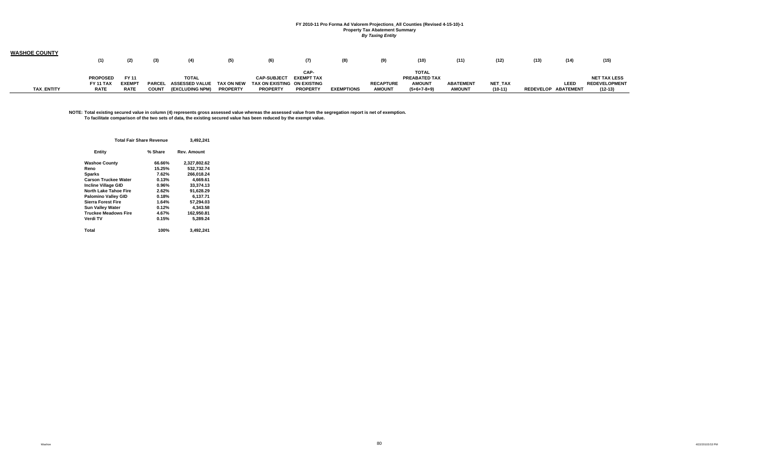| <b>WASHOE COUNTY</b> |                  |              |               |                        |                 |                             |                   |                   |                  |               |                  |                |                     |      |                      |
|----------------------|------------------|--------------|---------------|------------------------|-----------------|-----------------------------|-------------------|-------------------|------------------|---------------|------------------|----------------|---------------------|------|----------------------|
|                      | (1)              | (2)          | (3)           | (4)                    | (5)             | (6)                         | (7)               | (8)               | (9)              | (10)          | (11)             | (12)           | (13)                | (14) | (15)                 |
|                      |                  |              |               |                        |                 |                             | CAP-              |                   |                  | <b>TOTAL</b>  |                  |                |                     |      |                      |
|                      | <b>PROPOSED</b>  | FY 11        |               | <b>TOTAL</b>           |                 | <b>CAP-SUBJECT</b>          | <b>EXEMPT TAX</b> |                   |                  | PREABATED TAX |                  |                |                     |      | <b>NET TAX LESS</b>  |
|                      | <b>FY 11 TAX</b> | <b>EXEMP</b> | <b>PARCEL</b> | <b>ASSESSED VALUE</b>  | TAX ON NEW      | TAX ON EXISTING ON EXISTING |                   |                   | <b>RECAPTURE</b> | <b>AMOUNT</b> | <b>ABATEMENT</b> | <b>NET TAX</b> |                     | LEED | <b>REDEVELOPMENT</b> |
| <b>TAX ENTITY</b>    | <b>RATE</b>      | <b>RATE</b>  | <b>COUNT</b>  | <b>(EXCLUDING NPM)</b> | <b>PROPERTY</b> | <b>PROPERTY</b>             | <b>PROPERTY</b>   | <b>EXEMPTIONS</b> | <b>AMOUNT</b>    | $(5+6+7-8+9)$ | <b>AMOUNT</b>    | $(10-11)$      | REDEVELOP ABATEMENT |      | $(12-13)$            |

NOTE: Total existing secured value in column (4) represents gross assessed value whereas the assessed value from the segregation report is net of exemption.<br>To facilitate comparison of the two sets of data, the existing se

|                             | <b>Total Fair Share Revenue</b> | 3,492,241          |
|-----------------------------|---------------------------------|--------------------|
| Entity                      | % Share                         | <b>Rev. Amount</b> |
| <b>Washoe County</b>        | 66.66%                          | 2,327,802.62       |
| Reno                        | 15.25%                          | 532.732.74         |
| <b>Sparks</b>               | 7.62%                           | 266.018.24         |
| <b>Carson Truckee Water</b> | 0.13%                           | 4.669.61           |
| <b>Incline Village GID</b>  | 0.96%                           | 33.374.13          |
| North Lake Tahoe Fire       | 2.62%                           | 91.628.29          |
| <b>Palomino Valley GID</b>  | 0.18%                           | 6.137.71           |
| <b>Sierra Forest Fire</b>   | 1.64%                           | 57.294.03          |
| <b>Sun Valley Water</b>     | 0.12%                           | 4,343.58           |
| <b>Truckee Meadows Fire</b> | 4.67%                           | 162,950.81         |
| Verdi TV                    | 0.15%                           | 5,289.24           |
| Total                       | 100%                            | 3.492.241          |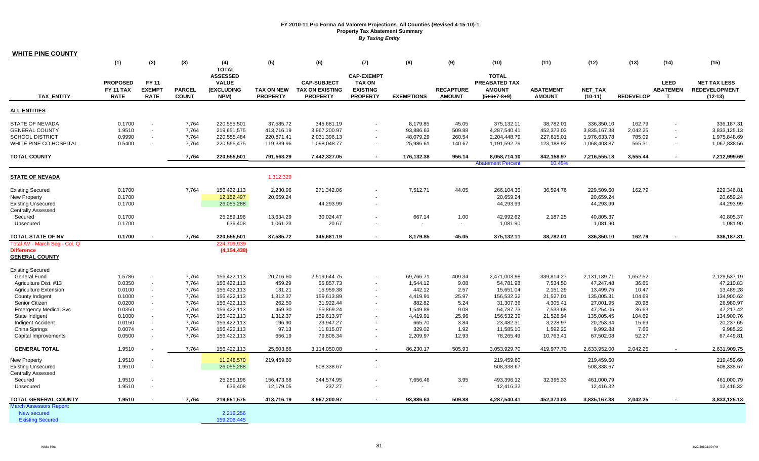| <b>WHITE PINE COUNTY</b>                                                                          |                                                    |                                                                        |                                  |                                                                              |                                                     |                                                                 |                                                                          |                                                 |                                     |                                                                        |                                                     |                                                            |                                        |                                                |                                                            |
|---------------------------------------------------------------------------------------------------|----------------------------------------------------|------------------------------------------------------------------------|----------------------------------|------------------------------------------------------------------------------|-----------------------------------------------------|-----------------------------------------------------------------|--------------------------------------------------------------------------|-------------------------------------------------|-------------------------------------|------------------------------------------------------------------------|-----------------------------------------------------|------------------------------------------------------------|----------------------------------------|------------------------------------------------|------------------------------------------------------------|
|                                                                                                   | (1)                                                | (2)                                                                    | (3)                              | (4)                                                                          | (5)                                                 | (6)                                                             | (7)                                                                      | (8)                                             | (9)                                 | (10)                                                                   | (11)                                                | (12)                                                       | (13)                                   | (14)                                           | (15)                                                       |
| <b>TAX ENTITY</b>                                                                                 | <b>PROPOSED</b><br><b>FY 11 TAX</b><br><b>RATE</b> | FY 11<br><b>EXEMPT</b><br><b>RATE</b>                                  | <b>PARCEL</b><br><b>COUNT</b>    | <b>TOTAL</b><br><b>ASSESSED</b><br><b>VALUE</b><br><b>(EXCLUDING</b><br>NPM) | <b>TAX ON NEW</b><br><b>PROPERTY</b>                | <b>CAP-SUBJECT</b><br><b>TAX ON EXISTING</b><br><b>PROPERTY</b> | <b>CAP-EXEMPT</b><br><b>TAX ON</b><br><b>EXISTING</b><br><b>PROPERTY</b> | <b>EXEMPTIONS</b>                               | <b>RECAPTURE</b><br><b>AMOUNT</b>   | <b>TOTAL</b><br><b>PREABATED TAX</b><br><b>AMOUNT</b><br>$(5+6+7-8+9)$ | <b>ABATEMENT</b><br><b>AMOUNT</b>                   | <b>NET TAX</b><br>$(10-11)$                                | <b>REDEVELOP</b>                       | <b>LEED</b><br><b>ABATEMEN</b><br>$\mathbf{T}$ | <b>NET TAX LESS</b><br><b>REDEVELOPMENT</b><br>$(12-13)$   |
| <b>ALL ENTITIES</b>                                                                               |                                                    |                                                                        |                                  |                                                                              |                                                     |                                                                 |                                                                          |                                                 |                                     |                                                                        |                                                     |                                                            |                                        |                                                |                                                            |
| STATE OF NEVADA<br><b>GENERAL COUNTY</b><br><b>SCHOOL DISTRICT</b><br>WHITE PINE CO HOSPITAL      | 0.1700<br>1.9510<br>0.9990<br>0.5400               | $\overline{\phantom{a}}$<br>$\sim$<br>$\blacksquare$<br>$\blacksquare$ | 7,764<br>7,764<br>7,764<br>7,764 | 220,555,501<br>219,651,575<br>220,555,484<br>220,555,475                     | 37,585.72<br>413,716.19<br>220,871.41<br>119,389.96 | 345,681.19<br>3,967,200.97<br>2,031,396.13<br>1,098,048.77      | $\sim$                                                                   | 8,179.85<br>93,886.63<br>48,079.29<br>25,986.61 | 45.05<br>509.88<br>260.54<br>140.67 | 375,132.11<br>4,287,540.41<br>2,204,448.79<br>1,191,592.79             | 38,782.01<br>452,373.03<br>227,815.01<br>123,188.92 | 336,350.10<br>3,835,167.38<br>1,976,633.78<br>1,068,403.87 | 162.79<br>2,042.25<br>785.09<br>565.31 | $\sim$<br>$\sim$                               | 336,187.31<br>3,833,125.13<br>1,975,848.69<br>1,067,838.56 |
| <b>TOTAL COUNTY</b>                                                                               |                                                    |                                                                        | 7,764                            | 220,555,501                                                                  | 791,563.29                                          | 7,442,327.05                                                    | $\sim$                                                                   | 176,132.38                                      | 956.14                              | 8,058,714.10<br><b>Abatement Percent</b>                               | 842,158.97<br>10.45%                                | 7,216,555.13                                               | 3,555.44                               | $\sim$                                         | 7,212,999.69                                               |
| <b>STATE OF NEVADA</b>                                                                            |                                                    |                                                                        |                                  |                                                                              | 1,312,329                                           |                                                                 |                                                                          |                                                 |                                     |                                                                        |                                                     |                                                            |                                        |                                                |                                                            |
| <b>Existing Secured</b><br>New Property<br><b>Existing Unsecured</b><br><b>Centrally Assessed</b> | 0.1700<br>0.1700<br>0.1700                         |                                                                        | 7,764                            | 156,422,113<br>12,152,497<br>26,055,288                                      | 2,230.96<br>20,659.24                               | 271,342.06<br>44,293.99                                         | $\overline{\phantom{a}}$                                                 | 7,512.71                                        | 44.05                               | 266,104.36<br>20,659.24<br>44,293.99                                   | 36,594.76                                           | 229,509.60<br>20,659.24<br>44,293.99                       | 162.79                                 |                                                | 229,346.81<br>20,659.24<br>44,293.99                       |
| Secured<br>Unsecured                                                                              | 0.1700<br>0.1700                                   |                                                                        |                                  | 25.289.196<br>636,408                                                        | 13,634.29<br>1,061.23                               | 30,024.47<br>20.67                                              |                                                                          | 667.14                                          | 1.00<br>$\sim$                      | 42.992.62<br>1,081.90                                                  | 2.187.25                                            | 40.805.37<br>1,081.90                                      |                                        |                                                | 40.805.37<br>1,081.90                                      |
| <b>TOTAL STATE OF NV</b>                                                                          | 0.1700                                             |                                                                        | 7,764                            | 220,555,501                                                                  | 37,585.72                                           | 345,681.19                                                      | $\sim$                                                                   | 8,179.85                                        | 45.05                               | 375,132.11                                                             | 38,782.01                                           | 336,350.10                                                 | 162.79                                 | $\blacksquare$                                 | 336,187.31                                                 |
| Total AV - March Seg - Col. Q<br><b>Difference</b><br><b>GENERAL COUNTY</b>                       |                                                    |                                                                        |                                  | 224,709,939<br>(4, 154, 438)                                                 |                                                     |                                                                 |                                                                          |                                                 |                                     |                                                                        |                                                     |                                                            |                                        |                                                |                                                            |
| <b>Existing Secured</b>                                                                           |                                                    |                                                                        |                                  |                                                                              |                                                     |                                                                 |                                                                          |                                                 |                                     |                                                                        |                                                     |                                                            |                                        |                                                |                                                            |
| <b>General Fund</b><br>Agriculture Dist. #13<br><b>Agriculture Extension</b>                      | 1.5786<br>0.0350<br>0.0100                         | $\sim$<br>$\blacksquare$                                               | 7.764<br>7,764<br>7,764          | 156,422,113<br>156,422,113<br>156,422,113                                    | 20.716.60<br>459.29<br>131.21                       | 2,519,644.75<br>55,857.73<br>15,959.38                          | $\sim$                                                                   | 69,766.71<br>1,544.12<br>442.12                 | 409.34<br>9.08<br>2.57              | 2,471,003.98<br>54,781.98<br>15,651.04                                 | 339,814.27<br>7,534.50<br>2,151.29                  | 2,131,189.71<br>47,247.48<br>13,499.75                     | 1,652.52<br>36.65<br>10.47             |                                                | 2,129,537.19<br>47,210.83<br>13,489.28                     |
| County Indigent<br>Senior Citizen<br><b>Emergency Medical Svc</b>                                 | 0.1000<br>0.0200<br>0.0350                         | $\overline{\phantom{a}}$<br>$\blacksquare$                             | 7,764<br>7,764<br>7,764          | 156,422,113<br>156,422,113<br>156,422,113                                    | 1,312.37<br>262.50<br>459.30                        | 159,613.89<br>31,922.44<br>55,869.24                            |                                                                          | 4,419.91<br>882.82<br>1,549.89                  | 25.97<br>5.24<br>9.08               | 156,532.32<br>31,307.36<br>54,787.73                                   | 21,527.01<br>4,305.41<br>7,533.68                   | 135,005.31<br>27,001.95<br>47,254.05                       | 104.69<br>20.98<br>36.63               |                                                | 134,900.62<br>26,980.97<br>47,217.42                       |
| State Indigent<br>Indigent Accident<br>China Springs                                              | 0.1000<br>0.0150<br>0.0074                         | $\blacksquare$<br>$\overline{\phantom{a}}$                             | 7,764<br>7,764<br>7,764          | 156,422,113<br>156,422,113<br>156,422,113                                    | 1,312.37<br>196.90<br>97.13                         | 159,613.97<br>23,947.27<br>11,815.07                            | $\overline{a}$                                                           | 4,419.91<br>665.70<br>329.02                    | 25.96<br>3.84<br>1.92               | 156,532.39<br>23,482.31<br>11,585.10                                   | 21,526.94<br>3,228.97<br>1,592.22                   | 135,005.45<br>20,253.34<br>9,992.88                        | 104.69<br>15.69<br>7.66                |                                                | 134,900.76<br>20,237.65<br>9,985.22                        |
| Capital Improvements                                                                              | 0.0500                                             | $\blacksquare$                                                         | 7,764                            | 156,422,113                                                                  | 656.19                                              | 79,806.34                                                       | $\overline{\phantom{a}}$                                                 | 2,209.97                                        | 12.93                               | 78,265.49                                                              | 10,763.41                                           | 67,502.08                                                  | 52.27                                  |                                                | 67,449.81                                                  |
| <b>GENERAL TOTAL</b>                                                                              | 1.9510                                             |                                                                        | 7,764                            | 156,422,113                                                                  | 25,603.86                                           | 3,114,050.08                                                    |                                                                          | 86,230.17                                       | 505.93                              | 3,053,929.70                                                           | 419,977.70                                          | 2,633,952.00                                               | 2,042.25                               |                                                | 2,631,909.75                                               |
| <b>New Property</b><br><b>Existing Unsecured</b><br><b>Centrally Assessed</b>                     | 1.9510<br>1.9510                                   |                                                                        |                                  | 11,248,570<br>26,055,288                                                     | 219,459.60                                          | 508,338.67                                                      | $\blacksquare$                                                           |                                                 |                                     | 219,459.60<br>508,338.67                                               |                                                     | 219,459.60<br>508,338.67                                   |                                        |                                                | 219,459.60<br>508.338.67                                   |
| Secured<br>Unsecured                                                                              | 1.9510<br>1.9510                                   |                                                                        |                                  | 25,289,196<br>636,408                                                        | 156,473.68<br>12,179.05                             | 344,574.95<br>237.27                                            | $\sim$<br>$\overline{\phantom{a}}$                                       | 7,656.46                                        | 3.95<br>$\sim$                      | 493,396.12<br>12,416.32                                                | 32,395.33                                           | 461,000.79<br>12,416.32                                    |                                        |                                                | 461,000.79<br>12,416.32                                    |
| TOTAL GENERAL COUNTY                                                                              | 1.9510                                             |                                                                        | 7,764                            | 219,651,575                                                                  | 413,716.19                                          | 3,967,200.97                                                    |                                                                          | 93,886.63                                       | 509.88                              | 4,287,540.41                                                           | 452,373.03                                          | 3,835,167.38                                               | 2,042.25                               |                                                | 3,833,125.13                                               |
| <b>March Assessors Report:</b><br>New secured<br><b>Existing Secured</b>                          |                                                    |                                                                        |                                  | 2,216,256<br>159,206,445                                                     |                                                     |                                                                 |                                                                          |                                                 |                                     |                                                                        |                                                     |                                                            |                                        |                                                |                                                            |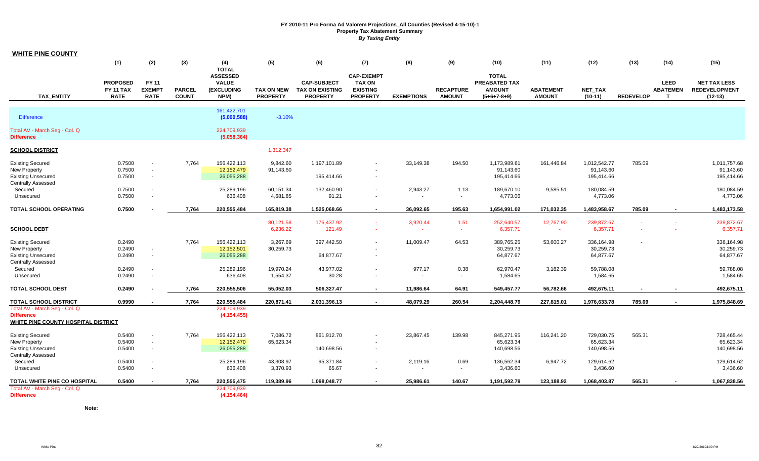| <b>WHITE PINE COUNTY</b>                                                                                                  |                                                    |                                            |                               |                                                                              |                                      |                                                                 |                                                                          |                   |                                   |                                                                 |                                   |                                         |                  |                                                |                                                          |
|---------------------------------------------------------------------------------------------------------------------------|----------------------------------------------------|--------------------------------------------|-------------------------------|------------------------------------------------------------------------------|--------------------------------------|-----------------------------------------------------------------|--------------------------------------------------------------------------|-------------------|-----------------------------------|-----------------------------------------------------------------|-----------------------------------|-----------------------------------------|------------------|------------------------------------------------|----------------------------------------------------------|
|                                                                                                                           | (1)                                                | (2)                                        | (3)                           | (4)                                                                          | (5)                                  | (6)                                                             | (7)                                                                      | (8)               | (9)                               | (10)                                                            | (11)                              | (12)                                    | (13)             | (14)                                           | (15)                                                     |
| <b>TAX ENTITY</b>                                                                                                         | <b>PROPOSED</b><br><b>FY 11 TAX</b><br><b>RATE</b> | FY 11<br><b>EXEMPT</b><br><b>RATE</b>      | <b>PARCEL</b><br><b>COUNT</b> | <b>TOTAL</b><br><b>ASSESSED</b><br><b>VALUE</b><br><b>(EXCLUDING</b><br>NPM) | <b>TAX ON NEW</b><br><b>PROPERTY</b> | <b>CAP-SUBJECT</b><br><b>TAX ON EXISTING</b><br><b>PROPERTY</b> | <b>CAP-EXEMPT</b><br><b>TAX ON</b><br><b>EXISTING</b><br><b>PROPERTY</b> | <b>EXEMPTIONS</b> | <b>RECAPTURE</b><br><b>AMOUNT</b> | <b>TOTAL</b><br>PREABATED TAX<br><b>AMOUNT</b><br>$(5+6+7-8+9)$ | <b>ABATEMENT</b><br><b>AMOUNT</b> | NET_TAX<br>$(10-11)$                    | <b>REDEVELOP</b> | <b>LEED</b><br><b>ABATEMEN</b><br>$\mathbf{T}$ | <b>NET TAX LESS</b><br><b>REDEVELOPMENT</b><br>$(12-13)$ |
| <b>Difference</b>                                                                                                         |                                                    |                                            |                               | 161,422,701<br>(5,000,588)                                                   | $-3.10%$                             |                                                                 |                                                                          |                   |                                   |                                                                 |                                   |                                         |                  |                                                |                                                          |
| Total AV - March Seg - Col. Q<br><b>Difference</b>                                                                        |                                                    |                                            |                               | 224,709,939<br>(5,058,364)                                                   |                                      |                                                                 |                                                                          |                   |                                   |                                                                 |                                   |                                         |                  |                                                |                                                          |
| <b>SCHOOL DISTRICT</b>                                                                                                    |                                                    |                                            |                               |                                                                              | 1,312,347                            |                                                                 |                                                                          |                   |                                   |                                                                 |                                   |                                         |                  |                                                |                                                          |
| <b>Existing Secured</b><br><b>New Property</b><br><b>Existing Unsecured</b><br><b>Centrally Assessed</b>                  | 0.7500<br>0.7500<br>0.7500                         | $\blacksquare$<br>$\sim$<br>$\blacksquare$ | 7,764                         | 156,422,113<br>12,152,479<br>26,055,288                                      | 9,842.60<br>91,143.60                | 1,197,101.89<br>195,414.66                                      | $\overline{\phantom{a}}$                                                 | 33,149.38         | 194.50                            | 1,173,989.61<br>91,143.60<br>195,414.66                         | 161,446.84                        | 1,012,542.77<br>91,143.60<br>195,414.66 | 785.09           |                                                | 1,011,757.68<br>91,143.60<br>195,414.66                  |
| Secured<br>Unsecured                                                                                                      | 0.7500<br>0.7500                                   | $\blacksquare$                             |                               | 25,289,196<br>636,408                                                        | 60,151.34<br>4,681.85                | 132,460.90<br>91.21                                             | $\overline{\phantom{a}}$<br>$\overline{\phantom{a}}$                     | 2,943.27          | 1.13<br>$\blacksquare$            | 189,670.10<br>4,773.06                                          | 9,585.51                          | 180,084.59<br>4,773.06                  |                  |                                                | 180,084.59<br>4,773.06                                   |
| <b>TOTAL SCHOOL OPERATING</b>                                                                                             | 0.7500                                             |                                            | 7,764                         | 220,555,484                                                                  | 165,819.38                           | 1,525,068.66                                                    | $\blacksquare$                                                           | 36,092.65         | 195.63                            | 1,654,991.02                                                    | 171,032.35                        | 1,483,958.67                            | 785.09           |                                                | 1,483,173.58                                             |
| <b>SCHOOL DEBT</b>                                                                                                        |                                                    |                                            |                               |                                                                              | 80,121.58<br>6,236.22                | 176,437.92<br>121.49                                            | $\sim$<br>$\blacksquare$                                                 | 3,920.44          | 1.51<br>$\sim$                    | 252,640.57<br>6,357.71                                          | 12,767.90<br>$\sim$               | 239,872.67<br>6,357.71                  | ÷.               |                                                | 239,872.67<br>6,357.71                                   |
| <b>Existing Secured</b><br><b>New Property</b><br><b>Existing Unsecured</b>                                               | 0.2490<br>0.2490<br>0.2490                         | $\overline{\phantom{a}}$<br>$\blacksquare$ | 7.764                         | 156,422,113<br>12,152,501<br>26,055,288                                      | 3,267.69<br>30,259.73                | 397,442.50<br>64,877.67                                         | $\sim$                                                                   | 11,009.47         | 64.53                             | 389,765.25<br>30,259.73<br>64,877.67                            | 53,600.27                         | 336,164.98<br>30,259.73<br>64,877.67    |                  |                                                | 336,164.98<br>30,259.73<br>64,877.67                     |
| <b>Centrally Assessed</b><br>Secured<br>Unsecured                                                                         | 0.2490<br>0.2490                                   | $\blacksquare$                             |                               | 25,289,196<br>636,408                                                        | 19,970.24<br>1,554.37                | 43,977.02<br>30.28                                              |                                                                          | 977.17            | 0.38<br>$\blacksquare$            | 62,970.47<br>1,584.65                                           | 3,182.39                          | 59,788.08<br>1,584.65                   |                  |                                                | 59,788.08<br>1,584.65                                    |
| <b>TOTAL SCHOOL DEBT</b>                                                                                                  | 0.2490                                             |                                            | 7,764                         | 220,555,506                                                                  | 55,052.03                            | 506,327.47                                                      |                                                                          | 11,986.64         | 64.91                             | 549,457.77                                                      | 56,782.66                         | 492,675.11                              |                  |                                                | 492,675.11                                               |
| <b>TOTAL SCHOOL DISTRICT</b><br>Total AV - March Seg - Col. Q<br><b>Difference</b><br>WHITE PINE COUNTY HOSPITAL DISTRICT | 0.9990                                             |                                            | 7,764                         | 220,555,484<br>224,709,939<br>(4, 154, 455)                                  | 220,871.41                           | 2,031,396.13                                                    |                                                                          | 48,079.29         | 260.54                            | 2,204,448.79                                                    | 227,815.01                        | 1,976,633.78                            | 785.09           |                                                | 1,975,848.69                                             |
| <b>Existing Secured</b><br><b>New Property</b><br><b>Existing Unsecured</b><br><b>Centrally Assessed</b>                  | 0.5400<br>0.5400<br>0.5400                         | $\sim$<br>$\sim$<br>$\blacksquare$         | 7,764                         | 156,422,113<br>12,152,470<br>26,055,288                                      | 7,086.72<br>65,623.34                | 861,912.70<br>140,698.56                                        | $\sim$                                                                   | 23,867.45         | 139.98                            | 845,271.95<br>65,623.34<br>140,698.56                           | 116,241.20                        | 729,030.75<br>65,623.34<br>140,698.56   | 565.31           |                                                | 728,465.44<br>65,623.34<br>140,698.56                    |
| Secured<br>Unsecured                                                                                                      | 0.5400<br>0.5400                                   | $\blacksquare$                             |                               | 25,289,196<br>636,408                                                        | 43,308.97<br>3,370.93                | 95,371.84<br>65.67                                              | $\sim$<br>$\blacksquare$                                                 | 2,119.16          | 0.69<br>$\sim$                    | 136,562.34<br>3,436.60                                          | 6,947.72                          | 129,614.62<br>3,436.60                  |                  |                                                | 129,614.62<br>3,436.60                                   |
| TOTAL WHITE PINE CO HOSPITAL                                                                                              | 0.5400                                             | $\overline{\phantom{a}}$                   | 7,764                         | 220,555,475                                                                  | 119,389.96                           | 1,098,048.77                                                    | $\overline{\phantom{a}}$                                                 | 25,986.61         | 140.67                            | 1,191,592.79                                                    | 123,188.92                        | 1,068,403.87                            | 565.31           |                                                | 1,067,838.56                                             |
| Total AV - March Seg - Col. Q<br><b>Difference</b>                                                                        |                                                    |                                            |                               | 224,709,939<br>(4, 154, 464)                                                 |                                      |                                                                 |                                                                          |                   |                                   |                                                                 |                                   |                                         |                  |                                                |                                                          |

**Note:**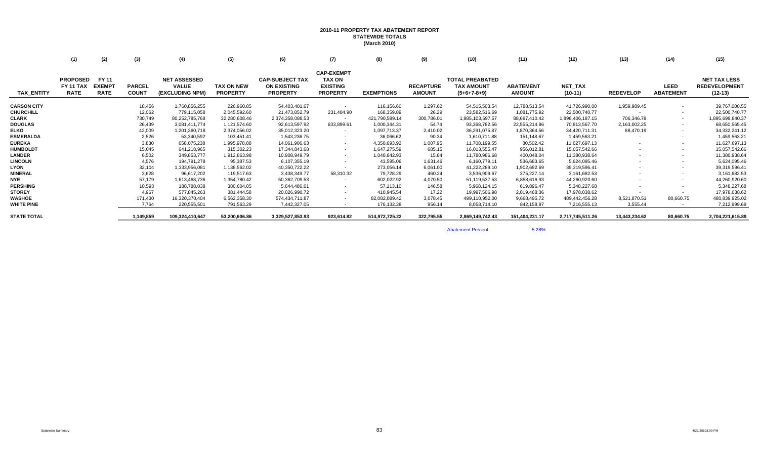## **2010-11 PROPERTY TAX ABATEMENT REPORT STATEWIDE TOTALS (March 2010)**

|                    | (1)                                         | (2)                                   | (3)                           | (4)                                                    | (5)                                  | (6)                                                             | (7)                                                               | (8)               | (9)                               | (10)                                                         | (11)                              | (12)                 | (13)             | (14)                            | (15)                                                     |
|--------------------|---------------------------------------------|---------------------------------------|-------------------------------|--------------------------------------------------------|--------------------------------------|-----------------------------------------------------------------|-------------------------------------------------------------------|-------------------|-----------------------------------|--------------------------------------------------------------|-----------------------------------|----------------------|------------------|---------------------------------|----------------------------------------------------------|
| <b>TAX ENTITY</b>  | <b>PROPOSED</b><br>FY 11 TAX<br><b>RATE</b> | FY 11<br><b>EXEMPT</b><br><b>RATE</b> | <b>PARCEL</b><br><b>COUNT</b> | <b>NET ASSESSED</b><br><b>VALUE</b><br>(EXCLUDING NPM) | <b>TAX ON NEW</b><br><b>PROPERTY</b> | <b>CAP-SUBJECT TAX</b><br><b>ON EXISTING</b><br><b>PROPERTY</b> | <b>CAP-EXEMPT</b><br>TAX ON<br><b>EXISTING</b><br><b>PROPERTY</b> | <b>EXEMPTIONS</b> | <b>RECAPTURE</b><br><b>AMOUNT</b> | <b>TOTAL PREABATED</b><br><b>TAX AMOUNT</b><br>$(5+6+7-8+9)$ | <b>ABATEMENT</b><br><b>AMOUNT</b> | NET_TAX<br>$(10-11)$ | <b>REDEVELOP</b> | <b>LEED</b><br><b>ABATEMENT</b> | <b>NET TAX LESS</b><br><b>REDEVELOPMENT</b><br>$(12-13)$ |
| <b>CARSON CITY</b> |                                             |                                       | 18,456                        | 1,760,856,255                                          | 226,960.85                           | 54,403,401.67                                                   |                                                                   | 116,156.60        | 1,297.62                          | 54,515,503.54                                                | 12,788,513.54                     | 41,726,990.00        | 1,959,989.45     | $\sim$                          | 39,767,000.55                                            |
| <b>CHURCHILL</b>   |                                             |                                       | 12,062                        | 779,115,058                                            | 2,045,592.60                         | 21,473,852.79                                                   | 231,404.90                                                        | 168,359.89        | 26.29                             | 23,582,516.69                                                | 1,081,775.92                      | 22,500,740.77        |                  | $\overline{\phantom{a}}$        | 22,500,740.77                                            |
| <b>CLARK</b>       |                                             |                                       | 730,749                       | 80,252,785,768                                         | 32,280,608.46                        | 2,374,358,088.53                                                |                                                                   | 421,790,589.14    | 300,786.01                        | 1,985,103,597.57                                             | 88,697,410.42                     | 1,896,406,187.15     | 706,346.78       | $\sim$                          | 1,895,699,840.37                                         |
| <b>DOUGLAS</b>     |                                             |                                       | 26,439                        | 3,081,411,774                                          | 1,121,574.60                         | 92,613,597.92                                                   | 633,899.61                                                        | 1,000,344.31      | 54.74                             | 93,368,782.56                                                | 22,555,214.86                     | 70,813,567.70        | 2,163,002.25     | $\sim$                          | 68,650,565.45                                            |
| <b>ELKO</b>        |                                             |                                       | 42,009                        | 1,201,360,718                                          | 2,374,056.02                         | 35,012,323.20                                                   | $\sim$                                                            | 1,097,713.37      | 2,410.02                          | 36,291,075.87                                                | 1,870,364.56                      | 34,420,711.31        | 88,470.19        | $\sim$                          | 34, 332, 241. 12                                         |
| <b>ESMERALDA</b>   |                                             |                                       | 2,526                         | 53,340,592                                             | 103,451.41                           | 1,543,236.75                                                    | $\sim$                                                            | 36,066.62         | 90.34                             | 1,610,711.88                                                 | 151,148.67                        | 1,459,563.21         |                  | $\sim$                          | 1,459,563.21                                             |
| <b>EUREKA</b>      |                                             |                                       | 3,830                         | 658,075,238                                            | 1,995,978.88                         | 14,061,906.63                                                   | $\sim$                                                            | 4,350,693.92      | 1,007.95                          | 11,708,199.55                                                | 80,502.42                         | 11,627,697.13        |                  | $\overline{\phantom{a}}$        | 11,627,697.13                                            |
| <b>HUMBOLDT</b>    |                                             |                                       | 15,045                        | 641,218,965                                            | 315,302.23                           | 17,344,843.68                                                   | $\sim$                                                            | 1,647,275.59      | 685.15                            | 16,013,555.47                                                | 956,012.81                        | 15,057,542.66        |                  | $\overline{\phantom{a}}$        | 15,057,542.66                                            |
| <b>LANDER</b>      |                                             |                                       | 6,502                         | 349,853,777                                            | 1,912,863.98                         | 10,908,949.79                                                   | $\sim$                                                            | 1,040,842.93      | 15.84                             | 11,780,986.68                                                | 400,048.04                        | 11,380,938.64        |                  | $\sim$                          | 11,380,938.64                                            |
| <b>LINCOLN</b>     |                                             |                                       | 4,576                         | 194,791,278                                            | 95,387.53                            | 6,107,355.19                                                    | $\sim$                                                            | 43,595.06         | 1,631.46                          | 6,160,779.11                                                 | 536,683.65                        | 5,624,095.46         |                  | $\sim$                          | 5,624,095.46                                             |
| <b>LYON</b>        |                                             |                                       | 32,104                        | 1,333,956,081                                          | 1,138,562.02                         | 40,350,722.22                                                   |                                                                   | 273,056.14        | 6,061.00                          | 41,222,289.10                                                | 1,902,692.69                      | 39,319,596.41        |                  | $\overline{\phantom{a}}$        | 39,319,596.41                                            |
| <b>MINERAL</b>     |                                             |                                       | 3,628                         | 96,617,202                                             | 119,517.63                           | 3,438,349.77                                                    | 58,310.32                                                         | 79,728.29         | 460.24                            | 3,536,909.67                                                 | 375,227.14                        | 3,161,682.53         |                  | $\overline{\phantom{a}}$        | 3,161,682.53                                             |
| <b>NYE</b>         |                                             |                                       | 57,179                        | 1,613,468,736                                          | 1,354,780.42                         | 50,362,709.53                                                   | $\sim$                                                            | 602,022.92        | 4,070.50                          | 51,119,537.53                                                | 6,858,616.93                      | 44,260,920.60        |                  | $\overline{\phantom{a}}$        | 44,260,920.60                                            |
| <b>PERSHING</b>    |                                             |                                       | 10,593                        | 188,788,038                                            | 380,604.05                           | 5,644,486.61                                                    | $\sim$                                                            | 57,113.10         | 146.58                            | 5,968,124.15                                                 | 619,896.47                        | 5,348,227.68         |                  | $\overline{\phantom{a}}$        | 5,348,227.68                                             |
| <b>STOREY</b>      |                                             |                                       | 4,967                         | 577,845,263                                            | 381,444.58                           | 20,026,990.72                                                   |                                                                   | 410,945.54        | 17.22                             | 19,997,506.98                                                | 2,019,468.36                      | 17,978,038.62        |                  |                                 | 17,978,038.62                                            |
| <b>WASHOE</b>      |                                             |                                       | 171,430                       | 16,320,370,404                                         | 6,562,358.30                         | 574,434,711.87                                                  | $\sim$                                                            | 82,082,089.42     | 3,078.45                          | 499,110,952.00                                               | 9,668,495.72                      | 489,442,456.28       | 8,521,870.51     | 80,660.75                       | 480,839,925.02                                           |
| <b>WHITE PINE</b>  |                                             |                                       | 7,764                         | 220,555,501                                            | 791,563.29                           | 7,442,327.05                                                    | $\sim$                                                            | 176,132.38        | 956.14                            | 8,058,714.10                                                 | 842,158.97                        | 7,216,555.13         | 3,555.44         |                                 | 7,212,999.69                                             |
| <b>STATE TOTAL</b> |                                             |                                       | 1,149,859                     | 109,324,410,647                                        | 53,200,606.86                        | 3,329,527,853.93                                                | 923,614.82                                                        | 514,972,725.22    | 322,795.55                        | 2,869,149,742.43                                             | 151,404,231.17                    | 2,717,745,511.26     | 13,443,234.62    | 80,660.75                       | 2,704,221,615.89                                         |
|                    |                                             |                                       |                               |                                                        |                                      |                                                                 |                                                                   |                   |                                   |                                                              |                                   |                      |                  |                                 |                                                          |

Abatement Percentt 5.28%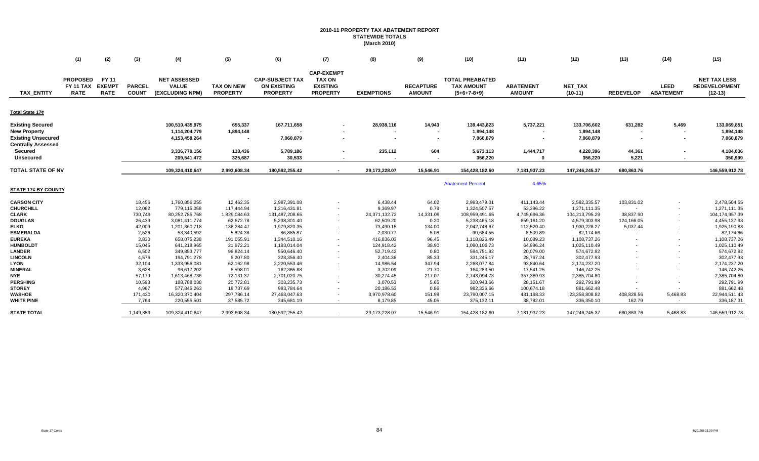## **2010-11 PROPERTY TAX ABATEMENT REPORT STATEWIDE TOTALS (March 2010)**

| <b>CAP-EXEMPT</b><br><b>PROPOSED</b><br><b>FY 11</b><br><b>TAX ON</b><br><b>TOTAL PREABATED</b><br><b>NET ASSESSED</b><br><b>CAP-SUBJECT TAX</b><br><b>EXEMPT</b><br><b>VALUE</b><br><b>FY 11 TAX</b><br><b>PARCEL</b><br><b>TAX ON NEW</b><br><b>ON EXISTING</b><br><b>EXISTING</b><br><b>ABATEMENT</b><br>NET_TAX<br><b>LEED</b><br><b>RECAPTURE</b><br><b>TAX AMOUNT</b><br>(EXCLUDING NPM)<br><b>PROPERTY</b><br><b>ABATEMENT</b><br><b>TAX ENTITY</b><br><b>RATE</b><br><b>RATE</b><br><b>COUNT</b><br><b>PROPERTY</b><br><b>PROPERTY</b><br><b>EXEMPTIONS</b><br><b>AMOUNT</b><br>$(10-11)$<br><b>REDEVELOP</b><br>$(12-13)$<br><b>AMOUNT</b><br>$(5+6+7-8+9)$<br><b>Existing Secured</b><br>100,510,435,975<br>655,337<br>167,711,658<br>28,938,116<br>14,943<br>5,737,221<br>631,282<br>5,469<br>139,443,823<br>133,706,602<br>1,114,204,779<br>1,894,148<br>1,894,148<br>1,894,148<br>$\overline{\phantom{a}}$<br>$\sim$<br>4,153,458,264<br>7,060,879<br>7,060,879<br>7,060,879<br>$\blacksquare$<br>$\overline{\phantom{a}}$<br>$\overline{\phantom{a}}$<br>604<br>44,361<br>Secured<br>3,336,770,156<br>118,436<br>5,789,186<br>235,112<br>5,673,113<br>1,444,717<br>4,228,396<br>209,541,472<br>325,687<br>30,533<br>356,220<br>356,220<br>5,221<br><b>Unsecured</b><br>$\Omega$<br>TOTAL STATE OF NV<br>109,324,410,647<br>2,993,608.34<br>180,592,255.42<br>29,173,228.07<br>15,546.91<br>154,428,182.60<br>7,181,937.23<br>147,246,245.37<br>680,863.76<br>$\overline{a}$<br>4.65%<br><b>Abatement Percent</b><br>18,456<br>103,831.02<br>1,760,856,255<br>12,462.35<br>2,987,391.08<br>6,438.44<br>64.02<br>2,993,479.01<br>411,143.44<br>2,582,335.57<br>12,062<br>117,444.94<br><b>CHURCHILL</b><br>779,115,058<br>1,216,431.81<br>9,369.97<br>0.79<br>1,324,507.57<br>53,396.22<br>1,271,111.35<br>$\sim$<br>730,749<br>80,252,785,768<br>131,487,208.65<br>24,371,132.72<br>108,959,491.65<br>4,745,696.36<br>104,174,957.39<br>1,829,084.63<br>14,331.09<br>104,213,795.29<br>38,837.90<br>26,439<br>3,081,411,774<br>62,672.78<br>5,238,301.40<br>62,509.20<br>0.20<br>5,238,465.18<br>659,161.20<br>4,579,303.98<br>124,166.05<br>42,009<br>1,201,360,718<br>1,979,820.35<br>2,042,748.67<br>112,520.40<br>1,930,228.27<br>136,284.47<br>73,490.15<br>134.00<br>5,037.44<br><b>ESMERALDA</b><br>86,885.87<br>2,526<br>53,340,592<br>5,824.38<br>2,030.77<br>5.08<br>90,684.55<br>8,509.89<br>82,174.66<br>$\sim$<br>$\overline{\phantom{a}}$<br>3,830<br>658,075,238<br>191,055.91<br>1,344,510.16<br>416,836.03<br>96.45<br>1,118,826.49<br>10,089.23<br>1,108,737.26<br>64,996.24<br>15,045<br>641,218,965<br>21,972.21<br>1,193,014.04<br>124,918.42<br>38.90<br>1,090,106.73<br>1,025,110.49<br>6,502<br>594,751.92<br>574,672.92<br>349,853,777<br>96,824.14<br>550,646.40<br>52,719.42<br>20,079.00<br>0.80<br><b>LINCOLN</b><br>4,576<br>328,356.40<br>85.33<br>28,767.24<br>302,477.93<br>194,791,278<br>5,207.80<br>2,404.36<br>331,245.17<br>32,104<br>1,333,956,081<br>62,162.98<br>2,220,553.46<br>14,986.54<br>347.94<br>2,268,077.84<br>93,840.64<br>2,174,237.20<br>3,628<br>96,617,202<br>5,598.01<br>162,365.88<br>3,702.09<br>21.70<br>164,283.50<br>17,541.25<br>146,742.25<br>57,179<br><b>NYE</b><br>72,131.37<br>2,701,020.75<br>2,743,094.73<br>357,389.93<br>2,385,704.80<br>1,613,468,736<br>30,274.45<br>217.07<br>10,593<br>188,788,038<br>20,772.81<br>303,235.73<br>3,070.53<br>5.65<br>320,943.66<br>28,151.67<br>292,791.99<br>4,967<br>18,737.69<br>100,674.18<br>577,845,263<br>983,784.64<br>20,186.53<br>0.86<br>982,336.66<br>881,662.48<br>22,944,511.43<br>171,430<br>16,320,370,404<br>297,786.14<br>3,970,978.60<br>151.98<br>23,790,007.15<br>431,198.33<br>23,358,808.82<br>408,828.56<br>5,468.83<br>27,463,047.63 | (1) | (2) | (3) | (4) | (5) | (6) | (7) | (8) | (9) | (10) | (11) | (12) | (13) | (14) | (15)                                        |
|---------------------------------------------------------------------------------------------------------------------------------------------------------------------------------------------------------------------------------------------------------------------------------------------------------------------------------------------------------------------------------------------------------------------------------------------------------------------------------------------------------------------------------------------------------------------------------------------------------------------------------------------------------------------------------------------------------------------------------------------------------------------------------------------------------------------------------------------------------------------------------------------------------------------------------------------------------------------------------------------------------------------------------------------------------------------------------------------------------------------------------------------------------------------------------------------------------------------------------------------------------------------------------------------------------------------------------------------------------------------------------------------------------------------------------------------------------------------------------------------------------------------------------------------------------------------------------------------------------------------------------------------------------------------------------------------------------------------------------------------------------------------------------------------------------------------------------------------------------------------------------------------------------------------------------------------------------------------------------------------------------------------------------------------------------------------------------------------------------------------------------------------------------------------------------------------------------------------------------------------------------------------------------------------------------------------------------------------------------------------------------------------------------------------------------------------------------------------------------------------------------------------------------------------------------------------------------------------------------------------------------------------------------------------------------------------------------------------------------------------------------------------------------------------------------------------------------------------------------------------------------------------------------------------------------------------------------------------------------------------------------------------------------------------------------------------------------------------------------------------------------------------------------------------------------------------------------------------------------------------------------------------------------------------------------------------------------------------------------------------------------------------------------------------------------------------------------------------------------------------------------------------------------------------------------------------------------------------------------------------------------------------------------------------------------------------------------------------------------------------------------------------------------------|-----|-----|-----|-----|-----|-----|-----|-----|-----|------|------|------|------|------|---------------------------------------------|
| Total State 17¢<br><b>New Property</b><br><b>Existing Unsecured</b><br><b>Centrally Assessed</b><br><b>STATE 17¢ BY COUNTY</b><br><b>CARSON CITY</b><br><b>CLARK</b><br><b>DOUGLAS</b><br><b>ELKO</b><br><b>EUREKA</b><br><b>HUMBOLDT</b><br><b>LANDER</b><br><b>LYON</b><br><b>MINERAL</b><br><b>PERSHING</b><br><b>STOREY</b><br><b>WASHOE</b>                                                                                                                                                                                                                                                                                                                                                                                                                                                                                                                                                                                                                                                                                                                                                                                                                                                                                                                                                                                                                                                                                                                                                                                                                                                                                                                                                                                                                                                                                                                                                                                                                                                                                                                                                                                                                                                                                                                                                                                                                                                                                                                                                                                                                                                                                                                                                                                                                                                                                                                                                                                                                                                                                                                                                                                                                                                                                                                                                                                                                                                                                                                                                                                                                                                                                                                                                                                                                                      |     |     |     |     |     |     |     |     |     |      |      |      |      |      | <b>NET TAX LESS</b><br><b>REDEVELOPMENT</b> |
|                                                                                                                                                                                                                                                                                                                                                                                                                                                                                                                                                                                                                                                                                                                                                                                                                                                                                                                                                                                                                                                                                                                                                                                                                                                                                                                                                                                                                                                                                                                                                                                                                                                                                                                                                                                                                                                                                                                                                                                                                                                                                                                                                                                                                                                                                                                                                                                                                                                                                                                                                                                                                                                                                                                                                                                                                                                                                                                                                                                                                                                                                                                                                                                                                                                                                                                                                                                                                                                                                                                                                                                                                                                                                                                                                                                       |     |     |     |     |     |     |     |     |     |      |      |      |      |      |                                             |
|                                                                                                                                                                                                                                                                                                                                                                                                                                                                                                                                                                                                                                                                                                                                                                                                                                                                                                                                                                                                                                                                                                                                                                                                                                                                                                                                                                                                                                                                                                                                                                                                                                                                                                                                                                                                                                                                                                                                                                                                                                                                                                                                                                                                                                                                                                                                                                                                                                                                                                                                                                                                                                                                                                                                                                                                                                                                                                                                                                                                                                                                                                                                                                                                                                                                                                                                                                                                                                                                                                                                                                                                                                                                                                                                                                                       |     |     |     |     |     |     |     |     |     |      |      |      |      |      | 133,069,851<br>1,894,148<br>7,060,879       |
|                                                                                                                                                                                                                                                                                                                                                                                                                                                                                                                                                                                                                                                                                                                                                                                                                                                                                                                                                                                                                                                                                                                                                                                                                                                                                                                                                                                                                                                                                                                                                                                                                                                                                                                                                                                                                                                                                                                                                                                                                                                                                                                                                                                                                                                                                                                                                                                                                                                                                                                                                                                                                                                                                                                                                                                                                                                                                                                                                                                                                                                                                                                                                                                                                                                                                                                                                                                                                                                                                                                                                                                                                                                                                                                                                                                       |     |     |     |     |     |     |     |     |     |      |      |      |      |      | 4,184,036                                   |
|                                                                                                                                                                                                                                                                                                                                                                                                                                                                                                                                                                                                                                                                                                                                                                                                                                                                                                                                                                                                                                                                                                                                                                                                                                                                                                                                                                                                                                                                                                                                                                                                                                                                                                                                                                                                                                                                                                                                                                                                                                                                                                                                                                                                                                                                                                                                                                                                                                                                                                                                                                                                                                                                                                                                                                                                                                                                                                                                                                                                                                                                                                                                                                                                                                                                                                                                                                                                                                                                                                                                                                                                                                                                                                                                                                                       |     |     |     |     |     |     |     |     |     |      |      |      |      |      | 350,999                                     |
|                                                                                                                                                                                                                                                                                                                                                                                                                                                                                                                                                                                                                                                                                                                                                                                                                                                                                                                                                                                                                                                                                                                                                                                                                                                                                                                                                                                                                                                                                                                                                                                                                                                                                                                                                                                                                                                                                                                                                                                                                                                                                                                                                                                                                                                                                                                                                                                                                                                                                                                                                                                                                                                                                                                                                                                                                                                                                                                                                                                                                                                                                                                                                                                                                                                                                                                                                                                                                                                                                                                                                                                                                                                                                                                                                                                       |     |     |     |     |     |     |     |     |     |      |      |      |      |      | 146,559,912.78                              |
|                                                                                                                                                                                                                                                                                                                                                                                                                                                                                                                                                                                                                                                                                                                                                                                                                                                                                                                                                                                                                                                                                                                                                                                                                                                                                                                                                                                                                                                                                                                                                                                                                                                                                                                                                                                                                                                                                                                                                                                                                                                                                                                                                                                                                                                                                                                                                                                                                                                                                                                                                                                                                                                                                                                                                                                                                                                                                                                                                                                                                                                                                                                                                                                                                                                                                                                                                                                                                                                                                                                                                                                                                                                                                                                                                                                       |     |     |     |     |     |     |     |     |     |      |      |      |      |      |                                             |
|                                                                                                                                                                                                                                                                                                                                                                                                                                                                                                                                                                                                                                                                                                                                                                                                                                                                                                                                                                                                                                                                                                                                                                                                                                                                                                                                                                                                                                                                                                                                                                                                                                                                                                                                                                                                                                                                                                                                                                                                                                                                                                                                                                                                                                                                                                                                                                                                                                                                                                                                                                                                                                                                                                                                                                                                                                                                                                                                                                                                                                                                                                                                                                                                                                                                                                                                                                                                                                                                                                                                                                                                                                                                                                                                                                                       |     |     |     |     |     |     |     |     |     |      |      |      |      |      | 2,478,504.55                                |
|                                                                                                                                                                                                                                                                                                                                                                                                                                                                                                                                                                                                                                                                                                                                                                                                                                                                                                                                                                                                                                                                                                                                                                                                                                                                                                                                                                                                                                                                                                                                                                                                                                                                                                                                                                                                                                                                                                                                                                                                                                                                                                                                                                                                                                                                                                                                                                                                                                                                                                                                                                                                                                                                                                                                                                                                                                                                                                                                                                                                                                                                                                                                                                                                                                                                                                                                                                                                                                                                                                                                                                                                                                                                                                                                                                                       |     |     |     |     |     |     |     |     |     |      |      |      |      |      | 1,271,111.35                                |
|                                                                                                                                                                                                                                                                                                                                                                                                                                                                                                                                                                                                                                                                                                                                                                                                                                                                                                                                                                                                                                                                                                                                                                                                                                                                                                                                                                                                                                                                                                                                                                                                                                                                                                                                                                                                                                                                                                                                                                                                                                                                                                                                                                                                                                                                                                                                                                                                                                                                                                                                                                                                                                                                                                                                                                                                                                                                                                                                                                                                                                                                                                                                                                                                                                                                                                                                                                                                                                                                                                                                                                                                                                                                                                                                                                                       |     |     |     |     |     |     |     |     |     |      |      |      |      |      | 4,455,137.93                                |
|                                                                                                                                                                                                                                                                                                                                                                                                                                                                                                                                                                                                                                                                                                                                                                                                                                                                                                                                                                                                                                                                                                                                                                                                                                                                                                                                                                                                                                                                                                                                                                                                                                                                                                                                                                                                                                                                                                                                                                                                                                                                                                                                                                                                                                                                                                                                                                                                                                                                                                                                                                                                                                                                                                                                                                                                                                                                                                                                                                                                                                                                                                                                                                                                                                                                                                                                                                                                                                                                                                                                                                                                                                                                                                                                                                                       |     |     |     |     |     |     |     |     |     |      |      |      |      |      | 1,925,190.83                                |
|                                                                                                                                                                                                                                                                                                                                                                                                                                                                                                                                                                                                                                                                                                                                                                                                                                                                                                                                                                                                                                                                                                                                                                                                                                                                                                                                                                                                                                                                                                                                                                                                                                                                                                                                                                                                                                                                                                                                                                                                                                                                                                                                                                                                                                                                                                                                                                                                                                                                                                                                                                                                                                                                                                                                                                                                                                                                                                                                                                                                                                                                                                                                                                                                                                                                                                                                                                                                                                                                                                                                                                                                                                                                                                                                                                                       |     |     |     |     |     |     |     |     |     |      |      |      |      |      | 82,174.66                                   |
|                                                                                                                                                                                                                                                                                                                                                                                                                                                                                                                                                                                                                                                                                                                                                                                                                                                                                                                                                                                                                                                                                                                                                                                                                                                                                                                                                                                                                                                                                                                                                                                                                                                                                                                                                                                                                                                                                                                                                                                                                                                                                                                                                                                                                                                                                                                                                                                                                                                                                                                                                                                                                                                                                                                                                                                                                                                                                                                                                                                                                                                                                                                                                                                                                                                                                                                                                                                                                                                                                                                                                                                                                                                                                                                                                                                       |     |     |     |     |     |     |     |     |     |      |      |      |      |      | 1,108,737.26                                |
|                                                                                                                                                                                                                                                                                                                                                                                                                                                                                                                                                                                                                                                                                                                                                                                                                                                                                                                                                                                                                                                                                                                                                                                                                                                                                                                                                                                                                                                                                                                                                                                                                                                                                                                                                                                                                                                                                                                                                                                                                                                                                                                                                                                                                                                                                                                                                                                                                                                                                                                                                                                                                                                                                                                                                                                                                                                                                                                                                                                                                                                                                                                                                                                                                                                                                                                                                                                                                                                                                                                                                                                                                                                                                                                                                                                       |     |     |     |     |     |     |     |     |     |      |      |      |      |      | 1,025,110.49                                |
|                                                                                                                                                                                                                                                                                                                                                                                                                                                                                                                                                                                                                                                                                                                                                                                                                                                                                                                                                                                                                                                                                                                                                                                                                                                                                                                                                                                                                                                                                                                                                                                                                                                                                                                                                                                                                                                                                                                                                                                                                                                                                                                                                                                                                                                                                                                                                                                                                                                                                                                                                                                                                                                                                                                                                                                                                                                                                                                                                                                                                                                                                                                                                                                                                                                                                                                                                                                                                                                                                                                                                                                                                                                                                                                                                                                       |     |     |     |     |     |     |     |     |     |      |      |      |      |      | 574,672.92                                  |
|                                                                                                                                                                                                                                                                                                                                                                                                                                                                                                                                                                                                                                                                                                                                                                                                                                                                                                                                                                                                                                                                                                                                                                                                                                                                                                                                                                                                                                                                                                                                                                                                                                                                                                                                                                                                                                                                                                                                                                                                                                                                                                                                                                                                                                                                                                                                                                                                                                                                                                                                                                                                                                                                                                                                                                                                                                                                                                                                                                                                                                                                                                                                                                                                                                                                                                                                                                                                                                                                                                                                                                                                                                                                                                                                                                                       |     |     |     |     |     |     |     |     |     |      |      |      |      |      | 302,477.93                                  |
|                                                                                                                                                                                                                                                                                                                                                                                                                                                                                                                                                                                                                                                                                                                                                                                                                                                                                                                                                                                                                                                                                                                                                                                                                                                                                                                                                                                                                                                                                                                                                                                                                                                                                                                                                                                                                                                                                                                                                                                                                                                                                                                                                                                                                                                                                                                                                                                                                                                                                                                                                                                                                                                                                                                                                                                                                                                                                                                                                                                                                                                                                                                                                                                                                                                                                                                                                                                                                                                                                                                                                                                                                                                                                                                                                                                       |     |     |     |     |     |     |     |     |     |      |      |      |      |      | 2,174,237.20                                |
|                                                                                                                                                                                                                                                                                                                                                                                                                                                                                                                                                                                                                                                                                                                                                                                                                                                                                                                                                                                                                                                                                                                                                                                                                                                                                                                                                                                                                                                                                                                                                                                                                                                                                                                                                                                                                                                                                                                                                                                                                                                                                                                                                                                                                                                                                                                                                                                                                                                                                                                                                                                                                                                                                                                                                                                                                                                                                                                                                                                                                                                                                                                                                                                                                                                                                                                                                                                                                                                                                                                                                                                                                                                                                                                                                                                       |     |     |     |     |     |     |     |     |     |      |      |      |      |      | 146,742.25                                  |
|                                                                                                                                                                                                                                                                                                                                                                                                                                                                                                                                                                                                                                                                                                                                                                                                                                                                                                                                                                                                                                                                                                                                                                                                                                                                                                                                                                                                                                                                                                                                                                                                                                                                                                                                                                                                                                                                                                                                                                                                                                                                                                                                                                                                                                                                                                                                                                                                                                                                                                                                                                                                                                                                                                                                                                                                                                                                                                                                                                                                                                                                                                                                                                                                                                                                                                                                                                                                                                                                                                                                                                                                                                                                                                                                                                                       |     |     |     |     |     |     |     |     |     |      |      |      |      |      | 2,385,704.80                                |
|                                                                                                                                                                                                                                                                                                                                                                                                                                                                                                                                                                                                                                                                                                                                                                                                                                                                                                                                                                                                                                                                                                                                                                                                                                                                                                                                                                                                                                                                                                                                                                                                                                                                                                                                                                                                                                                                                                                                                                                                                                                                                                                                                                                                                                                                                                                                                                                                                                                                                                                                                                                                                                                                                                                                                                                                                                                                                                                                                                                                                                                                                                                                                                                                                                                                                                                                                                                                                                                                                                                                                                                                                                                                                                                                                                                       |     |     |     |     |     |     |     |     |     |      |      |      |      |      | 292,791.99                                  |
|                                                                                                                                                                                                                                                                                                                                                                                                                                                                                                                                                                                                                                                                                                                                                                                                                                                                                                                                                                                                                                                                                                                                                                                                                                                                                                                                                                                                                                                                                                                                                                                                                                                                                                                                                                                                                                                                                                                                                                                                                                                                                                                                                                                                                                                                                                                                                                                                                                                                                                                                                                                                                                                                                                                                                                                                                                                                                                                                                                                                                                                                                                                                                                                                                                                                                                                                                                                                                                                                                                                                                                                                                                                                                                                                                                                       |     |     |     |     |     |     |     |     |     |      |      |      |      |      | 881,662.48                                  |
|                                                                                                                                                                                                                                                                                                                                                                                                                                                                                                                                                                                                                                                                                                                                                                                                                                                                                                                                                                                                                                                                                                                                                                                                                                                                                                                                                                                                                                                                                                                                                                                                                                                                                                                                                                                                                                                                                                                                                                                                                                                                                                                                                                                                                                                                                                                                                                                                                                                                                                                                                                                                                                                                                                                                                                                                                                                                                                                                                                                                                                                                                                                                                                                                                                                                                                                                                                                                                                                                                                                                                                                                                                                                                                                                                                                       |     |     |     |     |     |     |     |     |     |      |      |      |      |      |                                             |
| <b>WHITE PINE</b><br>7,764<br>220,555,501<br>37,585.72<br>345,681.19<br>8,179.85<br>45.05<br>375,132.11<br>38,782.01<br>336,350.10<br>162.79                                                                                                                                                                                                                                                                                                                                                                                                                                                                                                                                                                                                                                                                                                                                                                                                                                                                                                                                                                                                                                                                                                                                                                                                                                                                                                                                                                                                                                                                                                                                                                                                                                                                                                                                                                                                                                                                                                                                                                                                                                                                                                                                                                                                                                                                                                                                                                                                                                                                                                                                                                                                                                                                                                                                                                                                                                                                                                                                                                                                                                                                                                                                                                                                                                                                                                                                                                                                                                                                                                                                                                                                                                          |     |     |     |     |     |     |     |     |     |      |      |      |      |      | 336,187.31                                  |
| <b>STATE TOTAL</b><br>1,149,859<br>2.993.608.34<br>180,592,255.42<br>29,173,228.07<br>15,546.91<br>154,428,182.60<br>7,181,937.23<br>680,863.76<br>5,468.83<br>109,324,410,647<br>147,246,245.37                                                                                                                                                                                                                                                                                                                                                                                                                                                                                                                                                                                                                                                                                                                                                                                                                                                                                                                                                                                                                                                                                                                                                                                                                                                                                                                                                                                                                                                                                                                                                                                                                                                                                                                                                                                                                                                                                                                                                                                                                                                                                                                                                                                                                                                                                                                                                                                                                                                                                                                                                                                                                                                                                                                                                                                                                                                                                                                                                                                                                                                                                                                                                                                                                                                                                                                                                                                                                                                                                                                                                                                      |     |     |     |     |     |     |     |     |     |      |      |      |      |      | 146,559,912.78                              |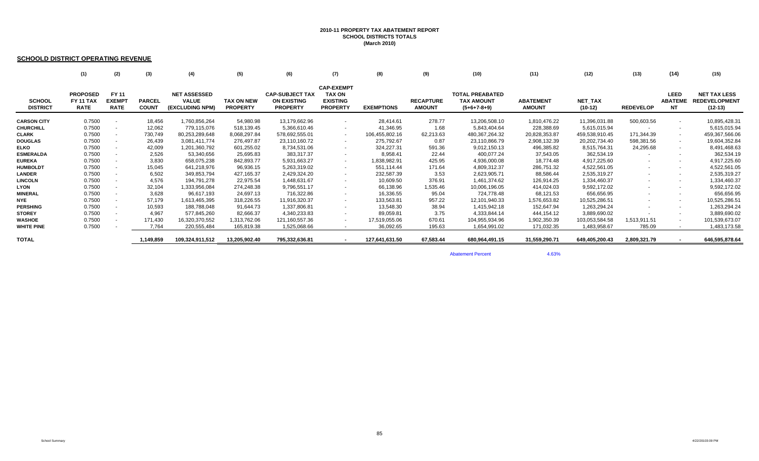#### **2010-11 PROPERTY TAX ABATEMENT REPORT SCHOOL DISTRICTS TOTALS (March 2010)**

#### **SCHOOLD DISTRICT OPERATING REVENUE**

|                                  | (1)                                                | (2)                                          | (3)                           | (4)                                                    | (5)                                  | (6)                                                             | (7)                                                                      | (8)               | (9)                               | (10)                                                         | (11)                              | (12)                        | (13)             | (14)                                 | (15)                                                     |
|----------------------------------|----------------------------------------------------|----------------------------------------------|-------------------------------|--------------------------------------------------------|--------------------------------------|-----------------------------------------------------------------|--------------------------------------------------------------------------|-------------------|-----------------------------------|--------------------------------------------------------------|-----------------------------------|-----------------------------|------------------|--------------------------------------|----------------------------------------------------------|
| <b>SCHOOL</b><br><b>DISTRICT</b> | <b>PROPOSED</b><br><b>FY 11 TAX</b><br><b>RATE</b> | <b>FY 11</b><br><b>EXEMPT</b><br><b>RATE</b> | <b>PARCEL</b><br><b>COUNT</b> | <b>NET ASSESSED</b><br><b>VALUE</b><br>(EXCLUDING NPM) | <b>TAX ON NEW</b><br><b>PROPERTY</b> | <b>CAP-SUBJECT TAX</b><br><b>ON EXISTING</b><br><b>PROPERTY</b> | <b>CAP-EXEMPT</b><br><b>TAX ON</b><br><b>EXISTING</b><br><b>PROPERTY</b> | <b>EXEMPTIONS</b> | <b>RECAPTURE</b><br><b>AMOUNT</b> | <b>TOTAL PREABATED</b><br><b>TAX AMOUNT</b><br>$(5+6+7-8+9)$ | <b>ABATEMENT</b><br><b>AMOUNT</b> | <b>NET TAX</b><br>$(10-12)$ | <b>REDEVELOP</b> | <b>LEED</b><br><b>ABATEME</b><br>NT. | <b>NET TAX LESS</b><br><b>REDEVELOPMENT</b><br>$(12-13)$ |
| <b>CARSON CITY</b>               | 0.7500                                             | $\overline{\phantom{a}}$                     | 18,456                        | 1,760,856,264                                          | 54,980.98                            | 13,179,662.96                                                   |                                                                          | 28,414.61         | 278.77                            | 13,206,508.10                                                | 1,810,476.22                      | 11,396,031.88               | 500,603.56       | $\sim$                               | 10,895,428.31                                            |
| <b>CHURCHILL</b>                 | 0.7500                                             | $\overline{\phantom{a}}$                     | 12,062                        | 779,115,076                                            | 518,139.45                           | 5,366,610.46                                                    |                                                                          | 41,346.95         | 1.68                              | 5,843,404.64                                                 | 228,388.69                        | 5,615,015.94                |                  | $\sim$                               | 5,615,015.94                                             |
| <b>CLARK</b>                     | 0.7500                                             |                                              | 730,749                       | 80,253,289,648                                         | 8,068,297.84                         | 578,692,555.01                                                  |                                                                          | 106,455,802.16    | 62,213.63                         | 480, 367, 264. 32                                            | 20,828,353.87                     | 459,538,910.45              | 171,344.39       | $\sim$                               | 459,367,566.06                                           |
| <b>DOUGLAS</b>                   | 0.7500                                             |                                              | 26,439                        | 3,081,411,774                                          | 276,497.87                           | 23,110,160.72                                                   |                                                                          | 275,792.67        | 0.87                              | 23,110,866.79                                                | 2,908,132.39                      | 20,202,734.40               | 598,381.56       | $\sim$                               | 19,604,352.84                                            |
| <b>ELKO</b>                      | 0.7500                                             | $\sim$                                       | 42,009                        | 1,201,360,792                                          | 601,255.02                           | 8,734,531.06                                                    |                                                                          | 324,227.31        | 591.36                            | 9,012,150.13                                                 | 496,385.82                        | 8,515,764.31                | 24,295.68        | $\sim$                               | 8,491,468.63                                             |
|                                  |                                                    |                                              |                               |                                                        |                                      |                                                                 |                                                                          |                   | 22.44                             |                                                              |                                   |                             |                  |                                      |                                                          |
| <b>ESMERALDA</b>                 | 0.7500                                             | $\sim$                                       | 2,526                         | 53,340,656                                             | 25,695.83                            | 383,317.37                                                      |                                                                          | 8,958.41          |                                   | 400,077.24                                                   | 37,543.05                         | 362,534.19                  |                  | $\sim$                               | 362,534.19                                               |
| <b>EUREKA</b>                    | 0.7500                                             | $\sim$                                       | 3,830                         | 658,075,238                                            | 842,893.77                           | 5,931,663.27                                                    |                                                                          | 1,838,982.91      | 425.95                            | 4,936,000.08                                                 | 18,774.48                         | 4,917,225.60                | $\sim$           | $\overline{\phantom{a}}$             | 4,917,225.60                                             |
| <b>HUMBOLDT</b>                  | 0.7500                                             | $\overline{\phantom{a}}$                     | 15,045                        | 641,218,976                                            | 96,936.15                            | 5,263,319.02                                                    |                                                                          | 551,114.44        | 171.64                            | 4,809,312.37                                                 | 286,751.32                        | 4,522,561.05                | $\sim$           | $\sim$                               | 4,522,561.05                                             |
| <b>LANDER</b>                    | 0.7500                                             |                                              | 6,502                         | 349,853,794                                            | 427,165.37                           | 2,429,324.20                                                    |                                                                          | 232,587.39        | 3.53                              | 2,623,905.71                                                 | 88,586.44                         | 2,535,319.27                |                  | $\sim$                               | 2,535,319.27                                             |
| <b>LINCOLN</b>                   | 0.7500                                             | $\overline{\phantom{a}}$                     | 4,576                         | 194,791,278                                            | 22,975.54                            | 1,448,631.67                                                    |                                                                          | 10,609.50         | 376.91                            | 1,461,374.62                                                 | 126,914.25                        | 1,334,460.37                |                  | $\sim$                               | 1,334,460.37                                             |
| <b>LYON</b>                      | 0.7500                                             |                                              | 32,104                        | 1,333,956,084                                          | 274,248.38                           | 9,796,551.17                                                    |                                                                          | 66,138.96         | 1,535.46                          | 10,006,196.05                                                | 414,024.03                        | 9,592,172.02                |                  | $\sim$                               | 9,592,172.02                                             |
| <b>MINERAL</b>                   | 0.7500                                             | $\sim$                                       | 3,628                         | 96,617,193                                             | 24,697.13                            | 716,322.86                                                      |                                                                          | 16,336.55         | 95.04                             | 724,778.48                                                   | 68,121.53                         | 656,656.95                  | $\sim$           | $\sim$                               | 656,656.95                                               |
| <b>NYE</b>                       | 0.7500                                             | $\sim$                                       | 57,179                        | 1,613,465,395                                          | 318,226.55                           | 11,916,320.37                                                   |                                                                          | 133,563.81        | 957.22                            | 12,101,940.33                                                | 1,576,653.82                      | 10,525,286.51               |                  | $\sim$                               | 10,525,286.51                                            |
| <b>PERSHING</b>                  | 0.7500                                             |                                              | 10,593                        | 188,788,048                                            | 91,644.73                            | 1,337,806.81                                                    |                                                                          | 13,548.30         | 38.94                             | 1,415,942.18                                                 | 152,647.94                        | 1,263,294.24                |                  |                                      | 1,263,294.24                                             |
| <b>STOREY</b>                    | 0.7500                                             | $\sim$                                       | 4,967                         | 577,845,260                                            | 82,666.37                            | 4,340,233.83                                                    |                                                                          | 89,059.81         | 3.75                              | 4,333,844.14                                                 | 444,154.12                        | 3,889,690.02                |                  | $\sim$                               | 3,889,690.02                                             |
| <b>WASHOE</b>                    | 0.7500                                             |                                              | 171,430                       | 16,320,370,552                                         | 1,313,762.06                         | 121,160,557.36                                                  |                                                                          | 17,519,055.06     | 670.61                            | 104,955,934.96                                               | 1,902,350.39                      | 103,053,584.58              | 1,513,911.51     |                                      | 101,539,673.07                                           |
| <b>WHITE PINE</b>                | 0.7500                                             |                                              | 7,764                         | 220,555,484                                            | 165,819.38                           | 1,525,068.66                                                    |                                                                          | 36,092.65         | 195.63                            | 1,654,991.02                                                 | 171,032.35                        | 1,483,958.67                | 785.09           |                                      | 1,483,173.58                                             |
| <b>TOTAL</b>                     |                                                    |                                              | 1,149,859                     | 109,324,911,512                                        | 13,205,902.40                        | 795,332,636.81                                                  |                                                                          | 127,641,631.50    | 67,583.44                         | 680,964,491.15                                               | 31,559,290.71                     | 649,405,200.43              | 2,809,321.79     |                                      | 646,595,878.64                                           |

Abatement Percent

4.63%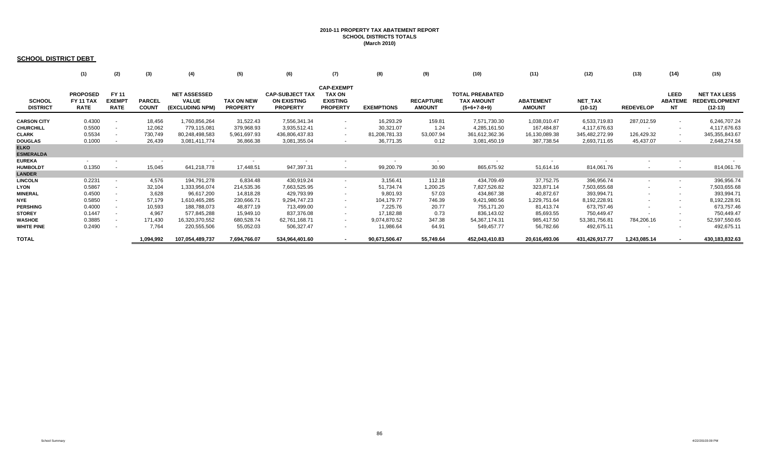## **2010-11 PROPERTY TAX ABATEMENT REPORT SCHOOL DISTRICTS TOTALS (March 2010)**

### **SCHOOL DISTRICT DEBT**

|                                  | (1)                                                | (2)                                          | (3)                           | (4)                                                    | (5)                                  | (6)                                                             | (7)                                                                      | (8)               | (9)                               | (10)                                                         | (11)                              | (12)                        | (13)             | (14)                                | (15)                                                     |
|----------------------------------|----------------------------------------------------|----------------------------------------------|-------------------------------|--------------------------------------------------------|--------------------------------------|-----------------------------------------------------------------|--------------------------------------------------------------------------|-------------------|-----------------------------------|--------------------------------------------------------------|-----------------------------------|-----------------------------|------------------|-------------------------------------|----------------------------------------------------------|
| <b>SCHOOL</b><br><b>DISTRICT</b> | <b>PROPOSED</b><br><b>FY 11 TAX</b><br><b>RATE</b> | <b>FY 11</b><br><b>EXEMPT</b><br><b>RATE</b> | <b>PARCEL</b><br><b>COUNT</b> | <b>NET ASSESSED</b><br><b>VALUE</b><br>(EXCLUDING NPM) | <b>TAX ON NEW</b><br><b>PROPERTY</b> | <b>CAP-SUBJECT TAX</b><br><b>ON EXISTING</b><br><b>PROPERTY</b> | <b>CAP-EXEMPT</b><br><b>TAX ON</b><br><b>EXISTING</b><br><b>PROPERTY</b> | <b>EXEMPTIONS</b> | <b>RECAPTURE</b><br><b>AMOUNT</b> | <b>TOTAL PREABATED</b><br><b>TAX AMOUNT</b><br>$(5+6+7-8+9)$ | <b>ABATEMENT</b><br><b>AMOUNT</b> | <b>NET TAX</b><br>$(10-12)$ | <b>REDEVELOP</b> | <b>LEED</b><br><b>ABATEME</b><br>NT | <b>NET TAX LESS</b><br><b>REDEVELOPMENT</b><br>$(12-13)$ |
| <b>CARSON CITY</b>               | 0.4300                                             | $\overline{\phantom{a}}$                     | 18,456                        | 1,760,856,264                                          | 31,522.43                            | 7,556,341.34                                                    |                                                                          | 16,293.29         | 159.81                            | 7,571,730.30                                                 | 1,038,010.47                      | 6,533,719.83                | 287,012.59       | $\sim$                              | 6,246,707.24                                             |
| <b>CHURCHILL</b>                 | 0.5500                                             | $\sim$                                       | 12,062                        | 779,115,081                                            | 379,968.93                           | 3,935,512.41                                                    | $\sim$                                                                   | 30,321.07         | 1.24                              | 4,285,161.50                                                 | 167,484.87                        | 4,117,676.63                | $\sim$           | $\sim$                              | 4,117,676.63                                             |
| <b>CLARK</b>                     | 0.5534                                             |                                              | 730,749                       | 80,248,498,583                                         | 5,961,697.93                         | 436,806,437.83                                                  | $\sim$                                                                   | 81,208,781.33     | 53,007.94                         | 361,612,362.36                                               | 16,130,089.38                     | 345,482,272.99              | 126,429.32       | $\sim$                              | 345, 355, 843.67                                         |
| <b>DOUGLAS</b>                   | 0.1000                                             |                                              | 26,439                        | 3,081,411,774                                          | 36,866.38                            | 3,081,355.04                                                    |                                                                          | 36,771.35         | 0.12                              | 3,081,450.19                                                 | 387,738.54                        | 2,693,711.65                | 45,437.07        | $\sim$                              | 2,648,274.58                                             |
| <b>ELKO</b>                      |                                                    |                                              |                               |                                                        |                                      |                                                                 |                                                                          |                   |                                   |                                                              |                                   |                             |                  |                                     |                                                          |
| <b>ESMERALDA</b>                 |                                                    |                                              |                               |                                                        |                                      |                                                                 |                                                                          |                   |                                   |                                                              |                                   |                             |                  |                                     |                                                          |
| <b>EUREKA</b>                    | $\sim$                                             |                                              |                               |                                                        |                                      |                                                                 |                                                                          | $\sim$            | $\sim$                            | $\sim$                                                       | $\sim$                            |                             |                  | $\sim$                              |                                                          |
| <b>HUMBOLDT</b>                  | 0.1350                                             |                                              | 15,045                        | 641,218,778                                            | 17,448.51                            | 947,397.31                                                      |                                                                          | 99,200.79         | 30.90                             | 865,675.92                                                   | 51,614.16                         | 814,061.76                  |                  |                                     | 814,061.76                                               |
| <b>LANDER</b>                    |                                                    |                                              |                               |                                                        |                                      |                                                                 |                                                                          |                   |                                   |                                                              |                                   |                             |                  |                                     |                                                          |
| <b>LINCOLN</b>                   | 0.2231                                             | $\overline{\phantom{a}}$                     | 4,576                         | 194,791,278                                            | 6,834.48                             | 430,919.24                                                      |                                                                          | 3,156.41          | 112.18                            | 434,709.49                                                   | 37,752.75                         | 396,956.74                  |                  | $\sim$                              | 396,956.74                                               |
| <b>LYON</b>                      | 0.5867                                             | $\sim$                                       | 32,104                        | 1,333,956,074                                          | 214,535.36                           | 7,663,525.95                                                    |                                                                          | 51,734.74         | 1,200.25                          | 7,827,526.82                                                 | 323,871.14                        | 7,503,655.68                |                  | $\sim$                              | 7,503,655.68                                             |
| <b>MINERAL</b>                   | 0.4500                                             | $\sim$                                       | 3,628                         | 96,617,200                                             | 14,818.28                            | 429,793.99                                                      |                                                                          | 9,801.93          | 57.03                             | 434,867.38                                                   | 40,872.67                         | 393,994.71                  |                  | $\sim$                              | 393,994.71                                               |
| <b>NYE</b>                       | 0.5850                                             | $\sim$                                       | 57,179                        | 1,610,465,285                                          | 230,666.71                           | 9,294,747.23                                                    | $\sim$                                                                   | 104,179.77        | 746.39                            | 9,421,980.56                                                 | 1,229,751.64                      | 8,192,228.91                |                  | $\sim$                              | 8,192,228.91                                             |
| <b>PERSHING</b>                  | 0.4000                                             | $\sim$                                       | 10,593                        | 188,788,073                                            | 48,877.19                            | 713,499.00                                                      | $\sim$                                                                   | 7,225.76          | 20.77                             | 755,171.20                                                   | 81,413.74                         | 673,757.46                  |                  | $\sim$                              | 673,757.46                                               |
| <b>STOREY</b>                    | 0.1447                                             |                                              | 4,967                         | 577,845,288                                            | 15,949.10                            | 837,376.08                                                      |                                                                          | 17,182.88         | 0.73                              | 836,143.02                                                   | 85,693.55                         | 750,449.47                  |                  | $\sim$                              | 750,449.47                                               |
| <b>WASHOE</b>                    | 0.3885                                             | $\overline{\phantom{0}}$                     | 171,430                       | 16,320,370,552                                         | 680,528.74                           | 62,761,168.71                                                   | $\sim$                                                                   | 9,074,870.52      | 347.38                            | 54, 367, 174. 31                                             | 985,417.50                        | 53,381,756.81               | 784,206.16       | $\sim$ 10 $\pm$                     | 52,597,550.65                                            |
| <b>WHITE PINE</b>                | 0.2490                                             | $\sim$                                       | 7,764                         | 220,555,506                                            | 55,052.03                            | 506,327.47                                                      | $\sim$                                                                   | 11,986.64         | 64.91                             | 549,457.77                                                   | 56,782.66                         | 492,675.11                  |                  | $\sim$                              | 492,675.11                                               |
| <b>TOTAL</b>                     |                                                    |                                              | 1,094,992                     | 107,054,489,737                                        | 7,694,766.07                         | 534,964,401.60                                                  |                                                                          | 90,671,506.47     | 55,749.64                         | 452,043,410.83                                               | 20,616,493.06                     | 431,426,917.77              | 1,243,085.14     |                                     | 430,183,832.63                                           |